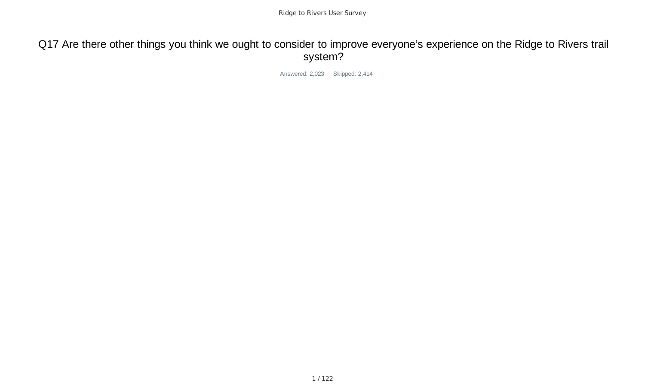# Q17 Are there other things you think we ought to consider to improve everyone's experience on the Ridge to Rivers trail system?

Answered: 2,023 Skipped: 2,414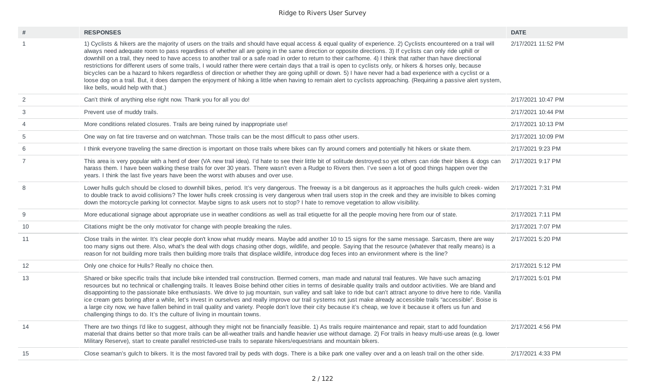| #              | <b>RESPONSES</b>                                                                                                                                                                                                                                                                                                                                                                                                                                                                                                                                                                                                                                                                                                                                                                                                                                                                                                                                                                                                                                   | <b>DATE</b>        |
|----------------|----------------------------------------------------------------------------------------------------------------------------------------------------------------------------------------------------------------------------------------------------------------------------------------------------------------------------------------------------------------------------------------------------------------------------------------------------------------------------------------------------------------------------------------------------------------------------------------------------------------------------------------------------------------------------------------------------------------------------------------------------------------------------------------------------------------------------------------------------------------------------------------------------------------------------------------------------------------------------------------------------------------------------------------------------|--------------------|
| $\mathbf{1}$   | 1) Cyclists & hikers are the majority of users on the trails and should have equal access & equal quality of experience. 2) Cyclists encountered on a trail will<br>always need adequate room to pass regardless of whether all are going in the same direction or opposite directions. 3) If cyclists can only ride uphill or<br>downhill on a trail, they need to have access to another trail or a safe road in order to return to their car/home. 4) I think that rather than have directional<br>restrictions for different users of some trails, I would rather there were certain days that a trail is open to cyclists only, or hikers & horses only, because<br>bicycles can be a hazard to hikers regardless of direction or whether they are going uphill or down. 5) I have never had a bad experience with a cyclist or a<br>loose dog on a trail. But, it does dampen the enjoyment of hiking a little when having to remain alert to cyclists approaching. (Requiring a passive alert system,<br>like bells, would help with that.) | 2/17/2021 11:52 PM |
| 2              | Can't think of anything else right now. Thank you for all you do!                                                                                                                                                                                                                                                                                                                                                                                                                                                                                                                                                                                                                                                                                                                                                                                                                                                                                                                                                                                  | 2/17/2021 10:47 PM |
| 3              | Prevent use of muddy trails.                                                                                                                                                                                                                                                                                                                                                                                                                                                                                                                                                                                                                                                                                                                                                                                                                                                                                                                                                                                                                       | 2/17/2021 10:44 PM |
| $\overline{4}$ | More conditions related closures. Trails are being ruined by inappropriate use!                                                                                                                                                                                                                                                                                                                                                                                                                                                                                                                                                                                                                                                                                                                                                                                                                                                                                                                                                                    | 2/17/2021 10:13 PM |
| 5              | One way on fat tire traverse and on watchman. Those trails can be the most difficult to pass other users.                                                                                                                                                                                                                                                                                                                                                                                                                                                                                                                                                                                                                                                                                                                                                                                                                                                                                                                                          | 2/17/2021 10:09 PM |
| 6              | I think everyone traveling the same direction is important on those trails where bikes can fly around corners and potentially hit hikers or skate them.                                                                                                                                                                                                                                                                                                                                                                                                                                                                                                                                                                                                                                                                                                                                                                                                                                                                                            | 2/17/2021 9:23 PM  |
| $\overline{7}$ | This area is very popular with a herd of deer (VA new trail idea). I'd hate to see their little bit of solitude destroyed:so yet others can ride their bikes & dogs can<br>harass them. I have been walking these trails for over 30 years. There wasn't even a Rudge to Rivers then. I've seen a lot of good things happen over the<br>years. I think the last five years have been the worst with abuses and over use.                                                                                                                                                                                                                                                                                                                                                                                                                                                                                                                                                                                                                           | 2/17/2021 9:17 PM  |
| 8              | Lower hulls gulch should be closed to downhill bikes, period. It's very dangerous. The freeway is a bit dangerous as it approaches the hulls gulch creek- widen<br>to double track to avoid collisions? The lower hulls creek crossing is very dangerous when trail users stop in the creek and they are invisible to bikes coming<br>down the motorcycle parking lot connector. Maybe signs to ask users not to stop? I hate to remove vegetation to allow visibility.                                                                                                                                                                                                                                                                                                                                                                                                                                                                                                                                                                            | 2/17/2021 7:31 PM  |
| $9\,$          | More educational signage about appropriate use in weather conditions as well as trail etiquette for all the people moving here from our of state.                                                                                                                                                                                                                                                                                                                                                                                                                                                                                                                                                                                                                                                                                                                                                                                                                                                                                                  | 2/17/2021 7:11 PM  |
| 10             | Citations might be the only motivator for change with people breaking the rules.                                                                                                                                                                                                                                                                                                                                                                                                                                                                                                                                                                                                                                                                                                                                                                                                                                                                                                                                                                   | 2/17/2021 7:07 PM  |
| 11             | Close trails in the winter. It's clear people don't know what muddy means. Maybe add another 10 to 15 signs for the same message. Sarcasm, there are way<br>too many signs out there. Also, what's the deal with dogs chasing other dogs, wildlife, and people. Saying that the resource (whatever that really means) is a<br>reason for not building more trails then building more trails that displace wildlife, introduce dog feces into an environment where is the line?                                                                                                                                                                                                                                                                                                                                                                                                                                                                                                                                                                     | 2/17/2021 5:20 PM  |
| 12             | Only one choice for Hulls? Really no choice then.                                                                                                                                                                                                                                                                                                                                                                                                                                                                                                                                                                                                                                                                                                                                                                                                                                                                                                                                                                                                  | 2/17/2021 5:12 PM  |
| 13             | Shared or bike specific trails that include bike intended trail construction. Bermed corners, man made and natural trail features. We have such amazing<br>resources but no technical or challenging trails. It leaves Boise behind other cities in terms of desirable quality trails and outdoor activities. We are bland and<br>disappointing to the passionate bike enthusiasts. We drive to jug mountain, sun valley and salt lake to ride but can't attract anyone to drive here to ride. Vanilla<br>ice cream gets boring after a while, let's invest in ourselves and really improve our trail systems not just make already accessible trails "accessible". Boise is<br>a large city now, we have fallen behind in trail quality and variety. People don't love their city because it's cheap, we love it because it offers us fun and<br>challenging things to do. It's the culture of living in mountain towns.                                                                                                                          | 2/17/2021 5:01 PM  |
| 14             | There are two things I'd like to suggest, although they might not be financially feasible. 1) As trails require maintenance and repair, start to add foundation<br>material that drains better so that more trails can be all-weather trails and handle heavier use without damage. 2) For trails in heavy multi-use areas (e.g. lower<br>Military Reserve), start to create parallel restricted-use trails to separate hikers/equestrians and mountain bikers.                                                                                                                                                                                                                                                                                                                                                                                                                                                                                                                                                                                    | 2/17/2021 4:56 PM  |
| 15             | Close seaman's gulch to bikers. It is the most favored trail by peds with dogs. There is a bike park one valley over and a on leash trail on the other side.                                                                                                                                                                                                                                                                                                                                                                                                                                                                                                                                                                                                                                                                                                                                                                                                                                                                                       | 2/17/2021 4:33 PM  |
|                |                                                                                                                                                                                                                                                                                                                                                                                                                                                                                                                                                                                                                                                                                                                                                                                                                                                                                                                                                                                                                                                    |                    |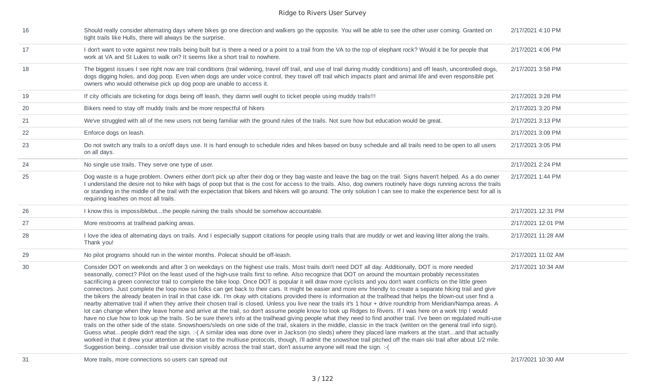| 16     | Should really consider alternating days where bikes go one direction and walkers go the opposite. You will be able to see the other user coming. Granted on<br>tight trails like Hulls, there will always be the surprise.                                                                                                                                                                                                                                                                                                                                                                                                                                                                                                                                                                                                                                                                                                                                                                                                                                                                                                                                                                                                                                                                                                                                                                                                                                                                                                                                                                                                                                                                                                                                                                                                                                                                                                                                                                 | 2/17/2021 4:10 PM  |
|--------|--------------------------------------------------------------------------------------------------------------------------------------------------------------------------------------------------------------------------------------------------------------------------------------------------------------------------------------------------------------------------------------------------------------------------------------------------------------------------------------------------------------------------------------------------------------------------------------------------------------------------------------------------------------------------------------------------------------------------------------------------------------------------------------------------------------------------------------------------------------------------------------------------------------------------------------------------------------------------------------------------------------------------------------------------------------------------------------------------------------------------------------------------------------------------------------------------------------------------------------------------------------------------------------------------------------------------------------------------------------------------------------------------------------------------------------------------------------------------------------------------------------------------------------------------------------------------------------------------------------------------------------------------------------------------------------------------------------------------------------------------------------------------------------------------------------------------------------------------------------------------------------------------------------------------------------------------------------------------------------------|--------------------|
| 17     | I don't want to vote against new trails being built but is there a need or a point to a trail from the VA to the top of elephant rock? Would it be for people that<br>work at VA and St Lukes to walk on? It seems like a short trail to nowhere.                                                                                                                                                                                                                                                                                                                                                                                                                                                                                                                                                                                                                                                                                                                                                                                                                                                                                                                                                                                                                                                                                                                                                                                                                                                                                                                                                                                                                                                                                                                                                                                                                                                                                                                                          | 2/17/2021 4:06 PM  |
| 18     | The biggest issues I see right now are trail conditions (trail widening, travel off trail, and use of trail during muddy conditions) and off leash, uncontrolled dogs,<br>dogs digging holes, and dog poop. Even when dogs are under voice control, they travel off trail which impacts plant and animal life and even responsible pet<br>owners who would otherwise pick up dog poop are unable to access it.                                                                                                                                                                                                                                                                                                                                                                                                                                                                                                                                                                                                                                                                                                                                                                                                                                                                                                                                                                                                                                                                                                                                                                                                                                                                                                                                                                                                                                                                                                                                                                             | 2/17/2021 3:58 PM  |
| 19     | If city officials are ticketing for dogs being off leash, they damn well ought to ticket people using muddy trails!!!                                                                                                                                                                                                                                                                                                                                                                                                                                                                                                                                                                                                                                                                                                                                                                                                                                                                                                                                                                                                                                                                                                                                                                                                                                                                                                                                                                                                                                                                                                                                                                                                                                                                                                                                                                                                                                                                      | 2/17/2021 3:28 PM  |
| 20     | Bikers need to stay off muddy trails and be more respectful of hikers                                                                                                                                                                                                                                                                                                                                                                                                                                                                                                                                                                                                                                                                                                                                                                                                                                                                                                                                                                                                                                                                                                                                                                                                                                                                                                                                                                                                                                                                                                                                                                                                                                                                                                                                                                                                                                                                                                                      | 2/17/2021 3:20 PM  |
| 21     | We've struggled with all of the new users not being familiar with the ground rules of the trails. Not sure how but education would be great.                                                                                                                                                                                                                                                                                                                                                                                                                                                                                                                                                                                                                                                                                                                                                                                                                                                                                                                                                                                                                                                                                                                                                                                                                                                                                                                                                                                                                                                                                                                                                                                                                                                                                                                                                                                                                                               | 2/17/2021 3:13 PM  |
| 22     | Enforce dogs on leash.                                                                                                                                                                                                                                                                                                                                                                                                                                                                                                                                                                                                                                                                                                                                                                                                                                                                                                                                                                                                                                                                                                                                                                                                                                                                                                                                                                                                                                                                                                                                                                                                                                                                                                                                                                                                                                                                                                                                                                     | 2/17/2021 3:09 PM  |
| 23     | Do not switch any trails to a on/off days use. It is hard enough to schedule rides and hikes based on busy schedule and all trails need to be open to all users<br>on all days.                                                                                                                                                                                                                                                                                                                                                                                                                                                                                                                                                                                                                                                                                                                                                                                                                                                                                                                                                                                                                                                                                                                                                                                                                                                                                                                                                                                                                                                                                                                                                                                                                                                                                                                                                                                                            | 2/17/2021 3:05 PM  |
| 24     | No single use trails. They serve one type of user.                                                                                                                                                                                                                                                                                                                                                                                                                                                                                                                                                                                                                                                                                                                                                                                                                                                                                                                                                                                                                                                                                                                                                                                                                                                                                                                                                                                                                                                                                                                                                                                                                                                                                                                                                                                                                                                                                                                                         | 2/17/2021 2:24 PM  |
| 25     | Dog waste is a huge problem. Owners either don't pick up after their dog or they bag waste and leave the bag on the trail. Signs haven't helped. As a do owner<br>I understand the desire not to hike with bags of poop but that is the cost for access to the trails. Also, dog owners routinely have dogs running across the trails<br>or standing in the middle of the trail with the expectation that bikers and hikers will go around. The only solution I can see to make the experience best for all is<br>requiring leashes on most all trails.                                                                                                                                                                                                                                                                                                                                                                                                                                                                                                                                                                                                                                                                                                                                                                                                                                                                                                                                                                                                                                                                                                                                                                                                                                                                                                                                                                                                                                    | 2/17/2021 1:44 PM  |
| 26     | I know this is impossiblebutthe people ruining the trails should be somehow accountable.                                                                                                                                                                                                                                                                                                                                                                                                                                                                                                                                                                                                                                                                                                                                                                                                                                                                                                                                                                                                                                                                                                                                                                                                                                                                                                                                                                                                                                                                                                                                                                                                                                                                                                                                                                                                                                                                                                   | 2/17/2021 12:31 PM |
| 27     | More restrooms at trailhead parking areas.                                                                                                                                                                                                                                                                                                                                                                                                                                                                                                                                                                                                                                                                                                                                                                                                                                                                                                                                                                                                                                                                                                                                                                                                                                                                                                                                                                                                                                                                                                                                                                                                                                                                                                                                                                                                                                                                                                                                                 | 2/17/2021 12:01 PM |
| 28     | I love the idea of alternating days on trails. And I especially support citations for people using trails that are muddy or wet and leaving litter along the trails.<br>Thank you!                                                                                                                                                                                                                                                                                                                                                                                                                                                                                                                                                                                                                                                                                                                                                                                                                                                                                                                                                                                                                                                                                                                                                                                                                                                                                                                                                                                                                                                                                                                                                                                                                                                                                                                                                                                                         | 2/17/2021 11:28 AM |
| 29     | No pilot programs should run in the winter months. Polecat should be off-leash.                                                                                                                                                                                                                                                                                                                                                                                                                                                                                                                                                                                                                                                                                                                                                                                                                                                                                                                                                                                                                                                                                                                                                                                                                                                                                                                                                                                                                                                                                                                                                                                                                                                                                                                                                                                                                                                                                                            | 2/17/2021 11:02 AM |
| $30\,$ | Consider DOT on weekends and after 3 on weekdays on the highest use trails. Most trails don't need DOT all day. Additionally, DOT is more needed<br>seasonally, correct? Pilot on the least used of the high-use trails first to refine. Also recognize that DOT on around the mountain probably necessitates<br>sacrificing a green connector trail to complete the bike loop. Once DOT is popular it will draw more cyclists and you don't want conflicts on the little green<br>connectors. Just complete the loop now so folks can get back to their cars. It might be easier and more env friendly to create a separate hiking trail and give<br>the bikers the already beaten in trail in that case idk. I'm okay with citations provided there is information at the trailhead that helps the blown-out user find a<br>nearby alternative trail if when they arrive their chosen trail is closed. Unless you live near the trails it's 1 hour + drive roundtrip from Meridian/Nampa areas. A<br>lot can change when they leave home and arrive at the trail, so don't assume people know to look up Ridges to Rivers. If I was here on a work trip I would<br>have no clue how to look up the trails. So be sure there's info at the trailhead giving people what they need to find another trail. I've been on regulated multi-use<br>trails on the other side of the state. Snowshoers/sleds on one side of the trail, skaters in the middle, classic in the track (written on the general trail info sign).<br>Guess whatpeople didn't read the sign. :-(A similar idea was done over in Jackson (no sleds) where they placed lane markers at the startand that actually<br>worked in that it drew your attention at the start to the multiuse protocols, though, i'll admit the snowshoe trail pitched off the main ski trail after about 1/2 mile.<br>Suggestion beingconsider trail use division visibly across the trail start, don't assume anyone will read the sign. :- ( | 2/17/2021 10:34 AM |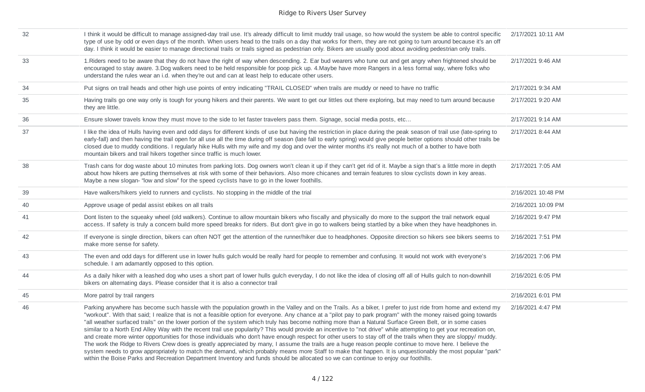| 32 | I think it would be difficult to manage assigned-day trail use. It's already difficult to limit muddy trail usage, so how would the system be able to control specific<br>type of use by odd or even days of the month. When users head to the trails on a day that works for them, they are not going to turn around because it's an off<br>day. I think it would be easier to manage directional trails or trails signed as pedestrian only. Bikers are usually good about avoiding pedestrian only trails.                                                                                                                                                                                                                                                                                                                                                                                                                                                                                                                                                                                                                                                                                                                                                                                         | 2/17/2021 10:11 AM |
|----|-------------------------------------------------------------------------------------------------------------------------------------------------------------------------------------------------------------------------------------------------------------------------------------------------------------------------------------------------------------------------------------------------------------------------------------------------------------------------------------------------------------------------------------------------------------------------------------------------------------------------------------------------------------------------------------------------------------------------------------------------------------------------------------------------------------------------------------------------------------------------------------------------------------------------------------------------------------------------------------------------------------------------------------------------------------------------------------------------------------------------------------------------------------------------------------------------------------------------------------------------------------------------------------------------------|--------------------|
| 33 | 1. Riders need to be aware that they do not have the right of way when descending. 2. Ear bud wearers who tune out and get angry when frightened should be<br>encouraged to stay aware. 3.Dog walkers need to be held responsible for poop pick up. 4.Maybe have more Rangers in a less formal way, where folks who<br>understand the rules wear an i.d. when they're out and can at least help to educate other users.                                                                                                                                                                                                                                                                                                                                                                                                                                                                                                                                                                                                                                                                                                                                                                                                                                                                               | 2/17/2021 9:46 AM  |
| 34 | Put signs on trail heads and other high use points of entry indicating "TRAIL CLOSED" when trails are muddy or need to have no traffic                                                                                                                                                                                                                                                                                                                                                                                                                                                                                                                                                                                                                                                                                                                                                                                                                                                                                                                                                                                                                                                                                                                                                                | 2/17/2021 9:34 AM  |
| 35 | Having trails go one way only is tough for young hikers and their parents. We want to get our littles out there exploring, but may need to turn around because<br>they are little.                                                                                                                                                                                                                                                                                                                                                                                                                                                                                                                                                                                                                                                                                                                                                                                                                                                                                                                                                                                                                                                                                                                    | 2/17/2021 9:20 AM  |
| 36 | Ensure slower travels know they must move to the side to let faster travelers pass them. Signage, social media posts, etc                                                                                                                                                                                                                                                                                                                                                                                                                                                                                                                                                                                                                                                                                                                                                                                                                                                                                                                                                                                                                                                                                                                                                                             | 2/17/2021 9:14 AM  |
| 37 | I like the idea of Hulls having even and odd days for different kinds of use but having the restriction in place during the peak season of trail use (late-spring to<br>early-fall) and then having the trail open for all use all the time during off season (late fall to early spring) would give people better options should other trails be<br>closed due to muddy conditions. I regularly hike Hulls with my wife and my dog and over the winter months it's really not much of a bother to have both<br>mountain bikers and trail hikers together since traffic is much lower.                                                                                                                                                                                                                                                                                                                                                                                                                                                                                                                                                                                                                                                                                                                | 2/17/2021 8:44 AM  |
| 38 | Trash cans for dog waste about 10 minutes from parking lots. Dog owners won't clean it up if they can't get rid of it. Maybe a sign that's a little more in depth<br>about how hikers are putting themselves at risk with some of their behaviors. Also more chicanes and terrain features to slow cyclists down in key areas.<br>Maybe a new slogan- "low and slow" for the speed cyclists have to go in the lower foothills.                                                                                                                                                                                                                                                                                                                                                                                                                                                                                                                                                                                                                                                                                                                                                                                                                                                                        | 2/17/2021 7:05 AM  |
| 39 | Have walkers/hikers yield to runners and cyclists. No stopping in the middle of the trial                                                                                                                                                                                                                                                                                                                                                                                                                                                                                                                                                                                                                                                                                                                                                                                                                                                                                                                                                                                                                                                                                                                                                                                                             | 2/16/2021 10:48 PM |
| 40 | Approve usage of pedal assist ebikes on all trails                                                                                                                                                                                                                                                                                                                                                                                                                                                                                                                                                                                                                                                                                                                                                                                                                                                                                                                                                                                                                                                                                                                                                                                                                                                    | 2/16/2021 10:09 PM |
| 41 | Dont listen to the squeaky wheel (old walkers). Continue to allow mountain bikers who fiscally and physically do more to the support the trail network equal<br>access. If safety is truly a concern build more speed breaks for riders. But don't give in go to walkers being startled by a bike when they have headphones in.                                                                                                                                                                                                                                                                                                                                                                                                                                                                                                                                                                                                                                                                                                                                                                                                                                                                                                                                                                       | 2/16/2021 9:47 PM  |
| 42 | If everyone is single direction, bikers can often NOT get the attention of the runner/hiker due to headphones. Opposite direction so hikers see bikers seems to<br>make more sense for safety.                                                                                                                                                                                                                                                                                                                                                                                                                                                                                                                                                                                                                                                                                                                                                                                                                                                                                                                                                                                                                                                                                                        | 2/16/2021 7:51 PM  |
| 43 | The even and odd days for different use in lower hulls gulch would be really hard for people to remember and confusing. It would not work with everyone's<br>schedule. I am adamantly opposed to this option.                                                                                                                                                                                                                                                                                                                                                                                                                                                                                                                                                                                                                                                                                                                                                                                                                                                                                                                                                                                                                                                                                         | 2/16/2021 7:06 PM  |
| 44 | As a daily hiker with a leashed dog who uses a short part of lower hulls gulch everyday, I do not like the idea of closing off all of Hulls gulch to non-downhill<br>bikers on alternating days. Please consider that it is also a connector trail                                                                                                                                                                                                                                                                                                                                                                                                                                                                                                                                                                                                                                                                                                                                                                                                                                                                                                                                                                                                                                                    | 2/16/2021 6:05 PM  |
| 45 | More patrol by trail rangers                                                                                                                                                                                                                                                                                                                                                                                                                                                                                                                                                                                                                                                                                                                                                                                                                                                                                                                                                                                                                                                                                                                                                                                                                                                                          | 2/16/2021 6:01 PM  |
| 46 | Parking anywhere has become such hassle with the population growth in the Valley and on the Trails. As a biker, I prefer to just ride from home and extend my<br>"workout". With that said; I realize that is not a feasible option for everyone. Any chance at a "pilot pay to park program" with the money raised going towards<br>"all weather surfaced trails" on the lower portion of the system which truly has become nothing more than a Natural Surface Green Belt, or in some cases<br>similar to a North End Alley Way with the recent trail use popularity? This would provide an incentive to "not drive" while attempting to get your recreation on,<br>and create more winter opportunities for those individuals who don't have enough respect for other users to stay off of the trails when they are sloppy/ muddy.<br>The work the Ridge to Rivers Crew does is greatly appreciated by many, I assume the trails are a huge reason people continue to move here. I believe the<br>system needs to grow appropriately to match the demand, which probably means more Staff to make that happen. It is unquestionably the most popular "park"<br>within the Boise Parks and Recreation Department Inventory and funds should be allocated so we can continue to enjoy our foothills. | 2/16/2021 4:47 PM  |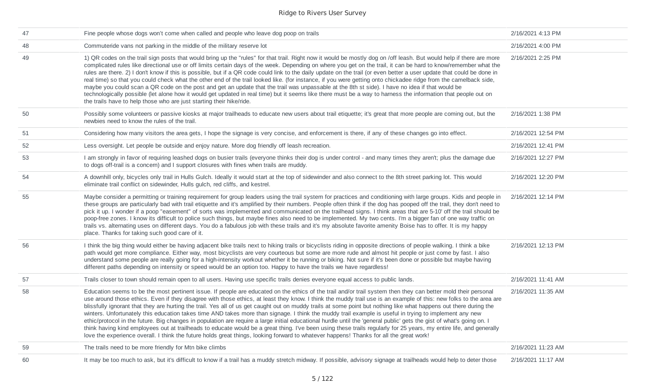| 47 | Fine people whose dogs won't come when called and people who leave dog poop on trails                                                                                                                                                                                                                                                                                                                                                                                                                                                                                                                                                                                                                                                                                                                                                                                                                                                                                                                                                                                                                                                                           | 2/16/2021 4:13 PM  |
|----|-----------------------------------------------------------------------------------------------------------------------------------------------------------------------------------------------------------------------------------------------------------------------------------------------------------------------------------------------------------------------------------------------------------------------------------------------------------------------------------------------------------------------------------------------------------------------------------------------------------------------------------------------------------------------------------------------------------------------------------------------------------------------------------------------------------------------------------------------------------------------------------------------------------------------------------------------------------------------------------------------------------------------------------------------------------------------------------------------------------------------------------------------------------------|--------------------|
| 48 | Commuteride vans not parking in the middle of the military reserve lot                                                                                                                                                                                                                                                                                                                                                                                                                                                                                                                                                                                                                                                                                                                                                                                                                                                                                                                                                                                                                                                                                          | 2/16/2021 4:00 PM  |
| 49 | 1) QR codes on the trail sign posts that would bring up the "rules" for that trail. Right now it would be mostly dog on /off leash. But would help if there are more<br>complicated rules like directional use or off limits certain days of the week. Depending on where you get on the trail, it can be hard to know/remember what the<br>rules are there. 2) I don't know if this is possible, but if a QR code could link to the daily update on the trail (or even better a user update that could be done in<br>real time) so that you could check what the other end of the trail looked like. (for instance, if you were getting onto chickadee ridge from the camelback side,<br>maybe you could scan a QR code on the post and get an update that the trail was unpassable at the 8th st side). I have no idea if that would be<br>technologically possible (let alone how it would get updated in real time) but it seems like there must be a way to harness the information that people out on<br>the trails have to help those who are just starting their hike/ride.                                                                             | 2/16/2021 2:25 PM  |
| 50 | Possibly some volunteers or passive kiosks at major trailheads to educate new users about trail etiquette; it's great that more people are coming out, but the<br>newbies need to know the rules of the trail.                                                                                                                                                                                                                                                                                                                                                                                                                                                                                                                                                                                                                                                                                                                                                                                                                                                                                                                                                  | 2/16/2021 1:38 PM  |
| 51 | Considering how many visitors the area gets, I hope the signage is very concise, and enforcement is there, if any of these changes go into effect.                                                                                                                                                                                                                                                                                                                                                                                                                                                                                                                                                                                                                                                                                                                                                                                                                                                                                                                                                                                                              | 2/16/2021 12:54 PM |
| 52 | Less oversight. Let people be outside and enjoy nature. More dog friendly off leash recreation.                                                                                                                                                                                                                                                                                                                                                                                                                                                                                                                                                                                                                                                                                                                                                                                                                                                                                                                                                                                                                                                                 | 2/16/2021 12:41 PM |
| 53 | I am strongly in favor of requiring leashed dogs on busier trails (everyone thinks their dog is under control - and many times they aren't; plus the damage due<br>to dogs off-trail is a concern) and I support closures with fines when trails are muddy.                                                                                                                                                                                                                                                                                                                                                                                                                                                                                                                                                                                                                                                                                                                                                                                                                                                                                                     | 2/16/2021 12:27 PM |
| 54 | A downhill only, bicycles only trail in Hulls Gulch. Ideally it would start at the top of sidewinder and also connect to the 8th street parking lot. This would<br>eliminate trail conflict on sidewinder, Hulls gulch, red cliffs, and kestrel.                                                                                                                                                                                                                                                                                                                                                                                                                                                                                                                                                                                                                                                                                                                                                                                                                                                                                                                | 2/16/2021 12:20 PM |
| 55 | Maybe consider a permitting or training requirement for group leaders using the trail system for practices and conditioning with large groups. Kids and people in<br>these groups are particularly bad with trail etiquette and it's amplified by their numbers. People often think if the dog has pooped off the trail, they don't need to<br>pick it up. I wonder if a poop "easement" of sorts was implemented and communicated on the trailhead signs. I think areas that are 5-10' off the trail should be<br>poop-free zones. I know its difficult to police such things, but maybe fines also need to be implemented. My two cents. I'm a bigger fan of one way traffic on<br>trails vs. alternating uses on different days. You do a fabulous job with these trails and it's my absolute favorite amenity Boise has to offer. It is my happy<br>place. Thanks for taking such good care of it.                                                                                                                                                                                                                                                          | 2/16/2021 12:14 PM |
| 56 | I think the big thing would either be having adjacent bike trails next to hiking trails or bicyclists riding in opposite directions of people walking. I think a bike<br>path would get more compliance. Either way, most bicyclists are very courteous but some are more rude and almost hit people or just come by fast. I also<br>understand some people are really going for a high-intensity workout whether it be running or biking. Not sure if it's been done or possible but maybe having<br>different paths depending on intensity or speed would be an option too. Happy to have the trails we have regardless!                                                                                                                                                                                                                                                                                                                                                                                                                                                                                                                                      | 2/16/2021 12:13 PM |
| 57 | Trails closer to town should remain open to all users. Having use specific trails denies everyone equal access to public lands.                                                                                                                                                                                                                                                                                                                                                                                                                                                                                                                                                                                                                                                                                                                                                                                                                                                                                                                                                                                                                                 | 2/16/2021 11:41 AM |
| 58 | Education seems to be the most pertinent issue. If people are educated on the ethics of the trail and/or trail system then they can better mold their personal<br>use around those ethics. Even if they disagree with those ethics, at least they know. I think the muddy trail use is an example of this: new folks to the area are<br>blissfully ignorant that they are hurting the trail. Yes all of us get caught out on muddy trails at some point but nothing like what happens out there during the<br>winters. Unfortunately this education takes time AND takes more than signage. I think the muddy trail example is useful in trying to implement any new<br>ethic/protocol in the future. Big changes in population are require a large initial educational hurdle until the 'general public' gets the gist of what's going on. I<br>think having kind employees out at trailheads to educate would be a great thing. I've been using these trails regularly for 25 years, my entire life, and generally<br>love the experience overall. I think the future holds great things, looking forward to whatever happens! Thanks for all the great work! | 2/16/2021 11:35 AM |
| 59 | The trails need to be more friendly for Mtn bike climbs                                                                                                                                                                                                                                                                                                                                                                                                                                                                                                                                                                                                                                                                                                                                                                                                                                                                                                                                                                                                                                                                                                         | 2/16/2021 11:23 AM |
| 60 | It may be too much to ask, but it's difficult to know if a trail has a muddy stretch midway. If possible, advisory signage at trailheads would help to deter those                                                                                                                                                                                                                                                                                                                                                                                                                                                                                                                                                                                                                                                                                                                                                                                                                                                                                                                                                                                              | 2/16/2021 11:17 AM |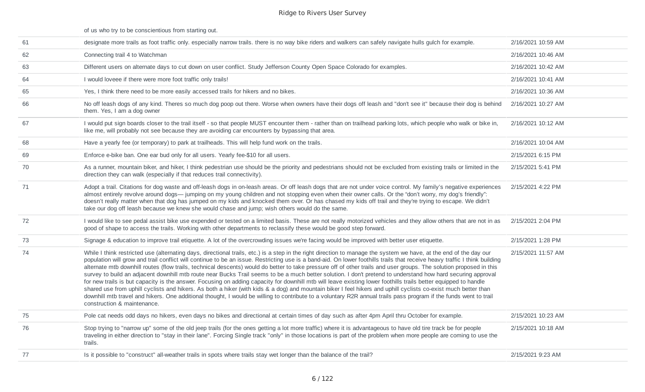|    | of us who try to be conscientious from starting out.                                                                                                                                                                                                                                                                                                                                                                                                                                                                                                                                                                                                                                                                                                                                                                                                                                                                                                                                                                                                                                                                                                                                                                             |                    |
|----|----------------------------------------------------------------------------------------------------------------------------------------------------------------------------------------------------------------------------------------------------------------------------------------------------------------------------------------------------------------------------------------------------------------------------------------------------------------------------------------------------------------------------------------------------------------------------------------------------------------------------------------------------------------------------------------------------------------------------------------------------------------------------------------------------------------------------------------------------------------------------------------------------------------------------------------------------------------------------------------------------------------------------------------------------------------------------------------------------------------------------------------------------------------------------------------------------------------------------------|--------------------|
| 61 | designate more trails as foot traffic only. especially narrow trails. there is no way bike riders and walkers can safely navigate hulls gulch for example.                                                                                                                                                                                                                                                                                                                                                                                                                                                                                                                                                                                                                                                                                                                                                                                                                                                                                                                                                                                                                                                                       | 2/16/2021 10:59 AM |
| 62 | Connecting trail 4 to Watchman                                                                                                                                                                                                                                                                                                                                                                                                                                                                                                                                                                                                                                                                                                                                                                                                                                                                                                                                                                                                                                                                                                                                                                                                   | 2/16/2021 10:46 AM |
| 63 | Different users on alternate days to cut down on user conflict. Study Jefferson County Open Space Colorado for examples.                                                                                                                                                                                                                                                                                                                                                                                                                                                                                                                                                                                                                                                                                                                                                                                                                                                                                                                                                                                                                                                                                                         | 2/16/2021 10:42 AM |
| 64 | I would loveee if there were more foot traffic only trails!                                                                                                                                                                                                                                                                                                                                                                                                                                                                                                                                                                                                                                                                                                                                                                                                                                                                                                                                                                                                                                                                                                                                                                      | 2/16/2021 10:41 AM |
| 65 | Yes, I think there need to be more easily accessed trails for hikers and no bikes.                                                                                                                                                                                                                                                                                                                                                                                                                                                                                                                                                                                                                                                                                                                                                                                                                                                                                                                                                                                                                                                                                                                                               | 2/16/2021 10:36 AM |
| 66 | No off leash dogs of any kind. Theres so much dog poop out there. Worse when owners have their dogs off leash and "don't see it" because their dog is behind<br>them. Yes, I am a dog owner                                                                                                                                                                                                                                                                                                                                                                                                                                                                                                                                                                                                                                                                                                                                                                                                                                                                                                                                                                                                                                      | 2/16/2021 10:27 AM |
| 67 | I would put sign boards closer to the trail itself - so that people MUST encounter them - rather than on trailhead parking lots, which people who walk or bike in,<br>like me, will probably not see because they are avoiding car encounters by bypassing that area.                                                                                                                                                                                                                                                                                                                                                                                                                                                                                                                                                                                                                                                                                                                                                                                                                                                                                                                                                            | 2/16/2021 10:12 AM |
| 68 | Have a yearly fee (or temporary) to park at trailheads. This will help fund work on the trails.                                                                                                                                                                                                                                                                                                                                                                                                                                                                                                                                                                                                                                                                                                                                                                                                                                                                                                                                                                                                                                                                                                                                  | 2/16/2021 10:04 AM |
| 69 | Enforce e-bike ban. One ear bud only for all users. Yearly fee-\$10 for all users.                                                                                                                                                                                                                                                                                                                                                                                                                                                                                                                                                                                                                                                                                                                                                                                                                                                                                                                                                                                                                                                                                                                                               | 2/15/2021 6:15 PM  |
| 70 | As a runner, mountain biker, and hiker, I think pedestrian use should be the priority and pedestrians should not be excluded from existing trails or limited in the<br>direction they can walk (especially if that reduces trail connectivity).                                                                                                                                                                                                                                                                                                                                                                                                                                                                                                                                                                                                                                                                                                                                                                                                                                                                                                                                                                                  | 2/15/2021 5:41 PM  |
| 71 | Adopt a trail. Citations for dog waste and off-leash dogs in on-leash areas. Or off leash dogs that are not under voice control. My family's negative experiences<br>almost entirely revolve around dogs— jumping on my young children and not stopping even when their owner calls. Or the "don't worry, my dog's friendly":<br>doesn't really matter when that dog has jumped on my kids and knocked them over. Or has chased my kids off trail and they're trying to escape. We didn't<br>take our dog off leash because we knew she would chase and jump; wish others would do the same.                                                                                                                                                                                                                                                                                                                                                                                                                                                                                                                                                                                                                                     | 2/15/2021 4:22 PM  |
| 72 | I would like to see pedal assist bike use expended or tested on a limited basis. These are not really motorized vehicles and they allow others that are not in as<br>good of shape to access the trails. Working with other departments to reclassify these would be good step forward.                                                                                                                                                                                                                                                                                                                                                                                                                                                                                                                                                                                                                                                                                                                                                                                                                                                                                                                                          | 2/15/2021 2:04 PM  |
| 73 | Signage & education to improve trail etiquette. A lot of the overcrowding issues we're facing would be improved with better user etiquette.                                                                                                                                                                                                                                                                                                                                                                                                                                                                                                                                                                                                                                                                                                                                                                                                                                                                                                                                                                                                                                                                                      | 2/15/2021 1:28 PM  |
| 74 | While I think restricted use (alternating days, directional trails, etc.) is a step in the right direction to manage the system we have, at the end of the day our<br>population will grow and trail conflict will continue to be an issue. Restricting use is a band-aid. On lower foothills trails that receive heavy traffic I think building<br>alternate mtb downhill routes (flow trails, technical descents) would do better to take pressure off of other trails and user groups. The solution proposed in this<br>survey to build an adjacent downhill mtb route near Bucks Trail seems to be a much better solution. I don't pretend to understand how hard securing approval<br>for new trails is but capacity is the answer. Focusing on adding capacity for downhill mtb will leave existing lower foothills trails better equipped to handle<br>shared use from uphill cyclists and hikers. As both a hiker (with kids & a dog) and mountain biker I feel hikers and uphill cyclists co-exist much better than<br>downhill mtb travel and hikers. One additional thought, I would be willing to contribute to a voluntary R2R annual trails pass program if the funds went to trail<br>construction & maintenance. | 2/15/2021 11:57 AM |
| 75 | Pole cat needs odd days no hikers, even days no bikes and directional at certain times of day such as after 4pm April thru October for example.                                                                                                                                                                                                                                                                                                                                                                                                                                                                                                                                                                                                                                                                                                                                                                                                                                                                                                                                                                                                                                                                                  | 2/15/2021 10:23 AM |
| 76 | Stop trying to "narrow up" some of the old jeep trails (for the ones getting a lot more traffic) where it is advantageous to have old tire track be for people<br>traveling in either direction to "stay in their lane". Forcing Single track "only" in those locations is part of the problem when more people are coming to use the<br>trails.                                                                                                                                                                                                                                                                                                                                                                                                                                                                                                                                                                                                                                                                                                                                                                                                                                                                                 | 2/15/2021 10:18 AM |
| 77 | Is it possible to "construct" all-weather trails in spots where trails stay wet longer than the balance of the trail?                                                                                                                                                                                                                                                                                                                                                                                                                                                                                                                                                                                                                                                                                                                                                                                                                                                                                                                                                                                                                                                                                                            | 2/15/2021 9:23 AM  |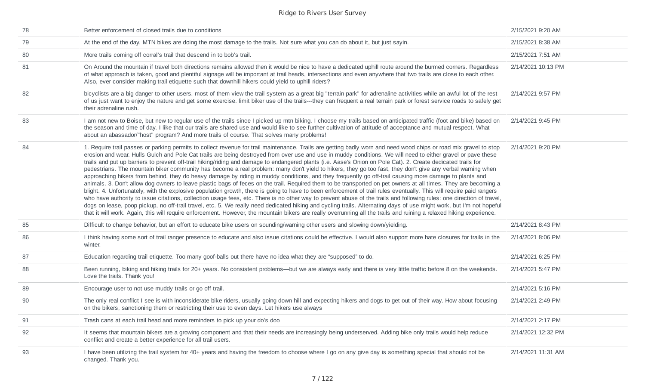| 78 | Better enforcement of closed trails due to conditions                                                                                                                                                                                                                                                                                                                                                                                                                                                                                                                                                                                                                                                                                                                                                                                                                                                                                                                                                                                                                                                                                                                                                                                                                                                                                                                                                                                                                                                                                                                                                                                                                                          | 2/15/2021 9:20 AM  |
|----|------------------------------------------------------------------------------------------------------------------------------------------------------------------------------------------------------------------------------------------------------------------------------------------------------------------------------------------------------------------------------------------------------------------------------------------------------------------------------------------------------------------------------------------------------------------------------------------------------------------------------------------------------------------------------------------------------------------------------------------------------------------------------------------------------------------------------------------------------------------------------------------------------------------------------------------------------------------------------------------------------------------------------------------------------------------------------------------------------------------------------------------------------------------------------------------------------------------------------------------------------------------------------------------------------------------------------------------------------------------------------------------------------------------------------------------------------------------------------------------------------------------------------------------------------------------------------------------------------------------------------------------------------------------------------------------------|--------------------|
| 79 | At the end of the day, MTN bikes are doing the most damage to the trails. Not sure what you can do about it, but just sayin.                                                                                                                                                                                                                                                                                                                                                                                                                                                                                                                                                                                                                                                                                                                                                                                                                                                                                                                                                                                                                                                                                                                                                                                                                                                                                                                                                                                                                                                                                                                                                                   | 2/15/2021 8:38 AM  |
| 80 | More trails coming off corral's trail that descend in to bob's trail.                                                                                                                                                                                                                                                                                                                                                                                                                                                                                                                                                                                                                                                                                                                                                                                                                                                                                                                                                                                                                                                                                                                                                                                                                                                                                                                                                                                                                                                                                                                                                                                                                          | 2/15/2021 7:51 AM  |
| 81 | On Around the mountain if travel both directions remains allowed then it would be nice to have a dedicated uphill route around the burmed corners. Regardless<br>of what approach is taken, good and plentiful signage will be important at trail heads, intersections and even anywhere that two trails are close to each other.<br>Also, ever consider making trail etiquette such that downhill hikers could yield to uphill riders?                                                                                                                                                                                                                                                                                                                                                                                                                                                                                                                                                                                                                                                                                                                                                                                                                                                                                                                                                                                                                                                                                                                                                                                                                                                        | 2/14/2021 10:13 PM |
| 82 | bicyclists are a big danger to other users. most of them view the trail system as a great big "terrain park" for adrenaline activities while an awful lot of the rest<br>of us just want to enjoy the nature and get some exercise. limit biker use of the trails---they can frequent a real terrain park or forest service roads to safely get<br>their adrenaline rush.                                                                                                                                                                                                                                                                                                                                                                                                                                                                                                                                                                                                                                                                                                                                                                                                                                                                                                                                                                                                                                                                                                                                                                                                                                                                                                                      | 2/14/2021 9:57 PM  |
| 83 | I am not new to Boise, but new to regular use of the trails since I picked up mtn biking. I choose my trails based on anticipated traffic (foot and bike) based on<br>the season and time of day. I like that our trails are shared use and would like to see further cultivation of attitude of acceptance and mutual respect. What<br>about an abassador/"host" program? And more trails of course. That solves many problems!                                                                                                                                                                                                                                                                                                                                                                                                                                                                                                                                                                                                                                                                                                                                                                                                                                                                                                                                                                                                                                                                                                                                                                                                                                                               | 2/14/2021 9:45 PM  |
| 84 | 1. Require trail passes or parking permits to collect revenue for trail maintenance. Trails are getting badly worn and need wood chips or road mix gravel to stop<br>erosion and wear. Hulls Gulch and Pole Cat trails are being destroyed from over use and use in muddy conditions. We will need to either gravel or pave these<br>trails and put up barriers to prevent off-trail hiking/riding and damage to endangered plants (i.e. Aase's Onion on Pole Cat). 2. Create dedicated trails for<br>pedestrians. The mountain biker community has become a real problem: many don't yield to hikers, they go too fast, they don't give any verbal warning when<br>approaching hikers from behind, they do heavy damage by riding in muddy conditions, and they frequently go off-trail causing more damage to plants and<br>animals. 3. Don't allow dog owners to leave plastic bags of feces on the trail. Required them to be transported on pet owners at all times. They are becoming a<br>blight. 4. Unfortunately, with the explosive population growth, there is going to have to been enforcement of trail rules eventually. This will require paid rangers<br>who have authority to issue citations, collection usage fees, etc. There is no other way to prevent abuse of the trails and following rules: one direction of travel,<br>dogs on lease, poop pickup, no off-trail travel, etc. 5. We really need dedicated hiking and cycling trails. Alternating days of use might work, but I'm not hopeful<br>that it will work. Again, this will require enforcement. However, the mountain bikers are really overrunning all the trails and ruining a relaxed hiking experience. | 2/14/2021 9:20 PM  |
| 85 | Difficult to change behavior, but an effort to educate bike users on sounding/warning other users and slowing down/yielding.                                                                                                                                                                                                                                                                                                                                                                                                                                                                                                                                                                                                                                                                                                                                                                                                                                                                                                                                                                                                                                                                                                                                                                                                                                                                                                                                                                                                                                                                                                                                                                   | 2/14/2021 8:43 PM  |
| 86 | I think having some sort of trail ranger presence to educate and also issue citations could be effective. I would also support more hate closures for trails in the<br>winter.                                                                                                                                                                                                                                                                                                                                                                                                                                                                                                                                                                                                                                                                                                                                                                                                                                                                                                                                                                                                                                                                                                                                                                                                                                                                                                                                                                                                                                                                                                                 | 2/14/2021 8:06 PM  |
| 87 | Education regarding trail etiquette. Too many goof-balls out there have no idea what they are "supposed" to do.                                                                                                                                                                                                                                                                                                                                                                                                                                                                                                                                                                                                                                                                                                                                                                                                                                                                                                                                                                                                                                                                                                                                                                                                                                                                                                                                                                                                                                                                                                                                                                                | 2/14/2021 6:25 PM  |
| 88 | Been running, biking and hiking trails for 20+ years. No consistent problems—but we are always early and there is very little traffic before 8 on the weekends.<br>Love the trails. Thank you!                                                                                                                                                                                                                                                                                                                                                                                                                                                                                                                                                                                                                                                                                                                                                                                                                                                                                                                                                                                                                                                                                                                                                                                                                                                                                                                                                                                                                                                                                                 | 2/14/2021 5:47 PM  |
| 89 | Encourage user to not use muddy trails or go off trail.                                                                                                                                                                                                                                                                                                                                                                                                                                                                                                                                                                                                                                                                                                                                                                                                                                                                                                                                                                                                                                                                                                                                                                                                                                                                                                                                                                                                                                                                                                                                                                                                                                        | 2/14/2021 5:16 PM  |
| 90 | The only real conflict I see is with inconsiderate bike riders, usually going down hill and expecting hikers and dogs to get out of their way. How about focusing<br>on the bikers, sanctioning them or restricting their use to even days. Let hikers use always                                                                                                                                                                                                                                                                                                                                                                                                                                                                                                                                                                                                                                                                                                                                                                                                                                                                                                                                                                                                                                                                                                                                                                                                                                                                                                                                                                                                                              | 2/14/2021 2:49 PM  |
| 91 | Trash cans at each trail head and more reminders to pick up your do's doo                                                                                                                                                                                                                                                                                                                                                                                                                                                                                                                                                                                                                                                                                                                                                                                                                                                                                                                                                                                                                                                                                                                                                                                                                                                                                                                                                                                                                                                                                                                                                                                                                      | 2/14/2021 2:17 PM  |
| 92 | It seems that mountain bikers are a growing component and that their needs are increasingly being underserved. Adding bike only trails would help reduce<br>conflict and create a better experience for all trail users.                                                                                                                                                                                                                                                                                                                                                                                                                                                                                                                                                                                                                                                                                                                                                                                                                                                                                                                                                                                                                                                                                                                                                                                                                                                                                                                                                                                                                                                                       | 2/14/2021 12:32 PM |
| 93 | I have been utilizing the trail system for 40+ years and having the freedom to choose where I go on any give day is something special that should not be<br>changed. Thank you.                                                                                                                                                                                                                                                                                                                                                                                                                                                                                                                                                                                                                                                                                                                                                                                                                                                                                                                                                                                                                                                                                                                                                                                                                                                                                                                                                                                                                                                                                                                | 2/14/2021 11:31 AM |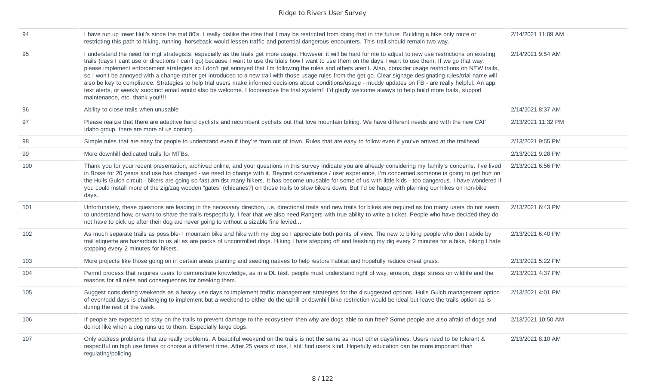| 94  | I have run up lower Hull's since the mid 80's. I really dislike the idea that I may be restricted from doing that in the future. Building a bike only route or<br>restricting this path to hiking, running, horseback would lessen traffic and potential dangerous encounters. This trail should remain two way.                                                                                                                                                                                                                                                                                                                                                                                                                                                                                                                                                                                                                                                                                                                         | 2/14/2021 11:09 AM |
|-----|------------------------------------------------------------------------------------------------------------------------------------------------------------------------------------------------------------------------------------------------------------------------------------------------------------------------------------------------------------------------------------------------------------------------------------------------------------------------------------------------------------------------------------------------------------------------------------------------------------------------------------------------------------------------------------------------------------------------------------------------------------------------------------------------------------------------------------------------------------------------------------------------------------------------------------------------------------------------------------------------------------------------------------------|--------------------|
| 95  | I understand the need for mgt strategists, especially as the trails get more usage. However, it will be hard for me to adjust to new use restrictions on existing<br>trails (days I cant use or directions I can't go) because I want to use the trials how I want to use them on the days I want to use them. If we go that way,<br>please implement enforcement strategies so I don't get annoyed that I'm following the rules and others aren't. Also, consider usage restrictions on NEW trails,<br>so I won't be annoyed with a change rather get introduced to a new trail with those usage rules from the get go. Clear signage designating rules/trial name will<br>also be key to compliance. Strategies to help trial users make informed decisions about conditions/usage - muddy updates on FB - are really helpful. An app,<br>text alerts, or weekly succinct email would also be welcome. I looooooove the trial system!! I'd gladly welcome always to help build more trails, support<br>maintenance, etc. thank you!!!! | 2/14/2021 9:54 AM  |
| 96  | Ability to close trails when unusable                                                                                                                                                                                                                                                                                                                                                                                                                                                                                                                                                                                                                                                                                                                                                                                                                                                                                                                                                                                                    | 2/14/2021 8:37 AM  |
| 97  | Please realize that there are adaptive hand cyclists and recumbent cyclists out that love mountain biking. We have different needs and with the new CAF<br>Idaho group, there are more of us coming.                                                                                                                                                                                                                                                                                                                                                                                                                                                                                                                                                                                                                                                                                                                                                                                                                                     | 2/13/2021 11:32 PM |
| 98  | Simple rules that are easy for people to understand even if they're from out of town. Rules that are easy to follow even if you've arrived at the trailhead.                                                                                                                                                                                                                                                                                                                                                                                                                                                                                                                                                                                                                                                                                                                                                                                                                                                                             | 2/13/2021 9:55 PM  |
| 99  | More downhill dedicated trails for MTBs.                                                                                                                                                                                                                                                                                                                                                                                                                                                                                                                                                                                                                                                                                                                                                                                                                                                                                                                                                                                                 | 2/13/2021 9:28 PM  |
| 100 | Thank you for your recent presentation, archived online, and your questions in this survey indicate you are already considering my family's concerns. I've lived<br>in Boise for 20 years and use has changed - we need to change with it. Beyond convenience / user experience, I'm concerned someone is going to get hurt on<br>the Hulls Gulch circuit - bikers are going so fast amidst many hikers. It has become unusable for some of us with little kids - too dangerous. I have wondered if<br>you could install more of the zig/zag wooden "gates" (chicanes?) on those trails to slow bikers down. But I'd be happy with planning our hikes on non-bike<br>days.                                                                                                                                                                                                                                                                                                                                                               | 2/13/2021 6:56 PM  |
| 101 | Unfortunately, these questions are leading in the necessary direction, i.e. directional trails and new trails for bikes are required as too many users do not seem<br>to understand how, or want to share the trails respectfully. I fear that we also need Rangers with true ability to write a ticket. People who have decided they do<br>not have to pick up after their dog are never going to without a sizable fine levied                                                                                                                                                                                                                                                                                                                                                                                                                                                                                                                                                                                                         | 2/13/2021 6:43 PM  |
| 102 | As much separate trails as possible- I mountain bike and hike with my dog so I appreciate both points of view. The new to biking people who don't abide by<br>trail etiquette are hazardous to us all as are packs of uncontrolled dogs. Hiking I hate stepping off and leashing my dig every 2 minutes for a bike, biking I hate<br>stopping every 2 minutes for hikers.                                                                                                                                                                                                                                                                                                                                                                                                                                                                                                                                                                                                                                                                | 2/13/2021 6:40 PM  |
| 103 | More projects like those going on in certain areas planting and seeding natives to help restore habitat and hopefully reduce cheat grass.                                                                                                                                                                                                                                                                                                                                                                                                                                                                                                                                                                                                                                                                                                                                                                                                                                                                                                | 2/13/2021 5:22 PM  |
| 104 | Permit process that requires users to demonstrate knowledge, as in a DL test. people must understand right of way, erosion, dogs' stress on wildlife and the<br>reasons for all rules and consequences for breaking them.                                                                                                                                                                                                                                                                                                                                                                                                                                                                                                                                                                                                                                                                                                                                                                                                                | 2/13/2021 4:37 PM  |
| 105 | Suggest considering weekends as a heavy use days to implement traffic management strategies for the 4 suggested options. Hulls Gulch management option<br>of even/odd days is challenging to implement but a weekend to either do the uphill or downhill bike restriction would be ideal but leave the trails option as is<br>during the rest of the week.                                                                                                                                                                                                                                                                                                                                                                                                                                                                                                                                                                                                                                                                               | 2/13/2021 4:01 PM  |
| 106 | If people are expected to stay on the trails to prevent damage to the ecosystem then why are dogs able to run free? Some people are also afraid of dogs and<br>do not like when a dog runs up to them. Especially large dogs.                                                                                                                                                                                                                                                                                                                                                                                                                                                                                                                                                                                                                                                                                                                                                                                                            | 2/13/2021 10:50 AM |
| 107 | Only address problems that are really problems. A beautiful weekend on the trails is not the same as most other days/times. Users need to be tolerant &<br>respectful on high use times or choose a different time. After 25 years of use, I still find users kind. Hopefully education can be more important than<br>regulating/policing.                                                                                                                                                                                                                                                                                                                                                                                                                                                                                                                                                                                                                                                                                               | 2/13/2021 8:10 AM  |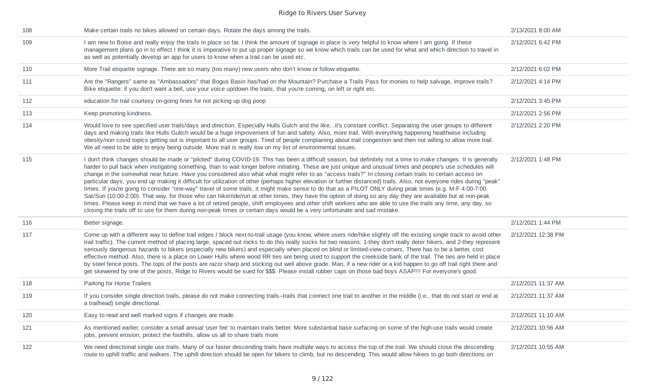| 108 | Make certain trails no bikes allowed on certain days. Rotate the days among the trails.                                                                                                                                                                                                                                                                                                                                                                                                                                                                                                                                                                                                                                                                                                                                                                                                                                                                                                                                                                                                                                                                                                                                                                                                            | 2/13/2021 8:00 AM  |
|-----|----------------------------------------------------------------------------------------------------------------------------------------------------------------------------------------------------------------------------------------------------------------------------------------------------------------------------------------------------------------------------------------------------------------------------------------------------------------------------------------------------------------------------------------------------------------------------------------------------------------------------------------------------------------------------------------------------------------------------------------------------------------------------------------------------------------------------------------------------------------------------------------------------------------------------------------------------------------------------------------------------------------------------------------------------------------------------------------------------------------------------------------------------------------------------------------------------------------------------------------------------------------------------------------------------|--------------------|
| 109 | I am new to Boise and really enjoy the trails in place so far. I think the amount of signage in place is very helpful to know where I am going. If these<br>management plans go in to effect I think it is imperative to put up proper signage so we know which trails can be used for what and which direction to travel in<br>as well as potentially develop an app for users to know when a trail can be used etc.                                                                                                                                                                                                                                                                                                                                                                                                                                                                                                                                                                                                                                                                                                                                                                                                                                                                              | 2/12/2021 6:42 PM  |
| 110 | More Trail etiquette signage. There are so many (too many) new users who don't know or follow etiquette.                                                                                                                                                                                                                                                                                                                                                                                                                                                                                                                                                                                                                                                                                                                                                                                                                                                                                                                                                                                                                                                                                                                                                                                           | 2/12/2021 6:02 PM  |
| 111 | Are the "Rangers" same as "Ambassadors" that Bogus Basin has/had on the Mountain? Purchase a Trails Pass for monies to help salvage, improve trails?<br>Bike etiquette: if you don't want a bell, use your voice up/down the trails, that you're coming, on left or right etc.                                                                                                                                                                                                                                                                                                                                                                                                                                                                                                                                                                                                                                                                                                                                                                                                                                                                                                                                                                                                                     | 2/12/2021 4:14 PM  |
| 112 | education for trail courtesy on-going fines for not picking up dog poop                                                                                                                                                                                                                                                                                                                                                                                                                                                                                                                                                                                                                                                                                                                                                                                                                                                                                                                                                                                                                                                                                                                                                                                                                            | 2/12/2021 3:45 PM  |
| 113 | Keep promoting kindness.                                                                                                                                                                                                                                                                                                                                                                                                                                                                                                                                                                                                                                                                                                                                                                                                                                                                                                                                                                                                                                                                                                                                                                                                                                                                           | 2/12/2021 2:56 PM  |
| 114 | Would love to see specified user trails/days and direction. Especially Hulls Gulch and the likeit's constant conflict. Separating the user groups to different<br>days and making trails like Hulls Gultch would be a huge improvement of fun and safety. Also, more trail. With everything happening healthwise including<br>obesity/non covid topics getting out is important to all user groups. Tired of people complaining about trail congestion and then not willing to allow more trail.<br>We all need to be able to enjoy being outside. More trail is really low on my list of environmental issues.                                                                                                                                                                                                                                                                                                                                                                                                                                                                                                                                                                                                                                                                                    | 2/12/2021 2:20 PM  |
| 115 | I don't think changes should be made or "piloted" during COVID-19. This has been a difficult season, but definitely not a time to make changes. It is generally<br>harder to pull back when instigating something, than to wait longer before initiating. These are just unique and unusual times and people's use schedules will<br>change in the somewhat near future. Have you considered also what what might refer to as "access trails?" In closing certain trails to certain access on<br>particular days, you end up making it difficult for utilization of other (perhaps higher elevation or further distanced) trails. Also, not everyone rides during "peak"<br>times. If you're going to consider "one-way" travel of some trails, it might make sense to do that as a PILOT ONLY during peak times (e.g. M-F 4:00-7:00,<br>Sat/Sun (10:00-2:00). That way, for those who can hike/ride/run at other times, they have the option of doing so any day they are available but at non-peak<br>times. Please keep in mind that we have a lot of retired people, shift employees and other shift workers who are able to use the trails any time, any day, so<br>closing the trails off to use for them during non-peak times or certain days would be a very unfortunate and sad mistake. | 2/12/2021 1:48 PM  |
| 116 | Better signage.                                                                                                                                                                                                                                                                                                                                                                                                                                                                                                                                                                                                                                                                                                                                                                                                                                                                                                                                                                                                                                                                                                                                                                                                                                                                                    | 2/12/2021 1:44 PM  |
| 117 | Come up with a different way to define trail edges / block next-to-trail usage (you know, where users ride/hike slightly off the existing single track to avoid other<br>trail traffic). The current method of placing large, spaced out rocks to do this really sucks for two reasons: 1-they don't really deter hikers, and 2-they represent<br>seriously dangerous hazards to bikers (especially new bikers) and especially when placed on blind or limited-view corners. There has to be a better, cost<br>effective method. Also, there is a place on Lower Hulls where wood RR ties are being used to support the creekside bank of the trail. The ties are held in place<br>by steel fence posts. The tops of the posts are razor sharp and sticking out well above grade. Man, if a new rider or a kid happen to go off trail right there and<br>get skewered by one of the posts, Ridge to Rivers would be sued for \$\$\$. Please install rubber caps on those bad boys ASAP!!! For everyone's good.                                                                                                                                                                                                                                                                                     | 2/12/2021 12:38 PM |
| 118 | Parking for Horse Trailers                                                                                                                                                                                                                                                                                                                                                                                                                                                                                                                                                                                                                                                                                                                                                                                                                                                                                                                                                                                                                                                                                                                                                                                                                                                                         | 2/12/2021 11:37 AM |
| 119 | If you consider single direction trails, please do not make connecting trails--trails that connect one trail to another in the middle (i.e., that do not start or end at<br>a trailhead) single directional.                                                                                                                                                                                                                                                                                                                                                                                                                                                                                                                                                                                                                                                                                                                                                                                                                                                                                                                                                                                                                                                                                       | 2/12/2021 11:37 AM |
| 120 | Easy to read and well marked signs if changes are made.                                                                                                                                                                                                                                                                                                                                                                                                                                                                                                                                                                                                                                                                                                                                                                                                                                                                                                                                                                                                                                                                                                                                                                                                                                            | 2/12/2021 11:10 AM |
| 121 | As mentioned earlier, consider a small annual 'user fee' to maintain trails better. More substantial base surfacing on some of the high-use trails would create<br>jobs, prevent erosion, protect the foothills, allow us all to share trails more                                                                                                                                                                                                                                                                                                                                                                                                                                                                                                                                                                                                                                                                                                                                                                                                                                                                                                                                                                                                                                                 | 2/12/2021 10:56 AM |
| 122 | We need directional single use trails. Many of our faster descending trails have multiple ways to access the top of the trail. We should close the descending<br>route to uphill traffic and walkers. The uphill direction should be open for bikers to climb, but no descending. This would allow hikers to go both directions on                                                                                                                                                                                                                                                                                                                                                                                                                                                                                                                                                                                                                                                                                                                                                                                                                                                                                                                                                                 | 2/12/2021 10:55 AM |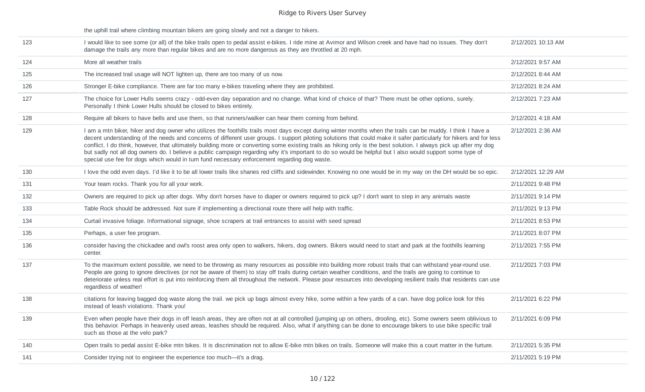the uphill trail where climbing mountain bikers are going slowly and not a danger to hikers.

| 123 | I would like to see some (or all) of the bike trails open to pedal assist e-bikes. I ride mine at Avimor and Wilson creek and have had no issues. They don't<br>damage the trails any more than regular bikes and are no more dangerous as they are throttled at 20 mph.                                                                                                                                                                                                                                                                                                                                                                                                                                                                                               | 2/12/2021 10:13 AM |
|-----|------------------------------------------------------------------------------------------------------------------------------------------------------------------------------------------------------------------------------------------------------------------------------------------------------------------------------------------------------------------------------------------------------------------------------------------------------------------------------------------------------------------------------------------------------------------------------------------------------------------------------------------------------------------------------------------------------------------------------------------------------------------------|--------------------|
| 124 | More all weather trails                                                                                                                                                                                                                                                                                                                                                                                                                                                                                                                                                                                                                                                                                                                                                | 2/12/2021 9:57 AM  |
| 125 | The increased trail usage will NOT lighten up, there are too many of us now.                                                                                                                                                                                                                                                                                                                                                                                                                                                                                                                                                                                                                                                                                           | 2/12/2021 8:44 AM  |
| 126 | Stronger E-bike compliance. There are far too many e-bikes traveling where they are prohibited.                                                                                                                                                                                                                                                                                                                                                                                                                                                                                                                                                                                                                                                                        | 2/12/2021 8:24 AM  |
| 127 | The choice for Lower Hulls seems crazy - odd-even day separation and no change. What kind of choice of that? There must be other options, surely.<br>Personally I think Lower Hulls should be closed to bikes entirely.                                                                                                                                                                                                                                                                                                                                                                                                                                                                                                                                                | 2/12/2021 7:23 AM  |
| 128 | Require all bikers to have bells and use them, so that runners/walker can hear them coming from behind.                                                                                                                                                                                                                                                                                                                                                                                                                                                                                                                                                                                                                                                                | 2/12/2021 4:18 AM  |
| 129 | I am a mtn biker, hiker and dog owner who utilizes the foothills trails most days except during winter months when the trails can be muddy. I think I have a<br>decent understanding of the needs and concerns of different user groups. I support piloting solutions that could make it safer particularly for hikers and for less<br>conflict. I do think, however, that ultimately building more or converting some existing trails as hiking only is the best solution. I always pick up after my dog<br>but sadly not all dog owners do. I believe a public campaign regarding why it's important to do so would be helpful but I also would support some type of<br>special use fee for dogs which would in turn fund necessary enforcement regarding dog waste. | 2/12/2021 2:36 AM  |
| 130 | I love the odd even days. I'd like it to be all lower trails like shanes red cliffs and sidewinder. Knowing no one would be in my way on the DH would be so epic.                                                                                                                                                                                                                                                                                                                                                                                                                                                                                                                                                                                                      | 2/12/2021 12:29 AM |
| 131 | Your team rocks. Thank you for all your work.                                                                                                                                                                                                                                                                                                                                                                                                                                                                                                                                                                                                                                                                                                                          | 2/11/2021 9:48 PM  |
| 132 | Owners are required to pick up after dogs. Why don't horses have to diaper or owners required to pick up? I don't want to step in any animals waste                                                                                                                                                                                                                                                                                                                                                                                                                                                                                                                                                                                                                    | 2/11/2021 9:14 PM  |
| 133 | Table Rock should be addressed. Not sure if implementing a directional route there will help with traffic.                                                                                                                                                                                                                                                                                                                                                                                                                                                                                                                                                                                                                                                             | 2/11/2021 9:13 PM  |
| 134 | Curtail invasive foliage. Informational signage, shoe scrapers at trail entrances to assist with seed spread                                                                                                                                                                                                                                                                                                                                                                                                                                                                                                                                                                                                                                                           | 2/11/2021 8:53 PM  |
| 135 | Perhaps, a user fee program.                                                                                                                                                                                                                                                                                                                                                                                                                                                                                                                                                                                                                                                                                                                                           | 2/11/2021 8:07 PM  |
| 136 | consider having the chickadee and owl's roost area only open to walkers, hikers, dog owners. Bikers would need to start and park at the foothills learning<br>center.                                                                                                                                                                                                                                                                                                                                                                                                                                                                                                                                                                                                  | 2/11/2021 7:55 PM  |
| 137 | To the maximum extent possible, we need to be throwing as many resources as possible into building more robust trails that can withstand year-round use.<br>People are going to ignore directives (or not be aware of them) to stay off trails during certain weather conditions, and the trails are going to continue to<br>deteriorate unless real effort is put into reinforcing them all throughout the network. Please pour resources into developing resilient trails that residents can use<br>regardless of weather!                                                                                                                                                                                                                                           | 2/11/2021 7:03 PM  |
| 138 | citations for leaving bagged dog waste along the trail. we pick up bags almost every hike, some within a few yards of a can. have dog police look for this<br>instead of leash violations. Thank you!                                                                                                                                                                                                                                                                                                                                                                                                                                                                                                                                                                  | 2/11/2021 6:22 PM  |
| 139 | Even when people have their dogs in off leash areas, they are often not at all controlled (jumping up on others, drooling, etc). Some owners seem oblivious to<br>this behavior. Perhaps in heavenly used areas, leashes should be required. Also, what if anything can be done to encourage bikers to use bike specific trail<br>such as those at the velo park?                                                                                                                                                                                                                                                                                                                                                                                                      | 2/11/2021 6:09 PM  |
| 140 | Open trails to pedal assist E-bike mtn bikes. It is discrimination not to allow E-bike mtn bikes on trails. Someone will make this a court matter in the furture.                                                                                                                                                                                                                                                                                                                                                                                                                                                                                                                                                                                                      | 2/11/2021 5:35 PM  |
| 141 | Consider trying not to engineer the experience too much-it's a drag.                                                                                                                                                                                                                                                                                                                                                                                                                                                                                                                                                                                                                                                                                                   | 2/11/2021 5:19 PM  |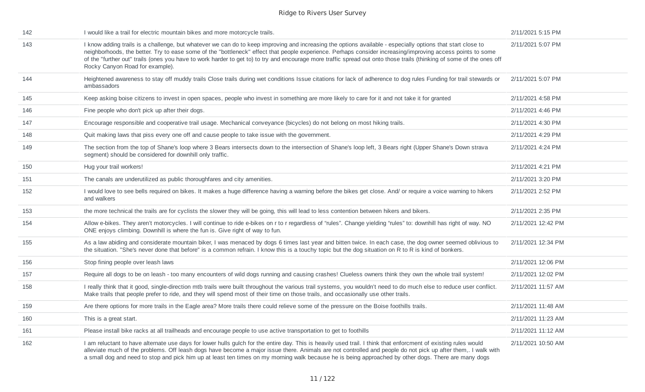| 142 | I would like a trail for electric mountain bikes and more motorcycle trails.                                                                                                                                                                                                                                                                                                                                                                                                                                                          | 2/11/2021 5:15 PM  |
|-----|---------------------------------------------------------------------------------------------------------------------------------------------------------------------------------------------------------------------------------------------------------------------------------------------------------------------------------------------------------------------------------------------------------------------------------------------------------------------------------------------------------------------------------------|--------------------|
| 143 | I know adding trails is a challenge, but whatever we can do to keep improving and increasing the options available - especially options that start close to<br>neighborhoods, the better. Try to ease some of the "bottleneck" effect that people experience. Perhaps consider increasing/improving access points to some<br>of the "further out" trails (ones you have to work harder to get to) to try and encourage more traffic spread out onto those trails (thinking of some of the ones off<br>Rocky Canyon Road for example). | 2/11/2021 5:07 PM  |
| 144 | Heightened awareness to stay off muddy trails Close trails during wet conditions Issue citations for lack of adherence to dog rules Funding for trail stewards or<br>ambassadors                                                                                                                                                                                                                                                                                                                                                      | 2/11/2021 5:07 PM  |
| 145 | Keep asking boise citizens to invest in open spaces, people who invest in something are more likely to care for it and not take it for granted                                                                                                                                                                                                                                                                                                                                                                                        | 2/11/2021 4:58 PM  |
| 146 | Fine people who don't pick up after their dogs.                                                                                                                                                                                                                                                                                                                                                                                                                                                                                       | 2/11/2021 4:46 PM  |
| 147 | Encourage responsible and cooperative trail usage. Mechanical conveyance (bicycles) do not belong on most hiking trails.                                                                                                                                                                                                                                                                                                                                                                                                              | 2/11/2021 4:30 PM  |
| 148 | Quit making laws that piss every one off and cause people to take issue with the government.                                                                                                                                                                                                                                                                                                                                                                                                                                          | 2/11/2021 4:29 PM  |
| 149 | The section from the top of Shane's loop where 3 Bears intersects down to the intersection of Shane's loop left, 3 Bears right (Upper Shane's Down strava<br>segment) should be considered for downhill only traffic.                                                                                                                                                                                                                                                                                                                 | 2/11/2021 4:24 PM  |
| 150 | Hug your trail workers!                                                                                                                                                                                                                                                                                                                                                                                                                                                                                                               | 2/11/2021 4:21 PM  |
| 151 | The canals are underutilized as public thoroughfares and city amenities.                                                                                                                                                                                                                                                                                                                                                                                                                                                              | 2/11/2021 3:20 PM  |
| 152 | I would love to see bells required on bikes. It makes a huge difference having a warning before the bikes get close. And/ or require a voice warning to hikers<br>and walkers                                                                                                                                                                                                                                                                                                                                                         | 2/11/2021 2:52 PM  |
| 153 | the more technical the trails are for cyclists the slower they will be going, this will lead to less contention between hikers and bikers.                                                                                                                                                                                                                                                                                                                                                                                            | 2/11/2021 2:35 PM  |
| 154 | Allow e-bikes. They aren't motorcycles. I will continue to ride e-bikes on r to r regardless of "rules". Change yielding "rules" to: downhill has right of way. NO<br>ONE enjoys climbing. Downhill is where the fun is. Give right of way to fun.                                                                                                                                                                                                                                                                                    | 2/11/2021 12:42 PM |
| 155 | As a law abiding and considerate mountain biker, I was menaced by dogs 6 times last year and bitten twice. In each case, the dog owner seemed oblivious to<br>the situation. "She's never done that before" is a common refrain. I know this is a touchy topic but the dog situation on R to R is kind of bonkers.                                                                                                                                                                                                                    | 2/11/2021 12:34 PM |
| 156 | Stop fining people over leash laws                                                                                                                                                                                                                                                                                                                                                                                                                                                                                                    | 2/11/2021 12:06 PM |
| 157 | Require all dogs to be on leash - too many encounters of wild dogs running and causing crashes! Clueless owners think they own the whole trail system!                                                                                                                                                                                                                                                                                                                                                                                | 2/11/2021 12:02 PM |
| 158 | I really think that it good, single-direction mtb trails were built throughout the various trail systems, you wouldn't need to do much else to reduce user conflict.<br>Make trails that people prefer to ride, and they will spend most of their time on those trails, and occasionally use other trails.                                                                                                                                                                                                                            | 2/11/2021 11:57 AM |
| 159 | Are there options for more trails in the Eagle area? More trails there could relieve some of the pressure on the Boise foothills trails.                                                                                                                                                                                                                                                                                                                                                                                              | 2/11/2021 11:48 AM |
| 160 | This is a great start.                                                                                                                                                                                                                                                                                                                                                                                                                                                                                                                | 2/11/2021 11:23 AM |
| 161 | Please install bike racks at all trailheads and encourage people to use active transportation to get to foothills                                                                                                                                                                                                                                                                                                                                                                                                                     | 2/11/2021 11:12 AM |
| 162 | I am reluctant to have alternate use days for lower hulls gulch for the entire day. This is heavily used trail. I think that enforcment of existing rules would<br>alleviate much of the problems. Off leash dogs have become a major issue there. Animals are not controlled and people do not pick up after them,. I walk with<br>a small dog and need to stop and pick him up at least ten times on my morning walk because he is being approached by other dogs. There are many dogs                                              | 2/11/2021 10:50 AM |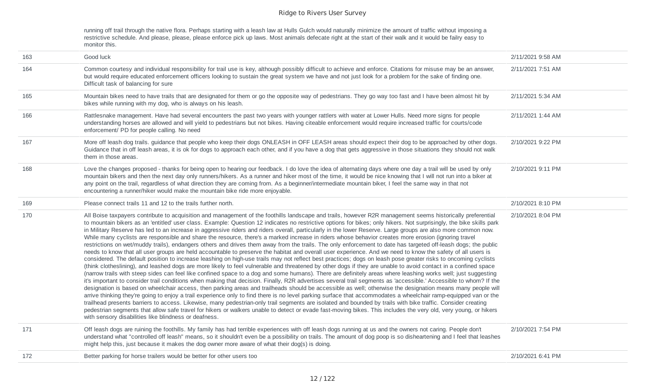running off trail through the native flora. Perhaps starting with a leash law at Hulls Gulch would naturally minimize the amount of traffic without imposing a restrictive schedule. And please, please, please enforce pick up laws. Most animals defecate right at the start of their walk and it would be failry easy to monitor this.

| 163 | Good luck                                                                                                                                                                                                                                                                                                                                                                                                                                                                                                                                                                                                                                                                                                                                                                                                                                                                                                                                                                                                                                                                                                                                                                                                                                                                                                                                                                                                                                                                                                                                                                                                                                                                                                                                                                                                                                                                                                                                                                                                                                                                                                                                                                                                                                                                                                                                                                                              | 2/11/2021 9:58 AM |
|-----|--------------------------------------------------------------------------------------------------------------------------------------------------------------------------------------------------------------------------------------------------------------------------------------------------------------------------------------------------------------------------------------------------------------------------------------------------------------------------------------------------------------------------------------------------------------------------------------------------------------------------------------------------------------------------------------------------------------------------------------------------------------------------------------------------------------------------------------------------------------------------------------------------------------------------------------------------------------------------------------------------------------------------------------------------------------------------------------------------------------------------------------------------------------------------------------------------------------------------------------------------------------------------------------------------------------------------------------------------------------------------------------------------------------------------------------------------------------------------------------------------------------------------------------------------------------------------------------------------------------------------------------------------------------------------------------------------------------------------------------------------------------------------------------------------------------------------------------------------------------------------------------------------------------------------------------------------------------------------------------------------------------------------------------------------------------------------------------------------------------------------------------------------------------------------------------------------------------------------------------------------------------------------------------------------------------------------------------------------------------------------------------------------------|-------------------|
| 164 | Common courtesy and individual responsibility for trail use is key, although possibly difficult to achieve and enforce. Citations for misuse may be an answer,<br>but would require educated enforcement officers looking to sustain the great system we have and not just look for a problem for the sake of finding one.<br>Difficult task of balancing for sure                                                                                                                                                                                                                                                                                                                                                                                                                                                                                                                                                                                                                                                                                                                                                                                                                                                                                                                                                                                                                                                                                                                                                                                                                                                                                                                                                                                                                                                                                                                                                                                                                                                                                                                                                                                                                                                                                                                                                                                                                                     | 2/11/2021 7:51 AM |
| 165 | Mountain bikes need to have trails that are designated for them or go the opposite way of pedestrians. They go way too fast and I have been almost hit by<br>bikes while running with my dog, who is always on his leash.                                                                                                                                                                                                                                                                                                                                                                                                                                                                                                                                                                                                                                                                                                                                                                                                                                                                                                                                                                                                                                                                                                                                                                                                                                                                                                                                                                                                                                                                                                                                                                                                                                                                                                                                                                                                                                                                                                                                                                                                                                                                                                                                                                              | 2/11/2021 5:34 AM |
| 166 | Rattlesnake management. Have had several encounters the past two years with younger rattlers with water at Lower Hulls. Need more signs for people<br>understanding horses are allowed and will yield to pedestrians but not bikes. Having citeable enforcement would require increased traffic for courts/code<br>enforcement/ PD for people calling. No need                                                                                                                                                                                                                                                                                                                                                                                                                                                                                                                                                                                                                                                                                                                                                                                                                                                                                                                                                                                                                                                                                                                                                                                                                                                                                                                                                                                                                                                                                                                                                                                                                                                                                                                                                                                                                                                                                                                                                                                                                                         | 2/11/2021 1:44 AM |
| 167 | More off leash dog trails. guidance that people who keep their dogs ONLEASH in OFF LEASH areas should expect their dog to be approached by other dogs.<br>Guidance that in off leash areas, it is ok for dogs to approach each other, and if you have a dog that gets aggressive in those situations they should not walk<br>them in those areas.                                                                                                                                                                                                                                                                                                                                                                                                                                                                                                                                                                                                                                                                                                                                                                                                                                                                                                                                                                                                                                                                                                                                                                                                                                                                                                                                                                                                                                                                                                                                                                                                                                                                                                                                                                                                                                                                                                                                                                                                                                                      | 2/10/2021 9:22 PM |
| 168 | Love the changes proposed - thanks for being open to hearing our feedback. I do love the idea of alternating days where one day a trail will be used by only<br>mountain bikers and then the next day only runners/hikers. As a runner and hiker most of the time, it would be nice knowing that I will not run into a biker at<br>any point on the trail, regardless of what direction they are coming from. As a beginner/intermediate mountain biker, I feel the same way in that not<br>encountering a runner/hiker would make the mountain bike ride more enjoyable.                                                                                                                                                                                                                                                                                                                                                                                                                                                                                                                                                                                                                                                                                                                                                                                                                                                                                                                                                                                                                                                                                                                                                                                                                                                                                                                                                                                                                                                                                                                                                                                                                                                                                                                                                                                                                              | 2/10/2021 9:11 PM |
| 169 | Please connect trails 11 and 12 to the trails further north.                                                                                                                                                                                                                                                                                                                                                                                                                                                                                                                                                                                                                                                                                                                                                                                                                                                                                                                                                                                                                                                                                                                                                                                                                                                                                                                                                                                                                                                                                                                                                                                                                                                                                                                                                                                                                                                                                                                                                                                                                                                                                                                                                                                                                                                                                                                                           | 2/10/2021 8:10 PM |
| 170 | All Boise taxpayers contribute to acquisition and management of the foothills landscape and trails, however R2R management seems historically preferential<br>to mountain bikers as an 'entitled' user class. Example: Question 12 indicates no restrictive options for bikes; only hikers. Not surprisingly, the bike skills park<br>in Military Reserve has led to an increase in aggressive riders and riders overall, particularly in the lower Reserve. Large groups are also more common now.<br>While many cyclists are responsible and share the resource, there's a marked increase in riders whose behavior creates more erosion (ignoring travel<br>restrictions on wet/muddy trails), endangers others and drives them away from the trails. The only enforcement to date has targeted off-leash dogs; the public<br>needs to know that all user groups are held accountable to preserve the habitat and overall user experience. And we need to know the safety of all users is<br>considered. The default position to increase leashing on high-use trails may not reflect best practices; dogs on leash pose greater risks to oncoming cyclists<br>(think clotheslining), and leashed dogs are more likely to feel vulnerable and threatened by other dogs if they are unable to avoid contact in a confined space<br>(narrow trails with steep sides can feel like confined space to a dog and some humans). There are definitely areas where leashing works well; just suggesting<br>it's important to consider trail conditions when making that decision. Finally, R2R advertises several trail segments as 'accessible.' Accessible to whom? If the<br>designation is based on wheelchair access, then parking areas and trailheads should be accessible as well; otherwise the designation means many people will<br>arrive thinking they're going to enjoy a trail experience only to find there is no level parking surface that accommodates a wheelchair ramp-equipped van or the<br>trailhead presents barriers to access. Likewise, many pedestrian-only trail segments are isolated and bounded by trails with bike traffic. Consider creating<br>pedestrian segments that allow safe travel for hikers or walkers unable to detect or evade fast-moving bikes. This includes the very old, very young, or hikers<br>with sensory disabilities like blindness or deafness. | 2/10/2021 8:04 PM |
| 171 | Off leash dogs are ruining the foothills. My family has had terrible experiences with off leash dogs running at us and the owners not caring. People don't<br>understand what "controlled off leash" means, so it shouldn't even be a possibility on trails. The amount of dog poop is so disheartening and I feel that leashes<br>might help this, just because it makes the dog owner more aware of what their dog(s) is doing.                                                                                                                                                                                                                                                                                                                                                                                                                                                                                                                                                                                                                                                                                                                                                                                                                                                                                                                                                                                                                                                                                                                                                                                                                                                                                                                                                                                                                                                                                                                                                                                                                                                                                                                                                                                                                                                                                                                                                                      | 2/10/2021 7:54 PM |
| 172 | Better parking for horse trailers would be better for other users too                                                                                                                                                                                                                                                                                                                                                                                                                                                                                                                                                                                                                                                                                                                                                                                                                                                                                                                                                                                                                                                                                                                                                                                                                                                                                                                                                                                                                                                                                                                                                                                                                                                                                                                                                                                                                                                                                                                                                                                                                                                                                                                                                                                                                                                                                                                                  | 2/10/2021 6:41 PM |
|     |                                                                                                                                                                                                                                                                                                                                                                                                                                                                                                                                                                                                                                                                                                                                                                                                                                                                                                                                                                                                                                                                                                                                                                                                                                                                                                                                                                                                                                                                                                                                                                                                                                                                                                                                                                                                                                                                                                                                                                                                                                                                                                                                                                                                                                                                                                                                                                                                        |                   |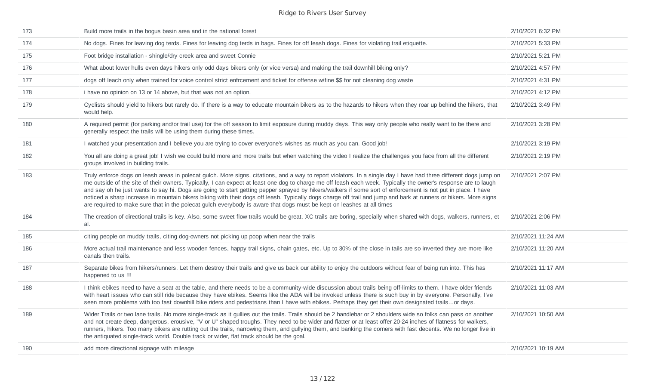| 173 | Build more trails in the bogus basin area and in the national forest                                                                                                                                                                                                                                                                                                                                                                                                                                                                                                                                                                                                                                                                                                                             | 2/10/2021 6:32 PM  |
|-----|--------------------------------------------------------------------------------------------------------------------------------------------------------------------------------------------------------------------------------------------------------------------------------------------------------------------------------------------------------------------------------------------------------------------------------------------------------------------------------------------------------------------------------------------------------------------------------------------------------------------------------------------------------------------------------------------------------------------------------------------------------------------------------------------------|--------------------|
| 174 | No dogs. Fines for leaving dog terds. Fines for leaving dog terds in bags. Fines for off leash dogs. Fines for violating trail etiquette.                                                                                                                                                                                                                                                                                                                                                                                                                                                                                                                                                                                                                                                        | 2/10/2021 5:33 PM  |
| 175 | Foot bridge installation - shingle/dry creek area and sweet Connie                                                                                                                                                                                                                                                                                                                                                                                                                                                                                                                                                                                                                                                                                                                               | 2/10/2021 5:21 PM  |
| 176 | What about lower hulls even days hikers only odd days bikers only (or vice versa) and making the trail downhill biking only?                                                                                                                                                                                                                                                                                                                                                                                                                                                                                                                                                                                                                                                                     | 2/10/2021 4:57 PM  |
| 177 | dogs off leach only when trained for voice control strict enfrcement and ticket for offense w/fine \$\$ for not cleaning dog waste                                                                                                                                                                                                                                                                                                                                                                                                                                                                                                                                                                                                                                                               | 2/10/2021 4:31 PM  |
| 178 | i have no opinion on 13 or 14 above, but that was not an option.                                                                                                                                                                                                                                                                                                                                                                                                                                                                                                                                                                                                                                                                                                                                 | 2/10/2021 4:12 PM  |
| 179 | Cyclists should yield to hikers but rarely do. If there is a way to educate mountain bikers as to the hazards to hikers when they roar up behind the hikers, that<br>would help.                                                                                                                                                                                                                                                                                                                                                                                                                                                                                                                                                                                                                 | 2/10/2021 3:49 PM  |
| 180 | A required permit (for parking and/or trail use) for the off season to limit exposure during muddy days. This way only people who really want to be there and<br>generally respect the trails will be using them during these times.                                                                                                                                                                                                                                                                                                                                                                                                                                                                                                                                                             | 2/10/2021 3:28 PM  |
| 181 | I watched your presentation and I believe you are trying to cover everyone's wishes as much as you can. Good job!                                                                                                                                                                                                                                                                                                                                                                                                                                                                                                                                                                                                                                                                                | 2/10/2021 3:19 PM  |
| 182 | You all are doing a great job! I wish we could build more and more trails but when watching the video I realize the challenges you face from all the different<br>groups involved in building trails.                                                                                                                                                                                                                                                                                                                                                                                                                                                                                                                                                                                            | 2/10/2021 2:19 PM  |
| 183 | Truly enforce dogs on leash areas in polecat gulch. More signs, citations, and a way to report violators. In a single day I have had three different dogs jump on<br>me outside of the site of their owners. Typically, I can expect at least one dog to charge me off leash each week. Typically the owner's response are to laugh<br>and say oh he just wants to say hi. Dogs are going to start getting pepper sprayed by hikers/walkers if some sort of enforcement is not put in place. I have<br>noticed a sharp increase in mountain bikers biking with their dogs off leash. Typically dogs charge off trail and jump and bark at runners or hikers. More signs<br>are required to make sure that in the polecat gulch everybody is aware that dogs must be kept on leashes at all times | 2/10/2021 2:07 PM  |
| 184 | The creation of directional trails is key. Also, some sweet flow trails would be great. XC trails are boring, specially when shared with dogs, walkers, runners, et<br>al.                                                                                                                                                                                                                                                                                                                                                                                                                                                                                                                                                                                                                       | 2/10/2021 2:06 PM  |
| 185 | citing people on muddy trails, citing dog-owners not picking up poop when near the trails                                                                                                                                                                                                                                                                                                                                                                                                                                                                                                                                                                                                                                                                                                        | 2/10/2021 11:24 AM |
| 186 | More actual trail maintenance and less wooden fences, happy trail signs, chain gates, etc. Up to 30% of the close in tails are so inverted they are more like<br>canals then trails.                                                                                                                                                                                                                                                                                                                                                                                                                                                                                                                                                                                                             | 2/10/2021 11:20 AM |
| 187 | Separate bikes from hikers/runners. Let them destroy their trails and give us back our ability to enjoy the outdoors without fear of being run into. This has<br>happened to us !!!                                                                                                                                                                                                                                                                                                                                                                                                                                                                                                                                                                                                              | 2/10/2021 11:17 AM |
| 188 | I think ebikes need to have a seat at the table, and there needs to be a community-wide discussion about trails being off-limits to them. I have older friends<br>with heart issues who can still ride because they have ebikes. Seems like the ADA will be invoked unless there is such buy in by everyone. Personally, I've<br>seen more problems with too fast downhill bike riders and pedestrians than I have with ebikes. Perhaps they get their own designated trailsor days.                                                                                                                                                                                                                                                                                                             | 2/10/2021 11:03 AM |
| 189 | Wider Trails or two lane trails. No more single-track as it gullies out the trails. Trails should be 2 handlebar or 2 shoulders wide so folks can pass on another<br>and not create deep, dangerous, erousive, "V or U" shaped troughs. They need to be wider and flatter or at least offer 20-24 inches of flatness for walkers,<br>runners, hikers. Too many bikers are rutting out the trails, narrowing them, and gullying them, and banking the corners with fast decents. We no longer live in<br>the antiquated single-track world. Double track or wider, flat track should be the goal.                                                                                                                                                                                                 | 2/10/2021 10:50 AM |
| 190 | add more directional signage with mileage                                                                                                                                                                                                                                                                                                                                                                                                                                                                                                                                                                                                                                                                                                                                                        | 2/10/2021 10:19 AM |
|     |                                                                                                                                                                                                                                                                                                                                                                                                                                                                                                                                                                                                                                                                                                                                                                                                  |                    |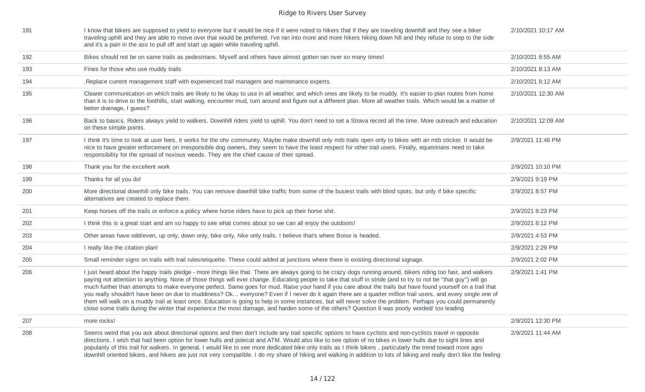| 191 | I know that bikers are supposed to yield to everyone but it would be nice if it were noted to hikers that if they are traveling downhill and they see a biker<br>traveling uphill and they are able to move over that would be preferred. I've ran into more and more hikers hiking down hill and they refuse to step to the side<br>and it's a pain in the ass to pull off and start up again while traveling uphill.                                                                                                                                                                                                                                                                                                                                                                                                                                                                                                                                                                | 2/10/2021 10:17 AM |
|-----|---------------------------------------------------------------------------------------------------------------------------------------------------------------------------------------------------------------------------------------------------------------------------------------------------------------------------------------------------------------------------------------------------------------------------------------------------------------------------------------------------------------------------------------------------------------------------------------------------------------------------------------------------------------------------------------------------------------------------------------------------------------------------------------------------------------------------------------------------------------------------------------------------------------------------------------------------------------------------------------|--------------------|
| 192 | Bikes should not be on same trails as pedestrians. Myself and others have almost gotten ran over so many times!                                                                                                                                                                                                                                                                                                                                                                                                                                                                                                                                                                                                                                                                                                                                                                                                                                                                       | 2/10/2021 8:55 AM  |
| 193 | Fines for those who use muddy trails                                                                                                                                                                                                                                                                                                                                                                                                                                                                                                                                                                                                                                                                                                                                                                                                                                                                                                                                                  | 2/10/2021 8:13 AM  |
| 194 | , Replace current management staff with experienced trail managers and maintenance experts.                                                                                                                                                                                                                                                                                                                                                                                                                                                                                                                                                                                                                                                                                                                                                                                                                                                                                           | 2/10/2021 8:12 AM  |
| 195 | Clearer communication on which trails are likely to be okay to use in all weather, and which ones are likely to be muddy. It's easier to plan routes from home<br>than it is to drive to the foothills, start walking, encounter mud, turn around and figure out a different plan. More all weather trails. Which would be a matter of<br>better drainage, I guess?                                                                                                                                                                                                                                                                                                                                                                                                                                                                                                                                                                                                                   | 2/10/2021 12:30 AM |
| 196 | Back to basics. Riders always yield to walkers. Downhill riders yield to uphill. You don't need to set a Strava record all the time. More outreach and education<br>on these simple points.                                                                                                                                                                                                                                                                                                                                                                                                                                                                                                                                                                                                                                                                                                                                                                                           | 2/10/2021 12:09 AM |
| 197 | I think it's time to look at user fees, it works for the ohv community. Maybe make downhill only mtb trails open only to bikes with an mtb sticker. It would be<br>nice to have greater enforcement on irresponsible dog owners, they seem to have the least respect for other trail users. Finally, equestrians need to take<br>responsibility for the spread of noxious weeds. They are the chief cause of their spread.                                                                                                                                                                                                                                                                                                                                                                                                                                                                                                                                                            | 2/9/2021 11:46 PM  |
| 198 | Thank you for the excellent work                                                                                                                                                                                                                                                                                                                                                                                                                                                                                                                                                                                                                                                                                                                                                                                                                                                                                                                                                      | 2/9/2021 10:10 PM  |
| 199 | Thanks for all you do!                                                                                                                                                                                                                                                                                                                                                                                                                                                                                                                                                                                                                                                                                                                                                                                                                                                                                                                                                                | 2/9/2021 9:19 PM   |
| 200 | More directional downhill only bike trails. You can remove downhill bike traffic from some of the busiest trails with blind spots, but only if bike specific<br>alternatives are created to replace them.                                                                                                                                                                                                                                                                                                                                                                                                                                                                                                                                                                                                                                                                                                                                                                             | 2/9/2021 8:57 PM   |
| 201 | Keep horses off the trails or enforce a policy where horse riders have to pick up their horse shit.                                                                                                                                                                                                                                                                                                                                                                                                                                                                                                                                                                                                                                                                                                                                                                                                                                                                                   | 2/9/2021 8:23 PM   |
| 202 | I think this is a great start and am so happy to see what comes about so we can all enjoy the outdoors!                                                                                                                                                                                                                                                                                                                                                                                                                                                                                                                                                                                                                                                                                                                                                                                                                                                                               | 2/9/2021 8:12 PM   |
| 203 | Other areas have odd/even, up only, down only, bike only, hike only trails. I believe that's where Boise is headed.                                                                                                                                                                                                                                                                                                                                                                                                                                                                                                                                                                                                                                                                                                                                                                                                                                                                   | 2/9/2021 4:53 PM   |
| 204 | I really like the citation plan!                                                                                                                                                                                                                                                                                                                                                                                                                                                                                                                                                                                                                                                                                                                                                                                                                                                                                                                                                      | 2/9/2021 2:29 PM   |
| 205 | Small reminder signs on trails with trail rules/etiquette. These could added at junctions where there is existing directional signage.                                                                                                                                                                                                                                                                                                                                                                                                                                                                                                                                                                                                                                                                                                                                                                                                                                                | 2/9/2021 2:02 PM   |
| 206 | I just heard about the happy trails pledge - more things like that. There are always going to be crazy dogs running around, bikers riding too fast, and walkers<br>paying not attention to anything. None of those things will ever change. Educating people to take that stuff in stride (and to try to not be "that guy") will go<br>much further than attempts to make everyone perfect. Same goes for mud. Raise your hand if you care about the trails but have found yourself on a trail that<br>you really shouldn't have been on due to muddiness? Ok everyone? Even if I never do it again there are a quarter million trail users, and every single one of<br>them will walk on a muddy trail at least once. Education is going to help in some instances, but will never solve the problem. Perhaps you could permanently<br>close some trails during the winter that experience the most damage, and harden some of the others? Question 8 was poorly worded/ too leading | 2/9/2021 1:41 PM   |
| 207 | more rocks!                                                                                                                                                                                                                                                                                                                                                                                                                                                                                                                                                                                                                                                                                                                                                                                                                                                                                                                                                                           | 2/9/2021 12:30 PM  |
| 208 | Seems weird that you ask about directional options and then don't include any trail specific options to have cyclists and non-cyclists travel in opposite<br>directions. I wish that had been option for lower hulls and polecat and ATM. Would also like to see option of no bikes in lower hulls due to sight lines and<br>popularity of this trail for walkers. In general, I would like to see more dedicated bike only trails as I think bikers, particularly the trend toward more agro<br>downhill oriented bikers, and hikers are just not very compatible. I do my share of hiking and walking in addition to lots of biking and really don't like the feeling                                                                                                                                                                                                                                                                                                               | 2/9/2021 11:44 AM  |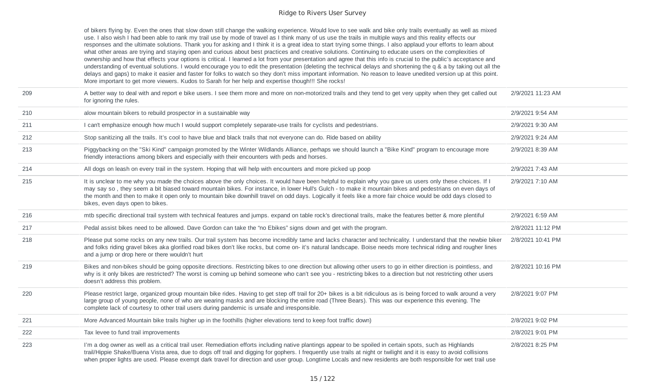of bikers flying by. Even the ones that slow down still change the walking experience. Would love to see walk and bike only trails eventually as well as mixed use. I also wish I had been able to rank my trail use by mode of travel as I think many of us use the trails in multiple ways and this reality effects our responses and the ultimate solutions. Thank you for asking and I think it is a great idea to start trying some things. I also applaud your efforts to learn about what other areas are trying and staying open and curious about best practices and creative solutions. Continuing to educate users on the complexities of ownership and how that effects your options is critical. I learned a lot from your presentation and agree that this info is crucial to the public's acceptance and understanding of eventual solutions. I would encourage you to edit the presentation (deleting the technical delays and shortening the q & a by taking out all the delays and gaps) to make it easier and faster for folks to watch so they don't miss important information. No reason to leave unedited version up at this point. More important to get more viewers. Kudos to Sarah for her help and expertise though!!! She rocks!

| 209 | A better way to deal with and report e bike users. I see them more and more on non-motorized trails and they tend to get very uppity when they get called out<br>for ignoring the rules.                                                                                                                                                                                                                                                                                                                                  | 2/9/2021 11:23 AM |
|-----|---------------------------------------------------------------------------------------------------------------------------------------------------------------------------------------------------------------------------------------------------------------------------------------------------------------------------------------------------------------------------------------------------------------------------------------------------------------------------------------------------------------------------|-------------------|
| 210 | alow mountain bikers to rebuild prospector in a sustainable way                                                                                                                                                                                                                                                                                                                                                                                                                                                           | 2/9/2021 9:54 AM  |
| 211 | I can't emphasize enough how much I would support completely separate-use trails for cyclists and pedestrians.                                                                                                                                                                                                                                                                                                                                                                                                            | 2/9/2021 9:30 AM  |
| 212 | Stop sanitizing all the trails. It's cool to have blue and black trails that not everyone can do. Ride based on ability                                                                                                                                                                                                                                                                                                                                                                                                   | 2/9/2021 9:24 AM  |
| 213 | Piggybacking on the "Ski Kind" campaign promoted by the Winter Wildlands Alliance, perhaps we should launch a "Bike Kind" program to encourage more<br>friendly interactions among bikers and especially with their encounters with peds and horses.                                                                                                                                                                                                                                                                      | 2/9/2021 8:39 AM  |
| 214 | All dogs on leash on every trail in the system. Hoping that will help with encounters and more picked up poop                                                                                                                                                                                                                                                                                                                                                                                                             | 2/9/2021 7:43 AM  |
| 215 | It is unclear to me why you made the choices above the only choices. It would have been helpful to explain why you gave us users only these choices. If I<br>may say so, they seem a bit biased toward mountain bikes. For instance, in lower Hull's Gulch - to make it mountain bikes and pedestrians on even days of<br>the month and then to make it open only to mountain bike downhill travel on odd days. Logically it feels like a more fair choice would be odd days closed to<br>bikes, even days open to bikes. | 2/9/2021 7:10 AM  |
| 216 | mtb specific directional trail system with technical features and jumps. expand on table rock's directional trails, make the features better & more plentiful                                                                                                                                                                                                                                                                                                                                                             | 2/9/2021 6:59 AM  |
| 217 | Pedal assist bikes need to be allowed. Dave Gordon can take the "no Ebikes" signs down and get with the program.                                                                                                                                                                                                                                                                                                                                                                                                          | 2/8/2021 11:12 PM |
| 218 | Please put some rocks on any new trails. Our trail system has become incredibly tame and lacks character and technicality. I understand that the newbie biker<br>and folks riding gravel bikes aka glorified road bikes don't like rocks, but come on- it's natural landscape. Boise needs more technical riding and rougher lines<br>and a jump or drop here or there wouldn't hurt                                                                                                                                      | 2/8/2021 10:41 PM |
| 219 | Bikes and non-bikes should be going opposite directions. Restricting bikes to one direction but allowing other users to go in either direction is pointless, and<br>why is it only bikes are restricted? The worst is coming up behind someone who can't see you - restricting bikes to a direction but not restricting other users<br>doesn't address this problem.                                                                                                                                                      | 2/8/2021 10:16 PM |
| 220 | Please restrict large, organized group mountain bike rides. Having to get step off trail for 20+ bikes is a bit ridiculous as is being forced to walk around a very<br>large group of young people, none of who are wearing masks and are blocking the entire road (Three Bears). This was our experience this evening. The<br>complete lack of courtesy to other trail users during pandemic is unsafe and irresponsible.                                                                                                | 2/8/2021 9:07 PM  |
| 221 | More Advanced Mountain bike trails higher up in the foothills (higher elevations tend to keep foot traffic down)                                                                                                                                                                                                                                                                                                                                                                                                          | 2/8/2021 9:02 PM  |
| 222 | Tax levee to fund trail improvements                                                                                                                                                                                                                                                                                                                                                                                                                                                                                      | 2/8/2021 9:01 PM  |
| 223 | I'm a dog owner as well as a critical trail user. Remediation efforts including native plantings appear to be spoiled in certain spots, such as Highlands<br>trail/Hippie Shake/Buena Vista area, due to dogs off trail and digging for gophers. I frequently use trails at night or twilight and it is easy to avoid collisions<br>when proper lights are used. Please exempt dark travel for direction and user group. Longtime Locals and new residents are both responsible for wet trail use                         | 2/8/2021 8:25 PM  |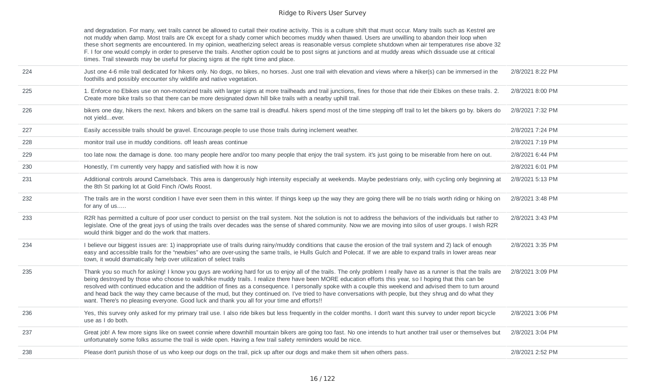|     | and degradation. For many, wet trails cannot be allowed to curtail their routine activity. This is a culture shift that must occur. Many trails such as Kestrel are<br>not muddy when damp. Most trails are Ok except for a shady corner which becomes muddy when thawed. Users are unwilling to abandon their loop when<br>these short segments are encountered. In my opinion, weatherizing select areas is reasonable versus complete shutdown when air temperatures rise above 32<br>F. I for one would comply in order to preserve the trails. Another option could be to post signs at junctions and at muddy areas which dissuade use at critical<br>times. Trail stewards may be useful for placing signs at the right time and place.           |                  |
|-----|----------------------------------------------------------------------------------------------------------------------------------------------------------------------------------------------------------------------------------------------------------------------------------------------------------------------------------------------------------------------------------------------------------------------------------------------------------------------------------------------------------------------------------------------------------------------------------------------------------------------------------------------------------------------------------------------------------------------------------------------------------|------------------|
| 224 | Just one 4-6 mile trail dedicated for hikers only. No dogs, no bikes, no horses. Just one trail with elevation and views where a hiker(s) can be immersed in the<br>foothills and possibly encounter shy wildlife and native vegetation.                                                                                                                                                                                                                                                                                                                                                                                                                                                                                                                 | 2/8/2021 8:22 PM |
| 225 | 1. Enforce no Ebikes use on non-motorized trails with larger signs at more trailheads and trail junctions, fines for those that ride their Ebikes on these trails. 2.<br>Create more bike trails so that there can be more designated down hill bike trails with a nearby uphill trail.                                                                                                                                                                                                                                                                                                                                                                                                                                                                  | 2/8/2021 8:00 PM |
| 226 | bikers one day, hikers the next. hikers and bikers on the same trail is dreadful. hikers spend most of the time stepping off trail to let the bikers go by. bikers do<br>not yieldever.                                                                                                                                                                                                                                                                                                                                                                                                                                                                                                                                                                  | 2/8/2021 7:32 PM |
| 227 | Easily accessible trails should be gravel. Encourage people to use those trails during inclement weather.                                                                                                                                                                                                                                                                                                                                                                                                                                                                                                                                                                                                                                                | 2/8/2021 7:24 PM |
| 228 | monitor trail use in muddy conditions. off leash areas continue                                                                                                                                                                                                                                                                                                                                                                                                                                                                                                                                                                                                                                                                                          | 2/8/2021 7:19 PM |
| 229 | too late now. the damage is done. too many people here and/or too many people that enjoy the trail system. it's just going to be miserable from here on out.                                                                                                                                                                                                                                                                                                                                                                                                                                                                                                                                                                                             | 2/8/2021 6:44 PM |
| 230 | Honestly, I'm currently very happy and satisfied with how it is now                                                                                                                                                                                                                                                                                                                                                                                                                                                                                                                                                                                                                                                                                      | 2/8/2021 6:01 PM |
| 231 | Additional controls around Camelsback. This area is dangerously high intensity especially at weekends. Maybe pedestrians only, with cycling only beginning at<br>the 8th St parking lot at Gold Finch /Owls Roost.                                                                                                                                                                                                                                                                                                                                                                                                                                                                                                                                       | 2/8/2021 5:13 PM |
| 232 | The trails are in the worst condition I have ever seen them in this winter. If things keep up the way they are going there will be no trials worth riding or hiking on<br>for any of us                                                                                                                                                                                                                                                                                                                                                                                                                                                                                                                                                                  | 2/8/2021 3:48 PM |
| 233 | R2R has permitted a culture of poor user conduct to persist on the trail system. Not the solution is not to address the behaviors of the individuals but rather to<br>legislate. One of the great joys of using the trails over decades was the sense of shared community. Now we are moving into silos of user groups. I wish R2R<br>would think bigger and do the work that matters.                                                                                                                                                                                                                                                                                                                                                                   | 2/8/2021 3:43 PM |
| 234 | I believe our biggest issues are: 1) inappropriate use of trails during rainy/muddy conditions that cause the erosion of the trail system and 2) lack of enough<br>easy and accessible trails for the "newbies" who are over-using the same trails, ie Hulls Gulch and Polecat. If we are able to expand trails in lower areas near<br>town, it would dramatically help over utilization of select trails                                                                                                                                                                                                                                                                                                                                                | 2/8/2021 3:35 PM |
| 235 | Thank you so much for asking! I know you guys are working hard for us to enjoy all of the trails. The only problem I really have as a runner is that the trails are<br>being destroyed by those who choose to walk/hike muddy trails. I realize there have been MORE education efforts this year, so I hoping that this can be<br>resolved with continued education and the addition of fines as a consequence. I personally spoke with a couple this weekend and advised them to turn around<br>and head back the way they came because of the mud, but they continued on. I've tried to have conversations with people, but they shrug and do what they<br>want. There's no pleasing everyone. Good luck and thank you all for your time and efforts!! | 2/8/2021 3:09 PM |
| 236 | Yes, this survey only asked for my primary trail use. I also ride bikes but less frequently in the colder months. I don't want this survey to under report bicycle<br>use as I do both.                                                                                                                                                                                                                                                                                                                                                                                                                                                                                                                                                                  | 2/8/2021 3:06 PM |
| 237 | Great job! A few more signs like on sweet connie where downhill mountain bikers are going too fast. No one intends to hurt another trail user or themselves but<br>unfortunately some folks assume the trail is wide open. Having a few trail safety reminders would be nice.                                                                                                                                                                                                                                                                                                                                                                                                                                                                            | 2/8/2021 3:04 PM |
| 238 | Please don't punish those of us who keep our dogs on the trail, pick up after our dogs and make them sit when others pass.                                                                                                                                                                                                                                                                                                                                                                                                                                                                                                                                                                                                                               | 2/8/2021 2:52 PM |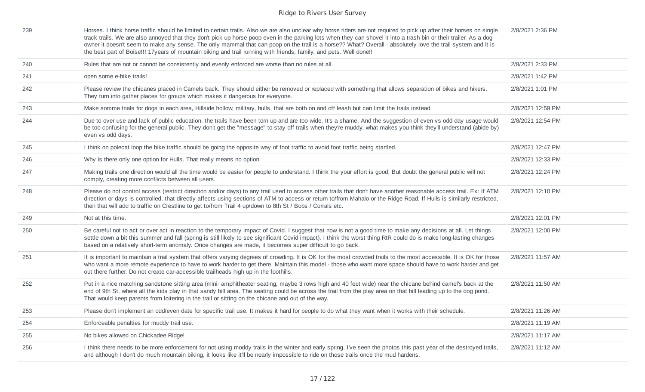| 239 | Horses. I think horse traffic should be limited to certain trails. Also we are also unclear why horse riders are not required to pick up after their horses on single<br>track trails. We are also annoyed that they don't pick up horse poop even in the parking lots when they can shovel it into a trash bin or their trailer. As a dog<br>owner it doesn't seem to make any sense. The only mammal that can poop on the trail is a horse?? What? Overall - absolutely love the trail system and it is<br>the best part of Boise!!! 17years of mountain biking and trail running with friends, family, and pets. Well done!! | 2/8/2021 2:36 PM  |
|-----|---------------------------------------------------------------------------------------------------------------------------------------------------------------------------------------------------------------------------------------------------------------------------------------------------------------------------------------------------------------------------------------------------------------------------------------------------------------------------------------------------------------------------------------------------------------------------------------------------------------------------------|-------------------|
| 240 | Rules that are not or cannot be consistently and evenly enforced are worse than no rules at all.                                                                                                                                                                                                                                                                                                                                                                                                                                                                                                                                | 2/8/2021 2:33 PM  |
| 241 | open some e-bike trails!                                                                                                                                                                                                                                                                                                                                                                                                                                                                                                                                                                                                        | 2/8/2021 1:42 PM  |
| 242 | Please review the chicanes placed in Camels back. They should either be removed or replaced with something that allows separation of bikes and hikers.<br>They turn into gather places for groups which makes it dangerous for everyone.                                                                                                                                                                                                                                                                                                                                                                                        | 2/8/2021 1:01 PM  |
| 243 | Make somme trials for dogs in each area, Hillside hollow, military, hulls, that are both on and off leash but can limit the trails instead.                                                                                                                                                                                                                                                                                                                                                                                                                                                                                     | 2/8/2021 12:59 PM |
| 244 | Due to over use and lack of public education, the trails have been torn up and are too wide. It's a shame. And the suggestion of even vs odd day usage would<br>be too confusing for the general public. They don't get the "message" to stay off trails when they're muddy, what makes you think they'll understand (abide by)<br>even vs odd days.                                                                                                                                                                                                                                                                            | 2/8/2021 12:54 PM |
| 245 | I think on polecat loop the bike traffic should be going the opposite way of foot traffic to avoid foot traffic being startled.                                                                                                                                                                                                                                                                                                                                                                                                                                                                                                 | 2/8/2021 12:47 PM |
| 246 | Why is there only one option for Hulls. That really means no option.                                                                                                                                                                                                                                                                                                                                                                                                                                                                                                                                                            | 2/8/2021 12:33 PM |
| 247 | Making trails one direction would all the time would be easier for people to understand. I think the your effort is good. But doubt the general public will not<br>comply, creating more conflicts between all users.                                                                                                                                                                                                                                                                                                                                                                                                           | 2/8/2021 12:24 PM |
| 248 | Please do not control access (restrict direction and/or days) to any trail used to access other trails that don't have another reasonable access trail. Ex: If ATM<br>direction or days is controlled, that directly affects using sections of ATM to access or return to/from Mahalo or the Ridge Road. If Hulls is similarly restricted,<br>then that will add to traffic on Crestline to get to/from Trail 4 up/down to 8th St / Bobs / Corrals etc.                                                                                                                                                                         | 2/8/2021 12:10 PM |
| 249 | Not at this time.                                                                                                                                                                                                                                                                                                                                                                                                                                                                                                                                                                                                               | 2/8/2021 12:01 PM |
| 250 | Be careful not to act or over act in reaction to the temporary impact of Covid. I suggest that now is not a good time to make any decisions at all. Let things<br>settle down a bit this summer and fall (spring is still likely to see significant Covid impact). I think the worst thing RtR could do is make long-lasting changes<br>based on a relatively short-term anomaly. Once changes are made, it becomes super difficult to go back.                                                                                                                                                                                 | 2/8/2021 12:00 PM |
| 251 | It is important to maintain a trail system that offers varying degrees of crowding. It is OK for the most crowded trails to the most accessible. It is OK for those<br>who want a more remote experience to have to work harder to get there. Maintain this model - those who want more space should have to work harder and get<br>out there further. Do not create car-accessible trailheads high up in the foothills.                                                                                                                                                                                                        | 2/8/2021 11:57 AM |
| 252 | Put in a nice matching sandstone sitting area (mini- amphitheater seating, maybe 3 rows high and 40 feet wide) near the chicane behind camel's back at the<br>end of 9th St, where all the kids play in that sandy hill area. The seating could be across the trail from the play area on that hill leading up to the dog pond.<br>That would keep parents from loitering in the trail or sitting on the chicane and out of the way.                                                                                                                                                                                            | 2/8/2021 11:50 AM |
| 253 | Please don't implement an odd/even date for specific trail use. It makes it hard for people to do what they want when it works with their schedule.                                                                                                                                                                                                                                                                                                                                                                                                                                                                             | 2/8/2021 11:26 AM |
| 254 | Enforceable penalties for muddy trail use.                                                                                                                                                                                                                                                                                                                                                                                                                                                                                                                                                                                      | 2/8/2021 11:19 AM |
| 255 | No bikes allowed on Chickadee Ridge!                                                                                                                                                                                                                                                                                                                                                                                                                                                                                                                                                                                            | 2/8/2021 11:17 AM |
| 256 | I think there needs to be more enforcement for not using moddy trails in the winter and early spring. I've seen the photos this past year of the destroyed trails,<br>and although I don't do much mountain biking, it looks like it'll be nearly impossible to ride on those trails once the mud hardens.                                                                                                                                                                                                                                                                                                                      | 2/8/2021 11:12 AM |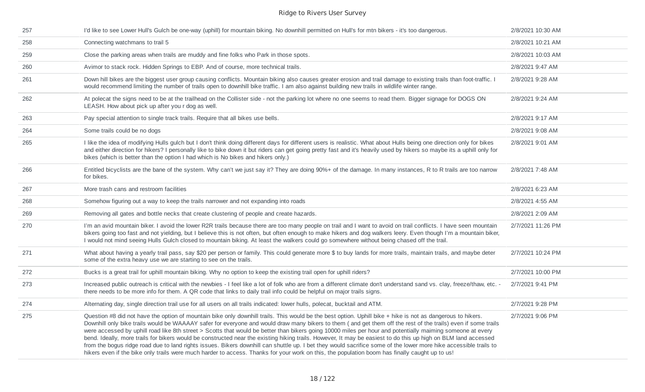| 257 | I'd like to see Lower Hull's Gulch be one-way (uphill) for mountain biking. No downhill permitted on Hull's for mtn bikers - it's too dangerous.                                                                                                                                                                                                                                                                                                                                                                                                                                                                                                                                                                                                                                                                                                                                                                                                                                   | 2/8/2021 10:30 AM |
|-----|------------------------------------------------------------------------------------------------------------------------------------------------------------------------------------------------------------------------------------------------------------------------------------------------------------------------------------------------------------------------------------------------------------------------------------------------------------------------------------------------------------------------------------------------------------------------------------------------------------------------------------------------------------------------------------------------------------------------------------------------------------------------------------------------------------------------------------------------------------------------------------------------------------------------------------------------------------------------------------|-------------------|
| 258 | Connecting watchmans to trail 5                                                                                                                                                                                                                                                                                                                                                                                                                                                                                                                                                                                                                                                                                                                                                                                                                                                                                                                                                    | 2/8/2021 10:21 AM |
| 259 | Close the parking areas when trails are muddy and fine folks who Park in those spots.                                                                                                                                                                                                                                                                                                                                                                                                                                                                                                                                                                                                                                                                                                                                                                                                                                                                                              | 2/8/2021 10:03 AM |
| 260 | Avimor to stack rock. Hidden Springs to EBP. And of course, more technical trails.                                                                                                                                                                                                                                                                                                                                                                                                                                                                                                                                                                                                                                                                                                                                                                                                                                                                                                 | 2/8/2021 9:47 AM  |
| 261 | Down hill bikes are the biggest user group causing conflicts. Mountain biking also causes greater erosion and trail damage to existing trails than foot-traffic. I<br>would recommend limiting the number of trails open to downhill bike traffic. I am also against building new trails in wildlife winter range.                                                                                                                                                                                                                                                                                                                                                                                                                                                                                                                                                                                                                                                                 | 2/8/2021 9:28 AM  |
| 262 | At polecat the signs need to be at the trailhead on the Collister side - not the parking lot where no one seems to read them. Bigger signage for DOGS ON<br>LEASH. How about pick up after you r dog as well.                                                                                                                                                                                                                                                                                                                                                                                                                                                                                                                                                                                                                                                                                                                                                                      | 2/8/2021 9:24 AM  |
| 263 | Pay special attention to single track trails. Require that all bikes use bells.                                                                                                                                                                                                                                                                                                                                                                                                                                                                                                                                                                                                                                                                                                                                                                                                                                                                                                    | 2/8/2021 9:17 AM  |
| 264 | Some trails could be no dogs                                                                                                                                                                                                                                                                                                                                                                                                                                                                                                                                                                                                                                                                                                                                                                                                                                                                                                                                                       | 2/8/2021 9:08 AM  |
| 265 | I like the idea of modifying Hulls gulch but I don't think doing different days for different users is realistic. What about Hulls being one direction only for bikes<br>and either direction for hikers? I personally like to bike down it but riders can get going pretty fast and it's heavily used by hikers so maybe its a uphill only for<br>bikes (which is better than the option I had which is No bikes and hikers only.)                                                                                                                                                                                                                                                                                                                                                                                                                                                                                                                                                | 2/8/2021 9:01 AM  |
| 266 | Entitled bicyclists are the bane of the system. Why can't we just say it? They are doing 90%+ of the damage. In many instances, R to R trails are too narrow<br>for bikes.                                                                                                                                                                                                                                                                                                                                                                                                                                                                                                                                                                                                                                                                                                                                                                                                         | 2/8/2021 7:48 AM  |
| 267 | More trash cans and restroom facilities                                                                                                                                                                                                                                                                                                                                                                                                                                                                                                                                                                                                                                                                                                                                                                                                                                                                                                                                            | 2/8/2021 6:23 AM  |
| 268 | Somehow figuring out a way to keep the trails narrower and not expanding into roads                                                                                                                                                                                                                                                                                                                                                                                                                                                                                                                                                                                                                                                                                                                                                                                                                                                                                                | 2/8/2021 4:55 AM  |
| 269 | Removing all gates and bottle necks that create clustering of people and create hazards.                                                                                                                                                                                                                                                                                                                                                                                                                                                                                                                                                                                                                                                                                                                                                                                                                                                                                           | 2/8/2021 2:09 AM  |
| 270 | I'm an avid mountain biker. I avoid the lower R2R trails because there are too many people on trail and I want to avoid on trail conflicts. I have seen mountain<br>bikers going too fast and not yielding, but I believe this is not often, but often enough to make hikers and dog walkers leery. Even though I'm a mountain biker,<br>I would not mind seeing Hulls Gulch closed to mountain biking. At least the walkers could go somewhere without being chased off the trail.                                                                                                                                                                                                                                                                                                                                                                                                                                                                                                | 2/7/2021 11:26 PM |
| 271 | What about having a yearly trail pass, say \$20 per person or family. This could generate more \$ to buy lands for more trails, maintain trails, and maybe deter<br>some of the extra heavy use we are starting to see on the trails.                                                                                                                                                                                                                                                                                                                                                                                                                                                                                                                                                                                                                                                                                                                                              | 2/7/2021 10:24 PM |
| 272 | Bucks is a great trail for uphill mountain biking. Why no option to keep the existing trail open for uphill riders?                                                                                                                                                                                                                                                                                                                                                                                                                                                                                                                                                                                                                                                                                                                                                                                                                                                                | 2/7/2021 10:00 PM |
| 273 | Increased public outreach is critical with the newbies - I feel like a lot of folk who are from a different climate don't understand sand vs. clay, freeze/thaw, etc. -<br>there needs to be more info for them. A QR code that links to daily trail info could be helpful on major trails signs.                                                                                                                                                                                                                                                                                                                                                                                                                                                                                                                                                                                                                                                                                  | 2/7/2021 9:41 PM  |
| 274 | Alternating day, single direction trail use for all users on all trails indicated: lower hulls, polecat, bucktail and ATM.                                                                                                                                                                                                                                                                                                                                                                                                                                                                                                                                                                                                                                                                                                                                                                                                                                                         | 2/7/2021 9:28 PM  |
| 275 | Question #8 did not have the option of mountain bike only downhill trails. This would be the best option. Uphill bike + hike is not as dangerous to hikers.<br>Downhill only bike trails would be WAAAAY safer for everyone and would draw many bikers to them (and get them off the rest of the trails) even if some trails<br>were accessed by uphill road like 8th street > Scotts that would be better than bikers going 10000 miles per hour and potentially maiming someone at every<br>bend. Ideally, more trails for bikers would be constructed near the existing hiking trails. However, It may be easiest to do this up high on BLM land accessed<br>from the bogus ridge road due to land rights issues. Bikers downhill can shuttle up. I bet they would sacrifice some of the lower more hike accessible trails to<br>hikers even if the bike only trails were much harder to access. Thanks for your work on this, the population boom has finally caught up to us! | 2/7/2021 9:06 PM  |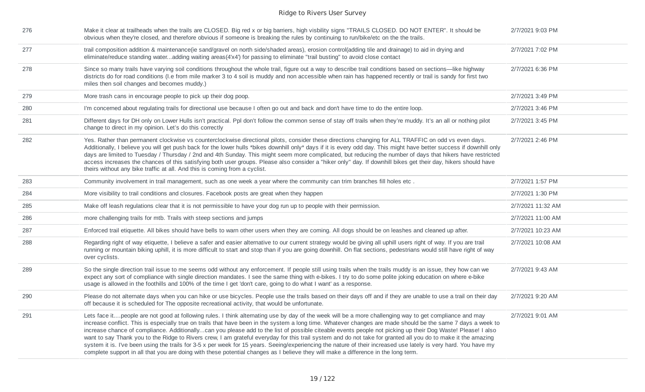| 276 | Make it clear at trailheads when the trails are CLOSED. Big red x or big barriers, high visbility signs "TRAILS CLOSED. DO NOT ENTER". It should be<br>obvious when they're closed, and therefore obvious if someone is breaking the rules by continuing to run/bike/etc on the the trails.                                                                                                                                                                                                                                                                                                                                                                                                                                                                                                                                                                                                                                                                       | 2/7/2021 9:03 PM  |
|-----|-------------------------------------------------------------------------------------------------------------------------------------------------------------------------------------------------------------------------------------------------------------------------------------------------------------------------------------------------------------------------------------------------------------------------------------------------------------------------------------------------------------------------------------------------------------------------------------------------------------------------------------------------------------------------------------------------------------------------------------------------------------------------------------------------------------------------------------------------------------------------------------------------------------------------------------------------------------------|-------------------|
| 277 | trail composition addition & maintenance(ie sand/gravel on north side/shaded areas), erosion control(adding tile and drainage) to aid in drying and<br>eliminate/reduce standing wateradding waiting areas(4'x4') for passing to eliminate "trail busting" to avoid close contact                                                                                                                                                                                                                                                                                                                                                                                                                                                                                                                                                                                                                                                                                 | 2/7/2021 7:02 PM  |
| 278 | Since so many trails have varying soil conditions throughout the whole trail, figure out a way to describe trail conditions based on sections—like highway<br>districts do for road conditions (I.e from mile marker 3 to 4 soil is muddy and non accessible when rain has happened recently or trail is sandy for first two<br>miles then soil changes and becomes muddy.)                                                                                                                                                                                                                                                                                                                                                                                                                                                                                                                                                                                       | 2/7/2021 6:36 PM  |
| 279 | More trash cans in encourage people to pick up their dog poop.                                                                                                                                                                                                                                                                                                                                                                                                                                                                                                                                                                                                                                                                                                                                                                                                                                                                                                    | 2/7/2021 3:49 PM  |
| 280 | I'm concerned about regulating trails for directional use because I often go out and back and don't have time to do the entire loop.                                                                                                                                                                                                                                                                                                                                                                                                                                                                                                                                                                                                                                                                                                                                                                                                                              | 2/7/2021 3:46 PM  |
| 281 | Different days for DH only on Lower Hulls isn't practical. Ppl don't follow the common sense of stay off trails when they're muddy. It's an all or nothing pilot<br>change to direct in my opinion. Let's do this correctly                                                                                                                                                                                                                                                                                                                                                                                                                                                                                                                                                                                                                                                                                                                                       | 2/7/2021 3:45 PM  |
| 282 | Yes. Rather than permanent clockwise vs counterclockwise directional pilots, consider these directions changing for ALL TRAFFIC on odd vs even days.<br>Additionally, I believe you will get push back for the lower hulls *bikes downhill only* days if it is every odd day. This might have better success if downhill only<br>days are limited to Tuesday / Thursday / 2nd and 4th Sunday. This might seem more complicated, but reducing the number of days that hikers have restricted<br>access increases the chances of this satisfying both user groups. Please also consider a "hiker only" day. If downhill bikes get their day, hikers should have<br>theirs without any bike traffic at all. And this is coming from a cyclist.                                                                                                                                                                                                                       | 2/7/2021 2:46 PM  |
| 283 | Community involvement in trail management, such as one week a year where the community can trim branches fill holes etc.                                                                                                                                                                                                                                                                                                                                                                                                                                                                                                                                                                                                                                                                                                                                                                                                                                          | 2/7/2021 1:57 PM  |
| 284 | More visibility to trail conditions and closures. Facebook posts are great when they happen                                                                                                                                                                                                                                                                                                                                                                                                                                                                                                                                                                                                                                                                                                                                                                                                                                                                       | 2/7/2021 1:30 PM  |
| 285 | Make off leash regulations clear that it is not permissible to have your dog run up to people with their permission.                                                                                                                                                                                                                                                                                                                                                                                                                                                                                                                                                                                                                                                                                                                                                                                                                                              | 2/7/2021 11:32 AM |
| 286 | more challenging trails for mtb. Trails with steep sections and jumps                                                                                                                                                                                                                                                                                                                                                                                                                                                                                                                                                                                                                                                                                                                                                                                                                                                                                             | 2/7/2021 11:00 AM |
| 287 | Enforced trail etiquette. All bikes should have bells to warn other users when they are coming. All dogs should be on leashes and cleaned up after.                                                                                                                                                                                                                                                                                                                                                                                                                                                                                                                                                                                                                                                                                                                                                                                                               | 2/7/2021 10:23 AM |
| 288 | Regarding right of way etiquette, I believe a safer and easier alternative to our current strategy would be giving all uphill users right of way. If you are trail<br>running or mountain biking uphill, it is more difficult to start and stop than if you are going downhill. On flat sections, pedestrians would still have right of way<br>over cyclists.                                                                                                                                                                                                                                                                                                                                                                                                                                                                                                                                                                                                     | 2/7/2021 10:08 AM |
| 289 | So the single direction trail issue to me seems odd without any enforcement. If people still using trails when the trails muddy is an issue, they how can we<br>expect any sort of compliance with single direction mandates. I see the same thing with e-bikes. I try to do some polite joking education on where e-bike<br>usage is allowed in the foothills and 100% of the time I get 'don't care, going to do what I want' as a response.                                                                                                                                                                                                                                                                                                                                                                                                                                                                                                                    | 2/7/2021 9:43 AM  |
| 290 | Please do not alternate days when you can hike or use bicycles. People use the trails based on their days off and if they are unable to use a trail on their day<br>off because it is scheduled for The opposite recreational activity, that would be unfortunate.                                                                                                                                                                                                                                                                                                                                                                                                                                                                                                                                                                                                                                                                                                | 2/7/2021 9:20 AM  |
| 291 | Lets face itpeople are not good at following rules. I think alternating use by day of the week will be a more challenging way to get compliance and may<br>increase conflict. This is especially true on trails that have been in the system a long time. Whatever changes are made should be the same 7 days a week to<br>increase chance of compliance. Additionallycan you please add to the list of possible citeable events people not picking up their Dog Waste! Please! I also<br>want to say Thank you to the Ridge to Rivers crew, I am grateful everyday for this trail system and do not take for granted all you do to make it the amazing<br>system it is. I've been using the trails for 3-5 x per week for 15 years. Seeing/experiencing the nature of their increased use lately is very hard. You have my<br>complete support in all that you are doing with these potential changes as I believe they will make a difference in the long term. | 2/7/2021 9:01 AM  |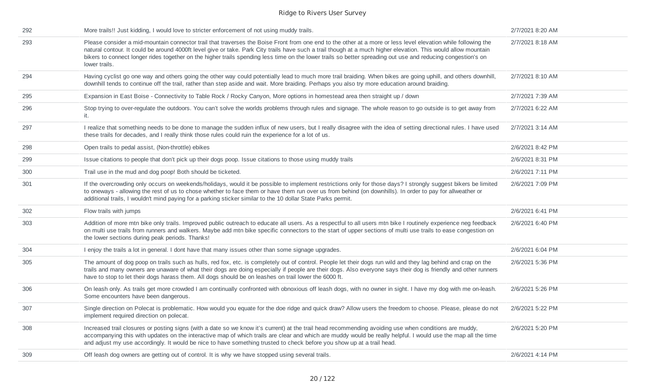| 292 | More trails!! Just kidding, I would love to stricter enforcement of not using muddy trails.                                                                                                                                                                                                                                                                                                                                                                                                                      | 2/7/2021 8:20 AM |
|-----|------------------------------------------------------------------------------------------------------------------------------------------------------------------------------------------------------------------------------------------------------------------------------------------------------------------------------------------------------------------------------------------------------------------------------------------------------------------------------------------------------------------|------------------|
| 293 | Please consider a mid-mountain connector trail that traverses the Boise Front from one end to the other at a more or less level elevation while following the<br>natural contour. It could be around 4000ft level give or take. Park City trails have such a trail though at a much higher elevation. This would allow mountain<br>bikers to connect longer rides together on the higher trails spending less time on the lower trails so better spreading out use and reducing congestion's on<br>lower trails. | 2/7/2021 8:18 AM |
| 294 | Having cyclist go one way and others going the other way could potentially lead to much more trail braiding. When bikes are going uphill, and others downhill,<br>downhill tends to continue off the trail, rather than step aside and wait. More braiding. Perhaps you also try more education around braiding.                                                                                                                                                                                                 | 2/7/2021 8:10 AM |
| 295 | Expansion in East Boise - Connectivity to Table Rock / Rocky Canyon, More options in homestead area then straight up / down                                                                                                                                                                                                                                                                                                                                                                                      | 2/7/2021 7:39 AM |
| 296 | Stop trying to over-regulate the outdoors. You can't solve the worlds problems through rules and signage. The whole reason to go outside is to get away from<br>it.                                                                                                                                                                                                                                                                                                                                              | 2/7/2021 6:22 AM |
| 297 | I realize that something needs to be done to manage the sudden influx of new users, but I really disagree with the idea of setting directional rules. I have used<br>these trails for decades, and I really think those rules could ruin the experience for a lot of us.                                                                                                                                                                                                                                         | 2/7/2021 3:14 AM |
| 298 | Open trails to pedal assist, (Non-throttle) ebikes                                                                                                                                                                                                                                                                                                                                                                                                                                                               | 2/6/2021 8:42 PM |
| 299 | Issue citations to people that don't pick up their dogs poop. Issue citations to those using muddy trails                                                                                                                                                                                                                                                                                                                                                                                                        | 2/6/2021 8:31 PM |
| 300 | Trail use in the mud and dog poop! Both should be ticketed.                                                                                                                                                                                                                                                                                                                                                                                                                                                      | 2/6/2021 7:11 PM |
| 301 | If the overcrowding only occurs on weekends/holidays, would it be possible to implement restrictions only for those days? I strongly suggest bikers be limited<br>to oneways - allowing the rest of us to chose whether to face them or have them run over us from behind (on downhills). In order to pay for allweather or<br>additional trails, I wouldn't mind paying for a parking sticker similar to the 10 dollar State Parks permit.                                                                      | 2/6/2021 7:09 PM |
| 302 | Flow trails with jumps                                                                                                                                                                                                                                                                                                                                                                                                                                                                                           | 2/6/2021 6:41 PM |
| 303 | Addition of more mtn bike only trails. Improved public outreach to educate all users. As a respectful to all users mtn bike I routinely experience neg feedback<br>on multi use trails from runners and walkers. Maybe add mtn bike specific connectors to the start of upper sections of multi use trails to ease congestion on<br>the lower sections during peak periods. Thanks!                                                                                                                              | 2/6/2021 6:40 PM |
| 304 | I enjoy the trails a lot in general. I dont have that many issues other than some signage upgrades.                                                                                                                                                                                                                                                                                                                                                                                                              | 2/6/2021 6:04 PM |
| 305 | The amount of dog poop on trails such as hulls, red fox, etc. is completely out of control. People let their dogs run wild and they lag behind and crap on the<br>trails and many owners are unaware of what their dogs are doing especially if people are their dogs. Also everyone says their dog is friendly and other runners<br>have to stop to let their dogs harass them. All dogs should be on leashes on trail lower the 6000 ft.                                                                       | 2/6/2021 5:36 PM |
| 306 | On leash only. As trails get more crowded I am continually confronted with obnoxious off leash dogs, with no owner in sight. I have my dog with me on-leash.<br>Some encounters have been dangerous.                                                                                                                                                                                                                                                                                                             | 2/6/2021 5:26 PM |
| 307 | Single direction on Polecat is problematic. How would you equate for the doe ridge and quick draw? Allow users the freedom to choose. Please, please do not<br>implement required direction on polecat.                                                                                                                                                                                                                                                                                                          | 2/6/2021 5:22 PM |
| 308 | Increased trail closures or posting signs (with a date so we know it's current) at the trail head recommending avoiding use when conditions are muddy,<br>accompanying this with updates on the interactive map of which trails are clear and which are muddy would be really helpful. I would use the map all the time<br>and adjust my use accordingly. It would be nice to have something trusted to check before you show up at a trail head.                                                                | 2/6/2021 5:20 PM |
| 309 | Off leash dog owners are getting out of control. It is why we have stopped using several trails.                                                                                                                                                                                                                                                                                                                                                                                                                 | 2/6/2021 4:14 PM |
|     |                                                                                                                                                                                                                                                                                                                                                                                                                                                                                                                  |                  |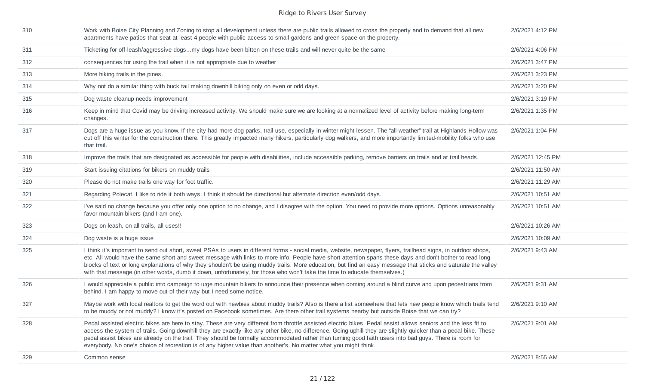| 310 | Work with Boise City Planning and Zoning to stop all development unless there are public trails allowed to cross the property and to demand that all new<br>apartments have patios that seat at least 4 people with public access to small gardens and green space on the property.                                                                                                                                                                                                                                                                                                                                       | 2/6/2021 4:12 PM  |
|-----|---------------------------------------------------------------------------------------------------------------------------------------------------------------------------------------------------------------------------------------------------------------------------------------------------------------------------------------------------------------------------------------------------------------------------------------------------------------------------------------------------------------------------------------------------------------------------------------------------------------------------|-------------------|
| 311 | Ticketing for off-leash/aggressive dogsmy dogs have been bitten on these trails and will never quite be the same                                                                                                                                                                                                                                                                                                                                                                                                                                                                                                          | 2/6/2021 4:06 PM  |
| 312 | consequences for using the trail when it is not appropriate due to weather                                                                                                                                                                                                                                                                                                                                                                                                                                                                                                                                                | 2/6/2021 3:47 PM  |
| 313 | More hiking trails in the pines.                                                                                                                                                                                                                                                                                                                                                                                                                                                                                                                                                                                          | 2/6/2021 3:23 PM  |
| 314 | Why not do a similar thing with buck tail making downhill biking only on even or odd days.                                                                                                                                                                                                                                                                                                                                                                                                                                                                                                                                | 2/6/2021 3:20 PM  |
| 315 | Dog waste cleanup needs improvement                                                                                                                                                                                                                                                                                                                                                                                                                                                                                                                                                                                       | 2/6/2021 3:19 PM  |
| 316 | Keep in mind that Covid may be driving increased activity. We should make sure we are looking at a normalized level of activity before making long-term<br>changes.                                                                                                                                                                                                                                                                                                                                                                                                                                                       | 2/6/2021 1:35 PM  |
| 317 | Dogs are a huge issue as you know. If the city had more dog parks, trail use, especially in winter might lessen. The "all-weather" trail at Highlands Hollow was<br>cut off this winter for the construction there. This greatly impacted many hikers, particularly dog walkers, and more importantly limited-mobility folks who use<br>that trail.                                                                                                                                                                                                                                                                       | 2/6/2021 1:04 PM  |
| 318 | Improve the trails that are designated as accessible for people with disabilities, include accessible parking, remove barriers on trails and at trail heads.                                                                                                                                                                                                                                                                                                                                                                                                                                                              | 2/6/2021 12:45 PM |
| 319 | Start issuing citations for bikers on muddy trails                                                                                                                                                                                                                                                                                                                                                                                                                                                                                                                                                                        | 2/6/2021 11:50 AM |
| 320 | Please do not make trails one way for foot traffic.                                                                                                                                                                                                                                                                                                                                                                                                                                                                                                                                                                       | 2/6/2021 11:29 AM |
| 321 | Regarding Polecat, I like to ride it both ways. I think it should be directional but alternate direction even/odd days.                                                                                                                                                                                                                                                                                                                                                                                                                                                                                                   | 2/6/2021 10:51 AM |
| 322 | I've said no change because you offer only one option to no change, and I disagree with the option. You need to provide more options. Options unreasonably<br>favor mountain bikers (and I am one).                                                                                                                                                                                                                                                                                                                                                                                                                       | 2/6/2021 10:51 AM |
| 323 | Dogs on leash, on all trails, all uses!!                                                                                                                                                                                                                                                                                                                                                                                                                                                                                                                                                                                  | 2/6/2021 10:26 AM |
| 324 | Dog waste is a huge issue                                                                                                                                                                                                                                                                                                                                                                                                                                                                                                                                                                                                 | 2/6/2021 10:09 AM |
| 325 | I think it's important to send out short, sweet PSAs to users in different forms - social media, website, newspaper, flyers, trailhead signs, in outdoor shops,<br>etc. All would have the same short and sweet message with links to more info. People have short attention spans these days and don't bother to read long<br>blocks of text or long explanations of why they shouldn't be using muddy trails. More education, but find an easy message that sticks and saturate the valley<br>with that message (in other words, dumb it down, unfortunately, for those who won't take the time to educate themselves.) | 2/6/2021 9:43 AM  |
| 326 | I would appreciate a public into campaign to urge mountain bikers to announce their presence when coming around a blind curve and upon pedestrians from<br>behind. I am happy to move out of their way but I need some notice.                                                                                                                                                                                                                                                                                                                                                                                            | 2/6/2021 9:31 AM  |
| 327 | Maybe work with local realtors to get the word out with newbies about muddy trails? Also is there a list somewhere that lets new people know which trails tend<br>to be muddy or not muddy? I know it's posted on Facebook sometimes. Are there other trail systems nearby but outside Boise that we can try?                                                                                                                                                                                                                                                                                                             | 2/6/2021 9:10 AM  |
| 328 | Pedal assisted electric bikes are here to stay. These are very different from throttle assisted electric bikes. Pedal assist allows seniors and the less fit to<br>access the system of trails. Going downhill they are exactly like any other bike, no difference. Going uphill they are slightly quicker than a pedal bike. These<br>pedal assist bikes are already on the trail. They should be formally accommodated rather than turning good faith users into bad guys. There is room for<br>everybody. No one's choice of recreation is of any higher value than another's. No matter what you might think.         | 2/6/2021 9:01 AM  |
| 329 | Common sense                                                                                                                                                                                                                                                                                                                                                                                                                                                                                                                                                                                                              | 2/6/2021 8:55 AM  |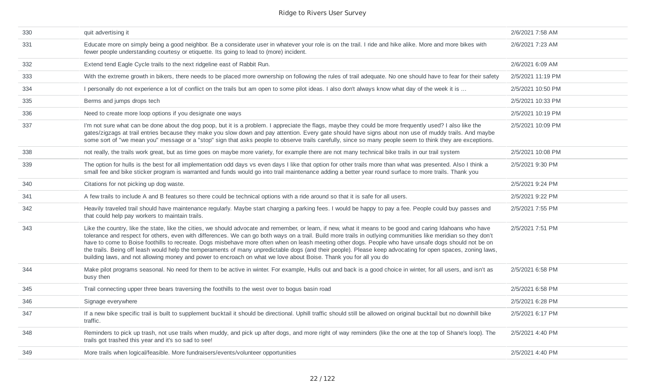| 330 | quit advertising it                                                                                                                                                                                                                                                                                                                                                                                                                                                                                                                                                                                                                                                                                                                                                        | 2/6/2021 7:58 AM  |
|-----|----------------------------------------------------------------------------------------------------------------------------------------------------------------------------------------------------------------------------------------------------------------------------------------------------------------------------------------------------------------------------------------------------------------------------------------------------------------------------------------------------------------------------------------------------------------------------------------------------------------------------------------------------------------------------------------------------------------------------------------------------------------------------|-------------------|
| 331 | Educate more on simply being a good neighbor. Be a considerate user in whatever your role is on the trail. I ride and hike alike. More and more bikes with<br>fewer people understanding courtesy or etiquette. Its going to lead to (more) incident.                                                                                                                                                                                                                                                                                                                                                                                                                                                                                                                      | 2/6/2021 7:23 AM  |
| 332 | Extend tend Eagle Cycle trails to the next ridgeline east of Rabbit Run.                                                                                                                                                                                                                                                                                                                                                                                                                                                                                                                                                                                                                                                                                                   | 2/6/2021 6:09 AM  |
| 333 | With the extreme growth in bikers, there needs to be placed more ownership on following the rules of trail adequate. No one should have to fear for their safety                                                                                                                                                                                                                                                                                                                                                                                                                                                                                                                                                                                                           | 2/5/2021 11:19 PM |
| 334 | I personally do not experience a lot of conflict on the trails but am open to some pilot ideas. I also don't always know what day of the week it is                                                                                                                                                                                                                                                                                                                                                                                                                                                                                                                                                                                                                        | 2/5/2021 10:50 PM |
| 335 | Berms and jumps drops tech                                                                                                                                                                                                                                                                                                                                                                                                                                                                                                                                                                                                                                                                                                                                                 | 2/5/2021 10:33 PM |
| 336 | Need to create more loop options if you designate one ways                                                                                                                                                                                                                                                                                                                                                                                                                                                                                                                                                                                                                                                                                                                 | 2/5/2021 10:19 PM |
| 337 | I'm not sure what can be done about the dog poop, but it is a problem. I appreciate the flags, maybe they could be more frequently used? I also like the<br>gates/zigzags at trail entries because they make you slow down and pay attention. Every gate should have signs about non use of muddy trails. And maybe<br>some sort of "we mean you" message or a "stop" sign that asks people to observe trails carefully, since so many people seem to think they are exceptions.                                                                                                                                                                                                                                                                                           | 2/5/2021 10:09 PM |
| 338 | not really, the trails work great, but as time goes on maybe more variety, for example there are not many technical bike trails in our trail system                                                                                                                                                                                                                                                                                                                                                                                                                                                                                                                                                                                                                        | 2/5/2021 10:08 PM |
| 339 | The option for hulls is the best for all implementation odd days vs even days I like that option for other trails more than what was presented. Also I think a<br>small fee and bike sticker program is warranted and funds would go into trail maintenance adding a better year round surface to more trails. Thank you                                                                                                                                                                                                                                                                                                                                                                                                                                                   | 2/5/2021 9:30 PM  |
| 340 | Citations for not picking up dog waste.                                                                                                                                                                                                                                                                                                                                                                                                                                                                                                                                                                                                                                                                                                                                    | 2/5/2021 9:24 PM  |
| 341 | A few trails to include A and B features so there could be technical options with a ride around so that it is safe for all users.                                                                                                                                                                                                                                                                                                                                                                                                                                                                                                                                                                                                                                          | 2/5/2021 9:22 PM  |
| 342 | Heavily traveled trail should have maintenance regularly. Maybe start charging a parking fees. I would be happy to pay a fee. People could buy passes and<br>that could help pay workers to maintain trails.                                                                                                                                                                                                                                                                                                                                                                                                                                                                                                                                                               | 2/5/2021 7:55 PM  |
| 343 | Like the country, like the state, like the cities, we should advocate and remember, or learn, if new, what it means to be good and caring Idahoans who have<br>tolerance and respect for others, even with differences. We can go both ways on a trail. Build more trails in outlying communities like meridian so they don't<br>have to come to Boise foothills to recreate. Dogs misbehave more often when on leash meeting other dogs. People who have unsafe dogs should not be on<br>the trails. Being off leash would help the temperaments of many unpredictable dogs (and their people). Please keep advocating for open spaces, zoning laws,<br>building laws, and not allowing money and power to encroach on what we love about Boise. Thank you for all you do | 2/5/2021 7:51 PM  |
| 344 | Make pilot programs seasonal. No need for them to be active in winter. For example, Hulls out and back is a good choice in winter, for all users, and isn't as<br>busy then                                                                                                                                                                                                                                                                                                                                                                                                                                                                                                                                                                                                | 2/5/2021 6:58 PM  |
| 345 | Trail connecting upper three bears traversing the foothills to the west over to bogus basin road                                                                                                                                                                                                                                                                                                                                                                                                                                                                                                                                                                                                                                                                           | 2/5/2021 6:58 PM  |
| 346 | Signage everywhere                                                                                                                                                                                                                                                                                                                                                                                                                                                                                                                                                                                                                                                                                                                                                         | 2/5/2021 6:28 PM  |
| 347 | If a new bike specific trail is built to supplement bucktail it should be directional. Uphill traffic should still be allowed on original bucktail but no downhill bike<br>traffic.                                                                                                                                                                                                                                                                                                                                                                                                                                                                                                                                                                                        | 2/5/2021 6:17 PM  |
| 348 | Reminders to pick up trash, not use trails when muddy, and pick up after dogs, and more right of way reminders (like the one at the top of Shane's loop). The<br>trails got trashed this year and it's so sad to see!                                                                                                                                                                                                                                                                                                                                                                                                                                                                                                                                                      | 2/5/2021 4:40 PM  |
| 349 | More trails when logical/feasible. More fundraisers/events/volunteer opportunities                                                                                                                                                                                                                                                                                                                                                                                                                                                                                                                                                                                                                                                                                         | 2/5/2021 4:40 PM  |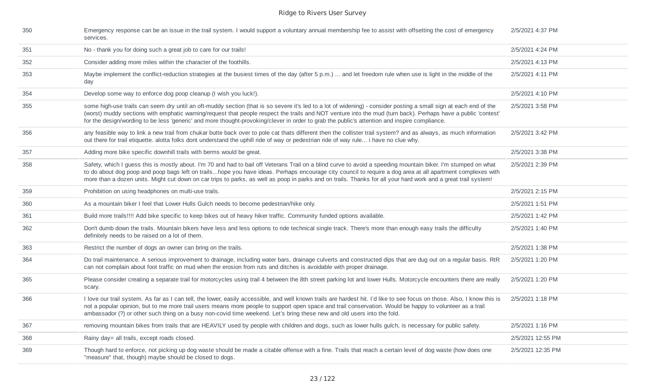| 350 | Emergency response can be an issue in the trail system. I would support a voluntary annual membership fee to assist with offsetting the cost of emergency<br>services.                                                                                                                                                                                                                                                                                                                         | 2/5/2021 4:37 PM  |
|-----|------------------------------------------------------------------------------------------------------------------------------------------------------------------------------------------------------------------------------------------------------------------------------------------------------------------------------------------------------------------------------------------------------------------------------------------------------------------------------------------------|-------------------|
| 351 | No - thank you for doing such a great job to care for our trails!                                                                                                                                                                                                                                                                                                                                                                                                                              | 2/5/2021 4:24 PM  |
| 352 | Consider adding more miles within the character of the foothills.                                                                                                                                                                                                                                                                                                                                                                                                                              | 2/5/2021 4:13 PM  |
| 353 | Maybe implement the conflict-reduction strategies at the busiest times of the day (after 5 p.m.)  and let freedom rule when use is light in the middle of the<br>day                                                                                                                                                                                                                                                                                                                           | 2/5/2021 4:11 PM  |
| 354 | Develop some way to enforce dog poop cleanup (I wish you luck!).                                                                                                                                                                                                                                                                                                                                                                                                                               | 2/5/2021 4:10 PM  |
| 355 | some high-use trails can seem dry until an oft-muddy section (that is so severe it's led to a lot of widening) - consider posting a small sign at each end of the<br>(worst) muddy sections with emphatic warning/request that people respect the trails and NOT venture into the mud (turn back). Perhaps have a public 'contest'<br>for the design/wording to be less 'generic' and more thought-provoking/clever in order to grab the public's attention and inspire compliance.            | 2/5/2021 3:58 PM  |
| 356 | any feasible way to link a new trail from chukar butte back over to pole cat thats different then the collister trail system? and as always, as much information<br>out there for trail etiquette. alotta folks dont understand the uphill ride of way or pedestrian ride of way rule i have no clue why.                                                                                                                                                                                      | 2/5/2021 3:42 PM  |
| 357 | Adding more bike specific downhill trails with berms would be great.                                                                                                                                                                                                                                                                                                                                                                                                                           | 2/5/2021 3:38 PM  |
| 358 | Safety, which I guess this is mostly about. I'm 70 and had to bail off Veterans Trail on a blind curve to avoid a speeding mountain biker. I'm stumped on what<br>to do about dog poop and poop bags left on trailshope you have ideas. Perhaps encourage city council to require a dog area at all apartment complexes with<br>more than a dozen units. Might cut down on car trips to parks, as well as poop in parks and on trails. Thanks for all your hard work and a great trail system! | 2/5/2021 2:39 PM  |
| 359 | Prohibition on using headphones on multi-use trails.                                                                                                                                                                                                                                                                                                                                                                                                                                           | 2/5/2021 2:15 PM  |
| 360 | As a mountain biker I feel that Lower Hulls Gulch needs to become pedestrian/hike only.                                                                                                                                                                                                                                                                                                                                                                                                        | 2/5/2021 1:51 PM  |
| 361 | Build more trails!!!! Add bike specific to keep bikes out of heavy hiker traffic. Community funded options available.                                                                                                                                                                                                                                                                                                                                                                          | 2/5/2021 1:42 PM  |
| 362 | Don't dumb down the trails. Mountain bikers have less and less options to ride technical single track. There's more than enough easy trails the difficulty<br>definitely needs to be raised on a lot of them.                                                                                                                                                                                                                                                                                  | 2/5/2021 1:40 PM  |
| 363 | Restrict the number of dogs an owner can bring on the trails.                                                                                                                                                                                                                                                                                                                                                                                                                                  | 2/5/2021 1:38 PM  |
| 364 | Do trail maintenance. A serious improvement to drainage, including water bars, drainage culverts and constructed dips that are dug out on a regular basis. RtR<br>can not complain about foot traffic on mud when the erosion from ruts and ditches is avoidable with proper drainage.                                                                                                                                                                                                         | 2/5/2021 1:20 PM  |
| 365 | Please consider creating a separate trail for motorcycles using trail 4 between the 8th street parking lot and lower Hulls. Motorcycle encounters there are really<br>scary.                                                                                                                                                                                                                                                                                                                   | 2/5/2021 1:20 PM  |
| 366 | I love our trail system. As far as I can tell, the lower, easily accessible, and well known trails are hardest hit. I'd like to see focus on those. Also, I know this is<br>not a popular opinion, but to me more trail users means more people to support open space and trail conservation. Would be happy to volunteer as a trail<br>ambassador (?) or other such thing on a busy non-covid time weekend. Let's bring these new and old users into the fold.                                | 2/5/2021 1:18 PM  |
| 367 | removing mountain bikes from trails that are HEAVILY used by people with children and dogs, such as lower hulls gulch, is necessary for public safety.                                                                                                                                                                                                                                                                                                                                         | 2/5/2021 1:16 PM  |
| 368 | Rainy day= all trails, except roads closed.                                                                                                                                                                                                                                                                                                                                                                                                                                                    | 2/5/2021 12:55 PM |
| 369 | Though hard to enforce, not picking up dog waste should be made a citable offense with a fine. Trails that reach a certain level of dog waste (how does one<br>"measure" that, though) maybe should be closed to dogs.                                                                                                                                                                                                                                                                         | 2/5/2021 12:35 PM |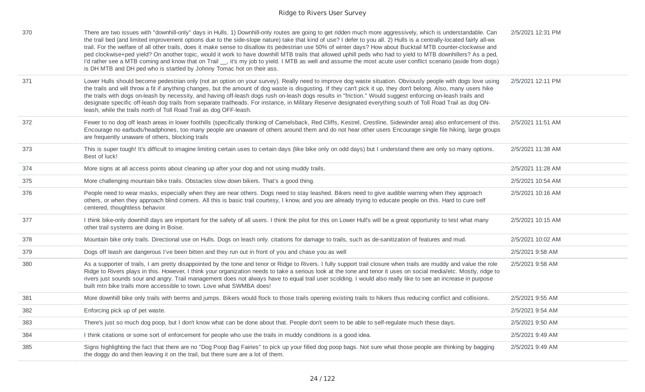| 370 | There are two issues with "downhill-only" days in Hulls. 1) Downhill-only routes are going to get ridden much more aggressively, which is understandable. Can<br>the trail bed (and limited improvement options due to the side-slope nature) take that kind of use? I defer to you all. 2) Hulls is a centrally-located fairly all-wx<br>trail. For the welfare of all other trails, does it make sense to disallow its pedestrian use 50% of winter days? How about Bucktail MTB counter-clockwise and<br>ped clockwise+ped yield? On another topic, would it work to have downhill MTB trails that allowed uphill peds who had to yield to MTB downhillers? As a ped,<br>I'd rather see a MTB coming and know that on Trail _, it's my job to yield. I MTB as well and assume the most acute user conflict scenario (aside from dogs)<br>is DH MTB and DH ped who is startled by Johnny Tomac hot on their ass. | 2/5/2021 12:31 PM |
|-----|--------------------------------------------------------------------------------------------------------------------------------------------------------------------------------------------------------------------------------------------------------------------------------------------------------------------------------------------------------------------------------------------------------------------------------------------------------------------------------------------------------------------------------------------------------------------------------------------------------------------------------------------------------------------------------------------------------------------------------------------------------------------------------------------------------------------------------------------------------------------------------------------------------------------|-------------------|
| 371 | Lower Hulls should become pedestrian only (not an option on your survey). Really need to improve dog waste situation. Obviously people with dogs love using<br>the trails and will throw a fit if anything changes, but the amount of dog waste is disgusting. If they can't pick it up, they don't belong. Also, many users hike<br>the trails with dogs on-leash by necessity, and having off-leash dogs rush on-leash dogs results in "friction." Would suggest enforcing on-leash trails and<br>designate specific off-leash dog trails from separate trailheads. For instance, in Military Reserve designated everything south of Toll Road Trail as dog ON-<br>leash, while the trails north of Toll Road Trail as dog OFF-leash.                                                                                                                                                                            | 2/5/2021 12:11 PM |
| 372 | Fewer to no dog off leash areas in lower foothills (specifically thinking of Camelsback, Red Cliffs, Kestrel, Crestline, Sidewinder area) also enforcement of this.<br>Encourage no earbuds/headphones, too many people are unaware of others around them and do not hear other users Encourage single file hiking, large groups<br>are frequently unaware of others, blocking trails                                                                                                                                                                                                                                                                                                                                                                                                                                                                                                                              | 2/5/2021 11:51 AM |
| 373 | This is super tough! It's difficult to imagine limiting certain uses to certain days (like bike only on odd days) but I understand there are only so many options.<br>Best of luck!                                                                                                                                                                                                                                                                                                                                                                                                                                                                                                                                                                                                                                                                                                                                | 2/5/2021 11:38 AM |
| 374 | More signs at all access points about cleaning up after your dog and not using muddy trails.                                                                                                                                                                                                                                                                                                                                                                                                                                                                                                                                                                                                                                                                                                                                                                                                                       | 2/5/2021 11:28 AM |
| 375 | More challenging mountain bike trails. Obstacles slow down bikers. That's a good thing.                                                                                                                                                                                                                                                                                                                                                                                                                                                                                                                                                                                                                                                                                                                                                                                                                            | 2/5/2021 10:54 AM |
| 376 | People need to wear masks, especially when they are near others. Dogs need to stay leashed. Bikers need to give audible warning when they approach<br>others, or when they approach blind corners. All this is basic trail courtesy, I know, and you are already trying to educate people on this. Hard to cure self<br>centered, thoughtless behavior.                                                                                                                                                                                                                                                                                                                                                                                                                                                                                                                                                            | 2/5/2021 10:16 AM |
| 377 | I think bike-only downhill days are important for the safety of all users. I think the pilot for this on Lower Hull's will be a great opportunity to test what many<br>other trail systems are doing in Boise.                                                                                                                                                                                                                                                                                                                                                                                                                                                                                                                                                                                                                                                                                                     | 2/5/2021 10:15 AM |
| 378 | Mountain bike only trails. Directional use on Hulls. Dogs on leash only. citations for damage to trails, such as de-sanitization of features and mud.                                                                                                                                                                                                                                                                                                                                                                                                                                                                                                                                                                                                                                                                                                                                                              | 2/5/2021 10:02 AM |
| 379 | Dogs off leash are dangerous I've been bitten and they run out in front of you and chase you as well                                                                                                                                                                                                                                                                                                                                                                                                                                                                                                                                                                                                                                                                                                                                                                                                               | 2/5/2021 9:58 AM  |
| 380 | As a supporter of trails, I am pretty disappointed by the tone and tenor or Ridge to Rivers. I fully support trail closure when trails are muddy and value the role<br>Ridge to Rivers plays in this. However, I think your organization needs to take a serious look at the tone and tenor it uses on social media/etc. Mostly, ridge to<br>rivers just sounds sour and angry. Trail management does not always have to equal trail user scolding. I would also really like to see an increase in purpose<br>built mtn bike trails more accessible to town. Love what SWMBA does!                                                                                                                                                                                                                                                                                                                                 | 2/5/2021 9:58 AM  |
| 381 | More downhill bike only trails with berms and jumps. Bikers would flock to those trails opening existing trails to hikers thus reducing conflict and collisions.                                                                                                                                                                                                                                                                                                                                                                                                                                                                                                                                                                                                                                                                                                                                                   | 2/5/2021 9:55 AM  |
| 382 | Enforcing pick up of pet waste.                                                                                                                                                                                                                                                                                                                                                                                                                                                                                                                                                                                                                                                                                                                                                                                                                                                                                    | 2/5/2021 9:54 AM  |
| 383 | There's just so much dog poop, but I don't know what can be done about that. People don't seem to be able to self-regulate much these days.                                                                                                                                                                                                                                                                                                                                                                                                                                                                                                                                                                                                                                                                                                                                                                        | 2/5/2021 9:50 AM  |
| 384 | I think citations or some sort of enforcement for people who use the trails in muddy conditions is a good idea.                                                                                                                                                                                                                                                                                                                                                                                                                                                                                                                                                                                                                                                                                                                                                                                                    | 2/5/2021 9:49 AM  |
| 385 | Signs highlighting the fact that there are no "Dog Poop Bag Fairies" to pick up your filled dog poop bags. Not sure what those people are thinking by bagging<br>the doggy do and then leaving it on the trail, but there sure are a lot of them.                                                                                                                                                                                                                                                                                                                                                                                                                                                                                                                                                                                                                                                                  | 2/5/2021 9:49 AM  |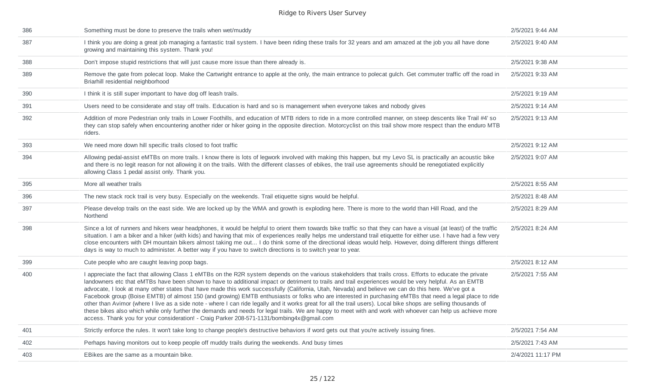| 386 | Something must be done to preserve the trails when wet/muddy                                                                                                                                                                                                                                                                                                                                                                                                                                                                                                                                                                                                                                                                                                                                                                                                                                                                                                                                                                                                         | 2/5/2021 9:44 AM  |
|-----|----------------------------------------------------------------------------------------------------------------------------------------------------------------------------------------------------------------------------------------------------------------------------------------------------------------------------------------------------------------------------------------------------------------------------------------------------------------------------------------------------------------------------------------------------------------------------------------------------------------------------------------------------------------------------------------------------------------------------------------------------------------------------------------------------------------------------------------------------------------------------------------------------------------------------------------------------------------------------------------------------------------------------------------------------------------------|-------------------|
| 387 | I think you are doing a great job managing a fantastic trail system. I have been riding these trails for 32 years and am amazed at the job you all have done<br>growing and maintaining this system. Thank you!                                                                                                                                                                                                                                                                                                                                                                                                                                                                                                                                                                                                                                                                                                                                                                                                                                                      | 2/5/2021 9:40 AM  |
| 388 | Don't impose stupid restrictions that will just cause more issue than there already is.                                                                                                                                                                                                                                                                                                                                                                                                                                                                                                                                                                                                                                                                                                                                                                                                                                                                                                                                                                              | 2/5/2021 9:38 AM  |
| 389 | Remove the gate from polecat loop. Make the Cartwright entrance to apple at the only, the main entrance to polecat gulch. Get commuter traffic off the road in<br>Briarhill residential neighborhood                                                                                                                                                                                                                                                                                                                                                                                                                                                                                                                                                                                                                                                                                                                                                                                                                                                                 | 2/5/2021 9:33 AM  |
| 390 | I think it is still super important to have dog off leash trails.                                                                                                                                                                                                                                                                                                                                                                                                                                                                                                                                                                                                                                                                                                                                                                                                                                                                                                                                                                                                    | 2/5/2021 9:19 AM  |
| 391 | Users need to be considerate and stay off trails. Education is hard and so is management when everyone takes and nobody gives                                                                                                                                                                                                                                                                                                                                                                                                                                                                                                                                                                                                                                                                                                                                                                                                                                                                                                                                        | 2/5/2021 9:14 AM  |
| 392 | Addition of more Pedestrian only trails in Lower Foothills, and education of MTB riders to ride in a more controlled manner, on steep descents like Trail #4' so<br>they can stop safely when encountering another rider or hiker going in the opposite direction. Motorcyclist on this trail show more respect than the enduro MTB<br>riders.                                                                                                                                                                                                                                                                                                                                                                                                                                                                                                                                                                                                                                                                                                                       | 2/5/2021 9:13 AM  |
| 393 | We need more down hill specific trails closed to foot traffic                                                                                                                                                                                                                                                                                                                                                                                                                                                                                                                                                                                                                                                                                                                                                                                                                                                                                                                                                                                                        | 2/5/2021 9:12 AM  |
| 394 | Allowing pedal-assist eMTBs on more trails. I know there is lots of legwork involved with making this happen, but my Levo SL is practically an acoustic bike<br>and there is no legit reason for not allowing it on the trails. With the different classes of ebikes, the trail use agreements should be renegotiated explicitly<br>allowing Class 1 pedal assist only. Thank you.                                                                                                                                                                                                                                                                                                                                                                                                                                                                                                                                                                                                                                                                                   | 2/5/2021 9:07 AM  |
| 395 | More all weather trails                                                                                                                                                                                                                                                                                                                                                                                                                                                                                                                                                                                                                                                                                                                                                                                                                                                                                                                                                                                                                                              | 2/5/2021 8:55 AM  |
| 396 | The new stack rock trail is very busy. Especially on the weekends. Trail etiquette signs would be helpful.                                                                                                                                                                                                                                                                                                                                                                                                                                                                                                                                                                                                                                                                                                                                                                                                                                                                                                                                                           | 2/5/2021 8:48 AM  |
| 397 | Please develop trails on the east side. We are locked up by the WMA and growth is exploding here. There is more to the world than Hill Road, and the<br>Northend                                                                                                                                                                                                                                                                                                                                                                                                                                                                                                                                                                                                                                                                                                                                                                                                                                                                                                     | 2/5/2021 8:29 AM  |
| 398 | Since a lot of runners and hikers wear headphones, it would be helpful to orient them towards bike traffic so that they can have a visual (at least) of the traffic<br>situation. I am a biker and a hiker (with kids) and having that mix of experiences really helps me understand trail etiquette for either use. I have had a few very<br>close encounters with DH mountain bikers almost taking me out I do think some of the directional ideas would help. However, doing different things different<br>days is way to much to administer. A better way if you have to switch directions is to switch year to year.                                                                                                                                                                                                                                                                                                                                                                                                                                            | 2/5/2021 8:24 AM  |
| 399 | Cute people who are caught leaving poop bags.                                                                                                                                                                                                                                                                                                                                                                                                                                                                                                                                                                                                                                                                                                                                                                                                                                                                                                                                                                                                                        | 2/5/2021 8:12 AM  |
| 400 | I appreciate the fact that allowing Class 1 eMTBs on the R2R system depends on the various stakeholders that trails cross. Efforts to educate the private<br>landowners etc that eMTBs have been shown to have to additional impact or detriment to trails and trail experiences would be very helpful. As an EMTB<br>advocate, I look at many other states that have made this work successfully (California, Utah, Nevada) and believe we can do this here. We've got a<br>Facebook group (Boise EMTB) of almost 150 (and growing) EMTB enthusiasts or folks who are interested in purchasing eMTBs that need a legal place to ride<br>other than Avimor (where I live as a side note - where I can ride legally and it works great for all the trail users). Local bike shops are selling thousands of<br>these bikes also which while only further the demands and needs for legal trails. We are happy to meet with and work with whoever can help us achieve more<br>access. Thank you for your consideration! - Craig Parker 208-571-1131/bombing4x@gmail.com | 2/5/2021 7:55 AM  |
| 401 | Strictly enforce the rules. It won't take long to change people's destructive behaviors if word gets out that you're actively issuing fines.                                                                                                                                                                                                                                                                                                                                                                                                                                                                                                                                                                                                                                                                                                                                                                                                                                                                                                                         | 2/5/2021 7:54 AM  |
| 402 | Perhaps having monitors out to keep people off muddy trails during the weekends. And busy times                                                                                                                                                                                                                                                                                                                                                                                                                                                                                                                                                                                                                                                                                                                                                                                                                                                                                                                                                                      | 2/5/2021 7:43 AM  |
| 403 | EBikes are the same as a mountain bike.                                                                                                                                                                                                                                                                                                                                                                                                                                                                                                                                                                                                                                                                                                                                                                                                                                                                                                                                                                                                                              | 2/4/2021 11:17 PM |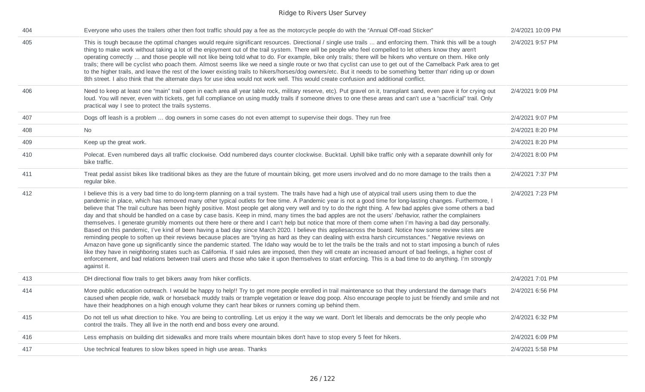| 404 | Everyone who uses the trailers other then foot traffic should pay a fee as the motorcycle people do with the "Annual Off-road Sticker"                                                                                                                                                                                                                                                                                                                                                                                                                                                                                                                                                                                                                                                                                                                                                                                                                                                                                                                                                                                                                                                                                                                                                                                                                                                                                                                                                                                                                                                                                                                  | 2/4/2021 10:09 PM |
|-----|---------------------------------------------------------------------------------------------------------------------------------------------------------------------------------------------------------------------------------------------------------------------------------------------------------------------------------------------------------------------------------------------------------------------------------------------------------------------------------------------------------------------------------------------------------------------------------------------------------------------------------------------------------------------------------------------------------------------------------------------------------------------------------------------------------------------------------------------------------------------------------------------------------------------------------------------------------------------------------------------------------------------------------------------------------------------------------------------------------------------------------------------------------------------------------------------------------------------------------------------------------------------------------------------------------------------------------------------------------------------------------------------------------------------------------------------------------------------------------------------------------------------------------------------------------------------------------------------------------------------------------------------------------|-------------------|
| 405 | This is tough because the optimal changes would require significant resources. Directional / single use trails  and enforcing them. Think this will be a tough<br>thing to make work without taking a lot of the enjoyment out of the trail system. There will be people who feel compelled to let others know they aren't<br>operating correctly  and those people will not like being told what to do. For example, bike only trails; there will be hikers who venture on them. Hike only<br>trails; there will be cyclist who poach them. Almost seems like we need a single route or two that cyclist can use to get out of the Camelback Park area to get<br>to the higher trails, and leave the rest of the lower existing trails to hikers/horses/dog owners/etc. But it needs to be something 'better than' riding up or down<br>8th street. I also think that the alternate days for use idea would not work well. This would create confusion and additional conflict.                                                                                                                                                                                                                                                                                                                                                                                                                                                                                                                                                                                                                                                                        | 2/4/2021 9:57 PM  |
| 406 | Need to keep at least one "main" trail open in each area all year table rock, military reserve, etc). Put gravel on it, transplant sand, even pave it for crying out<br>loud. You will never, even with tickets, get full compliance on using muddy trails if someone drives to one these areas and can't use a "sacrificial" trail. Only<br>practical way I see to protect the trails systems.                                                                                                                                                                                                                                                                                                                                                                                                                                                                                                                                                                                                                                                                                                                                                                                                                                                                                                                                                                                                                                                                                                                                                                                                                                                         | 2/4/2021 9:09 PM  |
| 407 | Dogs off leash is a problem  dog owners in some cases do not even attempt to supervise their dogs. They run free                                                                                                                                                                                                                                                                                                                                                                                                                                                                                                                                                                                                                                                                                                                                                                                                                                                                                                                                                                                                                                                                                                                                                                                                                                                                                                                                                                                                                                                                                                                                        | 2/4/2021 9:07 PM  |
| 408 | No                                                                                                                                                                                                                                                                                                                                                                                                                                                                                                                                                                                                                                                                                                                                                                                                                                                                                                                                                                                                                                                                                                                                                                                                                                                                                                                                                                                                                                                                                                                                                                                                                                                      | 2/4/2021 8:20 PM  |
| 409 | Keep up the great work.                                                                                                                                                                                                                                                                                                                                                                                                                                                                                                                                                                                                                                                                                                                                                                                                                                                                                                                                                                                                                                                                                                                                                                                                                                                                                                                                                                                                                                                                                                                                                                                                                                 | 2/4/2021 8:20 PM  |
| 410 | Polecat. Even numbered days all traffic clockwise. Odd numbered days counter clockwise. Bucktail. Uphill bike traffic only with a separate downhill only for<br>bike traffic.                                                                                                                                                                                                                                                                                                                                                                                                                                                                                                                                                                                                                                                                                                                                                                                                                                                                                                                                                                                                                                                                                                                                                                                                                                                                                                                                                                                                                                                                           | 2/4/2021 8:00 PM  |
| 411 | Treat pedal assist bikes like traditional bikes as they are the future of mountain biking, get more users involved and do no more damage to the trails then a<br>regular bike.                                                                                                                                                                                                                                                                                                                                                                                                                                                                                                                                                                                                                                                                                                                                                                                                                                                                                                                                                                                                                                                                                                                                                                                                                                                                                                                                                                                                                                                                          | 2/4/2021 7:37 PM  |
| 412 | I believe this is a very bad time to do long-term planning on a trail system. The trails have had a high use of atypical trail users using them to due the<br>pandemic in place, which has removed many other typical outlets for free time. A Pandemic year is not a good time for long-lasting changes. Furthermore, I<br>believe that The trail culture has been highly positive. Most people get along very well and try to do the right thing. A few bad apples give some others a bad<br>day and that should be handled on a case by case basis. Keep in mind, many times the bad apples are not the users' /behavior, rather the complainers<br>themselves. I generate grumbly moments out there here or there and I can't help but notice that more of them come when I'm having a bad day personally.<br>Based on this pandemic, I've kind of been having a bad day since March 2020. I believe this appliesacross the board. Notice how some review sites are<br>reminding people to soften up their reviews because places are "trying as hard as they can dealing with extra harsh circumstances." Negative reviews on<br>Amazon have gone up significantly since the pandemic started. The Idaho way would be to let the trails be the trails and not to start imposing a bunch of rules<br>like they have in neighboring states such as California. If said rules are imposed, then they will create an increased amount of bad feelings, a higher cost of<br>enforcement, and bad relations between trail users and those who take it upon themselves to start enforcing. This is a bad time to do anything. I'm strongly<br>against it. | 2/4/2021 7:23 PM  |
| 413 | DH directional flow trails to get bikers away from hiker conflicts.                                                                                                                                                                                                                                                                                                                                                                                                                                                                                                                                                                                                                                                                                                                                                                                                                                                                                                                                                                                                                                                                                                                                                                                                                                                                                                                                                                                                                                                                                                                                                                                     | 2/4/2021 7:01 PM  |
| 414 | More public education outreach. I would be happy to help!! Try to get more people enrolled in trail maintenance so that they understand the damage that's<br>caused when people ride, walk or horseback muddy trails or trample vegetation or leave dog poop. Also encourage people to just be friendly and smile and not<br>have their headphones on a high enough volume they can't hear bikes or runners coming up behind them.                                                                                                                                                                                                                                                                                                                                                                                                                                                                                                                                                                                                                                                                                                                                                                                                                                                                                                                                                                                                                                                                                                                                                                                                                      | 2/4/2021 6:56 PM  |
| 415 | Do not tell us what direction to hike. You are being to controlling. Let us enjoy it the way we want. Don't let liberals and democrats be the only people who<br>control the trails. They all live in the north end and boss every one around.                                                                                                                                                                                                                                                                                                                                                                                                                                                                                                                                                                                                                                                                                                                                                                                                                                                                                                                                                                                                                                                                                                                                                                                                                                                                                                                                                                                                          | 2/4/2021 6:32 PM  |
| 416 | Less emphasis on building dirt sidewalks and more trails where mountain bikes don't have to stop every 5 feet for hikers.                                                                                                                                                                                                                                                                                                                                                                                                                                                                                                                                                                                                                                                                                                                                                                                                                                                                                                                                                                                                                                                                                                                                                                                                                                                                                                                                                                                                                                                                                                                               | 2/4/2021 6:09 PM  |
| 417 | Use technical features to slow bikes speed in high use areas. Thanks                                                                                                                                                                                                                                                                                                                                                                                                                                                                                                                                                                                                                                                                                                                                                                                                                                                                                                                                                                                                                                                                                                                                                                                                                                                                                                                                                                                                                                                                                                                                                                                    | 2/4/2021 5:58 PM  |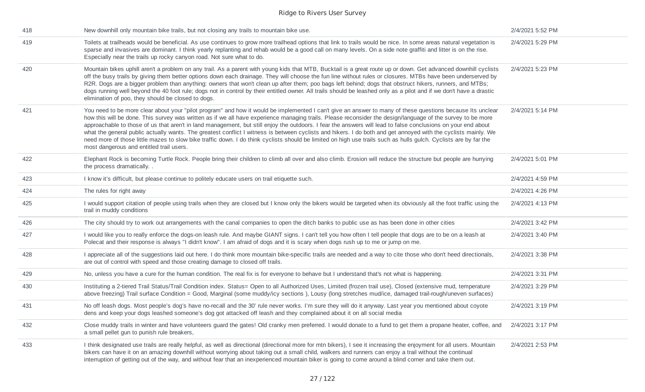| 418 | New downhill only mountain bike trails, but not closing any trails to mountain bike use.                                                                                                                                                                                                                                                                                                                                                                                                                                                                                                                                                                                                                                                                                                                                                                                     | 2/4/2021 5:52 PM |
|-----|------------------------------------------------------------------------------------------------------------------------------------------------------------------------------------------------------------------------------------------------------------------------------------------------------------------------------------------------------------------------------------------------------------------------------------------------------------------------------------------------------------------------------------------------------------------------------------------------------------------------------------------------------------------------------------------------------------------------------------------------------------------------------------------------------------------------------------------------------------------------------|------------------|
| 419 | Toilets at trailheads would be beneficial. As use continues to grow more trailhead options that link to trails would be nice. In some areas natural vegetation is<br>sparse and invasives are dominant. I think yearly replanting and rehab would be a good call on many levels. On a side note graffiti and litter is on the rise.<br>Especially near the trails up rocky canyon road. Not sure what to do.                                                                                                                                                                                                                                                                                                                                                                                                                                                                 | 2/4/2021 5:29 PM |
| 420 | Mountain bikes uphill aren't a problem on any trail. As a parent with young kids that MTB, Bucktail is a great route up or down. Get advanced downhill cyclists<br>off the busy trails by giving them better options down each drainage. They will choose the fun line without rules or closures. MTBs have been underserved by<br>R2R. Dogs are a bigger problem than anything: owners that won't clean up after them; poo bags left behind; dogs that obstruct hikers, runners, and MTBs;<br>dogs running well beyond the 40 foot rule; dogs not in control by their entitled owner. All trails should be leashed only as a pilot and if we don't have a drastic<br>elimination of poo, they should be closed to dogs.                                                                                                                                                     | 2/4/2021 5:23 PM |
| 421 | You need to be more clear about your "pilot program" and how it would be implemented I can't give an answer to many of these questions because Its unclear<br>how this will be done. This survey was written as if we all have experience managing trails. Please reconsider the design/language of the survey to be more<br>approachable to those of us that aren't in land management, but still enjoy the outdoors. I fear the answers will lead to false conclusions on your end about<br>what the general public actually wants. The greatest conflict I witness is between cyclists and hikers. I do both and get annoyed with the cyclists mainly. We<br>need more of those little mazes to slow bike traffic down. I do think cyclists should be limited on high use trails such as hulls gulch. Cyclists are by far the<br>most dangerous and entitled trail users. | 2/4/2021 5:14 PM |
| 422 | Elephant Rock is becoming Turtle Rock. People bring their children to climb all over and also climb. Erosion will reduce the structure but people are hurrying<br>the process dramatically                                                                                                                                                                                                                                                                                                                                                                                                                                                                                                                                                                                                                                                                                   | 2/4/2021 5:01 PM |
| 423 | I know it's difficult, but please continue to politely educate users on trail etiquette such.                                                                                                                                                                                                                                                                                                                                                                                                                                                                                                                                                                                                                                                                                                                                                                                | 2/4/2021 4:59 PM |
| 424 | The rules for right away                                                                                                                                                                                                                                                                                                                                                                                                                                                                                                                                                                                                                                                                                                                                                                                                                                                     | 2/4/2021 4:26 PM |
| 425 | I would support citation of people using trails when they are closed but I know only the bikers would be targeted when its obviously all the foot traffic using the<br>trail in muddy conditions                                                                                                                                                                                                                                                                                                                                                                                                                                                                                                                                                                                                                                                                             | 2/4/2021 4:13 PM |
| 426 | The city should try to work out arrangements with the canal companies to open the ditch banks to public use as has been done in other cities                                                                                                                                                                                                                                                                                                                                                                                                                                                                                                                                                                                                                                                                                                                                 | 2/4/2021 3:42 PM |
| 427 | I would like you to really enforce the dogs-on leash rule. And maybe GIANT signs. I can't tell you how often I tell people that dogs are to be on a leash at<br>Polecat and their response is always "I didn't know". I am afraid of dogs and it is scary when dogs rush up to me or jump on me.                                                                                                                                                                                                                                                                                                                                                                                                                                                                                                                                                                             | 2/4/2021 3:40 PM |
| 428 | I appreciate all of the suggestions laid out here. I do think more mountain bike-specific trails are needed and a way to cite those who don't heed directionals,<br>are out of control with speed and those creating damage to closed off trails.                                                                                                                                                                                                                                                                                                                                                                                                                                                                                                                                                                                                                            | 2/4/2021 3:38 PM |
| 429 | No, unless you have a cure for the human condition. The real fix is for everyone to behave but I understand that's not what is happening.                                                                                                                                                                                                                                                                                                                                                                                                                                                                                                                                                                                                                                                                                                                                    | 2/4/2021 3:31 PM |
| 430 | Instituting a 2-tiered Trail Status/Trail Condition index. Status= Open to all Authorized Uses, Limited (frozen trail use), Closed (extensive mud, temperature<br>above freezing) Trail surface Condition = Good, Marginal (some muddy/icy sections), Lousy (long stretches mud/ice, damaged trail-rough/uneven surfaces)                                                                                                                                                                                                                                                                                                                                                                                                                                                                                                                                                    | 2/4/2021 3:29 PM |
| 431 | No off leash dogs. Most people's dog's have no-recall and the 30' rule never works. I'm sure they will do it anyway. Last year you mentioned about coyote<br>dens and keep your dogs leashed someone's dog got attacked off leash and they complained about it on all social media                                                                                                                                                                                                                                                                                                                                                                                                                                                                                                                                                                                           | 2/4/2021 3:19 PM |
| 432 | Close muddy trails in winter and have volunteers guard the gates! Old cranky men preferred. I would donate to a fund to get them a propane heater, coffee, and<br>a small pellet gun to punish rule breakers,                                                                                                                                                                                                                                                                                                                                                                                                                                                                                                                                                                                                                                                                | 2/4/2021 3:17 PM |
| 433 | I think designated use trails are really helpful, as well as directional (directional more for mtn bikers), I see it increasing the enjoyment for all users. Mountain<br>bikers can have it on an amazing downhill without worrying about taking out a small child, walkers and runners can enjoy a trail without the continual<br>interruption of getting out of the way, and without fear that an inexperienced mountain biker is going to come around a blind corner and take them out.                                                                                                                                                                                                                                                                                                                                                                                   | 2/4/2021 2:53 PM |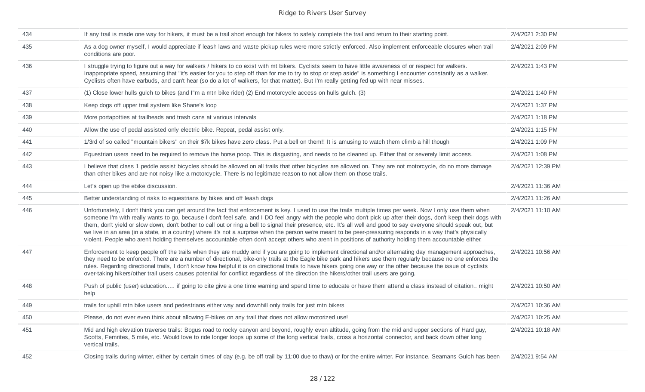| 434 | If any trail is made one way for hikers, it must be a trail short enough for hikers to safely complete the trail and return to their starting point.                                                                                                                                                                                                                                                                                                                                                                                                                                                                                                                                                                                                                                                                                    | 2/4/2021 2:30 PM  |
|-----|-----------------------------------------------------------------------------------------------------------------------------------------------------------------------------------------------------------------------------------------------------------------------------------------------------------------------------------------------------------------------------------------------------------------------------------------------------------------------------------------------------------------------------------------------------------------------------------------------------------------------------------------------------------------------------------------------------------------------------------------------------------------------------------------------------------------------------------------|-------------------|
| 435 | As a dog owner myself, I would appreciate if leash laws and waste pickup rules were more strictly enforced. Also implement enforceable closures when trail<br>conditions are poor.                                                                                                                                                                                                                                                                                                                                                                                                                                                                                                                                                                                                                                                      | 2/4/2021 2:09 PM  |
| 436 | I struggle trying to figure out a way for walkers / hikers to co exist with mt bikers. Cyclists seem to have little awareness of or respect for walkers.<br>Inappropriate speed, assuming that "it's easier for you to step off than for me to try to stop or step aside" is something I encounter constantly as a walker.<br>Cyclists often have earbuds, and can't hear (so do a lot of walkers, for that matter). But I'm really getting fed up with near misses.                                                                                                                                                                                                                                                                                                                                                                    | 2/4/2021 1:43 PM  |
| 437 | (1) Close lower hulls gulch to bikes (and I'm a mtn bike rider) (2) End motorcycle access on hulls gulch. (3)                                                                                                                                                                                                                                                                                                                                                                                                                                                                                                                                                                                                                                                                                                                           | 2/4/2021 1:40 PM  |
| 438 | Keep dogs off upper trail system like Shane's loop                                                                                                                                                                                                                                                                                                                                                                                                                                                                                                                                                                                                                                                                                                                                                                                      | 2/4/2021 1:37 PM  |
| 439 | More portapotties at trailheads and trash cans at various intervals                                                                                                                                                                                                                                                                                                                                                                                                                                                                                                                                                                                                                                                                                                                                                                     | 2/4/2021 1:18 PM  |
| 440 | Allow the use of pedal assisted only electric bike. Repeat, pedal assist only.                                                                                                                                                                                                                                                                                                                                                                                                                                                                                                                                                                                                                                                                                                                                                          | 2/4/2021 1:15 PM  |
| 441 | 1/3rd of so called "mountain bikers" on their \$7k bikes have zero class. Put a bell on them!! It is amusing to watch them climb a hill though                                                                                                                                                                                                                                                                                                                                                                                                                                                                                                                                                                                                                                                                                          | 2/4/2021 1:09 PM  |
| 442 | Equestrian users need to be required to remove the horse poop. This is disgusting, and needs to be cleaned up. Either that or severely limit access.                                                                                                                                                                                                                                                                                                                                                                                                                                                                                                                                                                                                                                                                                    | 2/4/2021 1:08 PM  |
| 443 | I believe that class 1 peddle assist bicycles should be allowed on all trails that other bicycles are allowed on. They are not motorcycle, do no more damage<br>than other bikes and are not noisy like a motorcycle. There is no legitimate reason to not allow them on those trails.                                                                                                                                                                                                                                                                                                                                                                                                                                                                                                                                                  | 2/4/2021 12:39 PM |
| 444 | Let's open up the ebike discussion.                                                                                                                                                                                                                                                                                                                                                                                                                                                                                                                                                                                                                                                                                                                                                                                                     | 2/4/2021 11:36 AM |
| 445 | Better understanding of risks to equestrians by bikes and off leash dogs                                                                                                                                                                                                                                                                                                                                                                                                                                                                                                                                                                                                                                                                                                                                                                | 2/4/2021 11:26 AM |
| 446 | Unfortunately, I don't think you can get around the fact that enforcement is key. I used to use the trails multiple times per week. Now I only use them when<br>someone I'm with really wants to go, because I don't feel safe, and I DO feel angry with the people who don't pick up after their dogs, don't keep their dogs with<br>them, don't yield or slow down, don't bother to call out or ring a bell to signal their presence, etc. It's all well and good to say everyone should speak out, but<br>we live in an area (in a state, in a country) where it's not a surprise when the person we're meant to be peer-pressuring responds in a way that's physically<br>violent. People who aren't holding themselves accountable often don't accept others who aren't in positions of authority holding them accountable either. | 2/4/2021 11:10 AM |
| 447 | Enforcement to keep people off the trails when they are muddy and if you are going to implement directional and/or alternating day management approaches,<br>they need to be enforced. There are a number of directional, bike-only trails at the Eagle bike park and hikers use them regularly because no one enforces the<br>rules. Regarding directional trails, I don't know how helpful it is on directional trails to have hikers going one way or the other because the issue of cyclists<br>over-taking hikers/other trail users causes potential for conflict regardless of the direction the hikers/other trail users are going.                                                                                                                                                                                              | 2/4/2021 10:56 AM |
| 448 | Push of public (user) education if going to cite give a one time warning and spend time to educate or have them attend a class instead of citation might<br>help                                                                                                                                                                                                                                                                                                                                                                                                                                                                                                                                                                                                                                                                        | 2/4/2021 10:50 AM |
| 449 | trails for uphill mtn bike users and pedestrians either way and downhill only trails for just mtn bikers                                                                                                                                                                                                                                                                                                                                                                                                                                                                                                                                                                                                                                                                                                                                | 2/4/2021 10:36 AM |
| 450 | Please, do not ever even think about allowing E-bikes on any trail that does not allow motorized use!                                                                                                                                                                                                                                                                                                                                                                                                                                                                                                                                                                                                                                                                                                                                   | 2/4/2021 10:25 AM |
| 451 | Mid and high elevation traverse trails: Bogus road to rocky canyon and beyond, roughly even altitude, going from the mid and upper sections of Hard guy,<br>Scotts, Femrites, 5 mile, etc. Would love to ride longer loops up some of the long vertical trails, cross a horizontal connector, and back down other long<br>vertical trails.                                                                                                                                                                                                                                                                                                                                                                                                                                                                                              | 2/4/2021 10:18 AM |
| 452 | Closing trails during winter, either by certain times of day (e.g. be off trail by 11:00 due to thaw) or for the entire winter. For instance, Seamans Gulch has been                                                                                                                                                                                                                                                                                                                                                                                                                                                                                                                                                                                                                                                                    | 2/4/2021 9:54 AM  |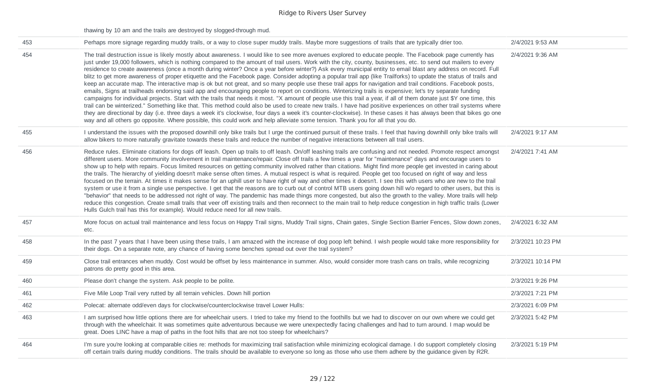thawing by 10 am and the trails are destroyed by slogged-through mud.

| 453 | Perhaps more signage regarding muddy trails, or a way to close super muddy trails. Maybe more suggestions of trails that are typically drier too.                                                                                                                                                                                                                                                                                                                                                                                                                                                                                                                                                                                                                                                                                                                                                                                                                                                                                                                                                                                                                                                                                                                                                                                                                                                                                                                                                                                                                                                                                                   | 2/4/2021 9:53 AM  |
|-----|-----------------------------------------------------------------------------------------------------------------------------------------------------------------------------------------------------------------------------------------------------------------------------------------------------------------------------------------------------------------------------------------------------------------------------------------------------------------------------------------------------------------------------------------------------------------------------------------------------------------------------------------------------------------------------------------------------------------------------------------------------------------------------------------------------------------------------------------------------------------------------------------------------------------------------------------------------------------------------------------------------------------------------------------------------------------------------------------------------------------------------------------------------------------------------------------------------------------------------------------------------------------------------------------------------------------------------------------------------------------------------------------------------------------------------------------------------------------------------------------------------------------------------------------------------------------------------------------------------------------------------------------------------|-------------------|
| 454 | The trail destruction issue is likely mostly about awareness. I would like to see more avenues explored to educate people. The Facebook page currently has<br>just under 19,000 followers, which is nothing compared to the amount of trail users. Work with the city, county, businesses, etc. to send out mailers to every<br>residence to create awareness (once a month during winter? Once a year before winter?) Ask every municipal entity to email blast any address on record. Full<br>blitz to get more awareness of proper etiquette and the Facebook page. Consider adopting a popular trail app (like Trailforks) to update the status of trails and<br>keep an accurate map. The interactive map is ok but not great, and so many people use these trail apps for navigation and trail conditions. Facebook posts,<br>emails, Signs at trailheads endorsing said app and encouraging people to report on conditions. Winterizing trails is expensive; let's try separate funding<br>campaigns for individual projects. Start with the trails that needs it most. "X amount of people use this trail a year, if all of them donate just \$Y one time, this<br>trail can be winterized." Something like that. This method could also be used to create new trails. I have had positive experiences on other trail systems where<br>they are directional by day (i.e. three days a week it's clockwise, four days a week it's counter-clockwise). In these cases it has always been that bikes go one<br>way and all others go opposite. Where possible, this could work and help alleviate some tension. Thank you for all that you do. | 2/4/2021 9:36 AM  |
| 455 | I understand the issues with the proposed downhill only bike trails but I urge the continued pursuit of these trails. I feel that having downhill only bike trails will<br>allow bikers to more naturally gravitate towards these trails and reduce the number of negative interactions between all trail users.                                                                                                                                                                                                                                                                                                                                                                                                                                                                                                                                                                                                                                                                                                                                                                                                                                                                                                                                                                                                                                                                                                                                                                                                                                                                                                                                    | 2/4/2021 9:17 AM  |
| 456 | Reduce rules. Eliminate citations for dogs off leash. Open up trails to off leash. On/off leashing trails are confusing and not needed. Promote respect amongst<br>different users. More community involvement in trail maintenance/repair. Close off trails a few times a year for "maintenance" days and encourage users to<br>show up to help with repairs. Focus limited resources on getting community involved rather than citations. Might find more people get invested in caring about<br>the trails. The hierarchy of yielding doesn't make sense often times. A mutual respect is what is required. People get too focused on right of way and less<br>focused on the terrain. At times it makes sense for an uphill user to have right of way and other times it doesn't. I see this with users who are new to the trail<br>system or use it from a single use perspective. I get that the reasons are to curb out of control MTB users going down hill w/o regard to other users, but this is<br>"behavior" that needs to be addressed not right of way. The pandemic has made things more congested, but also the growth to the valley. More trails will help<br>reduce this congestion. Create small trails that veer off existing trails and then reconnect to the main trail to help reduce congestion in high traffic trails (Lower<br>Hulls Gulch trail has this for example). Would reduce need for all new trails.                                                                                                                                                                                                             | 2/4/2021 7:41 AM  |
| 457 | More focus on actual trail maintenance and less focus on Happy Trail signs, Muddy Trail signs, Chain gates, Single Section Barrier Fences, Slow down zones,<br>etc.                                                                                                                                                                                                                                                                                                                                                                                                                                                                                                                                                                                                                                                                                                                                                                                                                                                                                                                                                                                                                                                                                                                                                                                                                                                                                                                                                                                                                                                                                 | 2/4/2021 6:32 AM  |
| 458 | In the past 7 years that I have been using these trails, I am amazed with the increase of dog poop left behind. I wish people would take more responsibility for<br>their dogs. On a separate note, any chance of having some benches spread out over the trail system?                                                                                                                                                                                                                                                                                                                                                                                                                                                                                                                                                                                                                                                                                                                                                                                                                                                                                                                                                                                                                                                                                                                                                                                                                                                                                                                                                                             | 2/3/2021 10:23 PM |
| 459 | Close trail entrances when muddy. Cost would be offset by less maintenance in summer. Also, would consider more trash cans on trails, while recognizing<br>patrons do pretty good in this area.                                                                                                                                                                                                                                                                                                                                                                                                                                                                                                                                                                                                                                                                                                                                                                                                                                                                                                                                                                                                                                                                                                                                                                                                                                                                                                                                                                                                                                                     | 2/3/2021 10:14 PM |
| 460 | Please don't change the system. Ask people to be polite.                                                                                                                                                                                                                                                                                                                                                                                                                                                                                                                                                                                                                                                                                                                                                                                                                                                                                                                                                                                                                                                                                                                                                                                                                                                                                                                                                                                                                                                                                                                                                                                            | 2/3/2021 9:26 PM  |
| 461 | Five Mile Loop Trail very rutted by all terrain vehicles. Down hill portion                                                                                                                                                                                                                                                                                                                                                                                                                                                                                                                                                                                                                                                                                                                                                                                                                                                                                                                                                                                                                                                                                                                                                                                                                                                                                                                                                                                                                                                                                                                                                                         | 2/3/2021 7:21 PM  |
| 462 | Polecat: alternate odd/even days for clockwise/counterclockwise travel Lower Hulls:                                                                                                                                                                                                                                                                                                                                                                                                                                                                                                                                                                                                                                                                                                                                                                                                                                                                                                                                                                                                                                                                                                                                                                                                                                                                                                                                                                                                                                                                                                                                                                 | 2/3/2021 6:09 PM  |
| 463 | I am surprised how little options there are for wheelchair users. I tried to take my friend to the foothills but we had to discover on our own where we could get<br>through with the wheelchair. It was sometimes quite adventurous because we were unexpectedly facing challenges and had to turn around. I map would be<br>great. Does LINC have a map of paths in the foot hills that are not too steep for wheelchairs?                                                                                                                                                                                                                                                                                                                                                                                                                                                                                                                                                                                                                                                                                                                                                                                                                                                                                                                                                                                                                                                                                                                                                                                                                        | 2/3/2021 5:42 PM  |
| 464 | I'm sure you're looking at comparable cities re: methods for maximizing trail satisfaction while minimizing ecological damage. I do support completely closing<br>off certain trails during muddy conditions. The trails should be available to everyone so long as those who use them adhere by the guidance given by R2R.                                                                                                                                                                                                                                                                                                                                                                                                                                                                                                                                                                                                                                                                                                                                                                                                                                                                                                                                                                                                                                                                                                                                                                                                                                                                                                                         | 2/3/2021 5:19 PM  |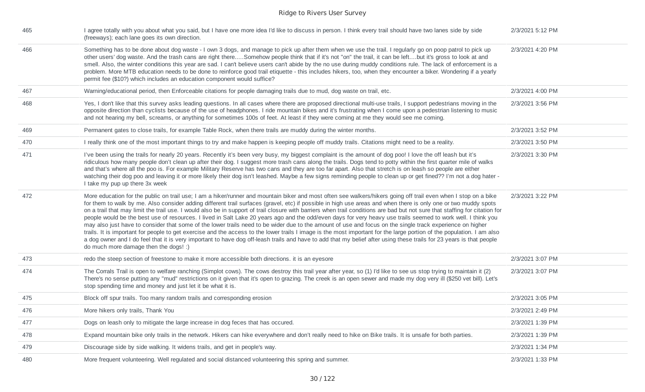| 465 | I agree totally with you about what you said, but I have one more idea I'd like to discuss in person. I think every trail should have two lanes side by side<br>(freeways); each lane goes its own direction.                                                                                                                                                                                                                                                                                                                                                                                                                                                                                                                                                                                                                                                                                                                                                                                                                                                                                                                                                                                                                               | 2/3/2021 5:12 PM |
|-----|---------------------------------------------------------------------------------------------------------------------------------------------------------------------------------------------------------------------------------------------------------------------------------------------------------------------------------------------------------------------------------------------------------------------------------------------------------------------------------------------------------------------------------------------------------------------------------------------------------------------------------------------------------------------------------------------------------------------------------------------------------------------------------------------------------------------------------------------------------------------------------------------------------------------------------------------------------------------------------------------------------------------------------------------------------------------------------------------------------------------------------------------------------------------------------------------------------------------------------------------|------------------|
| 466 | Something has to be done about dog waste - I own 3 dogs, and manage to pick up after them when we use the trail. I regularly go on poop patrol to pick up<br>other users' dog waste. And the trash cans are right thereSomehow people think that if it's not "on" the trail, it can be leftbut it's gross to look at and<br>smell. Also, the winter conditions this year are sad. I can't believe users can't abide by the no use during muddy conditions rule. The lack of enforcement is a<br>problem. More MTB education needs to be done to reinforce good trail etiquette - this includes hikers, too, when they encounter a biker. Wondering if a yearly<br>permit fee (\$10?) which includes an education component would suffice?                                                                                                                                                                                                                                                                                                                                                                                                                                                                                                   | 2/3/2021 4:20 PM |
| 467 | Warning/educational period, then Enforceable citations for people damaging trails due to mud, dog waste on trail, etc.                                                                                                                                                                                                                                                                                                                                                                                                                                                                                                                                                                                                                                                                                                                                                                                                                                                                                                                                                                                                                                                                                                                      | 2/3/2021 4:00 PM |
| 468 | Yes, I don't like that this survey asks leading questions. In all cases where there are proposed directional multi-use trails, I support pedestrians moving in the<br>opposite direction than cyclists because of the use of headphones. I ride mountain bikes and it's frustrating when I come upon a pedestrian listening to music<br>and not hearing my bell, screams, or anything for sometimes 100s of feet. At least if they were coming at me they would see me coming.                                                                                                                                                                                                                                                                                                                                                                                                                                                                                                                                                                                                                                                                                                                                                              | 2/3/2021 3:56 PM |
| 469 | Permanent gates to close trails, for example Table Rock, when there trails are muddy during the winter months.                                                                                                                                                                                                                                                                                                                                                                                                                                                                                                                                                                                                                                                                                                                                                                                                                                                                                                                                                                                                                                                                                                                              | 2/3/2021 3:52 PM |
| 470 | I really think one of the most important things to try and make happen is keeping people off muddy trails. Citations might need to be a reality.                                                                                                                                                                                                                                                                                                                                                                                                                                                                                                                                                                                                                                                                                                                                                                                                                                                                                                                                                                                                                                                                                            | 2/3/2021 3:50 PM |
| 471 | I've been using the trails for nearly 20 years. Recently it's been very busy, my biggest complaint is the amount of dog poo! I love the off leash but it's<br>ridiculous how many people don't clean up after their dog. I suggest more trash cans along the trails. Dogs tend to potty within the first quarter mile of walks<br>and that's where all the poo is. For example Military Reserve has two cans and they are too far apart. Also that stretch is on leash so people are either<br>watching their dog poo and leaving it or more likely their dog isn't leashed. Maybe a few signs reminding people to clean up or get fined?? I'm not a dog hater -<br>I take my pup up there 3x week                                                                                                                                                                                                                                                                                                                                                                                                                                                                                                                                          | 2/3/2021 3:30 PM |
| 472 | More education for the public on trail use; I am a hiker/runner and mountain biker and most often see walkers/hikers going off trail even when I stop on a bike<br>for them to walk by me. Also consider adding different trail surfaces (gravel, etc) if possible in high use areas and when there is only one or two muddy spots<br>on a trail that may limit the trail use. I would also be in support of trail closure with barriers when trail conditions are bad but not sure that staffing for citation for<br>people would be the best use of resources. I lived in Salt Lake 20 years ago and the odd/even days for very heavy use trails seemed to work well. I think you<br>may also just have to consider that some of the lower trails need to be wider due to the amount of use and focus on the single track experience on higher<br>trails. It is important for people to get exercise and the access to the lower trails I image is the most important for the large portion of the population. I am also<br>a dog owner and I do feel that it is very important to have dog off-leash trails and have to add that my belief after using these trails for 23 years is that people<br>do much more damage then the dogs! :) | 2/3/2021 3:22 PM |
| 473 | redo the steep section of freestone to make it more accessible both directions. it is an eyesore                                                                                                                                                                                                                                                                                                                                                                                                                                                                                                                                                                                                                                                                                                                                                                                                                                                                                                                                                                                                                                                                                                                                            | 2/3/2021 3:07 PM |
| 474 | The Corrals Trail is open to welfare ranching (Simplot cows). The cows destroy this trail year after year, so (1) I'd like to see us stop trying to maintain it (2)<br>There's no sense putting any "mud" restrictions on it given that it's open to grazing. The creek is an open sewer and made my dog very ill (\$250 vet bill). Let's<br>stop spending time and money and just let it be what it is.                                                                                                                                                                                                                                                                                                                                                                                                                                                                                                                                                                                                                                                                                                                                                                                                                                    | 2/3/2021 3:07 PM |
| 475 | Block off spur trails. Too many random trails and corresponding erosion                                                                                                                                                                                                                                                                                                                                                                                                                                                                                                                                                                                                                                                                                                                                                                                                                                                                                                                                                                                                                                                                                                                                                                     | 2/3/2021 3:05 PM |
| 476 | More hikers only trails, Thank You                                                                                                                                                                                                                                                                                                                                                                                                                                                                                                                                                                                                                                                                                                                                                                                                                                                                                                                                                                                                                                                                                                                                                                                                          | 2/3/2021 2:49 PM |
| 477 | Dogs on leash only to mitigate the large increase in dog feces that has occured.                                                                                                                                                                                                                                                                                                                                                                                                                                                                                                                                                                                                                                                                                                                                                                                                                                                                                                                                                                                                                                                                                                                                                            | 2/3/2021 1:39 PM |
| 478 | Expand mountain bike only trails in the network. Hikers can hike everywhere and don't really need to hike on Bike trails. It is unsafe for both parties.                                                                                                                                                                                                                                                                                                                                                                                                                                                                                                                                                                                                                                                                                                                                                                                                                                                                                                                                                                                                                                                                                    | 2/3/2021 1:39 PM |
| 479 | Discourage side by side walking. It widens trails, and get in people's way.                                                                                                                                                                                                                                                                                                                                                                                                                                                                                                                                                                                                                                                                                                                                                                                                                                                                                                                                                                                                                                                                                                                                                                 | 2/3/2021 1:34 PM |
| 480 | More frequent volunteering. Well regulated and social distanced volunteering this spring and summer.                                                                                                                                                                                                                                                                                                                                                                                                                                                                                                                                                                                                                                                                                                                                                                                                                                                                                                                                                                                                                                                                                                                                        | 2/3/2021 1:33 PM |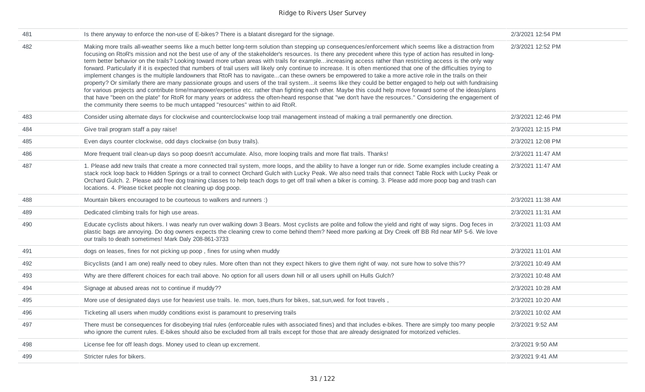| 481 | Is there anyway to enforce the non-use of E-bikes? There is a blatant disregard for the signage.                                                                                                                                                                                                                                                                                                                                                                                                                                                                                                                                                                                                                                                                                                                                                                                                                                                                                                                                                                                                                                                                                                                                                                                                                                                                                                             | 2/3/2021 12:54 PM |
|-----|--------------------------------------------------------------------------------------------------------------------------------------------------------------------------------------------------------------------------------------------------------------------------------------------------------------------------------------------------------------------------------------------------------------------------------------------------------------------------------------------------------------------------------------------------------------------------------------------------------------------------------------------------------------------------------------------------------------------------------------------------------------------------------------------------------------------------------------------------------------------------------------------------------------------------------------------------------------------------------------------------------------------------------------------------------------------------------------------------------------------------------------------------------------------------------------------------------------------------------------------------------------------------------------------------------------------------------------------------------------------------------------------------------------|-------------------|
| 482 | Making more trails all-weather seems like a much better long-term solution than stepping up consequences/enforcement which seems like a distraction from<br>focusing on RtoR's mission and not the best use of any of the stakeholder's resources. Is there any precedent where this type of action has resulted in long-<br>term better behavior on the trails? Looking toward more urban areas with trails for exampleincreasing access rather than restricting access is the only way<br>forward. Particularly if it is expected that numbers of trail users will likely only continue to increase. It is often mentioned that one of the difficulties trying to<br>implement changes is the multiple landowners that RtoR has to navigatecan these owners be empowered to take a more active role in the trails on their<br>property? Or similarly there are many passionate groups and users of the trail systemit seems like they could be better engaged to help out with fundraising<br>for various projects and contribute time/manpower/expertise etc. rather than fighting each other. Maybe this could help move forward some of the ideas/plans<br>that have "been on the plate" for RtoR for many years or address the often-heard response that "we don't have the resources." Considering the engagement of<br>the community there seems to be much untapped "resources" within to aid RtoR. | 2/3/2021 12:52 PM |
| 483 | Consider using alternate days for clockwise and counterclockwise loop trail management instead of making a trail permanently one direction.                                                                                                                                                                                                                                                                                                                                                                                                                                                                                                                                                                                                                                                                                                                                                                                                                                                                                                                                                                                                                                                                                                                                                                                                                                                                  | 2/3/2021 12:46 PM |
| 484 | Give trail program staff a pay raise!                                                                                                                                                                                                                                                                                                                                                                                                                                                                                                                                                                                                                                                                                                                                                                                                                                                                                                                                                                                                                                                                                                                                                                                                                                                                                                                                                                        | 2/3/2021 12:15 PM |
| 485 | Even days counter clockwise, odd days clockwise (on busy trails).                                                                                                                                                                                                                                                                                                                                                                                                                                                                                                                                                                                                                                                                                                                                                                                                                                                                                                                                                                                                                                                                                                                                                                                                                                                                                                                                            | 2/3/2021 12:08 PM |
| 486 | More frequent trail clean-up days so poop doesn't accumulate. Also, more looping trails and more flat trails. Thanks!                                                                                                                                                                                                                                                                                                                                                                                                                                                                                                                                                                                                                                                                                                                                                                                                                                                                                                                                                                                                                                                                                                                                                                                                                                                                                        | 2/3/2021 11:47 AM |
| 487 | 1. Please add new trails that create a more connected trail system, more loops, and the ability to have a longer run or ride. Some examples include creating a<br>stack rock loop back to Hidden Springs or a trail to connect Orchard Gulch with Lucky Peak. We also need trails that connect Table Rock with Lucky Peak or<br>Orchard Gulch. 2. Please add free dog training classes to help teach dogs to get off trail when a biker is coming. 3. Please add more poop bag and trash can<br>locations. 4. Please ticket people not cleaning up dog poop.                                                                                                                                                                                                                                                                                                                                                                                                                                                                                                                                                                                                                                                                                                                                                                                                                                                 | 2/3/2021 11:47 AM |
| 488 | Mountain bikers encouraged to be courteous to walkers and runners :)                                                                                                                                                                                                                                                                                                                                                                                                                                                                                                                                                                                                                                                                                                                                                                                                                                                                                                                                                                                                                                                                                                                                                                                                                                                                                                                                         | 2/3/2021 11:38 AM |
| 489 | Dedicated climbing trails for high use areas.                                                                                                                                                                                                                                                                                                                                                                                                                                                                                                                                                                                                                                                                                                                                                                                                                                                                                                                                                                                                                                                                                                                                                                                                                                                                                                                                                                | 2/3/2021 11:31 AM |
| 490 | Educate cyclists about hikers. I was nearly run over walking down 3 Bears. Most cyclists are polite and follow the yield and right of way signs. Dog feces in<br>plastic bags are annoying. Do dog owners expects the cleaning crew to come behind them? Need more parking at Dry Creek off BB Rd near MP 5-6. We love<br>our trails to death sometimes! Mark Daly 208-861-3733                                                                                                                                                                                                                                                                                                                                                                                                                                                                                                                                                                                                                                                                                                                                                                                                                                                                                                                                                                                                                              | 2/3/2021 11:03 AM |
| 491 | dogs on leases, fines for not picking up poop, fines for using when muddy                                                                                                                                                                                                                                                                                                                                                                                                                                                                                                                                                                                                                                                                                                                                                                                                                                                                                                                                                                                                                                                                                                                                                                                                                                                                                                                                    | 2/3/2021 11:01 AM |
| 492 | Bicyclists (and I am one) really need to obey rules. More often than not they expect hikers to give them right of way, not sure how to solve this??                                                                                                                                                                                                                                                                                                                                                                                                                                                                                                                                                                                                                                                                                                                                                                                                                                                                                                                                                                                                                                                                                                                                                                                                                                                          | 2/3/2021 10:49 AM |
| 493 | Why are there different choices for each trail above. No option for all users down hill or all users uphill on Hulls Gulch?                                                                                                                                                                                                                                                                                                                                                                                                                                                                                                                                                                                                                                                                                                                                                                                                                                                                                                                                                                                                                                                                                                                                                                                                                                                                                  | 2/3/2021 10:48 AM |
| 494 | Signage at abused areas not to continue if muddy??                                                                                                                                                                                                                                                                                                                                                                                                                                                                                                                                                                                                                                                                                                                                                                                                                                                                                                                                                                                                                                                                                                                                                                                                                                                                                                                                                           | 2/3/2021 10:28 AM |
| 495 | More use of designated days use for heaviest use trails. Ie. mon, tues, thurs for bikes, sat, sun, wed. for foot travels,                                                                                                                                                                                                                                                                                                                                                                                                                                                                                                                                                                                                                                                                                                                                                                                                                                                                                                                                                                                                                                                                                                                                                                                                                                                                                    | 2/3/2021 10:20 AM |
| 496 | Ticketing all users when muddy conditions exist is paramount to preserving trails                                                                                                                                                                                                                                                                                                                                                                                                                                                                                                                                                                                                                                                                                                                                                                                                                                                                                                                                                                                                                                                                                                                                                                                                                                                                                                                            | 2/3/2021 10:02 AM |
| 497 | There must be consequences for disobeying trial rules (enforceable rules with associated fines) and that includes e-bikes. There are simply too many people<br>who ignore the current rules. E-bikes should also be excluded from all trails except for those that are already designated for motorized vehicles.                                                                                                                                                                                                                                                                                                                                                                                                                                                                                                                                                                                                                                                                                                                                                                                                                                                                                                                                                                                                                                                                                            | 2/3/2021 9:52 AM  |
| 498 | License fee for off leash dogs. Money used to clean up excrement.                                                                                                                                                                                                                                                                                                                                                                                                                                                                                                                                                                                                                                                                                                                                                                                                                                                                                                                                                                                                                                                                                                                                                                                                                                                                                                                                            | 2/3/2021 9:50 AM  |
| 499 | Stricter rules for bikers.                                                                                                                                                                                                                                                                                                                                                                                                                                                                                                                                                                                                                                                                                                                                                                                                                                                                                                                                                                                                                                                                                                                                                                                                                                                                                                                                                                                   | 2/3/2021 9:41 AM  |
|     |                                                                                                                                                                                                                                                                                                                                                                                                                                                                                                                                                                                                                                                                                                                                                                                                                                                                                                                                                                                                                                                                                                                                                                                                                                                                                                                                                                                                              |                   |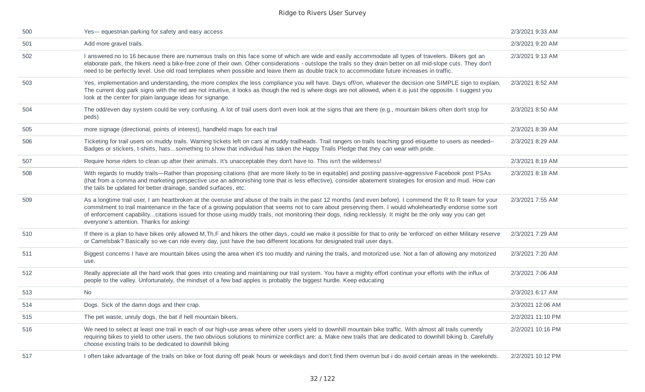| 500 | Yes--- equestrian parking for safety and easy access                                                                                                                                                                                                                                                                                                                                                                                                                                                                                  | 2/3/2021 9:33 AM  |
|-----|---------------------------------------------------------------------------------------------------------------------------------------------------------------------------------------------------------------------------------------------------------------------------------------------------------------------------------------------------------------------------------------------------------------------------------------------------------------------------------------------------------------------------------------|-------------------|
| 501 | Add more gravel trails.                                                                                                                                                                                                                                                                                                                                                                                                                                                                                                               | 2/3/2021 9:20 AM  |
| 502 | I answered no to 16 because there are numerous trails on this face some of which are wide and easily accommodate all types of travelers. Bikers got an<br>elaborate park, the hikers need a bike-free zone of their own. Other considerations - outslope the trails so they drain better on all mid-slope cuts. They don't<br>need to be perfectly level. Use old road templates when possible and leave them as double track to accommodate future increases in traffic.                                                             | 2/3/2021 9:13 AM  |
| 503 | Yes, implementation and understanding, the more complex the less compliance you will have. Days off/on, whatever the decision one SIMPLE sign to explain.<br>The current dog park signs with the red are not intuitive, it looks as though the red is where dogs are not allowed, when it is just the opposite. I suggest you<br>look at the center for plain language ideas for signange.                                                                                                                                            | 2/3/2021 8:52 AM  |
| 504 | The odd/even day system could be very confusing. A lot of trail users don't even look at the signs that are there (e.g., mountain bikers often don't stop for<br>peds)                                                                                                                                                                                                                                                                                                                                                                | 2/3/2021 8:50 AM  |
| 505 | more signage (directional, points of interest), handheld maps for each trail                                                                                                                                                                                                                                                                                                                                                                                                                                                          | 2/3/2021 8:39 AM  |
| 506 | Ticketing for trail users on muddy trails. Warning tickets left on cars at muddy trailheads. Trail rangers on trails teaching good etiquette to users as needed--<br>Badges or stickers, t-shirts, hatssomething to show that individual has taken the Happy Trails Pledge that they can wear with pride.                                                                                                                                                                                                                             | 2/3/2021 8:29 AM  |
| 507 | Require horse riders to clean up after their animals. It's unacceptable they don't have to. This isn't the wilderness!                                                                                                                                                                                                                                                                                                                                                                                                                | 2/3/2021 8:19 AM  |
| 508 | With regards to muddy trails—Rather than proposing citations (that are more likely to be in equitable) and posting passive-aggressive Facebook post PSAs<br>(that from a comma and marketing perspective use an admonishing tone that is less effective), consider abatement strategies for erosion and mud. How can<br>the tails be updated for better drainage, sanded surfaces, etc.                                                                                                                                               | 2/3/2021 8:18 AM  |
| 509 | As a longtime trail user, I am heartbroken at the overuse and abuse of the trails in the past 12 months (and even before). I commend the R to R team for your<br>commitment to trail maintenance in the face of a growing population that seems not to care about preserving them. I would wholeheartedly endorse some sort<br>of enforcement capabilitycitations issued for those using muddy trails, not monitoring their dogs, riding recklessly. It might be the only way you can get<br>everyone's attention. Thanks for asking! | 2/3/2021 7:55 AM  |
| 510 | If there is a plan to have bikes only allowed M, Th, F and hikers the other days, could we make it possible for that to only be 'enforced' on either Military reserve<br>or Camelsbak? Basically so we can ride every day, just have the two different locations for designated trail user days.                                                                                                                                                                                                                                      | 2/3/2021 7:29 AM  |
| 511 | Biggest concerns I have are mountain bikes using the area when it's too muddy and ruining the trails, and motorized use. Not a fan of allowing any motorized<br>use.                                                                                                                                                                                                                                                                                                                                                                  | 2/3/2021 7:20 AM  |
| 512 | Really appreciate all the hard work that goes into creating and maintaining our trail system. You have a mighty effort continue your efforts with the influx of<br>people to the valley. Unfortunately, the mindset of a few bad apples is probably the biggest hurdle. Keep educating                                                                                                                                                                                                                                                | 2/3/2021 7:06 AM  |
| 513 | No                                                                                                                                                                                                                                                                                                                                                                                                                                                                                                                                    | 2/3/2021 6:17 AM  |
| 514 | Dogs. Sick of the damn dogs and their crap.                                                                                                                                                                                                                                                                                                                                                                                                                                                                                           | 2/3/2021 12:06 AM |
| 515 | The pet waste, unruly dogs, the bat if hell mountain bikers.                                                                                                                                                                                                                                                                                                                                                                                                                                                                          | 2/2/2021 11:10 PM |
| 516 | We need to select at least one trail in each of our high-use areas where other users yield to downhill mountain bike traffic. With almost all trails currently<br>requiring bikes to yield to other users, the two obvious solutions to minimize conflict are: a. Make new trails that are dedicated to downhill biking b. Carefully<br>choose existing trails to be dedicated to downhill biking                                                                                                                                     | 2/2/2021 10:16 PM |
| 517 | I often take advantage of the trails on bike or foot during off peak hours or weekdays and don't find them overrun but i do avoid certain areas in the weekends.                                                                                                                                                                                                                                                                                                                                                                      | 2/2/2021 10:12 PM |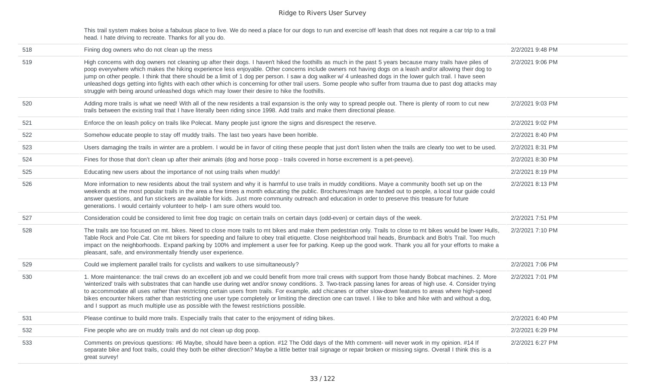This trail system makes boise a fabulous place to live. We do need a place for our dogs to run and exercise off leash that does not require a car trip to a trail head. I hate driving to recreate. Thanks for all you do.

| 518 | Fining dog owners who do not clean up the mess                                                                                                                                                                                                                                                                                                                                                                                                                                                                                                                                                                                                                                                                                                             | 2/2/2021 9:48 PM |
|-----|------------------------------------------------------------------------------------------------------------------------------------------------------------------------------------------------------------------------------------------------------------------------------------------------------------------------------------------------------------------------------------------------------------------------------------------------------------------------------------------------------------------------------------------------------------------------------------------------------------------------------------------------------------------------------------------------------------------------------------------------------------|------------------|
| 519 | High concerns with dog owners not cleaning up after their dogs. I haven't hiked the foothills as much in the past 5 years because many trails have piles of<br>poop everywhere which makes the hiking experience less enjoyable. Other concerns include owners not having dogs on a leash and/or allowing their dog to<br>jump on other people. I think that there should be a limit of 1 dog per person. I saw a dog walker w/ 4 unleashed dogs in the lower gulch trail. I have seen<br>unleashed dogs getting into fights with each other which is concerning for other trail users. Some people who suffer from trauma due to past dog attacks may<br>struggle with being around unleashed dogs which may lower their desire to hike the foothills.    | 2/2/2021 9:06 PM |
| 520 | Adding more trails is what we need! With all of the new residents a trail expansion is the only way to spread people out. There is plenty of room to cut new<br>trails between the existing trail that I have literally been riding since 1998. Add trails and make them directional please.                                                                                                                                                                                                                                                                                                                                                                                                                                                               | 2/2/2021 9:03 PM |
| 521 | Enforce the on leash policy on trails like Polecat. Many people just ignore the signs and disrespect the reserve.                                                                                                                                                                                                                                                                                                                                                                                                                                                                                                                                                                                                                                          | 2/2/2021 9:02 PM |
| 522 | Somehow educate people to stay off muddy trails. The last two years have been horrible.                                                                                                                                                                                                                                                                                                                                                                                                                                                                                                                                                                                                                                                                    | 2/2/2021 8:40 PM |
| 523 | Users damaging the trails in winter are a problem. I would be in favor of citing these people that just don't listen when the trails are clearly too wet to be used.                                                                                                                                                                                                                                                                                                                                                                                                                                                                                                                                                                                       | 2/2/2021 8:31 PM |
| 524 | Fines for those that don't clean up after their animals (dog and horse poop - trails covered in horse excrement is a pet-peeve).                                                                                                                                                                                                                                                                                                                                                                                                                                                                                                                                                                                                                           | 2/2/2021 8:30 PM |
| 525 | Educating new users about the importance of not using trails when muddy!                                                                                                                                                                                                                                                                                                                                                                                                                                                                                                                                                                                                                                                                                   | 2/2/2021 8:19 PM |
| 526 | More information to new residents about the trail system and why it is harmful to use trails in muddy conditions. Maye a community booth set up on the<br>weekends at the most popular trails in the area a few times a month educating the public. Brochures/maps are handed out to people, a local tour guide could<br>answer questions, and fun stickers are available for kids. Just more community outreach and education in order to preserve this treasure for future<br>generations. I would certainly volunteer to help- I am sure others would too.                                                                                                                                                                                              | 2/2/2021 8:13 PM |
| 527 | Consideration could be considered to limit free dog tragic on certain trails on certain days (odd-even) or certain days of the week.                                                                                                                                                                                                                                                                                                                                                                                                                                                                                                                                                                                                                       | 2/2/2021 7:51 PM |
| 528 | The trails are too focused on mt. bikes. Need to close more trails to mt bikes and make them pedestrian only. Trails to close to mt bikes would be lower Hulls,<br>Table Rock and Pole Cat. Cite mt bikers for speeding and failure to obey trail etiquette. Close neighborhood trail heads, Brumback and Bob's Trail. Too much<br>impact on the neighborhoods. Expand parking by 100% and implement a user fee for parking. Keep up the good work. Thank you all for your efforts to make a<br>pleasant, safe, and environmentally friendly user experience.                                                                                                                                                                                              | 2/2/2021 7:10 PM |
| 529 | Could we implement parallel trails for cyclists and walkers to use simultaneously?                                                                                                                                                                                                                                                                                                                                                                                                                                                                                                                                                                                                                                                                         | 2/2/2021 7:06 PM |
| 530 | 1. More maintenance: the trail crews do an excellent job and we could benefit from more trail crews with support from those handy Bobcat machines. 2. More<br>'winterized' trails with substrates that can handle use during wet and/or snowy conditions. 3. Two-track passing lanes for areas of high use. 4. Consider trying<br>to accommodate all uses rather than restricting certain users from trails. For example, add chicanes or other slow-down features to areas where high-speed<br>bikes encounter hikers rather than restricting one user type completely or limiting the direction one can travel. I like to bike and hike with and without a dog,<br>and I support as much multiple use as possible with the fewest restrictions possible. | 2/2/2021 7:01 PM |
| 531 | Please continue to build more trails. Especially trails that cater to the enjoyment of riding bikes.                                                                                                                                                                                                                                                                                                                                                                                                                                                                                                                                                                                                                                                       | 2/2/2021 6:40 PM |
| 532 | Fine people who are on muddy trails and do not clean up dog poop.                                                                                                                                                                                                                                                                                                                                                                                                                                                                                                                                                                                                                                                                                          | 2/2/2021 6:29 PM |
| 533 | Comments on previous questions: #6 Maybe, should have been a option. #12 The Odd days of the Mth comment- will never work in my opinion. #14 If<br>separate bike and foot trails, could they both be either direction? Maybe a little better trail signage or repair broken or missing signs. Overall I think this is a<br>great survey!                                                                                                                                                                                                                                                                                                                                                                                                                   | 2/2/2021 6:27 PM |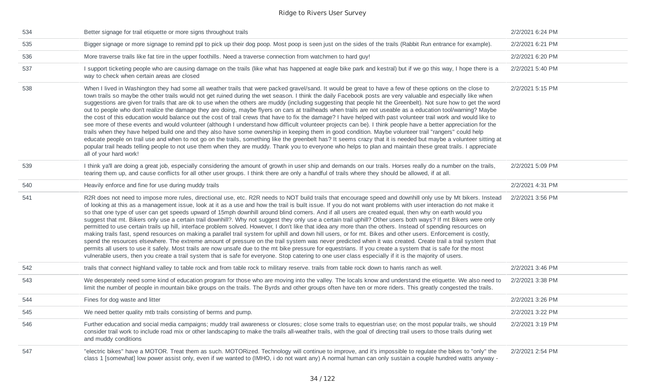| 534 | Better signage for trail etiquette or more signs throughout trails                                                                                                                                                                                                                                                                                                                                                                                                                                                                                                                                                                                                                                                                                                                                                                                                                                                                                                                                                                                                                                                                                                                                                                                                                                                                                                                                                                                                                                                               | 2/2/2021 6:24 PM |
|-----|----------------------------------------------------------------------------------------------------------------------------------------------------------------------------------------------------------------------------------------------------------------------------------------------------------------------------------------------------------------------------------------------------------------------------------------------------------------------------------------------------------------------------------------------------------------------------------------------------------------------------------------------------------------------------------------------------------------------------------------------------------------------------------------------------------------------------------------------------------------------------------------------------------------------------------------------------------------------------------------------------------------------------------------------------------------------------------------------------------------------------------------------------------------------------------------------------------------------------------------------------------------------------------------------------------------------------------------------------------------------------------------------------------------------------------------------------------------------------------------------------------------------------------|------------------|
| 535 | Bigger signage or more signage to remind ppl to pick up their dog poop. Most poop is seen just on the sides of the trails (Rabbit Run entrance for example).                                                                                                                                                                                                                                                                                                                                                                                                                                                                                                                                                                                                                                                                                                                                                                                                                                                                                                                                                                                                                                                                                                                                                                                                                                                                                                                                                                     | 2/2/2021 6:21 PM |
| 536 | More traverse trails like fat tire in the upper foothills. Need a traverse connection from watchmen to hard guy!                                                                                                                                                                                                                                                                                                                                                                                                                                                                                                                                                                                                                                                                                                                                                                                                                                                                                                                                                                                                                                                                                                                                                                                                                                                                                                                                                                                                                 | 2/2/2021 6:20 PM |
| 537 | I support ticketing people who are causing damage on the trails (like what has happened at eagle bike park and kestral) but if we go this way, I hope there is a<br>way to check when certain areas are closed                                                                                                                                                                                                                                                                                                                                                                                                                                                                                                                                                                                                                                                                                                                                                                                                                                                                                                                                                                                                                                                                                                                                                                                                                                                                                                                   | 2/2/2021 5:40 PM |
| 538 | When I lived in Washington they had some all weather trails that were packed gravel/sand. It would be great to have a few of these options on the close to<br>town trails so maybe the other trails would not get ruined during the wet season. I think the daily Facebook posts are very valuable and especially like when<br>suggestions are given for trails that are ok to use when the others are muddy (including suggesting that people hit the Greenbelt). Not sure how to get the word<br>out to people who don't realize the damage they are doing, maybe flyers on cars at trailheads when trails are not useable as a education tool/warning? Maybe<br>the cost of this education would balance out the cost of trail crews that have to fix the damage? I have helped with past volunteer trail work and would like to<br>see more of these events and would volunteer (although I understand how difficult volunteer projects can be). I think people have a better appreciation for the<br>trails when they have helped build one and they also have some ownership in keeping them in good condition. Maybe volunteer trail "rangers" could help<br>educate people on trail use and when to not go on the trails, something like the greenbelt has? It seems crazy that it is needed but maybe a volunteer sitting at<br>popular trail heads telling people to not use them when they are muddy. Thank you to everyone who helps to plan and maintain these great trails. I appreciate<br>all of your hard work! | 2/2/2021 5:15 PM |
| 539 | I think ya'll are doing a great job, especially considering the amount of growth in user ship and demands on our trails. Horses really do a number on the trails,<br>tearing them up, and cause conflicts for all other user groups. I think there are only a handful of trails where they should be allowed, if at all.                                                                                                                                                                                                                                                                                                                                                                                                                                                                                                                                                                                                                                                                                                                                                                                                                                                                                                                                                                                                                                                                                                                                                                                                         | 2/2/2021 5:09 PM |
| 540 | Heavily enforce and fine for use during muddy trails                                                                                                                                                                                                                                                                                                                                                                                                                                                                                                                                                                                                                                                                                                                                                                                                                                                                                                                                                                                                                                                                                                                                                                                                                                                                                                                                                                                                                                                                             | 2/2/2021 4:31 PM |
| 541 | R2R does not need to impose more rules, directional use, etc. R2R needs to NOT build trails that encourage speed and downhill only use by Mt bikers. Instead<br>of looking at this as a management issue, look at it as a use and how the trail is built issue. If you do not want problems with user interaction do not make it<br>so that one type of user can get speeds upward of 15mph downhill around blind corners. And if all users are created equal, then why on earth would you<br>suggest that mt. Bikers only use a certain trail downhill?. Why not suggest they only use a certain trail uphill? Other users both ways? If mt Bikers were only<br>permitted to use certain trails up hill, interface problem solved. However, I don't like that idea any more than the others. Instead of spending resources on<br>making trails fast, spend resources on making a parallel trail system for uphill and down hill users, or for mt. Bikes and other users. Enforcement is costly,<br>spend the resources elsewhere. The extreme amount of pressure on the trail system was never predicted when it was created. Create trail a trail system that<br>permits all users to use it safely. Most trails are now unsafe due to the mt bike pressure for equestrians. If you create a system that is safe for the most<br>vulnerable users, then you create a trail system that is safe for everyone. Stop catering to one user class especially if it is the majority of users.                                        | 2/2/2021 3:56 PM |
| 542 | trails that connect highland valley to table rock and from table rock to military reserve. trails from table rock down to harris ranch as well.                                                                                                                                                                                                                                                                                                                                                                                                                                                                                                                                                                                                                                                                                                                                                                                                                                                                                                                                                                                                                                                                                                                                                                                                                                                                                                                                                                                  | 2/2/2021 3:46 PM |
| 543 | We desperately need some kind of education program for those who are moving into the valley. The locals know and understand the etiquette. We also need to<br>limit the number of people in mountain bike groups on the trails. The Byrds and other groups often have ten or more riders. This greatly congested the trails.                                                                                                                                                                                                                                                                                                                                                                                                                                                                                                                                                                                                                                                                                                                                                                                                                                                                                                                                                                                                                                                                                                                                                                                                     | 2/2/2021 3:38 PM |
| 544 | Fines for dog waste and litter                                                                                                                                                                                                                                                                                                                                                                                                                                                                                                                                                                                                                                                                                                                                                                                                                                                                                                                                                                                                                                                                                                                                                                                                                                                                                                                                                                                                                                                                                                   | 2/2/2021 3:26 PM |
| 545 | We need better quality mtb trails consisting of berms and pump.                                                                                                                                                                                                                                                                                                                                                                                                                                                                                                                                                                                                                                                                                                                                                                                                                                                                                                                                                                                                                                                                                                                                                                                                                                                                                                                                                                                                                                                                  | 2/2/2021 3:22 PM |
| 546 | Further education and social media campaigns; muddy trail awareness or closures; close some trails to equestrian use; on the most popular trails, we should<br>consider trail work to include road mix or other landscaping to make the trails all-weather trails, with the goal of directing trail users to those trails during wet<br>and muddy conditions                                                                                                                                                                                                                                                                                                                                                                                                                                                                                                                                                                                                                                                                                                                                                                                                                                                                                                                                                                                                                                                                                                                                                                     | 2/2/2021 3:19 PM |
| 547 | "electric bikes" have a MOTOR. Treat them as such. MOTORized. Technology will continue to improve, and it's impossible to regulate the bikes to "only" the<br>class 1 [somewhat] low power assist only, even if we wanted to (IMHO, i do not want any) A normal human can only sustain a couple hundred watts anyway -                                                                                                                                                                                                                                                                                                                                                                                                                                                                                                                                                                                                                                                                                                                                                                                                                                                                                                                                                                                                                                                                                                                                                                                                           | 2/2/2021 2:54 PM |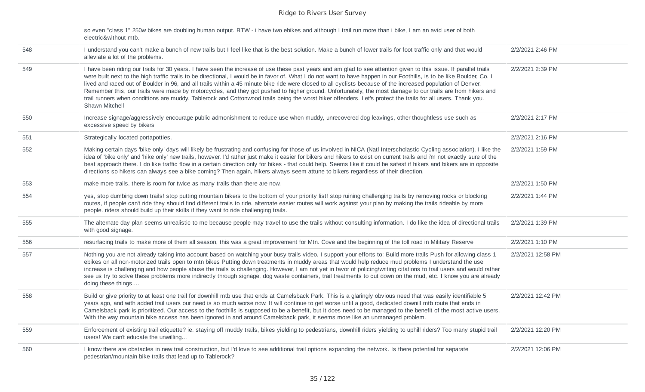| electric&without mtb. | so even "class 1" 250w bikes are doubling human output. BTW - i have two ebikes and although I trail run more than i bike, I am an avid user of both |
|-----------------------|------------------------------------------------------------------------------------------------------------------------------------------------------|
|-----------------------|------------------------------------------------------------------------------------------------------------------------------------------------------|

| 548 | I understand you can't make a bunch of new trails but I feel like that is the best solution. Make a bunch of lower trails for foot traffic only and that would<br>alleviate a lot of the problems.                                                                                                                                                                                                                                                                                                                                                                                                                                                                                                                                                                                                                                                          | 2/2/2021 2:46 PM  |
|-----|-------------------------------------------------------------------------------------------------------------------------------------------------------------------------------------------------------------------------------------------------------------------------------------------------------------------------------------------------------------------------------------------------------------------------------------------------------------------------------------------------------------------------------------------------------------------------------------------------------------------------------------------------------------------------------------------------------------------------------------------------------------------------------------------------------------------------------------------------------------|-------------------|
| 549 | I have been riding our trails for 30 years. I have seen the increase of use these past years and am glad to see attention given to this issue. If parallel trails<br>were built next to the high traffic trails to be directional, I would be in favor of. What I do not want to have happen in our Foothills, is to be like Boulder, Co. I<br>lived and raced out of Boulder in 96, and all trails within a 45 minute bike ride were closed to all cyclists because of the increased population of Denver.<br>Remember this, our trails were made by motorcycles, and they got pushed to higher ground. Unfortunately, the most damage to our trails are from hikers and<br>trail runners when conditions are muddy. Tablerock and Cottonwood trails being the worst hiker offenders. Let's protect the trails for all users. Thank you.<br>Shawn Mitchell | 2/2/2021 2:39 PM  |
| 550 | Increase signage/aggressively encourage public admonishment to reduce use when muddy, unrecovered dog leavings, other thoughtless use such as<br>excessive speed by bikers                                                                                                                                                                                                                                                                                                                                                                                                                                                                                                                                                                                                                                                                                  | 2/2/2021 2:17 PM  |
| 551 | Strategically located portapotties.                                                                                                                                                                                                                                                                                                                                                                                                                                                                                                                                                                                                                                                                                                                                                                                                                         | 2/2/2021 2:16 PM  |
| 552 | Making certain days 'bike only' days will likely be frustrating and confusing for those of us involved in NICA (Natl Interscholastic Cycling association). I like the<br>idea of 'bike only' and 'hike only' new trails, however. I'd rather just make it easier for bikers and hikers to exist on current trails and i'm not exactly sure of the<br>best approach there. I do like traffic flow in a certain direction only for bikes - that could help. Seems like it could be safest if hikers and bikers are in opposite<br>directions so hikers can always see a bike coming? Then again, hikers always seem attune to bikers regardless of their direction.                                                                                                                                                                                           | 2/2/2021 1:59 PM  |
| 553 | make more trails. there is room for twice as many trails than there are now.                                                                                                                                                                                                                                                                                                                                                                                                                                                                                                                                                                                                                                                                                                                                                                                | 2/2/2021 1:50 PM  |
| 554 | yes, stop dumbing down trails! stop putting mountain bikers to the bottom of your priority list! stop ruining challenging trails by removing rocks or blocking<br>routes, if people can't ride they should find different trails to ride. alternate easier routes will work against your plan by making the trails rideable by more<br>people, riders should build up their skills if they want to ride challenging trails.                                                                                                                                                                                                                                                                                                                                                                                                                                 | 2/2/2021 1:44 PM  |
| 555 | The alternate day plan seems unrealistic to me because people may travel to use the trails without consulting information. I do like the idea of directional trails<br>with good signage.                                                                                                                                                                                                                                                                                                                                                                                                                                                                                                                                                                                                                                                                   | 2/2/2021 1:39 PM  |
| 556 | resurfacing trails to make more of them all season, this was a great improvement for Mtn. Cove and the beginning of the toll road in Military Reserve                                                                                                                                                                                                                                                                                                                                                                                                                                                                                                                                                                                                                                                                                                       | 2/2/2021 1:10 PM  |
| 557 | Nothing you are not already taking into account based on watching your busy trails video. I support your efforts to: Build more trails Push for allowing class 1<br>ebikes on all non-motorized trails open to mtn bikes Putting down treatments in muddy areas that would help reduce mud problems I understand the use<br>increase is challenging and how people abuse the trails is challenging. However, I am not yet in favor of policing/writing citations to trail users and would rather<br>see us try to solve these problems more indirectly through signage, dog waste containers, trail treatments to cut down on the mud, etc. I know you are already<br>doing these things                                                                                                                                                                    | 2/2/2021 12:58 PM |
| 558 | Build or give priority to at least one trail for downhill mtb use that ends at Camelsback Park. This is a glaringly obvious need that was easily identifiable 5<br>years ago, and with added trail users our need is so much worse now. It will continue to get worse until a good, dedicated downill mtb route that ends in<br>Camelsback park is prioritized. Our access to the foothills is supposed to be a benefit, but it does need to be managed to the benefit of the most active users.<br>With the way mountain bike access has been ignored in and around Camelsback park, it seems more like an unmanaged problem.                                                                                                                                                                                                                              | 2/2/2021 12:42 PM |
| 559 | Enforcement of existing trail etiquette? ie. staying off muddy trails, bikes yielding to pedestrians, downhill riders yielding to uphill riders? Too many stupid trail<br>users! We can't educate the unwilling                                                                                                                                                                                                                                                                                                                                                                                                                                                                                                                                                                                                                                             | 2/2/2021 12:20 PM |
| 560 | I know there are obstacles in new trail construction, but I'd love to see additional trail options expanding the network. Is there potential for separate<br>pedestrian/mountain bike trails that lead up to Tablerock?                                                                                                                                                                                                                                                                                                                                                                                                                                                                                                                                                                                                                                     | 2/2/2021 12:06 PM |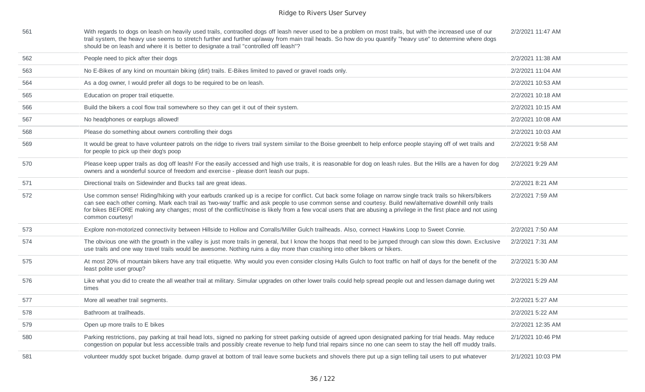| 561 | With regards to dogs on leash on heavily used trails, contraolled dogs off leash never used to be a problem on most trails, but with the increased use of our<br>trail system, the heavy use seems to stretch further and further up/away from main trail heads. So how do you quantify "heavy use" to determine where dogs<br>should be on leash and where it is better to designate a trail "controlled off leash"?                                                                                            | 2/2/2021 11:47 AM |
|-----|------------------------------------------------------------------------------------------------------------------------------------------------------------------------------------------------------------------------------------------------------------------------------------------------------------------------------------------------------------------------------------------------------------------------------------------------------------------------------------------------------------------|-------------------|
| 562 | People need to pick after their dogs                                                                                                                                                                                                                                                                                                                                                                                                                                                                             | 2/2/2021 11:38 AM |
| 563 | No E-Bikes of any kind on mountain biking (dirt) trails. E-Bikes limited to paved or gravel roads only.                                                                                                                                                                                                                                                                                                                                                                                                          | 2/2/2021 11:04 AM |
| 564 | As a dog owner, I would prefer all dogs to be required to be on leash.                                                                                                                                                                                                                                                                                                                                                                                                                                           | 2/2/2021 10:53 AM |
| 565 | Education on proper trail etiquette.                                                                                                                                                                                                                                                                                                                                                                                                                                                                             | 2/2/2021 10:18 AM |
| 566 | Build the bikers a cool flow trail somewhere so they can get it out of their system.                                                                                                                                                                                                                                                                                                                                                                                                                             | 2/2/2021 10:15 AM |
| 567 | No headphones or earplugs allowed!                                                                                                                                                                                                                                                                                                                                                                                                                                                                               | 2/2/2021 10:08 AM |
| 568 | Please do something about owners controlling their dogs                                                                                                                                                                                                                                                                                                                                                                                                                                                          | 2/2/2021 10:03 AM |
| 569 | It would be great to have volunteer patrols on the ridge to rivers trail system similar to the Boise greenbelt to help enforce people staying off of wet trails and<br>for people to pick up their dog's poop                                                                                                                                                                                                                                                                                                    | 2/2/2021 9:58 AM  |
| 570 | Please keep upper trails as dog off leash! For the easily accessed and high use trails, it is reasonable for dog on leash rules. But the Hills are a haven for dog<br>owners and a wonderful source of freedom and exercise - please don't leash our pups.                                                                                                                                                                                                                                                       | 2/2/2021 9:29 AM  |
| 571 | Directional trails on Sidewinder and Bucks tail are great ideas.                                                                                                                                                                                                                                                                                                                                                                                                                                                 | 2/2/2021 8:21 AM  |
| 572 | Use common sense! Riding/hiking with your earbuds cranked up is a recipe for conflict. Cut back some foliage on narrow single track trails so hikers/bikers<br>can see each other coming. Mark each trail as 'two-way' traffic and ask people to use common sense and courtesy. Build new/alternative downhill only trails<br>for bikes BEFORE making any changes; most of the conflict/noise is likely from a few vocal users that are abusing a privilege in the first place and not using<br>common courtesy! | 2/2/2021 7:59 AM  |
| 573 | Explore non-motorized connectivity between Hillside to Hollow and Corralls/Miller Gulch trailheads. Also, connect Hawkins Loop to Sweet Connie.                                                                                                                                                                                                                                                                                                                                                                  | 2/2/2021 7:50 AM  |
| 574 | The obvious one with the growth in the valley is just more trails in general, but I know the hoops that need to be jumped through can slow this down. Exclusive<br>use trails and one way travel trails would be awesome. Nothing ruins a day more than crashing into other bikers or hikers.                                                                                                                                                                                                                    | 2/2/2021 7:31 AM  |
| 575 | At most 20% of mountain bikers have any trail etiquette. Why would you even consider closing Hulls Gulch to foot traffic on half of days for the benefit of the<br>least polite user group?                                                                                                                                                                                                                                                                                                                      | 2/2/2021 5:30 AM  |
| 576 | Like what you did to create the all weather trail at military. Simular upgrades on other lower trails could help spread people out and lessen damage during wet<br>times                                                                                                                                                                                                                                                                                                                                         | 2/2/2021 5:29 AM  |
| 577 | More all weather trail segments.                                                                                                                                                                                                                                                                                                                                                                                                                                                                                 | 2/2/2021 5:27 AM  |
| 578 | Bathroom at trailheads.                                                                                                                                                                                                                                                                                                                                                                                                                                                                                          | 2/2/2021 5:22 AM  |
| 579 | Open up more trails to E bikes                                                                                                                                                                                                                                                                                                                                                                                                                                                                                   | 2/2/2021 12:35 AM |
| 580 | Parking restrictions, pay parking at trail head lots, signed no parking for street parking outside of agreed upon designated parking for trial heads. May reduce<br>congestion on popular but less accessible trails and possibly create revenue to help fund trial repairs since no one can seem to stay the hell off muddy trails.                                                                                                                                                                             | 2/1/2021 10:46 PM |
| 581 | volunteer muddy spot bucket brigade. dump gravel at bottom of trail leave some buckets and shovels there put up a sign telling tail users to put whatever                                                                                                                                                                                                                                                                                                                                                        | 2/1/2021 10:03 PM |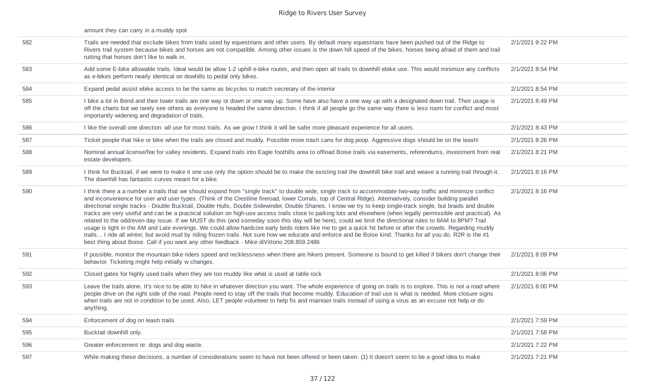|     | amount they can carry in a muddy spot                                                                                                                                                                                                                                                                                                                                                                                                                                                                                                                                                                                                                                                                                                                                                                                                                                                                                                                                                                                                                                                                                                                                                                                                                           |                  |
|-----|-----------------------------------------------------------------------------------------------------------------------------------------------------------------------------------------------------------------------------------------------------------------------------------------------------------------------------------------------------------------------------------------------------------------------------------------------------------------------------------------------------------------------------------------------------------------------------------------------------------------------------------------------------------------------------------------------------------------------------------------------------------------------------------------------------------------------------------------------------------------------------------------------------------------------------------------------------------------------------------------------------------------------------------------------------------------------------------------------------------------------------------------------------------------------------------------------------------------------------------------------------------------|------------------|
| 582 | Trails are needed that exclude bikes from trails used by equestrians and other users. By default many equestrians have been pushed out of the Ridge to<br>Rivers trail system because bikes and horses are not compatible. Among other issues is the down hill speed of the bikes, horses being afraid of them and trail<br>rutting that horses don't like to walk in.                                                                                                                                                                                                                                                                                                                                                                                                                                                                                                                                                                                                                                                                                                                                                                                                                                                                                          | 2/1/2021 9:22 PM |
| 583 | Add some E-bike allowable trails. Ideal would be allow 1-2 uphill e-bike routes, and then open all trails to downhill ebike use. This would minimize any conflicts<br>as e-bikes perform nearly identical on dowhills to pedal only bikes.                                                                                                                                                                                                                                                                                                                                                                                                                                                                                                                                                                                                                                                                                                                                                                                                                                                                                                                                                                                                                      | 2/1/2021 8:54 PM |
| 584 | Expand pedal assist ebike access to be the same as bicycles to match secretary of the interior                                                                                                                                                                                                                                                                                                                                                                                                                                                                                                                                                                                                                                                                                                                                                                                                                                                                                                                                                                                                                                                                                                                                                                  | 2/1/2021 8:54 PM |
| 585 | I bike a lot in Bend and their lower trails are one way or down or one way up. Some have also have a one way up with a designated down trail. Their usage is<br>off the charts but we rarely see others as everyone is headed the same direction. I think if all people go the same way there is less room for conflict and most<br>importantly widening and degradation of trails.                                                                                                                                                                                                                                                                                                                                                                                                                                                                                                                                                                                                                                                                                                                                                                                                                                                                             | 2/1/2021 8:49 PM |
| 586 | I like the overall one direction -all use for most trails. As we grow I think it will be safer more pleasant experience for all users.                                                                                                                                                                                                                                                                                                                                                                                                                                                                                                                                                                                                                                                                                                                                                                                                                                                                                                                                                                                                                                                                                                                          | 2/1/2021 8:43 PM |
| 587 | Ticket people that hike or bike when the trails are closed and muddy. Possible more trash cans for dog poop. Aggressive dogs should be on the leash!                                                                                                                                                                                                                                                                                                                                                                                                                                                                                                                                                                                                                                                                                                                                                                                                                                                                                                                                                                                                                                                                                                            | 2/1/2021 8:26 PM |
| 588 | Nominal annual license/fee for valley residents. Expand trails into Eagle foothills area to offload Boise trails via easements, referendums, investment from real<br>estate developers.                                                                                                                                                                                                                                                                                                                                                                                                                                                                                                                                                                                                                                                                                                                                                                                                                                                                                                                                                                                                                                                                         | 2/1/2021 8:21 PM |
| 589 | I think for Bucktail, if we were to make it one use only the option should be to make the existing trail the downhill bike trail and weave a running trail through it.<br>The downhill has fantastic curves meant for a bike.                                                                                                                                                                                                                                                                                                                                                                                                                                                                                                                                                                                                                                                                                                                                                                                                                                                                                                                                                                                                                                   | 2/1/2021 8:16 PM |
| 590 | I think there a a number a trails that we should expand from "single track" to double wide, single track to accommodate two-way traffic and minimize conflict<br>and inconvenience for user and user types. (Think of the Crestline fireroad, lower Corrals, top of Central Ridge). Alternatively, consider building parallel<br>directional single tracks - Double Bucktail, Double Hulls, Double Sidewinder, Double Shanes. I know we try to keep single-track single, but braids and double<br>tracks are very useful and can be a practical solution on high-use access trails close to parking lots and elsewhere (when legally permissible and practical). As<br>related to the odd/even day issue. If we MUST do this (and someday soon this day will be here), could we limit the directional rules to 8AM to 8PM? Trail<br>usage is light in the AM and Late evenings. We could allow hardcore early birds riders like me to get a quick hit before or after the crowds. Regarding muddy<br>trails I ride all winter, but avoid mud by riding frozen trails. Not sure how we educate and enforce and be Boise kind. Thanks for all you do. R2R is the #1<br>best thing about Boise. Call if you want any other feedback - Mike diVittorio 208.859.2486 | 2/1/2021 8:16 PM |
| 591 | If possible, monitor the mountain bike riders speed and recklessness when there are hikers present. Someone is bound to get killed if bikers don't change their<br>behavior. Ticketing might help initially w changes.                                                                                                                                                                                                                                                                                                                                                                                                                                                                                                                                                                                                                                                                                                                                                                                                                                                                                                                                                                                                                                          | 2/1/2021 8:09 PM |
| 592 | Closed gates for highly used trails when they are too muddy like what is used at table rock                                                                                                                                                                                                                                                                                                                                                                                                                                                                                                                                                                                                                                                                                                                                                                                                                                                                                                                                                                                                                                                                                                                                                                     | 2/1/2021 8:06 PM |
| 593 | Leave the trails alone. It's nice to be able to hike in whatever direction you want. The whole experience of going on trails is to explore. This is not a road where<br>people drive on the right side of the road. People need to stay off the trails that become muddy. Education of trail use is what is needed. More closure signs<br>when trails are not in condition to be used. Also, LET people volunteer to help fix and maintain trails instead of using a virus as an excuse not help or do<br>anything.                                                                                                                                                                                                                                                                                                                                                                                                                                                                                                                                                                                                                                                                                                                                             | 2/1/2021 8:00 PM |
| 594 | Enforcement of dog on leash trails                                                                                                                                                                                                                                                                                                                                                                                                                                                                                                                                                                                                                                                                                                                                                                                                                                                                                                                                                                                                                                                                                                                                                                                                                              | 2/1/2021 7:59 PM |
| 595 | Bucktail downhill only.                                                                                                                                                                                                                                                                                                                                                                                                                                                                                                                                                                                                                                                                                                                                                                                                                                                                                                                                                                                                                                                                                                                                                                                                                                         | 2/1/2021 7:58 PM |
| 596 | Greater enforcement re: dogs and dog waste.                                                                                                                                                                                                                                                                                                                                                                                                                                                                                                                                                                                                                                                                                                                                                                                                                                                                                                                                                                                                                                                                                                                                                                                                                     | 2/1/2021 7:22 PM |
| 597 | While making these decisions, a number of considerations seem to have not been offered or been taken. (1) It doesn't seem to be a good idea to make                                                                                                                                                                                                                                                                                                                                                                                                                                                                                                                                                                                                                                                                                                                                                                                                                                                                                                                                                                                                                                                                                                             | 2/1/2021 7:21 PM |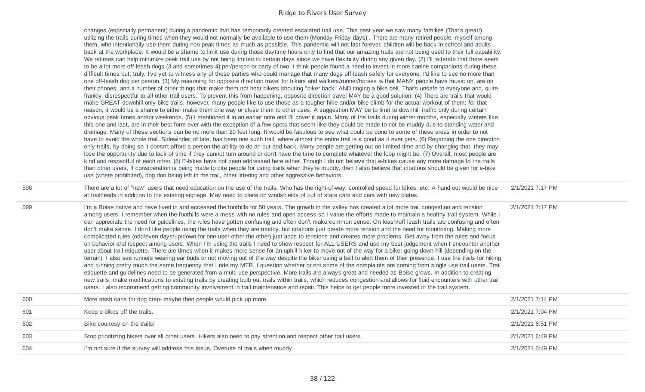|     | changes (especially permanent) during a pandemic that has temporarily created escalated trail use. This past year we saw many families (That's great!)<br>utilizing the trails during times when they would not normally be available to use them (Monday-Friday days). There are many retired people, myself among<br>them, who intentionally use them during non-peak times as much as possible. This pandemic will not last forever, children will be back in school and adults<br>back at the workplace. It would be a shame to limit use during those daytime hours only to find that our amazing trails are not being used to their full capability.<br>We retirees can help minimize peak trail use by not being limited to certain days since we have flexibility during any given day. (2) I'll reiterate that there seem<br>to be a lot more off-leash dogs (3 and sometimes 4) per/person or party of two. I think people found a need to invest in more canine companions during these<br>difficult times but, truly, I've yet to witness any of these parties who could manage that many dogs off-leash safely for everyone. I'd like to see no more than<br>one off-leash dog per person. (3) My reasoning for opposite direction travel for bikers and walkers/runner/horses is that MANY people have music on, are on<br>their phones, and a number of other things that make them not hear bikers shouting "biker back" AND ringing a bike bell. That's unsafe to everyone and, quite<br>frankly, disrespectful to all other trail users. To prevent this from happening, opposite direction travel MAY be a good solution. (4) There are trails that would<br>make GREAT downhill only bike trails, however, many people like to use those as a tougher hike and/or bike climb for the actual workout of them; for that<br>reason, it would be a shame to either make them one way or close them to other uses. A suggestion MAY be to limit to downhill traffic only during certain<br>obvious peak times and/or weekends. (5) I mentioned it in an earlier note and I'll cover it again. Many of the trails during winter months, especially winters like<br>this one and last, are in their best form ever with the exception of a few spots that seem like they could be made to not be muddy due to standing water and<br>drainage. Many of these sections can be no more than 20 feet long. It would be fabulous to see what could be done to some of these areas in order to not<br>have to avoid the whole trail. Sidewinder, of late, has been one such trail, where almost the entire trail is a good as it ever gets. (6) Regarding the one direction<br>only trails, by doing so it doesn't afford a person the ability to do an out-and-back. Many people are getting out on limited time and by changing that, they may<br>lose the opportunity due to lack of time if they cannot turn around or don't have the time to complete whatever the loop might be. (7) Overall, most people are<br>kind and respectful of each other. (8) E-bikes have not been addressed here either. Though I do not believe that e-bikes cause any more damage to the trails<br>than other users, if consideration is being made to cite people for using trails when they're muddy, then I also believe that citations should be given for e-bike<br>use (where prohibited), dog doo being left in the trail, other littering and other aggressive behaviors. |                  |
|-----|------------------------------------------------------------------------------------------------------------------------------------------------------------------------------------------------------------------------------------------------------------------------------------------------------------------------------------------------------------------------------------------------------------------------------------------------------------------------------------------------------------------------------------------------------------------------------------------------------------------------------------------------------------------------------------------------------------------------------------------------------------------------------------------------------------------------------------------------------------------------------------------------------------------------------------------------------------------------------------------------------------------------------------------------------------------------------------------------------------------------------------------------------------------------------------------------------------------------------------------------------------------------------------------------------------------------------------------------------------------------------------------------------------------------------------------------------------------------------------------------------------------------------------------------------------------------------------------------------------------------------------------------------------------------------------------------------------------------------------------------------------------------------------------------------------------------------------------------------------------------------------------------------------------------------------------------------------------------------------------------------------------------------------------------------------------------------------------------------------------------------------------------------------------------------------------------------------------------------------------------------------------------------------------------------------------------------------------------------------------------------------------------------------------------------------------------------------------------------------------------------------------------------------------------------------------------------------------------------------------------------------------------------------------------------------------------------------------------------------------------------------------------------------------------------------------------------------------------------------------------------------------------------------------------------------------------------------------------------------------------------------------------------------------------------------------------------------------------------------------------------------------------------------------------------------------------------------------------------------------------------------------------------------------------------------------------------------------------------------------------------------------------------------------------------------------------------------------------------|------------------|
| 598 | There are a lot of "new" users that need education on the use of the trails. Who has the right-of-way, controlled speed for bikes, etc. A hand out would be nice<br>at trailheads in addition to the existing signage. May need to place on windshields of out of state cars and cars with new plates.                                                                                                                                                                                                                                                                                                                                                                                                                                                                                                                                                                                                                                                                                                                                                                                                                                                                                                                                                                                                                                                                                                                                                                                                                                                                                                                                                                                                                                                                                                                                                                                                                                                                                                                                                                                                                                                                                                                                                                                                                                                                                                                                                                                                                                                                                                                                                                                                                                                                                                                                                                                                                                                                                                                                                                                                                                                                                                                                                                                                                                                                                                                                                                       | 2/1/2021 7:17 PM |
| 599 | I'm a Boise native and have lived in and accessed the foothills for 50 years. The growth in the valley has created a lot more trail congestion and tension<br>among users. I remember when the foothills were a mess with no rules and open access so I value the efforts made to maintain a healthy trail system. While I<br>can appreciate the need for quidelines, the rules have gotten confusing and often don't make common sense. On leash/off leash trails are confusing and often<br>don't make sense. I don't like people using the trails when they are muddy, but citations just create more tension and the need for monitoring. Making more<br>complicated rules (odd/even days/up/down for one user other the other) just adds to tensions and creates more problems. Get away from the rules and focus<br>on behavior and respect among users. When I'm using the trails I need to show respect for ALL USERS and use my best judgement when I encounter another<br>user about trail etiquette. There are times when it makes more sense for an uphill hiker to move out of the way for a biker going down hill (depending on the<br>terrain). I also see runners wearing ear buds or not moving out of the way despite the biker using a bell to alert them of their presence. I use the trails for hiking<br>and running pretty much the same frequency that I ride my MTB. I question whether or not some of the complaints are coming from single use trail users. Trail<br>etiquette and guidelines need to be generated from a multi use perspective. More trails are always great and needed as Boise grows. In addition to creating<br>new trails, make modifications to existing trails by creating bulb out trails within trails, which reduces congestion and allows for fluid encounters with other trail<br>users. I also recommend getting community involvement in trail maintenance and repair. This helps to get people more invested in the trail system.                                                                                                                                                                                                                                                                                                                                                                                                                                                                                                                                                                                                                                                                                                                                                                                                                                                                                                                                                                                                                                                                                                                                                                                                                                                                                                                                                                                                                                                                                  | 2/1/2021 7:17 PM |
| 600 | More trash cans for dog crap- maybe then people would pick up more.                                                                                                                                                                                                                                                                                                                                                                                                                                                                                                                                                                                                                                                                                                                                                                                                                                                                                                                                                                                                                                                                                                                                                                                                                                                                                                                                                                                                                                                                                                                                                                                                                                                                                                                                                                                                                                                                                                                                                                                                                                                                                                                                                                                                                                                                                                                                                                                                                                                                                                                                                                                                                                                                                                                                                                                                                                                                                                                                                                                                                                                                                                                                                                                                                                                                                                                                                                                                          | 2/1/2021 7:14 PM |
| 601 | Keep e-bikes off the trails.                                                                                                                                                                                                                                                                                                                                                                                                                                                                                                                                                                                                                                                                                                                                                                                                                                                                                                                                                                                                                                                                                                                                                                                                                                                                                                                                                                                                                                                                                                                                                                                                                                                                                                                                                                                                                                                                                                                                                                                                                                                                                                                                                                                                                                                                                                                                                                                                                                                                                                                                                                                                                                                                                                                                                                                                                                                                                                                                                                                                                                                                                                                                                                                                                                                                                                                                                                                                                                                 | 2/1/2021 7:04 PM |
| 602 | Bike courtesy on the trails!                                                                                                                                                                                                                                                                                                                                                                                                                                                                                                                                                                                                                                                                                                                                                                                                                                                                                                                                                                                                                                                                                                                                                                                                                                                                                                                                                                                                                                                                                                                                                                                                                                                                                                                                                                                                                                                                                                                                                                                                                                                                                                                                                                                                                                                                                                                                                                                                                                                                                                                                                                                                                                                                                                                                                                                                                                                                                                                                                                                                                                                                                                                                                                                                                                                                                                                                                                                                                                                 | 2/1/2021 6:51 PM |
| 603 | Stop prioritizing hikers over all other users. Hikers also need to pay attention and respect other trail users.                                                                                                                                                                                                                                                                                                                                                                                                                                                                                                                                                                                                                                                                                                                                                                                                                                                                                                                                                                                                                                                                                                                                                                                                                                                                                                                                                                                                                                                                                                                                                                                                                                                                                                                                                                                                                                                                                                                                                                                                                                                                                                                                                                                                                                                                                                                                                                                                                                                                                                                                                                                                                                                                                                                                                                                                                                                                                                                                                                                                                                                                                                                                                                                                                                                                                                                                                              | 2/1/2021 6:49 PM |
| 604 | I'm not sure if the survey will address this issue. Overuse of trails when muddy.                                                                                                                                                                                                                                                                                                                                                                                                                                                                                                                                                                                                                                                                                                                                                                                                                                                                                                                                                                                                                                                                                                                                                                                                                                                                                                                                                                                                                                                                                                                                                                                                                                                                                                                                                                                                                                                                                                                                                                                                                                                                                                                                                                                                                                                                                                                                                                                                                                                                                                                                                                                                                                                                                                                                                                                                                                                                                                                                                                                                                                                                                                                                                                                                                                                                                                                                                                                            | 2/1/2021 5:49 PM |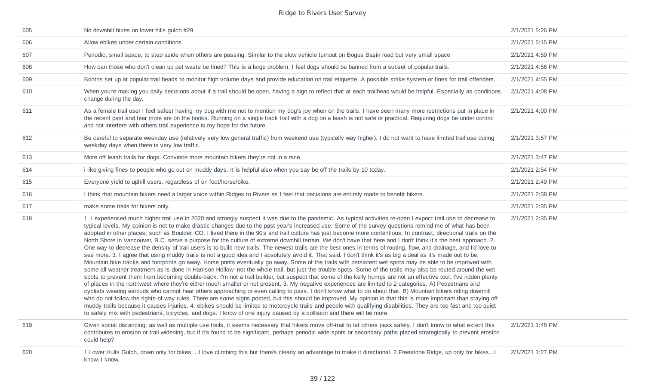| 605 | No downhill bikes on lower hills gulch #29                                                                                                                                                                                                                                                                                                                                                                                                                                                                                                                                                                                                                                                                                                                                                                                                                                                                                                                                                                                                                                                                                                                                                                                                                                                                                                                                                                                                                                                                                                                                                                                                                                                                                                                                                                                                                                                                                                                                                                                                                                                                                                                                                                                                                                                                       | 2/1/2021 5:26 PM |
|-----|------------------------------------------------------------------------------------------------------------------------------------------------------------------------------------------------------------------------------------------------------------------------------------------------------------------------------------------------------------------------------------------------------------------------------------------------------------------------------------------------------------------------------------------------------------------------------------------------------------------------------------------------------------------------------------------------------------------------------------------------------------------------------------------------------------------------------------------------------------------------------------------------------------------------------------------------------------------------------------------------------------------------------------------------------------------------------------------------------------------------------------------------------------------------------------------------------------------------------------------------------------------------------------------------------------------------------------------------------------------------------------------------------------------------------------------------------------------------------------------------------------------------------------------------------------------------------------------------------------------------------------------------------------------------------------------------------------------------------------------------------------------------------------------------------------------------------------------------------------------------------------------------------------------------------------------------------------------------------------------------------------------------------------------------------------------------------------------------------------------------------------------------------------------------------------------------------------------------------------------------------------------------------------------------------------------|------------------|
| 606 | Allow ebikes under certain conditions                                                                                                                                                                                                                                                                                                                                                                                                                                                                                                                                                                                                                                                                                                                                                                                                                                                                                                                                                                                                                                                                                                                                                                                                                                                                                                                                                                                                                                                                                                                                                                                                                                                                                                                                                                                                                                                                                                                                                                                                                                                                                                                                                                                                                                                                            | 2/1/2021 5:15 PM |
| 607 | Periodic, small space, to step aside when others are passing. Similar to the slow vehicle turnout on Bogus Basin road but very small space                                                                                                                                                                                                                                                                                                                                                                                                                                                                                                                                                                                                                                                                                                                                                                                                                                                                                                                                                                                                                                                                                                                                                                                                                                                                                                                                                                                                                                                                                                                                                                                                                                                                                                                                                                                                                                                                                                                                                                                                                                                                                                                                                                       | 2/1/2021 4:59 PM |
| 608 | How can those who don't clean up pet waste be fined? This is a large problem. I feel dogs should be banned from a subset of popular trails.                                                                                                                                                                                                                                                                                                                                                                                                                                                                                                                                                                                                                                                                                                                                                                                                                                                                                                                                                                                                                                                                                                                                                                                                                                                                                                                                                                                                                                                                                                                                                                                                                                                                                                                                                                                                                                                                                                                                                                                                                                                                                                                                                                      | 2/1/2021 4:56 PM |
| 609 | Booths set up at popular trail heads to monitor high volume days and provide education on trail etiquette. A possible strike system or fines for trail offenders.                                                                                                                                                                                                                                                                                                                                                                                                                                                                                                                                                                                                                                                                                                                                                                                                                                                                                                                                                                                                                                                                                                                                                                                                                                                                                                                                                                                                                                                                                                                                                                                                                                                                                                                                                                                                                                                                                                                                                                                                                                                                                                                                                | 2/1/2021 4:55 PM |
| 610 | When you're making you daily decisions about if a trail should be open, having a sign to reflect that at each trailhead would be helpful. Especially as conditions<br>change during the day.                                                                                                                                                                                                                                                                                                                                                                                                                                                                                                                                                                                                                                                                                                                                                                                                                                                                                                                                                                                                                                                                                                                                                                                                                                                                                                                                                                                                                                                                                                                                                                                                                                                                                                                                                                                                                                                                                                                                                                                                                                                                                                                     | 2/1/2021 4:08 PM |
| 611 | As a female trail user I feel safest having my dog with me not to mention my dog's joy when on the trails. I have seen many more restrictions put in place in<br>the recent past and fear more are on the books. Running on a single track trail with a dog on a leash is not safe or practical. Requiring dogs be under control<br>and not interfere with others trail experience is my hope for the future.                                                                                                                                                                                                                                                                                                                                                                                                                                                                                                                                                                                                                                                                                                                                                                                                                                                                                                                                                                                                                                                                                                                                                                                                                                                                                                                                                                                                                                                                                                                                                                                                                                                                                                                                                                                                                                                                                                    | 2/1/2021 4:00 PM |
| 612 | Be careful to separate weekday use (relatively very low general traffic) from weekend use (typically way higher). I do not want to have limited trail use during<br>weekday days when there is very low traffic.                                                                                                                                                                                                                                                                                                                                                                                                                                                                                                                                                                                                                                                                                                                                                                                                                                                                                                                                                                                                                                                                                                                                                                                                                                                                                                                                                                                                                                                                                                                                                                                                                                                                                                                                                                                                                                                                                                                                                                                                                                                                                                 | 2/1/2021 3:57 PM |
| 613 | More off leash trails for dogs. Convince more mountain bikers they're not in a race.                                                                                                                                                                                                                                                                                                                                                                                                                                                                                                                                                                                                                                                                                                                                                                                                                                                                                                                                                                                                                                                                                                                                                                                                                                                                                                                                                                                                                                                                                                                                                                                                                                                                                                                                                                                                                                                                                                                                                                                                                                                                                                                                                                                                                             | 2/1/2021 3:47 PM |
| 614 | i like giving fines to people who go out on muddy days. It is helpful also when you say be off the trails by 10 today.                                                                                                                                                                                                                                                                                                                                                                                                                                                                                                                                                                                                                                                                                                                                                                                                                                                                                                                                                                                                                                                                                                                                                                                                                                                                                                                                                                                                                                                                                                                                                                                                                                                                                                                                                                                                                                                                                                                                                                                                                                                                                                                                                                                           | 2/1/2021 2:54 PM |
| 615 | Everyone yield to uphill users, regardless of on foot/horse/bike.                                                                                                                                                                                                                                                                                                                                                                                                                                                                                                                                                                                                                                                                                                                                                                                                                                                                                                                                                                                                                                                                                                                                                                                                                                                                                                                                                                                                                                                                                                                                                                                                                                                                                                                                                                                                                                                                                                                                                                                                                                                                                                                                                                                                                                                | 2/1/2021 2:49 PM |
| 616 | I think that mountain bikers need a larger voice within Ridges to Rivers as I feel that decisions are entirely made to benefit hikers.                                                                                                                                                                                                                                                                                                                                                                                                                                                                                                                                                                                                                                                                                                                                                                                                                                                                                                                                                                                                                                                                                                                                                                                                                                                                                                                                                                                                                                                                                                                                                                                                                                                                                                                                                                                                                                                                                                                                                                                                                                                                                                                                                                           | 2/1/2021 2:38 PM |
| 617 | make some trails for hikers only.                                                                                                                                                                                                                                                                                                                                                                                                                                                                                                                                                                                                                                                                                                                                                                                                                                                                                                                                                                                                                                                                                                                                                                                                                                                                                                                                                                                                                                                                                                                                                                                                                                                                                                                                                                                                                                                                                                                                                                                                                                                                                                                                                                                                                                                                                | 2/1/2021 2:35 PM |
| 618 | 1. I experienced much higher trail use in 2020 and strongly suspect it was due to the pandemic. As typical activities re-open I expect trail use to decrease to<br>typical levels. My opinion is not to make drastic changes due to the past year's increased use. Some of the survey questions remind me of what has been<br>adopted in other places, such as Boulder, CO. I lived there in the 90's and trail culture has just become more contentious. In contrast, directional trails on the<br>North Shore in Vancouver, B.C. serve a purpose for the culture of extreme downhill terrain. We don't have that here and I don't think it's the best approach. 2.<br>One way to decrease the density of trail users is to build new trails. The newest trails are the best ones in terms of routing, flow, and drainage, and I'd love to<br>see more. 3. I agree that using muddy trails is not a good idea and I absolutely avoid it. That said, I don't think it's as big a deal as it's made out to be.<br>Mountain bike tracks and footprints go away. Horse prints eventually go away. Some of the trails with persistent wet spots may be able to be improved with<br>some all weather treatment as is done in Harrison Hollow--not the whole trail, but just the trouble spots. Some of the trails may also be routed around the wet<br>spots to prevent them from becoming double-track. I'm not a trail builder, but suspect that some of the kelly humps are not an effective tool. I've ridden plenty<br>of places in the northwest where they're either much smaller or not present. 3. My negative experiences are limited to 2 categories. A) Pedestrians and<br>cyclists wearing earbuds who cannot hear others approaching or even calling to pass. I don't know what to do about that. B) Mountain bikers riding downhill<br>who do not follow the rights-of-way rules. There are some signs posted, but this should be improved. My opinion is that this is more important than staying off<br>muddy trails because it causes injuries. 4. ebikes should be limited to motorcycle trails and people with qualifying disabilities. They are too fast and too quiet<br>to safely mix with pedestrians, bicycles, and dogs. I know of one injury caused by a collision and there will be more. | 2/1/2021 2:35 PM |
| 619 | Given social distancing, as well as multiple use trails, it seems necessary that hikers move off-trail to let others pass safely. I don't know to what extent this<br>contributes to erosion or trail widening, but if it's found to be significant, perhaps periodic wide spots or secondary paths placed strategically to prevent erosion<br>could help?                                                                                                                                                                                                                                                                                                                                                                                                                                                                                                                                                                                                                                                                                                                                                                                                                                                                                                                                                                                                                                                                                                                                                                                                                                                                                                                                                                                                                                                                                                                                                                                                                                                                                                                                                                                                                                                                                                                                                       | 2/1/2021 1:48 PM |
| 620 | 1. Lower Hulls Gulch, down only for bikes I love climbing this but there's clearly an advantage to make it directional. 2. Freestone Ridge, up only for bikes I<br>know, I know.                                                                                                                                                                                                                                                                                                                                                                                                                                                                                                                                                                                                                                                                                                                                                                                                                                                                                                                                                                                                                                                                                                                                                                                                                                                                                                                                                                                                                                                                                                                                                                                                                                                                                                                                                                                                                                                                                                                                                                                                                                                                                                                                 | 2/1/2021 1:27 PM |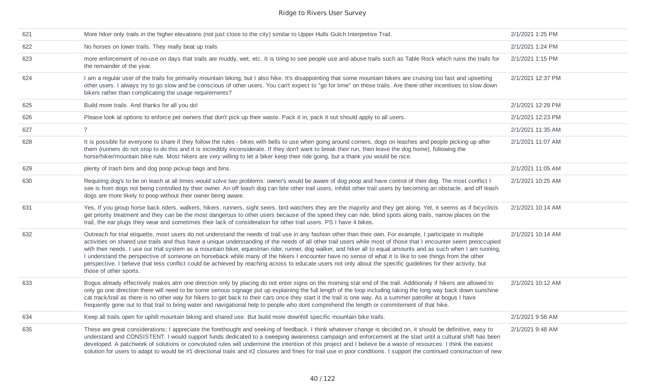| 621 | More hiker only trails in the higher elevations (not just close to the city) similar to Upper Hulls Gulch Interpretive Trail.                                                                                                                                                                                                                                                                                                                                                                                                                                                                                                                                                                                                                                                                                                                                 | 2/1/2021 1:25 PM  |
|-----|---------------------------------------------------------------------------------------------------------------------------------------------------------------------------------------------------------------------------------------------------------------------------------------------------------------------------------------------------------------------------------------------------------------------------------------------------------------------------------------------------------------------------------------------------------------------------------------------------------------------------------------------------------------------------------------------------------------------------------------------------------------------------------------------------------------------------------------------------------------|-------------------|
| 622 | No horses on lower trails. They really beat up trails                                                                                                                                                                                                                                                                                                                                                                                                                                                                                                                                                                                                                                                                                                                                                                                                         | 2/1/2021 1:24 PM  |
| 623 | more enforcement of no-use on days that trails are muddy, wet, etc. It is tiring to see people use and abuse trails such as Table Rock which ruins the trails for<br>the remainder of the year.                                                                                                                                                                                                                                                                                                                                                                                                                                                                                                                                                                                                                                                               | 2/1/2021 1:15 PM  |
| 624 | I am a regular user of the trails for primarily mountain biking, but I also hike. It's disappointing that some mountain bikers are cruising too fast and upsetting<br>other users. I always try to go slow and be conscious of other users. You can't expect to "go for time" on these trails. Are there other incentives to slow down<br>bikers rather than complicating the usage requirements?                                                                                                                                                                                                                                                                                                                                                                                                                                                             | 2/1/2021 12:37 PM |
| 625 | Build more trails. And thanks for all you do!                                                                                                                                                                                                                                                                                                                                                                                                                                                                                                                                                                                                                                                                                                                                                                                                                 | 2/1/2021 12:29 PM |
| 626 | Please look at options to enforce pet owners that don't pick up their waste. Pack it in, pack it out should apply to all users.                                                                                                                                                                                                                                                                                                                                                                                                                                                                                                                                                                                                                                                                                                                               | 2/1/2021 12:23 PM |
| 627 | $\overline{7}$                                                                                                                                                                                                                                                                                                                                                                                                                                                                                                                                                                                                                                                                                                                                                                                                                                                | 2/1/2021 11:35 AM |
| 628 | It is possible for everyone to share if they follow the rules - bikes with bells to use when going around corners, dogs on leashes and people picking up after<br>them (runners do not stop to do this and it is incredibly inconsiderate. If they don't want to break their run, then leave the dog home), following the<br>horse/hiker/mountain bike rule. Most hikers are very willing to let a biker keep their ride going, but a thank you would be nice.                                                                                                                                                                                                                                                                                                                                                                                                | 2/1/2021 11:07 AM |
| 629 | plenty of trash bins and dog poop pickup bags and bins.                                                                                                                                                                                                                                                                                                                                                                                                                                                                                                                                                                                                                                                                                                                                                                                                       | 2/1/2021 11:05 AM |
| 630 | Requiring dog's to be on leash at all times would solve two problems: owner's would be aware of dog poop and have control of their dog. The most conflict I<br>see is from dogs not being controlled by their owner. An off leash dog can bite other trail users, inhibit other trail users by becoming an obstacle, and off leash<br>dogs are more likely to poop without their owner being aware.                                                                                                                                                                                                                                                                                                                                                                                                                                                           | 2/1/2021 10:25 AM |
| 631 | Yes, If you group horse back riders, walkers, hikers, runners, sight seers, bird watchers they are the majority and they get along. Yet, it seems as if bicyclists<br>get priority treatment and they can be the most dangerous to other users because of the speed they can ride, blind spots along trails, narrow places on the<br>trail, the ear plugs they wear and sometimes their lack of consideration for other trail users. PS I have 4 bikes.                                                                                                                                                                                                                                                                                                                                                                                                       | 2/1/2021 10:14 AM |
| 632 | Outreach for trial etiquette, most users do not understand the needs of trail use in any fashion other than their own. For example, I participate in multiple<br>activities on shared use trails and thus have a unique understanding of the needs of all other trail users while most of those that I encounter seem preoccupied<br>with their needs. I use our trial system as a mountain biker, equestrian rider, runner, dog walker, and hiker all to equal amounts and as such when I am running,<br>I understand the perspective of someone on horseback while many of the hikers I encounter have no sense of what it is like to see things from the other<br>perspective. I believe that less conflict could be achieved by reaching across to educate users not only about the specific guidelines for their activity, but<br>those of other sports. | 2/1/2021 10:14 AM |
| 633 | Bogus already effectively makes atm one direction only by placing do not enter signs on the morning star end of the trail. Additionaly if hikers are allowed to<br>only go one direction there will need to be some serious signage put up explaining the full length of the loop including taking the long way back down sunshine<br>cat track/trail as there is no other way for hikers to get back to their cars once they start it the trail is one way. As a summer patroller at bogus I have<br>frequently gone out to that trail to bring water and navigational help to people who dont comprehend the length or commitement of that hike.                                                                                                                                                                                                            | 2/1/2021 10:12 AM |
| 634 | Keep all trails open for uphill mountain biking and shared use. But build more downhill specific mountain bike trails.                                                                                                                                                                                                                                                                                                                                                                                                                                                                                                                                                                                                                                                                                                                                        | 2/1/2021 9:58 AM  |
| 635 | These are great considerations; I appreciate the forethought and seeking of feedback. I think whatever change is decided on, it should be definitive, easy to<br>understand and CONSISTENT. I would support funds dedicated to a sweeping awareness campaign and enforcement at the start until a cultural shift has been<br>developed. A patchwork of solutions or convoluted rules will undermine the intention of this project and I believe be a waste of resources. I think the easiest<br>solution for users to adapt to would be #1 directional trails and #2 closures and fines for trail use in poor conditions. I support the continued construction of new                                                                                                                                                                                         | 2/1/2021 9:48 AM  |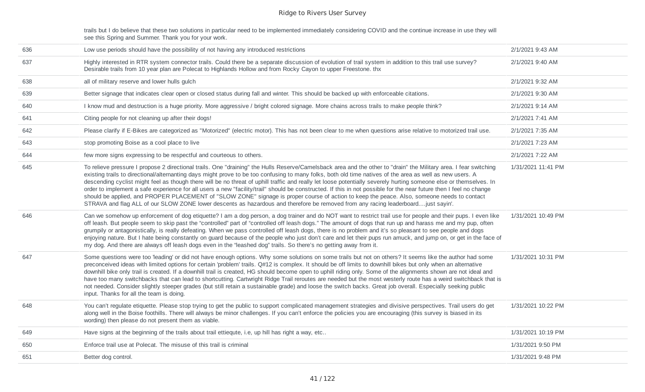trails but I do believe that these two solutions in particular need to be implemented immediately considering COVID and the continue increase in use they will see this Spring and Summer. Thank you for your work.

| 636 | Low use periods should have the possibility of not having any introduced restrictions                                                                                                                                                                                                                                                                                                                                                                                                                                                                                                                                                                                                                                                                                                                                                                                                                                                                          | 2/1/2021 9:43 AM   |
|-----|----------------------------------------------------------------------------------------------------------------------------------------------------------------------------------------------------------------------------------------------------------------------------------------------------------------------------------------------------------------------------------------------------------------------------------------------------------------------------------------------------------------------------------------------------------------------------------------------------------------------------------------------------------------------------------------------------------------------------------------------------------------------------------------------------------------------------------------------------------------------------------------------------------------------------------------------------------------|--------------------|
| 637 | Highly interested in RTR system connector trails. Could there be a separate discussion of evolution of trail system in addition to this trail use survey?<br>Desirable trails from 10 year plan are Polecat to Highlands Hollow and from Rocky Cayon to upper Freestone. thx                                                                                                                                                                                                                                                                                                                                                                                                                                                                                                                                                                                                                                                                                   | 2/1/2021 9:40 AM   |
| 638 | all of military reserve and lower hulls gulch                                                                                                                                                                                                                                                                                                                                                                                                                                                                                                                                                                                                                                                                                                                                                                                                                                                                                                                  | 2/1/2021 9:32 AM   |
| 639 | Better signage that indicates clear open or closed status during fall and winter. This should be backed up with enforceable citations.                                                                                                                                                                                                                                                                                                                                                                                                                                                                                                                                                                                                                                                                                                                                                                                                                         | 2/1/2021 9:30 AM   |
| 640 | I know mud and destruction is a huge priority. More aggressive / bright colored signage. More chains across trails to make people think?                                                                                                                                                                                                                                                                                                                                                                                                                                                                                                                                                                                                                                                                                                                                                                                                                       | 2/1/2021 9:14 AM   |
| 641 | Citing people for not cleaning up after their dogs!                                                                                                                                                                                                                                                                                                                                                                                                                                                                                                                                                                                                                                                                                                                                                                                                                                                                                                            | 2/1/2021 7:41 AM   |
| 642 | Please clarify if E-Bikes are categorized as "Motorized" (electric motor). This has not been clear to me when questions arise relative to motorized trail use.                                                                                                                                                                                                                                                                                                                                                                                                                                                                                                                                                                                                                                                                                                                                                                                                 | 2/1/2021 7:35 AM   |
| 643 | stop promoting Boise as a cool place to live                                                                                                                                                                                                                                                                                                                                                                                                                                                                                                                                                                                                                                                                                                                                                                                                                                                                                                                   | 2/1/2021 7:23 AM   |
| 644 | few more signs expressing to be respectful and courteous to others.                                                                                                                                                                                                                                                                                                                                                                                                                                                                                                                                                                                                                                                                                                                                                                                                                                                                                            | 2/1/2021 7:22 AM   |
| 645 | To relieve pressure I propose 2 directional trails. One "draining" the Hulls Reserve/Camelsback area and the other to "drain" the Military area. I fear switching<br>existing trails to directional/alternanting days might prove to be too confusing to many folks, both old time natives of the area as well as new users. A<br>descending cyclist might feel as though there will be no threat of uphill traffic and really let loose potentially severely hurting someone else or themselves. In<br>order to implement a safe experience for all users a new "facility/trail" should be constructed. If this in not possible for the near future then I feel no change<br>should be applied, and PROPER PLACEMENT of "SLOW ZONE" signage is proper course of action to keep the peace. Also, someone needs to contact<br>STRAVA and flag ALL of our SLOW ZONE lower descents as hazardous and therefore be removed from any racing leaderboardjust sayin'. | 1/31/2021 11:41 PM |
| 646 | Can we somehow up enforcement of dog etiquette? I am a dog person, a dog trainer and do NOT want to restrict trail use for people and their pups. I even like<br>off leash. But people seem to skip past the "controlled" part of "controlled off leash dogs." The amount of dogs that run up and harass me and my pup, often<br>grumpily or antagonistically, is really defeating. When we pass controlled off leash dogs, there is no problem and it's so pleasant to see people and dogs<br>enjoying nature. But I hate being constantly on guard because of the people who just don't care and let their pups run amuck, and jump on, or get in the face of<br>my dog. And there are always off leash dogs even in the "leashed dog" trails. So there's no getting away from it.                                                                                                                                                                           | 1/31/2021 10:49 PM |
| 647 | Some questions were too 'leading' or did not have enough options. Why some solutions on some trails but not on others? It seems like the author had some<br>preconceived ideas with limited options for certain 'problem' trails. Q#12 is complex. It should be off limits to downhill bikes but only when an alternative<br>downhill bike only trail is created. If a downhill trail is created, HG should become open to uphill riding only. Some of the alignments shown are not ideal and<br>have too many switchbacks that can lead to shortcutting. Cartwright Ridge Trail reroutes are needed but the most westerly route has a weird switchback that is<br>not needed. Consider slightly steeper grades (but still retain a sustainable grade) and loose the switch backs. Great job overall. Especially seeking public<br>input. Thanks for all the team is doing.                                                                                    | 1/31/2021 10:31 PM |
| 648 | You can't regulate etiquette. Please stop trying to get the public to support complicated management strategies and divisive perspectives. Trail users do get<br>along well in the Boise foothills. There will always be minor challenges. If you can't enforce the policies you are encouraging (this survey is biased in its<br>wording) then please do not present them as viable.                                                                                                                                                                                                                                                                                                                                                                                                                                                                                                                                                                          | 1/31/2021 10:22 PM |
| 649 | Have signs at the beginning of the trails about trail ettiequte, i.e, up hill has right a way, etc                                                                                                                                                                                                                                                                                                                                                                                                                                                                                                                                                                                                                                                                                                                                                                                                                                                             | 1/31/2021 10:19 PM |
| 650 | Enforce trail use at Polecat. The misuse of this trail is criminal                                                                                                                                                                                                                                                                                                                                                                                                                                                                                                                                                                                                                                                                                                                                                                                                                                                                                             | 1/31/2021 9:50 PM  |
| 651 | Better dog control.                                                                                                                                                                                                                                                                                                                                                                                                                                                                                                                                                                                                                                                                                                                                                                                                                                                                                                                                            | 1/31/2021 9:48 PM  |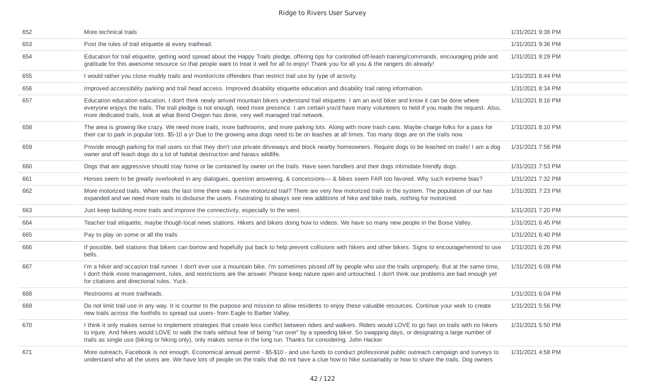| 652 | More technical trails                                                                                                                                                                                                                                                                                                                                                                                                                                  | 1/31/2021 9:38 PM |
|-----|--------------------------------------------------------------------------------------------------------------------------------------------------------------------------------------------------------------------------------------------------------------------------------------------------------------------------------------------------------------------------------------------------------------------------------------------------------|-------------------|
| 653 | Post the rules of trail etiquette at every trailhead.                                                                                                                                                                                                                                                                                                                                                                                                  | 1/31/2021 9:36 PM |
| 654 | Education for trail etiquette, getting word spread about the Happy Trails pledge, offering tips for controlled off-leash training/commands, encouraging pride and<br>gratitude for this awesome resource so that people want to treat it well for all to enjoy! Thank you for all you & the rangers do already!                                                                                                                                        | 1/31/2021 9:29 PM |
| 655 | I would rather you close muddy trails and monitor/cite offenders than restrict trail use by type of activity.                                                                                                                                                                                                                                                                                                                                          | 1/31/2021 8:44 PM |
| 656 | Improved accessibility parking and trail head access. Improved disability etiquette education and disability trail rating information.                                                                                                                                                                                                                                                                                                                 | 1/31/2021 8:34 PM |
| 657 | Education education education, I don't think newly arrived mountain bikers understand trail etiquette. I am an avid biker and know it can be done where<br>everyone enjoys the trails. The trail pledge is not enough, need more presence. I am certain you'd have many volunteers to held if you made the request. Also,<br>more dedicated trails, look at what Bend Oregon has done, very well managed trail network.                                | 1/31/2021 8:16 PM |
| 658 | The area is growing like crazy. We need more trails, more bathrooms, and more parking lots. Along with more trash cans. Maybe charge folks for a pass for<br>their car to park in popular lots. \$5-10 a yr Due to the growing area dogs need to be on leashes at all times. Too many dogs are on the trails now.                                                                                                                                      | 1/31/2021 8:10 PM |
| 659 | Provide enough parking for trail users so that they don't use private driveways and block nearby homeowners. Require dogs to be leashed on trails! I am a dog<br>owner and off leash dogs do a lot of habitat destruction and harass wildlife.                                                                                                                                                                                                         | 1/31/2021 7:56 PM |
| 660 | Dogs that are aggressive should stay home or be contained by owner on the trails. Have seen handlers and their dogs intimidate friendly dogs.                                                                                                                                                                                                                                                                                                          | 1/31/2021 7:53 PM |
| 661 | Horses seem to be greatly overlooked in any dialogues, question answering, & concessions— & bikes seem FAR too favored. Why such extreme bias?                                                                                                                                                                                                                                                                                                         | 1/31/2021 7:32 PM |
| 662 | More motorized trails. When was the last time there was a new motorized trail? There are very few motorized trails in the system. The population of our has<br>expanded and we need more trails to disburse the users. Frustrating to always see new additions of hike and bike trails, nothing for motorized.                                                                                                                                         | 1/31/2021 7:23 PM |
| 663 | Just keep building more trails and improve the connectivity, especially to the west.                                                                                                                                                                                                                                                                                                                                                                   | 1/31/2021 7:20 PM |
| 664 | Teacher trail etiquette, maybe though local news stations. Hikers and bikers doing how to videos. We have so many new people in the Boise Valley.                                                                                                                                                                                                                                                                                                      | 1/31/2021 6:45 PM |
| 665 | Pay to play on some or all the trails                                                                                                                                                                                                                                                                                                                                                                                                                  | 1/31/2021 6:40 PM |
| 666 | If possible, bell stations that bikers can borrow and hopefully put back to help prevent collisions with hikers and other bikers. Signs to encourage/remind to use<br>bells.                                                                                                                                                                                                                                                                           | 1/31/2021 6:26 PM |
| 667 | I'm a hiker and occasion trail runner. I don't ever use a mountain bike. I'm sometimes pissed off by people who use the trails unproperly. But at the same time,<br>I don't think more management, rules, and restrictions are the answer. Please keep nature open and untouched. I don't think our problems are bad enough yet<br>for citations and directional rules. Yuck.                                                                          | 1/31/2021 6:09 PM |
| 668 | Restrooms at more trailheads.                                                                                                                                                                                                                                                                                                                                                                                                                          | 1/31/2021 6:04 PM |
| 669 | Do not limit trail use in any way. It is counter to the purpose and mission to allow residents to enjoy these valuable resources. Continue your work to create<br>new trails across the foothills to spread out users- from Eagle to Barber Valley.                                                                                                                                                                                                    | 1/31/2021 5:56 PM |
| 670 | I think it only makes sense to implement strategies that create less conflict between riders and walkers. Riders would LOVE to go fast on trails with no hikers<br>to injure. And hikers would LOVE to walk the trails without fear of being "run over" by a speeding biker. So swapping days, or designating a large number of<br>trails as single use (biking or hiking only), only makes sense in the long run. Thanks for considering. John Hacker | 1/31/2021 5:50 PM |
| 671 | More outreach, Facebook is not enough. Economical annual permit - \$5-\$10 - and use funds to conduct professional public outreach campaign and surveys to<br>understand who all the users are. We have lots of people on the trails that do not have a clue how to hike sustainably or how to share the trails. Dog owners                                                                                                                            | 1/31/2021 4:58 PM |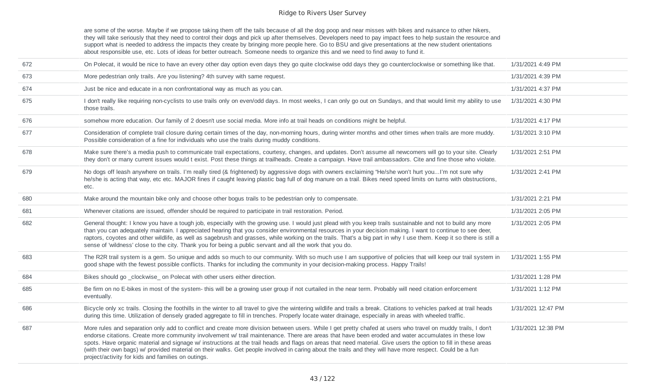are some of the worse. Maybe if we propose taking them off the tails because of all the dog poop and near misses with bikes and nuisance to other hikers, they will take seriously that they need to control their dogs and pick up after themselves. Developers need to pay impact fees to help sustain the resource and they will take seriously that they need to control their dogs support what is needed to address the impacts they create by bringing more people here. Go to BSU and give presentations at the new student orientations about responsible use, etc. Lots of ideas for better outreach. Someone needs to organize this and we need to find away to fund it.

| 672 | On Polecat, it would be nice to have an every other day option even days they go quite clockwise odd days they go counterclockwise or something like that.                                                                                                                                                                                                                                                                                                                                                                                                                                                                                                                                                 | 1/31/2021 4:49 PM  |
|-----|------------------------------------------------------------------------------------------------------------------------------------------------------------------------------------------------------------------------------------------------------------------------------------------------------------------------------------------------------------------------------------------------------------------------------------------------------------------------------------------------------------------------------------------------------------------------------------------------------------------------------------------------------------------------------------------------------------|--------------------|
| 673 | More pedestrian only trails. Are you listening? 4th survey with same request.                                                                                                                                                                                                                                                                                                                                                                                                                                                                                                                                                                                                                              | 1/31/2021 4:39 PM  |
| 674 | Just be nice and educate in a non confrontational way as much as you can.                                                                                                                                                                                                                                                                                                                                                                                                                                                                                                                                                                                                                                  | 1/31/2021 4:37 PM  |
| 675 | I don't really like requiring non-cyclists to use trails only on even/odd days. In most weeks, I can only go out on Sundays, and that would limit my ability to use<br>those trails.                                                                                                                                                                                                                                                                                                                                                                                                                                                                                                                       | 1/31/2021 4:30 PM  |
| 676 | somehow more education. Our family of 2 doesn't use social media. More info at trail heads on conditions might be helpful.                                                                                                                                                                                                                                                                                                                                                                                                                                                                                                                                                                                 | 1/31/2021 4:17 PM  |
| 677 | Consideration of complete trail closure during certain times of the day, non-morning hours, during winter months and other times when trails are more muddy.<br>Possible consideration of a fine for individuals who use the trails during muddy conditions.                                                                                                                                                                                                                                                                                                                                                                                                                                               | 1/31/2021 3:10 PM  |
| 678 | Make sure there's a media push to communicate trail expectations, courtesy, changes, and updates. Don't assume all newcomers will go to your site. Clearly<br>they don't or many current issues would t exist. Post these things at trailheads. Create a campaign. Have trail ambassadors. Cite and fine those who violate.                                                                                                                                                                                                                                                                                                                                                                                | 1/31/2021 2:51 PM  |
| 679 | No dogs off leash anywhere on trails. I'm really tired (& frightened) by aggressive dogs with owners exclaiming "He/she won't hurt youI'm not sure why<br>he/she is acting that way, etc etc. MAJOR fines if caught leaving plastic bag full of dog manure on a trail. Bikes need speed limits on turns with obstructions,<br>etc.                                                                                                                                                                                                                                                                                                                                                                         | 1/31/2021 2:41 PM  |
| 680 | Make around the mountain bike only and choose other bogus trails to be pedestrian only to compensate.                                                                                                                                                                                                                                                                                                                                                                                                                                                                                                                                                                                                      | 1/31/2021 2:21 PM  |
| 681 | Whenever citations are issued, offender should be required to participate in trail restoration. Period.                                                                                                                                                                                                                                                                                                                                                                                                                                                                                                                                                                                                    | 1/31/2021 2:05 PM  |
| 682 | General thought: I know you have a tough job, especially with the growing use. I would just plead with you keep trails sustainable and not to build any more<br>than you can adequately maintain. I appreciated hearing that you consider environmental resources in your decision making. I want to continue to see deer,<br>raptors, coyotes and other wildlife, as well as sagebrush and grasses, while working on the trails. That's a big part in why I use them. Keep it so there is still a<br>sense of 'wildness' close to the city. Thank you for being a public servant and all the work that you do.                                                                                            | 1/31/2021 2:05 PM  |
| 683 | The R2R trail system is a gem. So unique and adds so much to our community. With so much use I am supportive of policies that will keep our trail system in<br>good shape with the fewest possible conflicts. Thanks for including the community in your decision-making process. Happy Trails!                                                                                                                                                                                                                                                                                                                                                                                                            | 1/31/2021 1:55 PM  |
| 684 | Bikes should go _clockwise_ on Polecat with other users either direction.                                                                                                                                                                                                                                                                                                                                                                                                                                                                                                                                                                                                                                  | 1/31/2021 1:28 PM  |
| 685 | Be firm on no E-bikes in most of the system- this will be a growing user group if not curtailed in the near term. Probably will need citation enforcement<br>eventually.                                                                                                                                                                                                                                                                                                                                                                                                                                                                                                                                   | 1/31/2021 1:12 PM  |
| 686 | Bicycle only xc trails. Closing the foothills in the winter to all travel to give the wintering wildlife and trails a break. Citations to vehicles parked at trail heads<br>during this time. Utilization of densely graded aggregate to fill in trenches. Properly locate water drainage, especially in areas with wheeled traffic.                                                                                                                                                                                                                                                                                                                                                                       | 1/31/2021 12:47 PM |
| 687 | More rules and separation only add to conflict and create more division between users. While I get pretty chafed at users who travel on muddy trails, I don't<br>endorse citations. Create more community involvement w/ trail maintenance. There are areas that have been eroded and water accumulates in these low<br>spots. Have organic material and signage w/ instructions at the trail heads and flags on areas that need material. Give users the option to fill in these areas<br>(with their own bags) w/ provided material on their walks. Get people involved in caring about the trails and they will have more respect. Could be a fun<br>project/activity for kids and families on outings. | 1/31/2021 12:38 PM |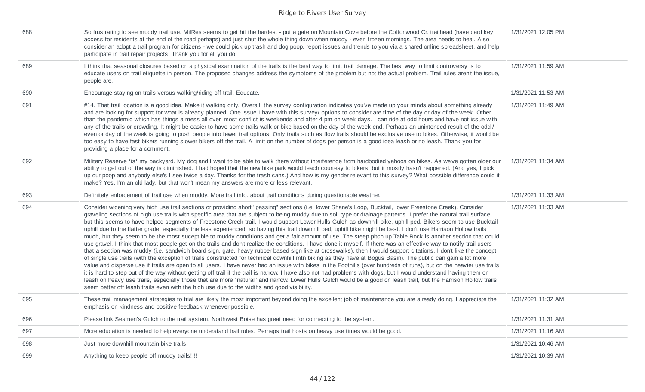| 688 | So frustrating to see muddy trail use. MilRes seems to get hit the hardest - put a gate on Mountain Cove before the Cottonwood Cr. trailhead (have card key<br>access for residents at the end of the road perhaps) and just shut the whole thing down when muddy - even frozen mornings. The area needs to heal. Also<br>consider an adopt a trail program for citizens - we could pick up trash and dog poop, report issues and trends to you via a shared online spreadsheet, and help<br>participate in trail repair projects. Thank you for all you do!                                                                                                                                                                                                                                                                                                                                                                                                                                                                                                                                                                                                                                                                                                                                                                                                                                                                                                                                                                                                                                                                                                                                                                                                                                                                                                                                                                                                    | 1/31/2021 12:05 PM |
|-----|-----------------------------------------------------------------------------------------------------------------------------------------------------------------------------------------------------------------------------------------------------------------------------------------------------------------------------------------------------------------------------------------------------------------------------------------------------------------------------------------------------------------------------------------------------------------------------------------------------------------------------------------------------------------------------------------------------------------------------------------------------------------------------------------------------------------------------------------------------------------------------------------------------------------------------------------------------------------------------------------------------------------------------------------------------------------------------------------------------------------------------------------------------------------------------------------------------------------------------------------------------------------------------------------------------------------------------------------------------------------------------------------------------------------------------------------------------------------------------------------------------------------------------------------------------------------------------------------------------------------------------------------------------------------------------------------------------------------------------------------------------------------------------------------------------------------------------------------------------------------------------------------------------------------------------------------------------------------|--------------------|
| 689 | I think that seasonal closures based on a physical examination of the trails is the best way to limit trail damage. The best way to limit controversy is to<br>educate users on trail etiquette in person. The proposed changes address the symptoms of the problem but not the actual problem. Trail rules aren't the issue,<br>people are.                                                                                                                                                                                                                                                                                                                                                                                                                                                                                                                                                                                                                                                                                                                                                                                                                                                                                                                                                                                                                                                                                                                                                                                                                                                                                                                                                                                                                                                                                                                                                                                                                    | 1/31/2021 11:59 AM |
| 690 | Encourage staying on trails versus walking/riding off trail. Educate.                                                                                                                                                                                                                                                                                                                                                                                                                                                                                                                                                                                                                                                                                                                                                                                                                                                                                                                                                                                                                                                                                                                                                                                                                                                                                                                                                                                                                                                                                                                                                                                                                                                                                                                                                                                                                                                                                           | 1/31/2021 11:53 AM |
| 691 | #14. That trail location is a good idea. Make it walking only. Overall, the survey configuration indicates you've made up your minds about something already<br>and are looking for support for what is already planned. One issue I have with this survey/ options to consider are time of the day or day of the week. Other<br>than the pandemic which has things a mess all over, most conflict is weekends and after 4 pm on week days. I can ride at odd hours and have not issue with<br>any of the trails or crowding. It might be easier to have some trails walk or bike based on the day of the week end. Perhaps an unintended result of the odd /<br>even or day of the week is going to push people into fewer trail options. Only trails such as flow trails should be exclusive use to bikes. Otherwise, it would be<br>too easy to have fast bikers running slower bikers off the trail. A limit on the number of dogs per person is a good idea leash or no leash. Thank you for<br>providing a place for a comment.                                                                                                                                                                                                                                                                                                                                                                                                                                                                                                                                                                                                                                                                                                                                                                                                                                                                                                                           | 1/31/2021 11:49 AM |
| 692 | Military Reserve *is* my backyard. My dog and I want to be able to walk there without interference from hardbodied yahoos on bikes. As we've gotten older our<br>ability to get out of the way is diminished. I had hoped that the new bike park would teach courtesy to bikers, but it mostly hasn't happened. (And yes, I pick<br>up our poop and anybody else's I see twice a day. Thanks for the trash cans.) And how is my gender relevant to this survey? What possible difference could it<br>make? Yes, I'm an old lady, but that won't mean my answers are more or less relevant.                                                                                                                                                                                                                                                                                                                                                                                                                                                                                                                                                                                                                                                                                                                                                                                                                                                                                                                                                                                                                                                                                                                                                                                                                                                                                                                                                                      | 1/31/2021 11:34 AM |
| 693 | Definitely enforcement of trail use when muddy. More trail info. about trail conditions during questionable weather.                                                                                                                                                                                                                                                                                                                                                                                                                                                                                                                                                                                                                                                                                                                                                                                                                                                                                                                                                                                                                                                                                                                                                                                                                                                                                                                                                                                                                                                                                                                                                                                                                                                                                                                                                                                                                                            | 1/31/2021 11:33 AM |
| 694 | Consider widening very high use trail sections or providing short "passing" sections (i.e. lower Shane's Loop, Bucktail, lower Freestone Creek). Consider<br>graveling sections of high use trails with specific area that are subject to being muddy due to soil type or drainage patterns. I prefer the natural trail surface,<br>but this seems to have helped segments of Freestone Creek trail. I would support Lower Hulls Gulch as downhill bike, uphill ped. Bikers seem to use Bucktail<br>uphill due to the flatter grade, especially the less experienced, so having this trail downhill ped, uphill bike might be best. I don't use Harrison Hollow trails<br>much, but they seem to be the most suceptible to muddy conditions and get a fair amount of use. The steep pitch up Table Rock is another section that could<br>use gravel. I think that most people get on the trails and don't realize the conditions. I have done it myself. If there was an effective way to notify trail users<br>that a section was muddy (i.e. sandwich board sign, gate, heavy rubber based sign like at crosswalks), then I would support citations. I don't like the concept<br>of single use trails (with the exception of trails constructed for technical downhill mtn biking as they have at Bogus Basin). The public can gain a lot more<br>value and disperse use if trails are open to all users. I have never had an issue with bikes in the Foothills (over hundreds of runs), but on the heavier use trails<br>it is hard to step out of the way without getting off trail if the trail is narrow. I have also not had problems with dogs, but I would understand having them on<br>leash on heavy use trails, especially those that are more "natural" and narrow. Lower Hulls Gulch would be a good on leash trail, but the Harrison Hollow trails<br>seem better off leash trails even with the high use due to the widths and good visibility. | 1/31/2021 11:33 AM |
| 695 | These trail management strategies to trial are likely the most important beyond doing the excellent job of maintenance you are already doing. I appreciate the<br>emphasis on kindness and positive feedback whenever possible.                                                                                                                                                                                                                                                                                                                                                                                                                                                                                                                                                                                                                                                                                                                                                                                                                                                                                                                                                                                                                                                                                                                                                                                                                                                                                                                                                                                                                                                                                                                                                                                                                                                                                                                                 | 1/31/2021 11:32 AM |
| 696 | Please link Seamen's Gulch to the trail system. Northwest Boise has great need for connecting to the system.                                                                                                                                                                                                                                                                                                                                                                                                                                                                                                                                                                                                                                                                                                                                                                                                                                                                                                                                                                                                                                                                                                                                                                                                                                                                                                                                                                                                                                                                                                                                                                                                                                                                                                                                                                                                                                                    | 1/31/2021 11:31 AM |
| 697 | More education is needed to help everyone understand trail rules. Perhaps trail hosts on heavy use times would be good.                                                                                                                                                                                                                                                                                                                                                                                                                                                                                                                                                                                                                                                                                                                                                                                                                                                                                                                                                                                                                                                                                                                                                                                                                                                                                                                                                                                                                                                                                                                                                                                                                                                                                                                                                                                                                                         | 1/31/2021 11:16 AM |
| 698 | Just more downhill mountain bike trails                                                                                                                                                                                                                                                                                                                                                                                                                                                                                                                                                                                                                                                                                                                                                                                                                                                                                                                                                                                                                                                                                                                                                                                                                                                                                                                                                                                                                                                                                                                                                                                                                                                                                                                                                                                                                                                                                                                         | 1/31/2021 10:46 AM |
| 699 | Anything to keep people off muddy trails!!!!                                                                                                                                                                                                                                                                                                                                                                                                                                                                                                                                                                                                                                                                                                                                                                                                                                                                                                                                                                                                                                                                                                                                                                                                                                                                                                                                                                                                                                                                                                                                                                                                                                                                                                                                                                                                                                                                                                                    | 1/31/2021 10:39 AM |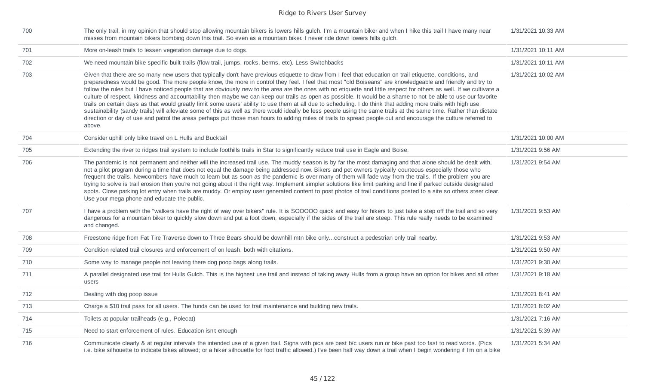| 700 | The only trail, in my opinion that should stop allowing mountain bikers is lowers hills gulch. I'm a mountain biker and when I hike this trail I have many near<br>misses from mountain bikers bombing down this trail. So even as a mountain biker. I never ride down lowers hills gulch.                                                                                                                                                                                                                                                                                                                                                                                                                                                                                                                                                                                                                                                                                                                                                                                                                                                                                            | 1/31/2021 10:33 AM |
|-----|---------------------------------------------------------------------------------------------------------------------------------------------------------------------------------------------------------------------------------------------------------------------------------------------------------------------------------------------------------------------------------------------------------------------------------------------------------------------------------------------------------------------------------------------------------------------------------------------------------------------------------------------------------------------------------------------------------------------------------------------------------------------------------------------------------------------------------------------------------------------------------------------------------------------------------------------------------------------------------------------------------------------------------------------------------------------------------------------------------------------------------------------------------------------------------------|--------------------|
| 701 | More on-leash trails to lessen vegetation damage due to dogs.                                                                                                                                                                                                                                                                                                                                                                                                                                                                                                                                                                                                                                                                                                                                                                                                                                                                                                                                                                                                                                                                                                                         | 1/31/2021 10:11 AM |
| 702 | We need mountain bike specific built trails (flow trail, jumps, rocks, berms, etc). Less Switchbacks                                                                                                                                                                                                                                                                                                                                                                                                                                                                                                                                                                                                                                                                                                                                                                                                                                                                                                                                                                                                                                                                                  | 1/31/2021 10:11 AM |
| 703 | Given that there are so many new users that typically don't have previous etiquette to draw from I feel that education on trail etiquette, conditions, and<br>preparedness would be good. The more people know, the more in control they feel. I feel that most "old Boiseans" are knowledgeable and friendly and try to<br>follow the rules but I have noticed people that are obviously new to the area are the ones with no etiquette and little respect for others as well. If we cultivate a<br>culture of respect, kindness and accountability then maybe we can keep our trails as open as possible. It would be a shame to not be able to use our favorite<br>trails on certain days as that would greatly limit some users' ability to use them at all due to scheduling. I do think that adding more trails with high use<br>sustainability (sandy trails) will alleviate some of this as well as there would ideally be less people using the same trails at the same time. Rather than dictate<br>direction or day of use and patrol the areas perhaps put those man hours to adding miles of trails to spread people out and encourage the culture referred to<br>above. | 1/31/2021 10:02 AM |
| 704 | Consider uphill only bike travel on L Hulls and Bucktail                                                                                                                                                                                                                                                                                                                                                                                                                                                                                                                                                                                                                                                                                                                                                                                                                                                                                                                                                                                                                                                                                                                              | 1/31/2021 10:00 AM |
| 705 | Extending the river to ridges trail system to include foothills trails in Star to significantly reduce trail use in Eagle and Boise.                                                                                                                                                                                                                                                                                                                                                                                                                                                                                                                                                                                                                                                                                                                                                                                                                                                                                                                                                                                                                                                  | 1/31/2021 9:56 AM  |
| 706 | The pandemic is not permanent and neither will the increased trail use. The muddy season is by far the most damaging and that alone should be dealt with,<br>not a pilot program during a time that does not equal the damage being addressed now. Bikers and pet owners typically courteous especially those who<br>frequent the trails. Newcombers have much to learn but as soon as the pandemic is over many of them will fade way from the trails. If the problem you are<br>trying to solve is trail erosion then you're not going about it the right way. Implement simpler solutions like limit parking and fine if parked outside designated<br>spots. Close parking lot entry when trails are muddy. Or employ user generated content to post photos of trail conditions posted to a site so others steer clear.<br>Use your mega phone and educate the public.                                                                                                                                                                                                                                                                                                             | 1/31/2021 9:54 AM  |
| 707 | I have a problem with the "walkers have the right of way over bikers" rule. It is SOOOOO quick and easy for hikers to just take a step off the trail and so very<br>dangerous for a mountain biker to quickly slow down and put a foot down, especially if the sides of the trail are steep. This rule really needs to be examined<br>and changed.                                                                                                                                                                                                                                                                                                                                                                                                                                                                                                                                                                                                                                                                                                                                                                                                                                    | 1/31/2021 9:53 AM  |
| 708 | Freestone ridge from Fat Tire Traverse down to Three Bears should be downhill mtn bike onlyconstruct a pedestrian only trail nearby.                                                                                                                                                                                                                                                                                                                                                                                                                                                                                                                                                                                                                                                                                                                                                                                                                                                                                                                                                                                                                                                  | 1/31/2021 9:53 AM  |
| 709 | Condition related trail closures and enforcement of on leash, both with citations.                                                                                                                                                                                                                                                                                                                                                                                                                                                                                                                                                                                                                                                                                                                                                                                                                                                                                                                                                                                                                                                                                                    | 1/31/2021 9:50 AM  |
| 710 | Some way to manage people not leaving there dog poop bags along trails.                                                                                                                                                                                                                                                                                                                                                                                                                                                                                                                                                                                                                                                                                                                                                                                                                                                                                                                                                                                                                                                                                                               | 1/31/2021 9:30 AM  |
| 711 | A parallel designated use trail for Hulls Gulch. This is the highest use trail and instead of taking away Hulls from a group have an option for bikes and all other<br>users                                                                                                                                                                                                                                                                                                                                                                                                                                                                                                                                                                                                                                                                                                                                                                                                                                                                                                                                                                                                          | 1/31/2021 9:18 AM  |
| 712 | Dealing with dog poop issue                                                                                                                                                                                                                                                                                                                                                                                                                                                                                                                                                                                                                                                                                                                                                                                                                                                                                                                                                                                                                                                                                                                                                           | 1/31/2021 8:41 AM  |
| 713 | Charge a \$10 trail pass for all users. The funds can be used for trail maintenance and building new trails.                                                                                                                                                                                                                                                                                                                                                                                                                                                                                                                                                                                                                                                                                                                                                                                                                                                                                                                                                                                                                                                                          | 1/31/2021 8:02 AM  |
| 714 | Toilets at popular trailheads (e.g., Polecat)                                                                                                                                                                                                                                                                                                                                                                                                                                                                                                                                                                                                                                                                                                                                                                                                                                                                                                                                                                                                                                                                                                                                         | 1/31/2021 7:16 AM  |
| 715 | Need to start enforcement of rules. Education isn't enough                                                                                                                                                                                                                                                                                                                                                                                                                                                                                                                                                                                                                                                                                                                                                                                                                                                                                                                                                                                                                                                                                                                            | 1/31/2021 5:39 AM  |
| 716 | Communicate clearly & at regular intervals the intended use of a given trail. Signs with pics are best b/c users run or bike past too fast to read words. (Pics<br>i.e. bike silhouette to indicate bikes allowed; or a hiker silhouette for foot traffic allowed.) I've been half way down a trail when I begin wondering if I'm on a bike                                                                                                                                                                                                                                                                                                                                                                                                                                                                                                                                                                                                                                                                                                                                                                                                                                           | 1/31/2021 5:34 AM  |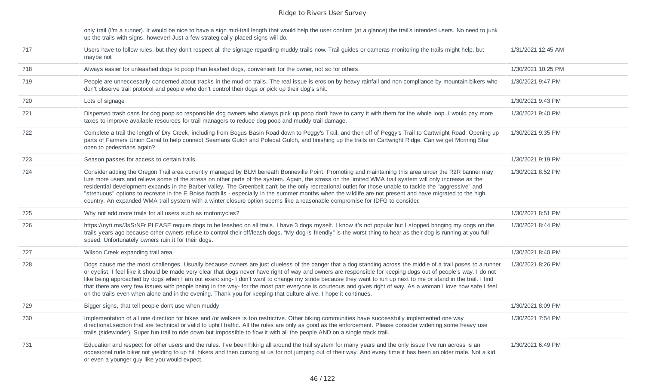only trail (I'm a runner). It would be nice to have a sign mid-trail length that would help the user confirm (at a glance) the trail's intended users. No need to junk up the trails with signs, however! Just a few strategically placed signs will do.

| 717 | Users have to follow rules, but they don't respect all the signage regarding muddy trails now. Trail guides or cameras monitoring the trails might help, but<br>maybe not                                                                                                                                                                                                                                                                                                                                                                                                                                                                                                                                                                                                               | 1/31/2021 12:45 AM |
|-----|-----------------------------------------------------------------------------------------------------------------------------------------------------------------------------------------------------------------------------------------------------------------------------------------------------------------------------------------------------------------------------------------------------------------------------------------------------------------------------------------------------------------------------------------------------------------------------------------------------------------------------------------------------------------------------------------------------------------------------------------------------------------------------------------|--------------------|
| 718 | Always easier for unleashed dogs to poop than leashed dogs, convenient for the owner, not so for others.                                                                                                                                                                                                                                                                                                                                                                                                                                                                                                                                                                                                                                                                                | 1/30/2021 10:25 PM |
| 719 | People are unneccesarily concerned about tracks in the mud on trails. The real issue is erosion by heavy rainfall and non-compliance by mountain bikers who<br>don't observe trail protocol and people who don't control their dogs or pick up their dog's shit.                                                                                                                                                                                                                                                                                                                                                                                                                                                                                                                        | 1/30/2021 9:47 PM  |
| 720 | Lots of signage                                                                                                                                                                                                                                                                                                                                                                                                                                                                                                                                                                                                                                                                                                                                                                         | 1/30/2021 9:43 PM  |
| 721 | Dispersed trash cans for dog poop so responsible dog owners who always pick up poop don't have to carry it with them for the whole loop. I would pay more<br>taxes to improve available resources for trail managers to reduce dog poop and muddy trail damage.                                                                                                                                                                                                                                                                                                                                                                                                                                                                                                                         | 1/30/2021 9:40 PM  |
| 722 | Complete a trail the length of Dry Creek, including from Bogus Basin Road down to Peggy's Trail, and then off of Peggy's Trail to Cartwright Road. Opening up<br>parts of Farmers Union Canal to help connect Seamans Gulch and Polecat Gulch, and finishing up the trails on Cartwright Ridge. Can we get Morning Star<br>open to pedestrians again?                                                                                                                                                                                                                                                                                                                                                                                                                                   | 1/30/2021 9:35 PM  |
| 723 | Season passes for access to certain trails.                                                                                                                                                                                                                                                                                                                                                                                                                                                                                                                                                                                                                                                                                                                                             | 1/30/2021 9:19 PM  |
| 724 | Consider adding the Oregon Trail area currently managed by BLM beneath Bonneville Point. Promoting and maintaining this area under the R2R banner may<br>lure more users and relieve some of the stress on other parts of the system. Again, the stress on the limited WMA trail system will only increase as the<br>residential development expands in the Barber Valley. The Greenbelt can't be the only recreational outlet for those unable to tackle the "aggressive" and<br>"strenuous" options to recreate in the E Boise foothills - especially in the summer months when the wildlife are not present and have migrated to the high<br>country. An expanded WMA trail system with a winter closure option seems like a reasonable compromise for IDFG to consider.             | 1/30/2021 8:52 PM  |
| 725 | Why not add more trails for all users such as motorcycles?                                                                                                                                                                                                                                                                                                                                                                                                                                                                                                                                                                                                                                                                                                                              | 1/30/2021 8:51 PM  |
| 726 | https://nyti.ms/3sSrNFr PLEASE require dogs to be leashed on all trails. I have 3 dogs myself. I know it's not popular but I stopped bringing my dogs on the<br>trails years ago because other owners refuse to control their off/leash dogs. "My dog is friendly" is the worst thing to hear as their dog is running at you full<br>speed. Unfortunately owners ruin it for their dogs.                                                                                                                                                                                                                                                                                                                                                                                                | 1/30/2021 8:44 PM  |
| 727 | Wilson Creek expanding trail area                                                                                                                                                                                                                                                                                                                                                                                                                                                                                                                                                                                                                                                                                                                                                       | 1/30/2021 8:40 PM  |
| 728 | Dogs cause me the most challenges. Usually because owners are just clueless of the danger that a dog standing across the middle of a trail poses to a runner<br>or cyclist. I feel like it should be made very clear that dogs never have right of way and owners are responsible for keeping dogs out of people's way. I do not<br>like being approached by dogs when I am out exercising- I don't want to change my stride because they want to run up next to me or stand in the trail. I find<br>that there are very few issues with people being in the way- for the most part everyone is courteous and gives right of way. As a woman I love how safe I feel<br>on the trails even when alone and in the evening. Thank you for keeping that culture alive. I hope it continues. | 1/30/2021 8:26 PM  |
| 729 | Bigger signs, that tell people don't use when muddy                                                                                                                                                                                                                                                                                                                                                                                                                                                                                                                                                                                                                                                                                                                                     | 1/30/2021 8:09 PM  |
| 730 | Implementation of all one direction for bikes and /or walkers is too restrictive. Other biking communities have successfully implemented one way<br>directional.section that are technical or valid to uphill traffic. All the rules are only as good as the enforcement. Please consider widening some heavy use<br>trails (sidewinder). Super fun trail to ride down but impossible to flow it with all the people AND on a single track trail.                                                                                                                                                                                                                                                                                                                                       | 1/30/2021 7:54 PM  |
| 731 | Education and respect for other users and the rules. I've been hiking all around the trail system for many years and the only issue I've run across is an<br>occasional rude biker not yielding to up hill hikers and then cursing at us for not jumping out of their way. And every time it has been an older male. Not a kid<br>or even a younger guy like you would expect.                                                                                                                                                                                                                                                                                                                                                                                                          | 1/30/2021 6:49 PM  |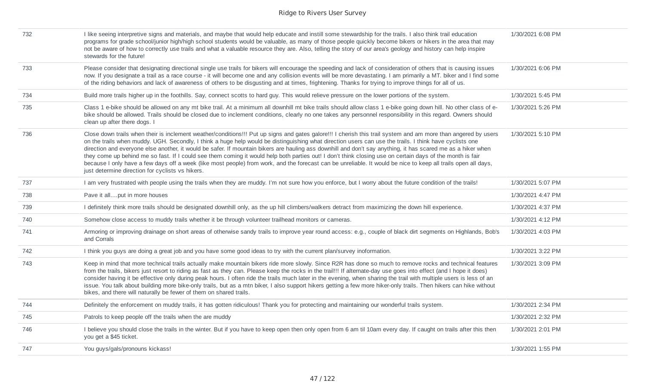| 732 | I like seeing interpretive signs and materials, and maybe that would help educate and instill some stewardship for the trails. I also think trail education<br>programs for grade school/junior high/high school students would be valuable, as many of those people quickly become bikers or hikers in the area that may<br>not be aware of how to correctly use trails and what a valuable resource they are. Also, telling the story of our area's geology and history can help inspire<br>stewards for the future!                                                                                                                                                                                                                                                                                                                                                       | 1/30/2021 6:08 PM |
|-----|------------------------------------------------------------------------------------------------------------------------------------------------------------------------------------------------------------------------------------------------------------------------------------------------------------------------------------------------------------------------------------------------------------------------------------------------------------------------------------------------------------------------------------------------------------------------------------------------------------------------------------------------------------------------------------------------------------------------------------------------------------------------------------------------------------------------------------------------------------------------------|-------------------|
| 733 | Please consider that designating directional single use trails for bikers will encourage the speeding and lack of consideration of others that is causing issues<br>now. If you designate a trail as a race course - it will become one and any collision events will be more devastating. I am primarily a MT. biker and I find some<br>of the riding behaviors and lack of awareness of others to be disgusting and at times, frightening. Thanks for trying to improve things for all of us.                                                                                                                                                                                                                                                                                                                                                                              | 1/30/2021 6:06 PM |
| 734 | Build more trails higher up in the foothills. Say, connect scotts to hard guy. This would relieve pressure on the lower portions of the system.                                                                                                                                                                                                                                                                                                                                                                                                                                                                                                                                                                                                                                                                                                                              | 1/30/2021 5:45 PM |
| 735 | Class 1 e-bike should be allowed on any mt bike trail. At a minimum all downhill mt bike trails should allow class 1 e-bike going down hill. No other class of e-<br>bike should be allowed. Trails should be closed due to inclement conditions, clearly no one takes any personnel responsibility in this regard. Owners should<br>clean up after there dogs. I                                                                                                                                                                                                                                                                                                                                                                                                                                                                                                            | 1/30/2021 5:26 PM |
| 736 | Close down trails when their is inclement weather/conditions!!! Put up signs and gates galore!!! I cherish this trail system and am more than angered by users<br>on the trails when muddy. UGH. Secondly, I think a huge help would be distinguishing what direction users can use the trails. I think have cyclists one<br>direction and everyone else another, it would be safer. If mountain bikers are hauling ass downhill and don't say anything, it has scared me as a hiker when<br>they come up behind me so fast. If I could see them coming it would help both parties out! I don't think closing use on certain days of the month is fair<br>because I only have a few days off a week (like most people) from work, and the forecast can be unreliable. It would be nice to keep all trails open all days,<br>just determine direction for cyclists vs hikers. | 1/30/2021 5:10 PM |
| 737 | I am very frustrated with people using the trails when they are muddy. I'm not sure how you enforce, but I worry about the future condition of the trails!                                                                                                                                                                                                                                                                                                                                                                                                                                                                                                                                                                                                                                                                                                                   | 1/30/2021 5:07 PM |
| 738 | Pave it allput in more houses                                                                                                                                                                                                                                                                                                                                                                                                                                                                                                                                                                                                                                                                                                                                                                                                                                                | 1/30/2021 4:47 PM |
| 739 | I definitely think more trails should be designated downhill only, as the up hill climbers/walkers detract from maximizing the down hill experience.                                                                                                                                                                                                                                                                                                                                                                                                                                                                                                                                                                                                                                                                                                                         | 1/30/2021 4:37 PM |
| 740 | Somehow close access to muddy trails whether it be through volunteer trailhead monitors or cameras.                                                                                                                                                                                                                                                                                                                                                                                                                                                                                                                                                                                                                                                                                                                                                                          | 1/30/2021 4:12 PM |
| 741 | Armoring or improving drainage on short areas of otherwise sandy trails to improve year round access: e.g., couple of black dirt segments on Highlands, Bob's<br>and Corrals                                                                                                                                                                                                                                                                                                                                                                                                                                                                                                                                                                                                                                                                                                 | 1/30/2021 4:03 PM |
| 742 | I think you guys are doing a great job and you have some good ideas to try with the current plan/survey inoformation.                                                                                                                                                                                                                                                                                                                                                                                                                                                                                                                                                                                                                                                                                                                                                        | 1/30/2021 3:22 PM |
| 743 | Keep in mind that more technical trails actually make mountain bikers ride more slowly. Since R2R has done so much to remove rocks and technical features<br>from the trails, bikers just resort to riding as fast as they can. Please keep the rocks in the trail!!! If alternate-day use goes into effect (and I hope it does)<br>consider having it be effective only during peak hours. I often ride the trails much later in the evening, when sharing the trail with multiple users is less of an<br>issue. You talk about building more bike-only trails, but as a mtn biker, I also support hikers getting a few more hiker-only trails. Then hikers can hike without<br>bikes, and there will naturally be fewer of them on shared trails.                                                                                                                          | 1/30/2021 3:09 PM |
| 744 | Definitely the enforcement on muddy trails, it has gotten ridiculous! Thank you for protecting and maintaining our wonderful trails system.                                                                                                                                                                                                                                                                                                                                                                                                                                                                                                                                                                                                                                                                                                                                  | 1/30/2021 2:34 PM |
| 745 | Patrols to keep people off the trails when the are muddy                                                                                                                                                                                                                                                                                                                                                                                                                                                                                                                                                                                                                                                                                                                                                                                                                     | 1/30/2021 2:32 PM |
| 746 | I believe you should close the trails in the winter. But if you have to keep open then only open from 6 am til 10am every day. If caught on trails after this then<br>you get a \$45 ticket.                                                                                                                                                                                                                                                                                                                                                                                                                                                                                                                                                                                                                                                                                 | 1/30/2021 2:01 PM |
| 747 | You guys/gals/pronouns kickass!                                                                                                                                                                                                                                                                                                                                                                                                                                                                                                                                                                                                                                                                                                                                                                                                                                              | 1/30/2021 1:55 PM |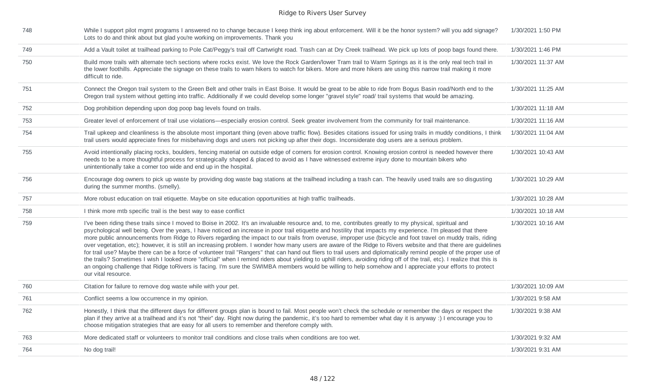| 748 | While I support pilot mgmt programs I answered no to change because I keep think ing about enforcement. Will it be the honor system? will you add signage?<br>Lots to do and think about but glad you're working on improvements. Thank you                                                                                                                                                                                                                                                                                                                                                                                                                                                                                                                                                                                                                                                                                                                                                                                                                                                                                                                                                              | 1/30/2021 1:50 PM  |
|-----|----------------------------------------------------------------------------------------------------------------------------------------------------------------------------------------------------------------------------------------------------------------------------------------------------------------------------------------------------------------------------------------------------------------------------------------------------------------------------------------------------------------------------------------------------------------------------------------------------------------------------------------------------------------------------------------------------------------------------------------------------------------------------------------------------------------------------------------------------------------------------------------------------------------------------------------------------------------------------------------------------------------------------------------------------------------------------------------------------------------------------------------------------------------------------------------------------------|--------------------|
| 749 | Add a Vault toilet at trailhead parking to Pole Cat/Peggy's trail off Cartwright road. Trash can at Dry Creek trailhead. We pick up lots of poop bags found there.                                                                                                                                                                                                                                                                                                                                                                                                                                                                                                                                                                                                                                                                                                                                                                                                                                                                                                                                                                                                                                       | 1/30/2021 1:46 PM  |
| 750 | Build more trails with alternate tech sections where rocks exist. We love the Rock Garden/lower Tram trail to Warm Springs as it is the only real tech trail in<br>the lower foothills. Appreciate the signage on these trails to warn hikers to watch for bikers. More and more hikers are using this narrow trail making it more<br>difficult to ride.                                                                                                                                                                                                                                                                                                                                                                                                                                                                                                                                                                                                                                                                                                                                                                                                                                                 | 1/30/2021 11:37 AM |
| 751 | Connect the Oregon trail system to the Green Belt and other trails in East Boise. It would be great to be able to ride from Bogus Basin road/North end to the<br>Oregon trail system without getting into traffic. Additionally if we could develop some longer "gravel style" road/ trail systems that would be amazing.                                                                                                                                                                                                                                                                                                                                                                                                                                                                                                                                                                                                                                                                                                                                                                                                                                                                                | 1/30/2021 11:25 AM |
| 752 | Dog prohibition depending upon dog poop bag levels found on trails.                                                                                                                                                                                                                                                                                                                                                                                                                                                                                                                                                                                                                                                                                                                                                                                                                                                                                                                                                                                                                                                                                                                                      | 1/30/2021 11:18 AM |
| 753 | Greater level of enforcement of trail use violations—especially erosion control. Seek greater involvement from the community for trail maintenance.                                                                                                                                                                                                                                                                                                                                                                                                                                                                                                                                                                                                                                                                                                                                                                                                                                                                                                                                                                                                                                                      | 1/30/2021 11:16 AM |
| 754 | Trail upkeep and cleanliness is the absolute most important thing (even above traffic flow). Besides citations issued for using trails in muddy conditions, I think<br>trail users would appreciate fines for misbehaving dogs and users not picking up after their dogs. Inconsiderate dog users are a serious problem.                                                                                                                                                                                                                                                                                                                                                                                                                                                                                                                                                                                                                                                                                                                                                                                                                                                                                 | 1/30/2021 11:04 AM |
| 755 | Avoid intentionally placing rocks, boulders, fencing material on outside edge of corners for erosion control. Knowing erosion control is needed however there<br>needs to be a more thoughtful process for strategically shaped & placed to avoid as I have witnessed extreme injury done to mountain bikers who<br>unintentionally take a corner too wide and end up in the hospital.                                                                                                                                                                                                                                                                                                                                                                                                                                                                                                                                                                                                                                                                                                                                                                                                                   | 1/30/2021 10:43 AM |
| 756 | Encourage dog owners to pick up waste by providing dog waste bag stations at the trailhead including a trash can. The heavily used trails are so disgusting<br>during the summer months. (smelly).                                                                                                                                                                                                                                                                                                                                                                                                                                                                                                                                                                                                                                                                                                                                                                                                                                                                                                                                                                                                       | 1/30/2021 10:29 AM |
| 757 | More robust education on trail etiquette. Maybe on site education opportunities at high traffic trailheads.                                                                                                                                                                                                                                                                                                                                                                                                                                                                                                                                                                                                                                                                                                                                                                                                                                                                                                                                                                                                                                                                                              | 1/30/2021 10:28 AM |
| 758 | I think more mtb specific trail is the best way to ease conflict                                                                                                                                                                                                                                                                                                                                                                                                                                                                                                                                                                                                                                                                                                                                                                                                                                                                                                                                                                                                                                                                                                                                         | 1/30/2021 10:18 AM |
| 759 | I've been riding these trails since I moved to Boise in 2002. It's an invaluable resource and, to me, contributes greatly to my physical, spiritual and<br>psychological well being. Over the years, I have noticed an increase in poor trail etiquette and hostility that impacts my experience. I'm pleased that there<br>more public announcements from Ridge to Rivers regarding the impact to our trails from overuse, improper use (bicycle and foot travel on muddy trails, riding<br>over vegetation, etc); however, it is still an increasing problem. I wonder how many users are aware of the Ridge to Rivers website and that there are guidelines<br>for trail use? Maybe there can be a force of volunteer trail "Rangers" that can hand out fliers to trail users and diplomatically remind people of the proper use of<br>the trails? Sometimes I wish I looked more "official" when I remind riders about yielding to uphill riders, avoiding riding off of the trail, etc). I realize that this is<br>an ongoing challenge that Ridge toRivers is facing. I'm sure the SWIMBA members would be willing to help somehow and I appreciate your efforts to protect<br>our vital resource. | 1/30/2021 10:16 AM |
| 760 | Citation for failure to remove dog waste while with your pet.                                                                                                                                                                                                                                                                                                                                                                                                                                                                                                                                                                                                                                                                                                                                                                                                                                                                                                                                                                                                                                                                                                                                            | 1/30/2021 10:09 AM |
| 761 | Conflict seems a low occurrence in my opinion.                                                                                                                                                                                                                                                                                                                                                                                                                                                                                                                                                                                                                                                                                                                                                                                                                                                                                                                                                                                                                                                                                                                                                           | 1/30/2021 9:58 AM  |
| 762 | Honestly, I think that the different days for different groups plan is bound to fail. Most people won't check the schedule or remember the days or respect the<br>plan if they arrive at a trailhead and it's not "their" day. Right now during the pandemic, it's too hard to remember what day it is anyway :) I encourage you to<br>choose mitigation strategies that are easy for all users to remember and therefore comply with.                                                                                                                                                                                                                                                                                                                                                                                                                                                                                                                                                                                                                                                                                                                                                                   | 1/30/2021 9:38 AM  |
| 763 | More dedicated staff or volunteers to monitor trail conditions and close trails when conditions are too wet.                                                                                                                                                                                                                                                                                                                                                                                                                                                                                                                                                                                                                                                                                                                                                                                                                                                                                                                                                                                                                                                                                             | 1/30/2021 9:32 AM  |
| 764 | No dog trail!                                                                                                                                                                                                                                                                                                                                                                                                                                                                                                                                                                                                                                                                                                                                                                                                                                                                                                                                                                                                                                                                                                                                                                                            | 1/30/2021 9:31 AM  |
|     |                                                                                                                                                                                                                                                                                                                                                                                                                                                                                                                                                                                                                                                                                                                                                                                                                                                                                                                                                                                                                                                                                                                                                                                                          |                    |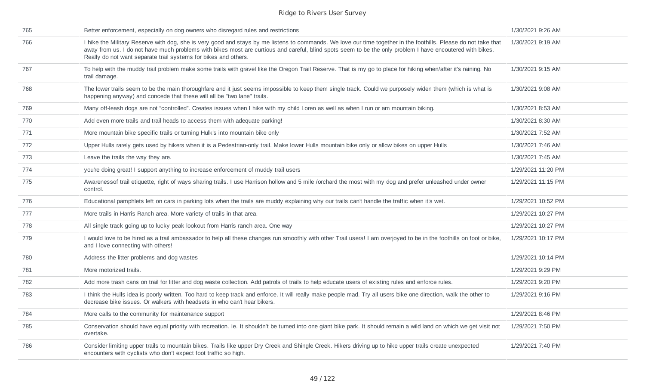| 765 | Better enforcement, especially on dog owners who disregard rules and restrictions                                                                                                                                                                                                                                                                                                               | 1/30/2021 9:26 AM  |
|-----|-------------------------------------------------------------------------------------------------------------------------------------------------------------------------------------------------------------------------------------------------------------------------------------------------------------------------------------------------------------------------------------------------|--------------------|
| 766 | I hike the Military Reserve with dog, she is very good and stays by me listens to commands. We love our time together in the foothills. Please do not take that<br>away from us. I do not have much problems with bikes most are curtious and careful, blind spots seem to be the only problem I have encoutered with bikes.<br>Really do not want separate trail systems for bikes and others. | 1/30/2021 9:19 AM  |
| 767 | To help with the muddy trail problem make some trails with gravel like the Oregon Trail Reserve. That is my go to place for hiking when/after it's raining. No<br>trail damage.                                                                                                                                                                                                                 | 1/30/2021 9:15 AM  |
| 768 | The lower trails seem to be the main thoroughfare and it just seems impossible to keep them single track. Could we purposely widen them (which is what is<br>happening anyway) and concede that these will all be "two lane" trails.                                                                                                                                                            | 1/30/2021 9:08 AM  |
| 769 | Many off-leash dogs are not "controlled". Creates issues when I hike with my child Loren as well as when I run or am mountain biking.                                                                                                                                                                                                                                                           | 1/30/2021 8:53 AM  |
| 770 | Add even more trails and trail heads to access them with adequate parking!                                                                                                                                                                                                                                                                                                                      | 1/30/2021 8:30 AM  |
| 771 | More mountain bike specific trails or turning Hulk's into mountain bike only                                                                                                                                                                                                                                                                                                                    | 1/30/2021 7:52 AM  |
| 772 | Upper Hulls rarely gets used by hikers when it is a Pedestrian-only trail. Make lower Hulls mountain bike only or allow bikes on upper Hulls                                                                                                                                                                                                                                                    | 1/30/2021 7:46 AM  |
| 773 | Leave the trails the way they are.                                                                                                                                                                                                                                                                                                                                                              | 1/30/2021 7:45 AM  |
| 774 | you're doing great! I support anything to increase enforcement of muddy trail users                                                                                                                                                                                                                                                                                                             | 1/29/2021 11:20 PM |
| 775 | Awarenessof trail etiquette, right of ways sharing trails. I use Harrison hollow and 5 mile /orchard the most with my dog and prefer unleashed under owner<br>control.                                                                                                                                                                                                                          | 1/29/2021 11:15 PM |
| 776 | Educational pamphlets left on cars in parking lots when the trails are muddy explaining why our trails can't handle the traffic when it's wet.                                                                                                                                                                                                                                                  | 1/29/2021 10:52 PM |
| 777 | More trails in Harris Ranch area. More variety of trails in that area.                                                                                                                                                                                                                                                                                                                          | 1/29/2021 10:27 PM |
| 778 | All single track going up to lucky peak lookout from Harris ranch area. One way                                                                                                                                                                                                                                                                                                                 | 1/29/2021 10:27 PM |
| 779 | I would love to be hired as a trail ambassador to help all these changes run smoothly with other Trail users! I am overjoyed to be in the foothills on foot or bike,<br>and I love connecting with others!                                                                                                                                                                                      | 1/29/2021 10:17 PM |
| 780 | Address the litter problems and dog wastes                                                                                                                                                                                                                                                                                                                                                      | 1/29/2021 10:14 PM |
| 781 | More motorized trails.                                                                                                                                                                                                                                                                                                                                                                          | 1/29/2021 9:29 PM  |
| 782 | Add more trash cans on trail for litter and dog waste collection. Add patrols of trails to help educate users of existing rules and enforce rules.                                                                                                                                                                                                                                              | 1/29/2021 9:20 PM  |
| 783 | I think the Hulls idea is poorly written. Too hard to keep track and enforce. It will really make people mad. Try all users bike one direction, walk the other to<br>decrease bike issues. Or walkers with headsets in who can't hear bikers.                                                                                                                                                   | 1/29/2021 9:16 PM  |
| 784 | More calls to the community for maintenance support                                                                                                                                                                                                                                                                                                                                             | 1/29/2021 8:46 PM  |
| 785 | Conservation should have equal priority with recreation. Ie. It shouldn't be turned into one giant bike park. It should remain a wild land on which we get visit not<br>overtake.                                                                                                                                                                                                               | 1/29/2021 7:50 PM  |
| 786 | Consider limiting upper trails to mountain bikes. Trails like upper Dry Creek and Shingle Creek. Hikers driving up to hike upper trails create unexpected<br>encounters with cyclists who don't expect foot traffic so high.                                                                                                                                                                    | 1/29/2021 7:40 PM  |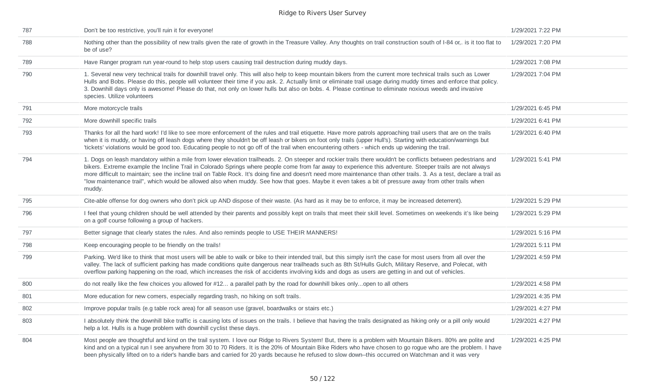| 787 | Don't be too restrictive, you'll ruin it for everyone!                                                                                                                                                                                                                                                                                                                                                                                                                                                                                                                                                                                                                   | 1/29/2021 7:22 PM |
|-----|--------------------------------------------------------------------------------------------------------------------------------------------------------------------------------------------------------------------------------------------------------------------------------------------------------------------------------------------------------------------------------------------------------------------------------------------------------------------------------------------------------------------------------------------------------------------------------------------------------------------------------------------------------------------------|-------------------|
| 788 | Nothing other than the possibility of new trails given the rate of growth in the Treasure Valley. Any thoughts on trail construction south of I-84 or,. is it too flat to<br>be of use?                                                                                                                                                                                                                                                                                                                                                                                                                                                                                  | 1/29/2021 7:20 PM |
| 789 | Have Ranger program run year-round to help stop users causing trail destruction during muddy days.                                                                                                                                                                                                                                                                                                                                                                                                                                                                                                                                                                       | 1/29/2021 7:08 PM |
| 790 | 1. Several new very technical trails for downhill travel only. This will also help to keep mountain bikers from the current more technical trails such as Lower<br>Hulls and Bobs. Please do this, people will volunteer their time if you ask. 2. Actually limit or eliminate trail usage during muddy times and enforce that policy.<br>3. Downhill days only is awesome! Please do that, not only on lower hulls but also on bobs. 4. Please continue to eliminate noxious weeds and invasive<br>species. Utilize volunteers                                                                                                                                          | 1/29/2021 7:04 PM |
| 791 | More motorcycle trails                                                                                                                                                                                                                                                                                                                                                                                                                                                                                                                                                                                                                                                   | 1/29/2021 6:45 PM |
| 792 | More downhill specific trails                                                                                                                                                                                                                                                                                                                                                                                                                                                                                                                                                                                                                                            | 1/29/2021 6:41 PM |
| 793 | Thanks for all the hard work! I'd like to see more enforcement of the rules and trail etiquette. Have more patrols approaching trail users that are on the trails<br>when it is muddy, or having off leash dogs where they shouldn't be off leash or bikers on foot only trails (upper Hull's). Starting with education/warnings but<br>'tickets' violations would be good too. Educating people to not go off of the trail when encountering others - which ends up widening the trail.                                                                                                                                                                                 | 1/29/2021 6:40 PM |
| 794 | 1. Dogs on leash mandatory within a mile from lower elevation trailheads. 2. On steeper and rockier trails there wouldn't be conflicts between pedestrians and<br>bikers. Extreme example the Incline Trail in Colorado Springs where people come from far away to experience this adventure. Steeper trails are not always<br>more difficult to maintain; see the incline trail on Table Rock. It's doing fine and doesn't need more maintenance than other trails. 3. As a test, declare a trail as<br>"low maintenance trail", which would be allowed also when muddy. See how that goes. Maybe it even takes a bit of pressure away from other trails when<br>muddy. | 1/29/2021 5:41 PM |
| 795 | Cite-able offense for dog owners who don't pick up AND dispose of their waste. (As hard as it may be to enforce, it may be increased deterrent).                                                                                                                                                                                                                                                                                                                                                                                                                                                                                                                         | 1/29/2021 5:29 PM |
| 796 | I feel that young children should be well attended by their parents and possibly kept on trails that meet their skill level. Sometimes on weekends it's like being<br>on a golf course following a group of hackers.                                                                                                                                                                                                                                                                                                                                                                                                                                                     | 1/29/2021 5:29 PM |
| 797 | Better signage that clearly states the rules. And also reminds people to USE THEIR MANNERS!                                                                                                                                                                                                                                                                                                                                                                                                                                                                                                                                                                              | 1/29/2021 5:16 PM |
| 798 | Keep encouraging people to be friendly on the trails!                                                                                                                                                                                                                                                                                                                                                                                                                                                                                                                                                                                                                    | 1/29/2021 5:11 PM |
| 799 | Parking. We'd like to think that most users will be able to walk or bike to their intended trail, but this simply isn't the case for most users from all over the<br>valley. The lack of sufficient parking has made conditions quite dangerous near trailheads such as 8th St/Hulls Gulch, Military Reserve, and Polecat, with<br>overflow parking happening on the road, which increases the risk of accidents involving kids and dogs as users are getting in and out of vehicles.                                                                                                                                                                                    | 1/29/2021 4:59 PM |
| 800 | do not really like the few choices you allowed for #12 a parallel path by the road for downhill bikes onlyopen to all others                                                                                                                                                                                                                                                                                                                                                                                                                                                                                                                                             | 1/29/2021 4:58 PM |
| 801 | More education for new comers, especially regarding trash, no hiking on soft trails.                                                                                                                                                                                                                                                                                                                                                                                                                                                                                                                                                                                     | 1/29/2021 4:35 PM |
| 802 | Improve popular trails (e.g table rock area) for all season use (gravel, boardwalks or stairs etc.)                                                                                                                                                                                                                                                                                                                                                                                                                                                                                                                                                                      | 1/29/2021 4:27 PM |
| 803 | I absolutely think the downhill bike traffic is causing lots of issues on the trails. I believe that having the trails designated as hiking only or a pill only would<br>help a lot. Hulls is a huge problem with downhill cyclist these days.                                                                                                                                                                                                                                                                                                                                                                                                                           | 1/29/2021 4:27 PM |
| 804 | Most people are thoughtful and kind on the trail system. I love our Ridge to Rivers System! But, there is a problem with Mountain Bikers. 80% are polite and<br>kind and on a typical run I see anywhere from 30 to 70 Riders. It is the 20% of Mountain Bike Riders who have chosen to go roque who are the problem. I have<br>been physically lifted on to a rider's handle bars and carried for 20 yards because he refused to slow down--this occurred on Watchman and it was very                                                                                                                                                                                   | 1/29/2021 4:25 PM |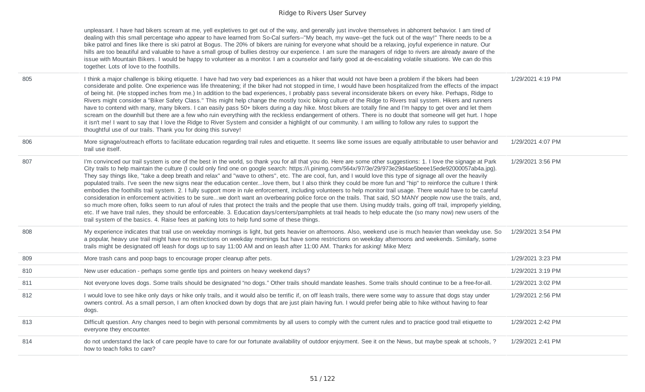| unpleasant. I have had bikers scream at me, yell expletives to get out of the way, and generally just involve themselves in abhorrent behavior. I am tired of    |
|------------------------------------------------------------------------------------------------------------------------------------------------------------------|
| dealing with this small percentage who appear to have learned from So-Cal surfers--"My beach, my wave--get the fuck out of the way!" There needs to be a         |
| bike patrol and fines like there is ski patrol at Bogus. The 20% of bikers are ruining for everyone what should be a relaxing, joyful experience in nature. Our  |
| hills are too beautiful and valuable to have a small group of bullies destroy our experience. I am sure the managers of ridge to rivers are already aware of the |
| issue with Mountain Bikers. I would be happy to volunteer as a monitor. I am a counselor and fairly good at de-escalating volatile situations. We can do this    |
| together. Lots of love to the foothills.                                                                                                                         |

| 805 | I think a major challenge is biking etiquette. I have had two very bad experiences as a hiker that would not have been a problem if the bikers had been<br>considerate and polite. One experience was life threatening; if the biker had not stopped in time, I would have been hospitalized from the effects of the impact<br>of being hit. (He stopped inches from me.) In addition to the bad experiences, I probably pass several inconsiderate bikers on every hike. Perhaps, Ridge to<br>Rivers might consider a "Biker Safety Class." This might help change the mostly toxic biking culture of the Ridge to Rivers trail system. Hikers and runners<br>have to contend with many, many bikers. I can easily pass 50+ bikers during a day hike. Most bikers are totally fine and I'm happy to get over and let them<br>scream on the downhill but there are a few who ruin everything with the reckless endangerment of others. There is no doubt that someone will get hurt. I hope<br>it isn't me! I want to say that I love the Ridge to River System and consider a highlight of our community. I am willing to follow any rules to support the<br>thoughtful use of our trails. Thank you for doing this survey!                                                                                                                                                                                                                          | 1/29/2021 4:19 PM |
|-----|-------------------------------------------------------------------------------------------------------------------------------------------------------------------------------------------------------------------------------------------------------------------------------------------------------------------------------------------------------------------------------------------------------------------------------------------------------------------------------------------------------------------------------------------------------------------------------------------------------------------------------------------------------------------------------------------------------------------------------------------------------------------------------------------------------------------------------------------------------------------------------------------------------------------------------------------------------------------------------------------------------------------------------------------------------------------------------------------------------------------------------------------------------------------------------------------------------------------------------------------------------------------------------------------------------------------------------------------------------------------------------------------------------------------------------------------------------|-------------------|
| 806 | More signage/outreach efforts to facilitate education regarding trail rules and etiquette. It seems like some issues are equally attributable to user behavior and<br>trail use itself.                                                                                                                                                                                                                                                                                                                                                                                                                                                                                                                                                                                                                                                                                                                                                                                                                                                                                                                                                                                                                                                                                                                                                                                                                                                               | 1/29/2021 4:07 PM |
| 807 | I'm convinced our trail system is one of the best in the world, so thank you for all that you do. Here are some other suggestions: 1. I love the signage at Park<br>City trails to help maintain the culture (I could only find one on google search: https://i.pinimg.com/564x/97/3e/29/973e29d4ae5beee15ede92000057ab4a.jpg).<br>They say things like, "take a deep breath and relax" and "wave to others", etc. The are cool, fun, and I would love this type of signage all over the heavily<br>populated trails. I've seen the new signs near the education centerlove them, but I also think they could be more fun and "hip" to reinforce the culture I think<br>embodies the foothills trail system. 2. I fully support more in rule enforcement, including volunteers to help monitor trail usage. There would have to be careful<br>consideration in enforcement activities to be surewe don't want an overbearing police force on the trails. That said, SO MANY people now use the trails, and,<br>so much more often, folks seem to run afoul of rules that protect the trails and the people that use them. Using muddy trails, going off trail, improperly yielding,<br>etc. If we have trail rules, they should be enforceable. 3. Education days/centers/pamphlets at trail heads to help educate the (so many now) new users of the<br>trail system of the basics. 4. Raise fees at parking lots to help fund some of these things. | 1/29/2021 3:56 PM |
| 808 | My experience indicates that trail use on weekday mornings is light, but gets heavier on afternoons. Also, weekend use is much heavier than weekday use. So<br>a popular, heavy use trail might have no restrictions on weekday mornings but have some restrictions on weekday afternoons and weekends. Similarly, some<br>trails might be designated off leash for dogs up to say 11:00 AM and on leash after 11:00 AM. Thanks for asking! Mike Merz                                                                                                                                                                                                                                                                                                                                                                                                                                                                                                                                                                                                                                                                                                                                                                                                                                                                                                                                                                                                 | 1/29/2021 3:54 PM |
| 809 | More trash cans and poop bags to encourage proper cleanup after pets.                                                                                                                                                                                                                                                                                                                                                                                                                                                                                                                                                                                                                                                                                                                                                                                                                                                                                                                                                                                                                                                                                                                                                                                                                                                                                                                                                                                 | 1/29/2021 3:23 PM |
| 810 | New user education - perhaps some gentle tips and pointers on heavy weekend days?                                                                                                                                                                                                                                                                                                                                                                                                                                                                                                                                                                                                                                                                                                                                                                                                                                                                                                                                                                                                                                                                                                                                                                                                                                                                                                                                                                     | 1/29/2021 3:19 PM |
| 811 | Not everyone loves dogs. Some trails should be designated "no dogs." Other trails should mandate leashes. Some trails should continue to be a free-for-all.                                                                                                                                                                                                                                                                                                                                                                                                                                                                                                                                                                                                                                                                                                                                                                                                                                                                                                                                                                                                                                                                                                                                                                                                                                                                                           | 1/29/2021 3:02 PM |
| 812 | I would love to see hike only days or hike only trails, and it would also be terrific if, on off leash trails, there were some way to assure that dogs stay under<br>owners control. As a small person, I am often knocked down by dogs that are just plain having fun. I would prefer being able to hike without having to fear<br>dogs.                                                                                                                                                                                                                                                                                                                                                                                                                                                                                                                                                                                                                                                                                                                                                                                                                                                                                                                                                                                                                                                                                                             | 1/29/2021 2:56 PM |
| 813 | Difficult question. Any changes need to begin with personal commitments by all users to comply with the current rules and to practice good trail etiquette to<br>everyone they encounter.                                                                                                                                                                                                                                                                                                                                                                                                                                                                                                                                                                                                                                                                                                                                                                                                                                                                                                                                                                                                                                                                                                                                                                                                                                                             | 1/29/2021 2:42 PM |
| 814 | do not understand the lack of care people have to care for our fortunate availability of outdoor enjoyment. See it on the News, but maybe speak at schools, ?<br>how to teach folks to care?                                                                                                                                                                                                                                                                                                                                                                                                                                                                                                                                                                                                                                                                                                                                                                                                                                                                                                                                                                                                                                                                                                                                                                                                                                                          | 1/29/2021 2:41 PM |
|     |                                                                                                                                                                                                                                                                                                                                                                                                                                                                                                                                                                                                                                                                                                                                                                                                                                                                                                                                                                                                                                                                                                                                                                                                                                                                                                                                                                                                                                                       |                   |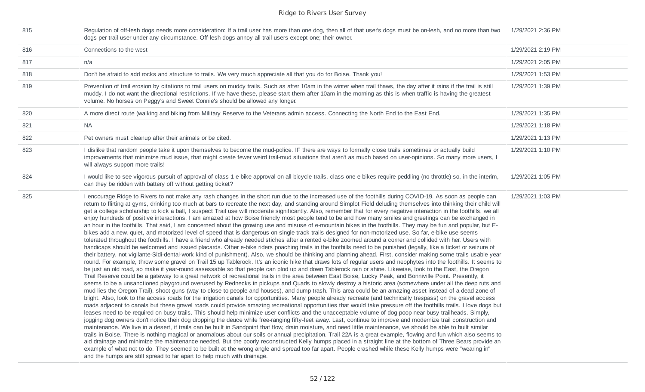| 815 | Regulation of off-lesh dogs needs more consideration: If a trail user has more than one dog, then all of that user's dogs must be on-lesh, and no more than two<br>dogs per trail user under any circumstance. Off-lesh dogs annoy all trail users except one; their owner.                                                                                                                                                                                                                                                                                                                                                                                                                                                                                                                                                                                                                                                                                                                                                                                                                                                                                                                                                                                                                                                                                                                                                                                                                                                                                                                                                                                                                                                                                                                                                                                                                                                                                                                                                                                                                                                                                                                                                                                                                                                                                                                                                                                                                                                                                                                                                                                                                                                                                                                                                                                                                                                                                                                                                                                                                                                                                                                                                                                                                                                                                                                                                                                                                                                                                                                                                                                                                                                                                        | 1/29/2021 2:36 PM |
|-----|--------------------------------------------------------------------------------------------------------------------------------------------------------------------------------------------------------------------------------------------------------------------------------------------------------------------------------------------------------------------------------------------------------------------------------------------------------------------------------------------------------------------------------------------------------------------------------------------------------------------------------------------------------------------------------------------------------------------------------------------------------------------------------------------------------------------------------------------------------------------------------------------------------------------------------------------------------------------------------------------------------------------------------------------------------------------------------------------------------------------------------------------------------------------------------------------------------------------------------------------------------------------------------------------------------------------------------------------------------------------------------------------------------------------------------------------------------------------------------------------------------------------------------------------------------------------------------------------------------------------------------------------------------------------------------------------------------------------------------------------------------------------------------------------------------------------------------------------------------------------------------------------------------------------------------------------------------------------------------------------------------------------------------------------------------------------------------------------------------------------------------------------------------------------------------------------------------------------------------------------------------------------------------------------------------------------------------------------------------------------------------------------------------------------------------------------------------------------------------------------------------------------------------------------------------------------------------------------------------------------------------------------------------------------------------------------------------------------------------------------------------------------------------------------------------------------------------------------------------------------------------------------------------------------------------------------------------------------------------------------------------------------------------------------------------------------------------------------------------------------------------------------------------------------------------------------------------------------------------------------------------------------------------------------------------------------------------------------------------------------------------------------------------------------------------------------------------------------------------------------------------------------------------------------------------------------------------------------------------------------------------------------------------------------------------------------------------------------------------------------------------------------|-------------------|
| 816 | Connections to the west                                                                                                                                                                                                                                                                                                                                                                                                                                                                                                                                                                                                                                                                                                                                                                                                                                                                                                                                                                                                                                                                                                                                                                                                                                                                                                                                                                                                                                                                                                                                                                                                                                                                                                                                                                                                                                                                                                                                                                                                                                                                                                                                                                                                                                                                                                                                                                                                                                                                                                                                                                                                                                                                                                                                                                                                                                                                                                                                                                                                                                                                                                                                                                                                                                                                                                                                                                                                                                                                                                                                                                                                                                                                                                                                            | 1/29/2021 2:19 PM |
| 817 | n/a                                                                                                                                                                                                                                                                                                                                                                                                                                                                                                                                                                                                                                                                                                                                                                                                                                                                                                                                                                                                                                                                                                                                                                                                                                                                                                                                                                                                                                                                                                                                                                                                                                                                                                                                                                                                                                                                                                                                                                                                                                                                                                                                                                                                                                                                                                                                                                                                                                                                                                                                                                                                                                                                                                                                                                                                                                                                                                                                                                                                                                                                                                                                                                                                                                                                                                                                                                                                                                                                                                                                                                                                                                                                                                                                                                | 1/29/2021 2:05 PM |
| 818 | Don't be afraid to add rocks and structure to trails. We very much appreciate all that you do for Boise. Thank you!                                                                                                                                                                                                                                                                                                                                                                                                                                                                                                                                                                                                                                                                                                                                                                                                                                                                                                                                                                                                                                                                                                                                                                                                                                                                                                                                                                                                                                                                                                                                                                                                                                                                                                                                                                                                                                                                                                                                                                                                                                                                                                                                                                                                                                                                                                                                                                                                                                                                                                                                                                                                                                                                                                                                                                                                                                                                                                                                                                                                                                                                                                                                                                                                                                                                                                                                                                                                                                                                                                                                                                                                                                                | 1/29/2021 1:53 PM |
| 819 | Prevention of trail erosion by citations to trail users on muddy trails. Such as after 10am in the winter when trail thaws, the day after it rains if the trail is still<br>muddy. I do not want the directional restrictions. If we have these, please start them after 10am in the morning as this is when traffic is having the greatest<br>volume. No horses on Peggy's and Sweet Connie's should be allowed any longer.                                                                                                                                                                                                                                                                                                                                                                                                                                                                                                                                                                                                                                                                                                                                                                                                                                                                                                                                                                                                                                                                                                                                                                                                                                                                                                                                                                                                                                                                                                                                                                                                                                                                                                                                                                                                                                                                                                                                                                                                                                                                                                                                                                                                                                                                                                                                                                                                                                                                                                                                                                                                                                                                                                                                                                                                                                                                                                                                                                                                                                                                                                                                                                                                                                                                                                                                       | 1/29/2021 1:39 PM |
| 820 | A more direct route (walking and biking from Military Reserve to the Veterans admin access. Connecting the North End to the East End.                                                                                                                                                                                                                                                                                                                                                                                                                                                                                                                                                                                                                                                                                                                                                                                                                                                                                                                                                                                                                                                                                                                                                                                                                                                                                                                                                                                                                                                                                                                                                                                                                                                                                                                                                                                                                                                                                                                                                                                                                                                                                                                                                                                                                                                                                                                                                                                                                                                                                                                                                                                                                                                                                                                                                                                                                                                                                                                                                                                                                                                                                                                                                                                                                                                                                                                                                                                                                                                                                                                                                                                                                              | 1/29/2021 1:35 PM |
| 821 | NA.                                                                                                                                                                                                                                                                                                                                                                                                                                                                                                                                                                                                                                                                                                                                                                                                                                                                                                                                                                                                                                                                                                                                                                                                                                                                                                                                                                                                                                                                                                                                                                                                                                                                                                                                                                                                                                                                                                                                                                                                                                                                                                                                                                                                                                                                                                                                                                                                                                                                                                                                                                                                                                                                                                                                                                                                                                                                                                                                                                                                                                                                                                                                                                                                                                                                                                                                                                                                                                                                                                                                                                                                                                                                                                                                                                | 1/29/2021 1:18 PM |
| 822 | Pet owners must cleanup after their animals or be cited.                                                                                                                                                                                                                                                                                                                                                                                                                                                                                                                                                                                                                                                                                                                                                                                                                                                                                                                                                                                                                                                                                                                                                                                                                                                                                                                                                                                                                                                                                                                                                                                                                                                                                                                                                                                                                                                                                                                                                                                                                                                                                                                                                                                                                                                                                                                                                                                                                                                                                                                                                                                                                                                                                                                                                                                                                                                                                                                                                                                                                                                                                                                                                                                                                                                                                                                                                                                                                                                                                                                                                                                                                                                                                                           | 1/29/2021 1:13 PM |
| 823 | I dislike that random people take it upon themselves to become the mud-police. IF there are ways to formally close trails sometimes or actually build<br>improvements that minimize mud issue, that might create fewer weird trail-mud situations that aren't as much based on user-opinions. So many more users, I<br>will always support more trails!                                                                                                                                                                                                                                                                                                                                                                                                                                                                                                                                                                                                                                                                                                                                                                                                                                                                                                                                                                                                                                                                                                                                                                                                                                                                                                                                                                                                                                                                                                                                                                                                                                                                                                                                                                                                                                                                                                                                                                                                                                                                                                                                                                                                                                                                                                                                                                                                                                                                                                                                                                                                                                                                                                                                                                                                                                                                                                                                                                                                                                                                                                                                                                                                                                                                                                                                                                                                            | 1/29/2021 1:10 PM |
| 824 | I would like to see vigorous pursuit of approval of class 1 e bike approval on all bicycle trails. class one e bikes require peddling (no throttle) so, in the interim,<br>can they be ridden with battery off without getting ticket?                                                                                                                                                                                                                                                                                                                                                                                                                                                                                                                                                                                                                                                                                                                                                                                                                                                                                                                                                                                                                                                                                                                                                                                                                                                                                                                                                                                                                                                                                                                                                                                                                                                                                                                                                                                                                                                                                                                                                                                                                                                                                                                                                                                                                                                                                                                                                                                                                                                                                                                                                                                                                                                                                                                                                                                                                                                                                                                                                                                                                                                                                                                                                                                                                                                                                                                                                                                                                                                                                                                             | 1/29/2021 1:05 PM |
| 825 | I encourage Ridge to Rivers to not make any rash changes in the short run due to the increased use of the foothills during COVID-19. As soon as people can<br>return to flirting at gyms, drinking too much at bars to recreate the next day, and standing around Simplot Field deluding themselves into thinking their child will<br>get a college scholarship to kick a ball, I suspect Trail use will moderate significantly. Also, remember that for every negative interaction in the foothills, we all<br>enjoy hundreds of positive interactions. I am amazed at how Boise friendly most people tend to be and how many smiles and greetings can be exchanged in<br>an hour in the foothills. That said, I am concerned about the growing use and misuse of e-mountain bikes in the foothills. They may be fun and popular, but E-<br>bikes add a new, quiet, and motorized level of speed that is dangerous on single track trails designed for non-motorized use. So far, e-bike use seems<br>tolerated throughout the foothills. I have a friend who already needed stiches after a rented e-bike zoomed around a corner and collided with her. Users with<br>handicaps should be welcomed and issued placards. Other e-bike riders poaching trails in the foothills need to be punished (legally, like a ticket or seizure of<br>their battery, not vigilante-Sidi-dental-work kind of punishment). Also, we should be thinking and planning ahead. First, consider making some trails usable year<br>round. For example, throw some gravel on Trail 15 up Tablerock. It's an iconic hike that draws lots of regular users and neophytes into the foothills. It seems to<br>be just an old road, so make it year-round assessable so that people can plod up and down Tablerock rain or shine. Likewise, look to the East, the Oregon<br>Trail Reserve could be a gateway to a great network of recreational trails in the area between East Boise, Lucky Peak, and Bonniville Point. Presently, it<br>seems to be a unsanctioned playground overused by Rednecks in pickups and Quads to slowly destroy a historic area (somewhere under all the deep ruts and<br>mud lies the Oregon Trail), shoot guns (way to close to people and houses), and dump trash. This area could be an amazing asset instead of a dead zone of<br>blight. Also, look to the access roads for the irrigation canals for opportunities. Many people already recreate (and technically trespass) on the gravel access<br>roads adjacent to canals but these gravel roads could provide amazing recreational opportunities that would take pressure off the foothills trails. I love dogs but<br>leases need to be required on busy trails. This should help minimize user conflicts and the unacceptable volume of dog poop near busy trailheads. Simply,<br>jogging dog owners don't notice their dog dropping the deuce while free-ranging fifty-feet away. Last, continue to improve and modernize trail construction and<br>maintenance. We live in a desert, if trails can be built in Sandpoint that flow, drain moisture, and need little maintenance, we should be able to built similar<br>trails in Boise. There is nothing magical or anomalous about our soils or annual precipitation. Trail 22A is a great example, flowing and fun which also seems to<br>aid drainage and minimize the maintenance needed. But the poorly reconstructed Kelly humps placed in a straight line at the bottom of Three Bears provide an<br>example of what not to do. They seemed to be built at the wrong angle and spread too far apart. People crashed while these Kelly humps were "wearing in"<br>and the humps are still spread to far apart to help much with drainage. | 1/29/2021 1:03 PM |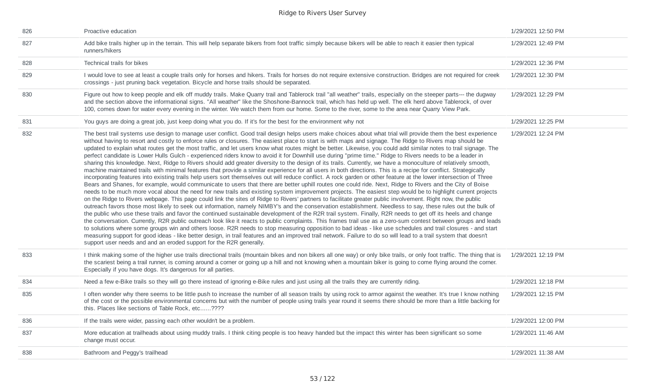| 826 | Proactive education                                                                                                                                                                                                                                                                                                                                                                                                                                                                                                                                                                                                                                                                                                                                                                                                                                                                                                                                                                                                                                                                                                                                                                                                                                                                                                                                                                                                                                                                                                                                                                                                                                                                                                                                                                                                                                                                                                                                                                                                                                                                                                                                                                                                                                                                                                                                                                                                                                                                                                                                                           | 1/29/2021 12:50 PM |
|-----|-------------------------------------------------------------------------------------------------------------------------------------------------------------------------------------------------------------------------------------------------------------------------------------------------------------------------------------------------------------------------------------------------------------------------------------------------------------------------------------------------------------------------------------------------------------------------------------------------------------------------------------------------------------------------------------------------------------------------------------------------------------------------------------------------------------------------------------------------------------------------------------------------------------------------------------------------------------------------------------------------------------------------------------------------------------------------------------------------------------------------------------------------------------------------------------------------------------------------------------------------------------------------------------------------------------------------------------------------------------------------------------------------------------------------------------------------------------------------------------------------------------------------------------------------------------------------------------------------------------------------------------------------------------------------------------------------------------------------------------------------------------------------------------------------------------------------------------------------------------------------------------------------------------------------------------------------------------------------------------------------------------------------------------------------------------------------------------------------------------------------------------------------------------------------------------------------------------------------------------------------------------------------------------------------------------------------------------------------------------------------------------------------------------------------------------------------------------------------------------------------------------------------------------------------------------------------------|--------------------|
| 827 | Add bike trails higher up in the terrain. This will help separate bikers from foot traffic simply because bikers will be able to reach it easier then typical<br>runners/hikers                                                                                                                                                                                                                                                                                                                                                                                                                                                                                                                                                                                                                                                                                                                                                                                                                                                                                                                                                                                                                                                                                                                                                                                                                                                                                                                                                                                                                                                                                                                                                                                                                                                                                                                                                                                                                                                                                                                                                                                                                                                                                                                                                                                                                                                                                                                                                                                               | 1/29/2021 12:49 PM |
| 828 | Technical trails for bikes                                                                                                                                                                                                                                                                                                                                                                                                                                                                                                                                                                                                                                                                                                                                                                                                                                                                                                                                                                                                                                                                                                                                                                                                                                                                                                                                                                                                                                                                                                                                                                                                                                                                                                                                                                                                                                                                                                                                                                                                                                                                                                                                                                                                                                                                                                                                                                                                                                                                                                                                                    | 1/29/2021 12:36 PM |
| 829 | I would love to see at least a couple trails only for horses and hikers. Trails for horses do not require extensive construction. Bridges are not required for creek<br>crossings - just pruning back vegetation. Bicycle and horse trails should be separated.                                                                                                                                                                                                                                                                                                                                                                                                                                                                                                                                                                                                                                                                                                                                                                                                                                                                                                                                                                                                                                                                                                                                                                                                                                                                                                                                                                                                                                                                                                                                                                                                                                                                                                                                                                                                                                                                                                                                                                                                                                                                                                                                                                                                                                                                                                               | 1/29/2021 12:30 PM |
| 830 | Figure out how to keep people and elk off muddy trails. Make Quarry trail and Tablerock trail "all weather" trails, especially on the steeper parts--- the dugway<br>and the section above the informational signs. "All weather" like the Shoshone-Bannock trail, which has held up well. The elk herd above Tablerock, of over<br>100, comes down for water every evening in the winter. We watch them from our home. Some to the river, some to the area near Quarry View Park.                                                                                                                                                                                                                                                                                                                                                                                                                                                                                                                                                                                                                                                                                                                                                                                                                                                                                                                                                                                                                                                                                                                                                                                                                                                                                                                                                                                                                                                                                                                                                                                                                                                                                                                                                                                                                                                                                                                                                                                                                                                                                            | 1/29/2021 12:29 PM |
| 831 | You guys are doing a great job, just keep doing what you do. If it's for the best for the environment why not                                                                                                                                                                                                                                                                                                                                                                                                                                                                                                                                                                                                                                                                                                                                                                                                                                                                                                                                                                                                                                                                                                                                                                                                                                                                                                                                                                                                                                                                                                                                                                                                                                                                                                                                                                                                                                                                                                                                                                                                                                                                                                                                                                                                                                                                                                                                                                                                                                                                 | 1/29/2021 12:25 PM |
| 832 | The best trail systems use design to manage user conflict. Good trail design helps users make choices about what trial will provide them the best experience<br>without having to resort and costly to enforce rules or closures. The easiest place to start is with maps and signage. The Ridge to Rivers map should be<br>updated to explain what routes get the most traffic, and let users know what routes might be better. Likewise, you could add similar notes to trail signage. The<br>perfect candidate is Lower Hulls Gulch - experienced riders know to avoid it for Downhill use during "prime time." Ridge to Rivers needs to be a leader in<br>sharing this knowledge. Next, Ridge to Rivers should add greater diversity to the design of its trails. Currently, we have a monoculture of relatively smooth,<br>machine maintained trails with minimal features that provide a similar experience for all users in both directions. This is a recipe for conflict. Strategically<br>incorporating features into existing trails help users sort themselves out will reduce conflict. A rock garden or other feature at the lower intersection of Three<br>Bears and Shanes, for example, would communicate to users that there are better uphill routes one could ride. Next, Ridge to Rivers and the City of Boise<br>needs to be much more vocal about the need for new trails and existing system improvement projects. The easiest step would be to highlight current projects<br>on the Ridge to Rivers webpage. This page could link the sites of Ridge to Rivers' partners to facilitate greater public involvement. Right now, the public<br>outreach favors those most likely to seek out information, namely NIMBY's and the conservation establishment. Needless to say, these rules out the bulk of<br>the public who use these trails and favor the continued sustainable development of the R2R trail system. Finally, R2R needs to get off its heels and change<br>the conversation. Currently, R2R public outreach look like it reacts to public complaints. This frames trail use as a zero-sum contest between groups and leads<br>to solutions where some groups win and others loose. R2R needs to stop measuring opposition to bad ideas - like use schedules and trail closures - and start<br>measuring support for good ideas - like better design, in trail features and an improved trail network. Failure to do so will lead to a trail system that doesn't<br>support user needs and and an eroded support for the R2R generally. | 1/29/2021 12:24 PM |
| 833 | I think making some of the higher use trails directional trails (mountain bikes and non bikers all one way) or only bike trails, or only foot traffic. The thing that is<br>the scariest being a trail runner, is coming around a corner or going up a hill and not knowing when a mountain biker is going to come flying around the corner.<br>Especially if you have dogs. It's dangerous for all parties.                                                                                                                                                                                                                                                                                                                                                                                                                                                                                                                                                                                                                                                                                                                                                                                                                                                                                                                                                                                                                                                                                                                                                                                                                                                                                                                                                                                                                                                                                                                                                                                                                                                                                                                                                                                                                                                                                                                                                                                                                                                                                                                                                                  | 1/29/2021 12:19 PM |
| 834 | Need a few e-Bike trails so they will go there instead of ignoring e-Bike rules and just using all the trails they are currently riding.                                                                                                                                                                                                                                                                                                                                                                                                                                                                                                                                                                                                                                                                                                                                                                                                                                                                                                                                                                                                                                                                                                                                                                                                                                                                                                                                                                                                                                                                                                                                                                                                                                                                                                                                                                                                                                                                                                                                                                                                                                                                                                                                                                                                                                                                                                                                                                                                                                      | 1/29/2021 12:18 PM |
| 835 | I often wonder why there seems to be little push to increase the number of all season trails by using rock to armor against the weather. It's true I know nothing<br>of the cost or the possible environmental concerns but with the number of people using trails year round it seems there should be more than a little backing for<br>this. Places like sections of Table Rock, etc????                                                                                                                                                                                                                                                                                                                                                                                                                                                                                                                                                                                                                                                                                                                                                                                                                                                                                                                                                                                                                                                                                                                                                                                                                                                                                                                                                                                                                                                                                                                                                                                                                                                                                                                                                                                                                                                                                                                                                                                                                                                                                                                                                                                    | 1/29/2021 12:15 PM |
| 836 | If the trails were wider, passing each other wouldn't be a problem.                                                                                                                                                                                                                                                                                                                                                                                                                                                                                                                                                                                                                                                                                                                                                                                                                                                                                                                                                                                                                                                                                                                                                                                                                                                                                                                                                                                                                                                                                                                                                                                                                                                                                                                                                                                                                                                                                                                                                                                                                                                                                                                                                                                                                                                                                                                                                                                                                                                                                                           | 1/29/2021 12:00 PM |
| 837 | More education at trailheads about using muddy trails. I think citing people is too heavy handed but the impact this winter has been significant so some<br>change must occur.                                                                                                                                                                                                                                                                                                                                                                                                                                                                                                                                                                                                                                                                                                                                                                                                                                                                                                                                                                                                                                                                                                                                                                                                                                                                                                                                                                                                                                                                                                                                                                                                                                                                                                                                                                                                                                                                                                                                                                                                                                                                                                                                                                                                                                                                                                                                                                                                | 1/29/2021 11:46 AM |
| 838 | Bathroom and Peggy's trailhead                                                                                                                                                                                                                                                                                                                                                                                                                                                                                                                                                                                                                                                                                                                                                                                                                                                                                                                                                                                                                                                                                                                                                                                                                                                                                                                                                                                                                                                                                                                                                                                                                                                                                                                                                                                                                                                                                                                                                                                                                                                                                                                                                                                                                                                                                                                                                                                                                                                                                                                                                | 1/29/2021 11:38 AM |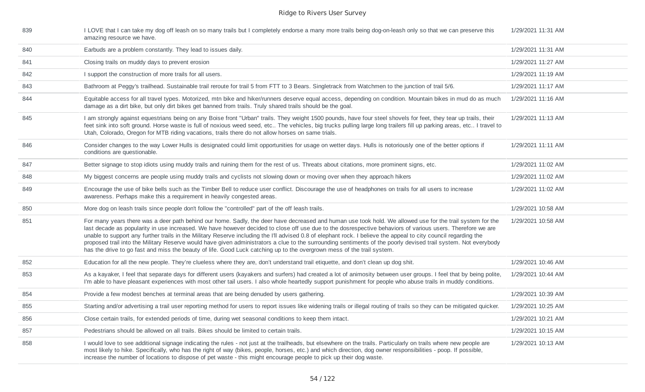| 839 | I LOVE that I can take my dog off leash on so many trails but I completely endorse a many more trails being dog-on-leash only so that we can preserve this<br>amazing resource we have.                                                                                                                                                                                                                                                                                                                                                                                                                                                                                                                                                                                                  | 1/29/2021 11:31 AM |
|-----|------------------------------------------------------------------------------------------------------------------------------------------------------------------------------------------------------------------------------------------------------------------------------------------------------------------------------------------------------------------------------------------------------------------------------------------------------------------------------------------------------------------------------------------------------------------------------------------------------------------------------------------------------------------------------------------------------------------------------------------------------------------------------------------|--------------------|
| 840 | Earbuds are a problem constantly. They lead to issues daily.                                                                                                                                                                                                                                                                                                                                                                                                                                                                                                                                                                                                                                                                                                                             | 1/29/2021 11:31 AM |
| 841 | Closing trails on muddy days to prevent erosion                                                                                                                                                                                                                                                                                                                                                                                                                                                                                                                                                                                                                                                                                                                                          | 1/29/2021 11:27 AM |
| 842 | I support the construction of more trails for all users.                                                                                                                                                                                                                                                                                                                                                                                                                                                                                                                                                                                                                                                                                                                                 | 1/29/2021 11:19 AM |
| 843 | Bathroom at Peggy's trailhead. Sustainable trail reroute for trail 5 from FTT to 3 Bears. Singletrack from Watchmen to the junction of trail 5/6.                                                                                                                                                                                                                                                                                                                                                                                                                                                                                                                                                                                                                                        | 1/29/2021 11:17 AM |
| 844 | Equitable access for all travel types. Motorized, mtn bike and hiker/runners deserve equal access, depending on condition. Mountain bikes in mud do as much<br>damage as a dirt bike, but only dirt bikes get banned from trails. Truly shared trails should be the goal.                                                                                                                                                                                                                                                                                                                                                                                                                                                                                                                | 1/29/2021 11:16 AM |
| 845 | I am strongly against equestrians being on any Boise front "Urban" trails. They weight 1500 pounds, have four steel shovels for feet, they tear up trails, their<br>feet sink into soft ground. Horse waste is full of noxious weed seed, etc The vehicles, big trucks pulling large long trailers fill up parking areas, etc I travel to<br>Utah, Colorado, Oregon for MTB riding vacations, trails there do not allow horses on same trials.                                                                                                                                                                                                                                                                                                                                           | 1/29/2021 11:13 AM |
| 846 | Consider changes to the way Lower Hulls is designated could limit opportunities for usage on wetter days. Hulls is notoriously one of the better options if<br>conditions are questionable.                                                                                                                                                                                                                                                                                                                                                                                                                                                                                                                                                                                              | 1/29/2021 11:11 AM |
| 847 | Better signage to stop idiots using muddy trails and ruining them for the rest of us. Threats about citations, more prominent signs, etc.                                                                                                                                                                                                                                                                                                                                                                                                                                                                                                                                                                                                                                                | 1/29/2021 11:02 AM |
| 848 | My biggest concerns are people using muddy trails and cyclists not slowing down or moving over when they approach hikers                                                                                                                                                                                                                                                                                                                                                                                                                                                                                                                                                                                                                                                                 | 1/29/2021 11:02 AM |
| 849 | Encourage the use of bike bells such as the Timber Bell to reduce user conflict. Discourage the use of headphones on trails for all users to increase<br>awareness. Perhaps make this a requirement in heavily congested areas.                                                                                                                                                                                                                                                                                                                                                                                                                                                                                                                                                          | 1/29/2021 11:02 AM |
| 850 | More dog on leash trails since people don't follow the "controlled" part of the off leash trails.                                                                                                                                                                                                                                                                                                                                                                                                                                                                                                                                                                                                                                                                                        | 1/29/2021 10:58 AM |
| 851 | For many years there was a deer path behind our home. Sadly, the deer have decreased and human use took hold. We allowed use for the trail system for the<br>last decade as popularity in use increased. We have however decided to close off use due to the dosrespective behaviors of various users. Therefore we are<br>unable to support any further trails in the Military Reserve including the I'll advised 0.8 of elephant rock. I believe the appeal to city council regarding the<br>proposed trail into the Military Reserve would have given administrators a clue to the surrounding sentiments of the poorly devised trail system. Not everybody<br>has the drive to go fast and miss the beauty of life. Good Luck catching up to the overgrown mess of the trail system. | 1/29/2021 10:58 AM |
| 852 | Education for all the new people. They're clueless where they are, don't understand trail etiquette, and don't clean up dog shit.                                                                                                                                                                                                                                                                                                                                                                                                                                                                                                                                                                                                                                                        | 1/29/2021 10:46 AM |
| 853 | As a kayaker, I feel that separate days for different users (kayakers and surfers) had created a lot of animosity between user groups. I feel that by being polite,<br>I'm able to have pleasant experiences with most other tail users. I also whole heartedly support punishment for people who abuse trails in muddy conditions.                                                                                                                                                                                                                                                                                                                                                                                                                                                      | 1/29/2021 10:44 AM |
| 854 | Provide a few modest benches at terminal areas that are being denuded by users gathering.                                                                                                                                                                                                                                                                                                                                                                                                                                                                                                                                                                                                                                                                                                | 1/29/2021 10:39 AM |
| 855 | Starting and/or advertising a trail user reporting method for users to report issues like widening trails or illegal routing of trails so they can be mitigated quicker.                                                                                                                                                                                                                                                                                                                                                                                                                                                                                                                                                                                                                 | 1/29/2021 10:25 AM |
| 856 | Close certain trails, for extended periods of time, during wet seasonal conditions to keep them intact.                                                                                                                                                                                                                                                                                                                                                                                                                                                                                                                                                                                                                                                                                  | 1/29/2021 10:21 AM |
| 857 | Pedestrians should be allowed on all trails. Bikes should be limited to certain trails.                                                                                                                                                                                                                                                                                                                                                                                                                                                                                                                                                                                                                                                                                                  | 1/29/2021 10:15 AM |
| 858 | I would love to see additional signage indicating the rules - not just at the trailheads, but elsewhere on the trails. Particularly on trails where new people are<br>most likely to hike. Specifically, who has the right of way (bikes, people, horses, etc.) and which direction, dog owner responsibilities - poop. If possible,<br>increase the number of locations to dispose of pet waste - this might encourage people to pick up their dog waste.                                                                                                                                                                                                                                                                                                                               | 1/29/2021 10:13 AM |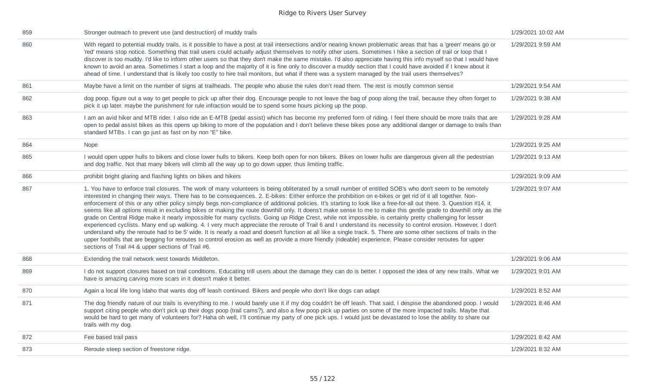| 859 | Stronger outreach to prevent use (and destruction) of muddy trails                                                                                                                                                                                                                                                                                                                                                                                                                                                                                                                                                                                                                                                                                                                                                                                                                                                                                                                                                                                                                                                                                                                                                                                                                                                                                                                                  | 1/29/2021 10:02 AM |
|-----|-----------------------------------------------------------------------------------------------------------------------------------------------------------------------------------------------------------------------------------------------------------------------------------------------------------------------------------------------------------------------------------------------------------------------------------------------------------------------------------------------------------------------------------------------------------------------------------------------------------------------------------------------------------------------------------------------------------------------------------------------------------------------------------------------------------------------------------------------------------------------------------------------------------------------------------------------------------------------------------------------------------------------------------------------------------------------------------------------------------------------------------------------------------------------------------------------------------------------------------------------------------------------------------------------------------------------------------------------------------------------------------------------------|--------------------|
| 860 | With regard to potential muddy trails, is it possible to have a post at trail intersections and/or nearing known problematic areas that has a 'green' means go or<br>'red' means stop notice. Something that trail users could actually adjust themselves to notify other users. Sometimes I hike a section of trail or loop that I<br>discover is too muddy. I'd like to inform other users so that they don't make the same mistake. I'd also appreciate having this info myself so that I would have<br>known to avoid an area. Sometimes I start a loop and the majority of it is fine only to discover a muddy section that I could have avoided if I knew about it<br>ahead of time. I understand that is likely too costly to hire trail monitors, but what if there was a system managed by the trail users themselves?                                                                                                                                                                                                                                                                                                                                                                                                                                                                                                                                                                     | 1/29/2021 9:59 AM  |
| 861 | Maybe have a limit on the number of signs at trailheads. The people who abuse the rules don't read them. The rest is mostly common sense                                                                                                                                                                                                                                                                                                                                                                                                                                                                                                                                                                                                                                                                                                                                                                                                                                                                                                                                                                                                                                                                                                                                                                                                                                                            | 1/29/2021 9:54 AM  |
| 862 | dog poop. figure out a way to get people to pick up after their dog. Encourage people to not leave the bag of poop along the trail, because they often forget to<br>pick it up later. maybe the punishment for rule infraction would be to spend some hours picking up the poop.                                                                                                                                                                                                                                                                                                                                                                                                                                                                                                                                                                                                                                                                                                                                                                                                                                                                                                                                                                                                                                                                                                                    | 1/29/2021 9:38 AM  |
| 863 | I am an avid hiker and MTB rider. I also ride an E-MTB (pedal assist) which has become my preferred form of riding. I feel there should be more trails that are<br>open to pedal assist bikes as this opens up biking to more of the population and I don't believe these bikes pose any additional danger or damage to trails than<br>standard MTBs. I can go just as fast on by non "E" bike.                                                                                                                                                                                                                                                                                                                                                                                                                                                                                                                                                                                                                                                                                                                                                                                                                                                                                                                                                                                                     | 1/29/2021 9:28 AM  |
| 864 | Nope                                                                                                                                                                                                                                                                                                                                                                                                                                                                                                                                                                                                                                                                                                                                                                                                                                                                                                                                                                                                                                                                                                                                                                                                                                                                                                                                                                                                | 1/29/2021 9:25 AM  |
| 865 | I would open upper hulls to bikers and close lower hulls to bikers. Keep both open for non bikers. Bikes on lower hulls are dangerous given all the pedestrian<br>and dog traffic. Not that many bikers will climb all the way up to go down upper, thus limiting traffic.                                                                                                                                                                                                                                                                                                                                                                                                                                                                                                                                                                                                                                                                                                                                                                                                                                                                                                                                                                                                                                                                                                                          | 1/29/2021 9:13 AM  |
| 866 | prohibit bright glaring and flashing lights on bikes and hikers                                                                                                                                                                                                                                                                                                                                                                                                                                                                                                                                                                                                                                                                                                                                                                                                                                                                                                                                                                                                                                                                                                                                                                                                                                                                                                                                     | 1/29/2021 9:09 AM  |
| 867 | 1. You have to enforce trail closures. The work of many volunteers is being obliterated by a small number of entitled SOB's who don't seem to be remotely<br>interested in changing their ways. There has to be consequences. 2. E-bikes: Either enforce the prohibition on e-bikes or get rid of it all together. Non-<br>enforcement of this or any other policy simply begs non-compliance of additional policies. It's starting to look like a free-for-all out there. 3. Question #14, it<br>seems like all options result in excluding bikes or making the route downhill only. It doens't make sense to me to make this gentle grade to downhill only as the<br>grade on Central Ridge make it nearly impossible for many cyclists. Going up Ridge Crest, while not impossible, is certainly pretty challenging for lesser<br>experienced cyclists. Many end up walking. 4. I very much appreciate the reroute of Trail 6 and I understand its necessity to control erosion. However, I don't<br>understand why the reroute had to be 5' wide. It is nearly a road and doesn't function at all like a single track. 5. There are some other sections of trails in the<br>upper foothills that are begging for reroutes to control erosion as well as provide a more friendly (rideable) experience. Please consider reroutes for upper<br>sections of Trail #4 & upper sections of Trail #6. | 1/29/2021 9:07 AM  |
| 868 | Extending the trail network west towards Middleton.                                                                                                                                                                                                                                                                                                                                                                                                                                                                                                                                                                                                                                                                                                                                                                                                                                                                                                                                                                                                                                                                                                                                                                                                                                                                                                                                                 | 1/29/2021 9:06 AM  |
| 869 | I do not support closures based on trail conditions. Educating trill users about the damage they can do is better. I opposed the idea of any new trails. What we<br>have is amazing carving more scars in it doesn't make it better.                                                                                                                                                                                                                                                                                                                                                                                                                                                                                                                                                                                                                                                                                                                                                                                                                                                                                                                                                                                                                                                                                                                                                                | 1/29/2021 9:01 AM  |
| 870 | Again a local life long Idaho that wants dog off leash continued. Bikers and people who don't like dogs can adapt                                                                                                                                                                                                                                                                                                                                                                                                                                                                                                                                                                                                                                                                                                                                                                                                                                                                                                                                                                                                                                                                                                                                                                                                                                                                                   | 1/29/2021 8:52 AM  |
| 871 | The dog friendly nature of our trails is everything to me. I would barely use it if my dog couldn't be off leash. That said, I despise the abandoned poop. I would<br>support citing people who don't pick up their dogs poop (trail cams?), and also a few poop pick up parties on some of the more impacted trails. Maybe that<br>would be hard to get many of volunteers for? Haha oh well, I'll continue my party of one pick ups. I would just be devastated to lose the ability to share our<br>trails with my dog.                                                                                                                                                                                                                                                                                                                                                                                                                                                                                                                                                                                                                                                                                                                                                                                                                                                                           | 1/29/2021 8:46 AM  |
| 872 | Fee based trail pass                                                                                                                                                                                                                                                                                                                                                                                                                                                                                                                                                                                                                                                                                                                                                                                                                                                                                                                                                                                                                                                                                                                                                                                                                                                                                                                                                                                | 1/29/2021 8:42 AM  |
| 873 | Reroute steep section of freestone ridge.                                                                                                                                                                                                                                                                                                                                                                                                                                                                                                                                                                                                                                                                                                                                                                                                                                                                                                                                                                                                                                                                                                                                                                                                                                                                                                                                                           | 1/29/2021 8:32 AM  |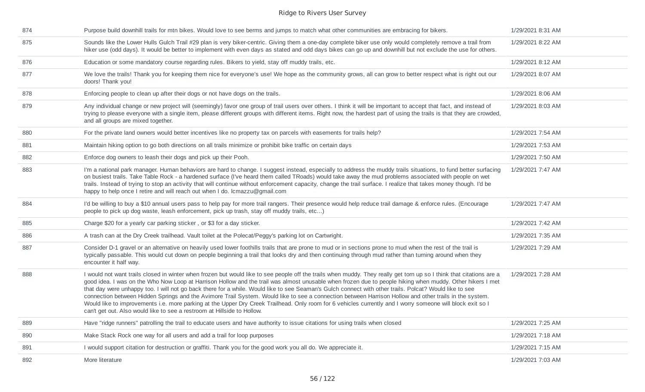| 874 | Purpose build downhill trails for mtn bikes. Would love to see berms and jumps to match what other communities are embracing for bikers.                                                                                                                                                                                                                                                                                                                                                                                                                                                                                                                                                                                                                                                                                                                                                       | 1/29/2021 8:31 AM |
|-----|------------------------------------------------------------------------------------------------------------------------------------------------------------------------------------------------------------------------------------------------------------------------------------------------------------------------------------------------------------------------------------------------------------------------------------------------------------------------------------------------------------------------------------------------------------------------------------------------------------------------------------------------------------------------------------------------------------------------------------------------------------------------------------------------------------------------------------------------------------------------------------------------|-------------------|
| 875 | Sounds like the Lower Hulls Gulch Trail #29 plan is very biker-centric. Giving them a one-day complete biker use only would completely remove a trail from<br>hiker use (odd days). It would be better to implement with even days as stated and odd days bikes can go up and downhill but not exclude the use for others.                                                                                                                                                                                                                                                                                                                                                                                                                                                                                                                                                                     | 1/29/2021 8:22 AM |
| 876 | Education or some mandatory course regarding rules. Bikers to yield, stay off muddy trails, etc.                                                                                                                                                                                                                                                                                                                                                                                                                                                                                                                                                                                                                                                                                                                                                                                               | 1/29/2021 8:12 AM |
| 877 | We love the trails! Thank you for keeping them nice for everyone's use! We hope as the community grows, all can grow to better respect what is right out our<br>doors! Thank you!                                                                                                                                                                                                                                                                                                                                                                                                                                                                                                                                                                                                                                                                                                              | 1/29/2021 8:07 AM |
| 878 | Enforcing people to clean up after their dogs or not have dogs on the trails.                                                                                                                                                                                                                                                                                                                                                                                                                                                                                                                                                                                                                                                                                                                                                                                                                  | 1/29/2021 8:06 AM |
| 879 | Any individual change or new project will (seemingly) favor one group of trail users over others. I think it will be important to accept that fact, and instead of<br>trying to please everyone with a single item, please different groups with different items. Right now, the hardest part of using the trails is that they are crowded,<br>and all groups are mixed together.                                                                                                                                                                                                                                                                                                                                                                                                                                                                                                              | 1/29/2021 8:03 AM |
| 880 | For the private land owners would better incentives like no property tax on parcels with easements for trails help?                                                                                                                                                                                                                                                                                                                                                                                                                                                                                                                                                                                                                                                                                                                                                                            | 1/29/2021 7:54 AM |
| 881 | Maintain hiking option to go both directions on all trails minimize or prohibit bike traffic on certain days                                                                                                                                                                                                                                                                                                                                                                                                                                                                                                                                                                                                                                                                                                                                                                                   | 1/29/2021 7:53 AM |
| 882 | Enforce dog owners to leash their dogs and pick up their Pooh.                                                                                                                                                                                                                                                                                                                                                                                                                                                                                                                                                                                                                                                                                                                                                                                                                                 | 1/29/2021 7:50 AM |
| 883 | I'm a national park manager. Human behaviors are hard to change. I suggest instead, especially to address the muddy trails situations, to fund better surfacing<br>on busiest trails. Take Table Rock - a hardened surface (I've heard them called TRoads) would take away the mud problems associated with people on wet<br>trails. Instead of trying to stop an activity that will continue without enforcement capacity, change the trail surface. I realize that takes money though. I'd be<br>happy to help once I retire and will reach out when I do. Icmazzu@gmail.com                                                                                                                                                                                                                                                                                                                 | 1/29/2021 7:47 AM |
| 884 | I'd be willing to buy a \$10 annual users pass to help pay for more trail rangers. Their presence would help reduce trail damage & enforce rules. (Encourage<br>people to pick up dog waste, leash enforcement, pick up trash, stay off muddy trails, etc)                                                                                                                                                                                                                                                                                                                                                                                                                                                                                                                                                                                                                                     | 1/29/2021 7:47 AM |
| 885 | Charge \$20 for a yearly car parking sticker, or \$3 for a day sticker.                                                                                                                                                                                                                                                                                                                                                                                                                                                                                                                                                                                                                                                                                                                                                                                                                        | 1/29/2021 7:42 AM |
| 886 | A trash can at the Dry Creek trailhead. Vault toilet at the Polecat/Peggy's parking lot on Cartwright.                                                                                                                                                                                                                                                                                                                                                                                                                                                                                                                                                                                                                                                                                                                                                                                         | 1/29/2021 7:35 AM |
| 887 | Consider D-1 gravel or an alternative on heavily used lower foothills trails that are prone to mud or in sections prone to mud when the rest of the trail is<br>typically passable. This would cut down on people beginning a trail that looks dry and then continuing through mud rather than turning around when they<br>encounter it half way.                                                                                                                                                                                                                                                                                                                                                                                                                                                                                                                                              | 1/29/2021 7:29 AM |
| 888 | I would not want trails closed in winter when frozen but would like to see people off the trails when muddy. They really get torn up so I think that citations are a<br>good idea. I was on the Who Now Loop at Harrison Hollow and the trail was almost unusable when frozen due to people hiking when muddy. Other hikers I met<br>that day were unhappy too. I will not go back there for a while. Would like to see Seaman's Gulch connect with other trails. Polcat? Would like to see<br>connection between Hidden Springs and the Avimore Trail System. Would like to see a connection between Harrison Hollow and other trails in the system.<br>Would like to improvements i.e. more parking at the Upper Dry Creek Trailhead. Only room for 6 vehicles currently and I worry someone will block exit so I<br>can't get out. Also would like to see a restroom at Hillside to Hollow. | 1/29/2021 7:28 AM |
| 889 | Have "ridge runners" patrolling the trail to educate users and have authority to issue citations for using trails when closed                                                                                                                                                                                                                                                                                                                                                                                                                                                                                                                                                                                                                                                                                                                                                                  | 1/29/2021 7:25 AM |
| 890 | Make Stack Rock one way for all users and add a trail for loop purposes                                                                                                                                                                                                                                                                                                                                                                                                                                                                                                                                                                                                                                                                                                                                                                                                                        | 1/29/2021 7:18 AM |
| 891 | I would support citation for destruction or graffiti. Thank you for the good work you all do. We appreciate it.                                                                                                                                                                                                                                                                                                                                                                                                                                                                                                                                                                                                                                                                                                                                                                                | 1/29/2021 7:15 AM |
|     |                                                                                                                                                                                                                                                                                                                                                                                                                                                                                                                                                                                                                                                                                                                                                                                                                                                                                                |                   |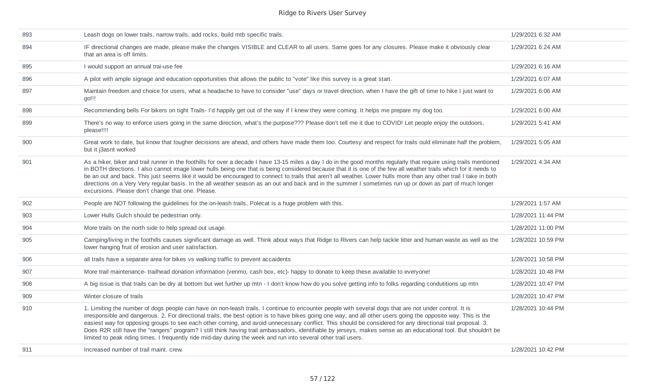| 893 | Leash dogs on lower trails, narrow trails, add rocks, build mtb specific trails.                                                                                                                                                                                                                                                                                                                                                                                                                                                                                                                                                                                                                                                                                               | 1/29/2021 6:32 AM  |
|-----|--------------------------------------------------------------------------------------------------------------------------------------------------------------------------------------------------------------------------------------------------------------------------------------------------------------------------------------------------------------------------------------------------------------------------------------------------------------------------------------------------------------------------------------------------------------------------------------------------------------------------------------------------------------------------------------------------------------------------------------------------------------------------------|--------------------|
| 894 | IF directional changes are made, please make the changes VISIBLE and CLEAR to all users. Same goes for any closures. Please make it obviously clear<br>that an area is off limits.                                                                                                                                                                                                                                                                                                                                                                                                                                                                                                                                                                                             | 1/29/2021 6:24 AM  |
| 895 | I would support an annual trai-use fee                                                                                                                                                                                                                                                                                                                                                                                                                                                                                                                                                                                                                                                                                                                                         | 1/29/2021 6:16 AM  |
| 896 | A pilot with ample signage and education opportunities that allows the public to "vote" like this survey is a great start.                                                                                                                                                                                                                                                                                                                                                                                                                                                                                                                                                                                                                                                     | 1/29/2021 6:07 AM  |
| 897 | Maintain freedom and choice for users, what a headache to have to consider "use" days or travel direction, when I have the gift of time to hike I just want to<br>go!!!                                                                                                                                                                                                                                                                                                                                                                                                                                                                                                                                                                                                        | 1/29/2021 6:06 AM  |
| 898 | Recommending bells For bikers on tight Trails-I'd happily get out of the way if I knew they were coming. It helps me prepare my dog too.                                                                                                                                                                                                                                                                                                                                                                                                                                                                                                                                                                                                                                       | 1/29/2021 6:00 AM  |
| 899 | There's no way to enforce users going in the same direction, what's the purpose??? Please don't tell me it due to COVID! Let people enjoy the outdoors,<br>please!!!!                                                                                                                                                                                                                                                                                                                                                                                                                                                                                                                                                                                                          | 1/29/2021 5:41 AM  |
| 900 | Great work to date, but know that tougher decisions are ahead, and others have made them too. Courtesy and respect for trails ould eliminate half the problem,<br>but it j3asnt worked                                                                                                                                                                                                                                                                                                                                                                                                                                                                                                                                                                                         | 1/29/2021 5:05 AM  |
| 901 | As a hiker, biker and trail runner in the foothills for over a decade I have 13-15 miles a day I do in the good months regularly that require using trails mentioned<br>in BOTH directions. I also cannot image lower hulls being one that is being considered because that it is one of the few all weather trails which for it needs to<br>be an out and back. This just seems like it would be encouraged to connect to trails that aren't all weather. Lower hulls more than any other trail I take in both<br>directions on a Very Very regular basis. In the all weather season as an out and back and in the summer I sometimes run up or down as part of much longer<br>excursions. Please don't change that one. Please.                                              | 1/29/2021 4:34 AM  |
| 902 | People are NOT following the guidelines for the on-leash trails, Polecat is a huge problem with this.                                                                                                                                                                                                                                                                                                                                                                                                                                                                                                                                                                                                                                                                          | 1/29/2021 1:57 AM  |
| 903 | Lower Hulls Gulch should be pedestrian only.                                                                                                                                                                                                                                                                                                                                                                                                                                                                                                                                                                                                                                                                                                                                   | 1/28/2021 11:44 PM |
| 904 | More trails on the north side to help spread out usage.                                                                                                                                                                                                                                                                                                                                                                                                                                                                                                                                                                                                                                                                                                                        | 1/28/2021 11:00 PM |
| 905 | Camping/living in the foothills causes significant damage as well. Think about ways that Ridge to Rivers can help tackle litter and human waste as well as the<br>lower hanging fruit of erosion and user satisfaction.                                                                                                                                                                                                                                                                                                                                                                                                                                                                                                                                                        | 1/28/2021 10:59 PM |
| 906 | all trails have a separate area for bikes vs walking traffic to prevent accaidents                                                                                                                                                                                                                                                                                                                                                                                                                                                                                                                                                                                                                                                                                             | 1/28/2021 10:58 PM |
| 907 | More trail maintenance- trailhead donation information (venmo, cash box, etc)- happy to donate to keep these available to everyone!                                                                                                                                                                                                                                                                                                                                                                                                                                                                                                                                                                                                                                            | 1/28/2021 10:48 PM |
| 908 | A big issue is that trails can be dry at bottom but wet further up mtn - I don't know how do you solve getting info to folks regarding condutitions up mtn                                                                                                                                                                                                                                                                                                                                                                                                                                                                                                                                                                                                                     | 1/28/2021 10:47 PM |
| 909 | Winter closure of trails                                                                                                                                                                                                                                                                                                                                                                                                                                                                                                                                                                                                                                                                                                                                                       | 1/28/2021 10:47 PM |
| 910 | 1. Limiting the number of dogs people can have on non-leash trails. I continue to encounter people with several dogs that are not under control. It is<br>irresponsible and dangerous. 2. For directional trails, the best option is to have bikes going one way, and all other users going the opposite way. This is the<br>easiest way for opposing groups to see each other coming, and avoid unnecessary conflict. This should be considered for any directional trail proposal. 3.<br>Does R2R still have the "rangers" program? I still think having trail ambassadors, identifiable by jerseys, makes sense as an educational tool. But shouldn't be<br>limited to peak riding times. I frequently ride mid-day during the week and run into several other trail users. | 1/28/2021 10:44 PM |
| 911 | Increased number of trail maint. crew.                                                                                                                                                                                                                                                                                                                                                                                                                                                                                                                                                                                                                                                                                                                                         | 1/28/2021 10:42 PM |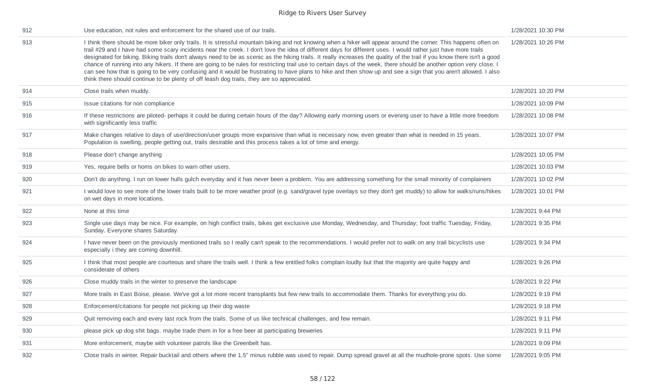| 912 | Use education, not rules and enforcement for the shared use of our trails.                                                                                                                                                                                                                                                                                                                                                                                                                                                                                                                                                                                                                                                                                                                                                                                                                                                                                 | 1/28/2021 10:30 PM |
|-----|------------------------------------------------------------------------------------------------------------------------------------------------------------------------------------------------------------------------------------------------------------------------------------------------------------------------------------------------------------------------------------------------------------------------------------------------------------------------------------------------------------------------------------------------------------------------------------------------------------------------------------------------------------------------------------------------------------------------------------------------------------------------------------------------------------------------------------------------------------------------------------------------------------------------------------------------------------|--------------------|
| 913 | I think there should be more biker only trails. It is stressful mountain biking and not knowing when a hiker will appear around the corner. This happens often on<br>trail #29 and I have had some scary incidents near the creek. I don't love the idea of different days for different uses. I would rather just have more trails<br>designated for biking. Biking trails don't always need to be as scenic as the hiking trails. It really increases the quality of the trail if you know there isn't a good<br>chance of running into any hikers. If there are going to be rules for restricting trail use to certain days of the week, there should be another option very close. I<br>can see how that is going to be very confusing and it would be frustrating to have plans to hike and then show up and see a sign that you aren't allowed. I also<br>think there should continue to be plenty of off leash dog trails, they are so appreciated. | 1/28/2021 10:26 PM |
| 914 | Close trails when muddy.                                                                                                                                                                                                                                                                                                                                                                                                                                                                                                                                                                                                                                                                                                                                                                                                                                                                                                                                   | 1/28/2021 10:20 PM |
| 915 | Issue citations for non compliance                                                                                                                                                                                                                                                                                                                                                                                                                                                                                                                                                                                                                                                                                                                                                                                                                                                                                                                         | 1/28/2021 10:09 PM |
| 916 | If these restrictions are piloted- perhaps it could be during certain hours of the day? Allowing early morning users or evening user to have a little more freedom<br>with significantly less traffic                                                                                                                                                                                                                                                                                                                                                                                                                                                                                                                                                                                                                                                                                                                                                      | 1/28/2021 10:08 PM |
| 917 | Make changes relative to days of use/direction/user groups more expansive than what is necessary now, even greater than what is needed in 15 years.<br>Population is swelling, people getting out, trails desirable and this process takes a lot of time and energy.                                                                                                                                                                                                                                                                                                                                                                                                                                                                                                                                                                                                                                                                                       | 1/28/2021 10:07 PM |
| 918 | Please don't change anything                                                                                                                                                                                                                                                                                                                                                                                                                                                                                                                                                                                                                                                                                                                                                                                                                                                                                                                               | 1/28/2021 10:05 PM |
| 919 | Yes, require bells or horns on bikes to warn other users.                                                                                                                                                                                                                                                                                                                                                                                                                                                                                                                                                                                                                                                                                                                                                                                                                                                                                                  | 1/28/2021 10:03 PM |
| 920 | Don't do anything. I run on lower hulls gulch everyday and it has never been a problem. You are addressing something for the small minority of complainers                                                                                                                                                                                                                                                                                                                                                                                                                                                                                                                                                                                                                                                                                                                                                                                                 | 1/28/2021 10:02 PM |
| 921 | I would love to see more of the lower trails built to be more weather proof (e.g. sand/gravel type overlays so they don't get muddy) to allow for walks/runs/hikes<br>on wet days in more locations.                                                                                                                                                                                                                                                                                                                                                                                                                                                                                                                                                                                                                                                                                                                                                       | 1/28/2021 10:01 PM |
| 922 | None at this time                                                                                                                                                                                                                                                                                                                                                                                                                                                                                                                                                                                                                                                                                                                                                                                                                                                                                                                                          | 1/28/2021 9:44 PM  |
| 923 | Single use days may be nice. For example, on high conflict trails, bikes get exclusive use Monday, Wednesday, and Thursday; foot traffic Tuesday, Friday,<br>Sunday. Everyone shares Saturday.                                                                                                                                                                                                                                                                                                                                                                                                                                                                                                                                                                                                                                                                                                                                                             | 1/28/2021 9:35 PM  |
| 924 | I have never been on the previously mentioned trails so I really can't speak to the recommendations. I would prefer not to walk on any trail bicyclists use<br>especially i they are coming downhill.                                                                                                                                                                                                                                                                                                                                                                                                                                                                                                                                                                                                                                                                                                                                                      | 1/28/2021 9:34 PM  |
| 925 | I think that most people are courteous and share the trails well. I think a few entitled folks complain loudly but that the majority are quite happy and<br>considerate of others                                                                                                                                                                                                                                                                                                                                                                                                                                                                                                                                                                                                                                                                                                                                                                          | 1/28/2021 9:26 PM  |
| 926 | Close muddy trails in the winter to preserve the landscape                                                                                                                                                                                                                                                                                                                                                                                                                                                                                                                                                                                                                                                                                                                                                                                                                                                                                                 | 1/28/2021 9:22 PM  |
| 927 | More trails in East Boise, please. We've got a lot more recent transplants but few new trails to accommodate them. Thanks for everything you do.                                                                                                                                                                                                                                                                                                                                                                                                                                                                                                                                                                                                                                                                                                                                                                                                           | 1/28/2021 9:19 PM  |
| 928 | Enforcement/citations for people not picking up their dog waste                                                                                                                                                                                                                                                                                                                                                                                                                                                                                                                                                                                                                                                                                                                                                                                                                                                                                            | 1/28/2021 9:18 PM  |
| 929 | Quit removing each and every last rock from the trails. Some of us like technical challenges, and few remain.                                                                                                                                                                                                                                                                                                                                                                                                                                                                                                                                                                                                                                                                                                                                                                                                                                              | 1/28/2021 9:11 PM  |
| 930 | please pick up dog shit bags. maybe trade them in for a free beer at participating breweries                                                                                                                                                                                                                                                                                                                                                                                                                                                                                                                                                                                                                                                                                                                                                                                                                                                               | 1/28/2021 9:11 PM  |
| 931 | More enforcement, maybe with volunteer patrols like the Greenbelt has.                                                                                                                                                                                                                                                                                                                                                                                                                                                                                                                                                                                                                                                                                                                                                                                                                                                                                     | 1/28/2021 9:09 PM  |
| 932 | Close trails in winter. Repair bucktail and others where the 1.5" minus rubble was used to repair. Dump spread gravel at all the mudhole-prone spots. Use some                                                                                                                                                                                                                                                                                                                                                                                                                                                                                                                                                                                                                                                                                                                                                                                             | 1/28/2021 9:05 PM  |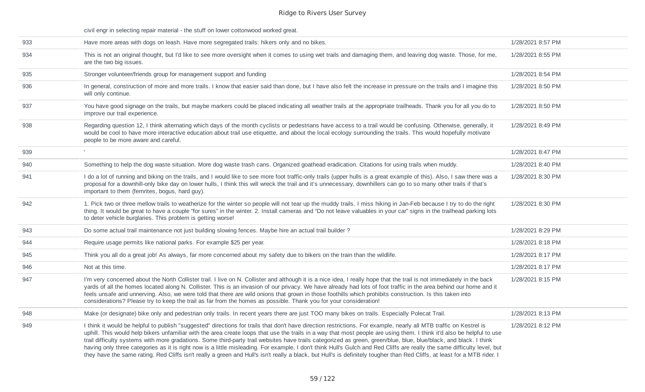civil engr in selecting repair material - the stuff on lower cottonwood worked great.

| 933 | Have more areas with dogs on leash. Have more segregated trails: hikers only and no bikes.                                                                                                                                                                                                                                                                                                                                                                                                                                                                                                                                                                                                                                                                                                                                                                                 | 1/28/2021 8:57 PM |
|-----|----------------------------------------------------------------------------------------------------------------------------------------------------------------------------------------------------------------------------------------------------------------------------------------------------------------------------------------------------------------------------------------------------------------------------------------------------------------------------------------------------------------------------------------------------------------------------------------------------------------------------------------------------------------------------------------------------------------------------------------------------------------------------------------------------------------------------------------------------------------------------|-------------------|
| 934 | This is not an original thought, but I'd like to see more oversight when it comes to using wet trails and damaging them, and leaving dog waste. Those, for me,<br>are the two big issues.                                                                                                                                                                                                                                                                                                                                                                                                                                                                                                                                                                                                                                                                                  | 1/28/2021 8:55 PM |
| 935 | Stronger volunteer/friends group for management support and funding                                                                                                                                                                                                                                                                                                                                                                                                                                                                                                                                                                                                                                                                                                                                                                                                        | 1/28/2021 8:54 PM |
| 936 | In general, construction of more and more trails. I know that easier said than done, but I have also felt the increase in pressure on the trails and I imagine this<br>will only continue.                                                                                                                                                                                                                                                                                                                                                                                                                                                                                                                                                                                                                                                                                 | 1/28/2021 8:50 PM |
| 937 | You have good signage on the trails, but maybe markers could be placed indicating all weather trails at the appropriate trailheads. Thank you for all you do to<br>improve our trail experience.                                                                                                                                                                                                                                                                                                                                                                                                                                                                                                                                                                                                                                                                           | 1/28/2021 8:50 PM |
| 938 | Regarding question 12, I think alternating which days of the month cyclists or pedestrians have access to a trail would be confusing. Otherwise, generally, it<br>would be cool to have more interactive education about trail use etiquette, and about the local ecology surrounding the trails. This would hopefully motivate<br>people to be more aware and careful.                                                                                                                                                                                                                                                                                                                                                                                                                                                                                                    | 1/28/2021 8:49 PM |
| 939 |                                                                                                                                                                                                                                                                                                                                                                                                                                                                                                                                                                                                                                                                                                                                                                                                                                                                            | 1/28/2021 8:47 PM |
| 940 | Something to help the dog waste situation. More dog waste trash cans. Organized goathead eradication. Citations for using trails when muddy.                                                                                                                                                                                                                                                                                                                                                                                                                                                                                                                                                                                                                                                                                                                               | 1/28/2021 8:40 PM |
| 941 | I do a lot of running and biking on the trails, and I would like to see more foot traffic-only trails (upper hulls is a great example of this). Also, I saw there was a<br>proposal for a downhill-only bike day on lower hulls, I think this will wreck the trail and it's unnecessary, downhillers can go to so many other trails if that's<br>important to them (femrites, bogus, hard guy).                                                                                                                                                                                                                                                                                                                                                                                                                                                                            | 1/28/2021 8:30 PM |
| 942 | 1. Pick two or three mellow trails to weatherize for the winter so people will not tear up the muddy trails. I miss hiking in Jan-Feb because I try to do the right<br>thing. It would be great to have a couple "for sures" in the winter. 2. Install cameras and "Do not leave valuables in your car" signs in the trailhead parking lots<br>to deter vehicle burglaries. This problem is getting worse!                                                                                                                                                                                                                                                                                                                                                                                                                                                                 | 1/28/2021 8:30 PM |
| 943 | Do some actual trail maintenance not just building slowing fences. Maybe hire an actual trail builder ?                                                                                                                                                                                                                                                                                                                                                                                                                                                                                                                                                                                                                                                                                                                                                                    | 1/28/2021 8:29 PM |
| 944 | Require usage permits like national parks. For example \$25 per year.                                                                                                                                                                                                                                                                                                                                                                                                                                                                                                                                                                                                                                                                                                                                                                                                      | 1/28/2021 8:18 PM |
| 945 | Think you all do a great job! As always, far more concerned about my safety due to bikers on the train than the wildlife.                                                                                                                                                                                                                                                                                                                                                                                                                                                                                                                                                                                                                                                                                                                                                  | 1/28/2021 8:17 PM |
| 946 | Not at this time.                                                                                                                                                                                                                                                                                                                                                                                                                                                                                                                                                                                                                                                                                                                                                                                                                                                          | 1/28/2021 8:17 PM |
| 947 | I'm very concerned about the North Collister trail. I live on N. Collister and although it is a nice idea, I really hope that the trail is not immediately in the back<br>yards of all the homes located along N. Collister. This is an invasion of our privacy. We have already had lots of foot traffic in the area behind our home and it<br>feels unsafe and unnerving. Also, we were told that there are wild onions that grown in those foothills which prohibits construction. Is this taken into<br>considerations? Please try to keep the trail as far from the homes as possible. Thank you for your consideration!                                                                                                                                                                                                                                              | 1/28/2021 8:15 PM |
| 948 | Make (or designate) bike only and pedestrian only trails. In recent years there are just TOO many bikes on trails. Especially Polecat Trail.                                                                                                                                                                                                                                                                                                                                                                                                                                                                                                                                                                                                                                                                                                                               | 1/28/2021 8:13 PM |
| 949 | I think it would be helpful to publish "suggested" directions for trails that don't have direction restrictions. For example, nearly all MTB traffic on Kestrel is<br>uphill. This would help bikers unfamiliar with the area create loops that use the trails in a way that most people are using them. I think it'd also be helpful to use<br>trail difficulty systems with more gradations. Some third-party trail websites have trails categorized as green, green/blue, blue, blue/black, and black. I think<br>having only three categories as it is right now is a little misleading. For example, I don't think Hull's Gulch and Red Cliffs are really the same difficulty level, but<br>they have the same rating. Red Cliffs isn't really a green and Hull's isn't really a black, but Hull's is definitely tougher than Red Cliffs, at least for a MTB rider. I | 1/28/2021 8:12 PM |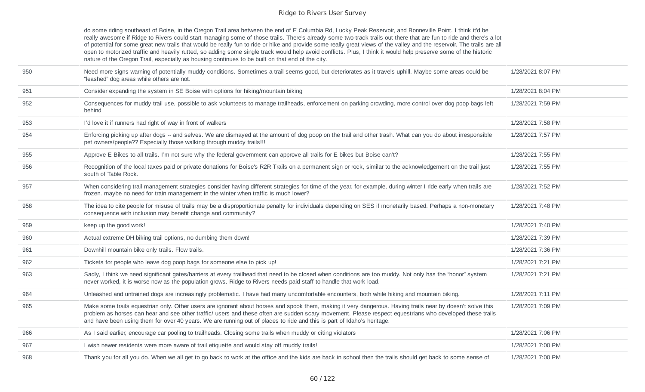do some riding southeast of Boise, in the Oregon Trail area between the end of E Columbia Rd, Lucky Peak Reservoir, and Bonneville Point. I think it'd be really awesome if Ridge to Rivers could start managing some of those trails. There's already some two-track trails out there that are fun to ride and there's a lot of potential for some great new trails that would be really fun to ride or hike and provide some really great views of the valley and the reservoir. The trails are all open to motorized traffic and heavily rutted, so adding some single track would help avoid conflicts. Plus, I think it would help preserve some of the historic nature of the Oregon Trail, especially as housing continues to be built on that end of the city.

| 950 | Need more signs warning of potentially muddy conditions. Sometimes a trail seems good, but deteriorates as it travels uphill. Maybe some areas could be<br>"leashed" dog areas while others are not.                                                                                                                                                                                                                                             | 1/28/2021 8:07 PM |
|-----|--------------------------------------------------------------------------------------------------------------------------------------------------------------------------------------------------------------------------------------------------------------------------------------------------------------------------------------------------------------------------------------------------------------------------------------------------|-------------------|
| 951 | Consider expanding the system in SE Boise with options for hiking/mountain biking                                                                                                                                                                                                                                                                                                                                                                | 1/28/2021 8:04 PM |
| 952 | Consequences for muddy trail use, possible to ask volunteers to manage trailheads, enforcement on parking crowding, more control over dog poop bags left<br>behind                                                                                                                                                                                                                                                                               | 1/28/2021 7:59 PM |
| 953 | I'd love it if runners had right of way in front of walkers                                                                                                                                                                                                                                                                                                                                                                                      | 1/28/2021 7:58 PM |
| 954 | Enforcing picking up after dogs -- and selves. We are dismayed at the amount of dog poop on the trail and other trash. What can you do about irresponsible<br>pet owners/people?? Especially those walking through muddy trails !!!                                                                                                                                                                                                              | 1/28/2021 7:57 PM |
| 955 | Approve E Bikes to all trails. I'm not sure why the federal government can approve all trails for E bikes but Boise can't?                                                                                                                                                                                                                                                                                                                       | 1/28/2021 7:55 PM |
| 956 | Recognition of the local taxes paid or private donations for Boise's R2R Trails on a permanent sign or rock, similar to the acknowledgement on the trail just<br>south of Table Rock.                                                                                                                                                                                                                                                            | 1/28/2021 7:55 PM |
| 957 | When considering trail management strategies consider having different strategies for time of the year. for example, during winter I ride early when trails are<br>frozen. maybe no need for train management in the winter when traffic is much lower?                                                                                                                                                                                          | 1/28/2021 7:52 PM |
| 958 | The idea to cite people for misuse of trails may be a disproportionate penalty for individuals depending on SES if monetarily based. Perhaps a non-monetary<br>consequence with inclusion may benefit change and community?                                                                                                                                                                                                                      | 1/28/2021 7:48 PM |
| 959 | keep up the good work!                                                                                                                                                                                                                                                                                                                                                                                                                           | 1/28/2021 7:40 PM |
| 960 | Actual extreme DH biking trail options, no dumbing them down!                                                                                                                                                                                                                                                                                                                                                                                    | 1/28/2021 7:39 PM |
| 961 | Downhill mountain bike only trails. Flow trails.                                                                                                                                                                                                                                                                                                                                                                                                 | 1/28/2021 7:36 PM |
| 962 | Tickets for people who leave dog poop bags for someone else to pick up!                                                                                                                                                                                                                                                                                                                                                                          | 1/28/2021 7:21 PM |
| 963 | Sadly, I think we need significant gates/barriers at every trailhead that need to be closed when conditions are too muddy. Not only has the "honor" system<br>never worked, it is worse now as the population grows. Ridge to Rivers needs paid staff to handle that work load.                                                                                                                                                                  | 1/28/2021 7:21 PM |
| 964 | Unleashed and untrained dogs are increasingly problematic. I have had many uncomfortable encounters, both while hiking and mountain biking.                                                                                                                                                                                                                                                                                                      | 1/28/2021 7:11 PM |
| 965 | Make some trails equestrian only. Other users are ignorant about horses and spook them, making it very dangerous. Having trails near by doesn't solve this<br>problem as horses can hear and see other traffic/ users and these often are sudden scary movement. Please respect equestrians who developed these trails<br>and have been using them for over 40 years. We are running out of places to ride and this is part of Idaho's heritage. | 1/28/2021 7:09 PM |
| 966 | As I said earlier, encourage car pooling to trailheads. Closing some trails when muddy or citing violators                                                                                                                                                                                                                                                                                                                                       | 1/28/2021 7:06 PM |
| 967 | I wish newer residents were more aware of trail etiquette and would stay off muddy trails!                                                                                                                                                                                                                                                                                                                                                       | 1/28/2021 7:00 PM |
| 968 | Thank you for all you do. When we all get to go back to work at the office and the kids are back in school then the trails should get back to some sense of                                                                                                                                                                                                                                                                                      | 1/28/2021 7:00 PM |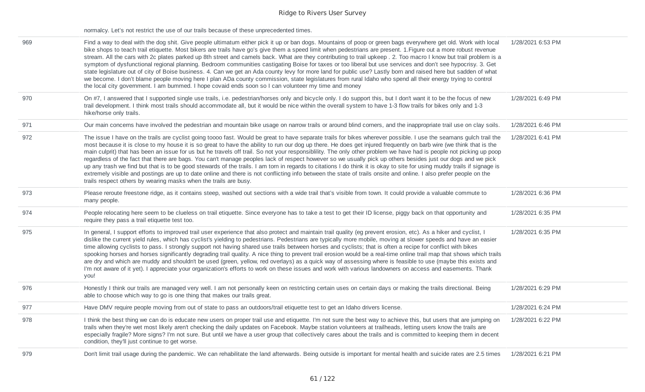normalcy. Let's not restrict the use of our trails because of these unprecedented times.

| 969 | Find a way to deal with the dog shit. Give people ultimatum either pick it up or ban dogs. Mountains of poop or green bags everywhere get old. Work with local<br>bike shops to teach trail etiquette. Most bikers are trails have go's give them a speed limit when pedestrians are present. 1. Figure out a more robust revenue<br>stream. All the cars with 2c plates parked up 8th street and camels back. What are they contributing to trail upkeep . 2. Too macro I know but trail problem is a<br>symptom of dysfunctional regional planning. Bedroom communities castigating Boise for taxes or too liberal but use services and don't see hypocrisy. 3. Get<br>state legislature out of city of Boise business. 4. Can we get an Ada county levy for more land for public use? Lastly born and raised here but sadden of what<br>we become. I don't blame people moving here I plan ADa county commission, state legislatures from rural Idaho who spend all their energy trying to control<br>the local city government. I am bummed. I hope covaid ends soon so I can volunteer my time and money | 1/28/2021 6:53 PM |
|-----|---------------------------------------------------------------------------------------------------------------------------------------------------------------------------------------------------------------------------------------------------------------------------------------------------------------------------------------------------------------------------------------------------------------------------------------------------------------------------------------------------------------------------------------------------------------------------------------------------------------------------------------------------------------------------------------------------------------------------------------------------------------------------------------------------------------------------------------------------------------------------------------------------------------------------------------------------------------------------------------------------------------------------------------------------------------------------------------------------------------|-------------------|
| 970 | On #7, I answered that I supported single use trails, i.e. pedestrian/horses only and bicycle only. I do support this, but I don't want it to be the focus of new<br>trail development. I think most trails should accommodate all, but it would be nice within the overall system to have 1-3 flow trails for bikes only and 1-3<br>hike/horse only trails.                                                                                                                                                                                                                                                                                                                                                                                                                                                                                                                                                                                                                                                                                                                                                  | 1/28/2021 6:49 PM |
| 971 | Our main concerns have involved the pedestrian and mountain bike usage on narrow trails or around blind corners, and the inappropriate trail use on clay soils.                                                                                                                                                                                                                                                                                                                                                                                                                                                                                                                                                                                                                                                                                                                                                                                                                                                                                                                                               | 1/28/2021 6:46 PM |
| 972 | The issue I have on the trails are cyclist going toooo fast. Would be great to have separate trails for bikes wherever possible. I use the seamans gulch trail the<br>most because it is close to my house it is so great to have the ability to run our dog up there. He does get injured frequently on barb wire (we think that is the<br>main culprit) that has been an issue for us but he travels off trail. So not your responsibility. The only other problem we have had is people not picking up poop<br>regardless of the fact that there are bags. You can't manage peoples lack of respect however so we usually pick up others besides just our dogs and we pick<br>up any trash we find but that is to be good stewards of the trails. I am torn in regards to citations I do think it is okay to site for using muddy trails if signage is<br>extremely visible and postings are up to date online and there is not conflicting info between the state of trails onsite and online. I also prefer people on the<br>trails respect others by wearing masks when the trails are busy.            | 1/28/2021 6:41 PM |
| 973 | Please reroute freestone ridge, as it contains steep, washed out sections with a wide trail that's visible from town. It could provide a valuable commute to<br>many people.                                                                                                                                                                                                                                                                                                                                                                                                                                                                                                                                                                                                                                                                                                                                                                                                                                                                                                                                  | 1/28/2021 6:36 PM |
| 974 | People relocating here seem to be clueless on trail etiquette. Since everyone has to take a test to get their ID license, piggy back on that opportunity and<br>require they pass a trail etiquette test too.                                                                                                                                                                                                                                                                                                                                                                                                                                                                                                                                                                                                                                                                                                                                                                                                                                                                                                 | 1/28/2021 6:35 PM |
| 975 | In general, I support efforts to improved trail user experience that also protect and maintain trail quality (eg prevent erosion, etc). As a hiker and cyclist, I<br>dislike the current yield rules, which has cyclist's yielding to pedestrians. Pedestrians are typically more mobile, moving at slower speeds and have an easier<br>time allowing cyclists to pass. I strongly support not having shared use trails between horses and cyclists; that is often a recipe for conflict with bikes<br>spooking horses and horses significantly degrading trail quality. A nice thing to prevent trail erosion would be a real-time online trail map that shows which trails<br>are dry and which are muddy and shouldn't be used (green, yellow, red overlays) as a quick way of assessing where is feasible to use (maybe this exists and<br>I'm not aware of it yet). I appreciate your organization's efforts to work on these issues and work with various landowners on access and easements. Thank<br>you!                                                                                             | 1/28/2021 6:35 PM |
| 976 | Honestly I think our trails are managed very well. I am not personally keen on restricting certain uses on certain days or making the trails directional. Being<br>able to choose which way to go is one thing that makes our trails great.                                                                                                                                                                                                                                                                                                                                                                                                                                                                                                                                                                                                                                                                                                                                                                                                                                                                   | 1/28/2021 6:29 PM |
| 977 | Have DMV require people moving from out of state to pass an outdoors/trail etiquette test to get an Idaho drivers license.                                                                                                                                                                                                                                                                                                                                                                                                                                                                                                                                                                                                                                                                                                                                                                                                                                                                                                                                                                                    | 1/28/2021 6:24 PM |
| 978 | I think the best thing we can do is educate new users on proper trail use and etiquette. I'm not sure the best way to achieve this, but users that are jumping on<br>trails when they're wet most likely aren't checking the daily updates on Facebook. Maybe station volunteers at trailheads, letting users know the trails are<br>especially fragile? More signs? I'm not sure. But until we have a user group that collectively cares about the trails and is committed to keeping them in decent<br>condition, they'll just continue to get worse.                                                                                                                                                                                                                                                                                                                                                                                                                                                                                                                                                       | 1/28/2021 6:22 PM |
| 979 | Don't limit trail usage during the pandemic. We can rehabilitate the land afterwards. Being outside is important for mental health and suicide rates are 2.5 times                                                                                                                                                                                                                                                                                                                                                                                                                                                                                                                                                                                                                                                                                                                                                                                                                                                                                                                                            | 1/28/2021 6:21 PM |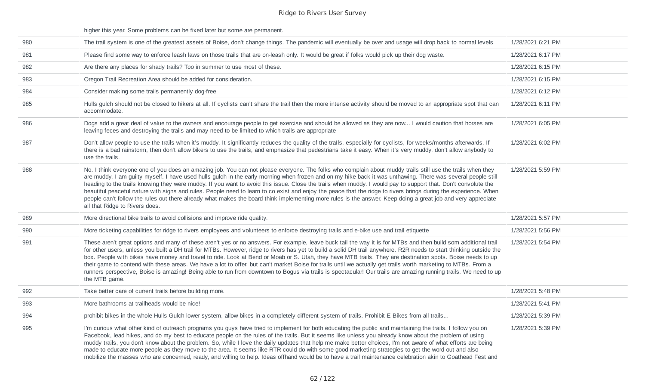|     | higher this year. Some problems can be fixed later but some are permanent.                                                                                                                                                                                                                                                                                                                                                                                                                                                                                                                                                                                                                                                                                                                                                                                        |                   |
|-----|-------------------------------------------------------------------------------------------------------------------------------------------------------------------------------------------------------------------------------------------------------------------------------------------------------------------------------------------------------------------------------------------------------------------------------------------------------------------------------------------------------------------------------------------------------------------------------------------------------------------------------------------------------------------------------------------------------------------------------------------------------------------------------------------------------------------------------------------------------------------|-------------------|
| 980 | The trail system is one of the greatest assets of Boise, don't change things. The pandemic will eventually be over and usage will drop back to normal levels                                                                                                                                                                                                                                                                                                                                                                                                                                                                                                                                                                                                                                                                                                      | 1/28/2021 6:21 PM |
| 981 | Please find some way to enforce leash laws on those trails that are on-leash only. It would be great if folks would pick up their dog waste.                                                                                                                                                                                                                                                                                                                                                                                                                                                                                                                                                                                                                                                                                                                      | 1/28/2021 6:17 PM |
| 982 | Are there any places for shady trails? Too in summer to use most of these.                                                                                                                                                                                                                                                                                                                                                                                                                                                                                                                                                                                                                                                                                                                                                                                        | 1/28/2021 6:15 PM |
| 983 | Oregon Trail Recreation Area should be added for consideration.                                                                                                                                                                                                                                                                                                                                                                                                                                                                                                                                                                                                                                                                                                                                                                                                   | 1/28/2021 6:15 PM |
| 984 | Consider making some trails permanently dog-free                                                                                                                                                                                                                                                                                                                                                                                                                                                                                                                                                                                                                                                                                                                                                                                                                  | 1/28/2021 6:12 PM |
| 985 | Hulls gulch should not be closed to hikers at all. If cyclists can't share the trail then the more intense activity should be moved to an appropriate spot that can<br>accommodate.                                                                                                                                                                                                                                                                                                                                                                                                                                                                                                                                                                                                                                                                               | 1/28/2021 6:11 PM |
| 986 | Dogs add a great deal of value to the owners and encourage people to get exercise and should be allowed as they are now I would caution that horses are<br>leaving feces and destroying the trails and may need to be limited to which trails are appropriate                                                                                                                                                                                                                                                                                                                                                                                                                                                                                                                                                                                                     | 1/28/2021 6:05 PM |
| 987 | Don't allow people to use the trails when it's muddy. It significantly reduces the quality of the tralls, especially for cyclists, for weeks/months afterwards. If<br>there is a bad rainstorm, then don't allow bikers to use the trails, and emphasize that pedestrians take it easy. When it's very muddy, don't allow anybody to<br>use the trails.                                                                                                                                                                                                                                                                                                                                                                                                                                                                                                           | 1/28/2021 6:02 PM |
| 988 | No. I think everyone one of you does an amazing job. You can not please everyone. The folks who complain about muddy trails still use the trails when they<br>are muddy. I am guilty myself. I have used hulls gulch in the early morning when frozen and on my hike back it was unthawing. There was several people still<br>heading to the trails knowing they were muddy. If you want to avoid this issue. Close the trails when muddy. I would pay to support that. Don't convolute the<br>beautiful peaceful nature with signs and rules. People need to learn to co exist and enjoy the peace that the ridge to rivers brings during the experience. When<br>people can't follow the rules out there already what makes the board think implementing more rules is the answer. Keep doing a great job and very appreciate<br>all that Ridge to Rivers does. | 1/28/2021 5:59 PM |
| 989 | More directional bike trails to avoid collisions and improve ride quality.                                                                                                                                                                                                                                                                                                                                                                                                                                                                                                                                                                                                                                                                                                                                                                                        | 1/28/2021 5:57 PM |
| 990 | More ticketing capabilities for ridge to rivers employees and volunteers to enforce destroying trails and e-bike use and trail etiquette                                                                                                                                                                                                                                                                                                                                                                                                                                                                                                                                                                                                                                                                                                                          | 1/28/2021 5:56 PM |
| 991 | These aren't great options and many of these aren't yes or no answers. For example, leave buck tail the way it is for MTBs and then build som additional trail<br>for other users, unless you built a DH trail for MTBs. However, ridge to rivers has yet to build a solid DH trail anywhere. R2R needs to start thinking outside the<br>box. People with bikes have money and travel to ride. Look at Bend or Moab or S. Utah, they have MTB trails. They are destination spots. Boise needs to up<br>their game to contend with these areas. We have a lot to offer, but can't market Boise for trails until we actually get trails worth marketing to MTBs. From a<br>runners perspective, Boise is amazing! Being able to run from downtown to Bogus via trails is spectacular! Our trails are amazing running trails. We need to up<br>the MTB game.         | 1/28/2021 5:54 PM |
| 992 | Take better care of current trails before building more.                                                                                                                                                                                                                                                                                                                                                                                                                                                                                                                                                                                                                                                                                                                                                                                                          | 1/28/2021 5:48 PM |
| 993 | More bathrooms at trailheads would be nice!                                                                                                                                                                                                                                                                                                                                                                                                                                                                                                                                                                                                                                                                                                                                                                                                                       | 1/28/2021 5:41 PM |
| 994 | prohibit bikes in the whole Hulls Gulch lower system, allow bikes in a completely different system of trails. Prohibit E Bikes from all trails                                                                                                                                                                                                                                                                                                                                                                                                                                                                                                                                                                                                                                                                                                                    | 1/28/2021 5:39 PM |
| 995 | I'm curious what other kind of outreach programs you guys have tried to implement for both educating the public and maintaining the trails. I follow you on<br>Facebook, lead hikes, and do my best to educate people on the rules of the trails. But it seems like unless you already know about the problem of using<br>muddy trails, you don't know about the problem. So, while I love the daily updates that help me make better choices, I'm not aware of what efforts are being<br>made to educate more people as they move to the area. It seems like RTR could do with some good marketing strategies to get the word out and also                                                                                                                                                                                                                       | 1/28/2021 5:39 PM |

mobilize the masses who are concerned, ready, and willing to help. Ideas offhand would be to have a trail maintenance celebration akin to Goathead Fest and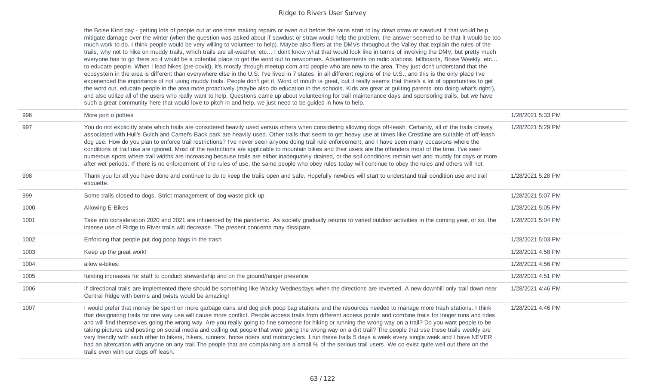the Boise Kind day - getting lots of people out at one time making repairs or even out before the rains start to lay down straw or sawdust if that would help mitigate damage over the winter (when the question was asked about if sawdust or straw would help the problem, the answer seemed to be that it would be too much work to do. I think people would be very willing to volunteer to help). Maybe also fliers at the DMVs throughout the Valley that explain the rules of the trails, why not to hike on muddy trails, which trails are all-weather, etc... I don't know what that would look like in terms of involving the DMV, but pretty much everyone has to go there so it would be a potential place to get the word out to newcomers. Advertisements on radio stations, billboards, Boise Weekly, etc... to educate people. When I lead hikes (pre-covid), it's mostly through meetup.com and people who are new to the area. They just don't understand that the ecosystem in the area is different than everywhere else in the U.S. I've lived in 7 states, in all different regions of the U.S., and this is the only place I've experienced the importance of not using muddy trails. People don't get it. Word of mouth is great, but it really seems that there's a lot of opportunities to get the word out, educate people in the area more proactively (maybe also do education in the schools. Kids are great at guilting parents into doing what's right!), and also utilize all of the users who really want to help. Questions came up about volunteering for trail maintenance days and sponsoring trails, but we have such a great community here that would love to pitch in and help, we just need to be guided in how to help.

| 996  | More port o potties                                                                                                                                                                                                                                                                                                                                                                                                                                                                                                                                                                                                                                                                                                                                                                                                                                                                                                                                                                                                                 | 1/28/2021 5:33 PM |
|------|-------------------------------------------------------------------------------------------------------------------------------------------------------------------------------------------------------------------------------------------------------------------------------------------------------------------------------------------------------------------------------------------------------------------------------------------------------------------------------------------------------------------------------------------------------------------------------------------------------------------------------------------------------------------------------------------------------------------------------------------------------------------------------------------------------------------------------------------------------------------------------------------------------------------------------------------------------------------------------------------------------------------------------------|-------------------|
| 997  | You do not explicitly state which trails are considered heavily used versus others when considering allowing dogs off-leash. Certainly, all of the trails closely<br>associated with Hull's Gulch and Camel's Back park are heavily used. Other trails that seem to get heavy use at times like Crestline are suitable of off-leash<br>dog use. How do you plan to enforce trail restrictions? I've never seen anyone doing trail rule enforcement, and I have seen many occasions where the<br>conditions of trail use are ignored. Most of the restrictions are applicable to mountain bikes and their users are the offenders most of the time. I've seen<br>numerous spots where trail widths are increasing because trails are either inadequately drained, or the soil conditions remain wet and muddy for days or more<br>after wet periods. If there is no enforcement of the rules of use, the same people who obey rules today will continue to obey the rules and others will not.                                       | 1/28/2021 5:29 PM |
| 998  | Thank you for all you have done and continue to do to keep the trails open and safe. Hopefully newbies will start to understand trail condition use and trail<br>etiquette.                                                                                                                                                                                                                                                                                                                                                                                                                                                                                                                                                                                                                                                                                                                                                                                                                                                         | 1/28/2021 5:28 PM |
| 999  | Some trails closed to dogs. Strict management of dog waste pick up.                                                                                                                                                                                                                                                                                                                                                                                                                                                                                                                                                                                                                                                                                                                                                                                                                                                                                                                                                                 | 1/28/2021 5:07 PM |
| 1000 | Allowing E-Bikes                                                                                                                                                                                                                                                                                                                                                                                                                                                                                                                                                                                                                                                                                                                                                                                                                                                                                                                                                                                                                    | 1/28/2021 5:05 PM |
| 1001 | Take into consideration 2020 and 2021 are influenced by the pandemic. As society gradually returns to varied outdoor activities in the coming year, or so, the<br>intense use of Ridge to River trails will decrease. The present concerns may dissipate.                                                                                                                                                                                                                                                                                                                                                                                                                                                                                                                                                                                                                                                                                                                                                                           | 1/28/2021 5:04 PM |
| 1002 | Enforcing that people put dog poop bags in the trash                                                                                                                                                                                                                                                                                                                                                                                                                                                                                                                                                                                                                                                                                                                                                                                                                                                                                                                                                                                | 1/28/2021 5:03 PM |
| 1003 | Keep up the great work!                                                                                                                                                                                                                                                                                                                                                                                                                                                                                                                                                                                                                                                                                                                                                                                                                                                                                                                                                                                                             | 1/28/2021 4:58 PM |
| 1004 | allow e-bikes,                                                                                                                                                                                                                                                                                                                                                                                                                                                                                                                                                                                                                                                                                                                                                                                                                                                                                                                                                                                                                      | 1/28/2021 4:56 PM |
| 1005 | funding increases for staff to conduct stewardship and on the ground/ranger presence                                                                                                                                                                                                                                                                                                                                                                                                                                                                                                                                                                                                                                                                                                                                                                                                                                                                                                                                                | 1/28/2021 4:51 PM |
| 1006 | If directional trails are implemented there should be something like Wacky Wednesdays when the directions are reversed. A new downhill only trail down near<br>Central Ridge with berms and twists would be amazing!                                                                                                                                                                                                                                                                                                                                                                                                                                                                                                                                                                                                                                                                                                                                                                                                                | 1/28/2021 4:46 PM |
| 1007 | I would prefer that money be spent on more garbage cans and dog pick poop bag stations and the resources needed to manage more trash stations. I think<br>that designating trails for one way use will cause more conflict. People access trails from different access points and combine trails for longer runs and rides<br>and will find themselves going the wrong way. Are you really going to fine someone for hiking or running the wrong way on a trail? Do you want people to be<br>taking pictures and posting on social media and calling out people that were going the wrong way on a dirt trail? The people that use these trails weekly are<br>very friendly with each other to bikers, hikers, runners, horse riders and motocyclers. I run these trails 5 days a week every single week and I have NEVER<br>had an altercation with anyone on any trail. The people that are complaining are a small % of the serious trail users. We co-exist quite well out there on the<br>trails even with our dogs off leash. | 1/28/2021 4:46 PM |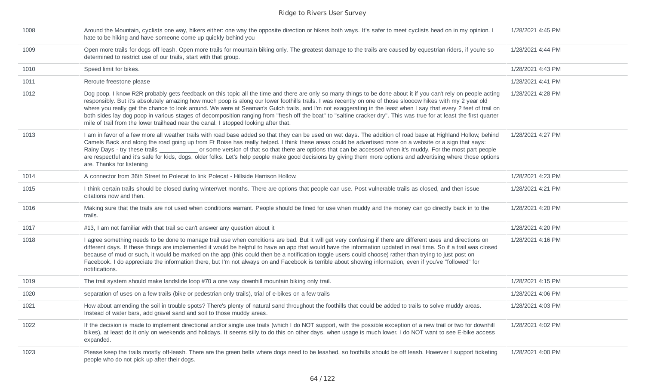| 1008 | Around the Mountain, cyclists one way, hikers either: one way the opposite direction or hikers both ways. It's safer to meet cyclists head on in my opinion. I<br>hate to be hiking and have someone come up quickly behind you                                                                                                                                                                                                                                                                                                                                                                                                                                                                                                                                   | 1/28/2021 4:45 PM |
|------|-------------------------------------------------------------------------------------------------------------------------------------------------------------------------------------------------------------------------------------------------------------------------------------------------------------------------------------------------------------------------------------------------------------------------------------------------------------------------------------------------------------------------------------------------------------------------------------------------------------------------------------------------------------------------------------------------------------------------------------------------------------------|-------------------|
| 1009 | Open more trails for dogs off leash. Open more trails for mountain biking only. The greatest damage to the trails are caused by equestrian riders, if you're so<br>determined to restrict use of our trails, start with that group.                                                                                                                                                                                                                                                                                                                                                                                                                                                                                                                               | 1/28/2021 4:44 PM |
| 1010 | Speed limit for bikes.                                                                                                                                                                                                                                                                                                                                                                                                                                                                                                                                                                                                                                                                                                                                            | 1/28/2021 4:43 PM |
| 1011 | Reroute freestone please                                                                                                                                                                                                                                                                                                                                                                                                                                                                                                                                                                                                                                                                                                                                          | 1/28/2021 4:41 PM |
| 1012 | Dog poop. I know R2R probably gets feedback on this topic all the time and there are only so many things to be done about it if you can't rely on people acting<br>responsibly. But it's absolutely amazing how much poop is along our lower foothills trails. I was recently on one of those sloooow hikes with my 2 year old<br>where you really get the chance to look around. We were at Seaman's Gulch trails, and I'm not exaggerating in the least when I say that every 2 feet of trail on<br>both sides lay dog poop in various stages of decomposition ranging from "fresh off the boat" to "saltine cracker dry". This was true for at least the first quarter<br>mile of trail from the lower trailhead near the canal. I stopped looking after that. | 1/28/2021 4:28 PM |
| 1013 | I am in favor of a few more all weather trails with road base added so that they can be used on wet days. The addition of road base at Highland Hollow, behind<br>Camels Back and along the road going up from Ft Boise has really helped. I think these areas could be advertised more on a website or a sign that says:<br>or some version of that so that there are options that can be accessed when it's muddy. For the most part people<br>Rainy Days - try these trails<br>are respectful and it's safe for kids, dogs, older folks. Let's help people make good decisions by giving them more options and advertising where those options<br>are. Thanks for listening                                                                                    | 1/28/2021 4:27 PM |
| 1014 | A connector from 36th Street to Polecat to link Polecat - Hillside Harrison Hollow.                                                                                                                                                                                                                                                                                                                                                                                                                                                                                                                                                                                                                                                                               | 1/28/2021 4:23 PM |
| 1015 | I think certain trails should be closed during winter/wet months. There are options that people can use. Post vulnerable trails as closed, and then issue<br>citations now and then.                                                                                                                                                                                                                                                                                                                                                                                                                                                                                                                                                                              | 1/28/2021 4:21 PM |
| 1016 | Making sure that the trails are not used when conditions warrant. People should be fined for use when muddy and the money can go directly back in to the<br>trails.                                                                                                                                                                                                                                                                                                                                                                                                                                                                                                                                                                                               | 1/28/2021 4:20 PM |
| 1017 | #13, I am not familiar with that trail so can't answer any question about it                                                                                                                                                                                                                                                                                                                                                                                                                                                                                                                                                                                                                                                                                      | 1/28/2021 4:20 PM |
| 1018 | I agree something needs to be done to manage trail use when conditions are bad. But it will get very confusing if there are different uses and directions on<br>different days. If these things are implemented it would be helpful to have an app that would have the information updated in real time. So if a trail was closed<br>because of mud or such, it would be marked on the app (this could then be a notification toggle users could choose) rather than trying to just post on<br>Facebook. I do appreciate the information there, but I'm not always on and Facebook is terrible about showing information, even if you've "followed" for<br>notifications.                                                                                         | 1/28/2021 4:16 PM |
| 1019 | The trail system should make landslide loop #70 a one way downhill mountain biking only trail.                                                                                                                                                                                                                                                                                                                                                                                                                                                                                                                                                                                                                                                                    | 1/28/2021 4:15 PM |
| 1020 | separation of uses on a few trails (bike or pedestrian only trails), trial of e-bikes on a few trails                                                                                                                                                                                                                                                                                                                                                                                                                                                                                                                                                                                                                                                             | 1/28/2021 4:06 PM |
| 1021 | How about amending the soil in trouble spots? There's plenty of natural sand throughout the foothills that could be added to trails to solve muddy areas.<br>Instead of water bars, add gravel sand and soil to those muddy areas.                                                                                                                                                                                                                                                                                                                                                                                                                                                                                                                                | 1/28/2021 4:03 PM |
| 1022 | If the decision is made to implement directional and/or single use trails (which I do NOT support, with the possible exception of a new trail or two for downhill<br>bikes), at least do it only on weekends and holidays. It seems silly to do this on other days, when usage is much lower. I do NOT want to see E-bike access<br>expanded.                                                                                                                                                                                                                                                                                                                                                                                                                     | 1/28/2021 4:02 PM |
| 1023 | Please keep the trails mostly off-leash. There are the green belts where dogs need to be leashed, so foothills should be off leash. However I support ticketing<br>people who do not pick up after their dogs.                                                                                                                                                                                                                                                                                                                                                                                                                                                                                                                                                    | 1/28/2021 4:00 PM |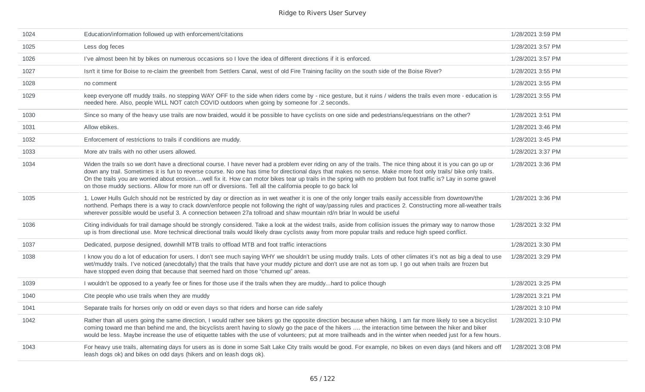| 1024 | Education/information followed up with enforcement/citations                                                                                                                                                                                                                                                                                                                                                                                                                                                                                                                                                           | 1/28/2021 3:59 PM |
|------|------------------------------------------------------------------------------------------------------------------------------------------------------------------------------------------------------------------------------------------------------------------------------------------------------------------------------------------------------------------------------------------------------------------------------------------------------------------------------------------------------------------------------------------------------------------------------------------------------------------------|-------------------|
| 1025 | Less dog feces                                                                                                                                                                                                                                                                                                                                                                                                                                                                                                                                                                                                         | 1/28/2021 3:57 PM |
| 1026 | I've almost been hit by bikes on numerous occasions so I love the idea of different directions if it is enforced.                                                                                                                                                                                                                                                                                                                                                                                                                                                                                                      | 1/28/2021 3:57 PM |
| 1027 | Isn't it time for Boise to re-claim the greenbelt from Settlers Canal, west of old Fire Training facility on the south side of the Boise River?                                                                                                                                                                                                                                                                                                                                                                                                                                                                        | 1/28/2021 3:55 PM |
| 1028 | no comment                                                                                                                                                                                                                                                                                                                                                                                                                                                                                                                                                                                                             | 1/28/2021 3:55 PM |
| 1029 | keep everyone off muddy trails. no stepping WAY OFF to the side when riders come by - nice gesture, but it ruins / widens the trails even more - education is<br>needed here. Also, people WILL NOT catch COVID outdoors when going by someone for .2 seconds.                                                                                                                                                                                                                                                                                                                                                         | 1/28/2021 3:55 PM |
| 1030 | Since so many of the heavy use trails are now braided, would it be possible to have cyclists on one side and pedestrians/equestrians on the other?                                                                                                                                                                                                                                                                                                                                                                                                                                                                     | 1/28/2021 3:51 PM |
| 1031 | Allow ebikes.                                                                                                                                                                                                                                                                                                                                                                                                                                                                                                                                                                                                          | 1/28/2021 3:46 PM |
| 1032 | Enforcement of restrictions to trails if conditions are muddy.                                                                                                                                                                                                                                                                                                                                                                                                                                                                                                                                                         | 1/28/2021 3:45 PM |
| 1033 | More atv trails with no other users allowed.                                                                                                                                                                                                                                                                                                                                                                                                                                                                                                                                                                           | 1/28/2021 3:37 PM |
| 1034 | Widen the trails so we don't have a directional course. I have never had a problem ever riding on any of the trails. The nice thing about it is you can go up or<br>down any trail. Sometimes it is fun to reverse course. No one has time for directional days that makes no sense. Make more foot only trails/ bike only trails.<br>On the trails you are worried about erosionwell fix it. How can motor bikes tear up trails in the spring with no problem but foot traffic is? Lay in some gravel<br>on those muddy sections. Allow for more run off or diversions. Tell all the california people to go back lol | 1/28/2021 3:36 PM |
| 1035 | 1. Lower Hulls Gulch should not be restricted by day or direction as in wet weather it is one of the only longer trails easily accessible from downtown/the<br>northend. Perhaps there is a way to crack down/enforce people not following the right of way/passing rules and practices 2. Constructing more all-weather trails<br>wherever possible would be useful 3. A connection between 27a tollroad and shaw mountain rd/n briar In would be useful                                                                                                                                                              | 1/28/2021 3:36 PM |
| 1036 | Citing individuals for trail damage should be strongly considered. Take a look at the widest trails, aside from collision issues the primary way to narrow those<br>up is from directional use. More technical directional trails would likely draw cyclists away from more popular trails and reduce high speed conflict.                                                                                                                                                                                                                                                                                             | 1/28/2021 3:32 PM |
| 1037 | Dedicated, purpose designed, downhill MTB trails to offload MTB and foot traffic interactions                                                                                                                                                                                                                                                                                                                                                                                                                                                                                                                          | 1/28/2021 3:30 PM |
| 1038 | I know you do a lot of education for users. I don't see much saying WHY we shouldn't be using muddy trails. Lots of other climates it's not as big a deal to use<br>wet/muddy trails. I've noticed (anecdotally) that the trails that have your muddy picture and don't use are not as torn up. I go out when trails are frozen but<br>have stopped even doing that because that seemed hard on those "churned up" areas.                                                                                                                                                                                              | 1/28/2021 3:29 PM |
| 1039 | I wouldn't be opposed to a yearly fee or fines for those use if the trails when they are muddyhard to police though                                                                                                                                                                                                                                                                                                                                                                                                                                                                                                    | 1/28/2021 3:25 PM |
| 1040 | Cite people who use trails when they are muddy                                                                                                                                                                                                                                                                                                                                                                                                                                                                                                                                                                         | 1/28/2021 3:21 PM |
| 1041 | Separate trails for horses only on odd or even days so that riders and horse can ride safely                                                                                                                                                                                                                                                                                                                                                                                                                                                                                                                           | 1/28/2021 3:10 PM |
| 1042 | Rather than all users going the same direction, I would rather see bikers go the opposite direction because when hiking, I am far more likely to see a bicyclist<br>coming toward me than behind me and, the bicyclists aren't having to slowly go the pace of the hikers  the interaction time between the hiker and biker<br>would be less. Maybe increase the use of etiquette tables with the use of volunteers; put at more trailheads and in the winter when needed just for a few hours.                                                                                                                        | 1/28/2021 3:10 PM |
| 1043 | For heavy use trails, alternating days for users as is done in some Salt Lake City trails would be good. For example, no bikes on even days (and hikers and off<br>leash dogs ok) and bikes on odd days (hikers and on leash dogs ok).                                                                                                                                                                                                                                                                                                                                                                                 | 1/28/2021 3:08 PM |
|      |                                                                                                                                                                                                                                                                                                                                                                                                                                                                                                                                                                                                                        |                   |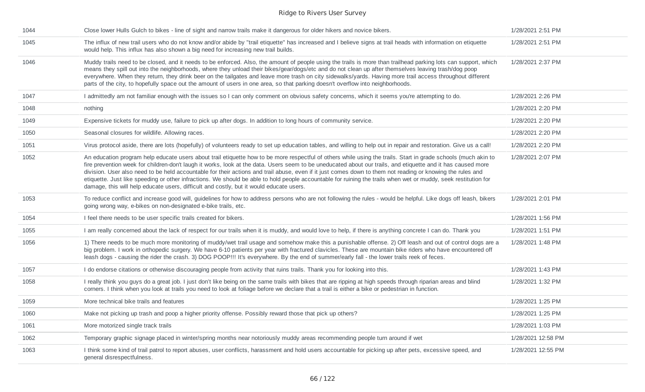| 1044 | Close lower Hulls Gulch to bikes - line of sight and narrow trails make it dangerous for older hikers and novice bikers.                                                                                                                                                                                                                                                                                                                                                                                                                                                                                                                                                                                                                                   | 1/28/2021 2:51 PM  |
|------|------------------------------------------------------------------------------------------------------------------------------------------------------------------------------------------------------------------------------------------------------------------------------------------------------------------------------------------------------------------------------------------------------------------------------------------------------------------------------------------------------------------------------------------------------------------------------------------------------------------------------------------------------------------------------------------------------------------------------------------------------------|--------------------|
| 1045 | The influx of new trail users who do not know and/or abide by "trail etiquette" has increased and I believe signs at trail heads with information on etiquette<br>would help. This influx has also shown a big need for increasing new trail builds.                                                                                                                                                                                                                                                                                                                                                                                                                                                                                                       | 1/28/2021 2:51 PM  |
| 1046 | Muddy trails need to be closed, and it needs to be enforced. Also, the amount of people using the trails is more than trailhead parking lots can support, which<br>means they spill out into the neighborhoods, where they unload their bikes/gear/dogs/etc and do not clean up after themselves leaving trash/dog poop<br>everywhere. When they return, they drink beer on the tailgates and leave more trash on city sidewalks/yards. Having more trail access throughout different<br>parts of the city, to hopefully space out the amount of users in one area, so that parking doesn't overflow into neighborhoods.                                                                                                                                   | 1/28/2021 2:37 PM  |
| 1047 | I admittedly am not familiar enough with the issues so I can only comment on obvious safety concerns, which it seems you're attempting to do.                                                                                                                                                                                                                                                                                                                                                                                                                                                                                                                                                                                                              | 1/28/2021 2:26 PM  |
| 1048 | nothing                                                                                                                                                                                                                                                                                                                                                                                                                                                                                                                                                                                                                                                                                                                                                    | 1/28/2021 2:20 PM  |
| 1049 | Expensive tickets for muddy use, failure to pick up after dogs. In addition to long hours of community service.                                                                                                                                                                                                                                                                                                                                                                                                                                                                                                                                                                                                                                            | 1/28/2021 2:20 PM  |
| 1050 | Seasonal closures for wildlife. Allowing races.                                                                                                                                                                                                                                                                                                                                                                                                                                                                                                                                                                                                                                                                                                            | 1/28/2021 2:20 PM  |
| 1051 | Virus protocol aside, there are lots (hopefully) of volunteers ready to set up education tables, and willing to help out in repair and restoration. Give us a call!                                                                                                                                                                                                                                                                                                                                                                                                                                                                                                                                                                                        | 1/28/2021 2:20 PM  |
| 1052 | An education program help educate users about trail etiquette how to be more respectful of others while using the trails. Start in grade schools (much akin to<br>fire prevention week for children-don't laugh it works, look at the data. Users seem to be uneducated about our trails, and etiquette and it has caused more<br>division. User also need to be held accountable for their actions and trail abuse, even if it just comes down to them not reading or knowing the rules and<br>etiquette. Just like speeding or other infractions. We should be able to hold people accountable for ruining the trails when wet or muddy, seek restitution for<br>damage, this will help educate users, difficult and costly, but it would educate users. | 1/28/2021 2:07 PM  |
| 1053 | To reduce conflict and increase good will, guidelines for how to address persons who are not following the rules - would be helpful. Like dogs off leash, bikers<br>going wrong way, e-bikes on non-designated e-bike trails, etc.                                                                                                                                                                                                                                                                                                                                                                                                                                                                                                                         | 1/28/2021 2:01 PM  |
| 1054 | I feel there needs to be user specific trails created for bikers.                                                                                                                                                                                                                                                                                                                                                                                                                                                                                                                                                                                                                                                                                          | 1/28/2021 1:56 PM  |
| 1055 | I am really concerned about the lack of respect for our trails when it is muddy, and would love to help, if there is anything concrete I can do. Thank you                                                                                                                                                                                                                                                                                                                                                                                                                                                                                                                                                                                                 | 1/28/2021 1:51 PM  |
| 1056 | 1) There needs to be much more monitoring of muddy/wet trail usage and somehow make this a punishable offense. 2) Off leash and out of control dogs are a<br>big problem. I work in orthopedic surgery. We have 6-10 patients per year with fractured clavicles. These are mountain bike riders who have encountered off<br>leash dogs - causing the rider the crash. 3) DOG POOP!!! It's everywhere. By the end of summer/early fall - the lower trails reek of feces.                                                                                                                                                                                                                                                                                    | 1/28/2021 1:48 PM  |
| 1057 | I do endorse citations or otherwise discouraging people from activity that ruins trails. Thank you for looking into this.                                                                                                                                                                                                                                                                                                                                                                                                                                                                                                                                                                                                                                  | 1/28/2021 1:43 PM  |
| 1058 | I really think you guys do a great job. I just don't like being on the same trails with bikes that are ripping at high speeds through riparian areas and blind<br>corners. I think when you look at trails you need to look at foliage before we declare that a trail is either a bike or pedestrian in function.                                                                                                                                                                                                                                                                                                                                                                                                                                          | 1/28/2021 1:32 PM  |
| 1059 | More technical bike trails and features                                                                                                                                                                                                                                                                                                                                                                                                                                                                                                                                                                                                                                                                                                                    | 1/28/2021 1:25 PM  |
| 1060 | Make not picking up trash and poop a higher priority offense. Possibly reward those that pick up others?                                                                                                                                                                                                                                                                                                                                                                                                                                                                                                                                                                                                                                                   | 1/28/2021 1:25 PM  |
| 1061 | More motorized single track trails                                                                                                                                                                                                                                                                                                                                                                                                                                                                                                                                                                                                                                                                                                                         | 1/28/2021 1:03 PM  |
| 1062 | Temporary graphic signage placed in winter/spring months near notoriously muddy areas recommending people turn around if wet                                                                                                                                                                                                                                                                                                                                                                                                                                                                                                                                                                                                                               | 1/28/2021 12:58 PM |
| 1063 | I think some kind of trail patrol to report abuses, user conflicts, harassment and hold users accountable for picking up after pets, excessive speed, and<br>general disrespectfulness.                                                                                                                                                                                                                                                                                                                                                                                                                                                                                                                                                                    | 1/28/2021 12:55 PM |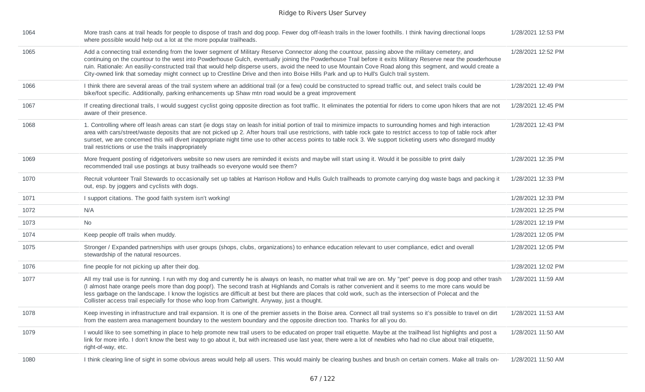| 1064 | More trash cans at trail heads for people to dispose of trash and dog poop. Fewer dog off-leash trails in the lower foothills. I think having directional loops<br>where possible would help out a lot at the more popular trailheads.                                                                                                                                                                                                                                                                                                                                                                                       | 1/28/2021 12:53 PM |
|------|------------------------------------------------------------------------------------------------------------------------------------------------------------------------------------------------------------------------------------------------------------------------------------------------------------------------------------------------------------------------------------------------------------------------------------------------------------------------------------------------------------------------------------------------------------------------------------------------------------------------------|--------------------|
| 1065 | Add a connecting trail extending from the lower segment of Military Reserve Connector along the countour, passing above the military cemetery, and<br>continuing on the countour to the west into Powderhouse Gulch, eventually joining the Powderhouse Trail before it exits Military Reserve near the powderhouse<br>ruin. Rationale: An easiliy-constructed trail that would help disperse users, avoid the need to use Mountain Cove Road along this segment, and would create a<br>City-owned link that someday might connect up to Crestline Drive and then into Boise Hills Park and up to Hull's Gulch trail system. | 1/28/2021 12:52 PM |
| 1066 | I think there are several areas of the trail system where an additional trail (or a few) could be constructed to spread traffic out, and select trails could be<br>bike/foot specific. Additionally, parking enhancements up Shaw mtn road would be a great improvement                                                                                                                                                                                                                                                                                                                                                      | 1/28/2021 12:49 PM |
| 1067 | If creating directional trails, I would suggest cyclist going opposite direction as foot traffic. It eliminates the potential for riders to come upon hikers that are not<br>aware of their presence.                                                                                                                                                                                                                                                                                                                                                                                                                        | 1/28/2021 12:45 PM |
| 1068 | 1. Controlling where off leash areas can start (ie dogs stay on leash for initial portion of trail to minimize impacts to surrounding homes and high interaction<br>area with cars/street/waste deposits that are not picked up 2. After hours trail use restrictions, with table rock gate to restrict access to top of table rock after<br>sunset, we are concerned this will divert inappropriate night time use to other access points to table rock 3. We support ticketing users who disregard muddy<br>trail restrictions or use the trails inappropriately                                                           | 1/28/2021 12:43 PM |
| 1069 | More frequent posting of ridgetorivers website so new users are reminded it exists and maybe will start using it. Would it be possible to print daily<br>recommended trail use postings at busy trailheads so everyone would see them?                                                                                                                                                                                                                                                                                                                                                                                       | 1/28/2021 12:35 PM |
| 1070 | Recruit volunteer Trail Stewards to occasionally set up tables at Harrison Hollow and Hulls Gulch trailheads to promote carrying dog waste bags and packing it<br>out, esp. by joggers and cyclists with dogs.                                                                                                                                                                                                                                                                                                                                                                                                               | 1/28/2021 12:33 PM |
| 1071 | I support citations. The good faith system isn't working!                                                                                                                                                                                                                                                                                                                                                                                                                                                                                                                                                                    | 1/28/2021 12:33 PM |
| 1072 | N/A                                                                                                                                                                                                                                                                                                                                                                                                                                                                                                                                                                                                                          | 1/28/2021 12:25 PM |
| 1073 | No                                                                                                                                                                                                                                                                                                                                                                                                                                                                                                                                                                                                                           | 1/28/2021 12:19 PM |
| 1074 | Keep people off trails when muddy.                                                                                                                                                                                                                                                                                                                                                                                                                                                                                                                                                                                           | 1/28/2021 12:05 PM |
| 1075 | Stronger / Expanded partnerships with user groups (shops, clubs, organizations) to enhance education relevant to user compliance, edict and overall<br>stewardship of the natural resources.                                                                                                                                                                                                                                                                                                                                                                                                                                 | 1/28/2021 12:05 PM |
| 1076 | fine people for not picking up after their dog.                                                                                                                                                                                                                                                                                                                                                                                                                                                                                                                                                                              | 1/28/2021 12:02 PM |
| 1077 | All my trail use is for running. I run with my dog and currently he is always on leash, no matter what trail we are on. My "pet" peeve is dog poop and other trash<br>(I almost hate orange peels more than dog poop!). The second trash at Highlands and Corrals is rather convenient and it seems to me more cans would be<br>less garbage on the landscape. I know the logistics are difficult at best but there are places that cold work, such as the intersection of Polecat and the<br>Collister access trail especially for those who loop from Cartwright. Anyway, just a thought.                                  | 1/28/2021 11:59 AM |
| 1078 | Keep investing in infrastructure and trail expansion. It is one of the premier assets in the Boise area. Connect all trail systems so it's possible to travel on dirt<br>from the eastern area management boundary to the western boundary and the opposite direction too. Thanks for all you do.                                                                                                                                                                                                                                                                                                                            | 1/28/2021 11:53 AM |
| 1079 | I would like to see something in place to help promote new trail users to be educated on proper trail etiquette. Maybe at the trailhead list highlights and post a<br>link for more info. I don't know the best way to go about it, but with increased use last year, there were a lot of newbies who had no clue about trail etiquette,<br>right-of-way, etc.                                                                                                                                                                                                                                                               | 1/28/2021 11:50 AM |
| 1080 | I think clearing line of sight in some obvious areas would help all users. This would mainly be clearing bushes and brush on certain corners. Make all trails on-                                                                                                                                                                                                                                                                                                                                                                                                                                                            | 1/28/2021 11:50 AM |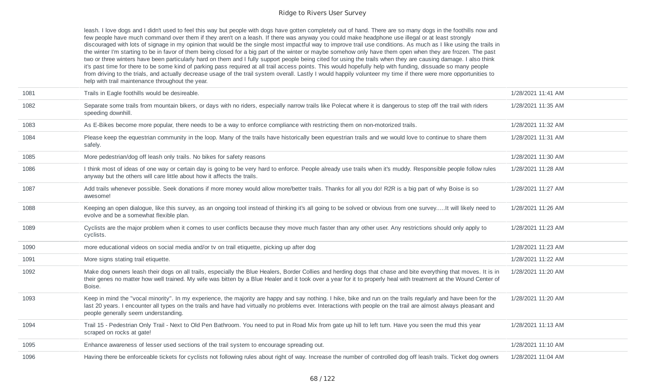leash. I love dogs and I didn't used to feel this way but people with dogs have gotten completely out of hand. There are so many dogs in the foothills now and few people have much command over them if they aren't on a leash. If there was anyway you could make headphone use illegal or at least strongly discouraged with lots of signage in my opinion that would be the single most impactful way to improve trail use conditions. As much as I like using the trails in the winter I'm starting to be in favor of them being closed for a big part of the winter or maybe somehow only have them open when they are frozen. The past two or three winters have been particularly hard on them and I fully support people being cited for using the trails when they are causing damage. I also think it's past time for there to be some kind of parking pass required at all trail access points. This would hopefully help with funding, dissuade so many people from driving to the trials, and actually decrease usage of the trail system overall. Lastly I would happily volunteer my time if there were more opportunities to help with trail maintenance throughout the year.

| 1081 | Trails in Eagle foothills would be desireable.                                                                                                                                                                                                                                                                                                                              | 1/28/2021 11:41 AM |
|------|-----------------------------------------------------------------------------------------------------------------------------------------------------------------------------------------------------------------------------------------------------------------------------------------------------------------------------------------------------------------------------|--------------------|
| 1082 | Separate some trails from mountain bikers, or days with no riders, especially narrow trails like Polecat where it is dangerous to step off the trail with riders<br>speeding downhill.                                                                                                                                                                                      | 1/28/2021 11:35 AM |
| 1083 | As E-Bikes become more popular, there needs to be a way to enforce compliance with restricting them on non-motorized trails.                                                                                                                                                                                                                                                | 1/28/2021 11:32 AM |
| 1084 | Please keep the equestrian community in the loop. Many of the trails have historically been equestrian trails and we would love to continue to share them<br>safely.                                                                                                                                                                                                        | 1/28/2021 11:31 AM |
| 1085 | More pedestrian/dog off leash only trails. No bikes for safety reasons                                                                                                                                                                                                                                                                                                      | 1/28/2021 11:30 AM |
| 1086 | I think most of ideas of one way or certain day is going to be very hard to enforce. People already use trails when it's muddy. Responsible people follow rules<br>anyway but the others will care little about how it affects the trails.                                                                                                                                  | 1/28/2021 11:28 AM |
| 1087 | Add trails whenever possible. Seek donations if more money would allow more/better trails. Thanks for all you do! R2R is a big part of why Boise is so<br>awesome!                                                                                                                                                                                                          | 1/28/2021 11:27 AM |
| 1088 | Keeping an open dialogue, like this survey, as an ongoing tool instead of thinking it's all going to be solved or obvious from one surveyIt will likely need to<br>evolve and be a somewhat flexible plan.                                                                                                                                                                  | 1/28/2021 11:26 AM |
| 1089 | Cyclists are the major problem when it comes to user conflicts because they move much faster than any other user. Any restrictions should only apply to<br>cyclists.                                                                                                                                                                                                        | 1/28/2021 11:23 AM |
| 1090 | more educational videos on social media and/or tv on trail etiquette, picking up after dog                                                                                                                                                                                                                                                                                  | 1/28/2021 11:23 AM |
| 1091 | More signs stating trail etiquette.                                                                                                                                                                                                                                                                                                                                         | 1/28/2021 11:22 AM |
| 1092 | Make dog owners leash their dogs on all trails, especially the Blue Healers, Border Collies and herding dogs that chase and bite everything that moves. It is in<br>their genes no matter how well trained. My wife was bitten by a Blue Healer and it took over a year for it to properly heal with treatment at the Wound Center of<br>Boise.                             | 1/28/2021 11:20 AM |
| 1093 | Keep in mind the "vocal minority". In my experience, the majority are happy and say nothing. I hike, bike and run on the trails regularly and have been for the<br>last 20 years. I encounter all types on the trails and have had virtually no problems ever. Interactions with people on the trail are almost always pleasant and<br>people generally seem understanding. | 1/28/2021 11:20 AM |
| 1094 | Trail 15 - Pedestrian Only Trail - Next to Old Pen Bathroom. You need to put in Road Mix from gate up hill to left turn. Have you seen the mud this year<br>scraped on rocks at gate!                                                                                                                                                                                       | 1/28/2021 11:13 AM |
| 1095 | Enhance awareness of lesser used sections of the trail system to encourage spreading out.                                                                                                                                                                                                                                                                                   | 1/28/2021 11:10 AM |
| 1096 | Having there be enforceable tickets for cyclists not following rules about right of way. Increase the number of controlled dog off leash trails. Ticket dog owners                                                                                                                                                                                                          | 1/28/2021 11:04 AM |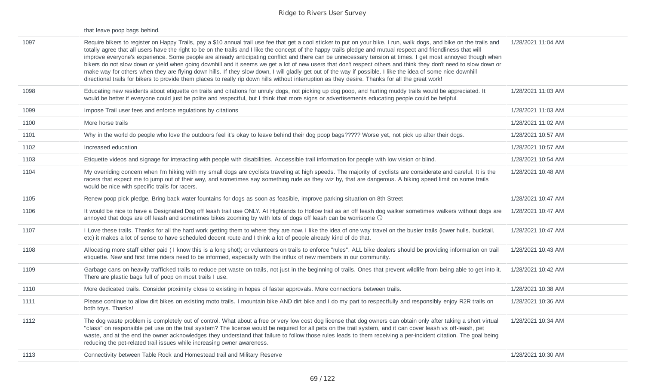|      | that leave poop bags behind.                                                                                                                                                                                                                                                                                                                                                                                                                                                                                                                                                                                                                                                                                                                                                                                                                                                                                                                                                                  |                    |
|------|-----------------------------------------------------------------------------------------------------------------------------------------------------------------------------------------------------------------------------------------------------------------------------------------------------------------------------------------------------------------------------------------------------------------------------------------------------------------------------------------------------------------------------------------------------------------------------------------------------------------------------------------------------------------------------------------------------------------------------------------------------------------------------------------------------------------------------------------------------------------------------------------------------------------------------------------------------------------------------------------------|--------------------|
| 1097 | Require bikers to register on Happy Trails, pay a \$10 annual trail use fee that get a cool sticker to put on your bike. I run, walk dogs, and bike on the trails and<br>totally agree that all users have the right to be on the trails and I like the concept of the happy trails pledge and mutual respect and friendliness that will<br>improve everyone's experience. Some people are already anticipating conflict and there can be unnecessary tension at times. I get most annoyed though when<br>bikers do not slow down or yield when going downhill and it seems we get a lot of new users that don't respect others and think they don't need to slow down or<br>make way for others when they are flying down hills. If they slow down, I will gladly get out of the way if possible. I like the idea of some nice downhill<br>directional trails for bikers to provide them places to really rip down hills without interruption as they desire. Thanks for all the great work! | 1/28/2021 11:04 AM |
| 1098 | Educating new residents about etiquette on trails and citations for unruly dogs, not picking up dog poop, and hurting muddy trails would be appreciated. It<br>would be better if everyone could just be polite and respectful, but I think that more signs or advertisements educating people could be helpful.                                                                                                                                                                                                                                                                                                                                                                                                                                                                                                                                                                                                                                                                              | 1/28/2021 11:03 AM |
| 1099 | Impose Trail user fees and enforce regulations by citations                                                                                                                                                                                                                                                                                                                                                                                                                                                                                                                                                                                                                                                                                                                                                                                                                                                                                                                                   | 1/28/2021 11:03 AM |
| 1100 | More horse trails                                                                                                                                                                                                                                                                                                                                                                                                                                                                                                                                                                                                                                                                                                                                                                                                                                                                                                                                                                             | 1/28/2021 11:02 AM |
| 1101 | Why in the world do people who love the outdoors feel it's okay to leave behind their dog poop bags????? Worse yet, not pick up after their dogs.                                                                                                                                                                                                                                                                                                                                                                                                                                                                                                                                                                                                                                                                                                                                                                                                                                             | 1/28/2021 10:57 AM |
| 1102 | Increased education                                                                                                                                                                                                                                                                                                                                                                                                                                                                                                                                                                                                                                                                                                                                                                                                                                                                                                                                                                           | 1/28/2021 10:57 AM |
| 1103 | Etiquette videos and signage for interacting with people with disabilities. Accessible trail information for people with low vision or blind.                                                                                                                                                                                                                                                                                                                                                                                                                                                                                                                                                                                                                                                                                                                                                                                                                                                 | 1/28/2021 10:54 AM |
| 1104 | My overriding concern when I'm hiking with my small dogs are cyclists traveling at high speeds. The majority of cyclists are considerate and careful. It is the<br>racers that expect me to jump out of their way, and sometimes say something rude as they wiz by, that are dangerous. A biking speed limit on some trails<br>would be nice with specific trails for racers.                                                                                                                                                                                                                                                                                                                                                                                                                                                                                                                                                                                                                 | 1/28/2021 10:48 AM |
| 1105 | Renew poop pick pledge, Bring back water fountains for dogs as soon as feasible, improve parking situation on 8th Street                                                                                                                                                                                                                                                                                                                                                                                                                                                                                                                                                                                                                                                                                                                                                                                                                                                                      | 1/28/2021 10:47 AM |
| 1106 | It would be nice to have a Designated Dog off leash trail use ONLY. At Highlands to Hollow trail as an off leash dog walker sometimes walkers without dogs are<br>annoyed that dogs are off leash and sometimes bikes zooming by with lots of dogs off leash can be worrisome $\odot$                                                                                                                                                                                                                                                                                                                                                                                                                                                                                                                                                                                                                                                                                                         | 1/28/2021 10:47 AM |
| 1107 | I Love these trails. Thanks for all the hard work getting them to where they are now. I like the idea of one way travel on the busier trails (lower hulls, bucktail,<br>etc) it makes a lot of sense to have scheduled decent route and I think a lot of people already kind of do that.                                                                                                                                                                                                                                                                                                                                                                                                                                                                                                                                                                                                                                                                                                      | 1/28/2021 10:47 AM |
| 1108 | Allocating more staff either paid (I know this is a long shot); or volunteers on trails to enforce "rules". ALL bike dealers should be providing information on trail<br>etiquette. New and first time riders need to be informed, especially with the influx of new members in our community.                                                                                                                                                                                                                                                                                                                                                                                                                                                                                                                                                                                                                                                                                                | 1/28/2021 10:43 AM |
| 1109 | Garbage cans on heavily trafficked trails to reduce pet waste on trails, not just in the beginning of trails. Ones that prevent wildlife from being able to get into it.<br>There are plastic bags full of poop on most trails I use.                                                                                                                                                                                                                                                                                                                                                                                                                                                                                                                                                                                                                                                                                                                                                         | 1/28/2021 10:42 AM |
| 1110 | More dedicated trails. Consider proximity close to existing in hopes of faster approvals. More connections between trails.                                                                                                                                                                                                                                                                                                                                                                                                                                                                                                                                                                                                                                                                                                                                                                                                                                                                    | 1/28/2021 10:38 AM |
| 1111 | Please continue to allow dirt bikes on existing moto trails. I mountain bike AND dirt bike and I do my part to respectfully and responsibly enjoy R2R trails on<br>both toys. Thanks!                                                                                                                                                                                                                                                                                                                                                                                                                                                                                                                                                                                                                                                                                                                                                                                                         | 1/28/2021 10:36 AM |
| 1112 | The dog waste problem is completely out of control. What about a free or very low cost dog license that dog owners can obtain only after taking a short virtual<br>"class" on responsible pet use on the trail system? The license would be required for all pets on the trail system, and it can cover leash vs off-leash, pet<br>waste, and at the end the owner acknowledges they understand that failure to follow those rules leads to them receiving a per-incident citation. The goal being<br>reducing the pet-related trail issues while increasing owner awareness.                                                                                                                                                                                                                                                                                                                                                                                                                 | 1/28/2021 10:34 AM |
| 1113 | Connectivity between Table Rock and Homestead trail and Military Reserve                                                                                                                                                                                                                                                                                                                                                                                                                                                                                                                                                                                                                                                                                                                                                                                                                                                                                                                      | 1/28/2021 10:30 AM |
|      |                                                                                                                                                                                                                                                                                                                                                                                                                                                                                                                                                                                                                                                                                                                                                                                                                                                                                                                                                                                               |                    |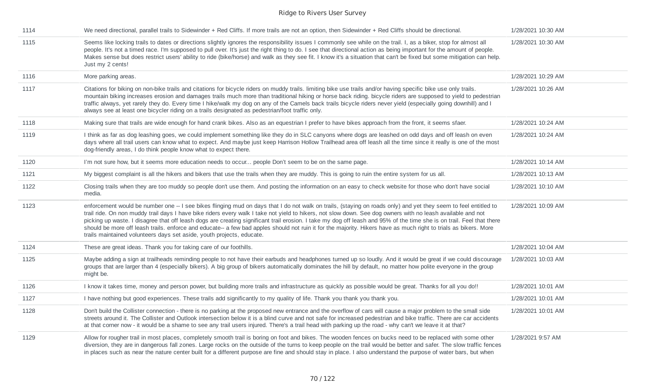| 1114 | We need directional, parallel trails to Sidewinder + Red Cliffs. If more trails are not an option, then Sidewinder + Red Cliffs should be directional.                                                                                                                                                                                                                                                                                                                                                                                                                                                                                                                                                                                               | 1/28/2021 10:30 AM |
|------|------------------------------------------------------------------------------------------------------------------------------------------------------------------------------------------------------------------------------------------------------------------------------------------------------------------------------------------------------------------------------------------------------------------------------------------------------------------------------------------------------------------------------------------------------------------------------------------------------------------------------------------------------------------------------------------------------------------------------------------------------|--------------------|
| 1115 | Seems like locking trails to dates or directions slightly ignores the responsibility issues I commonly see while on the trail. I, as a biker, stop for almost all<br>people. It's not a timed race. I'm supposed to pull over. It's just the right thing to do. I see that directional action as being important for the amount of people.<br>Makes sense but does restrict users' ability to ride (bike/horse) and walk as they see fit. I know it's a situation that can't be fixed but some mitigation can help.<br>Just my 2 cents!                                                                                                                                                                                                              | 1/28/2021 10:30 AM |
| 1116 | More parking areas.                                                                                                                                                                                                                                                                                                                                                                                                                                                                                                                                                                                                                                                                                                                                  | 1/28/2021 10:29 AM |
| 1117 | Citations for biking on non-bike trails and citations for bicycle riders on muddy trails. Iimiting bike use trails and/or having specific bike use only trails.<br>mountain biking increases erosion and damages trails much more than traditional hiking or horse back riding. bicycle riders are supposed to yield to pedestrian<br>traffic always, yet rarely they do. Every time I hike/walk my dog on any of the Camels back trails bicycle riders never yield (especially going downhill) and I<br>always see at least one bicycler riding on a trails designated as pedestrian/foot traffic only.                                                                                                                                             | 1/28/2021 10:26 AM |
| 1118 | Making sure that trails are wide enough for hand crank bikes. Also as an equestrian I prefer to have bikes approach from the front, it seems sfaer.                                                                                                                                                                                                                                                                                                                                                                                                                                                                                                                                                                                                  | 1/28/2021 10:24 AM |
| 1119 | I think as far as dog leashing goes, we could implement something like they do in SLC canyons where dogs are leashed on odd days and off leash on even<br>days where all trail users can know what to expect. And maybe just keep Harrison Hollow Trailhead area off leash all the time since it really is one of the most<br>dog-friendly areas, I do think people know what to expect there.                                                                                                                                                                                                                                                                                                                                                       | 1/28/2021 10:24 AM |
| 1120 | I'm not sure how, but it seems more education needs to occur people Don't seem to be on the same page.                                                                                                                                                                                                                                                                                                                                                                                                                                                                                                                                                                                                                                               | 1/28/2021 10:14 AM |
| 1121 | My biggest complaint is all the hikers and bikers that use the trails when they are muddy. This is going to ruin the entire system for us all.                                                                                                                                                                                                                                                                                                                                                                                                                                                                                                                                                                                                       | 1/28/2021 10:13 AM |
| 1122 | Closing trails when they are too muddy so people don't use them. And posting the information on an easy to check website for those who don't have social<br>media.                                                                                                                                                                                                                                                                                                                                                                                                                                                                                                                                                                                   | 1/28/2021 10:10 AM |
| 1123 | enforcement would be number one -- I see bikes flinging mud on days that I do not walk on trails, (staying on roads only) and yet they seem to feel entitled to<br>trail ride. On non muddy trail days I have bike riders every walk I take not yield to hikers, not slow down. See dog owners with no leash available and not<br>picking up waste. I disagree that off leash dogs are creating significant trail erosion. I take my dog off leash and 95% of the time she is on trail. Feel that there<br>should be more off leash trails. enforce and educate-- a few bad apples should not ruin it for the majority. Hikers have as much right to trials as bikers. More<br>trails maintained volunteers days set aside, youth projects, educate. | 1/28/2021 10:09 AM |
| 1124 | These are great ideas. Thank you for taking care of our foothills.                                                                                                                                                                                                                                                                                                                                                                                                                                                                                                                                                                                                                                                                                   | 1/28/2021 10:04 AM |
| 1125 | Maybe adding a sign at trailheads reminding people to not have their earbuds and headphones turned up so loudly. And it would be great if we could discourage<br>groups that are larger than 4 (especially bikers). A big group of bikers automatically dominates the hill by default, no matter how polite everyone in the group<br>might be.                                                                                                                                                                                                                                                                                                                                                                                                       | 1/28/2021 10:03 AM |
| 1126 | I know it takes time, money and person power, but building more trails and infrastructure as quickly as possible would be great. Thanks for all you do!!                                                                                                                                                                                                                                                                                                                                                                                                                                                                                                                                                                                             | 1/28/2021 10:01 AM |
| 1127 | I have nothing but good experiences. These trails add significantly to my quality of life. Thank you thank you thank you.                                                                                                                                                                                                                                                                                                                                                                                                                                                                                                                                                                                                                            | 1/28/2021 10:01 AM |
| 1128 | Don't build the Collister connection - there is no parking at the proposed new entrance and the overflow of cars will cause a major problem to the small side<br>streets around it. The Collister and Outlook intersection below it is a blind curve and not safe for increased pedestrian and bike traffic. There are car accidents<br>at that corner now - it would be a shame to see any trail users injured. There's a trail head with parking up the road - why can't we leave it at that?                                                                                                                                                                                                                                                      | 1/28/2021 10:01 AM |
| 1129 | Allow for rougher trail in most places, completely smooth trail is boring on foot and bikes. The wooden fences on bucks need to be replaced with some other<br>diversion, they are in dangerous fall zones. Large rocks on the outside of the turns to keep people on the trail would be better and safer. The slow traffic fences<br>in places such as near the nature center built for a different purpose are fine and should stay in place. I also understand the purpose of water bars, but when                                                                                                                                                                                                                                                | 1/28/2021 9:57 AM  |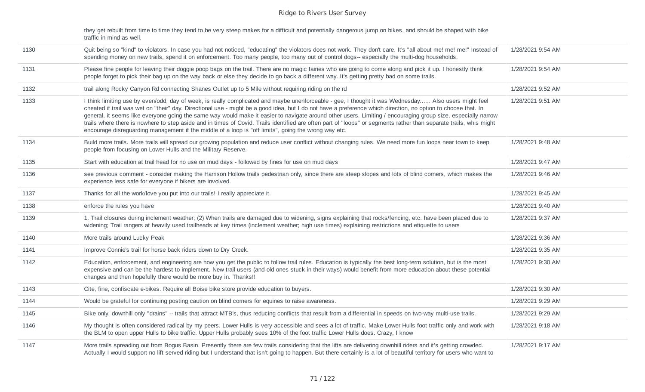| they get rebuilt from time to time they tend to be very steep makes for a difficult and potentially dangerous jump on bikes, and should be shaped with bike |
|-------------------------------------------------------------------------------------------------------------------------------------------------------------|
| traffic in mind as well.                                                                                                                                    |

| 1130 | Quit being so "kind" to violators. In case you had not noticed, "educating" the violators does not work. They don't care. It's "all about me! me! me!" Instead of<br>spending money on new trails, spend it on enforcement. Too many people, too many out of control dogs-- especially the multi-dog households.                                                                                                                                                                                                                                                                                                                                                                                                                                                    | 1/28/2021 9:54 AM |
|------|---------------------------------------------------------------------------------------------------------------------------------------------------------------------------------------------------------------------------------------------------------------------------------------------------------------------------------------------------------------------------------------------------------------------------------------------------------------------------------------------------------------------------------------------------------------------------------------------------------------------------------------------------------------------------------------------------------------------------------------------------------------------|-------------------|
| 1131 | Please fine people for leaving their doggie poop bags on the trail. There are no magic fairies who are going to come along and pick it up. I honestly think<br>people forget to pick their bag up on the way back or else they decide to go back a different way. It's getting pretty bad on some trails.                                                                                                                                                                                                                                                                                                                                                                                                                                                           | 1/28/2021 9:54 AM |
| 1132 | trail along Rocky Canyon Rd connecting Shanes Outlet up to 5 Mile without requiring riding on the rd                                                                                                                                                                                                                                                                                                                                                                                                                                                                                                                                                                                                                                                                | 1/28/2021 9:52 AM |
| 1133 | I think limiting use by even/odd, day of week, is really complicated and maybe unenforceable - gee, I thought it was Wednesday Also users might feel<br>cheated if trail was wet on "their" day. Directional use - might be a good idea, but I do not have a preference which direction, no option to choose that. In<br>general, it seems like everyone going the same way would make it easier to navigate around other users. Limiting / encouraging group size, especially narrow<br>trails where there is nowhere to step aside and in times of Covid. Trails identified are often part of "loops" or segments rather than separate trails, whis might<br>encourage disreguarding management if the middle of a loop is "off limits", going the wrong way etc. | 1/28/2021 9:51 AM |
| 1134 | Build more trails. More trails will spread our growing population and reduce user conflict without changing rules. We need more fun loops near town to keep<br>people from focusing on Lower Hulls and the Military Reserve.                                                                                                                                                                                                                                                                                                                                                                                                                                                                                                                                        | 1/28/2021 9:48 AM |
| 1135 | Start with education at trail head for no use on mud days - followed by fines for use on mud days                                                                                                                                                                                                                                                                                                                                                                                                                                                                                                                                                                                                                                                                   | 1/28/2021 9:47 AM |
| 1136 | see previous comment - consider making the Harrison Hollow trails pedestrian only, since there are steep slopes and lots of blind corners, which makes the<br>experience less safe for everyone if bikers are involved.                                                                                                                                                                                                                                                                                                                                                                                                                                                                                                                                             | 1/28/2021 9:46 AM |
| 1137 | Thanks for all the work/love you put into our trails! I really appreciate it.                                                                                                                                                                                                                                                                                                                                                                                                                                                                                                                                                                                                                                                                                       | 1/28/2021 9:45 AM |
| 1138 | enforce the rules you have                                                                                                                                                                                                                                                                                                                                                                                                                                                                                                                                                                                                                                                                                                                                          | 1/28/2021 9:40 AM |
| 1139 | 1. Trail closures during inclement weather; (2) When trails are damaged due to widening, signs explaining that rocks/fencing, etc. have been placed due to<br>widening; Trail rangers at heavily used trailheads at key times (inclement weather; high use times) explaining restrictions and etiquette to users                                                                                                                                                                                                                                                                                                                                                                                                                                                    | 1/28/2021 9:37 AM |
| 1140 | More trails around Lucky Peak                                                                                                                                                                                                                                                                                                                                                                                                                                                                                                                                                                                                                                                                                                                                       | 1/28/2021 9:36 AM |
| 1141 | Improve Connie's trail for horse back riders down to Dry Creek.                                                                                                                                                                                                                                                                                                                                                                                                                                                                                                                                                                                                                                                                                                     | 1/28/2021 9:35 AM |
| 1142 | Education, enforcement, and engineering are how you get the public to follow trail rules. Education is typically the best long-term solution, but is the most<br>expensive and can be the hardest to implement. New trail users (and old ones stuck in their ways) would benefit from more education about these potential<br>changes and then hopefully there would be more buy in. Thanks!!                                                                                                                                                                                                                                                                                                                                                                       | 1/28/2021 9:30 AM |
| 1143 | Cite, fine, confiscate e-bikes. Require all Boise bike store provide education to buyers.                                                                                                                                                                                                                                                                                                                                                                                                                                                                                                                                                                                                                                                                           | 1/28/2021 9:30 AM |
| 1144 | Would be grateful for continuing posting caution on blind corners for equines to raise awareness.                                                                                                                                                                                                                                                                                                                                                                                                                                                                                                                                                                                                                                                                   | 1/28/2021 9:29 AM |
| 1145 | Bike only, downhill only "drains" -- trails that attract MTB's, thus reducing conflicts that result from a differential in speeds on two-way multi-use trails.                                                                                                                                                                                                                                                                                                                                                                                                                                                                                                                                                                                                      | 1/28/2021 9:29 AM |
| 1146 | My thought is often considered radical by my peers. Lower Hulls is very accessible and sees a lot of traffic. Make Lower Hulls foot traffic only and work with<br>the BLM to open upper Hulls to bike traffic. Upper Hulls probably sees 10% of the foot traffic Lower Hulls does. Crazy, I know                                                                                                                                                                                                                                                                                                                                                                                                                                                                    | 1/28/2021 9:18 AM |
| 1147 | More trails spreading out from Bogus Basin. Presently there are few trails considering that the lifts are delivering downhill riders and it's getting crowded.<br>Actually I would support no lift served riding but I understand that isn't going to happen. But there certainly is a lot of beautiful territory for users who want to                                                                                                                                                                                                                                                                                                                                                                                                                             | 1/28/2021 9:17 AM |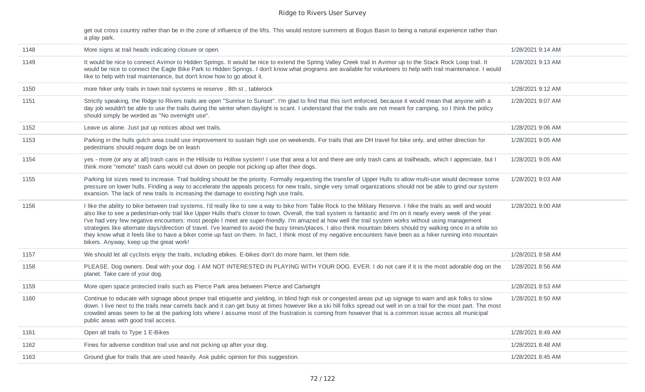get out cross country rather than be in the zone of influence of the lifts. This would restore summers at Bogus Basin to being a natural experience rather than a play park.

| 1148 | More signs at trail heads indicating closure or open.                                                                                                                                                                                                                                                                                                                                                                                                                                                                                                                                                                                                                                                                                                                                                                                                                                  | 1/28/2021 9:14 AM |
|------|----------------------------------------------------------------------------------------------------------------------------------------------------------------------------------------------------------------------------------------------------------------------------------------------------------------------------------------------------------------------------------------------------------------------------------------------------------------------------------------------------------------------------------------------------------------------------------------------------------------------------------------------------------------------------------------------------------------------------------------------------------------------------------------------------------------------------------------------------------------------------------------|-------------------|
| 1149 | It would be nice to connect Avimor to Hidden Springs. It would be nice to extend the Spring Valley Creek trail in Avimor up to the Stack Rock Loop trail. It<br>would be nice to connect the Eagle Bike Park to Hidden Springs. I don't know what programs are available for volunteers to help with trail maintenance. I would<br>like to help with trail maintenance, but don't know how to go about it.                                                                                                                                                                                                                                                                                                                                                                                                                                                                             | 1/28/2021 9:13 AM |
| 1150 | more hiker only trails in town trail systems ie reserve, 8th st, tablerock                                                                                                                                                                                                                                                                                                                                                                                                                                                                                                                                                                                                                                                                                                                                                                                                             | 1/28/2021 9:12 AM |
| 1151 | Strictly speaking, the Ridge to Rivers trails are open "Sunrise to Sunset". I'm glad to find that this isn't enforced, because it would mean that anyone with a<br>day job wouldn't be able to use the trails during the winter when daylight is scant. I understand that the trails are not meant for camping, so I think the policy<br>should simply be worded as "No overnight use".                                                                                                                                                                                                                                                                                                                                                                                                                                                                                                | 1/28/2021 9:07 AM |
| 1152 | Leave us alone. Just put up notices about wet trails.                                                                                                                                                                                                                                                                                                                                                                                                                                                                                                                                                                                                                                                                                                                                                                                                                                  | 1/28/2021 9:06 AM |
| 1153 | Parking in the hulls gulch area could use improvement to sustain high use on weekends. For trails that are DH travel for bike only, and either direction for<br>pedestrians should require dogs be on leash                                                                                                                                                                                                                                                                                                                                                                                                                                                                                                                                                                                                                                                                            | 1/28/2021 9:05 AM |
| 1154 | yes - more (or any at all) trash cans in the Hillside to Hollow system! I use that area a lot and there are only trash cans at trailheads, which I appreciate, but I<br>think more "remote" trash cans would cut down on people not picking up after their dogs.                                                                                                                                                                                                                                                                                                                                                                                                                                                                                                                                                                                                                       | 1/28/2021 9:05 AM |
| 1155 | Parking lot sizes need to increase. Trail building should be the priority. Formally requesting the transfer of Upper Hulls to allow multi-use would decrease some<br>pressure on lower hulls. Finding a way to accelerate the appeals process for new trails, single very small organizations should not be able to grind our system<br>exansion. The lack of new trails is increasing the damage to existing high use trails.                                                                                                                                                                                                                                                                                                                                                                                                                                                         | 1/28/2021 9:03 AM |
| 1156 | I like the ability to bike between trail systems. I'd really like to see a way to bike from Table Rock to the Military Reserve. I hike the trails as well and would<br>also like to see a pedestrian-only trail like Upper Hulls that's closer to town. Overall, the trail system is fantastic and I'm on it nearly every week of the year.<br>I've had very few negative encounters: most people I meet are super-friendly. I'm amazed at how well the trail system works without using management<br>strategies like alternate days/direction of travel. I've learned to avoid the busy times/places. I also think mountain bikers should try walking once in a while so<br>they know what it feels like to have a biker come up fast on them. In fact, I think most of my negative encounters have been as a hiker running into mountain<br>bikers. Anyway, keep up the great work! | 1/28/2021 9:00 AM |
| 1157 | We should let all cyclists enjoy the trails, including ebikes. E-bikes don't do more harm, let them ride.                                                                                                                                                                                                                                                                                                                                                                                                                                                                                                                                                                                                                                                                                                                                                                              | 1/28/2021 8:58 AM |
| 1158 | PLEASE. Dog owners. Deal with your dog. I AM NOT INTERESTED IN PLAYING WITH YOUR DOG. EVER. I do not care if it is the most adorable dog on the<br>planet. Take care of your dog.                                                                                                                                                                                                                                                                                                                                                                                                                                                                                                                                                                                                                                                                                                      | 1/28/2021 8:56 AM |
| 1159 | More open space protected trails such as Pierce Park area between Pierce and Cartwright                                                                                                                                                                                                                                                                                                                                                                                                                                                                                                                                                                                                                                                                                                                                                                                                | 1/28/2021 8:53 AM |
| 1160 | Continue to educate with signage about proper trail etiquette and yielding, in blind high risk or congested areas put up signage to warn and ask folks to slow<br>down. I live next to the trails near camels back and it can get busy at times however like a ski hill folks spread out well in on a trail for the most part. The most<br>crowded areas seem to be at the parking lots where I assume most of the frustration is coming from however that is a common issue across all municipal<br>public areas with good trail access.                                                                                                                                                                                                                                                                                                                                              | 1/28/2021 8:50 AM |
| 1161 | Open all trails to Type 1 E-Bikes                                                                                                                                                                                                                                                                                                                                                                                                                                                                                                                                                                                                                                                                                                                                                                                                                                                      | 1/28/2021 8:49 AM |
| 1162 | Fines for adverse condition trail use and not picking up after your dog.                                                                                                                                                                                                                                                                                                                                                                                                                                                                                                                                                                                                                                                                                                                                                                                                               | 1/28/2021 8:48 AM |
| 1163 | Ground glue for trails that are used heavily. Ask public opinion for this suggestion.                                                                                                                                                                                                                                                                                                                                                                                                                                                                                                                                                                                                                                                                                                                                                                                                  | 1/28/2021 8:45 AM |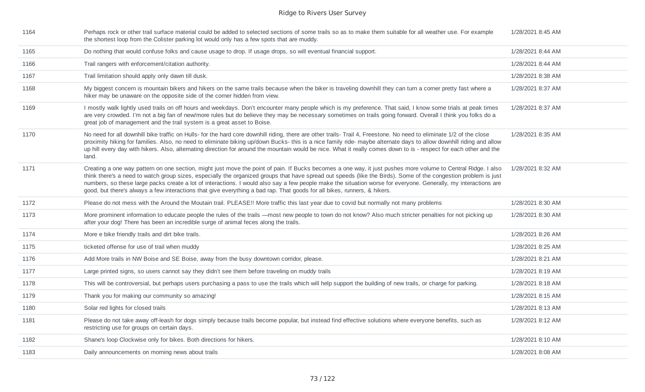| 1164 | Perhaps rock or other trail surface material could be added to selected sections of some trails so as to make them suitable for all weather use. For example<br>the shortest loop from the Colister parking lot would only has a few spots that are muddy.                                                                                                                                                                                                                                                                                                                                                                      | 1/28/2021 8:45 AM |
|------|---------------------------------------------------------------------------------------------------------------------------------------------------------------------------------------------------------------------------------------------------------------------------------------------------------------------------------------------------------------------------------------------------------------------------------------------------------------------------------------------------------------------------------------------------------------------------------------------------------------------------------|-------------------|
| 1165 | Do nothing that would confuse folks and cause usage to drop. If usage drops, so will eventual financial support.                                                                                                                                                                                                                                                                                                                                                                                                                                                                                                                | 1/28/2021 8:44 AM |
| 1166 | Trail rangers with enforcement/citation authority.                                                                                                                                                                                                                                                                                                                                                                                                                                                                                                                                                                              | 1/28/2021 8:44 AM |
| 1167 | Trail limitation should apply only dawn till dusk.                                                                                                                                                                                                                                                                                                                                                                                                                                                                                                                                                                              | 1/28/2021 8:38 AM |
| 1168 | My biggest concern is mountain bikers and hikers on the same trails because when the biker is traveling downhill they can turn a corner pretty fast where a<br>hiker may be unaware on the opposite side of the corner hidden from view.                                                                                                                                                                                                                                                                                                                                                                                        | 1/28/2021 8:37 AM |
| 1169 | I mostly walk lightly used trails on off hours and weekdays. Don't encounter many people which is my preference. That said, I know some trials at peak times<br>are very crowded. I'm not a big fan of new/more rules but do believe they may be necessary sometimes on trails going forward. Overall I think you folks do a<br>great job of management and the trail system is a great asset to Boise.                                                                                                                                                                                                                         | 1/28/2021 8:37 AM |
| 1170 | No need for all downhill bike traffic on Hulls- for the hard core downhill riding, there are other trails- Trail 4, Freestone. No need to eliminate 1/2 of the close<br>proximity hiking for families. Also, no need to eliminate biking up/down Bucks- this is a nice family ride- maybe alternate days to allow downhill riding and allow<br>up hill every day with hikers. Also, alternating direction for around the mountain would be nice. What it really comes down to is - respect for each other and the<br>land.                                                                                                      | 1/28/2021 8:35 AM |
| 1171 | Creating a one way pattern on one section, might just move the point of pain. If Bucks becomes a one way, it just pushes more volume to Central Ridge. I also<br>think there's a need to watch group sizes, especially the organized groups that have spread out speeds (like the Birds). Some of the congestion problem is just<br>numbers, so these large packs create a lot of interactions. I would also say a few people make the situation worse for everyone. Generally, my interactions are<br>good, but there's always a few interactions that give everything a bad rap. That goods for all bikes, runners, & hikers. | 1/28/2021 8:32 AM |
| 1172 | Please do not mess with the Around the Moutain trail. PLEASE!! More traffic this last year due to covid but normally not many problems                                                                                                                                                                                                                                                                                                                                                                                                                                                                                          | 1/28/2021 8:30 AM |
| 1173 | More prominent information to educate people the rules of the trails - most new people to town do not know? Also much stricter penalties for not picking up<br>after your dog! There has been an incredible surge of animal feces along the trails.                                                                                                                                                                                                                                                                                                                                                                             | 1/28/2021 8:30 AM |
| 1174 | More e bike friendly trails and dirt bike trails.                                                                                                                                                                                                                                                                                                                                                                                                                                                                                                                                                                               | 1/28/2021 8:26 AM |
| 1175 | ticketed offense for use of trail when muddy                                                                                                                                                                                                                                                                                                                                                                                                                                                                                                                                                                                    | 1/28/2021 8:25 AM |
| 1176 | Add More trails in NW Boise and SE Boise, away from the busy downtown corridor, please.                                                                                                                                                                                                                                                                                                                                                                                                                                                                                                                                         | 1/28/2021 8:21 AM |
| 1177 | Large printed signs, so users cannot say they didn't see them before traveling on muddy trails                                                                                                                                                                                                                                                                                                                                                                                                                                                                                                                                  | 1/28/2021 8:19 AM |
| 1178 | This will be controversial, but perhaps users purchasing a pass to use the trails which will help support the building of new trails, or charge for parking.                                                                                                                                                                                                                                                                                                                                                                                                                                                                    | 1/28/2021 8:18 AM |
| 1179 | Thank you for making our community so amazing!                                                                                                                                                                                                                                                                                                                                                                                                                                                                                                                                                                                  | 1/28/2021 8:15 AM |
| 1180 | Solar red lights for closed trails                                                                                                                                                                                                                                                                                                                                                                                                                                                                                                                                                                                              | 1/28/2021 8:13 AM |
| 1181 | Please do not take away off-leash for dogs simply because trails become popular, but instead find effective solutions where everyone benefits, such as<br>restricting use for groups on certain days.                                                                                                                                                                                                                                                                                                                                                                                                                           | 1/28/2021 8:12 AM |
| 1182 | Shane's loop Clockwise only for bikes. Both directions for hikers.                                                                                                                                                                                                                                                                                                                                                                                                                                                                                                                                                              | 1/28/2021 8:10 AM |
| 1183 | Daily announcements on morning news about trails                                                                                                                                                                                                                                                                                                                                                                                                                                                                                                                                                                                | 1/28/2021 8:08 AM |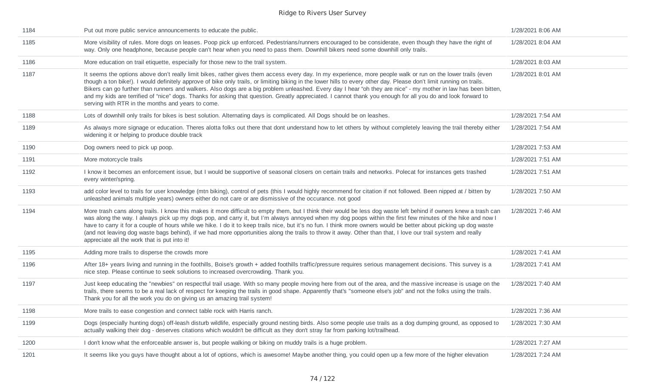| 1184 | Put out more public service announcements to educate the public.                                                                                                                                                                                                                                                                                                                                                                                                                                                                                                                                                                                                                                                            | 1/28/2021 8:06 AM |
|------|-----------------------------------------------------------------------------------------------------------------------------------------------------------------------------------------------------------------------------------------------------------------------------------------------------------------------------------------------------------------------------------------------------------------------------------------------------------------------------------------------------------------------------------------------------------------------------------------------------------------------------------------------------------------------------------------------------------------------------|-------------------|
| 1185 | More visibility of rules. More dogs on leases. Poop pick up enforced. Pedestrians/runners encouraged to be considerate, even though they have the right of<br>way. Only one headphone, because people can't hear when you need to pass them. Downhill bikers need some downhill only trails.                                                                                                                                                                                                                                                                                                                                                                                                                                | 1/28/2021 8:04 AM |
| 1186 | More education on trail etiquette, especially for those new to the trail system.                                                                                                                                                                                                                                                                                                                                                                                                                                                                                                                                                                                                                                            | 1/28/2021 8:03 AM |
| 1187 | It seems the options above don't really limit bikes, rather gives them access every day. In my experience, more people walk or run on the lower trails (even<br>though a ton bike!). I would definitely approve of bike only trails, or limiting biking in the lower hills to every other day. Please don't limit running on trails.<br>Bikers can go further than runners and walkers. Also dogs are a big problem unleashed. Every day I hear "oh they are nice" - my mother in law has been bitten,<br>and my kids are terrified of "nice" dogs. Thanks for asking that question. Greatly appreciated. I cannot thank you enough for all you do and look forward to<br>serving with RTR in the months and years to come. | 1/28/2021 8:01 AM |
| 1188 | Lots of downhill only trails for bikes is best solution. Alternating days is complicated. All Dogs should be on leashes.                                                                                                                                                                                                                                                                                                                                                                                                                                                                                                                                                                                                    | 1/28/2021 7:54 AM |
| 1189 | As always more signage or education. Theres alotta folks out there that dont understand how to let others by without completely leaving the trail thereby either<br>widening it or helping to produce double track                                                                                                                                                                                                                                                                                                                                                                                                                                                                                                          | 1/28/2021 7:54 AM |
| 1190 | Dog owners need to pick up poop.                                                                                                                                                                                                                                                                                                                                                                                                                                                                                                                                                                                                                                                                                            | 1/28/2021 7:53 AM |
| 1191 | More motorcycle trails                                                                                                                                                                                                                                                                                                                                                                                                                                                                                                                                                                                                                                                                                                      | 1/28/2021 7:51 AM |
| 1192 | I know it becomes an enforcement issue, but I would be supportive of seasonal closers on certain trails and networks. Polecat for instances gets trashed<br>every winter/spring.                                                                                                                                                                                                                                                                                                                                                                                                                                                                                                                                            | 1/28/2021 7:51 AM |
| 1193 | add color level to trails for user knowledge (mtn biking), control of pets (this I would highly recommend for citation if not followed. Been nipped at / bitten by<br>unleashed animals multiple years) owners either do not care or are dismissive of the occurance, not good                                                                                                                                                                                                                                                                                                                                                                                                                                              | 1/28/2021 7:50 AM |
| 1194 | More trash cans along trails. I know this makes it more difficult to empty them, but I think their would be less dog waste left behind if owners knew a trash can<br>was along the way. I always pick up my dogs pop, and carry it, but I'm always annoyed when my dog poops within the first few minutes of the hike and now I<br>have to carry it for a couple of hours while we hike. I do it to keep trails nice, but it's no fun. I think more owners would be better about picking up dog waste<br>(and not leaving dog waste bags behind), if we had more opportunities along the trails to throw it away. Other than that, I love our trail system and really<br>appreciate all the work that is put into it!       | 1/28/2021 7:46 AM |
| 1195 | Adding more trails to disperse the crowds more                                                                                                                                                                                                                                                                                                                                                                                                                                                                                                                                                                                                                                                                              | 1/28/2021 7:41 AM |
| 1196 | After 18+ years living and running in the foothills, Boise's growth + added foothills traffic/pressure requires serious management decisions. This survey is a<br>nice step. Please continue to seek solutions to increased overcrowding. Thank you.                                                                                                                                                                                                                                                                                                                                                                                                                                                                        | 1/28/2021 7:41 AM |
| 1197 | Just keep educating the "newbies" on respectful trail usage. With so many people moving here from out of the area, and the massive increase is usage on the<br>trails, there seems to be a real lack of respect for keeping the trails in good shape. Apparently that's "someone else's job" and not the folks using the trails.<br>Thank you for all the work you do on giving us an amazing trail system!                                                                                                                                                                                                                                                                                                                 | 1/28/2021 7:40 AM |
| 1198 | More trails to ease congestion and connect table rock with Harris ranch.                                                                                                                                                                                                                                                                                                                                                                                                                                                                                                                                                                                                                                                    | 1/28/2021 7:36 AM |
| 1199 | Dogs (especially hunting dogs) off-leash disturb wildlife, especially ground nesting birds. Also some people use trails as a dog dumping ground, as opposed to<br>actually walking their dog - deserves citations which wouldn't be difficult as they don't stray far from parking lot/trailhead.                                                                                                                                                                                                                                                                                                                                                                                                                           | 1/28/2021 7:30 AM |
| 1200 | I don't know what the enforceable answer is, but people walking or biking on muddy trails is a huge problem.                                                                                                                                                                                                                                                                                                                                                                                                                                                                                                                                                                                                                | 1/28/2021 7:27 AM |
| 1201 | It seems like you guys have thought about a lot of options, which is awesome! Maybe another thing, you could open up a few more of the higher elevation                                                                                                                                                                                                                                                                                                                                                                                                                                                                                                                                                                     | 1/28/2021 7:24 AM |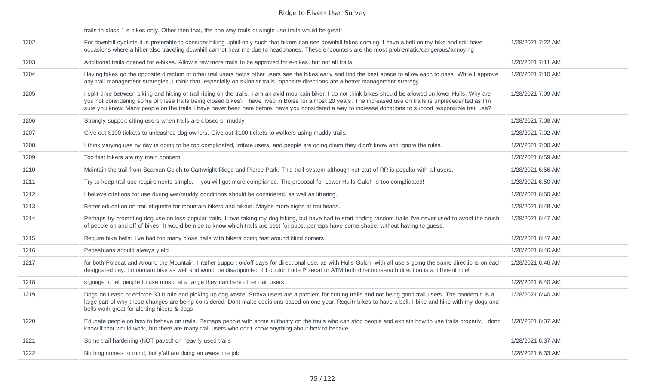trails to class 1 e-bikes only. Other then that, the one way trails or single use trails would be great!

| 1202 | For downhill cyclists it is preferable to consider hiking uphill-only such that hikers can see downhill bikes coming. I have a bell on my bike and still have<br>occasions where a hiker also traveling downhill cannot hear me due to headphones. These encounters are the most problematic/dangerous/annoying                                                                                                                                                                               | 1/28/2021 7:22 AM |
|------|-----------------------------------------------------------------------------------------------------------------------------------------------------------------------------------------------------------------------------------------------------------------------------------------------------------------------------------------------------------------------------------------------------------------------------------------------------------------------------------------------|-------------------|
| 1203 | Additional trails opened for e-bikes. Allow a few more trails to be approved for e-bikes, but not all trails.                                                                                                                                                                                                                                                                                                                                                                                 | 1/28/2021 7:11 AM |
| 1204 | Having bikes go the opposite direction of other trail users helps other users see the bikes early and find the best space to allow each to pass. While I approve<br>any trail management strategies, I think that, especially on skinnier trails, opposite directions are a better management strategy.                                                                                                                                                                                       | 1/28/2021 7:10 AM |
| 1205 | I split time between biking and hiking or trail riding on the trails. I am an avid mountain biker. I do not think bikes should be allowed on lower Hulls. Why are<br>you not considering some of these trails being closed bikes? I have lived in Boise for almost 20 years. The increased use on trails is unprecedented as I'm<br>sure you know. Many people on the trails I have never been here before, have you considered a way to increase donations to support responsible trail use? | 1/28/2021 7:09 AM |
| 1206 | Strongly support citing users when trails are closed or muddy                                                                                                                                                                                                                                                                                                                                                                                                                                 | 1/28/2021 7:08 AM |
| 1207 | Give out \$100 tickets to unleashed dog owners. Give out \$100 tickets to walkers using muddy trails.                                                                                                                                                                                                                                                                                                                                                                                         | 1/28/2021 7:02 AM |
| 1208 | I think varying use by day is going to be too complicated, irritate users, and people are going claim they didn't know and ignore the rules.                                                                                                                                                                                                                                                                                                                                                  | 1/28/2021 7:00 AM |
| 1209 | Too fast bikers are my main concern.                                                                                                                                                                                                                                                                                                                                                                                                                                                          | 1/28/2021 6:59 AM |
| 1210 | Maintain the trail from Seaman Gulch to Cartwright Ridge and Pierce Park. This trail system although not part of RR is popular with all users.                                                                                                                                                                                                                                                                                                                                                | 1/28/2021 6:56 AM |
| 1211 | Try to keep trail use requirements simple. -- you will get more compliance. The proposal for Lower Hulls Gulch is too complicated!                                                                                                                                                                                                                                                                                                                                                            | 1/28/2021 6:50 AM |
| 1212 | I believe citations for use during wet/muddy conditions should be considered, as well as littering.                                                                                                                                                                                                                                                                                                                                                                                           | 1/28/2021 6:50 AM |
| 1213 | Better education on trail etiquette for mountain bikers and hikers. Maybe more signs at trailheads.                                                                                                                                                                                                                                                                                                                                                                                           | 1/28/2021 6:48 AM |
| 1214 | Perhaps try promoting dog use on less popular trails. I love taking my dog hiking, but have had to start finding random trails I've never used to avoid the crush<br>of people on and off of bikes. It would be nice to know which trails are best for pups, perhaps have some shade, without having to guess.                                                                                                                                                                                | 1/28/2021 6:47 AM |
| 1215 | Require bike bells; I've had too many close calls with bikers going fast around blind corners.                                                                                                                                                                                                                                                                                                                                                                                                | 1/28/2021 6:47 AM |
| 1216 | Pedestrians should always yield.                                                                                                                                                                                                                                                                                                                                                                                                                                                              | 1/28/2021 6:46 AM |
| 1217 | for both Polecat and Around the Mountain, I rather support on/off days for directional use, as with Hulls Gulch, with all users going the same directions on each<br>designated day. I mountain bike as well and would be disappointed if I couldn't ride Polecat or ATM both directions-each direction is a different ride!                                                                                                                                                                  | 1/28/2021 6:46 AM |
| 1218 | signage to tell people to use music at a range they can here other trail users.                                                                                                                                                                                                                                                                                                                                                                                                               | 1/28/2021 6:40 AM |
| 1219 | Dogs on Leash or enforce 30 ft rule and picking up dog waste. Strava users are a problem for cutting trails and not being good trail users. The pandemic is a<br>large part of why these changes are being considered. Dont make decisions based on one year. Requitr bikes to have a bell. I bike and hike with my dogs and<br>bells work great for alerting hikers & dogs                                                                                                                   | 1/28/2021 6:40 AM |
| 1220 | Educate people on how to behave on trails. Perhaps people with some authority on the trails who can stop people and explain how to use trails properly. I don't<br>know if that would work, but there are many trail users who don't know anything about how to behave.                                                                                                                                                                                                                       | 1/28/2021 6:37 AM |
| 1221 | Some trail hardening (NOT paved) on heavily used trails                                                                                                                                                                                                                                                                                                                                                                                                                                       | 1/28/2021 6:37 AM |
| 1222 | Nothing comes to mind, but y'all are doing an awesome job.                                                                                                                                                                                                                                                                                                                                                                                                                                    | 1/28/2021 6:33 AM |
|      |                                                                                                                                                                                                                                                                                                                                                                                                                                                                                               |                   |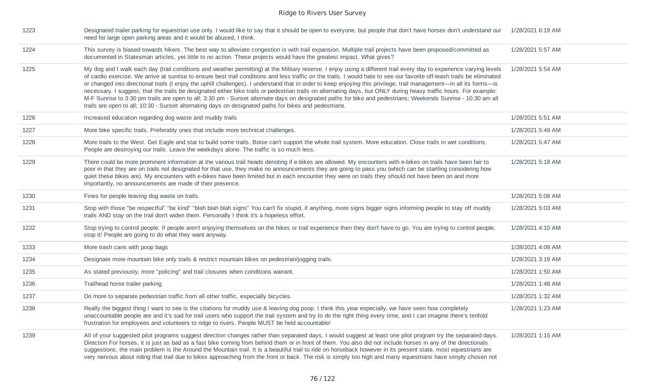| 1223 | Designated trailer parking for equestrian use only. I would like to say that it should be open to everyone, but people that don't have horses don't understand our<br>need for large open parking areas and it would be abused, I think.                                                                                                                                                                                                                                                                                                                                                                                                                                                                                                                                                                                                                                                                                                                                 | 1/28/2021 6:19 AM |
|------|--------------------------------------------------------------------------------------------------------------------------------------------------------------------------------------------------------------------------------------------------------------------------------------------------------------------------------------------------------------------------------------------------------------------------------------------------------------------------------------------------------------------------------------------------------------------------------------------------------------------------------------------------------------------------------------------------------------------------------------------------------------------------------------------------------------------------------------------------------------------------------------------------------------------------------------------------------------------------|-------------------|
| 1224 | This survey is biased towards hikers. The best way to alleviate congestion is with trail expansion. Multiple trail projects have been proposed/committed as<br>documented in Statesman articles, yet little to no action. These projects would have the greatest impact. What gives?                                                                                                                                                                                                                                                                                                                                                                                                                                                                                                                                                                                                                                                                                     | 1/28/2021 5:57 AM |
| 1225 | My dog and I walk each day (trail conditions and weather permitting) at the Military reserve. I enjoy using a different trail every day to experience varying levels<br>of cardio exercise. We arrive at sunrise to ensure best trail conditions and less traffic on the trails. I would hate to see our favorite off-leash trails be eliminated<br>or changed into directional trails (I enjoy the uphill challenges). I understand that in order to keep enjoying this privilege, trail management—in all its forms—is<br>necessary. I suggest, that the trails be designated either bike trails or pedestrian trails on alternating days, but ONLY during heavy traffic hours. For example:<br>M-F Sunrise to 3:30 pm trails are open to all; 3:30 pm - Sunset alternate days on designated paths for bike and pedestrians; Weekends Sunrise - 10:30 am all<br>trails are open to all; 10:30 - Sunset alternating days on designated paths for bikes and pedestrians. | 1/28/2021 5:54 AM |
| 1226 | Increased education regarding dog waste and muddy trails                                                                                                                                                                                                                                                                                                                                                                                                                                                                                                                                                                                                                                                                                                                                                                                                                                                                                                                 | 1/28/2021 5:51 AM |
| 1227 | More bike specific trails. Preferably ones that include more technical challenges.                                                                                                                                                                                                                                                                                                                                                                                                                                                                                                                                                                                                                                                                                                                                                                                                                                                                                       | 1/28/2021 5:49 AM |
| 1228 | More trails to the West. Get Eagle and star to build some trails. Boise can't support the whole trail system. More education. Close trails in wet conditions.<br>People are destroying our trails. Leave the weekdays alone. The traffic is so much less.                                                                                                                                                                                                                                                                                                                                                                                                                                                                                                                                                                                                                                                                                                                | 1/28/2021 5:47 AM |
| 1229 | There could be more prominent information at the various trail heads denoting if e-bikes are allowed. My encounters with e-bikes on trails have been fair to<br>poor in that they are on trails not designated for that use, they make no announcements they are going to pass you (which can be startling considering how<br>quiet these bikes are). My encounters with e-bikes have been limited but in each encounter they were on trails they should not have been on and more<br>importantly, no announcements are made of their presence.                                                                                                                                                                                                                                                                                                                                                                                                                          | 1/28/2021 5:18 AM |
| 1230 | Fines for people leaving dog waste on trails.                                                                                                                                                                                                                                                                                                                                                                                                                                                                                                                                                                                                                                                                                                                                                                                                                                                                                                                            | 1/28/2021 5:08 AM |
| 1231 | Stop with those "be respectful" "be kind" "blah blah blah signs" You can't fix stupid, if anything, more signs bigger signs informing people to stay off muddy<br>trails AND stay on the trail don't widen them. Personally I think it's a hopeless effort.                                                                                                                                                                                                                                                                                                                                                                                                                                                                                                                                                                                                                                                                                                              | 1/28/2021 5:03 AM |
| 1232 | Stop trying to control people. If people aren't enjoying themselves on the hikes or trail experience then they don't have to go. You are trying to control people,<br>stop it! People are going to do what they want anyway.                                                                                                                                                                                                                                                                                                                                                                                                                                                                                                                                                                                                                                                                                                                                             | 1/28/2021 4:10 AM |
| 1233 | More trash cans with poop bags                                                                                                                                                                                                                                                                                                                                                                                                                                                                                                                                                                                                                                                                                                                                                                                                                                                                                                                                           | 1/28/2021 4:08 AM |
| 1234 | Designate more mountain bike only trails & restrict mountain bikes on pedestrian/jogging trails.                                                                                                                                                                                                                                                                                                                                                                                                                                                                                                                                                                                                                                                                                                                                                                                                                                                                         | 1/28/2021 3:18 AM |
| 1235 | As stated previously, more "policing" and trail closures when conditions warrant.                                                                                                                                                                                                                                                                                                                                                                                                                                                                                                                                                                                                                                                                                                                                                                                                                                                                                        | 1/28/2021 1:50 AM |
| 1236 | Trailhead horse trailer parking                                                                                                                                                                                                                                                                                                                                                                                                                                                                                                                                                                                                                                                                                                                                                                                                                                                                                                                                          | 1/28/2021 1:48 AM |
| 1237 | Do more to separate pedestrian traffic from all other traffic, especially bicycles.                                                                                                                                                                                                                                                                                                                                                                                                                                                                                                                                                                                                                                                                                                                                                                                                                                                                                      | 1/28/2021 1:32 AM |
| 1238 | Really the biggest thing I want to see is the citations for muddy use & leaving dog poop. I think this year especially, we have seen how completely<br>unaccountable people are and it's sad for trail users who support the trail system and try to do the right thing every time, and I can imagine there's tenfold<br>frustration for employees and volunteers to ridge to rivers. People MUST be held accountable!                                                                                                                                                                                                                                                                                                                                                                                                                                                                                                                                                   | 1/28/2021 1:23 AM |
| 1239 | All of your suggested pilot programs suggest direction changes rather than separated days. I would suggest at least one pilot program try the separated days.<br>Direction For horses, it is just as bad as a fast bike coming from behind them or in front of them. You also did not include horses in any of the directionals<br>suggestions, the main problem is the Around the Mountain trail. It is a beautiful trail to ride on horseback however in its present state, most equestrians are<br>very nervous about riding that trail due to bikes approaching from the front or back. The risk is simply too high and many equestrians have simply chosen not                                                                                                                                                                                                                                                                                                      | 1/28/2021 1:15 AM |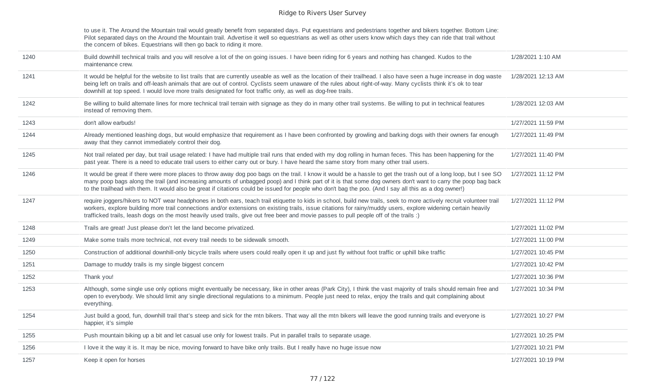to use it. The Around the Mountain trail would greatly benefit from separated days. Put equestrians and pedestrians together and bikers together. Bottom Line: Pilot separated days on the Around the Mountain trail. Advertise it well so equestrians as well as other users know which days they can ride that trail without the concern of bikes. Equestrians will then go back to riding it more.

| 1240 | Build downhill technical trails and you will resolve a lot of the on going issues. I have been riding for 6 years and nothing has changed. Kudos to the<br>maintenance crew.                                                                                                                                                                                                                                                                                                                  | 1/28/2021 1:10 AM  |
|------|-----------------------------------------------------------------------------------------------------------------------------------------------------------------------------------------------------------------------------------------------------------------------------------------------------------------------------------------------------------------------------------------------------------------------------------------------------------------------------------------------|--------------------|
| 1241 | It would be helpful for the website to list trails that are currently useable as well as the location of their trailhead. I also have seen a huge increase in dog waste<br>being left on trails and off-leash animals that are out of control. Cyclists seem unaware of the rules about right-of-way. Many cyclists think it's ok to tear<br>downhill at top speed. I would love more trails designated for foot traffic only, as well as dog-free trails.                                    | 1/28/2021 12:13 AM |
| 1242 | Be willing to build alternate lines for more technical trail terrain with signage as they do in many other trail systems. Be willing to put in technical features<br>instead of removing them.                                                                                                                                                                                                                                                                                                | 1/28/2021 12:03 AM |
| 1243 | don't allow earbuds!                                                                                                                                                                                                                                                                                                                                                                                                                                                                          | 1/27/2021 11:59 PM |
| 1244 | Already mentioned leashing dogs, but would emphasize that requirement as I have been confronted by growling and barking dogs with their owners far enough<br>away that they cannot immediately control their dog.                                                                                                                                                                                                                                                                             | 1/27/2021 11:49 PM |
| 1245 | Not trail related per day, but trail usage related: I have had multiple trail runs that ended with my dog rolling in human feces. This has been happening for the<br>past year. There is a need to educate trail users to either carry out or bury. I have heard the same story from many other trail users.                                                                                                                                                                                  | 1/27/2021 11:40 PM |
| 1246 | It would be great if there were more places to throw away dog poo bags on the trail. I know it would be a hassle to get the trash out of a long loop, but I see SO<br>many poop bags along the trail (and increasing amounts of unbagged poop) and I think part of it is that some dog owners don't want to carry the poop bag back<br>to the trailhead with them. It would also be great if citations could be issued for people who don't bag the poo. (And I say all this as a dog owner!) | 1/27/2021 11:12 PM |
| 1247 | require joggers/hikers to NOT wear headphones in both ears, teach trail etiquette to kids in school, build new trails, seek to more actively recruit volunteer trail<br>workers, explore building more trail connections and/or extensions on existing trails, issue citations for rainy/muddy users, explore widening certain heavily<br>trafficked trails, leash dogs on the most heavily used trails, give out free beer and movie passes to pull people off of the trails :)              | 1/27/2021 11:12 PM |
| 1248 | Trails are great! Just please don't let the land become privatized.                                                                                                                                                                                                                                                                                                                                                                                                                           | 1/27/2021 11:02 PM |
| 1249 | Make some trails more technical, not every trail needs to be sidewalk smooth.                                                                                                                                                                                                                                                                                                                                                                                                                 | 1/27/2021 11:00 PM |
| 1250 | Construction of additional downhill-only bicycle trails where users could really open it up and just fly without foot traffic or uphill bike traffic                                                                                                                                                                                                                                                                                                                                          | 1/27/2021 10:45 PM |
| 1251 | Damage to muddy trails is my single biggest concern                                                                                                                                                                                                                                                                                                                                                                                                                                           | 1/27/2021 10:42 PM |
| 1252 | Thank you!                                                                                                                                                                                                                                                                                                                                                                                                                                                                                    | 1/27/2021 10:36 PM |
| 1253 | Although, some single use only options might eventually be necessary, like in other areas (Park City), I think the vast majority of trails should remain free and<br>open to everybody. We should limit any single directional regulations to a minimum. People just need to relax, enjoy the trails and quit complaining about<br>everything.                                                                                                                                                | 1/27/2021 10:34 PM |
| 1254 | Just build a good, fun, downhill trail that's steep and sick for the mtn bikers. That way all the mtn bikers will leave the good running trails and everyone is<br>happier, it's simple                                                                                                                                                                                                                                                                                                       | 1/27/2021 10:27 PM |
| 1255 | Push mountain biking up a bit and let casual use only for lowest trails. Put in parallel trails to separate usage.                                                                                                                                                                                                                                                                                                                                                                            | 1/27/2021 10:25 PM |
| 1256 | I love it the way it is. It may be nice, moving forward to have bike only trails. But I really have no huge issue now                                                                                                                                                                                                                                                                                                                                                                         | 1/27/2021 10:21 PM |
| 1257 | Keep it open for horses                                                                                                                                                                                                                                                                                                                                                                                                                                                                       | 1/27/2021 10:19 PM |
|      |                                                                                                                                                                                                                                                                                                                                                                                                                                                                                               |                    |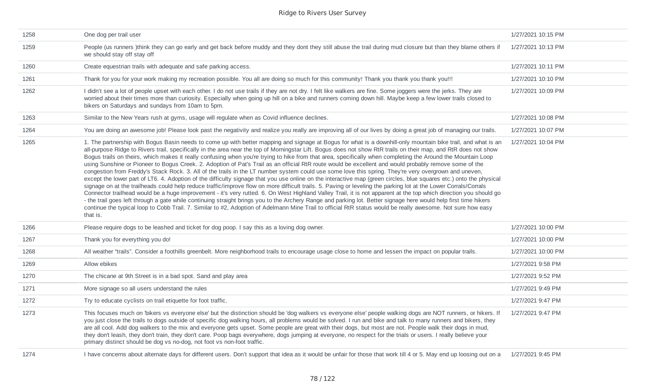| 1258 | One dog per trail user                                                                                                                                                                                                                                                                                                                                                                                                                                                                                                                                                                                                                                                                                                                                                                                                                                                                                                                                                                                                                                                                                                                                                                                                                                                                                                                                                                                                                                                                                                                                                                                                                                                               | 1/27/2021 10:15 PM |
|------|--------------------------------------------------------------------------------------------------------------------------------------------------------------------------------------------------------------------------------------------------------------------------------------------------------------------------------------------------------------------------------------------------------------------------------------------------------------------------------------------------------------------------------------------------------------------------------------------------------------------------------------------------------------------------------------------------------------------------------------------------------------------------------------------------------------------------------------------------------------------------------------------------------------------------------------------------------------------------------------------------------------------------------------------------------------------------------------------------------------------------------------------------------------------------------------------------------------------------------------------------------------------------------------------------------------------------------------------------------------------------------------------------------------------------------------------------------------------------------------------------------------------------------------------------------------------------------------------------------------------------------------------------------------------------------------|--------------------|
| 1259 | People (us runners) think they can go early and get back before muddy and they dont they still abuse the trail during mud closure but than they blame others if<br>we should stay off stay off                                                                                                                                                                                                                                                                                                                                                                                                                                                                                                                                                                                                                                                                                                                                                                                                                                                                                                                                                                                                                                                                                                                                                                                                                                                                                                                                                                                                                                                                                       | 1/27/2021 10:13 PM |
| 1260 | Create equestrian trails with adequate and safe parking access.                                                                                                                                                                                                                                                                                                                                                                                                                                                                                                                                                                                                                                                                                                                                                                                                                                                                                                                                                                                                                                                                                                                                                                                                                                                                                                                                                                                                                                                                                                                                                                                                                      | 1/27/2021 10:11 PM |
| 1261 | Thank for you for your work making my recreation possible. You all are doing so much for this community! Thank you thank you thank you!!!                                                                                                                                                                                                                                                                                                                                                                                                                                                                                                                                                                                                                                                                                                                                                                                                                                                                                                                                                                                                                                                                                                                                                                                                                                                                                                                                                                                                                                                                                                                                            | 1/27/2021 10:10 PM |
| 1262 | I didn't see a lot of people upset with each other. I do not use trails if they are not dry. I felt like walkers are fine. Some joggers were the jerks. They are<br>worried about their times more than curiosity. Especially when going up hill on a bike and runners coming down hill. Maybe keep a few lower trails closed to<br>bikers on Saturdays and sundays from 10am to 5pm.                                                                                                                                                                                                                                                                                                                                                                                                                                                                                                                                                                                                                                                                                                                                                                                                                                                                                                                                                                                                                                                                                                                                                                                                                                                                                                | 1/27/2021 10:09 PM |
| 1263 | Similar to the New Years rush at gyms, usage will regulate when as Covid influence declines.                                                                                                                                                                                                                                                                                                                                                                                                                                                                                                                                                                                                                                                                                                                                                                                                                                                                                                                                                                                                                                                                                                                                                                                                                                                                                                                                                                                                                                                                                                                                                                                         | 1/27/2021 10:08 PM |
| 1264 | You are doing an awesome job! Please look past the negativity and realize you really are improving all of our lives by doing a great job of managing our trails.                                                                                                                                                                                                                                                                                                                                                                                                                                                                                                                                                                                                                                                                                                                                                                                                                                                                                                                                                                                                                                                                                                                                                                                                                                                                                                                                                                                                                                                                                                                     | 1/27/2021 10:07 PM |
| 1265 | 1. The partnership with Bogus Basin needs to come up with better mapping and signage at Bogus for what is a downhill-only mountain bike trail, and what is an<br>all-purpose Ridge to Rivers trail, specifically in the area near the top of Morningstar Lift. Bogus does not show RtR trails on their map, and RtR does not show<br>Bogus trails on theirs, which makes it really confusing when you're trying to hike from that area, specifically when completing the Around the Mountain Loop<br>using Sunshine or Pioneer to Bogus Creek. 2. Adoption of Pat's Trail as an official RtR route would be excellent and would probably remove some of the<br>congestion from Freddy's Stack Rock. 3. All of the trails in the LT number system could use some love this spring. They're very overgrown and uneven,<br>except the lower part of LT6. 4. Adoption of the difficulty signage that you use online on the interactive map (green circles, blue squares etc.) onto the physical<br>signage on at the trailheads could help reduce traffic/improve flow on more difficult trails. 5. Paving or leveling the parking lot at the Lower Corrals/Corrals<br>Connector trailhead would be a huge improvement - it's very rutted. 6. On West Highland Valley Trail, it is not apparent at the top which direction you should go<br>- the trail goes left through a gate while continuing straight brings you to the Archery Range and parking lot. Better signage here would help first time hikers<br>continue the typical loop to Cobb Trail. 7. Similar to #2, Adoption of Adelmann Mine Trail to official RtR status would be really awesome. Not sure how easy<br>that is. | 1/27/2021 10:04 PM |
| 1266 | Please require dogs to be leashed and ticket for dog poop. I say this as a loving dog owner.                                                                                                                                                                                                                                                                                                                                                                                                                                                                                                                                                                                                                                                                                                                                                                                                                                                                                                                                                                                                                                                                                                                                                                                                                                                                                                                                                                                                                                                                                                                                                                                         | 1/27/2021 10:00 PM |
| 1267 | Thank you for everything you do!                                                                                                                                                                                                                                                                                                                                                                                                                                                                                                                                                                                                                                                                                                                                                                                                                                                                                                                                                                                                                                                                                                                                                                                                                                                                                                                                                                                                                                                                                                                                                                                                                                                     | 1/27/2021 10:00 PM |
| 1268 | All weather "trails". Consider a foothills greenbelt. More neighborhood trails to encourage usage close to home and lessen the impact on popular trails.                                                                                                                                                                                                                                                                                                                                                                                                                                                                                                                                                                                                                                                                                                                                                                                                                                                                                                                                                                                                                                                                                                                                                                                                                                                                                                                                                                                                                                                                                                                             | 1/27/2021 10:00 PM |
| 1269 | Allow ebikes                                                                                                                                                                                                                                                                                                                                                                                                                                                                                                                                                                                                                                                                                                                                                                                                                                                                                                                                                                                                                                                                                                                                                                                                                                                                                                                                                                                                                                                                                                                                                                                                                                                                         | 1/27/2021 9:58 PM  |
| 1270 | The chicane at 9th Street is in a bad spot. Sand and play area                                                                                                                                                                                                                                                                                                                                                                                                                                                                                                                                                                                                                                                                                                                                                                                                                                                                                                                                                                                                                                                                                                                                                                                                                                                                                                                                                                                                                                                                                                                                                                                                                       | 1/27/2021 9:52 PM  |
| 1271 | More signage so all users understand the rules                                                                                                                                                                                                                                                                                                                                                                                                                                                                                                                                                                                                                                                                                                                                                                                                                                                                                                                                                                                                                                                                                                                                                                                                                                                                                                                                                                                                                                                                                                                                                                                                                                       | 1/27/2021 9:49 PM  |
| 1272 | Try to educate cyclists on trail etiquette for foot traffic.                                                                                                                                                                                                                                                                                                                                                                                                                                                                                                                                                                                                                                                                                                                                                                                                                                                                                                                                                                                                                                                                                                                                                                                                                                                                                                                                                                                                                                                                                                                                                                                                                         | 1/27/2021 9:47 PM  |
| 1273 | This focuses much on 'bikers vs everyone else' but the distinction should be 'dog walkers vs everyone else' people walking dogs are NOT runners, or hikers. If<br>you just close the trails to dogs outside of specific dog walking hours, all problems would be solved. I run and bike and talk to many runners and bikers, they<br>are all cool. Add dog walkers to the mix and everyone gets upset. Some people are great with their dogs, but most are not. People walk their dogs in mud,<br>they don't leash, they don't train, they don't care. Poop bags everywhere, dogs jumping at everyone, no respect for the trials or users. I really believe your<br>primary distinct should be dog vs no-dog, not foot vs non-foot traffic.                                                                                                                                                                                                                                                                                                                                                                                                                                                                                                                                                                                                                                                                                                                                                                                                                                                                                                                                          | 1/27/2021 9:47 PM  |
| 1274 | I have concerns about alternate days for different users. Don't support that idea as it would be unfair for those that work till 4 or 5. May end up loosing out on a                                                                                                                                                                                                                                                                                                                                                                                                                                                                                                                                                                                                                                                                                                                                                                                                                                                                                                                                                                                                                                                                                                                                                                                                                                                                                                                                                                                                                                                                                                                 | 1/27/2021 9:45 PM  |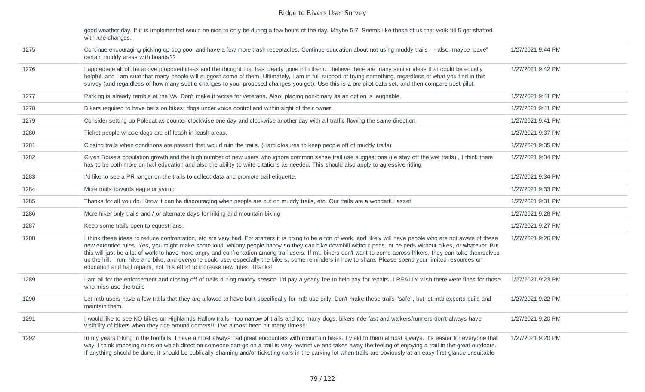|      | good weather day. If it is implemented would be nice to only be during a few hours of the day. Maybe 5-7. Seems like those of us that work till 5 get shafted<br>with rule changes.                                                                                                                                                                                                                                                                                                                                                                                                                                                                                                                                                             |                   |
|------|-------------------------------------------------------------------------------------------------------------------------------------------------------------------------------------------------------------------------------------------------------------------------------------------------------------------------------------------------------------------------------------------------------------------------------------------------------------------------------------------------------------------------------------------------------------------------------------------------------------------------------------------------------------------------------------------------------------------------------------------------|-------------------|
| 1275 | Continue encouraging picking up dog poo, and have a few more trash receptacles. Continue education about not using muddy trails—- also, maybe "pave"<br>certain muddy areas with boards??                                                                                                                                                                                                                                                                                                                                                                                                                                                                                                                                                       | 1/27/2021 9:44 PM |
| 1276 | I appreciate all of the above proposed ideas and the thought that has clearly gone into them. I believe there are many similar ideas that could be equally<br>helpful, and I am sure that many people will suggest some of them. Ultimately, I am in full support of trying something, regardless of what you find in this<br>survey (and regardless of how many subtle changes to your proposed changes you get). Use this is a pre-pilot data set, and then compare post-pilot.                                                                                                                                                                                                                                                               | 1/27/2021 9:42 PM |
| 1277 | Parking is already terrible at the VA. Don't make it worse for veterans. Also, placing non-binary as an option is laughable,                                                                                                                                                                                                                                                                                                                                                                                                                                                                                                                                                                                                                    | 1/27/2021 9:41 PM |
| 1278 | Bikers required to have bells on bikes; dogs under voice control and within sight of their owner                                                                                                                                                                                                                                                                                                                                                                                                                                                                                                                                                                                                                                                | 1/27/2021 9:41 PM |
| 1279 | Consider setting up Polecat as counter clockwise one day and clockwise another day with all traffic flowing the same direction.                                                                                                                                                                                                                                                                                                                                                                                                                                                                                                                                                                                                                 | 1/27/2021 9:41 PM |
| 1280 | Ticket people whose dogs are off leash in leash areas.                                                                                                                                                                                                                                                                                                                                                                                                                                                                                                                                                                                                                                                                                          | 1/27/2021 9:37 PM |
| 1281 | Closing trails when conditions are present that would ruin the trails. (Hard closures to keep people off of muddy trails)                                                                                                                                                                                                                                                                                                                                                                                                                                                                                                                                                                                                                       | 1/27/2021 9:35 PM |
| 1282 | Given Boise's population growth and the high number of new users who ignore common sense trail use suggestions (i.e stay off the wet trails), I think there<br>has to be both more on trail education and also the ability to write citations as needed. This should also apply to agressive riding.                                                                                                                                                                                                                                                                                                                                                                                                                                            | 1/27/2021 9:34 PM |
| 1283 | I'd like to see a PR ranger on the trails to collect data and promote trail etiquette.                                                                                                                                                                                                                                                                                                                                                                                                                                                                                                                                                                                                                                                          | 1/27/2021 9:34 PM |
| 1284 | More trails towards eagle or avimor                                                                                                                                                                                                                                                                                                                                                                                                                                                                                                                                                                                                                                                                                                             | 1/27/2021 9:33 PM |
| 1285 | Thanks for all you do. Know it can be discouraging when people are out on muddy trails, etc. Our trails are a wonderful asset.                                                                                                                                                                                                                                                                                                                                                                                                                                                                                                                                                                                                                  | 1/27/2021 9:31 PM |
| 1286 | More hiker only trails and / or alternate days for hiking and mountain biking                                                                                                                                                                                                                                                                                                                                                                                                                                                                                                                                                                                                                                                                   | 1/27/2021 9:28 PM |
| 1287 | Keep some trails open to equestrians.                                                                                                                                                                                                                                                                                                                                                                                                                                                                                                                                                                                                                                                                                                           | 1/27/2021 9:27 PM |
| 1288 | I think these ideas to reduce confrontation, etc are very bad. For starters it is going to be a ton of work, and likely will have people who are not aware of these<br>new extended rules. Yes, you might make some loud, whinny people happy so they can bike downhill without peds, or be peds without bikes, or whatever. But<br>this will just be a lot of work to have more angry and confrontation among trail users. If mt. bikers don't want to come across hikers, they can take themselves<br>up the hill. I run, hike and bike, and everyone could use, especially the bikers, some reminders in how to share. Please spend your limited resources on<br>education and trail repairs, not this effort to increase new rules. Thanks! | 1/27/2021 9:26 PM |
| 1289 | I am all for the enforcement and closing off of trails during muddy season. I'd pay a yearly fee to help pay for repairs. I REALLY wish there were fines for those<br>who miss use the trails                                                                                                                                                                                                                                                                                                                                                                                                                                                                                                                                                   | 1/27/2021 9:23 PM |
| 1290 | Let mtb users have a few trails that they are allowed to have built specifically for mtb use only. Don't make these trails "safe", but let mtb experts build and<br>maintain them.                                                                                                                                                                                                                                                                                                                                                                                                                                                                                                                                                              | 1/27/2021 9:22 PM |
| 1291 | I would like to see NO bikes on Highlamds Hallow trails - too narrow of trails and too many dogs; bikers ride fast and walkers/runners don't always have<br>visibility of bikers when they ride around corners!!! I've almost been hit many times!!!                                                                                                                                                                                                                                                                                                                                                                                                                                                                                            | 1/27/2021 9:20 PM |
| 1292 | In my years hiking in the foothills, I have almost always had great encounters with mountain bikes. I yield to them almost always. It's easier for everyone that<br>way. I think imposing rules on which direction someone can go on a trail is very restrictive and takes away the feeling of enjoying a trail in the great outdoors.<br>If anything should be done, it should be publically shaming and/or ticketing cars in the parking lot when trails are obviously at an easy first glance unsuitable                                                                                                                                                                                                                                     | 1/27/2021 9:20 PM |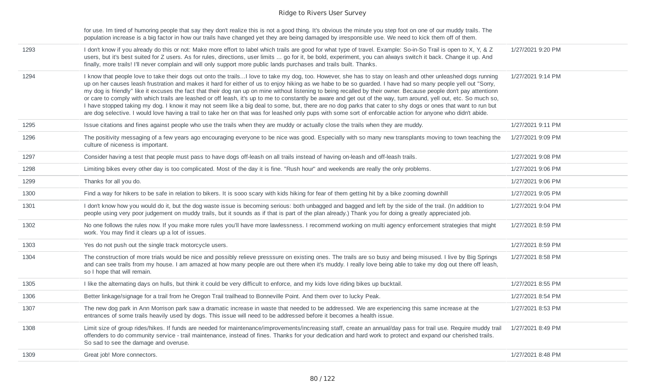|      | for use. Im tired of humoring people that say they don't realize this is not a good thing. It's obvious the minute you step foot on one of our muddy trails. The<br>population increase is a big factor in how our trails have changed yet they are being damaged by irresponsible use. We need to kick them off of them.                                                                                                                                                                                                                                                                                                                                                                                                                                                                                                                                                                                                                                                                                   |                   |
|------|-------------------------------------------------------------------------------------------------------------------------------------------------------------------------------------------------------------------------------------------------------------------------------------------------------------------------------------------------------------------------------------------------------------------------------------------------------------------------------------------------------------------------------------------------------------------------------------------------------------------------------------------------------------------------------------------------------------------------------------------------------------------------------------------------------------------------------------------------------------------------------------------------------------------------------------------------------------------------------------------------------------|-------------------|
| 1293 | I don't know if you already do this or not: Make more effort to label which trails are good for what type of travel. Example: So-in-So Trail is open to X, Y, & Z<br>users, but it's best suited for Z users. As for rules, directions, user limits  go for it, be bold, experiment, you can always switch it back. Change it up. And<br>finally, more trails! I'll never complain and will only support more public lands purchases and trails built. Thanks.                                                                                                                                                                                                                                                                                                                                                                                                                                                                                                                                              | 1/27/2021 9:20 PM |
| 1294 | I know that people love to take their dogs out onto the trailsI love to take my dog, too. However, she has to stay on leash and other unleashed dogs running<br>up on her causes leash frustration and makes it hard for either of us to enjoy hiking as we habe to be so guarded. I have had so many people yell out "Sorry,<br>my dog is friendly" like it excuses the fact that their dog ran up on mine without listening to being recalled by their owner. Because people don't pay attentionn<br>or care to comply with which trails are leashed or off leash, it's up to me to constantly be aware and get out of the way, turn around, yell out, etc. So much so,<br>I have stopped taking my dog. I know it may not seem like a big deal to some, but, there are no dog parks that cater to shy dogs or ones that want to run but<br>are dog selective. I would love having a trail to take her on that was for leashed only pups with some sort of enforcable action for anyone who didn't abide. | 1/27/2021 9:14 PM |
| 1295 | Issue citations and fines against people who use the trails when they are muddy or actually close the trails when they are muddy.                                                                                                                                                                                                                                                                                                                                                                                                                                                                                                                                                                                                                                                                                                                                                                                                                                                                           | 1/27/2021 9:11 PM |
| 1296 | The positivity messaging of a few years ago encouraging everyone to be nice was good. Especially with so many new transplants moving to town teaching the<br>culture of niceness is important.                                                                                                                                                                                                                                                                                                                                                                                                                                                                                                                                                                                                                                                                                                                                                                                                              | 1/27/2021 9:09 PM |
| 1297 | Consider having a test that people must pass to have dogs off-leash on all trails instead of having on-leash and off-leash trails.                                                                                                                                                                                                                                                                                                                                                                                                                                                                                                                                                                                                                                                                                                                                                                                                                                                                          | 1/27/2021 9:08 PM |
| 1298 | Limiting bikes every other day is too complicated. Most of the day it is fine. "Rush hour" and weekends are really the only problems.                                                                                                                                                                                                                                                                                                                                                                                                                                                                                                                                                                                                                                                                                                                                                                                                                                                                       | 1/27/2021 9:06 PM |
| 1299 | Thanks for all you do.                                                                                                                                                                                                                                                                                                                                                                                                                                                                                                                                                                                                                                                                                                                                                                                                                                                                                                                                                                                      | 1/27/2021 9:06 PM |
| 1300 | Find a way for hikers to be safe in relation to bikers. It is sooo scary with kids hiking for fear of them getting hit by a bike zooming downhill                                                                                                                                                                                                                                                                                                                                                                                                                                                                                                                                                                                                                                                                                                                                                                                                                                                           | 1/27/2021 9:05 PM |
| 1301 | I don't know how you would do it, but the dog waste issue is becoming serious: both unbagged and bagged and left by the side of the trail. (In addition to<br>people using very poor judgement on muddy trails, but it sounds as if that is part of the plan already.) Thank you for doing a greatly appreciated job.                                                                                                                                                                                                                                                                                                                                                                                                                                                                                                                                                                                                                                                                                       | 1/27/2021 9:04 PM |
| 1302 | No one follows the rules now. If you make more rules you'll have more lawlessness. I recommend working on multi agency enforcement strategies that might<br>work. You may find it clears up a lot of issues.                                                                                                                                                                                                                                                                                                                                                                                                                                                                                                                                                                                                                                                                                                                                                                                                | 1/27/2021 8:59 PM |
| 1303 | Yes do not push out the single track motorcycle users.                                                                                                                                                                                                                                                                                                                                                                                                                                                                                                                                                                                                                                                                                                                                                                                                                                                                                                                                                      | 1/27/2021 8:59 PM |
| 1304 | The construction of more trials would be nice and possibly relieve presssure on existing ones. The trails are so busy and being misused. I live by Big Springs<br>and can see trails from my house. I am amazed at how many people are out there when it's muddy. I really love being able to take my dog out there off leash,<br>so I hope that will remain.                                                                                                                                                                                                                                                                                                                                                                                                                                                                                                                                                                                                                                               | 1/27/2021 8:58 PM |
| 1305 | I like the alternating days on hulls, but think it could be very difficult to enforce, and my kids love riding bikes up bucktail.                                                                                                                                                                                                                                                                                                                                                                                                                                                                                                                                                                                                                                                                                                                                                                                                                                                                           | 1/27/2021 8:55 PM |
| 1306 | Better linkage/signage for a trail from he Oregon Trail trailhead to Bonneville Point. And them over to lucky Peak.                                                                                                                                                                                                                                                                                                                                                                                                                                                                                                                                                                                                                                                                                                                                                                                                                                                                                         | 1/27/2021 8:54 PM |
| 1307 | The new dog park in Ann Morrison park saw a dramatic increase in waste that needed to be addressed. We are experiencing this same increase at the<br>entrances of some trails heavily used by dogs. This issue will need to be addressed before it becomes a health issue.                                                                                                                                                                                                                                                                                                                                                                                                                                                                                                                                                                                                                                                                                                                                  | 1/27/2021 8:53 PM |
| 1308 | Limit size of group rides/hikes. If funds are needed for maintenance/improvements/increasing staff, create an annual/day pass for trail use. Require muddy trail<br>offenders to do community service - trail maintenance, instead of fines. Thanks for your dedication and hard work to protect and expand our cherished trails.<br>So sad to see the damage and overuse.                                                                                                                                                                                                                                                                                                                                                                                                                                                                                                                                                                                                                                  | 1/27/2021 8:49 PM |
| 1309 | Great job! More connectors.                                                                                                                                                                                                                                                                                                                                                                                                                                                                                                                                                                                                                                                                                                                                                                                                                                                                                                                                                                                 | 1/27/2021 8:48 PM |
|      |                                                                                                                                                                                                                                                                                                                                                                                                                                                                                                                                                                                                                                                                                                                                                                                                                                                                                                                                                                                                             |                   |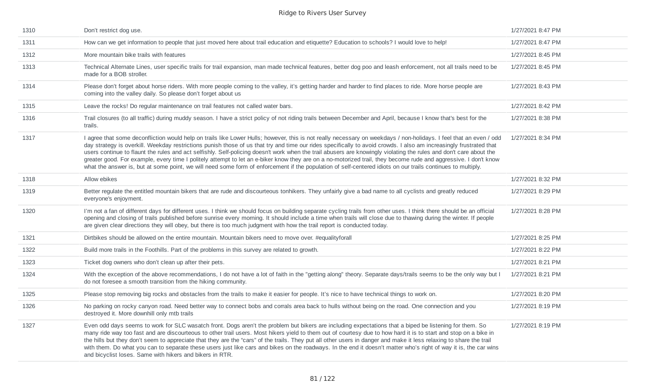| 1310 | Don't restrict dog use.                                                                                                                                                                                                                                                                                                                                                                                                                                                                                                                                                                                                                                                                                                                                                                                                                          | 1/27/2021 8:47 PM |
|------|--------------------------------------------------------------------------------------------------------------------------------------------------------------------------------------------------------------------------------------------------------------------------------------------------------------------------------------------------------------------------------------------------------------------------------------------------------------------------------------------------------------------------------------------------------------------------------------------------------------------------------------------------------------------------------------------------------------------------------------------------------------------------------------------------------------------------------------------------|-------------------|
| 1311 | How can we get information to people that just moved here about trail education and etiquette? Education to schools? I would love to help!                                                                                                                                                                                                                                                                                                                                                                                                                                                                                                                                                                                                                                                                                                       | 1/27/2021 8:47 PM |
| 1312 | More mountain bike trails with features                                                                                                                                                                                                                                                                                                                                                                                                                                                                                                                                                                                                                                                                                                                                                                                                          | 1/27/2021 8:45 PM |
| 1313 | Technical Alternate Lines, user specific trails for trail expansion, man made technical features, better dog poo and leash enforcement, not all trails need to be<br>made for a BOB stroller.                                                                                                                                                                                                                                                                                                                                                                                                                                                                                                                                                                                                                                                    | 1/27/2021 8:45 PM |
| 1314 | Please don't forget about horse riders. With more people coming to the valley, it's getting harder and harder to find places to ride. More horse people are<br>coming into the valley daily. So please don't forget about us                                                                                                                                                                                                                                                                                                                                                                                                                                                                                                                                                                                                                     | 1/27/2021 8:43 PM |
| 1315 | Leave the rocks! Do regular maintenance on trail features not called water bars.                                                                                                                                                                                                                                                                                                                                                                                                                                                                                                                                                                                                                                                                                                                                                                 | 1/27/2021 8:42 PM |
| 1316 | Trail closures (to all traffic) during muddy season. I have a strict policy of not riding trails between December and April, because I know that's best for the<br>trails.                                                                                                                                                                                                                                                                                                                                                                                                                                                                                                                                                                                                                                                                       | 1/27/2021 8:38 PM |
| 1317 | I agree that some deconfliction would help on trails like Lower Hulls; however, this is not really necessary on weekdays / non-holidays. I feel that an even / odd<br>day strategy is overkill. Weekday restrictions punish those of us that try and time our rides specifically to avoid crowds. I also am increasingly frustrated that<br>users continue to flaunt the rules and act selfishly. Self-policing doesn't work when the trail abusers are knowingly violating the rules and don't care about the<br>greater good. For example, every time I politely attempt to let an e-biker know they are on a no-motorized trail, they become rude and aggressive. I don't know<br>what the answer is, but at some point, we will need some form of enforcement if the population of self-centered idiots on our trails continues to multiply. | 1/27/2021 8:34 PM |
| 1318 | Allow ebikes                                                                                                                                                                                                                                                                                                                                                                                                                                                                                                                                                                                                                                                                                                                                                                                                                                     | 1/27/2021 8:32 PM |
| 1319 | Better regulate the entitled mountain bikers that are rude and discourteous tonhikers. They unfairly give a bad name to all cyclists and greatly reduced<br>everyone's enjoyment.                                                                                                                                                                                                                                                                                                                                                                                                                                                                                                                                                                                                                                                                | 1/27/2021 8:29 PM |
| 1320 | I'm not a fan of different days for different uses. I think we should focus on building separate cycling trails from other uses. I think there should be an official<br>opening and closing of trails published before sunrise every morning. It should include a time when trails will close due to thawing during the winter. If people<br>are given clear directions they will obey, but there is too much judgment with how the trail report is conducted today.                                                                                                                                                                                                                                                                                                                                                                             | 1/27/2021 8:28 PM |
| 1321 | Dirtbikes should be allowed on the entire mountain. Mountain bikers need to move over. #equalityforall                                                                                                                                                                                                                                                                                                                                                                                                                                                                                                                                                                                                                                                                                                                                           | 1/27/2021 8:25 PM |
| 1322 | Build more trails in the Foothills. Part of the problems in this survey are related to growth.                                                                                                                                                                                                                                                                                                                                                                                                                                                                                                                                                                                                                                                                                                                                                   | 1/27/2021 8:22 PM |
| 1323 | Ticket dog owners who don't clean up after their pets.                                                                                                                                                                                                                                                                                                                                                                                                                                                                                                                                                                                                                                                                                                                                                                                           | 1/27/2021 8:21 PM |
| 1324 | With the exception of the above recommendations, I do not have a lot of faith in the "getting along" theory. Separate days/trails seems to be the only way but I<br>do not foresee a smooth transition from the hiking community.                                                                                                                                                                                                                                                                                                                                                                                                                                                                                                                                                                                                                | 1/27/2021 8:21 PM |
| 1325 | Please stop removing big rocks and obstacles from the trails to make it easier for people. It's nice to have technical things to work on.                                                                                                                                                                                                                                                                                                                                                                                                                                                                                                                                                                                                                                                                                                        | 1/27/2021 8:20 PM |
| 1326 | No parking on rocky canyon road. Need better way to connect bobs and corrals area back to hulls without being on the road. One connection and you<br>destroyed it. More downhill only mtb trails                                                                                                                                                                                                                                                                                                                                                                                                                                                                                                                                                                                                                                                 | 1/27/2021 8:19 PM |
| 1327 | Even odd days seems to work for SLC wasatch front. Dogs aren't the problem but bikers are including expectations that a biped be listening for them. So<br>many ride way too fast and are discourteous to other trail users. Most hikers yield to them out of courtesy due to how hard it is to start and stop on a bike in<br>the hills but they don't seem to appreciate that they are the "cars" of the trails. They put all other users in danger and make it less relaxing to share the trail<br>with them. Do what you can to separate these users just like cars and bikes on the roadways. In the end it doesn't matter who's right of way it is, the car wins<br>and bicyclist loses. Same with hikers and bikers in RTR.                                                                                                               | 1/27/2021 8:19 PM |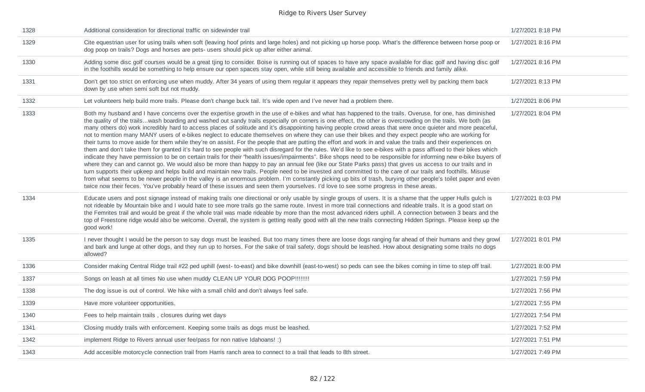| 1328 | Additional consideration for directional traffic on sidewinder trail                                                                                                                                                                                                                                                                                                                                                                                                                                                                                                                                                                                                                                                                                                                                                                                                                                                                                                                                                                                                                                                                                                                                                                                                                                                                                                                                                                                                                                                                                                                                                                                                                                                                                                                                   | 1/27/2021 8:18 PM |
|------|--------------------------------------------------------------------------------------------------------------------------------------------------------------------------------------------------------------------------------------------------------------------------------------------------------------------------------------------------------------------------------------------------------------------------------------------------------------------------------------------------------------------------------------------------------------------------------------------------------------------------------------------------------------------------------------------------------------------------------------------------------------------------------------------------------------------------------------------------------------------------------------------------------------------------------------------------------------------------------------------------------------------------------------------------------------------------------------------------------------------------------------------------------------------------------------------------------------------------------------------------------------------------------------------------------------------------------------------------------------------------------------------------------------------------------------------------------------------------------------------------------------------------------------------------------------------------------------------------------------------------------------------------------------------------------------------------------------------------------------------------------------------------------------------------------|-------------------|
| 1329 | Cite equestrian user for using trails when soft (leaving hoof prints and large holes) and not picking up horse poop. What's the difference between horse poop or<br>dog poop on trails? Dogs and horses are pets- users should pick up after either animal.                                                                                                                                                                                                                                                                                                                                                                                                                                                                                                                                                                                                                                                                                                                                                                                                                                                                                                                                                                                                                                                                                                                                                                                                                                                                                                                                                                                                                                                                                                                                            | 1/27/2021 8:16 PM |
| 1330 | Adding some disc golf courses would be a great tjing to consider. Boise is running out of spaces to have any space available for diac golf and having disc golf<br>in the foothills would be something to help ensure our open spaces stay open, while still being available and accessible to friends and family alike.                                                                                                                                                                                                                                                                                                                                                                                                                                                                                                                                                                                                                                                                                                                                                                                                                                                                                                                                                                                                                                                                                                                                                                                                                                                                                                                                                                                                                                                                               | 1/27/2021 8:16 PM |
| 1331 | Don't get too strict on enforcing use when muddy. After 34 years of using them regular it appears they repair themselves pretty well by packing them back<br>down by use when semi soft but not muddy.                                                                                                                                                                                                                                                                                                                                                                                                                                                                                                                                                                                                                                                                                                                                                                                                                                                                                                                                                                                                                                                                                                                                                                                                                                                                                                                                                                                                                                                                                                                                                                                                 | 1/27/2021 8:13 PM |
| 1332 | Let volunteers help build more trails. Please don't change buck tail. It's wide open and I've never had a problem there.                                                                                                                                                                                                                                                                                                                                                                                                                                                                                                                                                                                                                                                                                                                                                                                                                                                                                                                                                                                                                                                                                                                                                                                                                                                                                                                                                                                                                                                                                                                                                                                                                                                                               | 1/27/2021 8:06 PM |
| 1333 | Both my husband and I have concerns over the expertise growth in the use of e-bikes and what has happened to the trails. Overuse, for one, has diminished<br>the quality of the trailswash boarding and washed out sandy trails especially on corners is one effect, the other is overcrowding on the trails. We both (as<br>many others do) work incredibly hard to access places of solitude and it's disappointing having people crowd areas that were once quieter and more peaceful,<br>not to mention many MANY users of e-bikes neglect to educate themselves on where they can use their bikes and they expect people who are working for<br>their turns to move aside for them while they're on assist. For the people that are putting the effort and work in and value the trails and their experiences on<br>them and don't take them for granted it's hard to see people with such disregard for the rules. We'd like to see e-bikes with a pass affixed to their bikes which<br>indicate they have permission to be on certain trails for their "health issues/impairments". Bike shops need to be responsible for informing new e-bike buyers of<br>where they can and cannot go. We would also be more than happy to pay an annual fee (like our State Parks pass) that gives us access to our trails and in<br>turn supports their upkeep and helps build and maintain new trails. People need to be invested and committed to the care of our trails and foothills. Misuse<br>from what seems to be newer people in the valley is an enormous problem. I'm constantly picking up bits of trash, burying other people's toilet paper and even<br>twice now their feces. You've probably heard of these issues and seen them yourselves. I'd love to see some progress in these areas. | 1/27/2021 8:04 PM |
| 1334 | Educate users and post signage instead of making trails one directional or only usable by single groups of users. It is a shame that the upper Hulls gulch is<br>not rideable by Mountain bike and I would hate to see more trails go the same route. Invest in more trail connections and rideable trails. It is a good start on<br>the Femrites trail and would be great if the whole trail was made rideable by more than the most advanced riders uphill. A connection between 3 bears and the<br>top of Freestone ridge would also be welcome. Overall, the system is getting really good with all the new trails connecting Hidden Springs. Please keep up the<br>good work!                                                                                                                                                                                                                                                                                                                                                                                                                                                                                                                                                                                                                                                                                                                                                                                                                                                                                                                                                                                                                                                                                                                     | 1/27/2021 8:03 PM |
| 1335 | I never thought I would be the person to say dogs must be leashed. But too many times there are loose dogs ranging far ahead of their humans and they growl<br>and bark and lunge at other dogs, and they run up to horses. For the sake of trail safety, dogs should be leashed. How about designating some trails no dogs<br>allowed?                                                                                                                                                                                                                                                                                                                                                                                                                                                                                                                                                                                                                                                                                                                                                                                                                                                                                                                                                                                                                                                                                                                                                                                                                                                                                                                                                                                                                                                                | 1/27/2021 8:01 PM |
| 1336 | Consider making Central Ridge trail #22 ped uphill (west- to-east) and bike downhill (east-to-west) so peds can see the bikes coming in time to step off trail.                                                                                                                                                                                                                                                                                                                                                                                                                                                                                                                                                                                                                                                                                                                                                                                                                                                                                                                                                                                                                                                                                                                                                                                                                                                                                                                                                                                                                                                                                                                                                                                                                                        | 1/27/2021 8:00 PM |
| 1337 | Songs on leash at all times No use when muddy CLEAN UP YOUR DOG POOP!!!!!!!!                                                                                                                                                                                                                                                                                                                                                                                                                                                                                                                                                                                                                                                                                                                                                                                                                                                                                                                                                                                                                                                                                                                                                                                                                                                                                                                                                                                                                                                                                                                                                                                                                                                                                                                           | 1/27/2021 7:59 PM |
| 1338 | The dog issue is out of control. We hike with a small child and don't always feel safe.                                                                                                                                                                                                                                                                                                                                                                                                                                                                                                                                                                                                                                                                                                                                                                                                                                                                                                                                                                                                                                                                                                                                                                                                                                                                                                                                                                                                                                                                                                                                                                                                                                                                                                                | 1/27/2021 7:56 PM |
| 1339 | Have more volunteer opportunities.                                                                                                                                                                                                                                                                                                                                                                                                                                                                                                                                                                                                                                                                                                                                                                                                                                                                                                                                                                                                                                                                                                                                                                                                                                                                                                                                                                                                                                                                                                                                                                                                                                                                                                                                                                     | 1/27/2021 7:55 PM |
| 1340 | Fees to help maintain trails, closures during wet days                                                                                                                                                                                                                                                                                                                                                                                                                                                                                                                                                                                                                                                                                                                                                                                                                                                                                                                                                                                                                                                                                                                                                                                                                                                                                                                                                                                                                                                                                                                                                                                                                                                                                                                                                 | 1/27/2021 7:54 PM |
| 1341 | Closing muddy trails with enforcement. Keeping some trails as dogs must be leashed.                                                                                                                                                                                                                                                                                                                                                                                                                                                                                                                                                                                                                                                                                                                                                                                                                                                                                                                                                                                                                                                                                                                                                                                                                                                                                                                                                                                                                                                                                                                                                                                                                                                                                                                    | 1/27/2021 7:52 PM |
| 1342 | implement Ridge to Rivers annual user fee/pass for non native Idahoans! :)                                                                                                                                                                                                                                                                                                                                                                                                                                                                                                                                                                                                                                                                                                                                                                                                                                                                                                                                                                                                                                                                                                                                                                                                                                                                                                                                                                                                                                                                                                                                                                                                                                                                                                                             | 1/27/2021 7:51 PM |
| 1343 | Add accesible motorcycle connection trail from Harris ranch area to connect to a trail that leads to 8th street.                                                                                                                                                                                                                                                                                                                                                                                                                                                                                                                                                                                                                                                                                                                                                                                                                                                                                                                                                                                                                                                                                                                                                                                                                                                                                                                                                                                                                                                                                                                                                                                                                                                                                       | 1/27/2021 7:49 PM |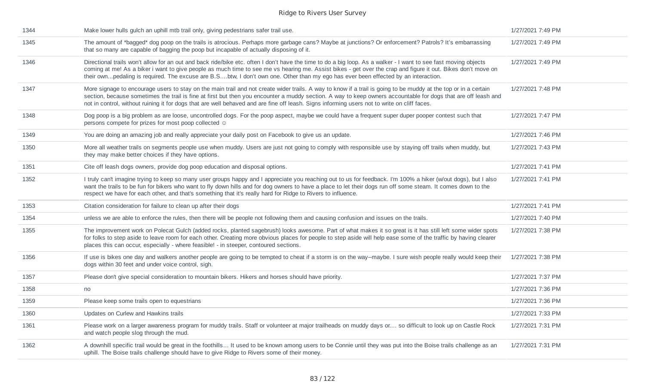| Make lower hulls gulch an uphill mtb trail only, giving pedestrians safer trail use.                                                                                                                                                                                                                                                                                                                                                                                              | 1/27/2021 7:49 PM |
|-----------------------------------------------------------------------------------------------------------------------------------------------------------------------------------------------------------------------------------------------------------------------------------------------------------------------------------------------------------------------------------------------------------------------------------------------------------------------------------|-------------------|
| The amount of *bagged* dog poop on the trails is atrocious. Perhaps more garbage cans? Maybe at junctions? Or enforcement? Patrols? It's embarrassing<br>that so many are capable of bagging the poop but incapable of actually disposing of it.                                                                                                                                                                                                                                  | 1/27/2021 7:49 PM |
| Directional trails won't allow for an out and back ride/bike etc. often I don't have the time to do a big loop. As a walker - I want to see fast moving objects<br>coming at me! As a biker i want to give people as much time to see me vs hearing me. Assist bikes - get over the crap and figure it out. Bikes don't move on<br>their ownpedaling is required. The excuse are B.Sbtw, I don't own one. Other than my ego has ever been effected by an interaction.             | 1/27/2021 7:49 PM |
| More signage to encourage users to stay on the main trail and not create wider trails. A way to know if a trail is going to be muddy at the top or in a certain<br>section, because sometimes the trail is fine at first but then you encounter a muddy section. A way to keep owners accountable for dogs that are off leash and<br>not in control, without ruining it for dogs that are well behaved and are fine off leash. Signs informing users not to write on cliff faces. | 1/27/2021 7:48 PM |
| Dog poop is a big problem as are loose, uncontrolled dogs. For the poop aspect, maybe we could have a frequent super duper pooper contest such that<br>persons compete for prizes for most poop collected ©                                                                                                                                                                                                                                                                       | 1/27/2021 7:47 PM |
| You are doing an amazing job and really appreciate your daily post on Facebook to give us an update.                                                                                                                                                                                                                                                                                                                                                                              | 1/27/2021 7:46 PM |
| More all weather trails on segments people use when muddy. Users are just not going to comply with responsible use by staying off trails when muddy, but<br>they may make better choices if they have options.                                                                                                                                                                                                                                                                    | 1/27/2021 7:43 PM |
| Cite off leash dogs owners, provide dog poop education and disposal options.                                                                                                                                                                                                                                                                                                                                                                                                      | 1/27/2021 7:41 PM |
| I truly can't imagine trying to keep so many user groups happy and I appreciate you reaching out to us for feedback. I'm 100% a hiker (w/out dogs), but I also<br>want the trails to be fun for bikers who want to fly down hills and for dog owners to have a place to let their dogs run off some steam. It comes down to the<br>respect we have for each other, and that's something that it's really hard for Ridge to Rivers to influence.                                   | 1/27/2021 7:41 PM |
| Citation consideration for failure to clean up after their dogs                                                                                                                                                                                                                                                                                                                                                                                                                   | 1/27/2021 7:41 PM |
| unless we are able to enforce the rules, then there will be people not following them and causing confusion and issues on the trails.                                                                                                                                                                                                                                                                                                                                             | 1/27/2021 7:40 PM |
| The improvement work on Polecat Gulch (added rocks, planted sagebrush) looks awesome. Part of what makes it so great is it has still left some wider spots<br>for folks to step aside to leave room for each other. Creating more obvious places for people to step aside will help ease some of the traffic by having clearer<br>places this can occur, especially - where feasible! - in steeper, contoured sections.                                                           | 1/27/2021 7:38 PM |
| If use is bikes one day and walkers another people are going to be tempted to cheat if a storm is on the way--maybe. I sure wish people really would keep their<br>dogs within 30 feet and under voice control, sigh.                                                                                                                                                                                                                                                             | 1/27/2021 7:38 PM |
| Please don't give special consideration to mountain bikers. Hikers and horses should have priority.                                                                                                                                                                                                                                                                                                                                                                               | 1/27/2021 7:37 PM |
| no                                                                                                                                                                                                                                                                                                                                                                                                                                                                                | 1/27/2021 7:36 PM |
| Please keep some trails open to equestrians                                                                                                                                                                                                                                                                                                                                                                                                                                       | 1/27/2021 7:36 PM |
| Updates on Curlew and Hawkins trails                                                                                                                                                                                                                                                                                                                                                                                                                                              | 1/27/2021 7:33 PM |
| Please work on a larger awareness program for muddy trails. Staff or volunteer at major trailheads on muddy days or so difficult to look up on Castle Rock<br>and watch people slog through the mud.                                                                                                                                                                                                                                                                              | 1/27/2021 7:31 PM |
| A downhill specific trail would be great in the foothills It used to be known among users to be Connie until they was put into the Boise trails challenge as an<br>uphill. The Boise trails challenge should have to give Ridge to Rivers some of their money.                                                                                                                                                                                                                    | 1/27/2021 7:31 PM |
|                                                                                                                                                                                                                                                                                                                                                                                                                                                                                   |                   |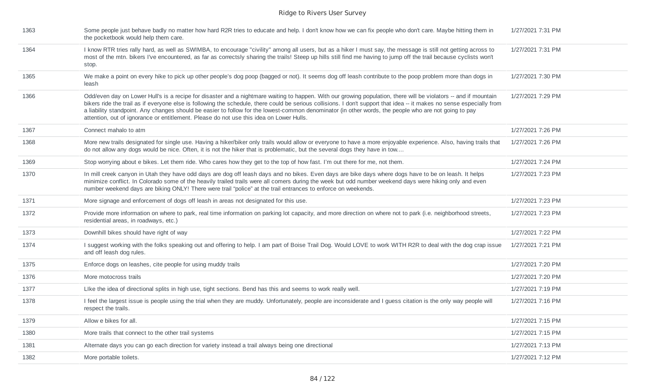| 1363 | Some people just behave badly no matter how hard R2R tries to educate and help. I don't know how we can fix people who don't care. Maybe hitting them in<br>the pocketbook would help them care.                                                                                                                                                                                                                                                                                                                                                                                               | 1/27/2021 7:31 PM |
|------|------------------------------------------------------------------------------------------------------------------------------------------------------------------------------------------------------------------------------------------------------------------------------------------------------------------------------------------------------------------------------------------------------------------------------------------------------------------------------------------------------------------------------------------------------------------------------------------------|-------------------|
| 1364 | I know RTR tries rally hard, as well as SWIMBA, to encourage "civility" among all users, but as a hiker I must say, the message is still not getting across to<br>most of the mtn. bikers I've encountered, as far as correctsly sharing the trails! Steep up hills still find me having to jump off the trail because cyclists won't<br>stop.                                                                                                                                                                                                                                                 | 1/27/2021 7:31 PM |
| 1365 | We make a point on every hike to pick up other people's dog poop (bagged or not). It seems dog off leash contribute to the poop problem more than dogs in<br>leash                                                                                                                                                                                                                                                                                                                                                                                                                             | 1/27/2021 7:30 PM |
| 1366 | Odd/even day on Lower Hull's is a recipe for disaster and a nightmare waiting to happen. With our growing population, there will be violators -- and if mountain<br>bikers ride the trail as if everyone else is following the schedule, there could be serious collisions. I don't support that idea -- it makes no sense especially from<br>a liability standpoint. Any changes should be easier to follow for the lowest-common denominator (in other words, the people who are not going to pay<br>attention, out of ignorance or entitlement. Please do not use this idea on Lower Hulls. | 1/27/2021 7:29 PM |
| 1367 | Connect mahalo to atm                                                                                                                                                                                                                                                                                                                                                                                                                                                                                                                                                                          | 1/27/2021 7:26 PM |
| 1368 | More new trails designated for single use. Having a hiker/biker only trails would allow or everyone to have a more enjoyable experience. Also, having trails that<br>do not allow any dogs would be nice. Often, it is not the hiker that is problematic, but the several dogs they have in tow                                                                                                                                                                                                                                                                                                | 1/27/2021 7:26 PM |
| 1369 | Stop worrying about e bikes. Let them ride. Who cares how they get to the top of how fast. I'm out there for me, not them.                                                                                                                                                                                                                                                                                                                                                                                                                                                                     | 1/27/2021 7:24 PM |
| 1370 | In mill creek canyon in Utah they have odd days are dog off leash days and no bikes. Even days are bike days where dogs have to be on leash. It helps<br>minimize conflict. In Colorado some of the heavily trailed trails were all comers during the week but odd number weekend days were hiking only and even<br>number weekend days are biking ONLY! There were trail "police" at the trail entrances to enforce on weekends.                                                                                                                                                              | 1/27/2021 7:23 PM |
| 1371 | More signage and enforcement of dogs off leash in areas not designated for this use.                                                                                                                                                                                                                                                                                                                                                                                                                                                                                                           | 1/27/2021 7:23 PM |
| 1372 | Provide more information on where to park, real time information on parking lot capacity, and more direction on where not to park (i.e. neighborhood streets,<br>residential areas, in roadways, etc.)                                                                                                                                                                                                                                                                                                                                                                                         | 1/27/2021 7:23 PM |
| 1373 | Downhill bikes should have right of way                                                                                                                                                                                                                                                                                                                                                                                                                                                                                                                                                        | 1/27/2021 7:22 PM |
| 1374 | I suggest working with the folks speaking out and offering to help. I am part of Boise Trail Dog. Would LOVE to work WITH R2R to deal with the dog crap issue<br>and off leash dog rules.                                                                                                                                                                                                                                                                                                                                                                                                      | 1/27/2021 7:21 PM |
| 1375 | Enforce dogs on leashes, cite people for using muddy trails                                                                                                                                                                                                                                                                                                                                                                                                                                                                                                                                    | 1/27/2021 7:20 PM |
| 1376 | More motocross trails                                                                                                                                                                                                                                                                                                                                                                                                                                                                                                                                                                          | 1/27/2021 7:20 PM |
| 1377 | Like the idea of directional splits in high use, tight sections. Bend has this and seems to work really well.                                                                                                                                                                                                                                                                                                                                                                                                                                                                                  | 1/27/2021 7:19 PM |
| 1378 | I feel the largest issue is people using the trial when they are muddy. Unfortunately, people are inconsiderate and I guess citation is the only way people will<br>respect the trails.                                                                                                                                                                                                                                                                                                                                                                                                        | 1/27/2021 7:16 PM |
| 1379 | Allow e bikes for all.                                                                                                                                                                                                                                                                                                                                                                                                                                                                                                                                                                         | 1/27/2021 7:15 PM |
| 1380 | More trails that connect to the other trail systems                                                                                                                                                                                                                                                                                                                                                                                                                                                                                                                                            | 1/27/2021 7:15 PM |
| 1381 | Alternate days you can go each direction for variety instead a trail always being one directional                                                                                                                                                                                                                                                                                                                                                                                                                                                                                              | 1/27/2021 7:13 PM |
| 1382 | More portable toilets.                                                                                                                                                                                                                                                                                                                                                                                                                                                                                                                                                                         | 1/27/2021 7:12 PM |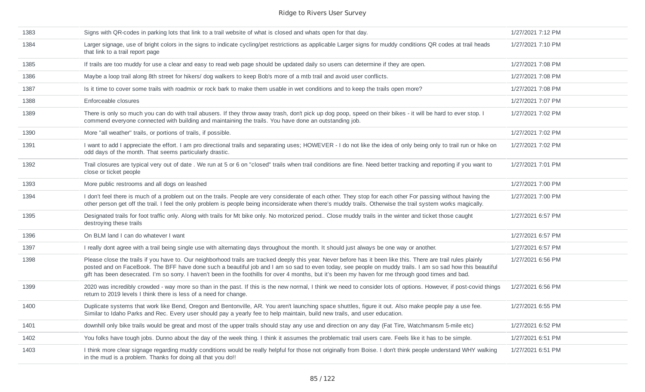| 1383 | Signs with QR-codes in parking lots that link to a trail website of what is closed and whats open for that day.                                                                                                                                                                                                                                                                                                                                                                     | 1/27/2021 7:12 PM |
|------|-------------------------------------------------------------------------------------------------------------------------------------------------------------------------------------------------------------------------------------------------------------------------------------------------------------------------------------------------------------------------------------------------------------------------------------------------------------------------------------|-------------------|
| 1384 | Larger signage, use of bright colors in the signs to indicate cycling/pet restrictions as applicable Larger signs for muddy conditions QR codes at trail heads<br>that link to a trail report page                                                                                                                                                                                                                                                                                  | 1/27/2021 7:10 PM |
| 1385 | If trails are too muddy for use a clear and easy to read web page should be updated daily so users can determine if they are open.                                                                                                                                                                                                                                                                                                                                                  | 1/27/2021 7:08 PM |
| 1386 | Maybe a loop trail along 8th street for hikers/ dog walkers to keep Bob's more of a mtb trail and avoid user conflicts.                                                                                                                                                                                                                                                                                                                                                             | 1/27/2021 7:08 PM |
| 1387 | Is it time to cover some trails with roadmix or rock bark to make them usable in wet conditions and to keep the trails open more?                                                                                                                                                                                                                                                                                                                                                   | 1/27/2021 7:08 PM |
| 1388 | Enforceable closures                                                                                                                                                                                                                                                                                                                                                                                                                                                                | 1/27/2021 7:07 PM |
| 1389 | There is only so much you can do with trail abusers. If they throw away trash, don't pick up dog poop, speed on their bikes - it will be hard to ever stop. I<br>commend everyone connected with building and maintaining the trails. You have done an outstanding job.                                                                                                                                                                                                             | 1/27/2021 7:02 PM |
| 1390 | More "all weather" trails, or portions of trails, if possible.                                                                                                                                                                                                                                                                                                                                                                                                                      | 1/27/2021 7:02 PM |
| 1391 | I want to add I appreciate the effort. I am pro directional trails and separating uses; HOWEVER - I do not like the idea of only being only to trail run or hike on<br>odd days of the month. That seems particularly drastic.                                                                                                                                                                                                                                                      | 1/27/2021 7:02 PM |
| 1392 | Trail closures are typical very out of date. We run at 5 or 6 on "closed" trails when trail conditions are fine. Need better tracking and reporting if you want to<br>close or ticket people                                                                                                                                                                                                                                                                                        | 1/27/2021 7:01 PM |
| 1393 | More public restrooms and all dogs on leashed                                                                                                                                                                                                                                                                                                                                                                                                                                       | 1/27/2021 7:00 PM |
| 1394 | I don't feel there is much of a problem out on the trails. People are very considerate of each other. They stop for each other For passing without having the<br>other person get off the trail. I feel the only problem is people being inconsiderate when there's muddy trails. Otherwise the trail system works magically.                                                                                                                                                       | 1/27/2021 7:00 PM |
| 1395 | Designated trails for foot traffic only. Along with trails for Mt bike only. No motorized period Close muddy trails in the winter and ticket those caught<br>destroying these trails                                                                                                                                                                                                                                                                                                | 1/27/2021 6:57 PM |
| 1396 | On BLM land I can do whatever I want                                                                                                                                                                                                                                                                                                                                                                                                                                                | 1/27/2021 6:57 PM |
| 1397 | I really dont agree with a trail being single use with alternating days throughout the month. It should just always be one way or another.                                                                                                                                                                                                                                                                                                                                          | 1/27/2021 6:57 PM |
| 1398 | Please close the trails if you have to. Our neighborhood trails are tracked deeply this year. Never before has it been like this. There are trail rules plainly<br>posted and on FaceBook. The BFF have done such a beautiful job and I am so sad to even today, see people on muddy trails. I am so sad how this beautiful<br>gift has been desecrated. I'm so sorry. I haven't been in the foothills for over 4 months, but it's been my haven for me through good times and bad. | 1/27/2021 6:56 PM |
| 1399 | 2020 was incredibly crowded - way more so than in the past. If this is the new normal, I think we need to consider lots of options. However, if post-covid things<br>return to 2019 levels I think there is less of a need for change.                                                                                                                                                                                                                                              | 1/27/2021 6:56 PM |
| 1400 | Duplicate systems that work like Bend, Oregon and Bentonville, AR. You aren't launching space shuttles, figure it out. Also make people pay a use fee.<br>Similar to Idaho Parks and Rec. Every user should pay a yearly fee to help maintain, build new trails, and user education.                                                                                                                                                                                                | 1/27/2021 6:55 PM |
| 1401 | downhill only bike trails would be great and most of the upper trails should stay any use and direction on any day (Fat Tire, Watchmansm 5-mile etc)                                                                                                                                                                                                                                                                                                                                | 1/27/2021 6:52 PM |
| 1402 | You folks have tough jobs. Dunno about the day of the week thing. I think it assumes the problematic trail users care. Feels like it has to be simple.                                                                                                                                                                                                                                                                                                                              | 1/27/2021 6:51 PM |
| 1403 | I think more clear signage regarding muddy conditions would be really helpful for those not originally from Boise. I don't think people understand WHY walking<br>in the mud is a problem. Thanks for doing all that you do!!                                                                                                                                                                                                                                                       | 1/27/2021 6:51 PM |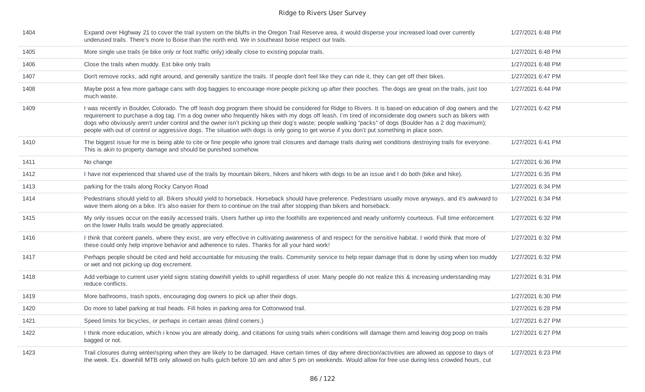| 1404 | Expand over Highway 21 to cover the trail system on the bluffs in the Oregon Trail Reserve area, it would disperse your increased load over currently<br>underused trails. There's more to Boise than the north end. We in southeast boise respect our trails.                                                                                                                                                                                                                                                                                                                                                                       | 1/27/2021 6:48 PM |
|------|--------------------------------------------------------------------------------------------------------------------------------------------------------------------------------------------------------------------------------------------------------------------------------------------------------------------------------------------------------------------------------------------------------------------------------------------------------------------------------------------------------------------------------------------------------------------------------------------------------------------------------------|-------------------|
| 1405 | More single use trails (ie bike only or foot traffic only) ideally close to existing popular trails.                                                                                                                                                                                                                                                                                                                                                                                                                                                                                                                                 | 1/27/2021 6:48 PM |
| 1406 | Close the trails when muddy. Est bike only trails                                                                                                                                                                                                                                                                                                                                                                                                                                                                                                                                                                                    | 1/27/2021 6:48 PM |
| 1407 | Don't remove rocks, add right around, and generally sanitize the trails. If people don't feel like they can ride it, they can get off their bikes.                                                                                                                                                                                                                                                                                                                                                                                                                                                                                   | 1/27/2021 6:47 PM |
| 1408 | Maybe post a few more garbage cans with dog baggies to encourage more people picking up after their pooches. The dogs are great on the trails, just too<br>much waste.                                                                                                                                                                                                                                                                                                                                                                                                                                                               | 1/27/2021 6:44 PM |
| 1409 | I was recently in Boulder, Colorado. The off leash dog program there should be considered for Ridge to Rivers. It is based on education of dog owners and the<br>requirement to purchase a dog tag. I'm a dog owner who frequently hikes with my dogs off leash. I'm tired of inconsiderate dog owners such as bikers with<br>dogs who obviously aren't under control and the owner isn't picking up their dog's waste; people walking "packs" of dogs (Boulder has a 2 dog maximum);<br>people with out of control or aggressive dogs. The situation with dogs is only going to get worse if you don't put something in place soon. | 1/27/2021 6:42 PM |
| 1410 | The biggest issue for me is being able to cite or fine people who ignore trail closures and damage trails during wet conditions destroying trails for everyone.<br>This is akin to property damage and should be punished somehow.                                                                                                                                                                                                                                                                                                                                                                                                   | 1/27/2021 6:41 PM |
| 1411 | No change                                                                                                                                                                                                                                                                                                                                                                                                                                                                                                                                                                                                                            | 1/27/2021 6:36 PM |
| 1412 | I have not experienced that shared use of the trails by mountain bikers, hikers and hikers with dogs to be an issue and I do both (bike and hike).                                                                                                                                                                                                                                                                                                                                                                                                                                                                                   | 1/27/2021 6:35 PM |
| 1413 | parking for the trails along Rocky Canyon Road                                                                                                                                                                                                                                                                                                                                                                                                                                                                                                                                                                                       | 1/27/2021 6:34 PM |
| 1414 | Pedestrians should yield to all. Bikers should yield to horseback. Horseback should have preference. Pedestrians usually move anyways, and it's awkward to<br>wave them along on a bike. It's also easier for them to continue on the trail after stopping than bikers and horseback.                                                                                                                                                                                                                                                                                                                                                | 1/27/2021 6:34 PM |
| 1415 | My only issues occur on the easily accessed trails. Users further up into the foothills are experienced and nearly uniformly courteous. Full time enforcement<br>on the lower Hulls trails would be greatly appreciated.                                                                                                                                                                                                                                                                                                                                                                                                             | 1/27/2021 6:32 PM |
| 1416 | I think that content panels, where they exist, are very effective in cultivating awareness of and respect for the sensitive habitat. I world think that more of<br>these could only help improve behavior and adherence to rules. Thanks for all your hard work!                                                                                                                                                                                                                                                                                                                                                                     | 1/27/2021 6:32 PM |
| 1417 | Perhaps people should be cited and held accountable for misusing the trails. Community service to help repair damage that is done by using when too muddy<br>or wet and not picking up dog excrement.                                                                                                                                                                                                                                                                                                                                                                                                                                | 1/27/2021 6:32 PM |
| 1418 | Add verbiage to current user yield signs stating downhill yields to uphill regardless of user. Many people do not realize this & increasing understanding may<br>reduce conflicts.                                                                                                                                                                                                                                                                                                                                                                                                                                                   | 1/27/2021 6:31 PM |
| 1419 | More bathrooms, trash spots, encouraging dog owners to pick up after their dogs.                                                                                                                                                                                                                                                                                                                                                                                                                                                                                                                                                     | 1/27/2021 6:30 PM |
| 1420 | Do more to label parking at trail heads. Fill holes in parking area for Cottonwood trail.                                                                                                                                                                                                                                                                                                                                                                                                                                                                                                                                            | 1/27/2021 6:28 PM |
| 1421 | Speed limits for bicycles, or perhaps in certain areas (blind corners.)                                                                                                                                                                                                                                                                                                                                                                                                                                                                                                                                                              | 1/27/2021 6:27 PM |
| 1422 | I think more education, which i know you are already doing, and citations for using trails when conditions will damage them amd leaving dog poop on trails<br>bagged or not.                                                                                                                                                                                                                                                                                                                                                                                                                                                         | 1/27/2021 6:27 PM |
| 1423 | Trail closures during winter/spring when they are likely to be damaged. Have certain times of day where direction/activities are allowed as oppose to days of<br>the week. Ex. downhill MTB only allowed on hulls gulch before 10 am and after 5 pm on weekends. Would allow for free use during less crowded hours, cut                                                                                                                                                                                                                                                                                                             | 1/27/2021 6:23 PM |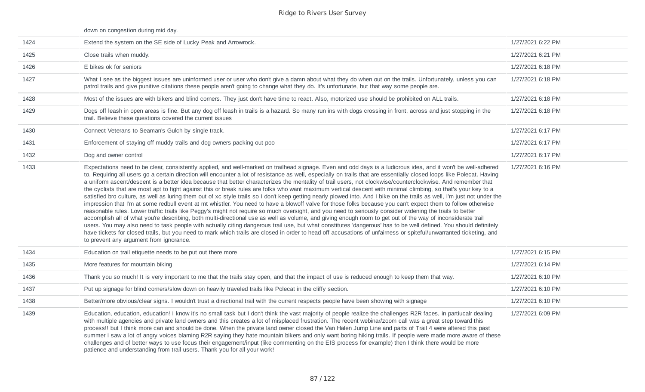### down on congestion during mid day.

| 1424 | Extend the system on the SE side of Lucky Peak and Arrowrock.                                                                                                                                                                                                                                                                                                                                                                                                                                                                                                                                                                                                                                                                                                                                                                                                                                                                                                                                                                                                                                                                                                                                                                                                                                                                                                                                                                                                                                                                                                                                                                                                                                                                           | 1/27/2021 6:22 PM |
|------|-----------------------------------------------------------------------------------------------------------------------------------------------------------------------------------------------------------------------------------------------------------------------------------------------------------------------------------------------------------------------------------------------------------------------------------------------------------------------------------------------------------------------------------------------------------------------------------------------------------------------------------------------------------------------------------------------------------------------------------------------------------------------------------------------------------------------------------------------------------------------------------------------------------------------------------------------------------------------------------------------------------------------------------------------------------------------------------------------------------------------------------------------------------------------------------------------------------------------------------------------------------------------------------------------------------------------------------------------------------------------------------------------------------------------------------------------------------------------------------------------------------------------------------------------------------------------------------------------------------------------------------------------------------------------------------------------------------------------------------------|-------------------|
| 1425 | Close trails when muddy.                                                                                                                                                                                                                                                                                                                                                                                                                                                                                                                                                                                                                                                                                                                                                                                                                                                                                                                                                                                                                                                                                                                                                                                                                                                                                                                                                                                                                                                                                                                                                                                                                                                                                                                | 1/27/2021 6:21 PM |
| 1426 | E bikes ok for seniors                                                                                                                                                                                                                                                                                                                                                                                                                                                                                                                                                                                                                                                                                                                                                                                                                                                                                                                                                                                                                                                                                                                                                                                                                                                                                                                                                                                                                                                                                                                                                                                                                                                                                                                  | 1/27/2021 6:18 PM |
| 1427 | What I see as the biggest issues are uninformed user or user who don't give a damn about what they do when out on the trails. Unfortunately, unless you can<br>patrol trails and give punitive citations these people aren't going to change what they do. It's unfortunate, but that way some people are.                                                                                                                                                                                                                                                                                                                                                                                                                                                                                                                                                                                                                                                                                                                                                                                                                                                                                                                                                                                                                                                                                                                                                                                                                                                                                                                                                                                                                              | 1/27/2021 6:18 PM |
| 1428 | Most of the issues are with bikers and blind corners. They just don't have time to react. Also, motorized use should be prohibited on ALL trails.                                                                                                                                                                                                                                                                                                                                                                                                                                                                                                                                                                                                                                                                                                                                                                                                                                                                                                                                                                                                                                                                                                                                                                                                                                                                                                                                                                                                                                                                                                                                                                                       | 1/27/2021 6:18 PM |
| 1429 | Dogs off leash in open areas is fine. But any dog off leash in trails is a hazard. So many run ins with dogs crossing in front, across and just stopping in the<br>trail. Believe these questions covered the current issues                                                                                                                                                                                                                                                                                                                                                                                                                                                                                                                                                                                                                                                                                                                                                                                                                                                                                                                                                                                                                                                                                                                                                                                                                                                                                                                                                                                                                                                                                                            | 1/27/2021 6:18 PM |
| 1430 | Connect Veterans to Seaman's Gulch by single track.                                                                                                                                                                                                                                                                                                                                                                                                                                                                                                                                                                                                                                                                                                                                                                                                                                                                                                                                                                                                                                                                                                                                                                                                                                                                                                                                                                                                                                                                                                                                                                                                                                                                                     | 1/27/2021 6:17 PM |
| 1431 | Enforcement of staying off muddy trails and dog owners packing out poo                                                                                                                                                                                                                                                                                                                                                                                                                                                                                                                                                                                                                                                                                                                                                                                                                                                                                                                                                                                                                                                                                                                                                                                                                                                                                                                                                                                                                                                                                                                                                                                                                                                                  | 1/27/2021 6:17 PM |
| 1432 | Dog and owner control                                                                                                                                                                                                                                                                                                                                                                                                                                                                                                                                                                                                                                                                                                                                                                                                                                                                                                                                                                                                                                                                                                                                                                                                                                                                                                                                                                                                                                                                                                                                                                                                                                                                                                                   | 1/27/2021 6:17 PM |
| 1433 | Expectations need to be clear, consistently applied, and well-marked on trailhead signage. Even and odd days is a ludicrous idea, and it won't be well-adhered<br>to. Requiring all users go a certain direction will encounter a lot of resistance as well, especially on trails that are essentially closed loops like Polecat. Having<br>a uniform ascent/descent is a better idea because that better characterizes the mentality of trail users, not clockwise/counterclockwise. And remember that<br>the cyclists that are most apt to fight against this or break rules are folks who want maximum vertical descent with minimal climbing, so that's your key to a<br>satisfied bro culture, as well as luring them out of xc style trails so I don't keep getting nearly plowed into. And I bike on the trails as well, I'm just not under the<br>impression that I'm at some redbull event at mt whistler. You need to have a blowoff valve for those folks because you can't expect them to follow otherwise<br>reasonable rules. Lower traffic trails like Peggy's might not require so much oversight, and you need to seriously consider widening the trails to better<br>accomplish all of what you're describing, both multi-directional use as well as volume, and giving enough room to get out of the way of inconsiderate trail<br>users. You may also need to task people with actually citing dangerous trail use, but what constitutes 'dangerous' has to be well defined. You should definitely<br>have tickets for closed trails, but you need to mark which trails are closed in order to head off accusations of unfairness or spiteful/unwarranted ticketing, and<br>to prevent any argument from ignorance. | 1/27/2021 6:16 PM |
| 1434 | Education on trail etiquette needs to be put out there more                                                                                                                                                                                                                                                                                                                                                                                                                                                                                                                                                                                                                                                                                                                                                                                                                                                                                                                                                                                                                                                                                                                                                                                                                                                                                                                                                                                                                                                                                                                                                                                                                                                                             | 1/27/2021 6:15 PM |
| 1435 | More features for mountain biking                                                                                                                                                                                                                                                                                                                                                                                                                                                                                                                                                                                                                                                                                                                                                                                                                                                                                                                                                                                                                                                                                                                                                                                                                                                                                                                                                                                                                                                                                                                                                                                                                                                                                                       | 1/27/2021 6:14 PM |
| 1436 | Thank you so much! It is very important to me that the trails stay open, and that the impact of use is reduced enough to keep them that way.                                                                                                                                                                                                                                                                                                                                                                                                                                                                                                                                                                                                                                                                                                                                                                                                                                                                                                                                                                                                                                                                                                                                                                                                                                                                                                                                                                                                                                                                                                                                                                                            | 1/27/2021 6:10 PM |
| 1437 | Put up signage for blind corners/slow down on heavily traveled trails like Polecat in the cliffy section.                                                                                                                                                                                                                                                                                                                                                                                                                                                                                                                                                                                                                                                                                                                                                                                                                                                                                                                                                                                                                                                                                                                                                                                                                                                                                                                                                                                                                                                                                                                                                                                                                               | 1/27/2021 6:10 PM |
| 1438 | Better/more obvious/clear signs. I wouldn't trust a directional trail with the current respects people have been showing with signage                                                                                                                                                                                                                                                                                                                                                                                                                                                                                                                                                                                                                                                                                                                                                                                                                                                                                                                                                                                                                                                                                                                                                                                                                                                                                                                                                                                                                                                                                                                                                                                                   | 1/27/2021 6:10 PM |
| 1439 | Education, education, education! I know it's no small task but I don't think the vast majority of people realize the challenges R2R faces, in partiucalr dealing<br>with multiple agencies and private land owners and this creates a lot of misplaced frustration. The recent webinar/zoom call was a great step toward this<br>process!! but I think more can and should be done. When the private land owner closed the Van Halen Jump Line and parts of Trail 4 were altered this past<br>summer I saw a lot of angry voices blaming R2R saying they hate mountain bikers and only want boring hiking trails. If people were made more aware of these<br>challenges and of better ways to use focus their engagement/input (like commenting on the EIS process for example) then I think there would be more<br>patience and understanding from trail users. Thank you for all your work!                                                                                                                                                                                                                                                                                                                                                                                                                                                                                                                                                                                                                                                                                                                                                                                                                                           | 1/27/2021 6:09 PM |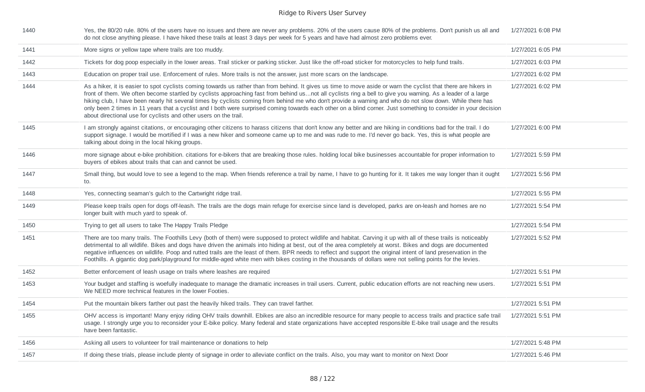| 1440 | Yes, the 80/20 rule. 80% of the users have no issues and there are never any problems. 20% of the users cause 80% of the problems. Don't punish us all and<br>do not close anything please. I have hiked these trails at least 3 days per week for 5 years and have had almost zero problems ever.                                                                                                                                                                                                                                                                                                                                                                                                                                  | 1/27/2021 6:08 PM |
|------|-------------------------------------------------------------------------------------------------------------------------------------------------------------------------------------------------------------------------------------------------------------------------------------------------------------------------------------------------------------------------------------------------------------------------------------------------------------------------------------------------------------------------------------------------------------------------------------------------------------------------------------------------------------------------------------------------------------------------------------|-------------------|
| 1441 | More signs or yellow tape where trails are too muddy.                                                                                                                                                                                                                                                                                                                                                                                                                                                                                                                                                                                                                                                                               | 1/27/2021 6:05 PM |
| 1442 | Tickets for dog poop especially in the lower areas. Trail sticker or parking sticker. Just like the off-road sticker for motorcycles to help fund trails.                                                                                                                                                                                                                                                                                                                                                                                                                                                                                                                                                                           | 1/27/2021 6:03 PM |
| 1443 | Education on proper trail use. Enforcement of rules. More trails is not the answer, just more scars on the landscape.                                                                                                                                                                                                                                                                                                                                                                                                                                                                                                                                                                                                               | 1/27/2021 6:02 PM |
| 1444 | As a hiker, it is easier to spot cyclists coming towards us rather than from behind. It gives us time to move aside or warn the cyclist that there are hikers in<br>front of them. We often become startled by cyclists approaching fast from behind usnot all cyclists ring a bell to give you warning. As a leader of a large<br>hiking club, I have been nearly hit several times by cyclists coming from behind me who don't provide a warning and who do not slow down. While there has<br>only been 2 times in 11 years that a cyclist and I both were surprised coming towards each other on a blind corner. Just something to consider in your decision<br>about directional use for cyclists and other users on the trail. | 1/27/2021 6:02 PM |
| 1445 | I am strongly against citations, or encouraging other citizens to harass citizens that don't know any better and are hiking in conditions bad for the trail. I do<br>support signage. I would be mortified if I was a new hiker and someone came up to me and was rude to me. I'd never go back. Yes, this is what people are<br>talking about doing in the local hiking groups.                                                                                                                                                                                                                                                                                                                                                    | 1/27/2021 6:00 PM |
| 1446 | more signage about e-bike prohibition. citations for e-bikers that are breaking those rules. holding local bike businesses accountable for proper information to<br>buyers of ebikes about trails that can and cannot be used.                                                                                                                                                                                                                                                                                                                                                                                                                                                                                                      | 1/27/2021 5:59 PM |
| 1447 | Small thing, but would love to see a legend to the map. When friends reference a trail by name, I have to go hunting for it. It takes me way longer than it ought<br>to.                                                                                                                                                                                                                                                                                                                                                                                                                                                                                                                                                            | 1/27/2021 5:56 PM |
| 1448 | Yes, connecting seaman's gulch to the Cartwright ridge trail.                                                                                                                                                                                                                                                                                                                                                                                                                                                                                                                                                                                                                                                                       | 1/27/2021 5:55 PM |
| 1449 | Please keep trails open for dogs off-leash. The trails are the dogs main refuge for exercise since land is developed, parks are on-leash and homes are no<br>longer built with much yard to speak of.                                                                                                                                                                                                                                                                                                                                                                                                                                                                                                                               | 1/27/2021 5:54 PM |
| 1450 | Trying to get all users to take The Happy Trails Pledge                                                                                                                                                                                                                                                                                                                                                                                                                                                                                                                                                                                                                                                                             | 1/27/2021 5:54 PM |
| 1451 | There are too many trails. The Foothills Levy (both of them) were supposed to protect wildlife and habitat. Carving it up with all of these trails is noticeably<br>detrimental to all wildlife. Bikes and dogs have driven the animals into hiding at best, out of the area completely at worst. Bikes and dogs are documented<br>negative influences on wildlife. Poop and rutted trails are the least of them. BPR needs to reflect and support the original intent of land preservation in the<br>Foothills. A gigantic dog park/playground for middle-aged white men with bikes costing in the thousands of dollars were not selling points for the levies.                                                                    | 1/27/2021 5:52 PM |
| 1452 | Better enforcement of leash usage on trails where leashes are required                                                                                                                                                                                                                                                                                                                                                                                                                                                                                                                                                                                                                                                              | 1/27/2021 5:51 PM |
| 1453 | Your budget and staffing is woefully inadequate to manage the dramatic increases in trail users. Current, public education efforts are not reaching new users.<br>We NEED more technical features in the lower Footies.                                                                                                                                                                                                                                                                                                                                                                                                                                                                                                             | 1/27/2021 5:51 PM |
| 1454 | Put the mountain bikers farther out past the heavily hiked trails. They can travel farther.                                                                                                                                                                                                                                                                                                                                                                                                                                                                                                                                                                                                                                         | 1/27/2021 5:51 PM |
| 1455 | OHV access is important! Many enjoy riding OHV trails downhill. Ebikes are also an incredible resource for many people to access trails and practice safe trail<br>usage. I strongly urge you to reconsider your E-bike policy. Many federal and state organizations have accepted responsible E-bike trail usage and the results<br>have been fantastic.                                                                                                                                                                                                                                                                                                                                                                           | 1/27/2021 5:51 PM |
| 1456 | Asking all users to volunteer for trail maintenance or donations to help                                                                                                                                                                                                                                                                                                                                                                                                                                                                                                                                                                                                                                                            | 1/27/2021 5:48 PM |
| 1457 | If doing these trials, please include plenty of signage in order to alleviate conflict on the trails. Also, you may want to monitor on Next Door                                                                                                                                                                                                                                                                                                                                                                                                                                                                                                                                                                                    | 1/27/2021 5:46 PM |
|      |                                                                                                                                                                                                                                                                                                                                                                                                                                                                                                                                                                                                                                                                                                                                     |                   |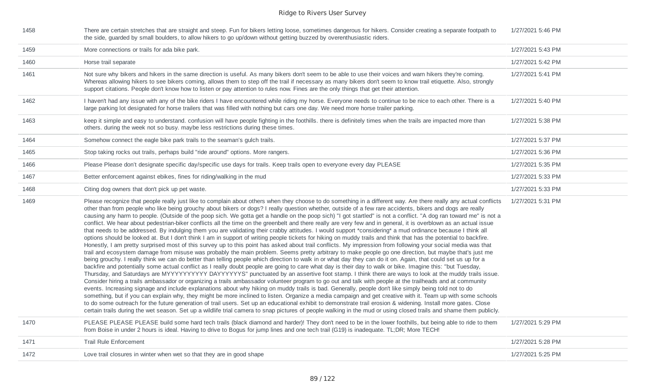| 1458 | There are certain stretches that are straight and steep. Fun for bikers letting loose, sometimes dangerous for hikers. Consider creating a separate footpath to<br>the side, guarded by small boulders, to allow hikers to go up/down without getting buzzed by overenthusiastic riders.                                                                                                                                                                                                                                                                                                                                                                                                                                                                                                                                                                                                                                                                                                                                                                                                                                                                                                                                                                                                                                                                                                                                                                                                                                                                                                                                                                                                                                                                                                                                                                                                                                                                                                                                                                                                                                                                                                                                                                                                                                                                                                                                                                                                                                                                                                                                                                    | 1/27/2021 5:46 PM |
|------|-------------------------------------------------------------------------------------------------------------------------------------------------------------------------------------------------------------------------------------------------------------------------------------------------------------------------------------------------------------------------------------------------------------------------------------------------------------------------------------------------------------------------------------------------------------------------------------------------------------------------------------------------------------------------------------------------------------------------------------------------------------------------------------------------------------------------------------------------------------------------------------------------------------------------------------------------------------------------------------------------------------------------------------------------------------------------------------------------------------------------------------------------------------------------------------------------------------------------------------------------------------------------------------------------------------------------------------------------------------------------------------------------------------------------------------------------------------------------------------------------------------------------------------------------------------------------------------------------------------------------------------------------------------------------------------------------------------------------------------------------------------------------------------------------------------------------------------------------------------------------------------------------------------------------------------------------------------------------------------------------------------------------------------------------------------------------------------------------------------------------------------------------------------------------------------------------------------------------------------------------------------------------------------------------------------------------------------------------------------------------------------------------------------------------------------------------------------------------------------------------------------------------------------------------------------------------------------------------------------------------------------------------------------|-------------------|
| 1459 | More connections or trails for ada bike park.                                                                                                                                                                                                                                                                                                                                                                                                                                                                                                                                                                                                                                                                                                                                                                                                                                                                                                                                                                                                                                                                                                                                                                                                                                                                                                                                                                                                                                                                                                                                                                                                                                                                                                                                                                                                                                                                                                                                                                                                                                                                                                                                                                                                                                                                                                                                                                                                                                                                                                                                                                                                               | 1/27/2021 5:43 PM |
| 1460 | Horse trail separate                                                                                                                                                                                                                                                                                                                                                                                                                                                                                                                                                                                                                                                                                                                                                                                                                                                                                                                                                                                                                                                                                                                                                                                                                                                                                                                                                                                                                                                                                                                                                                                                                                                                                                                                                                                                                                                                                                                                                                                                                                                                                                                                                                                                                                                                                                                                                                                                                                                                                                                                                                                                                                        | 1/27/2021 5:42 PM |
| 1461 | Not sure why bikers and hikers in the same direction is useful. As many bikers don't seem to be able to use their voices and warn hikers they're coming.<br>Whereas allowing hikers to see bikers coming, allows them to step off the trail if necessary as many bikers don't seem to know trail etiquette. Also, strongly<br>support citations. People don't know how to listen or pay attention to rules now. Fines are the only things that get their attention.                                                                                                                                                                                                                                                                                                                                                                                                                                                                                                                                                                                                                                                                                                                                                                                                                                                                                                                                                                                                                                                                                                                                                                                                                                                                                                                                                                                                                                                                                                                                                                                                                                                                                                                                                                                                                                                                                                                                                                                                                                                                                                                                                                                         | 1/27/2021 5:41 PM |
| 1462 | I haven't had any issue with any of the bike riders I have encountered while riding my horse. Everyone needs to continue to be nice to each other. There is a<br>large parking lot designated for horse trailers that was filled with nothing but cars one day. We need more horse trailer parking.                                                                                                                                                                                                                                                                                                                                                                                                                                                                                                                                                                                                                                                                                                                                                                                                                                                                                                                                                                                                                                                                                                                                                                                                                                                                                                                                                                                                                                                                                                                                                                                                                                                                                                                                                                                                                                                                                                                                                                                                                                                                                                                                                                                                                                                                                                                                                         | 1/27/2021 5:40 PM |
| 1463 | keep it simple and easy to understand. confusion will have people fighting in the foothills. there is definitely times when the trails are impacted more than<br>others, during the week not so busy, maybe less restrictions during these times.                                                                                                                                                                                                                                                                                                                                                                                                                                                                                                                                                                                                                                                                                                                                                                                                                                                                                                                                                                                                                                                                                                                                                                                                                                                                                                                                                                                                                                                                                                                                                                                                                                                                                                                                                                                                                                                                                                                                                                                                                                                                                                                                                                                                                                                                                                                                                                                                           | 1/27/2021 5:38 PM |
| 1464 | Somehow connect the eagle bike park trails to the seaman's gulch trails.                                                                                                                                                                                                                                                                                                                                                                                                                                                                                                                                                                                                                                                                                                                                                                                                                                                                                                                                                                                                                                                                                                                                                                                                                                                                                                                                                                                                                                                                                                                                                                                                                                                                                                                                                                                                                                                                                                                                                                                                                                                                                                                                                                                                                                                                                                                                                                                                                                                                                                                                                                                    | 1/27/2021 5:37 PM |
| 1465 | Stop taking rocks out trails, perhaps build "ride around" options. More rangers.                                                                                                                                                                                                                                                                                                                                                                                                                                                                                                                                                                                                                                                                                                                                                                                                                                                                                                                                                                                                                                                                                                                                                                                                                                                                                                                                                                                                                                                                                                                                                                                                                                                                                                                                                                                                                                                                                                                                                                                                                                                                                                                                                                                                                                                                                                                                                                                                                                                                                                                                                                            | 1/27/2021 5:36 PM |
| 1466 | Please Please don't designate specific day/specific use days for trails. Keep trails open to everyone every day PLEASE                                                                                                                                                                                                                                                                                                                                                                                                                                                                                                                                                                                                                                                                                                                                                                                                                                                                                                                                                                                                                                                                                                                                                                                                                                                                                                                                                                                                                                                                                                                                                                                                                                                                                                                                                                                                                                                                                                                                                                                                                                                                                                                                                                                                                                                                                                                                                                                                                                                                                                                                      | 1/27/2021 5:35 PM |
| 1467 | Better enforcement against ebikes, fines for riding/walking in the mud                                                                                                                                                                                                                                                                                                                                                                                                                                                                                                                                                                                                                                                                                                                                                                                                                                                                                                                                                                                                                                                                                                                                                                                                                                                                                                                                                                                                                                                                                                                                                                                                                                                                                                                                                                                                                                                                                                                                                                                                                                                                                                                                                                                                                                                                                                                                                                                                                                                                                                                                                                                      | 1/27/2021 5:33 PM |
| 1468 | Citing dog owners that don't pick up pet waste.                                                                                                                                                                                                                                                                                                                                                                                                                                                                                                                                                                                                                                                                                                                                                                                                                                                                                                                                                                                                                                                                                                                                                                                                                                                                                                                                                                                                                                                                                                                                                                                                                                                                                                                                                                                                                                                                                                                                                                                                                                                                                                                                                                                                                                                                                                                                                                                                                                                                                                                                                                                                             | 1/27/2021 5:33 PM |
| 1469 | Please recognize that people really just like to complain about others when they choose to do something in a different way. Are there really any actual conflicts<br>other than from people who like being grouchy about bikers or dogs? I really question whether, outside of a few rare accidents, bikers and dogs are really<br>causing any harm to people. (Outside of the poop sich. We gotta get a handle on the poop sich) "I got startled" is not a conflict. "A dog ran toward me" is not a<br>conflict. We hear about pedestrian-biker conflicts all the time on the greenbelt and there really are very few and in general, it is overblown as an actual issue<br>that needs to be addressed. By indulging them you are validating their crabby attitudes. I would support *considering* a mud ordinance because I think all<br>options should be looked at. But I don't think I am in support of writing people tickets for hiking on muddy trails and think that has the potential to backfire.<br>Honestly, I am pretty surprised most of this survey up to this point has asked about trail conflicts. My impression from following your social media was that<br>trail and ecosystem damage from misuse was probably the main problem. Seems pretty arbitrary to make people go one direction, but maybe that's just me<br>being grouchy. I really think we can do better than telling people which direction to walk in or what day they can do it on. Again, that could set us up for a<br>backfire and potentially some actual conflict as I really doubt people are going to care what day is their day to walk or bike. Imagine this: "but Tuesday,<br>Thursday, and Saturdays are MYYYYYYYYYY DAYYYYYS" punctuated by an assertive foot stamp. I think there are ways to look at the muddy trails issue.<br>Consider hiring a trails ambassador or organizing a trails ambassador volunteer program to go out and talk with people at the trailheads and at community<br>events. Increasing signage and include explanations about why hiking on muddy trails is bad. Generally, people don't like simply being told not to do<br>something, but if you can explain why, they might be more inclined to listen. Organize a media campaign and get creative with it. Team up with some schools<br>to do some outreach for the future generation of trail users. Set up an educational exhibit to demonstrate trail erosion & widening. Install more gates. Close<br>certain trails during the wet season. Set up a wildlife trial camera to snap pictures of people walking in the mud or using closed trails and shame them publicly. | 1/27/2021 5:31 PM |
| 1470 | PLEASE PLEASE PLEASE build some hard tech trails (black diamond and harder)! They don't need to be in the lower foothills, but being able to ride to them<br>from Boise in under 2 hours is ideal. Having to drive to Bogus for jump lines and one tech trail (G19) is inadequate. TL;DR; More TECH!                                                                                                                                                                                                                                                                                                                                                                                                                                                                                                                                                                                                                                                                                                                                                                                                                                                                                                                                                                                                                                                                                                                                                                                                                                                                                                                                                                                                                                                                                                                                                                                                                                                                                                                                                                                                                                                                                                                                                                                                                                                                                                                                                                                                                                                                                                                                                        | 1/27/2021 5:29 PM |
| 1471 | <b>Trail Rule Enforcement</b>                                                                                                                                                                                                                                                                                                                                                                                                                                                                                                                                                                                                                                                                                                                                                                                                                                                                                                                                                                                                                                                                                                                                                                                                                                                                                                                                                                                                                                                                                                                                                                                                                                                                                                                                                                                                                                                                                                                                                                                                                                                                                                                                                                                                                                                                                                                                                                                                                                                                                                                                                                                                                               | 1/27/2021 5:28 PM |
| 1472 | Love trail closures in winter when wet so that they are in good shape                                                                                                                                                                                                                                                                                                                                                                                                                                                                                                                                                                                                                                                                                                                                                                                                                                                                                                                                                                                                                                                                                                                                                                                                                                                                                                                                                                                                                                                                                                                                                                                                                                                                                                                                                                                                                                                                                                                                                                                                                                                                                                                                                                                                                                                                                                                                                                                                                                                                                                                                                                                       | 1/27/2021 5:25 PM |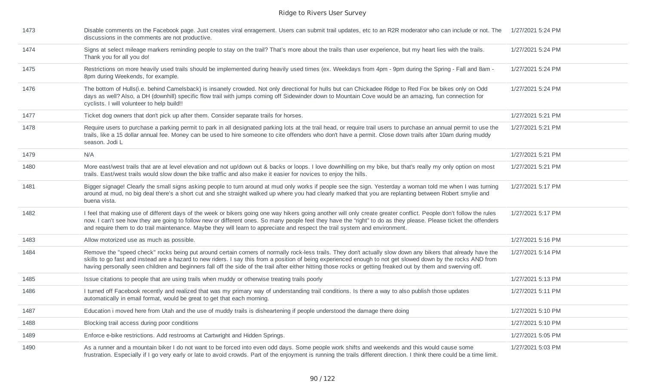| 1473 | Disable comments on the Facebook page. Just creates viral enragement. Users can submit trail updates, etc to an R2R moderator who can include or not. The<br>discussions in the comments are not productive.                                                                                                                                                                                                                                                                                    | 1/27/2021 5:24 PM |
|------|-------------------------------------------------------------------------------------------------------------------------------------------------------------------------------------------------------------------------------------------------------------------------------------------------------------------------------------------------------------------------------------------------------------------------------------------------------------------------------------------------|-------------------|
| 1474 | Signs at select mileage markers reminding people to stay on the trail? That's more about the trails than user experience, but my heart lies with the trails.<br>Thank you for all you do!                                                                                                                                                                                                                                                                                                       | 1/27/2021 5:24 PM |
| 1475 | Restrictions on more heavily used trails should be implemented during heavily used times (ex. Weekdays from 4pm - 9pm during the Spring - Fall and 8am -<br>8pm during Weekends, for example.                                                                                                                                                                                                                                                                                                   | 1/27/2021 5:24 PM |
| 1476 | The bottom of Hulls(i.e. behind Camelsback) is insanely crowded. Not only directional for hulls but can Chickadee Ridge to Red Fox be bikes only on Odd<br>days as well? Also, a DH (downhill) specific flow trail with jumps coming off Sidewinder down to Mountain Cove would be an amazing, fun connection for<br>cyclists. I will volunteer to help build!!                                                                                                                                 | 1/27/2021 5:24 PM |
| 1477 | Ticket dog owners that don't pick up after them. Consider separate trails for horses.                                                                                                                                                                                                                                                                                                                                                                                                           | 1/27/2021 5:21 PM |
| 1478 | Require users to purchase a parking permit to park in all designated parking lots at the trail head, or require trail users to purchase an annual permit to use the<br>trails, like a 15 dollar annual fee. Money can be used to hire someone to cite offenders who don't have a permit. Close down trails after 10am during muddy<br>season, Jodi L                                                                                                                                            | 1/27/2021 5:21 PM |
| 1479 | N/A                                                                                                                                                                                                                                                                                                                                                                                                                                                                                             | 1/27/2021 5:21 PM |
| 1480 | More east/west trails that are at level elevation and not up/down out & backs or loops. I love downhilling on my bike, but that's really my only option on most<br>trails. East/west trails would slow down the bike traffic and also make it easier for novices to enjoy the hills.                                                                                                                                                                                                            | 1/27/2021 5:21 PM |
| 1481 | Bigger signage! Clearly the small signs asking people to turn around at mud only works if people see the sign. Yesterday a woman told me when I was turning<br>around at mud, no big deal there's a short cut and she straight walked up where you had clearly marked that you are replanting between Robert smylie and<br>buena vista.                                                                                                                                                         | 1/27/2021 5:17 PM |
| 1482 | I feel that making use of different days of the week or bikers going one way hikers going another will only create greater conflict. People don't follow the rules<br>now. I can't see how they are going to follow new or different ones. So many people feel they have the "right" to do as they please. Please ticket the offenders<br>and require them to do trail maintenance. Maybe they will learn to appreciate and respect the trail system and environment.                           | 1/27/2021 5:17 PM |
| 1483 | Allow motorized use as much as possible.                                                                                                                                                                                                                                                                                                                                                                                                                                                        | 1/27/2021 5:16 PM |
| 1484 | Remove the "speed check" rocks being put around certain corners of normally rock-less trails. They don't actually slow down any bikers that already have the<br>skills to go fast and instead are a hazard to new riders. I say this from a position of being experienced enough to not get slowed down by the rocks AND from<br>having personally seen children and beginners fall off the side of the trail after either hitting those rocks or getting freaked out by them and swerving off. | 1/27/2021 5:14 PM |
| 1485 | Issue citations to people that are using trails when muddy or otherwise treating trails poorly                                                                                                                                                                                                                                                                                                                                                                                                  | 1/27/2021 5:13 PM |
| 1486 | I turned off Facebook recently and realized that was my primary way of understanding trail conditions. Is there a way to also publish those updates<br>automatically in email format, would be great to get that each morning.                                                                                                                                                                                                                                                                  | 1/27/2021 5:11 PM |
| 1487 | Education i moved here from Utah and the use of muddy trails is disheartening if people understood the damage there doing                                                                                                                                                                                                                                                                                                                                                                       | 1/27/2021 5:10 PM |
| 1488 | Blocking trail access during poor conditions                                                                                                                                                                                                                                                                                                                                                                                                                                                    | 1/27/2021 5:10 PM |
| 1489 | Enforce e-bike restrictions. Add restrooms at Cartwright and Hidden Springs.                                                                                                                                                                                                                                                                                                                                                                                                                    | 1/27/2021 5:05 PM |
| 1490 | As a runner and a mountain biker I do not want to be forced into even odd days. Some people work shifts and weekends and this would cause some<br>frustration. Especially if I go very early or late to avoid crowds. Part of the enjoyment is running the trails different direction. I think there could be a time limit.                                                                                                                                                                     | 1/27/2021 5:03 PM |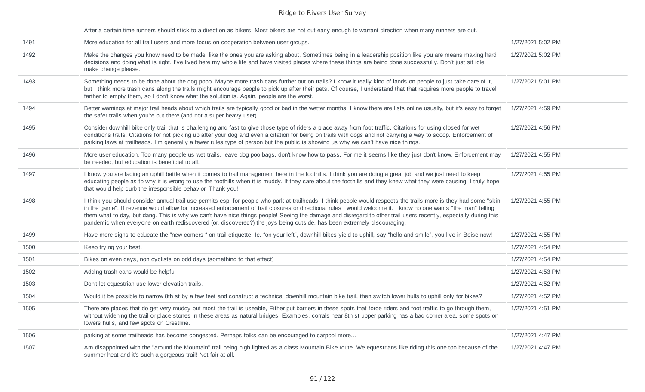After a certain time runners should stick to a direction as bikers. Most bikers are not out early enough to warrant direction when many runners are out.

| 1491 | More education for all trail users and more focus on cooperation between user groups.                                                                                                                                                                                                                                                                                                                                                                                                                                                                                                                                              | 1/27/2021 5:02 PM |
|------|------------------------------------------------------------------------------------------------------------------------------------------------------------------------------------------------------------------------------------------------------------------------------------------------------------------------------------------------------------------------------------------------------------------------------------------------------------------------------------------------------------------------------------------------------------------------------------------------------------------------------------|-------------------|
| 1492 | Make the changes you know need to be made, like the ones you are asking about. Sometimes being in a leadership position like you are means making hard<br>decisions and doing what is right. I've lived here my whole life and have visited places where these things are being done successfully. Don't just sit idle,<br>make change please.                                                                                                                                                                                                                                                                                     | 1/27/2021 5:02 PM |
| 1493 | Something needs to be done about the dog poop. Maybe more trash cans further out on trails? I know it really kind of lands on people to just take care of it,<br>but I think more trash cans along the trails might encourage people to pick up after their pets. Of course, I understand that that requires more people to travel<br>farther to empty them, so I don't know what the solution is. Again, people are the worst.                                                                                                                                                                                                    | 1/27/2021 5:01 PM |
| 1494 | Better warnings at major trail heads about which trails are typically good or bad in the wetter months. I know there are lists online usually, but it's easy to forget<br>the safer trails when you're out there (and not a super heavy user)                                                                                                                                                                                                                                                                                                                                                                                      | 1/27/2021 4:59 PM |
| 1495 | Consider downhill bike only trail that is challenging and fast to give those type of riders a place away from foot traffic. Citations for using closed for wet<br>conditions trails. Citations for not picking up after your dog and even a citation for being on trails with dogs and not carrying a way to scoop. Enforcement of<br>parking laws at trailheads. I'm generally a fewer rules type of person but the public is showing us why we can't have nice things.                                                                                                                                                           | 1/27/2021 4:56 PM |
| 1496 | More user education. Too many people us wet trails, leave dog poo bags, don't know how to pass. For me it seems like they just don't know. Enforcement may<br>be needed, but education is beneficial to all.                                                                                                                                                                                                                                                                                                                                                                                                                       | 1/27/2021 4:55 PM |
| 1497 | I know you are facing an uphill battle when it comes to trail management here in the foothills. I think you are doing a great job and we just need to keep<br>educating people as to why it is wrong to use the foothills when it is muddy. If they care about the foothills and they knew what they were causing, I truly hope<br>that would help curb the irresponsible behavior. Thank you!                                                                                                                                                                                                                                     | 1/27/2021 4:55 PM |
| 1498 | I think you should consider annual trail use permits esp. for people who park at trailheads. I think people would respects the trails more is they had some "skin<br>in the game". If revenue would allow for increased enforcement of trail closures or directional rules I would welcome it. I know no one wants "the man" telling<br>them what to day, but dang. This is why we can't have nice things people! Seeing the damage and disregard to other trail users recently, especially during this<br>pandemic when everyone on earth rediscovered (or, discovered?) the joys being outside, has been extremely discouraging. | 1/27/2021 4:55 PM |
| 1499 | Have more signs to educate the "new comers " on trail etiquette. Ie. "on your left", downhill bikes yield to uphill, say "hello and smile", you live in Boise now!                                                                                                                                                                                                                                                                                                                                                                                                                                                                 | 1/27/2021 4:55 PM |
| 1500 | Keep trying your best.                                                                                                                                                                                                                                                                                                                                                                                                                                                                                                                                                                                                             | 1/27/2021 4:54 PM |
| 1501 | Bikes on even days, non cyclists on odd days (something to that effect)                                                                                                                                                                                                                                                                                                                                                                                                                                                                                                                                                            | 1/27/2021 4:54 PM |
| 1502 | Adding trash cans would be helpful                                                                                                                                                                                                                                                                                                                                                                                                                                                                                                                                                                                                 | 1/27/2021 4:53 PM |
| 1503 | Don't let equestrian use lower elevation trails.                                                                                                                                                                                                                                                                                                                                                                                                                                                                                                                                                                                   | 1/27/2021 4:52 PM |
| 1504 | Would it be possible to narrow 8th st by a few feet and construct a technical downhill mountain bike trail, then switch lower hulls to uphill only for bikes?                                                                                                                                                                                                                                                                                                                                                                                                                                                                      | 1/27/2021 4:52 PM |
| 1505 | There are places that do get very muddy but most the trail is useable, Either put barriers in these spots that force riders and foot traffic to go through them,<br>without widening the trail or place stones in these areas as natural bridges. Examples, corrals near 8th st upper parking has a bad corner area, some spots on<br>lowers hulls, and few spots on Crestline.                                                                                                                                                                                                                                                    | 1/27/2021 4:51 PM |
| 1506 | parking at some trailheads has become congested. Perhaps folks can be encouraged to carpool more                                                                                                                                                                                                                                                                                                                                                                                                                                                                                                                                   | 1/27/2021 4:47 PM |
| 1507 | Am disappointed with the "around the Mountain" trail being high lighted as a class Mountain Bike route. We equestrians like riding this one too because of the<br>summer heat and it's such a gorgeous trail! Not fair at all.                                                                                                                                                                                                                                                                                                                                                                                                     | 1/27/2021 4:47 PM |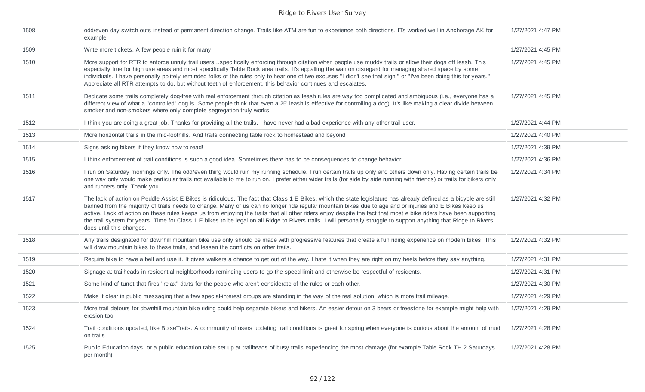| 1508 | odd/even day switch outs instead of permanent direction change. Trails like ATM are fun to experience both directions. ITs worked well in Anchorage AK for<br>example.                                                                                                                                                                                                                                                                                                                                                                                                                                                                                                                              | 1/27/2021 4:47 PM |
|------|-----------------------------------------------------------------------------------------------------------------------------------------------------------------------------------------------------------------------------------------------------------------------------------------------------------------------------------------------------------------------------------------------------------------------------------------------------------------------------------------------------------------------------------------------------------------------------------------------------------------------------------------------------------------------------------------------------|-------------------|
| 1509 | Write more tickets. A few people ruin it for many                                                                                                                                                                                                                                                                                                                                                                                                                                                                                                                                                                                                                                                   | 1/27/2021 4:45 PM |
| 1510 | More support for RTR to enforce unruly trail usersspecifically enforcing through citation when people use muddy trails or allow their dogs off leash. This<br>especially true for high use areas and most specifically Table Rock area trails. It's appalling the wanton disregard for managing shared space by some<br>individuals. I have personally politely reminded folks of the rules only to hear one of two excuses "I didn't see that sign." or "I've been doing this for years."<br>Appreciate all RTR attempts to do, but without teeth of enforcement, this behavior continues and escalates.                                                                                           | 1/27/2021 4:45 PM |
| 1511 | Dedicate some trails completely dog-free with real enforcement through citation as leash rules are way too complicated and ambiguous (i.e., everyone has a<br>different view of what a "controlled" dog is. Some people think that even a 25' leash is effective for controlling a dog). It's like making a clear divide between<br>smoker and non-smokers where only complete segregation truly works.                                                                                                                                                                                                                                                                                             | 1/27/2021 4:45 PM |
| 1512 | I think you are doing a great job. Thanks for providing all the trails. I have never had a bad experience with any other trail user.                                                                                                                                                                                                                                                                                                                                                                                                                                                                                                                                                                | 1/27/2021 4:44 PM |
| 1513 | More horizontal trails in the mid-foothills. And trails connecting table rock to homestead and beyond                                                                                                                                                                                                                                                                                                                                                                                                                                                                                                                                                                                               | 1/27/2021 4:40 PM |
| 1514 | Signs asking bikers if they know how to read!                                                                                                                                                                                                                                                                                                                                                                                                                                                                                                                                                                                                                                                       | 1/27/2021 4:39 PM |
| 1515 | I think enforcement of trail conditions is such a good idea. Sometimes there has to be consequences to change behavior.                                                                                                                                                                                                                                                                                                                                                                                                                                                                                                                                                                             | 1/27/2021 4:36 PM |
| 1516 | I run on Saturday mornings only. The odd/even thing would ruin my running schedule. I run certain trails up only and others down only. Having certain trails be<br>one way only would make particular trails not available to me to run on. I prefer either wider trails (for side by side running with friends) or trails for bikers only<br>and runners only. Thank you.                                                                                                                                                                                                                                                                                                                          | 1/27/2021 4:34 PM |
| 1517 | The lack of action on Peddle Assist E Bikes is ridiculous. The fact that Class 1 E Bikes, which the state legislature has already defined as a bicycle are still<br>banned from the majority of trails needs to change. Many of us can no longer ride regular mountain bikes due to age and or injuries and E Bikes keep us<br>active. Lack of action on these rules keeps us from enjoying the trails that all other riders enjoy despite the fact that most e bike riders have been supporting<br>the trail system for years. Time for Class 1 E bikes to be legal on all Ridge to Rivers trails. I will personally struggle to support anything that Ridge to Rivers<br>does until this changes. | 1/27/2021 4:32 PM |
| 1518 | Any trails designated for downhill mountain bike use only should be made with progressive features that create a fun riding experience on modern bikes. This<br>will draw mountain bikes to these trails, and lessen the conflicts on other trails.                                                                                                                                                                                                                                                                                                                                                                                                                                                 | 1/27/2021 4:32 PM |
| 1519 | Require bike to have a bell and use it. It gives walkers a chance to get out of the way. I hate it when they are right on my heels before they say anything.                                                                                                                                                                                                                                                                                                                                                                                                                                                                                                                                        | 1/27/2021 4:31 PM |
| 1520 | Signage at trailheads in residential neighborhoods reminding users to go the speed limit and otherwise be respectful of residents.                                                                                                                                                                                                                                                                                                                                                                                                                                                                                                                                                                  | 1/27/2021 4:31 PM |
| 1521 | Some kind of turret that fires "relax" darts for the people who aren't considerate of the rules or each other.                                                                                                                                                                                                                                                                                                                                                                                                                                                                                                                                                                                      | 1/27/2021 4:30 PM |
| 1522 | Make it clear in public messaging that a few special-interest groups are standing in the way of the real solution, which is more trail mileage.                                                                                                                                                                                                                                                                                                                                                                                                                                                                                                                                                     | 1/27/2021 4:29 PM |
| 1523 | More trail detours for downhill mountain bike riding could help separate bikers and hikers. An easier detour on 3 bears or freestone for example might help with<br>erosion too.                                                                                                                                                                                                                                                                                                                                                                                                                                                                                                                    | 1/27/2021 4:29 PM |
| 1524 | Trail conditions updated, like BoiseTrails. A community of users updating trail conditions is great for spring when everyone is curious about the amount of mud<br>on trails                                                                                                                                                                                                                                                                                                                                                                                                                                                                                                                        | 1/27/2021 4:28 PM |
| 1525 | Public Education days, or a public education table set up at trailheads of busy trails experiencing the most damage (for example Table Rock TH 2 Saturdays<br>per month)                                                                                                                                                                                                                                                                                                                                                                                                                                                                                                                            | 1/27/2021 4:28 PM |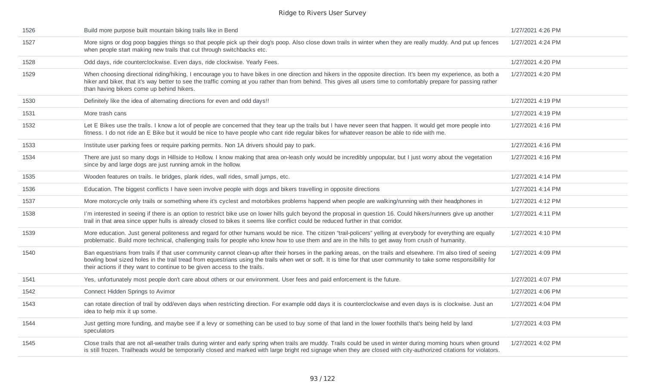| 1526 | Build more purpose built mountain biking trails like in Bend                                                                                                                                                                                                                                                                                                                                                        | 1/27/2021 4:26 PM |
|------|---------------------------------------------------------------------------------------------------------------------------------------------------------------------------------------------------------------------------------------------------------------------------------------------------------------------------------------------------------------------------------------------------------------------|-------------------|
| 1527 | More signs or dog poop baggies things so that people pick up their dog's poop. Also close down trails in winter when they are really muddy. And put up fences<br>when people start making new trails that cut through switchbacks etc.                                                                                                                                                                              | 1/27/2021 4:24 PM |
| 1528 | Odd days, ride counterclockwise. Even days, ride clockwise. Yearly Fees.                                                                                                                                                                                                                                                                                                                                            | 1/27/2021 4:20 PM |
| 1529 | When choosing directional riding/hiking, I encourage you to have bikes in one direction and hikers in the opposite direction. It's been my experience, as both a<br>hiker and biker, that it's way better to see the traffic coming at you rather than from behind. This gives all users time to comfortably prepare for passing rather<br>than having bikers come up behind hikers.                                | 1/27/2021 4:20 PM |
| 1530 | Definitely like the idea of alternating directions for even and odd days!!                                                                                                                                                                                                                                                                                                                                          | 1/27/2021 4:19 PM |
| 1531 | More trash cans                                                                                                                                                                                                                                                                                                                                                                                                     | 1/27/2021 4:19 PM |
| 1532 | Let E Bikes use the trails. I know a lot of people are concerned that they tear up the trails but I have never seen that happen. It would get more people into<br>fitness. I do not ride an E Bike but it would be nice to have people who cant ride regular bikes for whatever reason be able to ride with me.                                                                                                     | 1/27/2021 4:16 PM |
| 1533 | Institute user parking fees or require parking permits. Non 1A drivers should pay to park.                                                                                                                                                                                                                                                                                                                          | 1/27/2021 4:16 PM |
| 1534 | There are just so many dogs in Hillside to Hollow. I know making that area on-leash only would be incredibly unpopular, but I just worry about the vegetation<br>since by and large dogs are just running amok in the hollow.                                                                                                                                                                                       | 1/27/2021 4:16 PM |
| 1535 | Wooden features on trails. Ie bridges, plank rides, wall rides, small jumps, etc.                                                                                                                                                                                                                                                                                                                                   | 1/27/2021 4:14 PM |
| 1536 | Education. The biggest conflicts I have seen involve people with dogs and bikers travelling in opposite directions                                                                                                                                                                                                                                                                                                  | 1/27/2021 4:14 PM |
| 1537 | More motorcycle only trails or something where it's cyclest and motorbikes problems happend when people are walking/running with their headphones in                                                                                                                                                                                                                                                                | 1/27/2021 4:12 PM |
| 1538 | I'm interested in seeing if there is an option to restrict bike use on lower hills gulch beyond the proposal in question 16. Could hikers/runners give up another<br>trail in that area since upper hulls is already closed to bikes it seems like conflict could be reduced further in that corridor.                                                                                                              | 1/27/2021 4:11 PM |
| 1539 | More education. Just general politeness and regard for other humans would be nice. The citizen "trail-policers" yelling at everybody for everything are equally<br>problematic. Build more technical, challenging trails for people who know how to use them and are in the hills to get away from crush of humanity.                                                                                               | 1/27/2021 4:10 PM |
| 1540 | Ban equestrians from trails if that user community cannot clean-up after their horses in the parking areas, on the trails and elsewhere. I'm also tired of seeing<br>bowling bowl sized holes in the trail tread from equestrians using the trails when wet or soft. It is time for that user community to take some responsibility for<br>their actions if they want to continue to be given access to the trails. | 1/27/2021 4:09 PM |
| 1541 | Yes, unfortunately most people don't care about others or our environment. User fees and paid enforcement is the future.                                                                                                                                                                                                                                                                                            | 1/27/2021 4:07 PM |
| 1542 | Connect Hidden Springs to Avimor                                                                                                                                                                                                                                                                                                                                                                                    | 1/27/2021 4:06 PM |
| 1543 | can rotate direction of trail by odd/even days when restricting direction. For example odd days it is counterclockwise and even days is is clockwise. Just an<br>idea to help mix it up some.                                                                                                                                                                                                                       | 1/27/2021 4:04 PM |
| 1544 | Just getting more funding, and maybe see if a levy or something can be used to buy some of that land in the lower foothills that's being held by land<br>speculators                                                                                                                                                                                                                                                | 1/27/2021 4:03 PM |
| 1545 | Close trails that are not all-weather trails during winter and early spring when trails are muddy. Trails could be used in winter during morning hours when ground<br>is still frozen. Trailheads would be temporarily closed and marked with large bright red signage when they are closed with city-authorized citations for violators.                                                                           | 1/27/2021 4:02 PM |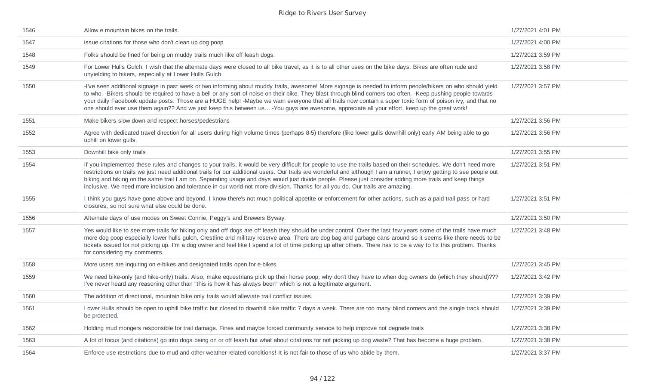| 1546 | Allow e mountain bikes on the trails.                                                                                                                                                                                                                                                                                                                                                                                                                                                                                                                                                                                                       | 1/27/2021 4:01 PM |
|------|---------------------------------------------------------------------------------------------------------------------------------------------------------------------------------------------------------------------------------------------------------------------------------------------------------------------------------------------------------------------------------------------------------------------------------------------------------------------------------------------------------------------------------------------------------------------------------------------------------------------------------------------|-------------------|
| 1547 | issue citations for those who don't clean up dog poop                                                                                                                                                                                                                                                                                                                                                                                                                                                                                                                                                                                       | 1/27/2021 4:00 PM |
| 1548 | Folks should be fined for being on muddy trails much like off leash dogs.                                                                                                                                                                                                                                                                                                                                                                                                                                                                                                                                                                   | 1/27/2021 3:59 PM |
| 1549 | For Lower Hulls Gulch, I wish that the alternate days were closed to all bike travel, as it is to all other uses on the bike days. Bikes are often rude and<br>unyielding to hikers, especially at Lower Hulls Gulch.                                                                                                                                                                                                                                                                                                                                                                                                                       | 1/27/2021 3:58 PM |
| 1550 | -I've seen additional signage in past week or two informing about muddy trails, awesome! More signage is needed to inform people/bikers on who should yield<br>to who. -Bikers should be required to have a bell or any sort of noise on their bike. They blast through blind corners too often. -Keep pushing people towards<br>your daily Facebook update posts. Those are a HUGE help! -Maybe we warn everyone that all trails now contain a super toxic form of poison ivy, and that no<br>one should ever use them again?? And we just keep this between us -You guys are awesome, appreciate all your effort, keep up the great work! | 1/27/2021 3:57 PM |
| 1551 | Make bikers slow down and respect horses/pedestrians                                                                                                                                                                                                                                                                                                                                                                                                                                                                                                                                                                                        | 1/27/2021 3:56 PM |
| 1552 | Agree with dedicated travel direction for all users during high volume times (perhaps 8-5) therefore (like lower gulls downhill only) early AM being able to go<br>uphill on lower gulls.                                                                                                                                                                                                                                                                                                                                                                                                                                                   | 1/27/2021 3:56 PM |
| 1553 | Downhill bike only trails                                                                                                                                                                                                                                                                                                                                                                                                                                                                                                                                                                                                                   | 1/27/2021 3:55 PM |
| 1554 | If you implemented these rules and changes to your trails, it would be very difficult for people to use the trails based on their schedules. We don't need more<br>restrictions on trails we just need additional trails for our additional users. Our trails are wonderful and although I am a runner, I enjoy getting to see people out<br>biking and hiking on the same trail I am on. Separating usage and days would just divide people. Please just consider adding more trails and keep things<br>inclusive. We need more inclusion and tolerance in our world not more division. Thanks for all you do. Our trails are amazing.     | 1/27/2021 3:51 PM |
| 1555 | I think you guys have gone above and beyond. I know there's not much political appetite or enforcement for other actions, such as a paid trail pass or hard<br>closures, so not sure what else could be done.                                                                                                                                                                                                                                                                                                                                                                                                                               | 1/27/2021 3:51 PM |
| 1556 | Alternate days of use modes on Sweet Connie, Peggy's and Brewers Byway.                                                                                                                                                                                                                                                                                                                                                                                                                                                                                                                                                                     | 1/27/2021 3:50 PM |
| 1557 | Yes would like to see more trails for hiking only and off dogs are off leash they should be under control. Over the last few years some of the trails have much<br>more dog poop especially lower hulls gulch, Crestline and military reserve area. There are dog bag and garbage cans around so it seems like there needs to be<br>tickets issued for not picking up. I'm a dog owner and feel like I spend a lot of time picking up after others. There has to be a way to fix this problem. Thanks<br>for considering my comments.                                                                                                       | 1/27/2021 3:48 PM |
| 1558 | More users are inquiring on e-bikes and designated trails open for e-bikes                                                                                                                                                                                                                                                                                                                                                                                                                                                                                                                                                                  | 1/27/2021 3:45 PM |
| 1559 | We need bike-only (and hike-only) trails. Also, make equestrians pick up their horse poop; why don't they have to when dog owners do (which they should)???<br>I've never heard any reasoning other than "this is how it has always been" which is not a legitimate argument.                                                                                                                                                                                                                                                                                                                                                               | 1/27/2021 3:42 PM |
| 1560 | The addition of directional, mountain bike only trails would alleviate trail conflict issues.                                                                                                                                                                                                                                                                                                                                                                                                                                                                                                                                               | 1/27/2021 3:39 PM |
| 1561 | Lower Hulls should be open to uphill bike traffic but closed to downhill bike traffic 7 days a week. There are too many blind corners and the single track should<br>be protected.                                                                                                                                                                                                                                                                                                                                                                                                                                                          | 1/27/2021 3:39 PM |
| 1562 | Holding mud mongers responsible for trail damage. Fines and maybe forced community service to help improve not degrade trails                                                                                                                                                                                                                                                                                                                                                                                                                                                                                                               | 1/27/2021 3:38 PM |
| 1563 | A lot of focus (and citations) go into dogs being on or off leash but what about citations for not picking up dog waste? That has become a huge problem.                                                                                                                                                                                                                                                                                                                                                                                                                                                                                    | 1/27/2021 3:38 PM |
| 1564 | Enforce use restrictions due to mud and other weather-related conditions! It is not fair to those of us who abide by them.                                                                                                                                                                                                                                                                                                                                                                                                                                                                                                                  | 1/27/2021 3:37 PM |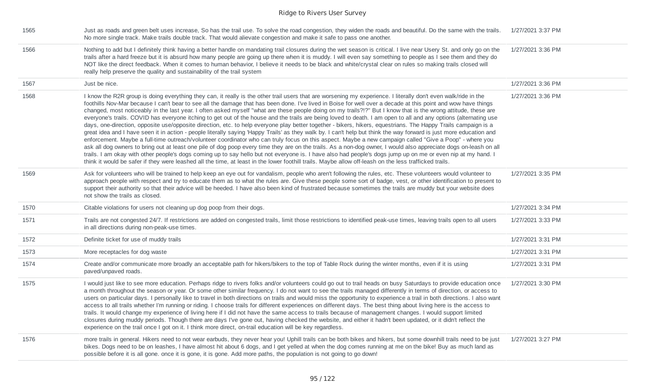| 1565 | Just as roads and green belt uses increase, So has the trail use. To solve the road congestion, they widen the roads and beautiful. Do the same with the trails.<br>No more single track. Make trails double track. That would alievate congestion and make it safe to pass one another.                                                                                                                                                                                                                                                                                                                                                                                                                                                                                                                                                                                                                                                                                                                                                                                                                                                                                                                                                                                                                                                                                                                                                                                                                                                                                                                                                                                  | 1/27/2021 3:37 PM |
|------|---------------------------------------------------------------------------------------------------------------------------------------------------------------------------------------------------------------------------------------------------------------------------------------------------------------------------------------------------------------------------------------------------------------------------------------------------------------------------------------------------------------------------------------------------------------------------------------------------------------------------------------------------------------------------------------------------------------------------------------------------------------------------------------------------------------------------------------------------------------------------------------------------------------------------------------------------------------------------------------------------------------------------------------------------------------------------------------------------------------------------------------------------------------------------------------------------------------------------------------------------------------------------------------------------------------------------------------------------------------------------------------------------------------------------------------------------------------------------------------------------------------------------------------------------------------------------------------------------------------------------------------------------------------------------|-------------------|
| 1566 | Nothing to add but I definitely think having a better handle on mandating trail closures during the wet season is critical. I live near Usery St. and only go on the<br>trails after a hard freeze but it is absurd how many people are going up there when it is muddy. I will even say something to people as I see them and they do<br>NOT like the direct feedback. When it comes to human behavior, I believe it needs to be black and white/crystal clear on rules so making trails closed will<br>really help preserve the quality and sustainability of the trail system                                                                                                                                                                                                                                                                                                                                                                                                                                                                                                                                                                                                                                                                                                                                                                                                                                                                                                                                                                                                                                                                                          | 1/27/2021 3:36 PM |
| 1567 | Just be nice.                                                                                                                                                                                                                                                                                                                                                                                                                                                                                                                                                                                                                                                                                                                                                                                                                                                                                                                                                                                                                                                                                                                                                                                                                                                                                                                                                                                                                                                                                                                                                                                                                                                             | 1/27/2021 3:36 PM |
| 1568 | I know the R2R group is doing everything they can, it really is the other trail users that are worsening my experience. I literally don't even walk/ride in the<br>foothills Nov-Mar because I can't bear to see all the damage that has been done. I've lived in Boise for well over a decade at this point and wow have things<br>changed, most noticeably in the last year. I often asked myself "what are these people doing on my trails?!?" But I know that is the wrong attitude, these are<br>everyone's trails. COVID has everyone itching to get out of the house and the trails are being loved to death. I am open to all and any options (alternating use<br>days, one-direction, opposite use/opposite direction, etc. to help everyone play better together - bikers, hikers, equestrians. The Happy Trails campaign is a<br>great idea and I have seen it in action - people literally saying 'Happy Trails' as they walk by. I can't help but think the way forward is just more education and<br>enforcement. Maybe a full-time outreach/volunteer coordinator who can truly focus on this aspect. Maybe a new campaign called "Give a Poop" - where you<br>ask all dog owners to bring out at least one pile of dog poop every time they are on the trails. As a non-dog owner, I would also appreciate dogs on-leash on all<br>trails. I am okay with other people's dogs coming up to say hello but not everyone is. I have also had people's dogs jump up on me or even nip at my hand. I<br>think it would be safer if they were leashed all the time, at least in the lower foothill trails. Maybe allow off-leash on the less trafficked trails. | 1/27/2021 3:36 PM |
| 1569 | Ask for volunteers who will be trained to help keep an eye out for vandalism, people who aren't following the rules, etc. These volunteers would volunteer to<br>approach people with respect and try to educate them as to what the rules are. Give these people some sort of badge, vest, or other identification to present to<br>support their authority so that their advice will be heeded. I have also been kind of frustrated because sometimes the trails are muddy but your website does<br>not show the trails as closed.                                                                                                                                                                                                                                                                                                                                                                                                                                                                                                                                                                                                                                                                                                                                                                                                                                                                                                                                                                                                                                                                                                                                      | 1/27/2021 3:35 PM |
| 1570 | Citable violations for users not cleaning up dog poop from their dogs.                                                                                                                                                                                                                                                                                                                                                                                                                                                                                                                                                                                                                                                                                                                                                                                                                                                                                                                                                                                                                                                                                                                                                                                                                                                                                                                                                                                                                                                                                                                                                                                                    | 1/27/2021 3:34 PM |
| 1571 | Trails are not congested 24/7. If restrictions are added on congested trails, limit those restrictions to identified peak-use times, leaving trails open to all users<br>in all directions during non-peak-use times.                                                                                                                                                                                                                                                                                                                                                                                                                                                                                                                                                                                                                                                                                                                                                                                                                                                                                                                                                                                                                                                                                                                                                                                                                                                                                                                                                                                                                                                     | 1/27/2021 3:33 PM |
| 1572 | Definite ticket for use of muddy trails                                                                                                                                                                                                                                                                                                                                                                                                                                                                                                                                                                                                                                                                                                                                                                                                                                                                                                                                                                                                                                                                                                                                                                                                                                                                                                                                                                                                                                                                                                                                                                                                                                   | 1/27/2021 3:31 PM |
| 1573 | More receptacles for dog waste                                                                                                                                                                                                                                                                                                                                                                                                                                                                                                                                                                                                                                                                                                                                                                                                                                                                                                                                                                                                                                                                                                                                                                                                                                                                                                                                                                                                                                                                                                                                                                                                                                            | 1/27/2021 3:31 PM |
| 1574 | Create and/or communicate more broadly an acceptable path for hikers/bikers to the top of Table Rock during the winter months, even if it is using<br>paved/unpaved roads.                                                                                                                                                                                                                                                                                                                                                                                                                                                                                                                                                                                                                                                                                                                                                                                                                                                                                                                                                                                                                                                                                                                                                                                                                                                                                                                                                                                                                                                                                                | 1/27/2021 3:31 PM |
| 1575 | I would just like to see more education. Perhaps ridge to rivers folks and/or volunteers could go out to trail heads on busy Saturdays to provide education once<br>a month throughout the season or year. Or some other similar frequency. I do not want to see the trails managed differently in terms of direction, or access to<br>users on particular days. I personally like to travel in both directions on trails and would miss the opportunity to experience a trail in both directions. I also want<br>access to all trails whether I'm running or riding. I choose trails for different experiences on different days. The best thing about living here is the access to<br>trails. It would change my experience of living here if I did not have the same access to trails because of management changes. I would support limited<br>closures during muddy periods. Though there are days I've gone out, having checked the website, and either it hadn't been updated, or it didn't reflect the<br>experience on the trail once I got on it. I think more direct, on-trail education will be key regardless.                                                                                                                                                                                                                                                                                                                                                                                                                                                                                                                                               | 1/27/2021 3:30 PM |
| 1576 | more trails in general. Hikers need to not wear earbuds, they never hear you! Uphill trails can be both bikes and hikers, but some downhill trails need to be just<br>bikes. Dogs need to be on leashes, I have almost hit about 6 dogs, and I get yelled at when the dog comes running at me on the bike! Buy as much land as<br>possible before it is all gone. once it is gone, it is gone. Add more paths, the population is not going to go down!                                                                                                                                                                                                                                                                                                                                                                                                                                                                                                                                                                                                                                                                                                                                                                                                                                                                                                                                                                                                                                                                                                                                                                                                                    | 1/27/2021 3:27 PM |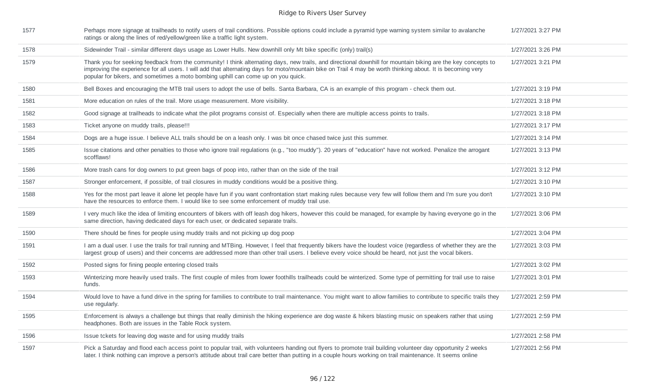| 1577 | Perhaps more signage at trailheads to notify users of trail conditions. Possible options could include a pyramid type warning system similar to avalanche<br>ratings or along the lines of red/yellow/green like a traffic light system.                                                                                                                                                                          | 1/27/2021 3:27 PM |
|------|-------------------------------------------------------------------------------------------------------------------------------------------------------------------------------------------------------------------------------------------------------------------------------------------------------------------------------------------------------------------------------------------------------------------|-------------------|
| 1578 | Sidewinder Trail - similar different days usage as Lower Hulls. New downhill only Mt bike specific (only) trail(s)                                                                                                                                                                                                                                                                                                | 1/27/2021 3:26 PM |
| 1579 | Thank you for seeking feedback from the community! I think alternating days, new trails, and directional downhill for mountain biking are the key concepts to<br>improving the experience for all users. I will add that alternating days for moto/mountain bike on Trail 4 may be worth thinking about. It is becoming very<br>popular for bikers, and sometimes a moto bombing uphill can come up on you quick. | 1/27/2021 3:21 PM |
| 1580 | Bell Boxes and encouraging the MTB trail users to adopt the use of bells. Santa Barbara, CA is an example of this program - check them out.                                                                                                                                                                                                                                                                       | 1/27/2021 3:19 PM |
| 1581 | More education on rules of the trail. More usage measurement. More visibility.                                                                                                                                                                                                                                                                                                                                    | 1/27/2021 3:18 PM |
| 1582 | Good signage at trailheads to indicate what the pilot programs consist of. Especially when there are multiple access points to trails.                                                                                                                                                                                                                                                                            | 1/27/2021 3:18 PM |
| 1583 | Ticket anyone on muddy trails, please!!!                                                                                                                                                                                                                                                                                                                                                                          | 1/27/2021 3:17 PM |
| 1584 | Dogs are a huge issue. I believe ALL trails should be on a leash only. I was bit once chased twice just this summer.                                                                                                                                                                                                                                                                                              | 1/27/2021 3:14 PM |
| 1585 | Issue citations and other penalties to those who ignore trail regulations (e.g., "too muddy"). 20 years of "education" have not worked. Penalize the arrogant<br>scofflaws!                                                                                                                                                                                                                                       | 1/27/2021 3:13 PM |
| 1586 | More trash cans for dog owners to put green bags of poop into, rather than on the side of the trail                                                                                                                                                                                                                                                                                                               | 1/27/2021 3:12 PM |
| 1587 | Stronger enforcement, if possible, of trail closures in muddy conditions would be a positive thing.                                                                                                                                                                                                                                                                                                               | 1/27/2021 3:10 PM |
| 1588 | Yes for the most part leave it alone let people have fun if you want confrontation start making rules because very few will follow them and I'm sure you don't<br>have the resources to enforce them. I would like to see some enforcement of muddy trail use.                                                                                                                                                    | 1/27/2021 3:10 PM |
| 1589 | I very much like the idea of limiting encounters of bikers with off leash dog hikers, however this could be managed, for example by having everyone go in the<br>same direction, having dedicated days for each user, or dedicated separate trails.                                                                                                                                                               | 1/27/2021 3:06 PM |
| 1590 | There should be fines for people using muddy trails and not picking up dog poop                                                                                                                                                                                                                                                                                                                                   | 1/27/2021 3:04 PM |
| 1591 | I am a dual user. I use the trails for trail running and MTBing. However, I feel that frequently bikers have the loudest voice (regardless of whether they are the<br>largest group of users) and their concerns are addressed more than other trail users. I believe every voice should be heard, not just the vocal bikers.                                                                                     | 1/27/2021 3:03 PM |
| 1592 | Posted signs for fining people entering closed trails                                                                                                                                                                                                                                                                                                                                                             | 1/27/2021 3:02 PM |
| 1593 | Winterizing more heavily used trails. The first couple of miles from lower foothills trailheads could be winterized. Some type of permitting for trail use to raise<br>funds.                                                                                                                                                                                                                                     | 1/27/2021 3:01 PM |
| 1594 | Would love to have a fund drive in the spring for families to contribute to trail maintenance. You might want to allow families to contribute to specific trails they<br>use regularly.                                                                                                                                                                                                                           | 1/27/2021 2:59 PM |
| 1595 | Enforcement is always a challenge but things that really diminish the hiking experience are dog waste & hikers blasting music on speakers rather that using<br>headphones. Both are issues in the Table Rock system.                                                                                                                                                                                              | 1/27/2021 2:59 PM |
| 1596 | Issue tckets for leaving dog waste and for using muddy trails                                                                                                                                                                                                                                                                                                                                                     | 1/27/2021 2:58 PM |
| 1597 | Pick a Saturday and flood each access point to popular trail, with volunteers handing out flyers to promote trail building volunteer day opportunity 2 weeks<br>later. I think nothing can improve a person's attitude about trail care better than putting in a couple hours working on trail maintenance. It seems online                                                                                       | 1/27/2021 2:56 PM |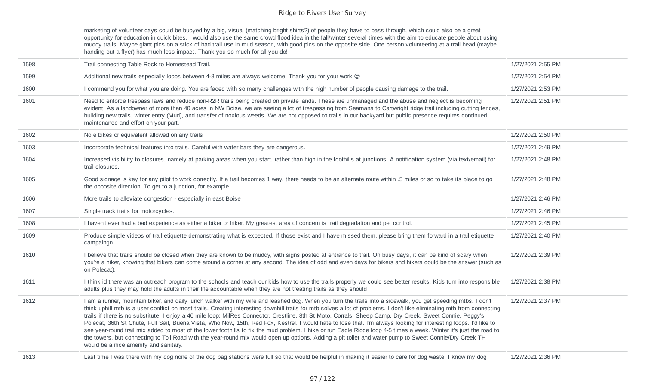marketing of volunteer days could be buoyed by a big, visual (matching bright shirts?) of people they have to pass through, which could also be a great opportunity for education in quick bites. I would also use the same crowd flood idea in the fall/winter several times with the aim to educate people about using muddy trails. Maybe giant pics on a stick of bad trail use in mud season, with good pics on the opposite side. One person volunteering at a trail head (maybe handing out a flyer) has much less impact. Thank you so much for all you do!

| 1598 | Trail connecting Table Rock to Homestead Trail.                                                                                                                                                                                                                                                                                                                                                                                                                                                                                                                                                                                                                                                                                                                                                                                                                                                                                                                                                                                                      | 1/27/2021 2:55 PM |
|------|------------------------------------------------------------------------------------------------------------------------------------------------------------------------------------------------------------------------------------------------------------------------------------------------------------------------------------------------------------------------------------------------------------------------------------------------------------------------------------------------------------------------------------------------------------------------------------------------------------------------------------------------------------------------------------------------------------------------------------------------------------------------------------------------------------------------------------------------------------------------------------------------------------------------------------------------------------------------------------------------------------------------------------------------------|-------------------|
| 1599 | Additional new trails especially loops between 4-8 miles are always welcome! Thank you for your work ©                                                                                                                                                                                                                                                                                                                                                                                                                                                                                                                                                                                                                                                                                                                                                                                                                                                                                                                                               | 1/27/2021 2:54 PM |
| 1600 | I commend you for what you are doing. You are faced with so many challenges with the high number of people causing damage to the trail.                                                                                                                                                                                                                                                                                                                                                                                                                                                                                                                                                                                                                                                                                                                                                                                                                                                                                                              | 1/27/2021 2:53 PM |
| 1601 | Need to enforce trespass laws and reduce non-R2R trails being created on private lands. These are unmanaged and the abuse and neglect is becoming<br>evident. As a landowner of more than 40 acres in NW Boise, we are seeing a lot of trespassing from Seamans to Cartwright ridge trail including cutting fences,<br>building new trails, winter entry (Mud), and transfer of noxious weeds. We are not opposed to trails in our backyard but public presence requires continued<br>maintenance and effort on your part.                                                                                                                                                                                                                                                                                                                                                                                                                                                                                                                           | 1/27/2021 2:51 PM |
| 1602 | No e bikes or equivalent allowed on any trails                                                                                                                                                                                                                                                                                                                                                                                                                                                                                                                                                                                                                                                                                                                                                                                                                                                                                                                                                                                                       | 1/27/2021 2:50 PM |
| 1603 | Incorporate technical features into trails. Careful with water bars they are dangerous.                                                                                                                                                                                                                                                                                                                                                                                                                                                                                                                                                                                                                                                                                                                                                                                                                                                                                                                                                              | 1/27/2021 2:49 PM |
| 1604 | Increased visibility to closures, namely at parking areas when you start, rather than high in the foothills at junctions. A notification system (via text/email) for<br>trail closures.                                                                                                                                                                                                                                                                                                                                                                                                                                                                                                                                                                                                                                                                                                                                                                                                                                                              | 1/27/2021 2:48 PM |
| 1605 | Good signage is key for any pilot to work correctly. If a trail becomes 1 way, there needs to be an alternate route within .5 miles or so to take its place to go<br>the opposite direction. To get to a junction, for example                                                                                                                                                                                                                                                                                                                                                                                                                                                                                                                                                                                                                                                                                                                                                                                                                       | 1/27/2021 2:48 PM |
| 1606 | More trails to alleviate congestion - especially in east Boise                                                                                                                                                                                                                                                                                                                                                                                                                                                                                                                                                                                                                                                                                                                                                                                                                                                                                                                                                                                       | 1/27/2021 2:46 PM |
| 1607 | Single track trails for motorcycles.                                                                                                                                                                                                                                                                                                                                                                                                                                                                                                                                                                                                                                                                                                                                                                                                                                                                                                                                                                                                                 | 1/27/2021 2:46 PM |
| 1608 | I haven't ever had a bad experience as either a biker or hiker. My greatest area of concern is trail degradation and pet control.                                                                                                                                                                                                                                                                                                                                                                                                                                                                                                                                                                                                                                                                                                                                                                                                                                                                                                                    | 1/27/2021 2:45 PM |
| 1609 | Produce simple videos of trail etiquette demonstrating what is expected. If those exist and I have missed them, please bring them forward in a trail etiquette<br>campaingn.                                                                                                                                                                                                                                                                                                                                                                                                                                                                                                                                                                                                                                                                                                                                                                                                                                                                         | 1/27/2021 2:40 PM |
| 1610 | I believe that trails should be closed when they are known to be muddy, with signs posted at entrance to trail. On busy days, it can be kind of scary when<br>you're a hiker, knowing that bikers can come around a corner at any second. The idea of odd and even days for bikers and hikers could be the answer (such as<br>on Polecat).                                                                                                                                                                                                                                                                                                                                                                                                                                                                                                                                                                                                                                                                                                           | 1/27/2021 2:39 PM |
| 1611 | I think id there was an outreach program to the schools and teach our kids how to use the trails properly we could see better results. Kids turn into responsible<br>adults plus they may hold the adults in their life accountable when they are not treating trails as they should                                                                                                                                                                                                                                                                                                                                                                                                                                                                                                                                                                                                                                                                                                                                                                 | 1/27/2021 2:38 PM |
| 1612 | I am a runner, mountain biker, and daily lunch walker with my wife and leashed dog. When you turn the trails into a sidewalk, you get speeding mtbs. I don't<br>think uphill mtb is a user conflict on most trails. Creating interesting downhill trails for mtb solves a lot of problems. I don't like eliminating mtb from connecting<br>trails if there is no substitute. I enjoy a 40 mile loop: MilRes Connector, Crestline, 8th St Moto, Corrals, Sheep Camp, Dry Creek, Sweet Connie, Peggy's,<br>Polecat, 36th St Chute, Full Sail, Buena Vista, Who Now, 15th, Red Fox, Kestrel. I would hate to lose that. I'm always looking for interesting loops. I'd like to<br>see year-round trail mix added to most of the lower foothills to fix the mud problem. I hike or run Eagle Ridge loop 4-5 times a week. Winter it's just the road to<br>the towers, but connecting to Toll Road with the year-round mix would open up options. Adding a pit toilet and water pump to Sweet Connie/Dry Creek TH<br>would be a nice amenity and sanitary. | 1/27/2021 2:37 PM |
| 1613 | Last time I was there with my dog none of the dog bag stations were full so that would be helpful in making it easier to care for dog waste. I know my dog                                                                                                                                                                                                                                                                                                                                                                                                                                                                                                                                                                                                                                                                                                                                                                                                                                                                                           | 1/27/2021 2:36 PM |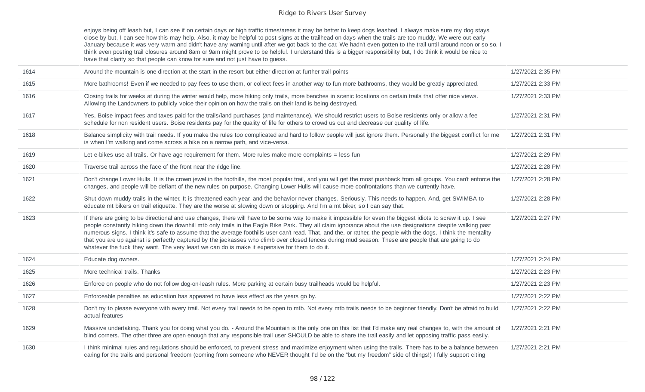enjoys being off leash but, I can see if on certain days or high traffic times/areas it may be better to keep dogs leashed. I always make sure my dog stays close by but, I can see how this may help. Also, it may be helpful to post signs at the trailhead on days when the trails are too muddy. We were out early January because it was very warm and didn't have any warning until after we got back to the car. We hadn't even gotten to the trail until around noon or so so, I think even posting trail closures around 8am or 9am might prove to be helpful. I understand this is a bigger responsibility but, I do think it would be nice to have that clarity so that people can know for sure and not just have to guess.

| 1614 | Around the mountain is one direction at the start in the resort but either direction at further trail points                                                                                                                                                                                                                                                                                                                                                                                                                                                                                                                                                                                                                                              | 1/27/2021 2:35 PM |
|------|-----------------------------------------------------------------------------------------------------------------------------------------------------------------------------------------------------------------------------------------------------------------------------------------------------------------------------------------------------------------------------------------------------------------------------------------------------------------------------------------------------------------------------------------------------------------------------------------------------------------------------------------------------------------------------------------------------------------------------------------------------------|-------------------|
| 1615 | More bathrooms! Even if we needed to pay fees to use them, or collect fees in another way to fun more bathrooms, they would be greatly appreciated.                                                                                                                                                                                                                                                                                                                                                                                                                                                                                                                                                                                                       | 1/27/2021 2:33 PM |
| 1616 | Closing trails for weeks at during the winter would help, more hiking only trails, more benches in scenic locations on certain trails that offer nice views.<br>Allowing the Landowners to publicly voice their opinion on how the trails on their land is being destroyed.                                                                                                                                                                                                                                                                                                                                                                                                                                                                               | 1/27/2021 2:33 PM |
| 1617 | Yes, Boise impact fees and taxes paid for the trails/land purchases (and maintenance). We should restrict users to Boise residents only or allow a fee<br>schedule for non resident users. Boise residents pay for the quality of life for others to crowd us out and decrease our quality of life.                                                                                                                                                                                                                                                                                                                                                                                                                                                       | 1/27/2021 2:31 PM |
| 1618 | Balance simplicity with trail needs. If you make the rules too complicated and hard to follow people will just ignore them. Personally the biggest conflict for me<br>is when I'm walking and come across a bike on a narrow path, and vice-versa.                                                                                                                                                                                                                                                                                                                                                                                                                                                                                                        | 1/27/2021 2:31 PM |
| 1619 | Let e-bikes use all trails. Or have age requirement for them. More rules make more complaints = less fun                                                                                                                                                                                                                                                                                                                                                                                                                                                                                                                                                                                                                                                  | 1/27/2021 2:29 PM |
| 1620 | Traverse trail across the face of the front near the ridge line.                                                                                                                                                                                                                                                                                                                                                                                                                                                                                                                                                                                                                                                                                          | 1/27/2021 2:28 PM |
| 1621 | Don't change Lower Hulls. It is the crown jewel in the foothills, the most popular trail, and you will get the most pushback from all groups. You can't enforce the<br>changes, and people will be defiant of the new rules on purpose. Changing Lower Hulls will cause more confrontations than we currently have.                                                                                                                                                                                                                                                                                                                                                                                                                                       | 1/27/2021 2:28 PM |
| 1622 | Shut down muddy trails in the winter. It is threatened each year, and the behavior never changes. Seriously. This needs to happen. And, get SWIMBA to<br>educate mt bikers on trail etiquette. They are the worse at slowing down or stopping. And I'm a mt biker, so I can say that.                                                                                                                                                                                                                                                                                                                                                                                                                                                                     | 1/27/2021 2:28 PM |
| 1623 | If there are going to be directional and use changes, there will have to be some way to make it impossible for even the biggest idiots to screw it up. I see<br>people constantly hiking down the downhill mtb only trails in the Eagle Bike Park. They all claim ignorance about the use designations despite walking past<br>numerous signs. I think it's safe to assume that the average foothills user can't read. That, and the, or rather, the people with the dogs. I think the mentality<br>that you are up against is perfectly captured by the jackasses who climb over closed fences during mud season. These are people that are going to do<br>whatever the fuck they want. The very least we can do is make it expensive for them to do it. | 1/27/2021 2:27 PM |
| 1624 | Educate dog owners.                                                                                                                                                                                                                                                                                                                                                                                                                                                                                                                                                                                                                                                                                                                                       | 1/27/2021 2:24 PM |
| 1625 | More technical trails. Thanks                                                                                                                                                                                                                                                                                                                                                                                                                                                                                                                                                                                                                                                                                                                             | 1/27/2021 2:23 PM |
| 1626 | Enforce on people who do not follow dog-on-leash rules. More parking at certain busy trailheads would be helpful.                                                                                                                                                                                                                                                                                                                                                                                                                                                                                                                                                                                                                                         | 1/27/2021 2:23 PM |
| 1627 | Enforceable penalties as education has appeared to have less effect as the years go by.                                                                                                                                                                                                                                                                                                                                                                                                                                                                                                                                                                                                                                                                   | 1/27/2021 2:22 PM |
| 1628 | Don't try to please everyone with every trail. Not every trail needs to be open to mtb. Not every mtb trails needs to be beginner friendly. Don't be afraid to build<br>actual features                                                                                                                                                                                                                                                                                                                                                                                                                                                                                                                                                                   | 1/27/2021 2:22 PM |
| 1629 | Massive undertaking. Thank you for doing what you do. - Around the Mountain is the only one on this list that I'd make any real changes to, with the amount of<br>blind corners. The other three are open enough that any responsible trail user SHOULD be able to share the trail easily and let opposing traffic pass easily.                                                                                                                                                                                                                                                                                                                                                                                                                           | 1/27/2021 2:21 PM |
| 1630 | I think minimal rules and regulations should be enforced, to prevent stress and maximize enjoyment when using the trails. There has to be a balance between<br>caring for the trails and personal freedom (coming from someone who NEVER thought I'd be on the "but my freedom" side of things!) I fully support citing                                                                                                                                                                                                                                                                                                                                                                                                                                   | 1/27/2021 2:21 PM |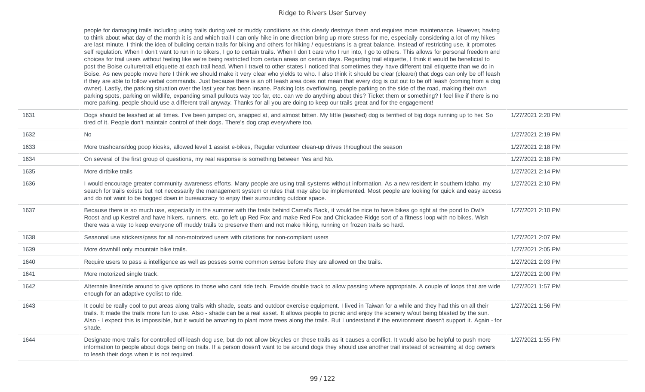|      | people for damaging trails including using trails during wet or muddy conditions as this clearly destroys them and requires more maintenance. However, having<br>to think about what day of the month it is and which trail I can only hike in one direction bring up more stress for me, especially considering a lot of my hikes<br>are last minute. I think the idea of building certain trails for biking and others for hiking / equestrians is a great balance. Instead of restricting use, it promotes<br>self regulation. When I don't want to run in to bikers, I go to certain trails. When I don't care who I run into, I go to others. This allows for personal freedom and<br>choices for trail users without feeling like we're being restricted from certain areas on certain days. Regarding trail etiquette, I think it would be beneficial to<br>post the Boise culture/trail etiquette at each trail head. When I travel to other states I noticed that sometimes they have different trail etiquette than we do in<br>Boise. As new people move here I think we should make it very clear who yields to who. I also think it should be clear (clearer) that dogs can only be off leash<br>if they are able to follow verbal commands. Just because there is an off leash area does not mean that every dog is cut out to be off leash (coming from a dog<br>owner). Lastly, the parking situation over the last year has been insane. Parking lots overflowing, people parking on the side of the road, making their own<br>parking spots, parking on wildlife, expanding small pullouts way too far, etc. can we do anything about this? Ticket them or something? I feel like if there is no<br>more parking, people should use a different trail anyway. Thanks for all you are doing to keep our trails great and for the engagement! |                   |
|------|---------------------------------------------------------------------------------------------------------------------------------------------------------------------------------------------------------------------------------------------------------------------------------------------------------------------------------------------------------------------------------------------------------------------------------------------------------------------------------------------------------------------------------------------------------------------------------------------------------------------------------------------------------------------------------------------------------------------------------------------------------------------------------------------------------------------------------------------------------------------------------------------------------------------------------------------------------------------------------------------------------------------------------------------------------------------------------------------------------------------------------------------------------------------------------------------------------------------------------------------------------------------------------------------------------------------------------------------------------------------------------------------------------------------------------------------------------------------------------------------------------------------------------------------------------------------------------------------------------------------------------------------------------------------------------------------------------------------------------------------------------------------------------------------------------------------------------------------------------------|-------------------|
| 1631 | Dogs should be leashed at all times. I've been jumped on, snapped at, and almost bitten. My little (leashed) dog is terrified of big dogs running up to her. So<br>tired of it. People don't maintain control of their dogs. There's dog crap everywhere too.                                                                                                                                                                                                                                                                                                                                                                                                                                                                                                                                                                                                                                                                                                                                                                                                                                                                                                                                                                                                                                                                                                                                                                                                                                                                                                                                                                                                                                                                                                                                                                                                 | 1/27/2021 2:20 PM |
| 1632 | No                                                                                                                                                                                                                                                                                                                                                                                                                                                                                                                                                                                                                                                                                                                                                                                                                                                                                                                                                                                                                                                                                                                                                                                                                                                                                                                                                                                                                                                                                                                                                                                                                                                                                                                                                                                                                                                            | 1/27/2021 2:19 PM |
| 1633 | More trashcans/dog poop kiosks, allowed level 1 assist e-bikes, Regular volunteer clean-up drives throughout the season                                                                                                                                                                                                                                                                                                                                                                                                                                                                                                                                                                                                                                                                                                                                                                                                                                                                                                                                                                                                                                                                                                                                                                                                                                                                                                                                                                                                                                                                                                                                                                                                                                                                                                                                       | 1/27/2021 2:18 PM |
| 1634 | On several of the first group of questions, my real response is something between Yes and No.                                                                                                                                                                                                                                                                                                                                                                                                                                                                                                                                                                                                                                                                                                                                                                                                                                                                                                                                                                                                                                                                                                                                                                                                                                                                                                                                                                                                                                                                                                                                                                                                                                                                                                                                                                 | 1/27/2021 2:18 PM |
| 1635 | More dirtbike trails                                                                                                                                                                                                                                                                                                                                                                                                                                                                                                                                                                                                                                                                                                                                                                                                                                                                                                                                                                                                                                                                                                                                                                                                                                                                                                                                                                                                                                                                                                                                                                                                                                                                                                                                                                                                                                          | 1/27/2021 2:14 PM |
| 1636 | I would encourage greater community awareness efforts. Many people are using trail systems without information. As a new resident in southern Idaho. my<br>search for trails exists but not necessarily the management system or rules that may also be implemented. Most people are looking for quick and easy access<br>and do not want to be bogged down in bureaucracy to enjoy their surrounding outdoor space.                                                                                                                                                                                                                                                                                                                                                                                                                                                                                                                                                                                                                                                                                                                                                                                                                                                                                                                                                                                                                                                                                                                                                                                                                                                                                                                                                                                                                                          | 1/27/2021 2:10 PM |
| 1637 | Because there is so much use, especially in the summer with the trails behind Camel's Back, it would be nice to have bikes go right at the pond to Owl's<br>Roost and up Kestrel and have hikers, runners, etc. go left up Red Fox and make Red Fox and Chickadee Ridge sort of a fitness loop with no bikes. Wish<br>there was a way to keep everyone off muddy trails to preserve them and not make hiking, running on frozen trails so hard.                                                                                                                                                                                                                                                                                                                                                                                                                                                                                                                                                                                                                                                                                                                                                                                                                                                                                                                                                                                                                                                                                                                                                                                                                                                                                                                                                                                                               | 1/27/2021 2:10 PM |
| 1638 | Seasonal use stickers/pass for all non-motorized users with citations for non-compliant users                                                                                                                                                                                                                                                                                                                                                                                                                                                                                                                                                                                                                                                                                                                                                                                                                                                                                                                                                                                                                                                                                                                                                                                                                                                                                                                                                                                                                                                                                                                                                                                                                                                                                                                                                                 | 1/27/2021 2:07 PM |
| 1639 | More downhill only mountain bike trails.                                                                                                                                                                                                                                                                                                                                                                                                                                                                                                                                                                                                                                                                                                                                                                                                                                                                                                                                                                                                                                                                                                                                                                                                                                                                                                                                                                                                                                                                                                                                                                                                                                                                                                                                                                                                                      | 1/27/2021 2:05 PM |
| 1640 | Require users to pass a intelligence as well as posses some common sense before they are allowed on the trails.                                                                                                                                                                                                                                                                                                                                                                                                                                                                                                                                                                                                                                                                                                                                                                                                                                                                                                                                                                                                                                                                                                                                                                                                                                                                                                                                                                                                                                                                                                                                                                                                                                                                                                                                               | 1/27/2021 2:03 PM |
| 1641 | More motorized single track.                                                                                                                                                                                                                                                                                                                                                                                                                                                                                                                                                                                                                                                                                                                                                                                                                                                                                                                                                                                                                                                                                                                                                                                                                                                                                                                                                                                                                                                                                                                                                                                                                                                                                                                                                                                                                                  | 1/27/2021 2:00 PM |
| 1642 | Alternate lines/ride around to give options to those who cant ride tech. Provide double track to allow passing where appropriate. A couple of loops that are wide<br>enough for an adaptive cyclist to ride.                                                                                                                                                                                                                                                                                                                                                                                                                                                                                                                                                                                                                                                                                                                                                                                                                                                                                                                                                                                                                                                                                                                                                                                                                                                                                                                                                                                                                                                                                                                                                                                                                                                  | 1/27/2021 1:57 PM |
| 1643 | It could be really cool to put areas along trails with shade, seats and outdoor exercise equipment. I lived in Taiwan for a while and they had this on all their<br>trails. It made the trails more fun to use. Also - shade can be a real asset. It allows people to picnic and enjoy the scenery w/out being blasted by the sun.<br>Also - I expect this is impossible, but it would be amazing to plant more trees along the trails. But I understand if the environment doesn't support it. Again - for<br>shade.                                                                                                                                                                                                                                                                                                                                                                                                                                                                                                                                                                                                                                                                                                                                                                                                                                                                                                                                                                                                                                                                                                                                                                                                                                                                                                                                         | 1/27/2021 1:56 PM |
| 1644 | Designate more trails for controlled off-leash dog use, but do not allow bicycles on these trails as it causes a conflict. It would also be helpful to push more<br>information to people about dogs being on trails. If a person doesn't want to be around dogs they should use another trail instead of screaming at dog owners<br>to leash their dogs when it is not required.                                                                                                                                                                                                                                                                                                                                                                                                                                                                                                                                                                                                                                                                                                                                                                                                                                                                                                                                                                                                                                                                                                                                                                                                                                                                                                                                                                                                                                                                             | 1/27/2021 1:55 PM |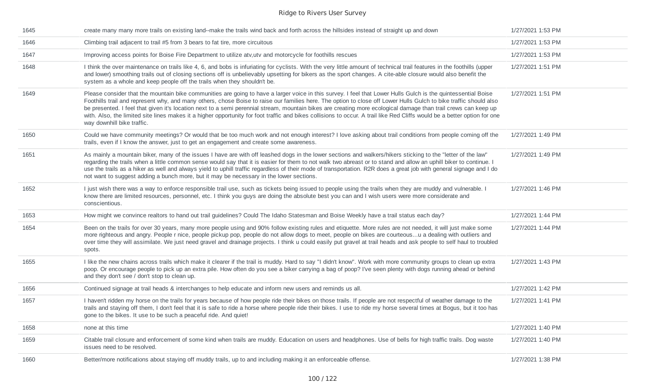| 1645 | create many many more trails on existing land--make the trails wind back and forth across the hillsides instead of straight up and down                                                                                                                                                                                                                                                                                                                                                                                                                                                                                                                                                                         | 1/27/2021 1:53 PM |
|------|-----------------------------------------------------------------------------------------------------------------------------------------------------------------------------------------------------------------------------------------------------------------------------------------------------------------------------------------------------------------------------------------------------------------------------------------------------------------------------------------------------------------------------------------------------------------------------------------------------------------------------------------------------------------------------------------------------------------|-------------------|
| 1646 | Climbing trail adjacent to trail #5 from 3 bears to fat tire, more circuitous                                                                                                                                                                                                                                                                                                                                                                                                                                                                                                                                                                                                                                   | 1/27/2021 1:53 PM |
| 1647 | Improving access points for Boise Fire Department to utilize atv, utv and motorcycle for foothills rescues                                                                                                                                                                                                                                                                                                                                                                                                                                                                                                                                                                                                      | 1/27/2021 1:53 PM |
| 1648 | I think the over maintenance on trails like 4, 6, and bobs is infuriating for cyclists. With the very little amount of technical trail features in the foothills (upper<br>and lower) smoothing trails out of closing sections off is unbelievably upsetting for bikers as the sport changes. A cite-able closure would also benefit the<br>system as a whole and keep people off the trails when they shouldn't be.                                                                                                                                                                                                                                                                                            | 1/27/2021 1:51 PM |
| 1649 | Please consider that the mountain bike communities are going to have a larger voice in this survey. I feel that Lower Hulls Gulch is the quintessential Boise<br>Foothills trail and represent why, and many others, chose Boise to raise our families here. The option to close off Lower Hulls Gulch to bike traffic should also<br>be presented. I feel that given it's location next to a semi perennial stream, mountain bikes are creating more ecological damage than trail crews can keep up<br>with. Also, the limited site lines makes it a higher opportunity for foot traffic and bikes collisions to occur. A trail like Red Cliffs would be a better option for one<br>way downhill bike traffic. | 1/27/2021 1:51 PM |
| 1650 | Could we have community meetings? Or would that be too much work and not enough interest? I love asking about trail conditions from people coming off the<br>trails, even if I know the answer, just to get an engagement and create some awareness.                                                                                                                                                                                                                                                                                                                                                                                                                                                            | 1/27/2021 1:49 PM |
| 1651 | As mainly a mountain biker, many of the issues I have are with off leashed dogs in the lower sections and walkers/hikers sticking to the "letter of the law"<br>regarding the trails when a little common sense would say that it is easier for them to not walk two abreast or to stand and allow an uphill biker to continue. I<br>use the trails as a hiker as well and always yield to uphill traffic regardless of their mode of transportation. R2R does a great job with general signage and I do<br>not want to suggest adding a bunch more, but it may be necessary in the lower sections.                                                                                                             | 1/27/2021 1:49 PM |
| 1652 | I just wish there was a way to enforce responsible trail use, such as tickets being issued to people using the trails when they are muddy and vulnerable. I<br>know there are limited resources, personnel, etc. I think you guys are doing the absolute best you can and I wish users were more considerate and<br>conscientious.                                                                                                                                                                                                                                                                                                                                                                              | 1/27/2021 1:46 PM |
| 1653 | How might we convince realtors to hand out trail guidelines? Could The Idaho Statesman and Boise Weekly have a trail status each day?                                                                                                                                                                                                                                                                                                                                                                                                                                                                                                                                                                           | 1/27/2021 1:44 PM |
| 1654 | Been on the trails for over 30 years, many more people using and 90% follow existing rules and etiquette. More rules are not needed, it will just make some<br>more righteous and angry. People r nice, people pickup pop, people do not allow dogs to meet, people on bikes are courteousu a dealing with outliers and<br>over time they will assimilate. We just need gravel and drainage projects. I think u could easily put gravel at trail heads and ask people to self haul to troubled<br>spots.                                                                                                                                                                                                        | 1/27/2021 1:44 PM |
| 1655 | I like the new chains across trails which make it clearer if the trail is muddy. Hard to say "I didn't know". Work with more community groups to clean up extra<br>poop. Or encourage people to pick up an extra pile. How often do you see a biker carrying a bag of poop? I've seen plenty with dogs running ahead or behind<br>and they don't see / don't stop to clean up.                                                                                                                                                                                                                                                                                                                                  | 1/27/2021 1:43 PM |
| 1656 | Continued signage at trail heads & interchanges to help educate and inform new users and reminds us all.                                                                                                                                                                                                                                                                                                                                                                                                                                                                                                                                                                                                        | 1/27/2021 1:42 PM |
| 1657 | I haven't ridden my horse on the trails for years because of how people ride their bikes on those trails. If people are not respectful of weather damage to the<br>trails and staying off them, I don't feel that it is safe to ride a horse where people ride their bikes. I use to ride my horse several times at Bogus, but it too has<br>gone to the bikes. It use to be such a peaceful ride. And quiet!                                                                                                                                                                                                                                                                                                   | 1/27/2021 1:41 PM |
| 1658 | none at this time                                                                                                                                                                                                                                                                                                                                                                                                                                                                                                                                                                                                                                                                                               | 1/27/2021 1:40 PM |
| 1659 | Citable trail closure and enforcement of some kind when trails are muddy. Education on users and headphones. Use of bells for high traffic trails. Dog waste<br>issues need to be resolved.                                                                                                                                                                                                                                                                                                                                                                                                                                                                                                                     | 1/27/2021 1:40 PM |
| 1660 | Better/more notifications about staying off muddy trails, up to and including making it an enforceable offense.                                                                                                                                                                                                                                                                                                                                                                                                                                                                                                                                                                                                 | 1/27/2021 1:38 PM |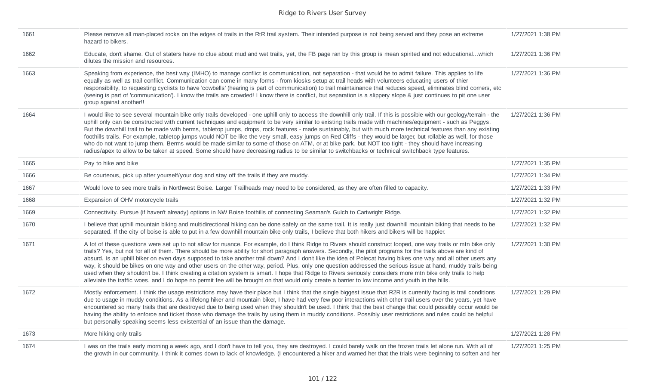| 1661 | Please remove all man-placed rocks on the edges of trails in the RtR trail system. Their intended purpose is not being served and they pose an extreme<br>hazard to bikers.                                                                                                                                                                                                                                                                                                                                                                                                                                                                                                                                                                                                                                                                                                                                                                                                            | 1/27/2021 1:38 PM |
|------|----------------------------------------------------------------------------------------------------------------------------------------------------------------------------------------------------------------------------------------------------------------------------------------------------------------------------------------------------------------------------------------------------------------------------------------------------------------------------------------------------------------------------------------------------------------------------------------------------------------------------------------------------------------------------------------------------------------------------------------------------------------------------------------------------------------------------------------------------------------------------------------------------------------------------------------------------------------------------------------|-------------------|
| 1662 | Educate, don't shame. Out of staters have no clue about mud and wet trails, yet, the FB page ran by this group is mean spirited and not educationalwhich<br>dilutes the mission and resources.                                                                                                                                                                                                                                                                                                                                                                                                                                                                                                                                                                                                                                                                                                                                                                                         | 1/27/2021 1:36 PM |
| 1663 | Speaking from experience, the best way (IMHO) to manage conflict is communication, not separation - that would be to admit failure. This applies to life<br>equally as well as trail conflict. Communication can come in many forms - from kiosks setup at trail heads with volunteers educating users of thier<br>responsibility, to requesting cyclists to have 'cowbells' (hearing is part of communication) to trail maintainance that reduces speed, eliminates blind corners, etc<br>(seeing is part of 'communication'). I know the trails are crowded! I know there is conflict, but separation is a slippery slope & just continues to pit one user<br>group against another!!                                                                                                                                                                                                                                                                                                | 1/27/2021 1:36 PM |
| 1664 | I would like to see several mountain bike only trails developed - one uphill only to access the downhill only trail. If this is possible with our geology/terrain - the<br>uphill only can be constructed with current techniques and equipment to be very similar to existing trails made with machines/equipment - such as Peggys.<br>But the downhill trail to be made with berms, tabletop jumps, drops, rock features - made sustainably, but with much more technical features than any existing<br>foothills trails. For example, tabletop jumps would NOT be like the very small, easy jumps on Red Cliffs - they would be larger, but rollable as well, for those<br>who do not want to jump them. Berms would be made similar to some of those on ATM, or at bike park, but NOT too tight - they should have increasing<br>radius/apex to allow to be taken at speed. Some should have decreasing radius to be similar to switchbacks or technical switchback type features. | 1/27/2021 1:36 PM |
| 1665 | Pay to hike and bike                                                                                                                                                                                                                                                                                                                                                                                                                                                                                                                                                                                                                                                                                                                                                                                                                                                                                                                                                                   | 1/27/2021 1:35 PM |
| 1666 | Be courteous, pick up after yourself/your dog and stay off the trails if they are muddy.                                                                                                                                                                                                                                                                                                                                                                                                                                                                                                                                                                                                                                                                                                                                                                                                                                                                                               | 1/27/2021 1:34 PM |
| 1667 | Would love to see more trails in Northwest Boise. Larger Trailheads may need to be considered, as they are often filled to capacity.                                                                                                                                                                                                                                                                                                                                                                                                                                                                                                                                                                                                                                                                                                                                                                                                                                                   | 1/27/2021 1:33 PM |
| 1668 | Expansion of OHV motorcycle trails                                                                                                                                                                                                                                                                                                                                                                                                                                                                                                                                                                                                                                                                                                                                                                                                                                                                                                                                                     | 1/27/2021 1:32 PM |
| 1669 | Connectivity. Pursue (if haven't already) options in NW Boise foothills of connecting Seaman's Gulch to Cartwright Ridge.                                                                                                                                                                                                                                                                                                                                                                                                                                                                                                                                                                                                                                                                                                                                                                                                                                                              | 1/27/2021 1:32 PM |
| 1670 | I believe that uphill mountain biking and multidirectional hiking can be done safely on the same trail. It is really just downhill mountain biking that needs to be<br>separated. If the city of boise is able to put in a few downhill mountain bike only trails, I believe that both hikers and bikers will be happier.                                                                                                                                                                                                                                                                                                                                                                                                                                                                                                                                                                                                                                                              | 1/27/2021 1:32 PM |
| 1671 | A lot of these questions were set up to not allow for nuance. For example, do I think Ridge to Rivers should construct looped, one way trails or mtn bike only<br>trails? Yes, but not for all of them. There should be more ability for short paragraph answers. Secondly, the pilot programs for the trails above are kind of<br>absurd. Is an uphill biker on even days supposed to take another trail down? And I don't like the idea of Polecat having bikes one way and all other users any<br>way, it should be bikes on one way and other users on the other way, period. Plus, only one question addressed the serious issue at hand, muddy trails being<br>used when they shouldn't be. I think creating a citation system is smart. I hope that Ridge to Rivers seriously considers more mtn bike only trails to help<br>alleviate the traffic woes, and I do hope no permit fee will be brought on that would only create a barrier to low income and youth in the hills.  | 1/27/2021 1:30 PM |
| 1672 | Mostly enforcement. I think the usage restrictions may have their place but I think that the single biggest issue that R2R is currently facing is trail conditions<br>due to usage in muddy conditions. As a lifelong hiker and mountain biker, I have had very few poor interactions with other trail users over the years, yet have<br>encountered so many trails that are destroyed due to being used when they shouldn't be used. I think that the best change that could possibly occur would be<br>having the ability to enforce and ticket those who damage the trails by using them in muddy conditions. Possibly user restrictions and rules could be helpful<br>but personally speaking seems less existential of an issue than the damage.                                                                                                                                                                                                                                  | 1/27/2021 1:29 PM |
| 1673 | More hiking only trails                                                                                                                                                                                                                                                                                                                                                                                                                                                                                                                                                                                                                                                                                                                                                                                                                                                                                                                                                                | 1/27/2021 1:28 PM |
| 1674 | I was on the trails early morning a week ago, and I don't have to tell you, they are destroyed. I could barely walk on the frozen trails let alone run. With all of<br>the growth in our community, I think it comes down to lack of knowledge. (I encountered a hiker and warned her that the trials were beginning to soften and her                                                                                                                                                                                                                                                                                                                                                                                                                                                                                                                                                                                                                                                 | 1/27/2021 1:25 PM |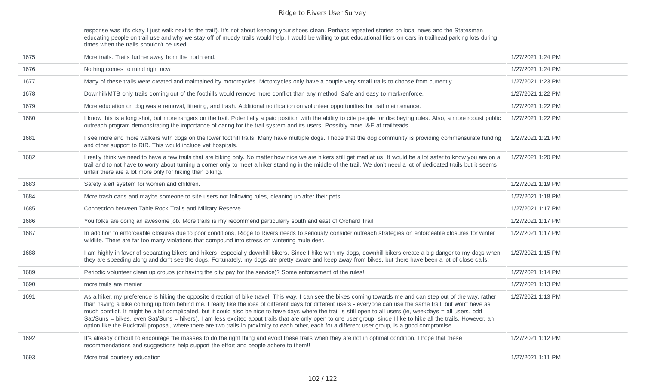response was 'it's okay I just walk next to the trail'). It's not about keeping your shoes clean. Perhaps repeated stories on local news and the Statesman educating people on trail use and why we stay off of muddy trails would help. I would be willing to put educational fliers on cars in trailhead parking lots during times when the trails shouldn't be used.

| 1675 | More trails. Trails further away from the north end.                                                                                                                                                                                                                                                                                                                                                                                                                                                                                                                                                                                                                                                                                                                                                                        | 1/27/2021 1:24 PM |
|------|-----------------------------------------------------------------------------------------------------------------------------------------------------------------------------------------------------------------------------------------------------------------------------------------------------------------------------------------------------------------------------------------------------------------------------------------------------------------------------------------------------------------------------------------------------------------------------------------------------------------------------------------------------------------------------------------------------------------------------------------------------------------------------------------------------------------------------|-------------------|
| 1676 | Nothing comes to mind right now                                                                                                                                                                                                                                                                                                                                                                                                                                                                                                                                                                                                                                                                                                                                                                                             | 1/27/2021 1:24 PM |
| 1677 | Many of these trails were created and maintained by motorcycles. Motorcycles only have a couple very small trails to choose from currently.                                                                                                                                                                                                                                                                                                                                                                                                                                                                                                                                                                                                                                                                                 | 1/27/2021 1:23 PM |
| 1678 | Downhill/MTB only trails coming out of the foothills would remove more conflict than any method. Safe and easy to mark/enforce.                                                                                                                                                                                                                                                                                                                                                                                                                                                                                                                                                                                                                                                                                             | 1/27/2021 1:22 PM |
| 1679 | More education on dog waste removal, littering, and trash. Additional notification on volunteer opportunities for trail maintenance.                                                                                                                                                                                                                                                                                                                                                                                                                                                                                                                                                                                                                                                                                        | 1/27/2021 1:22 PM |
| 1680 | I know this is a long shot, but more rangers on the trail. Potentially a paid position with the ability to cite people for disobeying rules. Also, a more robust public<br>outreach program demonstrating the importance of caring for the trail system and its users. Possibly more I&E at trailheads.                                                                                                                                                                                                                                                                                                                                                                                                                                                                                                                     | 1/27/2021 1:22 PM |
| 1681 | I see more and more walkers with dogs on the lower foothill trails. Many have multiple dogs. I hope that the dog community is providing commensurate funding<br>and other support to RtR. This would include vet hospitals.                                                                                                                                                                                                                                                                                                                                                                                                                                                                                                                                                                                                 | 1/27/2021 1:21 PM |
| 1682 | I really think we need to have a few trails that are biking only. No matter how nice we are hikers still get mad at us. It would be a lot safer to know you are on a<br>trail and to not have to worry about turning a corner only to meet a hiker standing in the middle of the trail. We don't need a lot of dedicated trails but it seems<br>unfair there are a lot more only for hiking than biking.                                                                                                                                                                                                                                                                                                                                                                                                                    | 1/27/2021 1:20 PM |
| 1683 | Safety alert system for women and children.                                                                                                                                                                                                                                                                                                                                                                                                                                                                                                                                                                                                                                                                                                                                                                                 | 1/27/2021 1:19 PM |
| 1684 | More trash cans and maybe someone to site users not following rules, cleaning up after their pets.                                                                                                                                                                                                                                                                                                                                                                                                                                                                                                                                                                                                                                                                                                                          | 1/27/2021 1:18 PM |
| 1685 | Connection between Table Rock Trails and Military Reserve                                                                                                                                                                                                                                                                                                                                                                                                                                                                                                                                                                                                                                                                                                                                                                   | 1/27/2021 1:17 PM |
| 1686 | You folks are doing an awesome job. More trails is my recommend particularly south and east of Orchard Trail                                                                                                                                                                                                                                                                                                                                                                                                                                                                                                                                                                                                                                                                                                                | 1/27/2021 1:17 PM |
| 1687 | In addition to enforceable closures due to poor conditions, Ridge to Rivers needs to seriously consider outreach strategies on enforceable closures for winter<br>wildlife. There are far too many violations that compound into stress on wintering mule deer.                                                                                                                                                                                                                                                                                                                                                                                                                                                                                                                                                             | 1/27/2021 1:17 PM |
| 1688 | I am highly in favor of separating bikers and hikers, especially downhill bikers. Since I hike with my dogs, downhill bikers create a big danger to my dogs when<br>they are speeding along and don't see the dogs. Fortunately, my dogs are pretty aware and keep away from bikes, but there have been a lot of close calls.                                                                                                                                                                                                                                                                                                                                                                                                                                                                                               | 1/27/2021 1:15 PM |
| 1689 | Periodic volunteer clean up groups (or having the city pay for the service)? Some enforcement of the rules!                                                                                                                                                                                                                                                                                                                                                                                                                                                                                                                                                                                                                                                                                                                 | 1/27/2021 1:14 PM |
| 1690 | more trails are merrier                                                                                                                                                                                                                                                                                                                                                                                                                                                                                                                                                                                                                                                                                                                                                                                                     | 1/27/2021 1:13 PM |
| 1691 | As a hiker, my preference is hiking the opposite direction of bike travel. This way, I can see the bikes coming towards me and can step out of the way, rather<br>than having a bike coming up from behind me. I really like the idea of different days for different users - everyone can use the same trail, but won't have as<br>much conflict. It might be a bit complicated, but it could also be nice to have days where the trail is still open to all users (ie, weekdays = all users, odd<br>Sat/Suns = bikes, even Sat/Suns = hikers). I am less excited about trails that are only open to one user group, since I like to hike all the trails. However, an<br>option like the Bucktrail proposal, where there are two trails in proximity to each other, each for a different user group, is a good compromise. | 1/27/2021 1:13 PM |
| 1692 | It's already difficult to encourage the masses to do the right thing and avoid these trails when they are not in optimal condition. I hope that these<br>recommendations and suggestions help support the effort and people adhere to them!!                                                                                                                                                                                                                                                                                                                                                                                                                                                                                                                                                                                | 1/27/2021 1:12 PM |
| 1693 | More trail courtesy education                                                                                                                                                                                                                                                                                                                                                                                                                                                                                                                                                                                                                                                                                                                                                                                               | 1/27/2021 1:11 PM |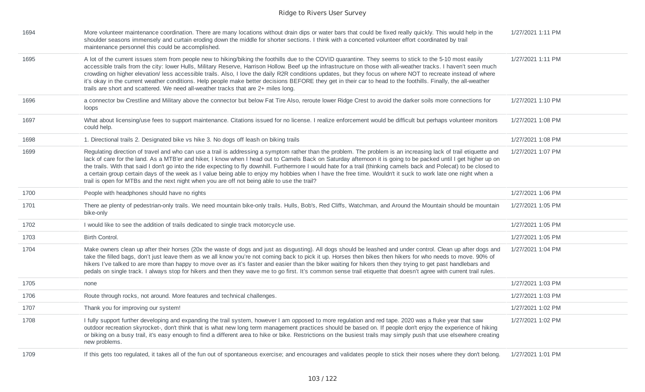| 1694 | More volunteer maintenance coordination. There are many locations without drain dips or water bars that could be fixed really quickly. This would help in the<br>shoulder seasons immensely and curtain eroding down the middle for shorter sections. I think with a concerted volunteer effort coordinated by trail<br>maintenance personnel this could be accomplished.                                                                                                                                                                                                                                                                                                                                                                                                    | 1/27/2021 1:11 PM |
|------|------------------------------------------------------------------------------------------------------------------------------------------------------------------------------------------------------------------------------------------------------------------------------------------------------------------------------------------------------------------------------------------------------------------------------------------------------------------------------------------------------------------------------------------------------------------------------------------------------------------------------------------------------------------------------------------------------------------------------------------------------------------------------|-------------------|
| 1695 | A lot of the current issues stem from people new to hiking/biking the foothills due to the COVID quarantine. They seems to stick to the 5-10 most easily<br>accessible trails from the city: lower Hulls, Military Reserve, Harrison Hollow. Beef up the infrastructure on those with all-weather tracks. I haven't seen much<br>crowding on higher elevation/ less accessible trails. Also, I love the daily R2R conditions updates, but they focus on where NOT to recreate instead of where<br>it's okay in the current weather conditions. Help people make better decisions BEFORE they get in their car to head to the foothills. Finally, the all-weather<br>trails are short and scattered. We need all-weather tracks that are 2+ miles long.                       | 1/27/2021 1:11 PM |
| 1696 | a connector bw Crestline and Military above the connector but below Fat Tire Also, reroute lower Ridge Crest to avoid the darker soils more connections for<br>loops                                                                                                                                                                                                                                                                                                                                                                                                                                                                                                                                                                                                         | 1/27/2021 1:10 PM |
| 1697 | What about licensing/use fees to support maintenance. Citations issued for no license. I realize enforcement would be difficult but perhaps volunteer monitors<br>could help.                                                                                                                                                                                                                                                                                                                                                                                                                                                                                                                                                                                                | 1/27/2021 1:08 PM |
| 1698 | 1. Directional trails 2. Designated bike vs hike 3. No dogs off leash on biking trails                                                                                                                                                                                                                                                                                                                                                                                                                                                                                                                                                                                                                                                                                       | 1/27/2021 1:08 PM |
| 1699 | Regulating direction of travel and who can use a trail is addressing a symptom rather than the problem. The problem is an increasing lack of trail etiquette and<br>lack of care for the land. As a MTB'er and hiker, I know when I head out to Camels Back on Saturday afternoon it is going to be packed until I get higher up on<br>the trails. With that said I don't go into the ride expecting to fly downhill. Furthermore I would hate for a trail (thinking camels back and Polecat) to be closed to<br>a certain group certain days of the week as I value being able to enjoy my hobbies when I have the free time. Wouldn't it suck to work late one night when a<br>trail is open for MTBs and the next night when you are off not being able to use the trail? | 1/27/2021 1:07 PM |
| 1700 | People with headphones should have no rights                                                                                                                                                                                                                                                                                                                                                                                                                                                                                                                                                                                                                                                                                                                                 | 1/27/2021 1:06 PM |
| 1701 | There ae plenty of pedestrian-only trails. We need mountain bike-only trails. Hulls, Bob's, Red Cliffs, Watchman, and Around the Mountain should be mountain<br>bike-only                                                                                                                                                                                                                                                                                                                                                                                                                                                                                                                                                                                                    | 1/27/2021 1:05 PM |
| 1702 | I would like to see the addition of trails dedicated to single track motorcycle use.                                                                                                                                                                                                                                                                                                                                                                                                                                                                                                                                                                                                                                                                                         | 1/27/2021 1:05 PM |
| 1703 | <b>Birth Control.</b>                                                                                                                                                                                                                                                                                                                                                                                                                                                                                                                                                                                                                                                                                                                                                        | 1/27/2021 1:05 PM |
| 1704 | Make owners clean up after their horses (20x the waste of dogs and just as disgusting). All dogs should be leashed and under control. Clean up after dogs and<br>take the filled bags, don't just leave them as we all know you're not coming back to pick it up. Horses then bikes then hikers for who needs to move. 90% of<br>hikers I've talked to are more than happy to move over as it's faster and easier than the biker waiting for hikers then they trying to get past handlebars and<br>pedals on single track. I always stop for hikers and then they wave me to go first. It's common sense trail etiquette that doesn't agree with current trail rules.                                                                                                        | 1/27/2021 1:04 PM |
| 1705 | none                                                                                                                                                                                                                                                                                                                                                                                                                                                                                                                                                                                                                                                                                                                                                                         | 1/27/2021 1:03 PM |
| 1706 | Route through rocks, not around. More features and technical challenges.                                                                                                                                                                                                                                                                                                                                                                                                                                                                                                                                                                                                                                                                                                     | 1/27/2021 1:03 PM |
| 1707 | Thank you for improving our system!                                                                                                                                                                                                                                                                                                                                                                                                                                                                                                                                                                                                                                                                                                                                          | 1/27/2021 1:02 PM |
| 1708 | I fully support further developing and expanding the trail system, however I am opposed to more regulation and red tape. 2020 was a fluke year that saw<br>outdoor recreation skyrocket-, don't think that is what new long term management practices should be based on. If people don't enjoy the experience of hiking<br>or biking on a busy trail, it's easy enough to find a different area to hike or bike. Restrictions on the busiest trails may simply push that use elsewhere creating<br>new problems.                                                                                                                                                                                                                                                            | 1/27/2021 1:02 PM |
| 1709 | If this gets too regulated, it takes all of the fun out of spontaneous exercise; and encourages and validates people to stick their noses where they don't belong.                                                                                                                                                                                                                                                                                                                                                                                                                                                                                                                                                                                                           | 1/27/2021 1:01 PM |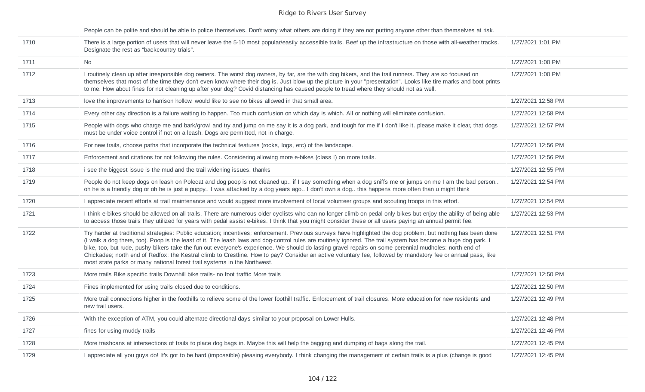People can be polite and should be able to police themselves. Don't worry what others are doing if they are not putting anyone other than themselves at risk.

| 1710 | There is a large portion of users that will never leave the 5-10 most popular/easily accessible trails. Beef up the infrastructure on those with all-weather tracks.<br>Designate the rest as "backcountry trials".                                                                                                                                                                                                                                                                                                                                                                                                                                                                                                                   | 1/27/2021 1:01 PM  |
|------|---------------------------------------------------------------------------------------------------------------------------------------------------------------------------------------------------------------------------------------------------------------------------------------------------------------------------------------------------------------------------------------------------------------------------------------------------------------------------------------------------------------------------------------------------------------------------------------------------------------------------------------------------------------------------------------------------------------------------------------|--------------------|
| 1711 | <b>No</b>                                                                                                                                                                                                                                                                                                                                                                                                                                                                                                                                                                                                                                                                                                                             | 1/27/2021 1:00 PM  |
| 1712 | I routinely clean up after irresponsible dog owners. The worst dog owners, by far, are the with dog bikers, and the trail runners. They are so focused on<br>themselves that most of the time they don't even know where their dog is. Just blow up the picture in your "presentation". Looks like tire marks and boot prints<br>to me. How about fines for not cleaning up after your dog? Covid distancing has caused people to tread where they should not as well.                                                                                                                                                                                                                                                                | 1/27/2021 1:00 PM  |
| 1713 | love the improvements to harrison hollow. would like to see no bikes allowed in that small area.                                                                                                                                                                                                                                                                                                                                                                                                                                                                                                                                                                                                                                      | 1/27/2021 12:58 PM |
| 1714 | Every other day direction is a failure waiting to happen. Too much confusion on which day is which. All or nothing will eliminate confusion.                                                                                                                                                                                                                                                                                                                                                                                                                                                                                                                                                                                          | 1/27/2021 12:58 PM |
| 1715 | People with dogs who charge me and bark/growl and try and jump on me say it is a dog park, and tough for me if I don't like it. please make it clear, that dogs<br>must be under voice control if not on a leash. Dogs are permitted, not in charge.                                                                                                                                                                                                                                                                                                                                                                                                                                                                                  | 1/27/2021 12:57 PM |
| 1716 | For new trails, choose paths that incorporate the technical features (rocks, logs, etc) of the landscape.                                                                                                                                                                                                                                                                                                                                                                                                                                                                                                                                                                                                                             | 1/27/2021 12:56 PM |
| 1717 | Enforcement and citations for not following the rules. Considering allowing more e-bikes (class I) on more trails.                                                                                                                                                                                                                                                                                                                                                                                                                                                                                                                                                                                                                    | 1/27/2021 12:56 PM |
| 1718 | i see the biggest issue is the mud and the trail widening issues. thanks                                                                                                                                                                                                                                                                                                                                                                                                                                                                                                                                                                                                                                                              | 1/27/2021 12:55 PM |
| 1719 | People do not keep dogs on leash on Polecat and dog poop is not cleaned up if I say something when a dog sniffs me or jumps on me I am the bad person<br>oh he is a friendly dog or oh he is just a puppy I was attacked by a dog years ago I don't own a dog this happens more often than u might think                                                                                                                                                                                                                                                                                                                                                                                                                              | 1/27/2021 12:54 PM |
| 1720 | I appreciate recent efforts at trail maintenance and would suggest more involvement of local volunteer groups and scouting troops in this effort.                                                                                                                                                                                                                                                                                                                                                                                                                                                                                                                                                                                     | 1/27/2021 12:54 PM |
| 1721 | I think e-bikes should be allowed on all trails. There are numerous older cyclists who can no longer climb on pedal only bikes but enjoy the ability of being able<br>to access those trails they utilized for years with pedal assist e-bikes. I think that you might consider these or all users paying an annual permit fee.                                                                                                                                                                                                                                                                                                                                                                                                       | 1/27/2021 12:53 PM |
| 1722 | Try harder at traditional strategies: Public education; incentives; enforcement. Previous surveys have highlighted the dog problem, but nothing has been done<br>(I walk a dog there, too). Poop is the least of it. The leash laws and dog-control rules are routinely ignored. The trail system has become a huge dog park. I<br>bike, too, but rude, pushy bikers take the fun out everyone's experience. We should do lasting gravel repairs on some perennial mudholes: north end of<br>Chickadee; north end of Redfox; the Kestral climb to Crestline. How to pay? Consider an active voluntary fee, followed by mandatory fee or annual pass, like<br>most state parks or many national forest trail systems in the Northwest. | 1/27/2021 12:51 PM |
| 1723 | More trails Bike specific trails Downhill bike trails- no foot traffic More trails                                                                                                                                                                                                                                                                                                                                                                                                                                                                                                                                                                                                                                                    | 1/27/2021 12:50 PM |
| 1724 | Fines implemented for using trails closed due to conditions.                                                                                                                                                                                                                                                                                                                                                                                                                                                                                                                                                                                                                                                                          | 1/27/2021 12:50 PM |
| 1725 | More trail connections higher in the foothills to relieve some of the lower foothill traffic. Enforcement of trail closures. More education for new residents and<br>new trail users.                                                                                                                                                                                                                                                                                                                                                                                                                                                                                                                                                 | 1/27/2021 12:49 PM |
| 1726 | With the exception of ATM, you could alternate directional days similar to your proposal on Lower Hulls.                                                                                                                                                                                                                                                                                                                                                                                                                                                                                                                                                                                                                              | 1/27/2021 12:48 PM |
| 1727 | fines for using muddy trails                                                                                                                                                                                                                                                                                                                                                                                                                                                                                                                                                                                                                                                                                                          | 1/27/2021 12:46 PM |
| 1728 | More trashcans at intersections of trails to place dog bags in. Maybe this will help the bagging and dumping of bags along the trail.                                                                                                                                                                                                                                                                                                                                                                                                                                                                                                                                                                                                 | 1/27/2021 12:45 PM |
| 1729 | I appreciate all you guys do! It's got to be hard (impossible) pleasing everybody. I think changing the management of certain trails is a plus (change is good                                                                                                                                                                                                                                                                                                                                                                                                                                                                                                                                                                        | 1/27/2021 12:45 PM |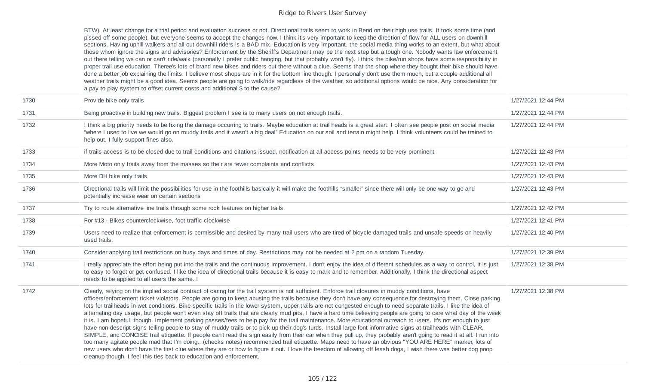BTW). At least change for a trial period and evaluation success or not. Directional trails seem to work in Bend on their high use trails. It took some time (and pissed off some people), but everyone seems to accept the changes now. I think it's very important to keep the direction of flow for ALL users on downhill sections. Having uphill walkers and all-out downhill riders is a BAD mix. Education is very important. the social media thing works to an extent, but what about those whom ignore the signs and advisories? Enforcement by the Sheriff's Department may be the next step but a tough one. Nobody wants law enforcement out there telling we can or can't ride/walk (personally I prefer public hanging, but that probably won't fly). I think the bike/run shops have some responsibility in proper trail use education. Theree's lots of brand new bikes and riders out there without a clue. Seems that the shop where they bought their bike should have done a better job explaining the limits. I believe most shops are in it for the bottom line though. I personally don't use them much, but a couple additional all weather trails might be a good idea. Seems people are going to walk/ride regardless of the weather, so additional options would be nice. Any consideration for a pay to play system to offset current costs and additional \$ to the cause?

| 1730 | Provide bike only trails                                                                                                                                                                                                                                                                                                                                                                                                                                                                                                                                                                                                                                                                                                                                                                                                                                                                                                                                                                                                                                                                                                                                                                                                                                                                                                                                                                                                                                                                                                                                                  | 1/27/2021 12:44 PM |
|------|---------------------------------------------------------------------------------------------------------------------------------------------------------------------------------------------------------------------------------------------------------------------------------------------------------------------------------------------------------------------------------------------------------------------------------------------------------------------------------------------------------------------------------------------------------------------------------------------------------------------------------------------------------------------------------------------------------------------------------------------------------------------------------------------------------------------------------------------------------------------------------------------------------------------------------------------------------------------------------------------------------------------------------------------------------------------------------------------------------------------------------------------------------------------------------------------------------------------------------------------------------------------------------------------------------------------------------------------------------------------------------------------------------------------------------------------------------------------------------------------------------------------------------------------------------------------------|--------------------|
| 1731 | Being proactive in building new trails. Biggest problem I see is to many users on not enough trails.                                                                                                                                                                                                                                                                                                                                                                                                                                                                                                                                                                                                                                                                                                                                                                                                                                                                                                                                                                                                                                                                                                                                                                                                                                                                                                                                                                                                                                                                      | 1/27/2021 12:44 PM |
| 1732 | I think a big priority needs to be fixing the damage occurring to trails. Maybe education at trail heads is a great start. I often see people post on social media<br>"where I used to live we would go on muddy trails and it wasn't a big deal" Education on our soil and terrain might help. I think volunteers could be trained to<br>help out. I fully support fines also.                                                                                                                                                                                                                                                                                                                                                                                                                                                                                                                                                                                                                                                                                                                                                                                                                                                                                                                                                                                                                                                                                                                                                                                           | 1/27/2021 12:44 PM |
| 1733 | if trails access is to be closed due to trail conditions and citations issued, notification at all access points needs to be very prominent                                                                                                                                                                                                                                                                                                                                                                                                                                                                                                                                                                                                                                                                                                                                                                                                                                                                                                                                                                                                                                                                                                                                                                                                                                                                                                                                                                                                                               | 1/27/2021 12:43 PM |
| 1734 | More Moto only trails away from the masses so their are fewer complaints and conflicts.                                                                                                                                                                                                                                                                                                                                                                                                                                                                                                                                                                                                                                                                                                                                                                                                                                                                                                                                                                                                                                                                                                                                                                                                                                                                                                                                                                                                                                                                                   | 1/27/2021 12:43 PM |
| 1735 | More DH bike only trails                                                                                                                                                                                                                                                                                                                                                                                                                                                                                                                                                                                                                                                                                                                                                                                                                                                                                                                                                                                                                                                                                                                                                                                                                                                                                                                                                                                                                                                                                                                                                  | 1/27/2021 12:43 PM |
| 1736 | Directional trails will limit the possibilities for use in the foothills basically it will make the foothills "smaller" since there will only be one way to go and<br>potentially increase wear on certain sections                                                                                                                                                                                                                                                                                                                                                                                                                                                                                                                                                                                                                                                                                                                                                                                                                                                                                                                                                                                                                                                                                                                                                                                                                                                                                                                                                       | 1/27/2021 12:43 PM |
| 1737 | Try to route alternative line trails through some rock features on higher trails.                                                                                                                                                                                                                                                                                                                                                                                                                                                                                                                                                                                                                                                                                                                                                                                                                                                                                                                                                                                                                                                                                                                                                                                                                                                                                                                                                                                                                                                                                         | 1/27/2021 12:42 PM |
| 1738 | For #13 - Bikes counterclockwise, foot traffic clockwise                                                                                                                                                                                                                                                                                                                                                                                                                                                                                                                                                                                                                                                                                                                                                                                                                                                                                                                                                                                                                                                                                                                                                                                                                                                                                                                                                                                                                                                                                                                  | 1/27/2021 12:41 PM |
| 1739 | Users need to realize that enforcement is permissible and desired by many trail users who are tired of bicycle-damaged trails and unsafe speeds on heavily<br>used trails.                                                                                                                                                                                                                                                                                                                                                                                                                                                                                                                                                                                                                                                                                                                                                                                                                                                                                                                                                                                                                                                                                                                                                                                                                                                                                                                                                                                                | 1/27/2021 12:40 PM |
| 1740 | Consider applying trail restrictions on busy days and times of day. Restrictions may not be needed at 2 pm on a random Tuesday.                                                                                                                                                                                                                                                                                                                                                                                                                                                                                                                                                                                                                                                                                                                                                                                                                                                                                                                                                                                                                                                                                                                                                                                                                                                                                                                                                                                                                                           | 1/27/2021 12:39 PM |
| 1741 | I really appreciate the effort being put into the trails and the continuous improvement. I don't enjoy the idea of different schedules as a way to control, it is just<br>to easy to forget or get confused. I like the idea of directional trails because it is easy to mark and to remember. Additionally, I think the directional aspect<br>needs to be applied to all users the same. I                                                                                                                                                                                                                                                                                                                                                                                                                                                                                                                                                                                                                                                                                                                                                                                                                                                                                                                                                                                                                                                                                                                                                                               | 1/27/2021 12:38 PM |
| 1742 | Clearly, relying on the implied social contract of caring for the trail system is not sufficient. Enforce trail closures in muddy conditions, have<br>officers/enforcement ticket violators. People are going to keep abusing the trails because they don't have any consequence for destroying them. Close parking<br>lots for trailheads in wet conditions. Bike-specific trails in the lower system, upper trails are not congested enough to need separate trails. I like the idea of<br>alternating day usage, but people won't even stay off trails that are clearly mud pits, I have a hard time believing people are going to care what day of the week<br>it is. I am hopeful, though. Implement parking passes/fees to help pay for the trail maintenance. More educational outreach to users. It's not enough to just<br>have non-descript signs telling people to stay of muddy trails or to pick up their dog's turds. Install large font informative signs at trailheads with CLEAR,<br>SIMPLE, and CONCISE trail etiquette. If people can't read the sign easily from their car when they pull up, they probably aren't going to read it at all. I run into<br>too many agitate people mad that I'm doing(checks notes) recommended trail etiquette. Maps need to have an obvious "YOU ARE HERE" marker, lots of<br>new users who don't have the first clue where they are or how to figure it out. I love the freedom of allowing off leash dogs, I wish there was better dog poop<br>cleanup though. I feel this ties back to education and enforcement. | 1/27/2021 12:38 PM |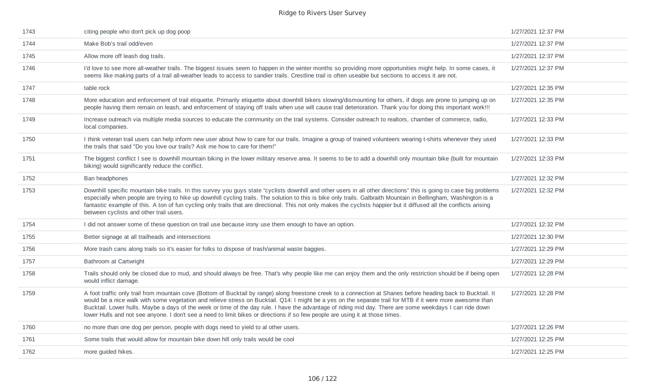| 1743 | citing people who don't pick up dog poop                                                                                                                                                                                                                                                                                                                                                                                                                                                                                                                                                                                  | 1/27/2021 12:37 PM |
|------|---------------------------------------------------------------------------------------------------------------------------------------------------------------------------------------------------------------------------------------------------------------------------------------------------------------------------------------------------------------------------------------------------------------------------------------------------------------------------------------------------------------------------------------------------------------------------------------------------------------------------|--------------------|
| 1744 | Make Bob's trail odd/even                                                                                                                                                                                                                                                                                                                                                                                                                                                                                                                                                                                                 | 1/27/2021 12:37 PM |
| 1745 | Allow more off leash dog trails.                                                                                                                                                                                                                                                                                                                                                                                                                                                                                                                                                                                          | 1/27/2021 12:37 PM |
| 1746 | I'd love to see more all-weather trails. The biggest issues seem to happen in the winter months so providing more opportunities might help. In some cases, it<br>seems like making parts of a trail all-weather leads to access to sandier trails. Crestline trail is often useable but sections to access it are not.                                                                                                                                                                                                                                                                                                    | 1/27/2021 12:37 PM |
| 1747 | table rock                                                                                                                                                                                                                                                                                                                                                                                                                                                                                                                                                                                                                | 1/27/2021 12:35 PM |
| 1748 | More education and enforcement of trail etiquette. Primarily etiquette about downhill bikers slowing/dismounting for others, if dogs are prone to jumping up on<br>people having them remain on leash, and enforcement of staying off trails when use will cause trail deterioration. Thank you for doing this important work!!!                                                                                                                                                                                                                                                                                          | 1/27/2021 12:35 PM |
| 1749 | Increase outreach via multiple media sources to educate the community on the trail systems. Consider outreach to realtors, chamber of commerce, radio,<br>local companies.                                                                                                                                                                                                                                                                                                                                                                                                                                                | 1/27/2021 12:33 PM |
| 1750 | I think veteran trail users can help inform new user about how to care for our trails. Imagine a group of trained volunteers wearing t-shirts whenever they used<br>the trails that said "Do you love our trails? Ask me how to care for them!"                                                                                                                                                                                                                                                                                                                                                                           | 1/27/2021 12:33 PM |
| 1751 | The biggest conflict I see is downhill mountain biking in the lower military reserve area. It seems to be to add a downhill only mountain bike (built for mountain<br>biking) would significantly reduce the conflict.                                                                                                                                                                                                                                                                                                                                                                                                    | 1/27/2021 12:33 PM |
| 1752 | Ban headphones                                                                                                                                                                                                                                                                                                                                                                                                                                                                                                                                                                                                            | 1/27/2021 12:32 PM |
| 1753 | Downhill specific mountain bike trails. In this survey you guys state "cyclists downhill and other users in all other directions" this is going to case big problems<br>especially when people are trying to hike up downhill cycling trails. The solution to this is bike only trails. Galbraith Mountain in Bellingham, Washington is a<br>fantastic example of this. A ton of fun cycling only trails that are directional. This not only makes the cyclists happier but it diffused all the conflicts arising<br>between cyclists and other trail users.                                                              | 1/27/2021 12:32 PM |
| 1754 | I did not answer some of these question on trail use because irony use them enough to have an option.                                                                                                                                                                                                                                                                                                                                                                                                                                                                                                                     | 1/27/2021 12:32 PM |
| 1755 | Better signage at all trailheads and intersections                                                                                                                                                                                                                                                                                                                                                                                                                                                                                                                                                                        | 1/27/2021 12:30 PM |
| 1756 | More trash cans along trails so it's easier for folks to dispose of trash/animal waste baggies.                                                                                                                                                                                                                                                                                                                                                                                                                                                                                                                           | 1/27/2021 12:29 PM |
| 1757 | Bathroom at Cartwright                                                                                                                                                                                                                                                                                                                                                                                                                                                                                                                                                                                                    | 1/27/2021 12:29 PM |
| 1758 | Trails should only be closed due to mud, and should always be free. That's why people like me can enjoy them and the only restriction should be if being open<br>would inflict damage.                                                                                                                                                                                                                                                                                                                                                                                                                                    | 1/27/2021 12:28 PM |
| 1759 | A foot traffic only trail from mountain cove (Bottom of Bucktail by range) along freestone creek to a connection at Shanes before heading back to Bucktail. It<br>would be a nice walk with some vegetation and relieve stress on Bucktail. Q14: I might be a yes on the separate trail for MTB if it were more awesome than<br>Bucktail. Lower hulls. Maybe a days of the week or time of the day rule. I have the advantage of riding mid day. There are some weekdays I can ride down<br>lower Hulls and not see anyone. I don't see a need to limit bikes or directions if so few people are using it at those times. | 1/27/2021 12:28 PM |
| 1760 | no more than one dog per person, people with dogs need to yield to al other users.                                                                                                                                                                                                                                                                                                                                                                                                                                                                                                                                        | 1/27/2021 12:26 PM |
| 1761 | Some trails that would allow for mountain bike down hill only trails would be cool                                                                                                                                                                                                                                                                                                                                                                                                                                                                                                                                        | 1/27/2021 12:25 PM |
| 1762 | more guided hikes.                                                                                                                                                                                                                                                                                                                                                                                                                                                                                                                                                                                                        | 1/27/2021 12:25 PM |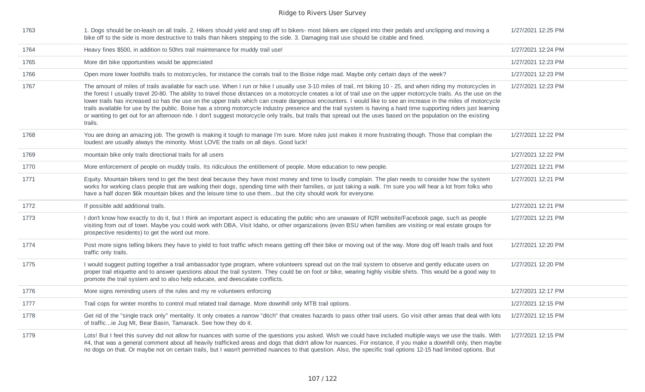| 1763 | 1. Dogs should be on-leash on all trails. 2. Hikers should yield and step off to bikers- most bikers are clipped into their pedals and unclipping and moving a<br>bike off to the side is more destructive to trails than hikers stepping to the side. 3. Damaging trail use should be citable and fined.                                                                                                                                                                                                                                                                                                                                                                                                                                                                                                                                                         | 1/27/2021 12:25 PM |
|------|-------------------------------------------------------------------------------------------------------------------------------------------------------------------------------------------------------------------------------------------------------------------------------------------------------------------------------------------------------------------------------------------------------------------------------------------------------------------------------------------------------------------------------------------------------------------------------------------------------------------------------------------------------------------------------------------------------------------------------------------------------------------------------------------------------------------------------------------------------------------|--------------------|
| 1764 | Heavy fines \$500, in addition to 50hrs trail maintenance for muddy trail use!                                                                                                                                                                                                                                                                                                                                                                                                                                                                                                                                                                                                                                                                                                                                                                                    | 1/27/2021 12:24 PM |
| 1765 | More dirt bike opportunities would be appreciated                                                                                                                                                                                                                                                                                                                                                                                                                                                                                                                                                                                                                                                                                                                                                                                                                 | 1/27/2021 12:23 PM |
| 1766 | Open more lower foothills trails to motorcycles, for instance the corrals trail to the Boise ridge road. Maybe only certain days of the week?                                                                                                                                                                                                                                                                                                                                                                                                                                                                                                                                                                                                                                                                                                                     | 1/27/2021 12:23 PM |
| 1767 | The amount of miles of trails available for each use. When I run or hike I usually use 3-10 miles of trail, mt biking 10 - 25, and when riding my motorcycles in<br>the forest I usually travel 20-80. The ability to travel those distances on a motorcycle creates a lot of trail use on the upper motorcycle trails. As the use on the<br>lower trails has increased so has the use on the upper trails which can create dangerous encounters. I would like to see an increase in the miles of motorcycle<br>trails available for use by the public. Boise has a strong motorcycle industry presence and the trail system is having a hard time supporting riders just learning<br>or wanting to get out for an afternoon ride. I don't suggest motorcycle only trails, but trails that spread out the uses based on the population on the existing<br>trails. | 1/27/2021 12:23 PM |
| 1768 | You are doing an amazing job. The growth is making it tough to manage I'm sure. More rules just makes it more frustrating though. Those that complain the<br>loudest are usually always the minority. Most LOVE the trails on all days. Good luck!                                                                                                                                                                                                                                                                                                                                                                                                                                                                                                                                                                                                                | 1/27/2021 12:22 PM |
| 1769 | mountain bike only trails directional trails for all users                                                                                                                                                                                                                                                                                                                                                                                                                                                                                                                                                                                                                                                                                                                                                                                                        | 1/27/2021 12:22 PM |
| 1770 | More enforcement of people on muddy trails. Its ridiculous the entitlement of people. More education to new people.                                                                                                                                                                                                                                                                                                                                                                                                                                                                                                                                                                                                                                                                                                                                               | 1/27/2021 12:21 PM |
| 1771 | Equity. Mountain bikers tend to get the best deal because they have most money and time to loudly complain. The plan needs to consider how the system<br>works for working class people that are walking their dogs, spending time with their families, or just taking a walk. I'm sure you will hear a lot from folks who<br>have a half dozen \$6k mountain bikes and the leisure time to use thembut the city should work for everyone.                                                                                                                                                                                                                                                                                                                                                                                                                        | 1/27/2021 12:21 PM |
| 1772 | If possible add additional trails.                                                                                                                                                                                                                                                                                                                                                                                                                                                                                                                                                                                                                                                                                                                                                                                                                                | 1/27/2021 12:21 PM |
| 1773 | I don't know how exactly to do it, but I think an important aspect is educating the public who are unaware of R2R website/Facebook page, such as people<br>visiting from out of town. Maybe you could work with DBA, Visit Idaho, or other organizations (even BSU when families are visiting or real estate groups for<br>prospective residents) to get the word out more.                                                                                                                                                                                                                                                                                                                                                                                                                                                                                       | 1/27/2021 12:21 PM |
| 1774 | Post more signs telling bikers they have to yield to foot traffic which means getting off their bike or moving out of the way. More dog off leash trails and foot<br>traffic only trails.                                                                                                                                                                                                                                                                                                                                                                                                                                                                                                                                                                                                                                                                         | 1/27/2021 12:20 PM |
| 1775 | I would suggest putting together a trail ambassador type program, where volunteers spread out on the trail system to observe and gently educate users on<br>proper trail etiquette and to answer questions about the trail system. They could be on foot or bike, wearing highly visible shirts. This would be a good way to<br>promote the trail system and to also help educate, and deescalate conflicts.                                                                                                                                                                                                                                                                                                                                                                                                                                                      | 1/27/2021 12:20 PM |
| 1776 | More signs reminding users of the rules and my re volunteers enforcing                                                                                                                                                                                                                                                                                                                                                                                                                                                                                                                                                                                                                                                                                                                                                                                            | 1/27/2021 12:17 PM |
| 1777 | Trail cops for winter months to control mud related trail damage. More downhill only MTB trail options.                                                                                                                                                                                                                                                                                                                                                                                                                                                                                                                                                                                                                                                                                                                                                           | 1/27/2021 12:15 PM |
| 1778 | Get rid of the "single track only" mentality. It only creates a narrow "ditch" that creates hazards to pass other trail users. Go visit other areas that deal with lots<br>of trafficie Jug Mt, Bear Basin, Tamarack. See how they do it.                                                                                                                                                                                                                                                                                                                                                                                                                                                                                                                                                                                                                         | 1/27/2021 12:15 PM |
| 1779 | Lots! But I feel this survey did not allow for nuances with some of the questions you asked. Wish we could have included multiple ways we use the trails. With<br>#4, that was a general comment about all heavily trafficked areas and dogs that didn't allow for nuances. For instance, if you make a downhill only, then maybe<br>no dogs on that. Or maybe not on certain trails, but I wasn't permitted nuances to that question. Also, the specific trail options 12-15 had limited options. But                                                                                                                                                                                                                                                                                                                                                            | 1/27/2021 12:15 PM |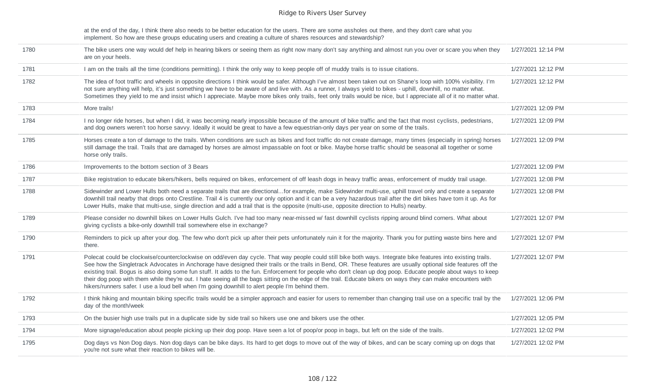at the end of the day, I think there also needs to be better education for the users. There are some assholes out there, and they don't care what you implement. So how are these groups educating users and creating a culture of shares resources and stewardship?

| 1780 | The bike users one way would def help in hearing bikers or seeing them as right now many don't say anything and almost run you over or scare you when they<br>are on your heels.                                                                                                                                                                                                                                                                                                                                                                                                                                                                                                                                                                                     | 1/27/2021 12:14 PM |
|------|----------------------------------------------------------------------------------------------------------------------------------------------------------------------------------------------------------------------------------------------------------------------------------------------------------------------------------------------------------------------------------------------------------------------------------------------------------------------------------------------------------------------------------------------------------------------------------------------------------------------------------------------------------------------------------------------------------------------------------------------------------------------|--------------------|
| 1781 | I am on the trails all the time (conditions permitting). I think the only way to keep people off of muddy trails is to issue citations.                                                                                                                                                                                                                                                                                                                                                                                                                                                                                                                                                                                                                              | 1/27/2021 12:12 PM |
| 1782 | The idea of foot traffic and wheels in opposite directions I think would be safer. Although I've almost been taken out on Shane's loop with 100% visibility. I'm<br>not sure anything will help, it's just something we have to be aware of and live with. As a runner, I always yield to bikes - uphill, downhill, no matter what.<br>Sometimes they yield to me and insist which I appreciate. Maybe more bikes only trails, feet only trails would be nice, but I appreciate all of it no matter what.                                                                                                                                                                                                                                                            | 1/27/2021 12:12 PM |
| 1783 | More trails!                                                                                                                                                                                                                                                                                                                                                                                                                                                                                                                                                                                                                                                                                                                                                         | 1/27/2021 12:09 PM |
| 1784 | I no longer ride horses, but when I did, it was becoming nearly impossible because of the amount of bike traffic and the fact that most cyclists, pedestrians,<br>and dog owners weren't too horse savvy. Ideally it would be great to have a few equestrian-only days per year on some of the trails.                                                                                                                                                                                                                                                                                                                                                                                                                                                               | 1/27/2021 12:09 PM |
| 1785 | Horses create a ton of damage to the trails. When conditions are such as bikes and foot traffic do not create damage, many times (especially in spring) horses<br>still damage the trail. Trails that are damaged by horses are almost impassable on foot or bike. Maybe horse traffic should be seasonal all together or some<br>horse only trails.                                                                                                                                                                                                                                                                                                                                                                                                                 | 1/27/2021 12:09 PM |
| 1786 | Improvements to the bottom section of 3 Bears                                                                                                                                                                                                                                                                                                                                                                                                                                                                                                                                                                                                                                                                                                                        | 1/27/2021 12:09 PM |
| 1787 | Bike registration to educate bikers/hikers, bells required on bikes, enforcement of off leash dogs in heavy traffic areas, enforcement of muddy trail usage.                                                                                                                                                                                                                                                                                                                                                                                                                                                                                                                                                                                                         | 1/27/2021 12:08 PM |
| 1788 | Sidewinder and Lower Hulls both need a separate trails that are directionalfor example, make Sidewinder multi-use, uphill travel only and create a separate<br>downhill trail nearby that drops onto Crestline. Trail 4 is currently our only option and it can be a very hazardous trail after the dirt bikes have torn it up. As for<br>Lower Hulls, make that multi-use, single direction and add a trail that is the opposite (multi-use, opposite direction to Hulls) nearby.                                                                                                                                                                                                                                                                                   | 1/27/2021 12:08 PM |
| 1789 | Please consider no downhill bikes on Lower Hulls Gulch. I've had too many near-missed w/ fast downhill cyclists ripping around blind corners. What about<br>giving cyclists a bike-only downhill trail somewhere else in exchange?                                                                                                                                                                                                                                                                                                                                                                                                                                                                                                                                   | 1/27/2021 12:07 PM |
| 1790 | Reminders to pick up after your dog. The few who don't pick up after their pets unfortunately ruin it for the majority. Thank you for putting waste bins here and<br>there.                                                                                                                                                                                                                                                                                                                                                                                                                                                                                                                                                                                          | 1/27/2021 12:07 PM |
| 1791 | Polecat could be clockwise/counterclockwise on odd/even day cycle. That way people could still bike both ways. Integrate bike features into existing trails.<br>See how the Singletrack Advocates in Anchorage have designed their trails or the trails in Bend, OR. These features are usually optional side features off the<br>existing trail. Bogus is also doing some fun stuff. It adds to the fun. Enforcement for people who don't clean up dog poop. Educate people about ways to keep<br>their dog poop with them while they're out. I hate seeing all the bags sitting on the edge of the trail. Educate bikers on ways they can make encounters with<br>hikers/runners safer. I use a loud bell when I'm going downhill to alert people I'm behind them. | 1/27/2021 12:07 PM |
| 1792 | I think hiking and mountain biking specific trails would be a simpler approach and easier for users to remember than changing trail use on a specific trail by the<br>day of the month/week                                                                                                                                                                                                                                                                                                                                                                                                                                                                                                                                                                          | 1/27/2021 12:06 PM |
| 1793 | On the busier high use trails put in a duplicate side by side trail so hikers use one and bikers use the other.                                                                                                                                                                                                                                                                                                                                                                                                                                                                                                                                                                                                                                                      | 1/27/2021 12:05 PM |
| 1794 | More signage/education about people picking up their dog poop. Have seen a lot of poop/or poop in bags, but left on the side of the trails.                                                                                                                                                                                                                                                                                                                                                                                                                                                                                                                                                                                                                          | 1/27/2021 12:02 PM |
| 1795 | Dog days vs Non Dog days. Non dog days can be bike days. Its hard to get dogs to move out of the way of bikes, and can be scary coming up on dogs that<br>you're not sure what their reaction to bikes will be.                                                                                                                                                                                                                                                                                                                                                                                                                                                                                                                                                      | 1/27/2021 12:02 PM |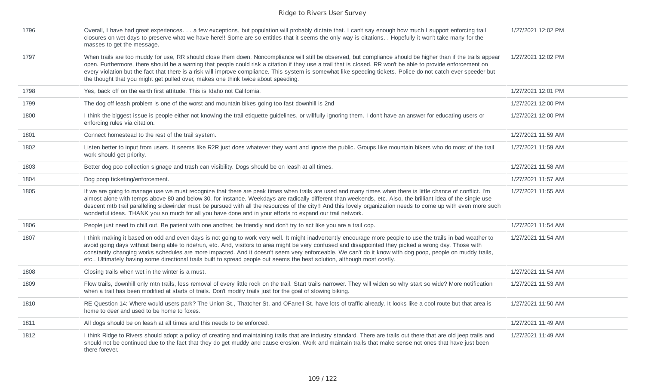| 1796 | Overall, I have had great experiences. a few exceptions, but population will probably dictate that. I can't say enough how much I support enforcing trail<br>closures on wet days to preserve what we have here!! Some are so entitles that it seems the only way is citations. . Hopefully it won't take many for the<br>masses to get the message.                                                                                                                                                                                                                                                           | 1/27/2021 12:02 PM |
|------|----------------------------------------------------------------------------------------------------------------------------------------------------------------------------------------------------------------------------------------------------------------------------------------------------------------------------------------------------------------------------------------------------------------------------------------------------------------------------------------------------------------------------------------------------------------------------------------------------------------|--------------------|
| 1797 | When trails are too muddy for use, RR should close them down. Noncompliance will still be observed, but compliance should be higher than if the trails appear<br>open. Furthermore, there should be a warning that people could risk a citation if they use a trail that is closed. RR won't be able to provide enforcement on<br>every violation but the fact that there is a risk will improve compliance. This system is somewhat like speeding tickets. Police do not catch ever speeder but<br>the thought that you might get pulled over, makes one think twice about speeding.                          | 1/27/2021 12:02 PM |
| 1798 | Yes, back off on the earth first attitude. This is Idaho not California.                                                                                                                                                                                                                                                                                                                                                                                                                                                                                                                                       | 1/27/2021 12:01 PM |
| 1799 | The dog off leash problem is one of the worst and mountain bikes going too fast downhill is 2nd                                                                                                                                                                                                                                                                                                                                                                                                                                                                                                                | 1/27/2021 12:00 PM |
| 1800 | I think the biggest issue is people either not knowing the trail etiquette quidelines, or willfully ignoring them. I don't have an answer for educating users or<br>enforcing rules via citation.                                                                                                                                                                                                                                                                                                                                                                                                              | 1/27/2021 12:00 PM |
| 1801 | Connect homestead to the rest of the trail system.                                                                                                                                                                                                                                                                                                                                                                                                                                                                                                                                                             | 1/27/2021 11:59 AM |
| 1802 | Listen better to input from users. It seems like R2R just does whatever they want and ignore the public. Groups like mountain bikers who do most of the trail<br>work should get priority.                                                                                                                                                                                                                                                                                                                                                                                                                     | 1/27/2021 11:59 AM |
| 1803 | Better dog poo collection signage and trash can visibility. Dogs should be on leash at all times.                                                                                                                                                                                                                                                                                                                                                                                                                                                                                                              | 1/27/2021 11:58 AM |
| 1804 | Dog poop ticketing/enforcement.                                                                                                                                                                                                                                                                                                                                                                                                                                                                                                                                                                                | 1/27/2021 11:57 AM |
| 1805 | If we are going to manage use we must recognize that there are peak times when trails are used and many times when there is little chance of conflict. I'm<br>almost alone with temps above 80 and below 30, for instance. Weekdays are radically different than weekends, etc. Also, the brilliant idea of the single use<br>descent mtb trail paralleling sidewinder must be pursued with all the resources of the city!! And this lovely organization needs to come up with even more such<br>wonderful ideas. THANK you so much for all you have done and in your efforts to expand our trail network.     | 1/27/2021 11:55 AM |
| 1806 | People just need to chill out. Be patient with one another, be friendly and don't try to act like you are a trail cop.                                                                                                                                                                                                                                                                                                                                                                                                                                                                                         | 1/27/2021 11:54 AM |
| 1807 | I think making it based on odd and even days is not going to work very well. It might inadvertently encourage more people to use the trails in bad weather to<br>avoid going days without being able to ride/run, etc. And, visitors to area might be very confused and disappointed they picked a wrong day. Those with<br>constantly changing works schedules are more impacted. And it doesn't seem very enforceable. We can't do it know with dog poop, people on muddy trails,<br>etc Ultimately having some directional trails built to spread people out seems the best solution, although most costly. | 1/27/2021 11:54 AM |
| 1808 | Closing trails when wet in the winter is a must.                                                                                                                                                                                                                                                                                                                                                                                                                                                                                                                                                               | 1/27/2021 11:54 AM |
| 1809 | Flow trails, downhill only mtn trails, less removal of every little rock on the trail. Start trails narrower. They will widen so why start so wide? More notification<br>when a trail has been modified at starts of trails. Don't modify trails just for the goal of slowing biking.                                                                                                                                                                                                                                                                                                                          | 1/27/2021 11:53 AM |
| 1810 | RE Question 14: Where would users park? The Union St., Thatcher St. and OFarrell St. have lots of traffic already. It looks like a cool route but that area is<br>home to deer and used to be home to foxes.                                                                                                                                                                                                                                                                                                                                                                                                   | 1/27/2021 11:50 AM |
| 1811 | All dogs should be on leash at all times and this needs to be enforced.                                                                                                                                                                                                                                                                                                                                                                                                                                                                                                                                        | 1/27/2021 11:49 AM |
| 1812 | I think Ridge to Rivers should adopt a policy of creating and maintaining trails that are industry standard. There are trails out there that are old jeep trails and<br>should not be continued due to the fact that they do get muddy and cause erosion. Work and maintain trails that make sense not ones that have just been<br>there forever.                                                                                                                                                                                                                                                              | 1/27/2021 11:49 AM |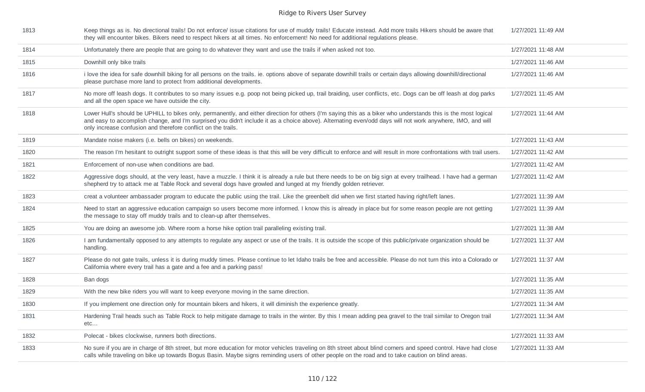| 1813 | Keep things as is. No directional trails! Do not enforce/ issue citations for use of muddy trails! Educate instead. Add more trails Hikers should be aware that<br>they will encounter bikes. Bikers need to respect hikers at all times. No enforcement! No need for additional regulations please.                                                                                          | 1/27/2021 11:49 AM |
|------|-----------------------------------------------------------------------------------------------------------------------------------------------------------------------------------------------------------------------------------------------------------------------------------------------------------------------------------------------------------------------------------------------|--------------------|
| 1814 | Unfortunately there are people that are going to do whatever they want and use the trails if when asked not too.                                                                                                                                                                                                                                                                              | 1/27/2021 11:48 AM |
| 1815 | Downhill only bike trails                                                                                                                                                                                                                                                                                                                                                                     | 1/27/2021 11:46 AM |
| 1816 | i love the idea for safe downhill biking for all persons on the trails. ie. options above of separate downhill trails or certain days allowing downhill/directional<br>please purchase more land to protect from additional developments.                                                                                                                                                     | 1/27/2021 11:46 AM |
| 1817 | No more off leash dogs. It contributes to so many issues e.g. poop not being picked up, trail braiding, user conflicts, etc. Dogs can be off leash at dog parks<br>and all the open space we have outside the city.                                                                                                                                                                           | 1/27/2021 11:45 AM |
| 1818 | Lower Hull's should be UPHILL to bikes only, permanently, and either direction for others (I'm saying this as a biker who understands this is the most logical<br>and easy to accomplish change, and I'm surprised you didn't include it as a choice above). Alternating even/odd days will not work anywhere, IMO, and will<br>only increase confusion and therefore conflict on the trails. | 1/27/2021 11:44 AM |
| 1819 | Mandate noise makers (i.e. bells on bikes) on weekends.                                                                                                                                                                                                                                                                                                                                       | 1/27/2021 11:43 AM |
| 1820 | The reason I'm hesitant to outright support some of these ideas is that this will be very difficult to enforce and will result in more confrontations with trail users.                                                                                                                                                                                                                       | 1/27/2021 11:42 AM |
| 1821 | Enforcement of non-use when conditions are bad.                                                                                                                                                                                                                                                                                                                                               | 1/27/2021 11:42 AM |
| 1822 | Aggressive dogs should, at the very least, have a muzzle. I think it is already a rule but there needs to be on big sign at every trailhead. I have had a german<br>shepherd try to attack me at Table Rock and several dogs have growled and lunged at my friendly golden retriever.                                                                                                         | 1/27/2021 11:42 AM |
| 1823 | creat a volunteer ambassader program to educate the public using the trail. Like the greenbelt did when we first started having right/left lanes.                                                                                                                                                                                                                                             | 1/27/2021 11:39 AM |
| 1824 | Need to start an aggressive education campaign so users become more informed. I know this is already in place but for some reason people are not getting<br>the message to stay off muddy trails and to clean-up after themselves.                                                                                                                                                            | 1/27/2021 11:39 AM |
| 1825 | You are doing an awesome job. Where room a horse hike option trail paralleling existing trail.                                                                                                                                                                                                                                                                                                | 1/27/2021 11:38 AM |
| 1826 | I am fundamentally opposed to any attempts to regulate any aspect or use of the trails. It is outside the scope of this public/private organization should be<br>handling.                                                                                                                                                                                                                    | 1/27/2021 11:37 AM |
| 1827 | Please do not gate trails, unless it is during muddy times. Please continue to let Idaho trails be free and accessible. Please do not turn this into a Colorado or<br>California where every trail has a gate and a fee and a parking pass!                                                                                                                                                   | 1/27/2021 11:37 AM |
| 1828 | Ban dogs                                                                                                                                                                                                                                                                                                                                                                                      | 1/27/2021 11:35 AM |
| 1829 | With the new bike riders you will want to keep everyone moving in the same direction.                                                                                                                                                                                                                                                                                                         | 1/27/2021 11:35 AM |
| 1830 | If you implement one direction only for mountain bikers and hikers, it will diminish the experience greatly.                                                                                                                                                                                                                                                                                  | 1/27/2021 11:34 AM |
| 1831 | Hardening Trail heads such as Table Rock to help mitigate damage to trails in the winter. By this I mean adding pea gravel to the trail similar to Oregon trail<br>etc                                                                                                                                                                                                                        | 1/27/2021 11:34 AM |
| 1832 | Polecat - bikes clockwise, runners both directions.                                                                                                                                                                                                                                                                                                                                           | 1/27/2021 11:33 AM |
| 1833 | No sure if you are in charge of 8th street, but more education for motor vehicles traveling on 8th street about blind corners and speed control. Have had close<br>calls while traveling on bike up towards Bogus Basin. Maybe signs reminding users of other people on the road and to take caution on blind areas.                                                                          | 1/27/2021 11:33 AM |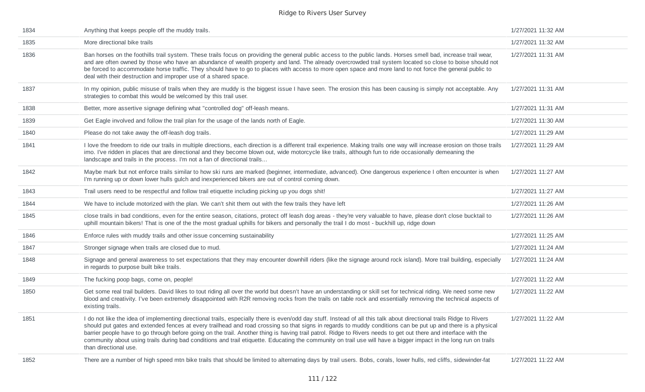| 1834 | Anything that keeps people off the muddy trails.                                                                                                                                                                                                                                                                                                                                                                                                                                                                                                                                                                                                                                                      | 1/27/2021 11:32 AM |
|------|-------------------------------------------------------------------------------------------------------------------------------------------------------------------------------------------------------------------------------------------------------------------------------------------------------------------------------------------------------------------------------------------------------------------------------------------------------------------------------------------------------------------------------------------------------------------------------------------------------------------------------------------------------------------------------------------------------|--------------------|
| 1835 | More directional bike trails                                                                                                                                                                                                                                                                                                                                                                                                                                                                                                                                                                                                                                                                          | 1/27/2021 11:32 AM |
| 1836 | Ban horses on the foothills trail system. These trails focus on providing the general public access to the public lands. Horses smell bad, increase trail wear,<br>and are often owned by those who have an abundance of wealth property and land. The already overcrowded trail system located so close to boise should not<br>be forced to accommodate horse traffic. They should have to go to places with access to more open space and more land to not force the general public to<br>deal with their destruction and improper use of a shared space.                                                                                                                                           | 1/27/2021 11:31 AM |
| 1837 | In my opinion, public misuse of trails when they are muddy is the biggest issue I have seen. The erosion this has been causing is simply not acceptable. Any<br>strategies to combat this would be welcomed by this trail user.                                                                                                                                                                                                                                                                                                                                                                                                                                                                       | 1/27/2021 11:31 AM |
| 1838 | Better, more assertive signage defining what "controlled dog" off-leash means.                                                                                                                                                                                                                                                                                                                                                                                                                                                                                                                                                                                                                        | 1/27/2021 11:31 AM |
| 1839 | Get Eagle involved and follow the trail plan for the usage of the lands north of Eagle.                                                                                                                                                                                                                                                                                                                                                                                                                                                                                                                                                                                                               | 1/27/2021 11:30 AM |
| 1840 | Please do not take away the off-leash dog trails.                                                                                                                                                                                                                                                                                                                                                                                                                                                                                                                                                                                                                                                     | 1/27/2021 11:29 AM |
| 1841 | I love the freedom to ride our trails in multiple directions, each direction is a different trail experience. Making trails one way will increase erosion on those trails<br>imo. I've ridden in places that are directional and they become blown out, wide motorcycle like trails, although fun to ride occasionally demeaning the<br>landscape and trails in the process. I'm not a fan of directional trails                                                                                                                                                                                                                                                                                      | 1/27/2021 11:29 AM |
| 1842 | Maybe mark but not enforce trails similar to how ski runs are marked (beginner, intermediate, advanced). One dangerous experience I often encounter is when<br>I'm running up or down lower hulls gulch and inexperienced bikers are out of control coming down.                                                                                                                                                                                                                                                                                                                                                                                                                                      | 1/27/2021 11:27 AM |
| 1843 | Trail users need to be respectful and follow trail etiquette including picking up you dogs shit!                                                                                                                                                                                                                                                                                                                                                                                                                                                                                                                                                                                                      | 1/27/2021 11:27 AM |
| 1844 | We have to include motorized with the plan. We can't shit them out with the few trails they have left                                                                                                                                                                                                                                                                                                                                                                                                                                                                                                                                                                                                 | 1/27/2021 11:26 AM |
| 1845 | close trails in bad conditions, even for the entire season, citations, protect off leash dog areas - they're very valuable to have, please don't close bucktail to<br>uphill mountain bikers! That is one of the the most gradual uphills for bikers and personally the trail I do most - buckhill up, ridge down                                                                                                                                                                                                                                                                                                                                                                                     | 1/27/2021 11:26 AM |
| 1846 | Enforce rules with muddy trails and other issue concerning sustainability                                                                                                                                                                                                                                                                                                                                                                                                                                                                                                                                                                                                                             | 1/27/2021 11:25 AM |
| 1847 | Stronger signage when trails are closed due to mud.                                                                                                                                                                                                                                                                                                                                                                                                                                                                                                                                                                                                                                                   | 1/27/2021 11:24 AM |
| 1848 | Signage and general awareness to set expectations that they may encounter downhill riders (like the signage around rock island). More trail building, especially<br>in regards to purpose built bike trails.                                                                                                                                                                                                                                                                                                                                                                                                                                                                                          | 1/27/2021 11:24 AM |
| 1849 | The fucking poop bags, come on, people!                                                                                                                                                                                                                                                                                                                                                                                                                                                                                                                                                                                                                                                               | 1/27/2021 11:22 AM |
| 1850 | Get some real trail builders. David likes to tout riding all over the world but doesn't have an understanding or skill set for technical riding. We need some new<br>blood and creativity. I've been extremely disappointed with R2R removing rocks from the trails on table rock and essentially removing the technical aspects of<br>existing trails.                                                                                                                                                                                                                                                                                                                                               | 1/27/2021 11:22 AM |
| 1851 | I do not like the idea of implementing directional trails, especially there is even/odd day stuff. Instead of all this talk about directional trails Ridge to Rivers<br>should put gates and extended fences at every trailhead and road crossing so that signs in regards to muddy conditions can be put up and there is a physical<br>barrier people have to go through before going on the trail. Another thing is having trail patrol. Ridge to Rivers needs to get out there and interface with the<br>community about using trails during bad conditions and trail etiquette. Educating the community on trail use will have a bigger impact in the long run on trails<br>than directional use. | 1/27/2021 11:22 AM |
| 1852 | There are a number of high speed mtn bike trails that should be limited to alternating days by trail users. Bobs, corals, lower hulls, red cliffs, sidewinder-fat                                                                                                                                                                                                                                                                                                                                                                                                                                                                                                                                     | 1/27/2021 11:22 AM |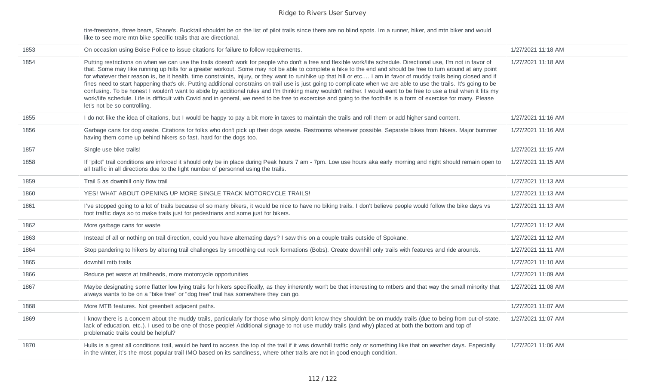tire-freestone, three bears, Shane's. Bucktail shouldnt be on the list of pilot trails since there are no blind spots. Im a runner, hiker, and mtn biker and would like to see more mtn bike specific trails that are directional.

| 1853 | On occasion using Boise Police to issue citations for failure to follow requirements.                                                                                                                                                                                                                                                                                                                                                                                                                                                                                                                                                                                                                                                                                                                                                                                                                                                                                                                                                                           | 1/27/2021 11:18 AM |
|------|-----------------------------------------------------------------------------------------------------------------------------------------------------------------------------------------------------------------------------------------------------------------------------------------------------------------------------------------------------------------------------------------------------------------------------------------------------------------------------------------------------------------------------------------------------------------------------------------------------------------------------------------------------------------------------------------------------------------------------------------------------------------------------------------------------------------------------------------------------------------------------------------------------------------------------------------------------------------------------------------------------------------------------------------------------------------|--------------------|
| 1854 | Putting restrictions on when we can use the trails doesn't work for people who don't a free and flexible work/life schedule. Directional use, I'm not in favor of<br>that. Some may like running up hills for a greater workout. Some may not be able to complete a hike to the end and should be free to turn around at any point<br>for whatever their reason is, be it health, time constraints, injury, or they want to run/hike up that hill or etc I am in favor of muddy trails being closed and if<br>fines need to start happening that's ok. Putting additional constrains on trail use is just going to complicate when we are able to use the trails. It's going to be<br>confusing. To be honest I wouldn't want to abide by additional rules and I'm thinking many wouldn't neither. I would want to be free to use a trail when it fits my<br>work/life schedule. Life is difficult with Covid and in general, we need to be free to excercise and going to the foothills is a form of exercise for many. Please<br>let's not be so controlling. | 1/27/2021 11:18 AM |
| 1855 | I do not like the idea of citations, but I would be happy to pay a bit more in taxes to maintain the trails and roll them or add higher sand content.                                                                                                                                                                                                                                                                                                                                                                                                                                                                                                                                                                                                                                                                                                                                                                                                                                                                                                           | 1/27/2021 11:16 AM |
| 1856 | Garbage cans for dog waste. Citations for folks who don't pick up their dogs waste. Restrooms wherever possible. Separate bikes from hikers. Major bummer<br>having them come up behind hikers so fast. hard for the dogs too.                                                                                                                                                                                                                                                                                                                                                                                                                                                                                                                                                                                                                                                                                                                                                                                                                                  | 1/27/2021 11:16 AM |
| 1857 | Single use bike trails!                                                                                                                                                                                                                                                                                                                                                                                                                                                                                                                                                                                                                                                                                                                                                                                                                                                                                                                                                                                                                                         | 1/27/2021 11:15 AM |
| 1858 | If "pilot" trail conditions are inforced it should only be in place during Peak hours 7 am - 7pm. Low use hours aka early morning and night should remain open to<br>all traffic in all directions due to the light number of personnel using the trails.                                                                                                                                                                                                                                                                                                                                                                                                                                                                                                                                                                                                                                                                                                                                                                                                       | 1/27/2021 11:15 AM |
| 1859 | Trail 5 as downhill only flow trail                                                                                                                                                                                                                                                                                                                                                                                                                                                                                                                                                                                                                                                                                                                                                                                                                                                                                                                                                                                                                             | 1/27/2021 11:13 AM |
| 1860 | YES! WHAT ABOUT OPENING UP MORE SINGLE TRACK MOTORCYCLE TRAILS!                                                                                                                                                                                                                                                                                                                                                                                                                                                                                                                                                                                                                                                                                                                                                                                                                                                                                                                                                                                                 | 1/27/2021 11:13 AM |
| 1861 | I've stopped going to a lot of trails because of so many bikers, it would be nice to have no biking trails. I don't believe people would follow the bike days vs<br>foot traffic days so to make trails just for pedestrians and some just for bikers.                                                                                                                                                                                                                                                                                                                                                                                                                                                                                                                                                                                                                                                                                                                                                                                                          | 1/27/2021 11:13 AM |
| 1862 | More garbage cans for waste                                                                                                                                                                                                                                                                                                                                                                                                                                                                                                                                                                                                                                                                                                                                                                                                                                                                                                                                                                                                                                     | 1/27/2021 11:12 AM |
| 1863 | Instead of all or nothing on trail direction, could you have alternating days? I saw this on a couple trails outside of Spokane.                                                                                                                                                                                                                                                                                                                                                                                                                                                                                                                                                                                                                                                                                                                                                                                                                                                                                                                                | 1/27/2021 11:12 AM |
| 1864 | Stop pandering to hikers by altering trail challenges by smoothing out rock formations (Bobs). Create downhill only trails with features and ride arounds.                                                                                                                                                                                                                                                                                                                                                                                                                                                                                                                                                                                                                                                                                                                                                                                                                                                                                                      | 1/27/2021 11:11 AM |
| 1865 | downhill mtb trails                                                                                                                                                                                                                                                                                                                                                                                                                                                                                                                                                                                                                                                                                                                                                                                                                                                                                                                                                                                                                                             | 1/27/2021 11:10 AM |
| 1866 | Reduce pet waste at trailheads, more motorcycle opportunities                                                                                                                                                                                                                                                                                                                                                                                                                                                                                                                                                                                                                                                                                                                                                                                                                                                                                                                                                                                                   | 1/27/2021 11:09 AM |
| 1867 | Maybe designating some flatter low lying trails for hikers specifically, as they inherently won't be that interesting to mtbers and that way the small minority that<br>always wants to be on a "bike free" or "dog free" trail has somewhere they can go.                                                                                                                                                                                                                                                                                                                                                                                                                                                                                                                                                                                                                                                                                                                                                                                                      | 1/27/2021 11:08 AM |
| 1868 | More MTB features. Not greenbelt adjacent paths.                                                                                                                                                                                                                                                                                                                                                                                                                                                                                                                                                                                                                                                                                                                                                                                                                                                                                                                                                                                                                | 1/27/2021 11:07 AM |
| 1869 | I know there is a concern about the muddy trails, particularly for those who simply don't know they shouldn't be on muddy trails (due to being from out-of-state,<br>lack of education, etc.). I used to be one of those people! Additional signage to not use muddy trails (and why) placed at both the bottom and top of<br>problematic trails could be helpful?                                                                                                                                                                                                                                                                                                                                                                                                                                                                                                                                                                                                                                                                                              | 1/27/2021 11:07 AM |
| 1870 | Hulls is a great all conditions trail, would be hard to access the top of the trail if it was downhill traffic only or something like that on weather days. Especially<br>in the winter, it's the most popular trail IMO based on its sandiness, where other trails are not in good enough condition.                                                                                                                                                                                                                                                                                                                                                                                                                                                                                                                                                                                                                                                                                                                                                           | 1/27/2021 11:06 AM |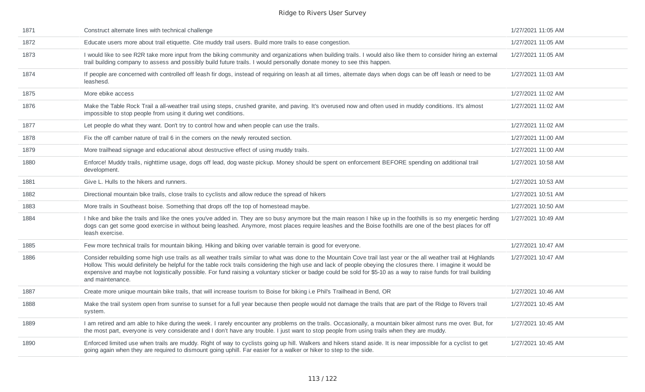| 1871 | Construct alternate lines with technical challenge                                                                                                                                                                                                                                                                                                                                                                                                                                                                             | 1/27/2021 11:05 AM |
|------|--------------------------------------------------------------------------------------------------------------------------------------------------------------------------------------------------------------------------------------------------------------------------------------------------------------------------------------------------------------------------------------------------------------------------------------------------------------------------------------------------------------------------------|--------------------|
| 1872 | Educate users more about trail etiquette. Cite muddy trail users. Build more trails to ease congestion.                                                                                                                                                                                                                                                                                                                                                                                                                        | 1/27/2021 11:05 AM |
| 1873 | I would like to see R2R take more input from the biking community and organizations when building trails. I would also like them to consider hiring an external<br>trail building company to assess and possibly build future trails. I would personally donate money to see this happen.                                                                                                                                                                                                                                      | 1/27/2021 11:05 AM |
| 1874 | If people are concerned with controlled off leash fir dogs, instead of requiring on leash at all times, alternate days when dogs can be off leash or need to be<br>leashesd.                                                                                                                                                                                                                                                                                                                                                   | 1/27/2021 11:03 AM |
| 1875 | More ebike access                                                                                                                                                                                                                                                                                                                                                                                                                                                                                                              | 1/27/2021 11:02 AM |
| 1876 | Make the Table Rock Trail a all-weather trail using steps, crushed granite, and paving. It's overused now and often used in muddy conditions. It's almost<br>impossible to stop people from using it during wet conditions.                                                                                                                                                                                                                                                                                                    | 1/27/2021 11:02 AM |
| 1877 | Let people do what they want. Don't try to control how and when people can use the trails.                                                                                                                                                                                                                                                                                                                                                                                                                                     | 1/27/2021 11:02 AM |
| 1878 | Fix the off camber nature of trail 6 in the corners on the newly rerouted section.                                                                                                                                                                                                                                                                                                                                                                                                                                             | 1/27/2021 11:00 AM |
| 1879 | More trailhead signage and educational about destructive effect of using muddy trails.                                                                                                                                                                                                                                                                                                                                                                                                                                         | 1/27/2021 11:00 AM |
| 1880 | Enforce! Muddy trails, nighttime usage, dogs off lead, dog waste pickup. Money should be spent on enforcement BEFORE spending on additional trail<br>development.                                                                                                                                                                                                                                                                                                                                                              | 1/27/2021 10:58 AM |
| 1881 | Give L. Hulls to the hikers and runners.                                                                                                                                                                                                                                                                                                                                                                                                                                                                                       | 1/27/2021 10:53 AM |
| 1882 | Directional mountain bike trails, close trails to cyclists and allow reduce the spread of hikers                                                                                                                                                                                                                                                                                                                                                                                                                               | 1/27/2021 10:51 AM |
| 1883 | More trails in Southeast boise. Something that drops off the top of homestead maybe.                                                                                                                                                                                                                                                                                                                                                                                                                                           | 1/27/2021 10:50 AM |
| 1884 | I hike and bike the trails and like the ones you've added in. They are so busy anymore but the main reason I hike up in the foothills is so my energetic herding<br>dogs can get some good exercise in without being leashed. Anymore, most places require leashes and the Boise foothills are one of the best places for off<br>leash exercise.                                                                                                                                                                               | 1/27/2021 10:49 AM |
| 1885 | Few more technical trails for mountain biking. Hiking and biking over variable terrain is good for everyone.                                                                                                                                                                                                                                                                                                                                                                                                                   | 1/27/2021 10:47 AM |
| 1886 | Consider rebuilding some high use trails as all weather trails similar to what was done to the Mountain Cove trail last year or the all weather trail at Highlands<br>Hollow. This would definitely be helpful for the table rock trails considering the high use and lack of people obeying the closures there. I imagine it would be<br>expensive and maybe not logistically possible. For fund raising a voluntary sticker or badge could be sold for \$5-10 as a way to raise funds for trail building<br>and maintenance. | 1/27/2021 10:47 AM |
| 1887 | Create more unique mountain bike trails, that will increase tourism to Boise for biking i.e Phil's Trailhead in Bend, OR                                                                                                                                                                                                                                                                                                                                                                                                       | 1/27/2021 10:46 AM |
| 1888 | Make the trail system open from sunrise to sunset for a full year because then people would not damage the trails that are part of the Ridge to Rivers trail<br>system.                                                                                                                                                                                                                                                                                                                                                        | 1/27/2021 10:45 AM |
| 1889 | I am retired and am able to hike during the week. I rarely encounter any problems on the trails. Occasionally, a mountain biker almost runs me over. But, for<br>the most part, everyone is very considerate and I don't have any trouble. I just want to stop people from using trails when they are muddy.                                                                                                                                                                                                                   | 1/27/2021 10:45 AM |
| 1890 | Enforced limited use when trails are muddy. Right of way to cyclists going up hill. Walkers and hikers stand aside. It is near impossible for a cyclist to get<br>going again when they are required to dismount going uphill. Far easier for a walker or hiker to step to the side.                                                                                                                                                                                                                                           | 1/27/2021 10:45 AM |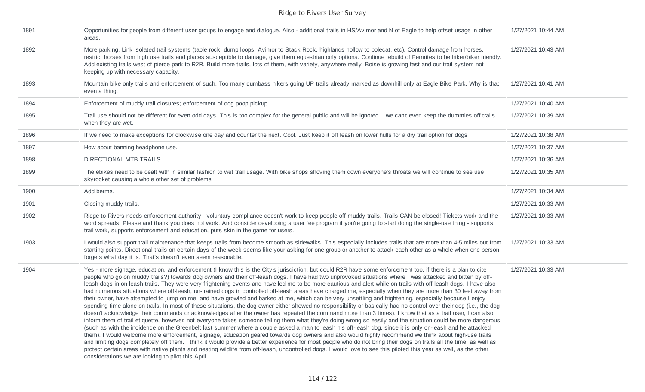| 1891 | Opportunities for people from different user groups to engage and dialogue. Also - additional trails in HS/Avimor and N of Eagle to help offset usage in other<br>areas.                                                                                                                                                                                                                                                                                                                                                                                                                                                                                                                                                                                                                                                                                                                                                                                                                                                                                                                                                                                                                                                                                                                                                                                                                                                                                                                                                                                                                                                                                                                                                                                                                                                                                                                                                                                                                                                                       | 1/27/2021 10:44 AM |
|------|------------------------------------------------------------------------------------------------------------------------------------------------------------------------------------------------------------------------------------------------------------------------------------------------------------------------------------------------------------------------------------------------------------------------------------------------------------------------------------------------------------------------------------------------------------------------------------------------------------------------------------------------------------------------------------------------------------------------------------------------------------------------------------------------------------------------------------------------------------------------------------------------------------------------------------------------------------------------------------------------------------------------------------------------------------------------------------------------------------------------------------------------------------------------------------------------------------------------------------------------------------------------------------------------------------------------------------------------------------------------------------------------------------------------------------------------------------------------------------------------------------------------------------------------------------------------------------------------------------------------------------------------------------------------------------------------------------------------------------------------------------------------------------------------------------------------------------------------------------------------------------------------------------------------------------------------------------------------------------------------------------------------------------------------|--------------------|
| 1892 | More parking. Link isolated trail systems (table rock, dump loops, Avimor to Stack Rock, highlands hollow to polecat, etc). Control damage from horses,<br>restrict horses from high use trails and places susceptible to damage, give them equestrian only options. Continue rebuild of Femrites to be hiker/biker friendly.<br>Add existing trails west of pierce park to R2R. Build more trails, lots of them, with variety, anywhere really. Boise is growing fast and our trail system not<br>keeping up with necessary capacity.                                                                                                                                                                                                                                                                                                                                                                                                                                                                                                                                                                                                                                                                                                                                                                                                                                                                                                                                                                                                                                                                                                                                                                                                                                                                                                                                                                                                                                                                                                         | 1/27/2021 10:43 AM |
| 1893 | Mountain bike only trails and enforcement of such. Too many dumbass hikers going UP trails already marked as downhill only at Eagle Bike Park. Why is that<br>even a thing.                                                                                                                                                                                                                                                                                                                                                                                                                                                                                                                                                                                                                                                                                                                                                                                                                                                                                                                                                                                                                                                                                                                                                                                                                                                                                                                                                                                                                                                                                                                                                                                                                                                                                                                                                                                                                                                                    | 1/27/2021 10:41 AM |
| 1894 | Enforcement of muddy trail closures; enforcement of dog poop pickup.                                                                                                                                                                                                                                                                                                                                                                                                                                                                                                                                                                                                                                                                                                                                                                                                                                                                                                                                                                                                                                                                                                                                                                                                                                                                                                                                                                                                                                                                                                                                                                                                                                                                                                                                                                                                                                                                                                                                                                           | 1/27/2021 10:40 AM |
| 1895 | Trail use should not be different for even odd days. This is too complex for the general public and will be ignoredwe can't even keep the dummies off trails<br>when they are wet.                                                                                                                                                                                                                                                                                                                                                                                                                                                                                                                                                                                                                                                                                                                                                                                                                                                                                                                                                                                                                                                                                                                                                                                                                                                                                                                                                                                                                                                                                                                                                                                                                                                                                                                                                                                                                                                             | 1/27/2021 10:39 AM |
| 1896 | If we need to make exceptions for clockwise one day and counter the next. Cool. Just keep it off leash on lower hulls for a dry trail option for dogs                                                                                                                                                                                                                                                                                                                                                                                                                                                                                                                                                                                                                                                                                                                                                                                                                                                                                                                                                                                                                                                                                                                                                                                                                                                                                                                                                                                                                                                                                                                                                                                                                                                                                                                                                                                                                                                                                          | 1/27/2021 10:38 AM |
| 1897 | How about banning headphone use.                                                                                                                                                                                                                                                                                                                                                                                                                                                                                                                                                                                                                                                                                                                                                                                                                                                                                                                                                                                                                                                                                                                                                                                                                                                                                                                                                                                                                                                                                                                                                                                                                                                                                                                                                                                                                                                                                                                                                                                                               | 1/27/2021 10:37 AM |
| 1898 | DIRECTIONAL MTB TRAILS                                                                                                                                                                                                                                                                                                                                                                                                                                                                                                                                                                                                                                                                                                                                                                                                                                                                                                                                                                                                                                                                                                                                                                                                                                                                                                                                                                                                                                                                                                                                                                                                                                                                                                                                                                                                                                                                                                                                                                                                                         | 1/27/2021 10:36 AM |
| 1899 | The ebikes need to be dealt with in similar fashion to wet trail usage. With bike shops shoving them down everyone's throats we will continue to see use<br>skyrocket causing a whole other set of problems                                                                                                                                                                                                                                                                                                                                                                                                                                                                                                                                                                                                                                                                                                                                                                                                                                                                                                                                                                                                                                                                                                                                                                                                                                                                                                                                                                                                                                                                                                                                                                                                                                                                                                                                                                                                                                    | 1/27/2021 10:35 AM |
| 1900 | Add berms.                                                                                                                                                                                                                                                                                                                                                                                                                                                                                                                                                                                                                                                                                                                                                                                                                                                                                                                                                                                                                                                                                                                                                                                                                                                                                                                                                                                                                                                                                                                                                                                                                                                                                                                                                                                                                                                                                                                                                                                                                                     | 1/27/2021 10:34 AM |
| 1901 | Closing muddy trails.                                                                                                                                                                                                                                                                                                                                                                                                                                                                                                                                                                                                                                                                                                                                                                                                                                                                                                                                                                                                                                                                                                                                                                                                                                                                                                                                                                                                                                                                                                                                                                                                                                                                                                                                                                                                                                                                                                                                                                                                                          | 1/27/2021 10:33 AM |
| 1902 | Ridge to Rivers needs enforcement authority - voluntary compliance doesn't work to keep people off muddy trails. Trails CAN be closed! Tickets work and the<br>word spreads. Please and thank you does not work. And consider developing a user fee program if you're going to start doing the single-use thing - supports<br>trail work, supports enforcement and education, puts skin in the game for users.                                                                                                                                                                                                                                                                                                                                                                                                                                                                                                                                                                                                                                                                                                                                                                                                                                                                                                                                                                                                                                                                                                                                                                                                                                                                                                                                                                                                                                                                                                                                                                                                                                 | 1/27/2021 10:33 AM |
| 1903 | I would also support trail maintenance that keeps trails from become smooth as sidewalks. This especially includes trails that are more than 4-5 miles out from<br>starting points. Directional trails on certain days of the week seems like your asking for one group or another to attack each other as a whole when one person<br>forgets what day it is. That's doesn't even seem reasonable.                                                                                                                                                                                                                                                                                                                                                                                                                                                                                                                                                                                                                                                                                                                                                                                                                                                                                                                                                                                                                                                                                                                                                                                                                                                                                                                                                                                                                                                                                                                                                                                                                                             | 1/27/2021 10:33 AM |
| 1904 | Yes - more signage, education, and enforcement (I know this is the City's jurisdiction, but could R2R have some enforcement too, if there is a plan to cite<br>people who go on muddy trails?) towards dog owners and their off-leash dogs. I have had two unprovoked situations where I was attacked and bitten by off-<br>leash dogs in on-leash trails. They were very frightening events and have led me to be more cautious and alert while on trails with off-leash dogs. I have also<br>had numerous situations where off-leash, un-trained dogs in controlled off-leash areas have charged me, especially when they are more than 30 feet away from<br>their owner, have attempted to jump on me, and have growled and barked at me, which can be very unsettling and frightening, especially because I enjoy<br>spending time alone on trails. In most of these situations, the dog owner either showed no responsibility or basically had no control over their dog (i.e., the dog<br>doesn't acknowledge their commands or acknowledges after the owner has repeated the command more than 3 times). I know that as a trail user, I can also<br>inform them of trail etiquette, however, not everyone takes someone telling them what they're doing wrong so easily and the situation could be more dangerous<br>(such as with the incidence on the Greenbelt last summer where a couple asked a man to leash his off-leash dog, since it is only on-leash and he attacked<br>them). I would welcome more enforcement, signage, education geared towards dog owners and also would highly recommend we think about high-use trails<br>and limiting dogs completely off them. I think it would provide a better experience for most people who do not bring their dogs on trails all the time, as well as<br>protect certain areas with native plants and nesting wildlife from off-leash, uncontrolled dogs. I would love to see this piloted this year as well, as the other<br>considerations we are looking to pilot this April. | 1/27/2021 10:33 AM |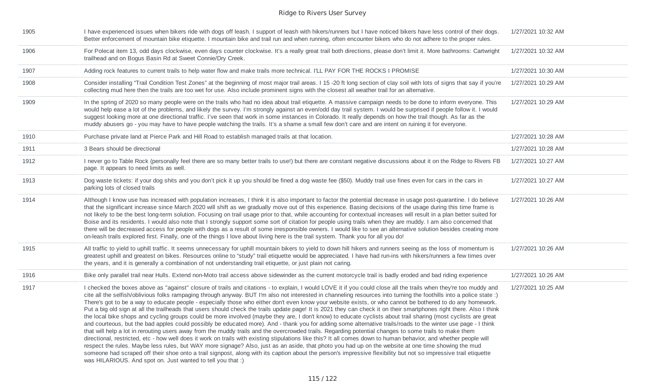| 1905 | I have experienced issues when bikers ride with dogs off leash. I support of leash with hikers/runners but I have noticed bikers have less control of their dogs.<br>Better enforcement of mountain bike etiquette. I mountain bike and trail run and when running, often encounter bikers who do not adhere to the proper rules.                                                                                                                                                                                                                                                                                                                                                                                                                                                                                                                                                                                                                                                                                                                                                                                                                                                                                                                                                                                                                                                                                                                                                                                                                                                                                                                                                                                                           | 1/27/2021 10:32 AM |
|------|---------------------------------------------------------------------------------------------------------------------------------------------------------------------------------------------------------------------------------------------------------------------------------------------------------------------------------------------------------------------------------------------------------------------------------------------------------------------------------------------------------------------------------------------------------------------------------------------------------------------------------------------------------------------------------------------------------------------------------------------------------------------------------------------------------------------------------------------------------------------------------------------------------------------------------------------------------------------------------------------------------------------------------------------------------------------------------------------------------------------------------------------------------------------------------------------------------------------------------------------------------------------------------------------------------------------------------------------------------------------------------------------------------------------------------------------------------------------------------------------------------------------------------------------------------------------------------------------------------------------------------------------------------------------------------------------------------------------------------------------|--------------------|
| 1906 | For Polecat item 13, odd days clockwise, even days counter clockwise. It's a really great trail both directions, please don't limit it. More bathrooms: Cartwright<br>trailhead and on Bogus Basin Rd at Sweet Connie/Dry Creek.                                                                                                                                                                                                                                                                                                                                                                                                                                                                                                                                                                                                                                                                                                                                                                                                                                                                                                                                                                                                                                                                                                                                                                                                                                                                                                                                                                                                                                                                                                            | 1/27/2021 10:32 AM |
| 1907 | Adding rock features to current trails to help water flow and make trails more technical. I'LL PAY FOR THE ROCKS I PROMISE                                                                                                                                                                                                                                                                                                                                                                                                                                                                                                                                                                                                                                                                                                                                                                                                                                                                                                                                                                                                                                                                                                                                                                                                                                                                                                                                                                                                                                                                                                                                                                                                                  | 1/27/2021 10:30 AM |
| 1908 | Consider installing "Trail Condition Test Zones" at the beginning of most major trail areas. I 15 -20 ft long section of clay soil with lots of signs that say if you're<br>collecting mud here then the trails are too wet for use. Also include prominent signs with the closest all weather trail for an alternative.                                                                                                                                                                                                                                                                                                                                                                                                                                                                                                                                                                                                                                                                                                                                                                                                                                                                                                                                                                                                                                                                                                                                                                                                                                                                                                                                                                                                                    | 1/27/2021 10:29 AM |
| 1909 | In the spring of 2020 so many people were on the trails who had no idea about trail etiquette. A massive campaign needs to be done to inform everyone. This<br>would help ease a lot of the problems, and likely the survey. I'm strongly against an even/odd day trail system. I would be surprised if people follow it. I would<br>suggest looking more at one directional traffic. I've seen that work in some instances in Colorado. It really depends on how the trail though. As far as the<br>muddy abusers go - you may have to have people watching the trails. It's a shame a small few don't care and are intent on ruining it for everyone.                                                                                                                                                                                                                                                                                                                                                                                                                                                                                                                                                                                                                                                                                                                                                                                                                                                                                                                                                                                                                                                                                     | 1/27/2021 10:29 AM |
| 1910 | Purchase private land at Pierce Park and Hill Road to establish managed trails at that location.                                                                                                                                                                                                                                                                                                                                                                                                                                                                                                                                                                                                                                                                                                                                                                                                                                                                                                                                                                                                                                                                                                                                                                                                                                                                                                                                                                                                                                                                                                                                                                                                                                            | 1/27/2021 10:28 AM |
| 1911 | 3 Bears should be directional                                                                                                                                                                                                                                                                                                                                                                                                                                                                                                                                                                                                                                                                                                                                                                                                                                                                                                                                                                                                                                                                                                                                                                                                                                                                                                                                                                                                                                                                                                                                                                                                                                                                                                               | 1/27/2021 10:28 AM |
| 1912 | I never go to Table Rock (personally feel there are so many better trails to use!) but there are constant negative discussions about it on the Ridge to Rivers FB<br>page. It appears to need limits as well.                                                                                                                                                                                                                                                                                                                                                                                                                                                                                                                                                                                                                                                                                                                                                                                                                                                                                                                                                                                                                                                                                                                                                                                                                                                                                                                                                                                                                                                                                                                               | 1/27/2021 10:27 AM |
| 1913 | Dog waste tickets: if your dog shits and you don't pick it up you should be fined a dog waste fee (\$50). Muddy trail use fines even for cars in the cars in<br>parking lots of closed trails                                                                                                                                                                                                                                                                                                                                                                                                                                                                                                                                                                                                                                                                                                                                                                                                                                                                                                                                                                                                                                                                                                                                                                                                                                                                                                                                                                                                                                                                                                                                               | 1/27/2021 10:27 AM |
| 1914 | Although I know use has increased with population increases, I think it is also important to factor the potential decrease in usage post-quarantine. I do believe<br>that the significant increase since March 2020 will shift as we gradually move out of this experience. Basing decisions of the usage during this time frame is<br>not likely to be the best long-term solution. Focusing on trail usage prior to that, while accounting for contextual increases will result in a plan better suited for<br>Boise and its residents. I would also note that I strongly support some sort of citation for people using trails when they are muddy. I am also concerned that<br>there will be decreased access for people with dogs as a result of some irresponsible owners. I would like to see an alternative solution besides creating more<br>on-leash trails explored first. Finally, one of the things I love about living here is the trail system. Thank you for all you do!                                                                                                                                                                                                                                                                                                                                                                                                                                                                                                                                                                                                                                                                                                                                                    | 1/27/2021 10:26 AM |
| 1915 | All traffic to yield to uphill traffic. It seems unnecessary for uphill mountain bikers to yield to down hill hikers and runners seeing as the loss of momentum is<br>greatest uphill and greatest on bikes. Resources online to "study" trail etiquette would be appreciated. I have had run-ins with hikers/runners a few times over<br>the years, and it is generally a combination of not understanding trail etiquette, or just plain not caring.                                                                                                                                                                                                                                                                                                                                                                                                                                                                                                                                                                                                                                                                                                                                                                                                                                                                                                                                                                                                                                                                                                                                                                                                                                                                                      | 1/27/2021 10:26 AM |
| 1916 | Bike only parallel trail near Hulls. Extend non-Moto trail access above sidewinder as the current motorcycle trail is badly eroded and bad riding experience                                                                                                                                                                                                                                                                                                                                                                                                                                                                                                                                                                                                                                                                                                                                                                                                                                                                                                                                                                                                                                                                                                                                                                                                                                                                                                                                                                                                                                                                                                                                                                                | 1/27/2021 10:26 AM |
| 1917 | I checked the boxes above as "against" closure of trails and citations - to explain, I would LOVE it if you could close all the trails when they're too muddy and<br>cite all the selfish/oblivious folks rampaging through anyway. BUT I'm also not interested in channeling resources into turning the foothills into a police state :)<br>There's got to be a way to educate people - especially those who either don't even know your website exists, or who cannot be bothered to do any homework.<br>Put a big old sign at all the trailheads that users should check the trails update page! It is 2021 they can check it on their smartphones right there. Also I think<br>the local bike shops and cycling groups could be more involved (maybe they are, I don't know) to educate cyclists about trail sharing (most cyclists are great<br>and courteous, but the bad apples could possibly be educated more). And - thank you for adding some alternative trails/roads to the winter use page - I think<br>that will help a lot in rerouting users away from the muddy trails and the overcrowded trails. Regarding potential changes to some trails to make them<br>directional, restricted, etc - how well does it work on trails with existing stipulations like this? It all comes down to human behavior, and whether people will<br>respect the rules. Maybe less rules, but WAY more signage? Also, just as an aside, that photo you had up on the website at one time showing the mud<br>someone had scraped off their shoe onto a trail signpost, along with its caption about the person's impressive flexibility but not so impressive trail etiquette<br>was HILARIOUS. And spot on. Just wanted to tell you that :) | 1/27/2021 10:25 AM |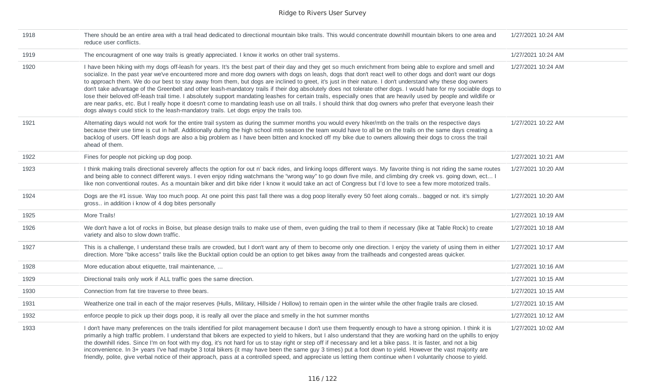| 1918 | There should be an entire area with a trail head dedicated to directional mountain bike trails. This would concentrate downhill mountain bikers to one area and<br>reduce user conflicts.                                                                                                                                                                                                                                                                                                                                                                                                                                                                                                                                                                                                                                                                                                                                                                                                                                                                                                            | 1/27/2021 10:24 AM |
|------|------------------------------------------------------------------------------------------------------------------------------------------------------------------------------------------------------------------------------------------------------------------------------------------------------------------------------------------------------------------------------------------------------------------------------------------------------------------------------------------------------------------------------------------------------------------------------------------------------------------------------------------------------------------------------------------------------------------------------------------------------------------------------------------------------------------------------------------------------------------------------------------------------------------------------------------------------------------------------------------------------------------------------------------------------------------------------------------------------|--------------------|
| 1919 | The encouragment of one way trails is greatly appreciated. I know it works on other trail systems.                                                                                                                                                                                                                                                                                                                                                                                                                                                                                                                                                                                                                                                                                                                                                                                                                                                                                                                                                                                                   | 1/27/2021 10:24 AM |
| 1920 | I have been hiking with my dogs off-leash for years. It's the best part of their day and they get so much enrichment from being able to explore and smell and<br>socialize. In the past year we've encountered more and more dog owners with dogs on leash, dogs that don't react well to other dogs and don't want our dogs<br>to approach them. We do our best to stay away from them, but dogs are inclined to greet, it's just in their nature. I don't understand why these dog owners<br>don't take advantage of the Greenbelt and other leash-mandatory trails if their dog absolutely does not tolerate other dogs. I would hate for my sociable dogs to<br>lose their beloved off-leash trail time. I absolutely support mandating leashes for certain trails, especially ones that are heavily used by people and wildlife or<br>are near parks, etc. But I really hope it doesn't come to mandating leash use on all trails. I should think that dog owners who prefer that everyone leash their<br>dogs always could stick to the leash-mandatory trails. Let dogs enjoy the trails too. | 1/27/2021 10:24 AM |
| 1921 | Alternating days would not work for the entire trail system as during the summer months you would every hiker/mtb on the trails on the respective days<br>because their use time is cut in half. Additionally during the high school mtb season the team would have to all be on the trails on the same days creating a<br>backlog of users. Off leash dogs are also a big problem as I have been bitten and knocked off my bike due to owners allowing their dogs to cross the trail<br>ahead of them.                                                                                                                                                                                                                                                                                                                                                                                                                                                                                                                                                                                              | 1/27/2021 10:22 AM |
| 1922 | Fines for people not picking up dog poop.                                                                                                                                                                                                                                                                                                                                                                                                                                                                                                                                                                                                                                                                                                                                                                                                                                                                                                                                                                                                                                                            | 1/27/2021 10:21 AM |
| 1923 | I think making trails directional severely affects the option for out n' back rides, and linking loops different ways. My favorite thing is not riding the same routes<br>and being able to connect different ways. I even enjoy riding watchmans the "wrong way" to go down five mile, and climbing dry creek vs. going down, ect I<br>like non conventional routes. As a mountain biker and dirt bike rider I know it would take an act of Congress but I'd love to see a few more motorized trails.                                                                                                                                                                                                                                                                                                                                                                                                                                                                                                                                                                                               | 1/27/2021 10:20 AM |
| 1924 | Dogs are the #1 issue. Way too much poop. At one point this past fall there was a dog poop literally every 50 feet along corrals bagged or not. it's simply<br>gross in addition i know of 4 dog bites personally                                                                                                                                                                                                                                                                                                                                                                                                                                                                                                                                                                                                                                                                                                                                                                                                                                                                                    | 1/27/2021 10:20 AM |
| 1925 | More Trails!                                                                                                                                                                                                                                                                                                                                                                                                                                                                                                                                                                                                                                                                                                                                                                                                                                                                                                                                                                                                                                                                                         | 1/27/2021 10:19 AM |
| 1926 | We don't have a lot of rocks in Boise, but please design trails to make use of them, even guiding the trail to them if necessary (like at Table Rock) to create<br>variety and also to slow down traffic.                                                                                                                                                                                                                                                                                                                                                                                                                                                                                                                                                                                                                                                                                                                                                                                                                                                                                            | 1/27/2021 10:18 AM |
| 1927 | This is a challenge, I understand these trails are crowded, but I don't want any of them to become only one direction. I enjoy the variety of using them in either<br>direction. More "bike access" trails like the Bucktail option could be an option to get bikes away from the trailheads and congested areas quicker.                                                                                                                                                                                                                                                                                                                                                                                                                                                                                                                                                                                                                                                                                                                                                                            | 1/27/2021 10:17 AM |
| 1928 | More education about etiquette, trail maintenance,                                                                                                                                                                                                                                                                                                                                                                                                                                                                                                                                                                                                                                                                                                                                                                                                                                                                                                                                                                                                                                                   | 1/27/2021 10:16 AM |
| 1929 | Directional trails only work if ALL traffic goes the same direction.                                                                                                                                                                                                                                                                                                                                                                                                                                                                                                                                                                                                                                                                                                                                                                                                                                                                                                                                                                                                                                 | 1/27/2021 10:15 AM |
| 1930 | Connection from fat tire traverse to three bears.                                                                                                                                                                                                                                                                                                                                                                                                                                                                                                                                                                                                                                                                                                                                                                                                                                                                                                                                                                                                                                                    | 1/27/2021 10:15 AM |
| 1931 | Weatherize one trail in each of the major reserves (Hulls, Military, Hillside / Hollow) to remain open in the winter while the other fragile trails are closed.                                                                                                                                                                                                                                                                                                                                                                                                                                                                                                                                                                                                                                                                                                                                                                                                                                                                                                                                      | 1/27/2021 10:15 AM |
| 1932 | enforce people to pick up their dogs poop, it is really all over the place and smelly in the hot summer months                                                                                                                                                                                                                                                                                                                                                                                                                                                                                                                                                                                                                                                                                                                                                                                                                                                                                                                                                                                       | 1/27/2021 10:12 AM |
| 1933 | I don't have many preferences on the trails identified for pilot management because I don't use them frequently enough to have a strong opinion. I think it is<br>primarily a high traffic problem. I understand that bikers are expected to yield to hikers, but I also understand that they are working hard on the uphills to enjoy<br>the downhill rides. Since I'm on foot with my dog, it's not hard for us to stay right or step off if necessary and let a bike pass. It is faster, and not a big<br>inconvenience. In 3+ years I've had maybe 3 total bikers (it may have been the same guy 3 times) put a foot down to yield. However the vast majority are<br>friendly, polite, give verbal notice of their approach, pass at a controlled speed, and appreciate us letting them continue when I voluntarily choose to yield.                                                                                                                                                                                                                                                             | 1/27/2021 10:02 AM |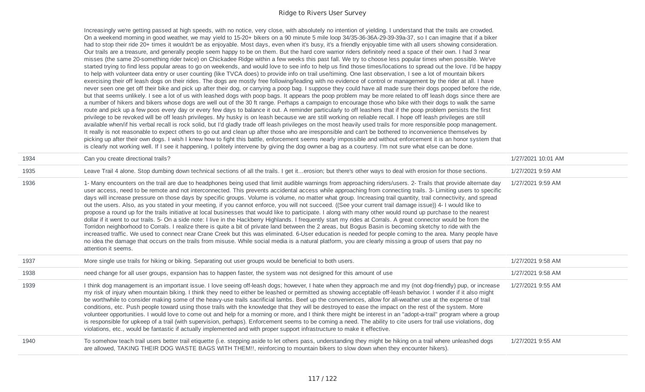|      | Increasingly we're getting passed at high speeds, with no notice, very close, with absolutely no intention of yielding. I understand that the trails are crowded.<br>On a weekend morning in good weather, we may yield to 15-20+ bikers on a 90 minute 5 mile loop 34/35-36-36A-29-39-39a-37, so I can imagine that if a biker<br>had to stop their ride 20+ times it wouldn't be as enjoyable. Most days, even when it's busy, it's a friendly enjoyable time with all users showing consideration.<br>Our trails are a treasure, and generally people seem happy to be on them. But the hard core warrior riders definitely need a space of their own. I had 3 near<br>misses (the same 20-something rider twice) on Chickadee Ridge within a few weeks this past fall. We try to choose less popular times when possible. We've<br>started trying to find less popular areas to go on weekends, and would love to see info to help us find those times/locations to spread out the love. I'd be happy<br>to help with volunteer data entry or user counting (like TVCA does) to provide info on trail use/timing. One last observation, I see a lot of mountain bikers<br>exercising their off leash dogs on their rides. The dogs are mostly free following/leading with no evidence of control or management by the rider at all. I have<br>never seen one get off their bike and pick up after their dog, or carrying a poop bag. I suppose they could have all made sure their dogs pooped before the ride,<br>but that seems unlikely. I see a lot of us with leashed dogs with poop bags. It appears the poop problem may be more related to off leash dogs since there are<br>a number of hikers and bikers whose dogs are well out of the 30 ft range. Perhaps a campaign to encourage those who bike with their dogs to walk the same<br>route and pick up a few poos every day or every few days to balance it out. A reminder particularly to off leashers that if the poop problem persists the first<br>privilege to be revoked will be off leash privileges. My husky is on leash because we are still working on reliable recall. I hope off leash privileges are still<br>available when/if his verbal recall is rock solid, but I'd gladly trade off leash privileges on the most heavily used trails for more responsible poop management.<br>It really is not reasonable to expect others to go out and clean up after those who are irresponsible and can't be bothered to inconvenience themselves by<br>picking up after their own dogs. I wish I knew how to fight this battle, enforcement seems nearly impossible and without enforcement it is an honor system that<br>is clearly not working well. If I see it happening, I politely intervene by giving the dog owner a bag as a courtesy. I'm not sure what else can be done. |                    |
|------|----------------------------------------------------------------------------------------------------------------------------------------------------------------------------------------------------------------------------------------------------------------------------------------------------------------------------------------------------------------------------------------------------------------------------------------------------------------------------------------------------------------------------------------------------------------------------------------------------------------------------------------------------------------------------------------------------------------------------------------------------------------------------------------------------------------------------------------------------------------------------------------------------------------------------------------------------------------------------------------------------------------------------------------------------------------------------------------------------------------------------------------------------------------------------------------------------------------------------------------------------------------------------------------------------------------------------------------------------------------------------------------------------------------------------------------------------------------------------------------------------------------------------------------------------------------------------------------------------------------------------------------------------------------------------------------------------------------------------------------------------------------------------------------------------------------------------------------------------------------------------------------------------------------------------------------------------------------------------------------------------------------------------------------------------------------------------------------------------------------------------------------------------------------------------------------------------------------------------------------------------------------------------------------------------------------------------------------------------------------------------------------------------------------------------------------------------------------------------------------------------------------------------------------------------------------------------------------------------------------------------------------------------------------------------------------------------------------------------------------------------------------------------------------------------------------------------------------------------------------|--------------------|
| 1934 | Can you create directional trails?                                                                                                                                                                                                                                                                                                                                                                                                                                                                                                                                                                                                                                                                                                                                                                                                                                                                                                                                                                                                                                                                                                                                                                                                                                                                                                                                                                                                                                                                                                                                                                                                                                                                                                                                                                                                                                                                                                                                                                                                                                                                                                                                                                                                                                                                                                                                                                                                                                                                                                                                                                                                                                                                                                                                                                                                                             | 1/27/2021 10:01 AM |
| 1935 | Leave Trail 4 alone. Stop dumbing down technical sections of all the trails. I get iterosion; but there's other ways to deal with erosion for those sections.                                                                                                                                                                                                                                                                                                                                                                                                                                                                                                                                                                                                                                                                                                                                                                                                                                                                                                                                                                                                                                                                                                                                                                                                                                                                                                                                                                                                                                                                                                                                                                                                                                                                                                                                                                                                                                                                                                                                                                                                                                                                                                                                                                                                                                                                                                                                                                                                                                                                                                                                                                                                                                                                                                  | 1/27/2021 9:59 AM  |
| 1936 | 1- Many encounters on the trail are due to headphones being used that limit audible warnings from approaching riders/users. 2- Trails that provide alternate day<br>user access, need to be remote and not interconnected. This prevents accidental access while approaching from connecting trails. 3- Limiting users to specific<br>days will increase pressure on those days by specific groups. Volume is volume, no matter what group. Increasing trail quantity, trail connectivity, and spread<br>out the users. Also, as you stated in your meeting, if you cannot enforce, you will not succeed. ((See your current trail damage issue)) 4- I would like to<br>propose a round up for the trails initiative at local businesses that would like to participate. I along with many other would round up purchase to the nearest<br>dollar if it went to our trails. 5- On a side note: I live in the Hackberry Highlands. I frequently start my rides at Corrals. A great connector would be from the<br>Torridon neighborhood to Corrals. I realize there is quite a bit of private land between the 2 areas, but Bogus Basin is becoming sketchy to ride with the<br>increased traffic. We used to connect near Crane Creek but this was eliminated. 6-User education is needed for people coming to the area. Many people have<br>no idea the damage that occurs on the trails from misuse. While social media is a natural platform, you are clearly missing a group of users that pay no<br>attention it seems.                                                                                                                                                                                                                                                                                                                                                                                                                                                                                                                                                                                                                                                                                                                                                                                                                                                                                                                                                                                                                                                                                                                                                                                                                                                                                                                                   | 1/27/2021 9:59 AM  |
| 1937 | More single use trails for hiking or biking. Separating out user groups would be beneficial to both users.                                                                                                                                                                                                                                                                                                                                                                                                                                                                                                                                                                                                                                                                                                                                                                                                                                                                                                                                                                                                                                                                                                                                                                                                                                                                                                                                                                                                                                                                                                                                                                                                                                                                                                                                                                                                                                                                                                                                                                                                                                                                                                                                                                                                                                                                                                                                                                                                                                                                                                                                                                                                                                                                                                                                                     | 1/27/2021 9:58 AM  |
| 1938 | need change for all user groups, expansion has to happen faster, the system was not designed for this amount of use                                                                                                                                                                                                                                                                                                                                                                                                                                                                                                                                                                                                                                                                                                                                                                                                                                                                                                                                                                                                                                                                                                                                                                                                                                                                                                                                                                                                                                                                                                                                                                                                                                                                                                                                                                                                                                                                                                                                                                                                                                                                                                                                                                                                                                                                                                                                                                                                                                                                                                                                                                                                                                                                                                                                            | 1/27/2021 9:58 AM  |
| 1939 | I think dog management is an important issue. I love seeing off-leash dogs; however, I hate when they approach me and my (not dog-friendly) pup, or increase<br>my risk of injury when mountain biking. I think they need to either be leashed or permitted as showing acceptable off-leash behavior. I wonder if it also might<br>be worthwhile to consider making some of the heavy-use trails sacrificial lambs. Beef up the conveniences, allow for all-weather use at the expense of trail<br>conditions, etc. Push people toward using those trails with the knowledge that they will be destroyed to ease the impact on the rest of the system. More<br>volunteer opportunities. I would love to come out and help for a morning or more, and I think there might be interest in an "adopt-a-trail" program where a group<br>is responsible for upkeep of a trail (with supervision, perhaps). Enforcement seems to be coming a need. The ability to cite users for trail use violations, dog<br>violations, etc., would be fantastic if actually implemented and with proper support infrastructure to make it effective.                                                                                                                                                                                                                                                                                                                                                                                                                                                                                                                                                                                                                                                                                                                                                                                                                                                                                                                                                                                                                                                                                                                                                                                                                                                                                                                                                                                                                                                                                                                                                                                                                                                                                                                              | 1/27/2021 9:55 AM  |
| 1940 | To somehow teach trail users better trail etiquette (i.e. stepping aside to let others pass, understanding they might be hiking on a trail where unleashed dogs<br>are allowed, TAKING THEIR DOG WASTE BAGS WITH THEM!!, reinforcing to mountain bikers to slow down when they encounter hikers).                                                                                                                                                                                                                                                                                                                                                                                                                                                                                                                                                                                                                                                                                                                                                                                                                                                                                                                                                                                                                                                                                                                                                                                                                                                                                                                                                                                                                                                                                                                                                                                                                                                                                                                                                                                                                                                                                                                                                                                                                                                                                                                                                                                                                                                                                                                                                                                                                                                                                                                                                              | 1/27/2021 9:55 AM  |

 $\overline{\phantom{a}}$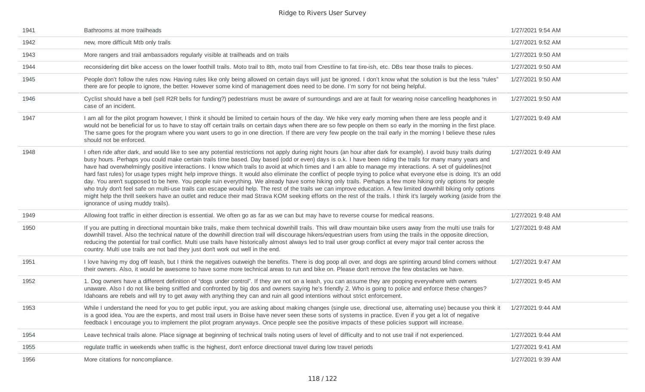| 1941 | Bathrooms at more trailheads                                                                                                                                                                                                                                                                                                                                                                                                                                                                                                                                                                                                                                                                                                                                                                                                                                                                                                                                                                                                                                                                                                                                                                                            | 1/27/2021 9:54 AM |
|------|-------------------------------------------------------------------------------------------------------------------------------------------------------------------------------------------------------------------------------------------------------------------------------------------------------------------------------------------------------------------------------------------------------------------------------------------------------------------------------------------------------------------------------------------------------------------------------------------------------------------------------------------------------------------------------------------------------------------------------------------------------------------------------------------------------------------------------------------------------------------------------------------------------------------------------------------------------------------------------------------------------------------------------------------------------------------------------------------------------------------------------------------------------------------------------------------------------------------------|-------------------|
| 1942 | new, more difficult Mtb only trails                                                                                                                                                                                                                                                                                                                                                                                                                                                                                                                                                                                                                                                                                                                                                                                                                                                                                                                                                                                                                                                                                                                                                                                     | 1/27/2021 9:52 AM |
| 1943 | More rangers and trail ambassadors regularly visible at trailheads and on trails                                                                                                                                                                                                                                                                                                                                                                                                                                                                                                                                                                                                                                                                                                                                                                                                                                                                                                                                                                                                                                                                                                                                        | 1/27/2021 9:50 AM |
| 1944 | reconsidering dirt bike access on the lower foothill trails. Moto trail to 8th, moto trail from Crestline to fat tire-ish, etc. DBs tear those trails to pieces.                                                                                                                                                                                                                                                                                                                                                                                                                                                                                                                                                                                                                                                                                                                                                                                                                                                                                                                                                                                                                                                        | 1/27/2021 9:50 AM |
| 1945 | People don't follow the rules now. Having rules like only being allowed on certain days will just be ignored. I don't know what the solution is but the less "rules"<br>there are for people to ignore, the better. However some kind of management does need to be done. I'm sorry for not being helpful.                                                                                                                                                                                                                                                                                                                                                                                                                                                                                                                                                                                                                                                                                                                                                                                                                                                                                                              | 1/27/2021 9:50 AM |
| 1946 | Cyclist should have a bell (sell R2R bells for funding?) pedestrians must be aware of surroundings and are at fault for wearing noise cancelling headphones in<br>case of an incident.                                                                                                                                                                                                                                                                                                                                                                                                                                                                                                                                                                                                                                                                                                                                                                                                                                                                                                                                                                                                                                  | 1/27/2021 9:50 AM |
| 1947 | I am all for the pilot program however, I think it should be limited to certain hours of the day. We hike very early morning when there are less people and it<br>would not be beneficial for us to have to stay off certain trails on certain days when there are so few people on them so early in the morning in the first place.<br>The same goes for the program where you want users to go in one direction. If there are very few people on the trail early in the morning I believe these rules<br>should not be enforced.                                                                                                                                                                                                                                                                                                                                                                                                                                                                                                                                                                                                                                                                                      | 1/27/2021 9:49 AM |
| 1948 | I often ride after dark, and would like to see any potential restrictions not apply during night hours (an hour after dark for example). I avoid busy trails during<br>busy hours. Perhaps you could make certain trails time based. Day based (odd or even) days is o.k. I have been riding the trails for many many years and<br>have had overwhelmingly positive interactions. I know which trails to avoid at which times and I am able to manage my interactions. A set of guidelines (not<br>hard fast rules) for usage types might help improve things. It would also eliminate the conflict of people trying to police what everyone else is doing. It's an odd<br>day. You aren't supposed to be here. You people ruin everything. We already have some hiking only trails. Perhaps a few more hiking only options for people<br>who truly don't feel safe on multi-use trails can escape would help. The rest of the trails we can improve education. A few limited downhill biking only options<br>might help the thrill seekers have an outlet and reduce their mad Strava KOM seeking efforts on the rest of the trails. I think it's largely working (aside from the<br>ignorance of using muddy trails). | 1/27/2021 9:49 AM |
| 1949 | Allowing foot traffic in either direction is essential. We often go as far as we can but may have to reverse course for medical reasons.                                                                                                                                                                                                                                                                                                                                                                                                                                                                                                                                                                                                                                                                                                                                                                                                                                                                                                                                                                                                                                                                                | 1/27/2021 9:48 AM |
| 1950 | If you are putting in directional mountain bike trails, make them technical downhill trails. This will draw mountain bike users away from the multi use trails for<br>downhill travel. Also the technical nature of the downhill direction trail will discourage hikers/equestrian users from using the trails in the opposite direction,<br>reducing the potential for trail conflict. Multi use trails have historically almost always led to trail user group conflict at every major trail center across the<br>country. Multi use trails are not bad they just don't work out well in the end.                                                                                                                                                                                                                                                                                                                                                                                                                                                                                                                                                                                                                     | 1/27/2021 9:48 AM |
| 1951 | I love having my dog off leash, but I think the negatives outweigh the benefits. There is dog poop all over, and dogs are sprinting around blind corners without<br>their owners. Also, it would be awesome to have some more technical areas to run and bike on. Please don't remove the few obstacles we have.                                                                                                                                                                                                                                                                                                                                                                                                                                                                                                                                                                                                                                                                                                                                                                                                                                                                                                        | 1/27/2021 9:47 AM |
| 1952 | 1. Dog owners have a different definition of "dogs under control". If they are not on a leash, you can assume they are pooping everywhere with owners<br>unaware. Also I do not like being sniffed and confronted by big dos and owners saying he's friendly 2. Who is going to police and enforce these changes?<br>Idahoans are rebels and will try to get away with anything they can and ruin all good intentions without strict enforcement.                                                                                                                                                                                                                                                                                                                                                                                                                                                                                                                                                                                                                                                                                                                                                                       | 1/27/2021 9:45 AM |
| 1953 | While I understand the need for you to get public input, you are asking about making changes (single use, directional use, alternating use) because you think it<br>is a good idea. You are the experts, and most trail users in Boise have never seen these sorts of systems in practice. Even if you get a lot of negative<br>feedback I encourage you to implement the pilot program anyways. Once people see the positive impacts of these policies support will increase.                                                                                                                                                                                                                                                                                                                                                                                                                                                                                                                                                                                                                                                                                                                                          | 1/27/2021 9:44 AM |
| 1954 | Leave technical trails alone. Place signage at beginning of technical trails noting users of level of difficulty and to not use trail if not experienced.                                                                                                                                                                                                                                                                                                                                                                                                                                                                                                                                                                                                                                                                                                                                                                                                                                                                                                                                                                                                                                                               | 1/27/2021 9:44 AM |
| 1955 | regulate traffic in weekends when traffic is the highest, don't enforce directional travel during low travel periods                                                                                                                                                                                                                                                                                                                                                                                                                                                                                                                                                                                                                                                                                                                                                                                                                                                                                                                                                                                                                                                                                                    | 1/27/2021 9:41 AM |
| 1956 | More citations for noncompliance.                                                                                                                                                                                                                                                                                                                                                                                                                                                                                                                                                                                                                                                                                                                                                                                                                                                                                                                                                                                                                                                                                                                                                                                       | 1/27/2021 9:39 AM |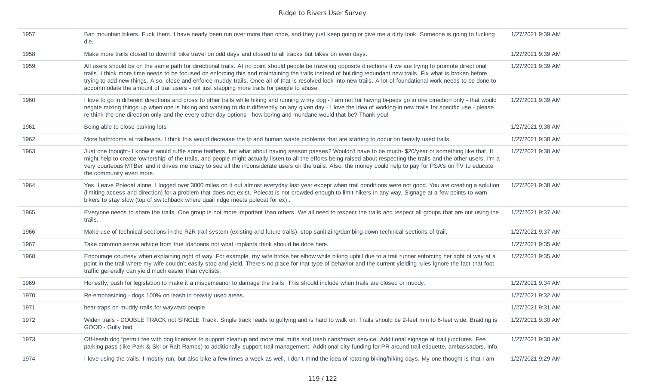| 1957 | Ban mountain bikers. Fuck them. I have nearly been run over more than once, and they just keep going or give me a dirty look. Someone is going to fucking<br>die.                                                                                                                                                                                                                                                                                                                                                                                                                                    | 1/27/2021 9:39 AM |
|------|------------------------------------------------------------------------------------------------------------------------------------------------------------------------------------------------------------------------------------------------------------------------------------------------------------------------------------------------------------------------------------------------------------------------------------------------------------------------------------------------------------------------------------------------------------------------------------------------------|-------------------|
| 1958 | Make more trails closed to downhill bike travel on odd days and closed to all tracks but bikes on even days.                                                                                                                                                                                                                                                                                                                                                                                                                                                                                         | 1/27/2021 9:39 AM |
| 1959 | All users should be on the same path for directional trails. At no point should people be traveling opposite directions if we are trying to promote directional<br>trails. I think more time needs to be focused on enforcing this and maintaining the trails instead of building redundant new trails. Fix what is broken before<br>trying to add new things. Also, close and enforce muddy trails. Once all of that is resolved look into new trails. A lot of foundational work needs to be done to<br>accommodate the amount of trail users - not just slapping more trails for people to abuse. | 1/27/2021 9:39 AM |
| 1960 | I love to go in different directions and cross to other trails while hiking and running w my dog - I am not for having bi-peds go in one direction only - that would<br>negate mixing things up when one is hiking and wanting to do it differently on any given day - I love the idea of working-in new trails for specific use - please<br>re-think the one-direction only and the every-other-day options - how boring and mundane would that be? Thank you!                                                                                                                                      | 1/27/2021 9:39 AM |
| 1961 | Being able to close parking lots                                                                                                                                                                                                                                                                                                                                                                                                                                                                                                                                                                     | 1/27/2021 9:38 AM |
| 1962 | More bathrooms at trailheads. I think this would decrease the tp and human waste problems that are starting to occur on heavily used trails.                                                                                                                                                                                                                                                                                                                                                                                                                                                         | 1/27/2021 9:38 AM |
| 1963 | Just one thought- I know it would ruffle some feathers, but what about having season passes? Wouldn't have to be much- \$20/year or something like that. It<br>might help to create 'ownership' of the trails, and people might actually listen to all the efforts being raised about respecting the trails and the other users. I'm a<br>very courteous MTBer, and it drives me crazy to see all the inconsiderate users on the trails. Also, the money could help to pay for PSA's on TV to educate<br>the community even more.                                                                    | 1/27/2021 9:38 AM |
| 1964 | Yes. Leave Polecat alone. I logged over 3000 miles on it out almost everyday last year except when trail conditions were not good. You are creating a solution<br>(limiting access and direction) for a problem that does not exist. Polecat is not crowded enough to limit hikers in any way. Signage at a few points to warn<br>bikers to stay slow (top of switchback where quail ridge meets polecat for ex).                                                                                                                                                                                    | 1/27/2021 9:38 AM |
| 1965 | Everyone needs to share the trails. One group is not more important than others. We all need to respect the trails and respect all groups that are out using the<br>trails.                                                                                                                                                                                                                                                                                                                                                                                                                          | 1/27/2021 9:37 AM |
| 1966 | Make use of technical sections in the R2R trail system (existing and future trails)--stop sanitizing/dumbing-down technical sections of trail.                                                                                                                                                                                                                                                                                                                                                                                                                                                       | 1/27/2021 9:37 AM |
| 1967 | Take common sense advice from true Idahoans not what implants think should be done here.                                                                                                                                                                                                                                                                                                                                                                                                                                                                                                             | 1/27/2021 9:35 AM |
| 1968 | Encourage courtesy when explaining right of way. For example, my wife broke her elbow while biking uphill due to a trail runner enforcing her right of way at a<br>point in the trail where my wife couldn't easily stop and yield. There's no place for that type of behavior and the current yielding rules ignore the fact that foot<br>traffic generally can yield much easier than cyclists.                                                                                                                                                                                                    | 1/27/2021 9:35 AM |
| 1969 | Honestly, push for legislation to make it a misdemeanor to damage the trails. This should include when trails are closed or muddy.                                                                                                                                                                                                                                                                                                                                                                                                                                                                   | 1/27/2021 9:34 AM |
| 1970 | Re-emphasizing - dogs 100% on leash in heavily used areas.                                                                                                                                                                                                                                                                                                                                                                                                                                                                                                                                           | 1/27/2021 9:32 AM |
| 1971 | bear traps on muddy trails for wayward people                                                                                                                                                                                                                                                                                                                                                                                                                                                                                                                                                        | 1/27/2021 9:31 AM |
| 1972 | Widen trails - DOUBLE TRACK not SINGLE Track. Single track leads to gullying and is hard to walk on. Trails should be 2-feet min to 6-feet wide. Braiding is<br>GOOD - Gully bad.                                                                                                                                                                                                                                                                                                                                                                                                                    | 1/27/2021 9:30 AM |
| 1973 | Off-leash dog "permit fee with dog licenses to support cleanup and more trail mitts and trash cans/trash service. Additional signage at trail junctures. Fee<br>parking pass (like Park & Ski or Raft Ramps) to additionally support trail management. Additional city funding for PR around trail etiquette, ambassadors, info.                                                                                                                                                                                                                                                                     | 1/27/2021 9:30 AM |
| 1974 | I love using the trails. I mostly run, but also bike a few times a week as well. I don't mind the idea of rotating biking/hiking days. My one thought is that I am                                                                                                                                                                                                                                                                                                                                                                                                                                   | 1/27/2021 9:29 AM |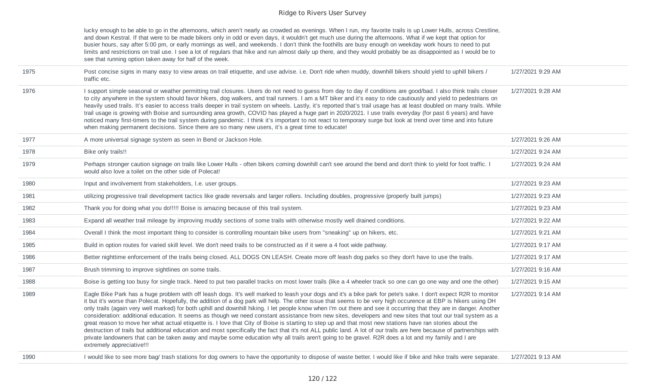lucky enough to be able to go in the afternoons, which aren't nearly as crowded as evenings. When I run, my favorite trails is up Lower Hulls, across Crestline, and down Kestral. If that were to be made bikers only in odd or even days, it wouldn't get much use during the afternoons. What if we kept that option for busier hours, say after 5:00 pm, or early mornings as well, and weekends. I don't think the foothills are busy enough on weekday work hours to need to put limits and restrictions on trail use. I see a lot of regulars that hike and run almost daily up there, and they would probably be as disappointed as I would be to see that running option taken away for half of the week.

| 1975 | Post concise signs in many easy to view areas on trail etiquette, and use advise. i.e. Don't ride when muddy, downhill bikers should yield to uphill bikers /<br>traffic etc.                                                                                                                                                                                                                                                                                                                                                                                                                                                                                                                                                                                                                                                                                                                                                                                                                                                                                                                                                                                                                         | 1/27/2021 9:29 AM |
|------|-------------------------------------------------------------------------------------------------------------------------------------------------------------------------------------------------------------------------------------------------------------------------------------------------------------------------------------------------------------------------------------------------------------------------------------------------------------------------------------------------------------------------------------------------------------------------------------------------------------------------------------------------------------------------------------------------------------------------------------------------------------------------------------------------------------------------------------------------------------------------------------------------------------------------------------------------------------------------------------------------------------------------------------------------------------------------------------------------------------------------------------------------------------------------------------------------------|-------------------|
| 1976 | I support simple seasonal or weather permitting trail closures. Users do not need to guess from day to day if conditions are good/bad. I also think trails closer<br>to city anywhere in the system should favor hikers, dog walkers, and trail runners. I am a MT biker and it's easy to ride cautiously and yield to pedestrians on<br>heavily used trails. It's easier to access trails deeper in trail system on wheels. Lastly, it's reported that's trail usage has at least doubled on many trails. While<br>trail usage is growing with Boise and surrounding area growth, COVID has played a huge part in 2020/2021. I use trails everyday (for past 6 years) and have<br>noticed many first-timers to the trail system during pandemic. I think it's important to not react to temporary surge but look at trend over time and into future<br>when making permanent decisions. Since there are so many new users, it's a great time to educate!                                                                                                                                                                                                                                             | 1/27/2021 9:28 AM |
| 1977 | A more universal signage system as seen in Bend or Jackson Hole.                                                                                                                                                                                                                                                                                                                                                                                                                                                                                                                                                                                                                                                                                                                                                                                                                                                                                                                                                                                                                                                                                                                                      | 1/27/2021 9:26 AM |
| 1978 | Bike only trails!!                                                                                                                                                                                                                                                                                                                                                                                                                                                                                                                                                                                                                                                                                                                                                                                                                                                                                                                                                                                                                                                                                                                                                                                    | 1/27/2021 9:24 AM |
| 1979 | Perhaps stronger caution signage on trails like Lower Hulls - often bikers coming downhill can't see around the bend and don't think to yield for foot traffic. I<br>would also love a toilet on the other side of Polecat!                                                                                                                                                                                                                                                                                                                                                                                                                                                                                                                                                                                                                                                                                                                                                                                                                                                                                                                                                                           | 1/27/2021 9:24 AM |
| 1980 | Input and involvement from stakeholders, I.e. user groups.                                                                                                                                                                                                                                                                                                                                                                                                                                                                                                                                                                                                                                                                                                                                                                                                                                                                                                                                                                                                                                                                                                                                            | 1/27/2021 9:23 AM |
| 1981 | utilizing progressive trail development tactics like grade reversals and larger rollers. Including doubles, progressive (properly built jumps)                                                                                                                                                                                                                                                                                                                                                                                                                                                                                                                                                                                                                                                                                                                                                                                                                                                                                                                                                                                                                                                        | 1/27/2021 9:23 AM |
| 1982 | Thank you for doing what you do!!!!! Boise is amazing because of this trail system.                                                                                                                                                                                                                                                                                                                                                                                                                                                                                                                                                                                                                                                                                                                                                                                                                                                                                                                                                                                                                                                                                                                   | 1/27/2021 9:23 AM |
| 1983 | Expand all weather trail mileage by improving muddy sections of some trails with otherwise mostly well drained conditions.                                                                                                                                                                                                                                                                                                                                                                                                                                                                                                                                                                                                                                                                                                                                                                                                                                                                                                                                                                                                                                                                            | 1/27/2021 9:22 AM |
| 1984 | Overall I think the most important thing to consider is controlling mountain bike users from "sneaking" up on hikers, etc.                                                                                                                                                                                                                                                                                                                                                                                                                                                                                                                                                                                                                                                                                                                                                                                                                                                                                                                                                                                                                                                                            | 1/27/2021 9:21 AM |
| 1985 | Build in option routes for varied skill level. We don't need trails to be constructed as if it were a 4 foot wide pathway.                                                                                                                                                                                                                                                                                                                                                                                                                                                                                                                                                                                                                                                                                                                                                                                                                                                                                                                                                                                                                                                                            | 1/27/2021 9:17 AM |
| 1986 | Better nighttime enforcement of the trails being closed. ALL DOGS ON LEASH. Create more off leash dog parks so they don't have to use the trails.                                                                                                                                                                                                                                                                                                                                                                                                                                                                                                                                                                                                                                                                                                                                                                                                                                                                                                                                                                                                                                                     | 1/27/2021 9:17 AM |
| 1987 | Brush trimming to improve sightlines on some trails.                                                                                                                                                                                                                                                                                                                                                                                                                                                                                                                                                                                                                                                                                                                                                                                                                                                                                                                                                                                                                                                                                                                                                  | 1/27/2021 9:16 AM |
| 1988 | Boise is getting too busy for single track. Need to put two parallel tracks on most lower trails (like a 4 wheeler track so one can go one way and one the other)                                                                                                                                                                                                                                                                                                                                                                                                                                                                                                                                                                                                                                                                                                                                                                                                                                                                                                                                                                                                                                     | 1/27/2021 9:15 AM |
| 1989 | Eagle Bike Park has a huge problem with off leash dogs. It's well marked to leash your dogs and it's a bike park for pete's sake. I don't expect R2R to monitor<br>it but it's worse than Polecat. Hopefully, the addition of a dog park will help. The other issue that seems to be very high occurence at EBP is hikers using DH<br>only trails (again very well marked) for both uphill and downhill hiking. I let people know when I'm out there and see it occurring that they are in danger. Another<br>consideration: additional education. It seems as though we need constant assistance from new sites, developers and new sites that tout our trail system as a<br>great reason to move her what actual etiquette is. I love that City of Boise is starting to step up and that most new stations have ran stories about the<br>destruction of trails but additional education and most specifically the fact that it's not ALL public land. A lot of our trails are here because of partnerships with<br>private landowners that can be taken away and maybe some education why all trails aren't going to be gravel. R2R does a lot and my family and I are<br>extremely appreciative!!! | 1/27/2021 9:14 AM |
| 1990 | I would like to see more bag/ trash stations for dog owners to have the opportunity to dispose of waste better. I would like if bike and hike trails were separate.                                                                                                                                                                                                                                                                                                                                                                                                                                                                                                                                                                                                                                                                                                                                                                                                                                                                                                                                                                                                                                   | 1/27/2021 9:13 AM |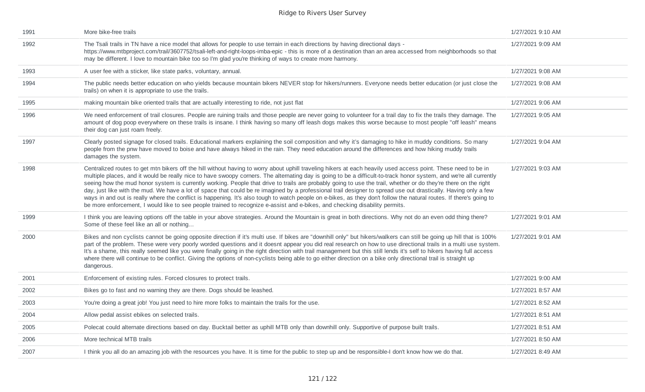| 1991 | More bike-free trails                                                                                                                                                                                                                                                                                                                                                                                                                                                                                                                                                                                                                                                                                                                                                                                                                                                                                                                                                            | 1/27/2021 9:10 AM |
|------|----------------------------------------------------------------------------------------------------------------------------------------------------------------------------------------------------------------------------------------------------------------------------------------------------------------------------------------------------------------------------------------------------------------------------------------------------------------------------------------------------------------------------------------------------------------------------------------------------------------------------------------------------------------------------------------------------------------------------------------------------------------------------------------------------------------------------------------------------------------------------------------------------------------------------------------------------------------------------------|-------------------|
| 1992 | The Tsali trails in TN have a nice model that allows for people to use terrain in each directions by having directional days -<br>https://www.mtbproject.com/trail/3607752/tsali-left-and-right-loops-imba-epic - this is more of a destination than an area accessed from neighborhoods so that<br>may be different. I love to mountain bike too so I'm glad you're thinking of ways to create more harmony.                                                                                                                                                                                                                                                                                                                                                                                                                                                                                                                                                                    | 1/27/2021 9:09 AM |
| 1993 | A user fee with a sticker, like state parks, voluntary, annual.                                                                                                                                                                                                                                                                                                                                                                                                                                                                                                                                                                                                                                                                                                                                                                                                                                                                                                                  | 1/27/2021 9:08 AM |
| 1994 | The public needs better education on who yields because mountain bikers NEVER stop for hikers/runners. Everyone needs better education (or just close the<br>trails) on when it is appropriate to use the trails.                                                                                                                                                                                                                                                                                                                                                                                                                                                                                                                                                                                                                                                                                                                                                                | 1/27/2021 9:08 AM |
| 1995 | making mountain bike oriented trails that are actually interesting to ride, not just flat                                                                                                                                                                                                                                                                                                                                                                                                                                                                                                                                                                                                                                                                                                                                                                                                                                                                                        | 1/27/2021 9:06 AM |
| 1996 | We need enforcement of trail closures. People are ruining trails and those people are never going to volunteer for a trail day to fix the trails they damage. The<br>amount of dog poop everywhere on these trails is insane. I think having so many off leash dogs makes this worse because to most people "off leash" means<br>their dog can just roam freely.                                                                                                                                                                                                                                                                                                                                                                                                                                                                                                                                                                                                                 | 1/27/2021 9:05 AM |
| 1997 | Clearly posted signage for closed trails. Educational markers explaining the soil composition and why it's damaging to hike in muddy conditions. So many<br>people from the pnw have moved to boise and have always hiked in the rain. They need education around the differences and how hiking muddy trails<br>damages the system.                                                                                                                                                                                                                                                                                                                                                                                                                                                                                                                                                                                                                                             | 1/27/2021 9:04 AM |
| 1998 | Centralized routes to get mtn bikers off the hill without having to worry about uphill traveling hikers at each heavily used access point. These need to be in<br>multiple places, and it would be really nice to have swoopy corners. The alternating day is going to be a difficult-to-track honor system, and we're all currently<br>seeing how the mud honor system is currently working. People that drive to trails are probably going to use the trail, whether or do they're there on the right<br>day, just like with the mud. We have a lot of space that could be re imagined by a professional trail designer to spread use out drastically. Having only a few<br>ways in and out is really where the conflict is happening. It's also tough to watch people on e-bikes, as they don't follow the natural routes. If there's going to<br>be more enforcement, I would like to see people trained to recognize e-assist and e-bikes, and checking disability permits. | 1/27/2021 9:03 AM |
| 1999 | I think you are leaving options off the table in your above strategies. Around the Mountain is great in both directions. Why not do an even odd thing there?<br>Some of these feel like an all or nothing                                                                                                                                                                                                                                                                                                                                                                                                                                                                                                                                                                                                                                                                                                                                                                        | 1/27/2021 9:01 AM |
| 2000 | Bikes and non cyclists cannot be going opposite direction if it's multi use. If bikes are "downhill only" but hikers/walkers can still be going up hill that is 100%<br>part of the problem. These were very poorly worded questions and it doesnt appear you did real research on how to use directional trails in a multi use system.<br>It's a shame, this really seemed like you were finally going in the right direction with trail management but this still lends it's self to hikers having full access<br>where there will continue to be conflict. Giving the options of non-cyclists being able to go either direction on a bike only directional trail is straight up<br>dangerous.                                                                                                                                                                                                                                                                                 | 1/27/2021 9:01 AM |
| 2001 | Enforcement of existing rules. Forced closures to protect trails.                                                                                                                                                                                                                                                                                                                                                                                                                                                                                                                                                                                                                                                                                                                                                                                                                                                                                                                | 1/27/2021 9:00 AM |
| 2002 | Bikes go to fast and no warning they are there. Dogs should be leashed.                                                                                                                                                                                                                                                                                                                                                                                                                                                                                                                                                                                                                                                                                                                                                                                                                                                                                                          | 1/27/2021 8:57 AM |
| 2003 | You're doing a great job! You just need to hire more folks to maintain the trails for the use.                                                                                                                                                                                                                                                                                                                                                                                                                                                                                                                                                                                                                                                                                                                                                                                                                                                                                   | 1/27/2021 8:52 AM |
| 2004 | Allow pedal assist ebikes on selected trails.                                                                                                                                                                                                                                                                                                                                                                                                                                                                                                                                                                                                                                                                                                                                                                                                                                                                                                                                    | 1/27/2021 8:51 AM |
| 2005 | Polecat could alternate directions based on day. Bucktail better as uphill MTB only than downhill only. Supportive of purpose built trails.                                                                                                                                                                                                                                                                                                                                                                                                                                                                                                                                                                                                                                                                                                                                                                                                                                      | 1/27/2021 8:51 AM |
| 2006 | More technical MTB trails                                                                                                                                                                                                                                                                                                                                                                                                                                                                                                                                                                                                                                                                                                                                                                                                                                                                                                                                                        | 1/27/2021 8:50 AM |
| 2007 | I think you all do an amazing job with the resources you have. It is time for the public to step up and be responsible-I don't know how we do that.                                                                                                                                                                                                                                                                                                                                                                                                                                                                                                                                                                                                                                                                                                                                                                                                                              | 1/27/2021 8:49 AM |